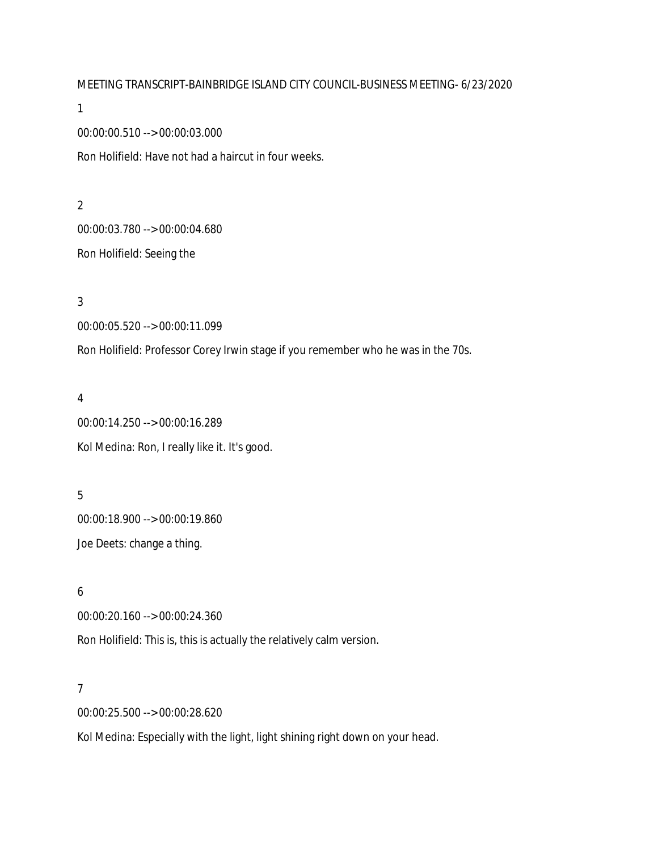MEETING TRANSCRIPT-BAINBRIDGE ISLAND CITY COUNCIL-BUSINESS MEETING- 6/23/2020

1

00:00:00.510 --> 00:00:03.000

Ron Holifield: Have not had a haircut in four weeks.

2 00:00:03.780 --> 00:00:04.680 Ron Holifield: Seeing the

3 00:00:05.520 --> 00:00:11.099

Ron Holifield: Professor Corey Irwin stage if you remember who he was in the 70s.

4 00:00:14.250 --> 00:00:16.289 Kol Medina: Ron, I really like it. It's good.

5 00:00:18.900 --> 00:00:19.860 Joe Deets: change a thing.

6 00:00:20.160 --> 00:00:24.360 Ron Holifield: This is, this is actually the relatively calm version.

7

00:00:25.500 --> 00:00:28.620

Kol Medina: Especially with the light, light shining right down on your head.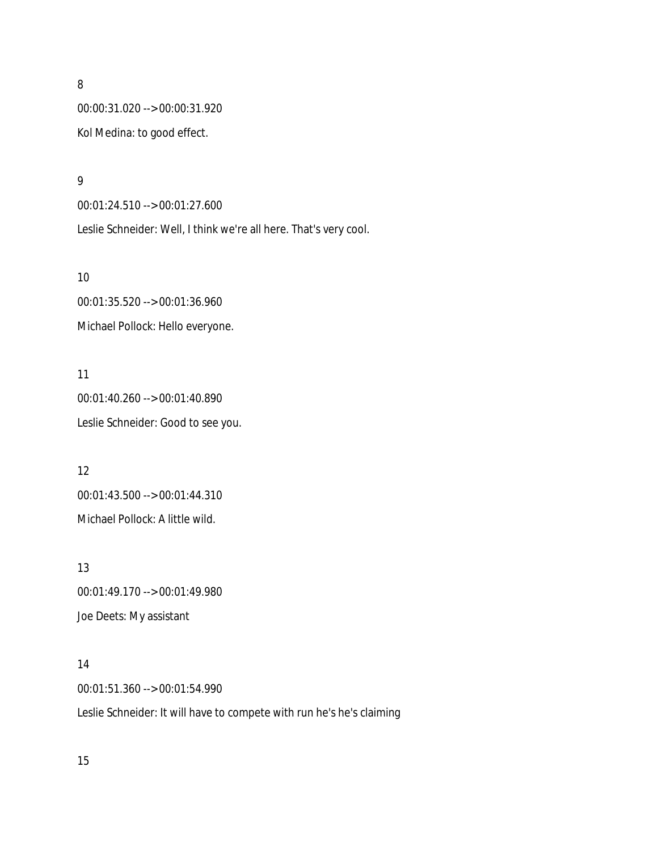00:00:31.020 --> 00:00:31.920 Kol Medina: to good effect.

9

00:01:24.510 --> 00:01:27.600 Leslie Schneider: Well, I think we're all here. That's very cool.

10

00:01:35.520 --> 00:01:36.960 Michael Pollock: Hello everyone.

11 00:01:40.260 --> 00:01:40.890 Leslie Schneider: Good to see you.

12 00:01:43.500 --> 00:01:44.310 Michael Pollock: A little wild.

13 00:01:49.170 --> 00:01:49.980 Joe Deets: My assistant

14 00:01:51.360 --> 00:01:54.990

Leslie Schneider: It will have to compete with run he's he's claiming

15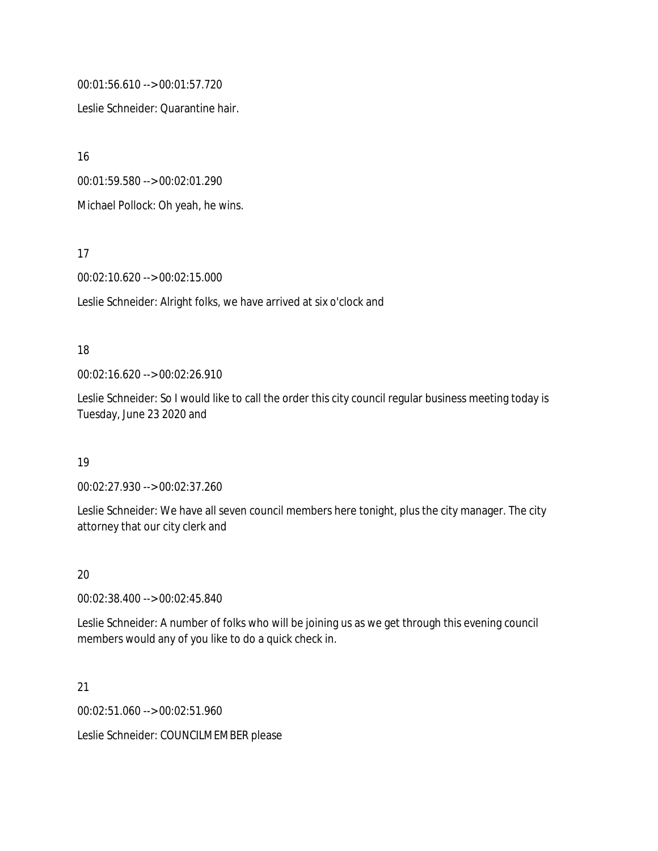00:01:56.610 --> 00:01:57.720

Leslie Schneider: Quarantine hair.

16

00:01:59.580 --> 00:02:01.290

Michael Pollock: Oh yeah, he wins.

17

00:02:10.620 --> 00:02:15.000

Leslie Schneider: Alright folks, we have arrived at six o'clock and

### 18

00:02:16.620 --> 00:02:26.910

Leslie Schneider: So I would like to call the order this city council regular business meeting today is Tuesday, June 23 2020 and

19

00:02:27.930 --> 00:02:37.260

Leslie Schneider: We have all seven council members here tonight, plus the city manager. The city attorney that our city clerk and

20

00:02:38.400 --> 00:02:45.840

Leslie Schneider: A number of folks who will be joining us as we get through this evening council members would any of you like to do a quick check in.

21

00:02:51.060 --> 00:02:51.960

Leslie Schneider: COUNCILMEMBER please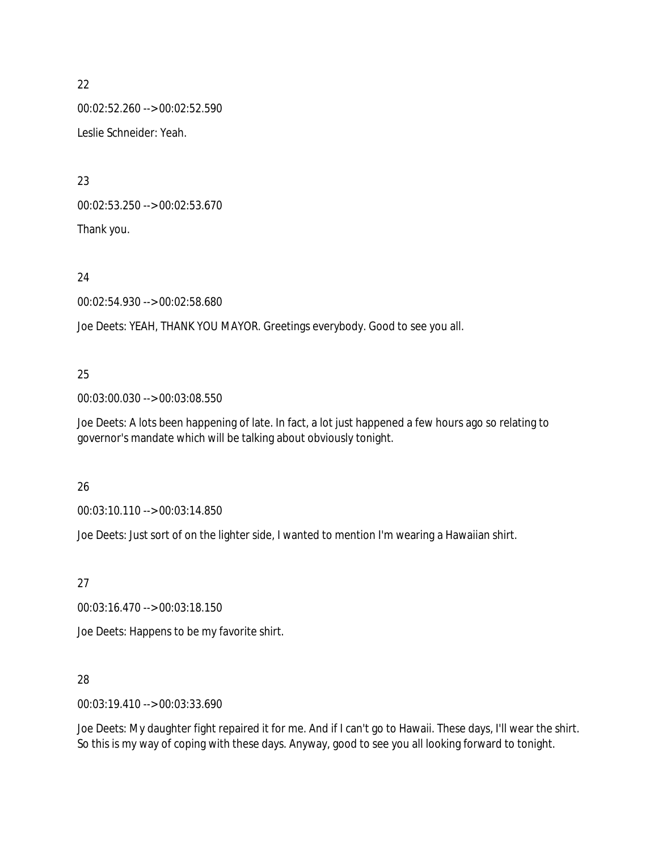00:02:52.260 --> 00:02:52.590 Leslie Schneider: Yeah.

23

00:02:53.250 --> 00:02:53.670 Thank you.

24

00:02:54.930 --> 00:02:58.680

Joe Deets: YEAH, THANK YOU MAYOR. Greetings everybody. Good to see you all.

# 25

00:03:00.030 --> 00:03:08.550

Joe Deets: A lots been happening of late. In fact, a lot just happened a few hours ago so relating to governor's mandate which will be talking about obviously tonight.

# 26

00:03:10.110 --> 00:03:14.850

Joe Deets: Just sort of on the lighter side, I wanted to mention I'm wearing a Hawaiian shirt.

27

00:03:16.470 --> 00:03:18.150

Joe Deets: Happens to be my favorite shirt.

# 28

00:03:19.410 --> 00:03:33.690

Joe Deets: My daughter fight repaired it for me. And if I can't go to Hawaii. These days, I'll wear the shirt. So this is my way of coping with these days. Anyway, good to see you all looking forward to tonight.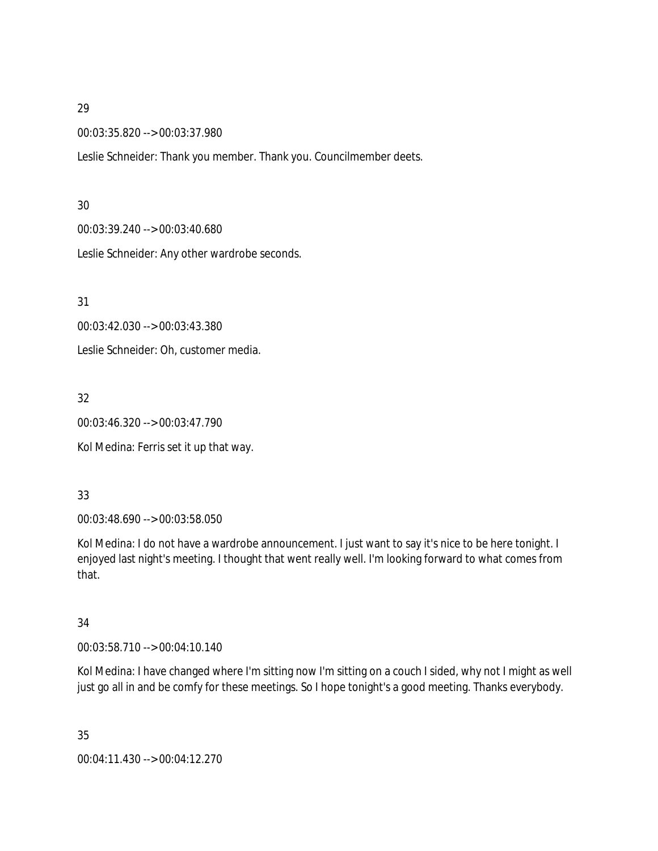00:03:35.820 --> 00:03:37.980

Leslie Schneider: Thank you member. Thank you. Councilmember deets.

#### 30

00:03:39.240 --> 00:03:40.680

Leslie Schneider: Any other wardrobe seconds.

31

00:03:42.030 --> 00:03:43.380

Leslie Schneider: Oh, customer media.

32

00:03:46.320 --> 00:03:47.790

Kol Medina: Ferris set it up that way.

# 33

00:03:48.690 --> 00:03:58.050

Kol Medina: I do not have a wardrobe announcement. I just want to say it's nice to be here tonight. I enjoyed last night's meeting. I thought that went really well. I'm looking forward to what comes from that.

# 34

00:03:58.710 --> 00:04:10.140

Kol Medina: I have changed where I'm sitting now I'm sitting on a couch I sided, why not I might as well just go all in and be comfy for these meetings. So I hope tonight's a good meeting. Thanks everybody.

35 00:04:11.430 --> 00:04:12.270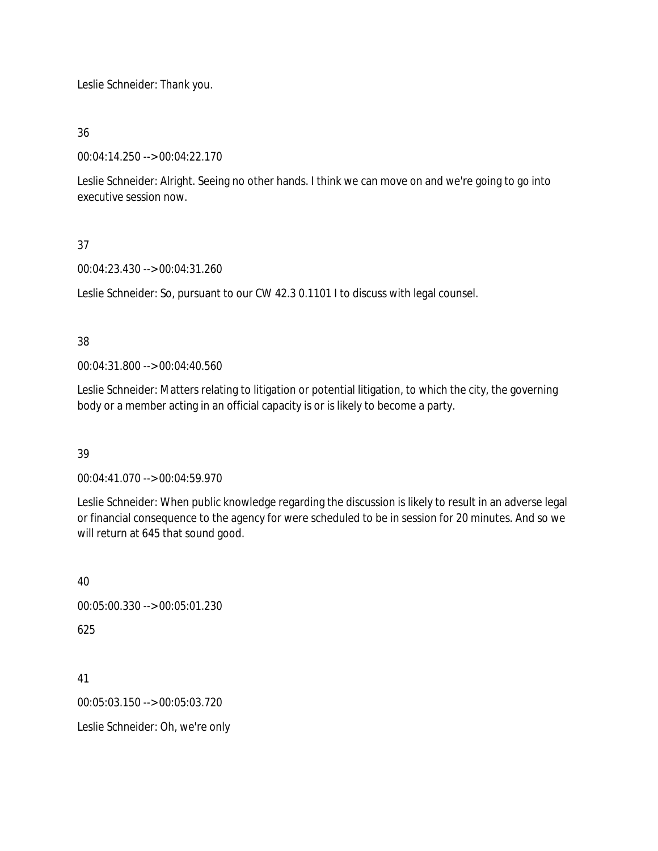Leslie Schneider: Thank you.

36

00:04:14.250 --> 00:04:22.170

Leslie Schneider: Alright. Seeing no other hands. I think we can move on and we're going to go into executive session now.

# 37

00:04:23.430 --> 00:04:31.260

Leslie Schneider: So, pursuant to our CW 42.3 0.1101 I to discuss with legal counsel.

# 38

00:04:31.800 --> 00:04:40.560

Leslie Schneider: Matters relating to litigation or potential litigation, to which the city, the governing body or a member acting in an official capacity is or is likely to become a party.

# 39

00:04:41.070 --> 00:04:59.970

Leslie Schneider: When public knowledge regarding the discussion is likely to result in an adverse legal or financial consequence to the agency for were scheduled to be in session for 20 minutes. And so we will return at 645 that sound good.

# 40

00:05:00.330 --> 00:05:01.230

625

41

00:05:03.150 --> 00:05:03.720

Leslie Schneider: Oh, we're only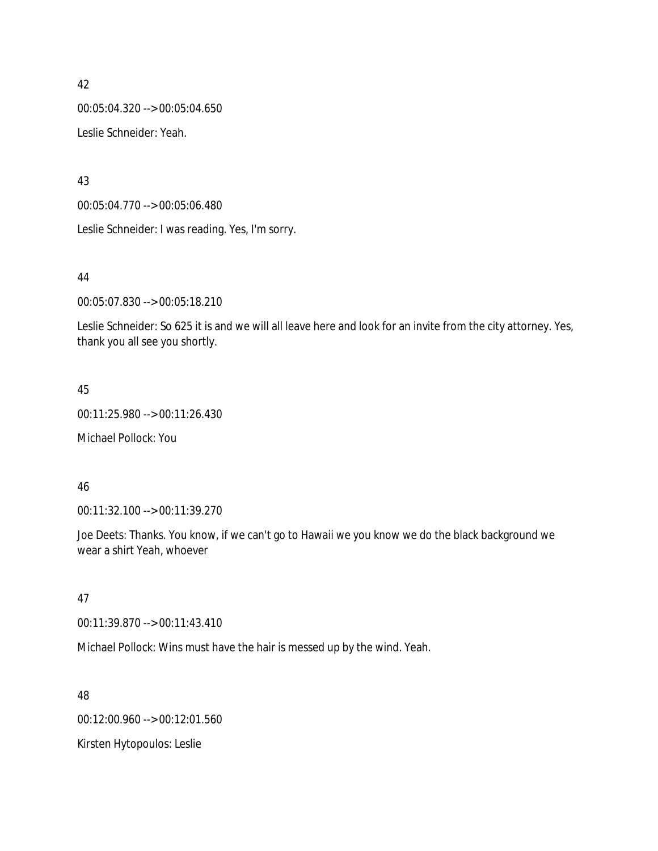00:05:04.320 --> 00:05:04.650 Leslie Schneider: Yeah.

43

00:05:04.770 --> 00:05:06.480

Leslie Schneider: I was reading. Yes, I'm sorry.

### 44

00:05:07.830 --> 00:05:18.210

Leslie Schneider: So 625 it is and we will all leave here and look for an invite from the city attorney. Yes, thank you all see you shortly.

# 45

00:11:25.980 --> 00:11:26.430

Michael Pollock: You

#### 46

00:11:32.100 --> 00:11:39.270

Joe Deets: Thanks. You know, if we can't go to Hawaii we you know we do the black background we wear a shirt Yeah, whoever

#### 47

00:11:39.870 --> 00:11:43.410

Michael Pollock: Wins must have the hair is messed up by the wind. Yeah.

#### 48

00:12:00.960 --> 00:12:01.560

Kirsten Hytopoulos: Leslie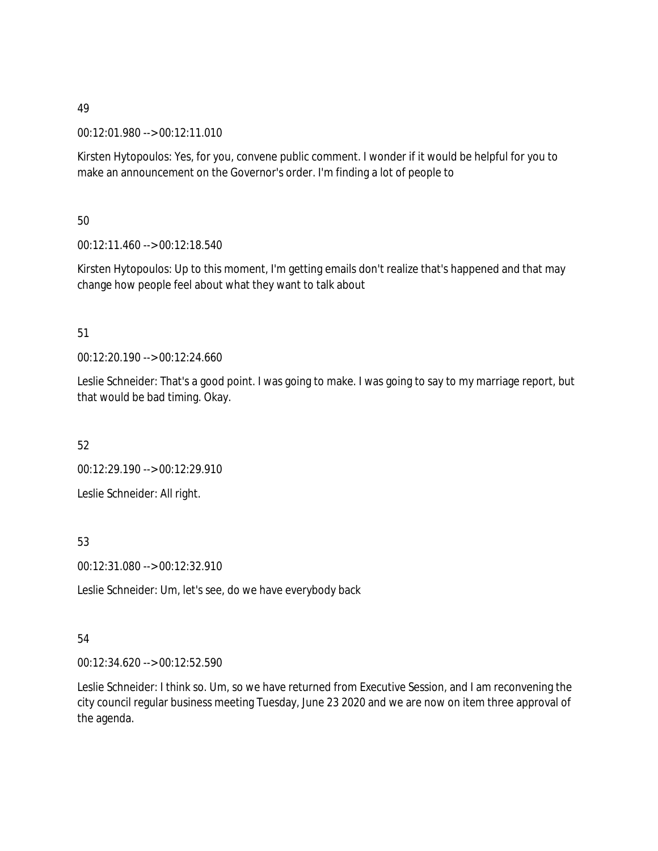00:12:01.980 --> 00:12:11.010

Kirsten Hytopoulos: Yes, for you, convene public comment. I wonder if it would be helpful for you to make an announcement on the Governor's order. I'm finding a lot of people to

50

00:12:11.460 --> 00:12:18.540

Kirsten Hytopoulos: Up to this moment, I'm getting emails don't realize that's happened and that may change how people feel about what they want to talk about

# 51

00:12:20.190 --> 00:12:24.660

Leslie Schneider: That's a good point. I was going to make. I was going to say to my marriage report, but that would be bad timing. Okay.

52

00:12:29.190 --> 00:12:29.910

Leslie Schneider: All right.

53

00:12:31.080 --> 00:12:32.910

Leslie Schneider: Um, let's see, do we have everybody back

# 54

00:12:34.620 --> 00:12:52.590

Leslie Schneider: I think so. Um, so we have returned from Executive Session, and I am reconvening the city council regular business meeting Tuesday, June 23 2020 and we are now on item three approval of the agenda.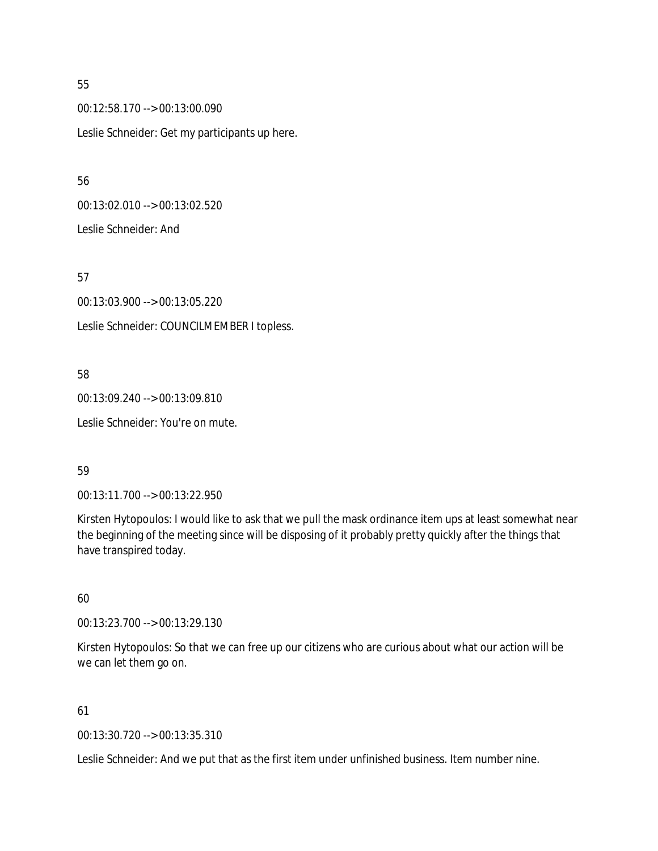00:12:58.170 --> 00:13:00.090 Leslie Schneider: Get my participants up here.

56

00:13:02.010 --> 00:13:02.520 Leslie Schneider: And

57

00:13:03.900 --> 00:13:05.220 Leslie Schneider: COUNCILMEMBER I topless.

# 58

00:13:09.240 --> 00:13:09.810

Leslie Schneider: You're on mute.

# 59

00:13:11.700 --> 00:13:22.950

Kirsten Hytopoulos: I would like to ask that we pull the mask ordinance item ups at least somewhat near the beginning of the meeting since will be disposing of it probably pretty quickly after the things that have transpired today.

# 60

00:13:23.700 --> 00:13:29.130

Kirsten Hytopoulos: So that we can free up our citizens who are curious about what our action will be we can let them go on.

# 61

00:13:30.720 --> 00:13:35.310

Leslie Schneider: And we put that as the first item under unfinished business. Item number nine.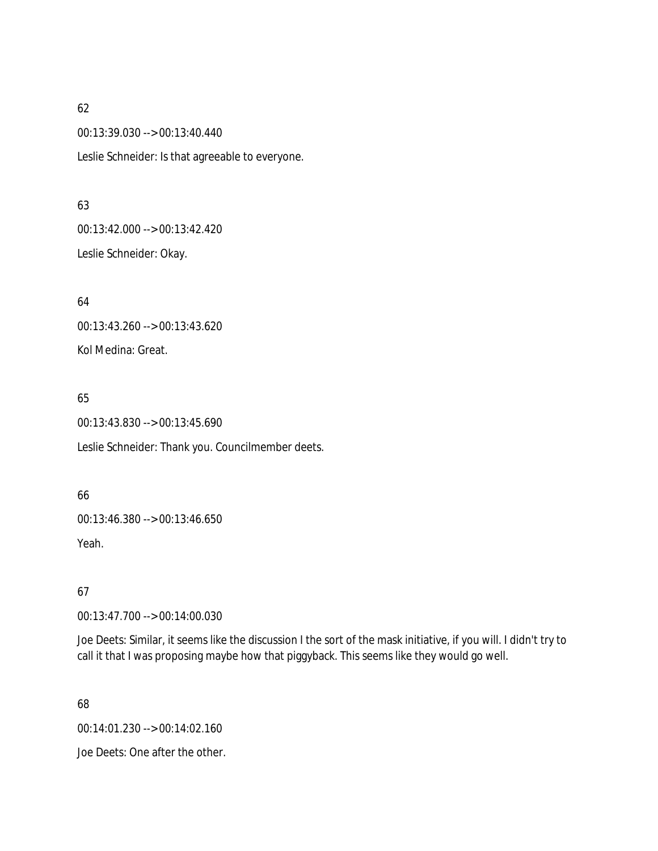00:13:39.030 --> 00:13:40.440

Leslie Schneider: Is that agreeable to everyone.

#### 63

00:13:42.000 --> 00:13:42.420

Leslie Schneider: Okay.

64 00:13:43.260 --> 00:13:43.620 Kol Medina: Great.

# 65

00:13:43.830 --> 00:13:45.690

Leslie Schneider: Thank you. Councilmember deets.

# 66

00:13:46.380 --> 00:13:46.650 Yeah.

# 67

00:13:47.700 --> 00:14:00.030

Joe Deets: Similar, it seems like the discussion I the sort of the mask initiative, if you will. I didn't try to call it that I was proposing maybe how that piggyback. This seems like they would go well.

# 68

00:14:01.230 --> 00:14:02.160

Joe Deets: One after the other.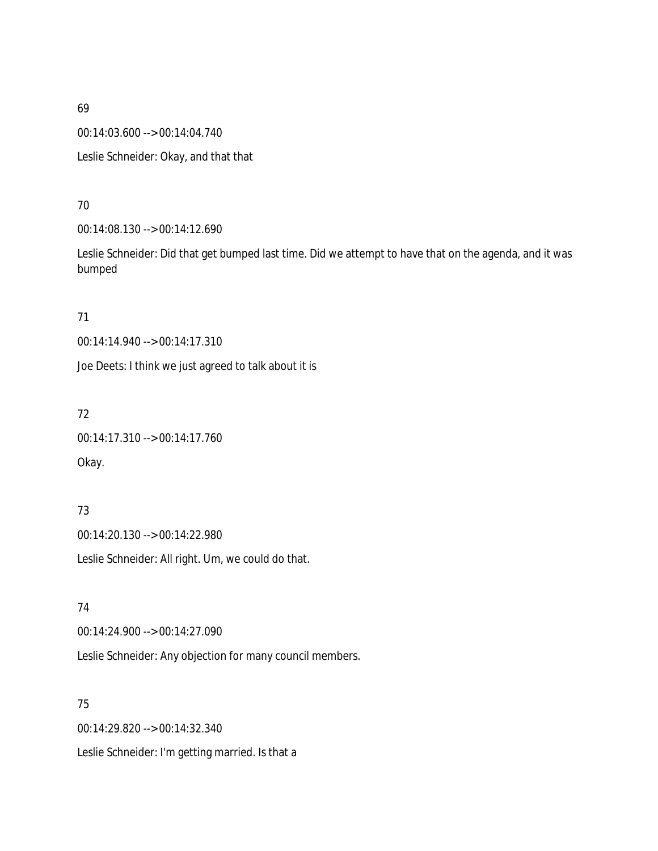00:14:03.600 --> 00:14:04.740

Leslie Schneider: Okay, and that that

### 70

00:14:08.130 --> 00:14:12.690

Leslie Schneider: Did that get bumped last time. Did we attempt to have that on the agenda, and it was bumped

### 71

00:14:14.940 --> 00:14:17.310

Joe Deets: I think we just agreed to talk about it is

# 72

00:14:17.310 --> 00:14:17.760 Okay.

# 73

00:14:20.130 --> 00:14:22.980 Leslie Schneider: All right. Um, we could do that.

# 74

00:14:24.900 --> 00:14:27.090

Leslie Schneider: Any objection for many council members.

# 75

00:14:29.820 --> 00:14:32.340 Leslie Schneider: I'm getting married. Is that a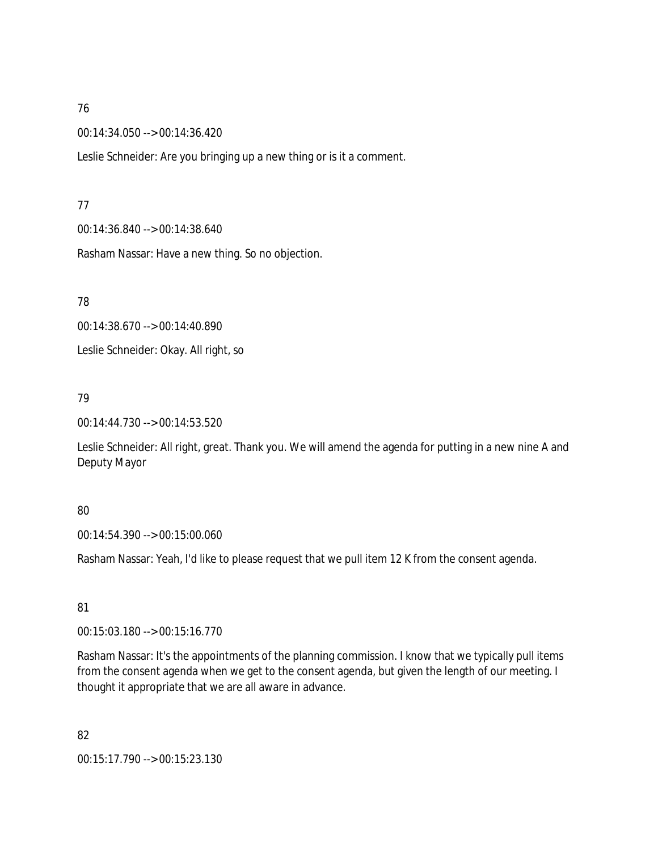00:14:34.050 --> 00:14:36.420

Leslie Schneider: Are you bringing up a new thing or is it a comment.

#### 77

00:14:36.840 --> 00:14:38.640

Rasham Nassar: Have a new thing. So no objection.

78

00:14:38.670 --> 00:14:40.890 Leslie Schneider: Okay. All right, so

# 79

00:14:44.730 --> 00:14:53.520

Leslie Schneider: All right, great. Thank you. We will amend the agenda for putting in a new nine A and Deputy Mayor

# 80

00:14:54.390 --> 00:15:00.060

Rasham Nassar: Yeah, I'd like to please request that we pull item 12 K from the consent agenda.

# 81

00:15:03.180 --> 00:15:16.770

Rasham Nassar: It's the appointments of the planning commission. I know that we typically pull items from the consent agenda when we get to the consent agenda, but given the length of our meeting. I thought it appropriate that we are all aware in advance.

# 82

00:15:17.790 --> 00:15:23.130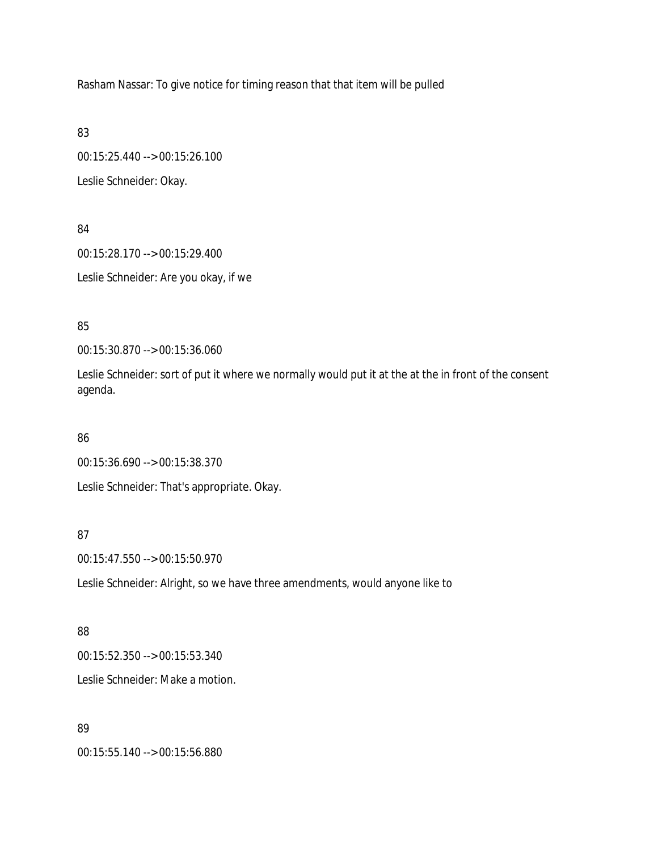Rasham Nassar: To give notice for timing reason that that item will be pulled

83

00:15:25.440 --> 00:15:26.100 Leslie Schneider: Okay.

84 00:15:28.170 --> 00:15:29.400 Leslie Schneider: Are you okay, if we

85

00:15:30.870 --> 00:15:36.060

Leslie Schneider: sort of put it where we normally would put it at the at the in front of the consent agenda.

#### 86

00:15:36.690 --> 00:15:38.370

Leslie Schneider: That's appropriate. Okay.

# 87

00:15:47.550 --> 00:15:50.970

Leslie Schneider: Alright, so we have three amendments, would anyone like to

#### 88

00:15:52.350 --> 00:15:53.340 Leslie Schneider: Make a motion.

#### 89

00:15:55.140 --> 00:15:56.880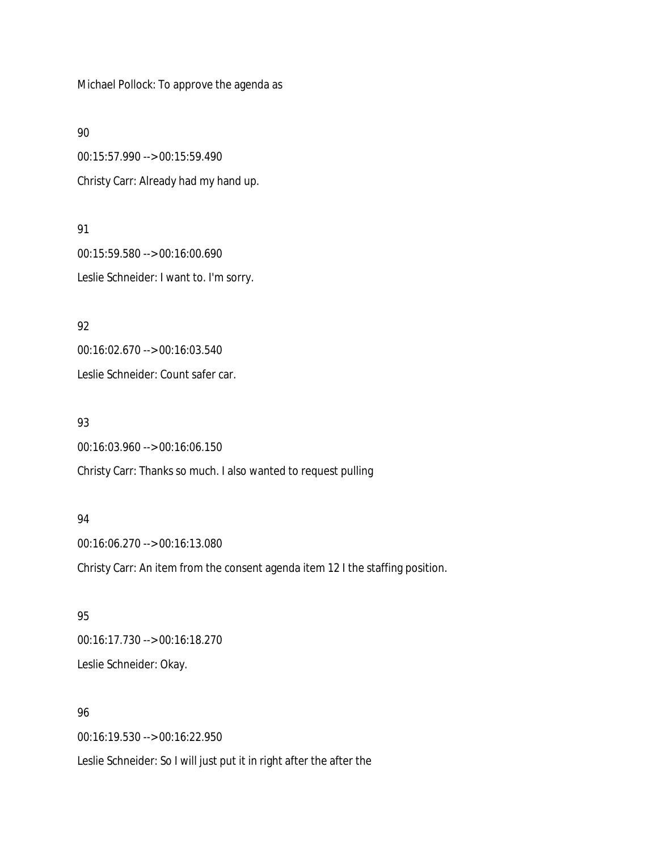Michael Pollock: To approve the agenda as

90

00:15:57.990 --> 00:15:59.490 Christy Carr: Already had my hand up.

91 00:15:59.580 --> 00:16:00.690 Leslie Schneider: I want to. I'm sorry.

92 00:16:02.670 --> 00:16:03.540

Leslie Schneider: Count safer car.

93

00:16:03.960 --> 00:16:06.150 Christy Carr: Thanks so much. I also wanted to request pulling

#### 94

00:16:06.270 --> 00:16:13.080 Christy Carr: An item from the consent agenda item 12 I the staffing position.

95 00:16:17.730 --> 00:16:18.270 Leslie Schneider: Okay.

# 96

00:16:19.530 --> 00:16:22.950

Leslie Schneider: So I will just put it in right after the after the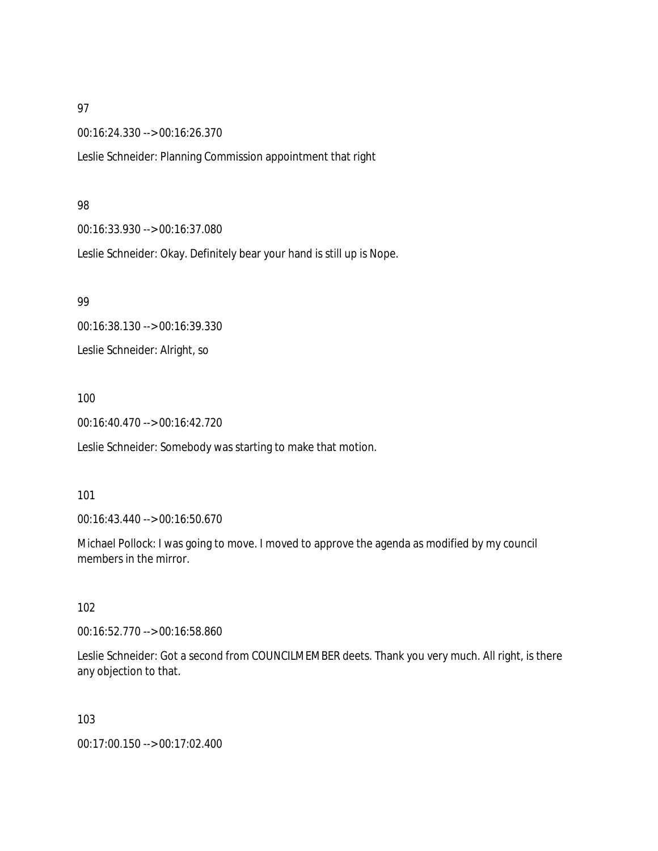00:16:24.330 --> 00:16:26.370

Leslie Schneider: Planning Commission appointment that right

#### 98

00:16:33.930 --> 00:16:37.080

Leslie Schneider: Okay. Definitely bear your hand is still up is Nope.

99

00:16:38.130 --> 00:16:39.330 Leslie Schneider: Alright, so

### 100

00:16:40.470 --> 00:16:42.720

Leslie Schneider: Somebody was starting to make that motion.

#### 101

00:16:43.440 --> 00:16:50.670

Michael Pollock: I was going to move. I moved to approve the agenda as modified by my council members in the mirror.

# 102

00:16:52.770 --> 00:16:58.860

Leslie Schneider: Got a second from COUNCILMEMBER deets. Thank you very much. All right, is there any objection to that.

103

00:17:00.150 --> 00:17:02.400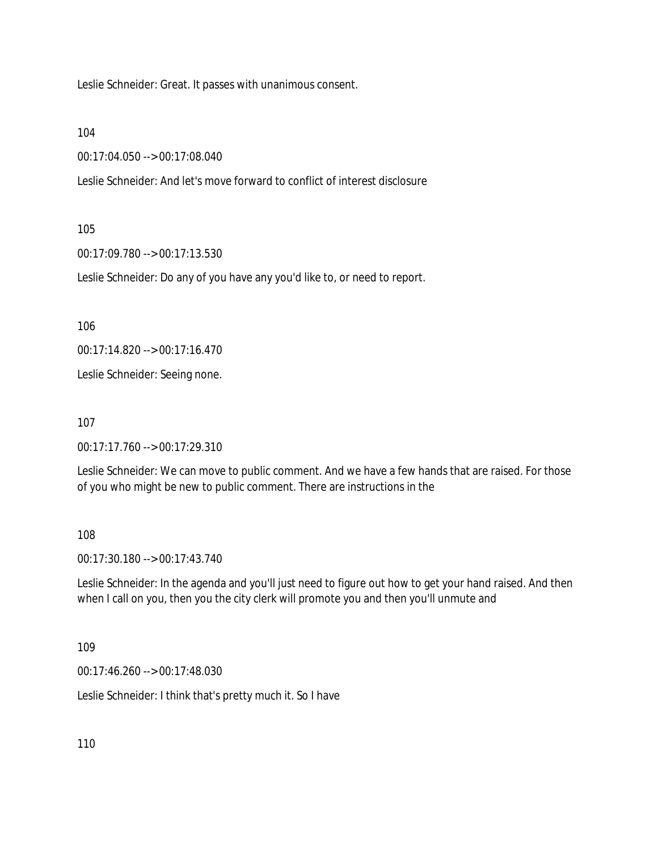Leslie Schneider: Great. It passes with unanimous consent.

104

00:17:04.050 --> 00:17:08.040

Leslie Schneider: And let's move forward to conflict of interest disclosure

105

00:17:09.780 --> 00:17:13.530

Leslie Schneider: Do any of you have any you'd like to, or need to report.

106

00:17:14.820 --> 00:17:16.470

Leslie Schneider: Seeing none.

107

00:17:17.760 --> 00:17:29.310

Leslie Schneider: We can move to public comment. And we have a few hands that are raised. For those of you who might be new to public comment. There are instructions in the

108

00:17:30.180 --> 00:17:43.740

Leslie Schneider: In the agenda and you'll just need to figure out how to get your hand raised. And then when I call on you, then you the city clerk will promote you and then you'll unmute and

109

00:17:46.260 --> 00:17:48.030

Leslie Schneider: I think that's pretty much it. So I have

110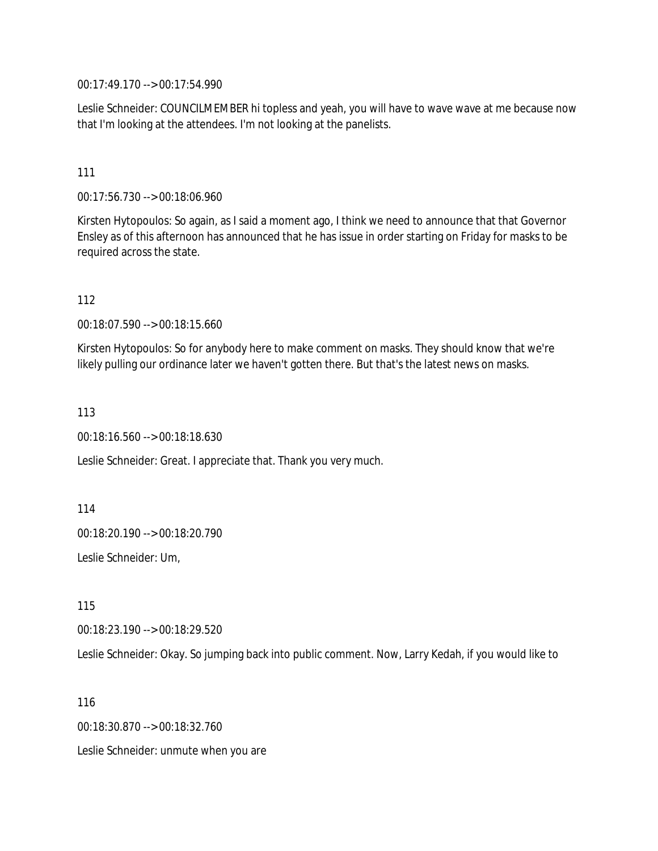00:17:49.170 --> 00:17:54.990

Leslie Schneider: COUNCILMEMBER hi topless and yeah, you will have to wave wave at me because now that I'm looking at the attendees. I'm not looking at the panelists.

#### 111

00:17:56.730 --> 00:18:06.960

Kirsten Hytopoulos: So again, as I said a moment ago, I think we need to announce that that Governor Ensley as of this afternoon has announced that he has issue in order starting on Friday for masks to be required across the state.

112

00:18:07.590 --> 00:18:15.660

Kirsten Hytopoulos: So for anybody here to make comment on masks. They should know that we're likely pulling our ordinance later we haven't gotten there. But that's the latest news on masks.

113

00:18:16.560 --> 00:18:18.630

Leslie Schneider: Great. I appreciate that. Thank you very much.

114

00:18:20.190 --> 00:18:20.790

Leslie Schneider: Um,

115

00:18:23.190 --> 00:18:29.520

Leslie Schneider: Okay. So jumping back into public comment. Now, Larry Kedah, if you would like to

116

00:18:30.870 --> 00:18:32.760

Leslie Schneider: unmute when you are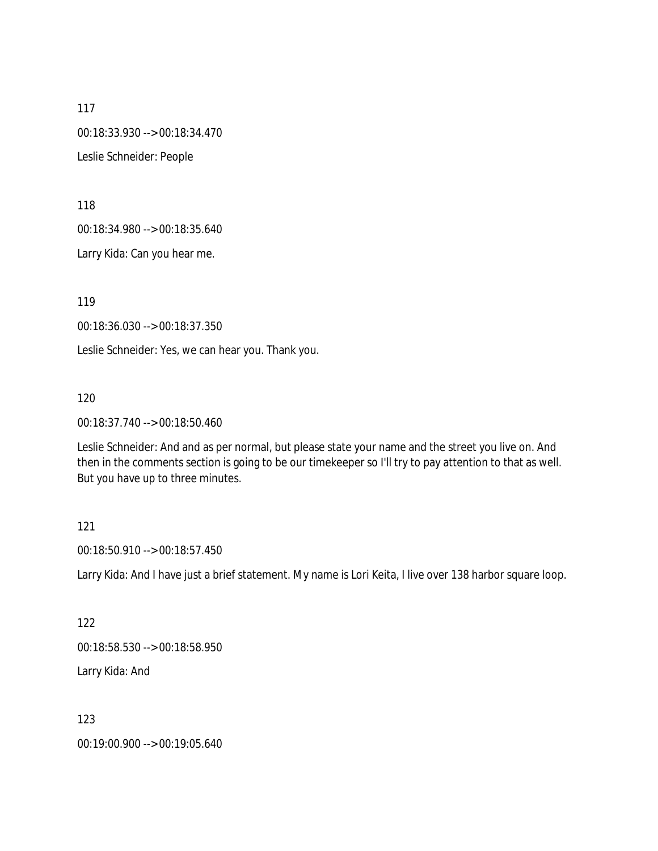117 00:18:33.930 --> 00:18:34.470 Leslie Schneider: People

118

00:18:34.980 --> 00:18:35.640

Larry Kida: Can you hear me.

119

00:18:36.030 --> 00:18:37.350

Leslie Schneider: Yes, we can hear you. Thank you.

120

00:18:37.740 --> 00:18:50.460

Leslie Schneider: And and as per normal, but please state your name and the street you live on. And then in the comments section is going to be our timekeeper so I'll try to pay attention to that as well. But you have up to three minutes.

### 121

00:18:50.910 --> 00:18:57.450

Larry Kida: And I have just a brief statement. My name is Lori Keita, I live over 138 harbor square loop.

122

00:18:58.530 --> 00:18:58.950

Larry Kida: And

123

00:19:00.900 --> 00:19:05.640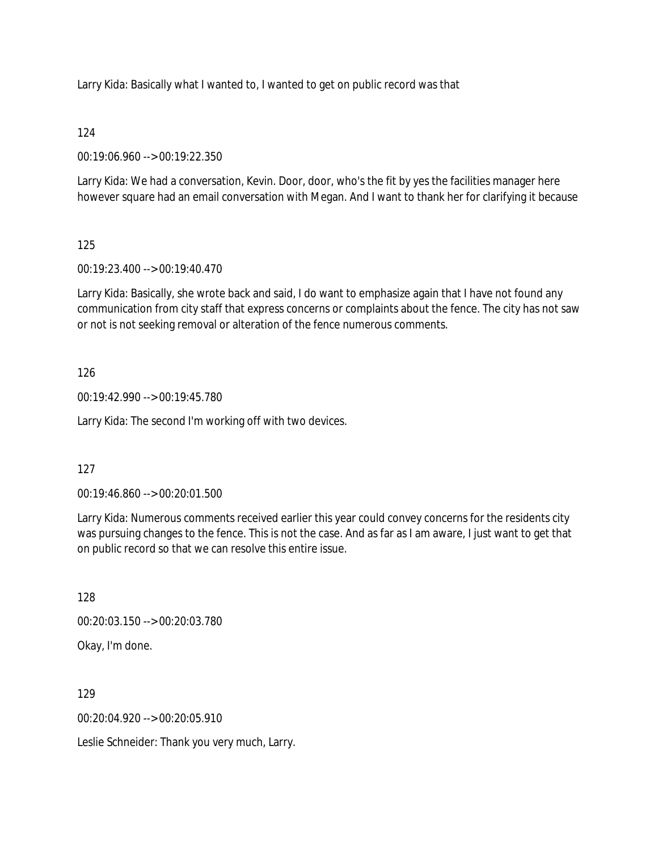Larry Kida: Basically what I wanted to, I wanted to get on public record was that

# 124

00:19:06.960 --> 00:19:22.350

Larry Kida: We had a conversation, Kevin. Door, door, who's the fit by yes the facilities manager here however square had an email conversation with Megan. And I want to thank her for clarifying it because

# 125

00:19:23.400 --> 00:19:40.470

Larry Kida: Basically, she wrote back and said, I do want to emphasize again that I have not found any communication from city staff that express concerns or complaints about the fence. The city has not saw or not is not seeking removal or alteration of the fence numerous comments.

# 126

00:19:42.990 --> 00:19:45.780

Larry Kida: The second I'm working off with two devices.

# 127

00:19:46.860 --> 00:20:01.500

Larry Kida: Numerous comments received earlier this year could convey concerns for the residents city was pursuing changes to the fence. This is not the case. And as far as I am aware, I just want to get that on public record so that we can resolve this entire issue.

128 00:20:03.150 --> 00:20:03.780 Okay, I'm done.

129

00:20:04.920 --> 00:20:05.910

Leslie Schneider: Thank you very much, Larry.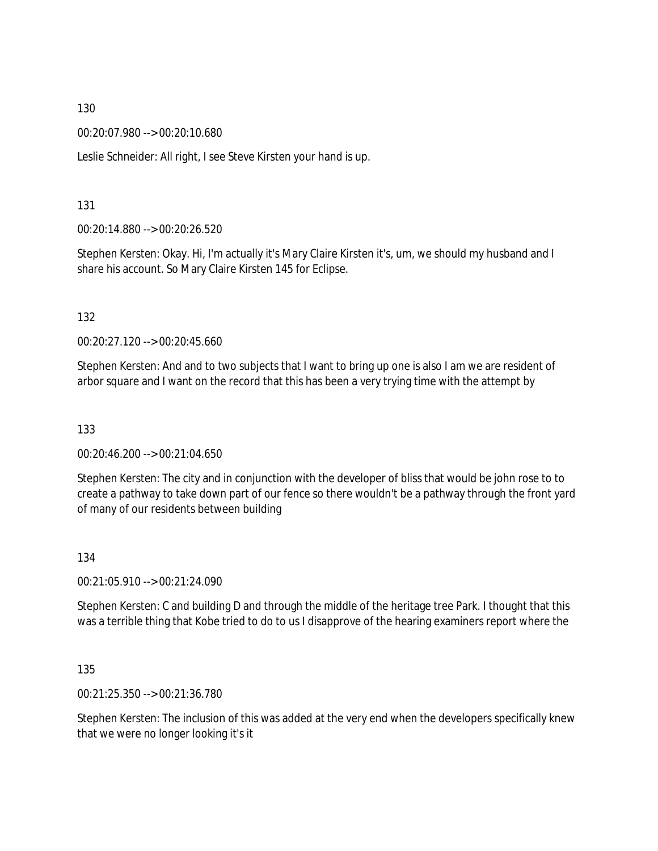00:20:07.980 --> 00:20:10.680

Leslie Schneider: All right, I see Steve Kirsten your hand is up.

131

00:20:14.880 --> 00:20:26.520

Stephen Kersten: Okay. Hi, I'm actually it's Mary Claire Kirsten it's, um, we should my husband and I share his account. So Mary Claire Kirsten 145 for Eclipse.

132

00:20:27.120 --> 00:20:45.660

Stephen Kersten: And and to two subjects that I want to bring up one is also I am we are resident of arbor square and I want on the record that this has been a very trying time with the attempt by

133

00:20:46.200 --> 00:21:04.650

Stephen Kersten: The city and in conjunction with the developer of bliss that would be john rose to to create a pathway to take down part of our fence so there wouldn't be a pathway through the front yard of many of our residents between building

134

00:21:05.910 --> 00:21:24.090

Stephen Kersten: C and building D and through the middle of the heritage tree Park. I thought that this was a terrible thing that Kobe tried to do to us I disapprove of the hearing examiners report where the

135

00:21:25.350 --> 00:21:36.780

Stephen Kersten: The inclusion of this was added at the very end when the developers specifically knew that we were no longer looking it's it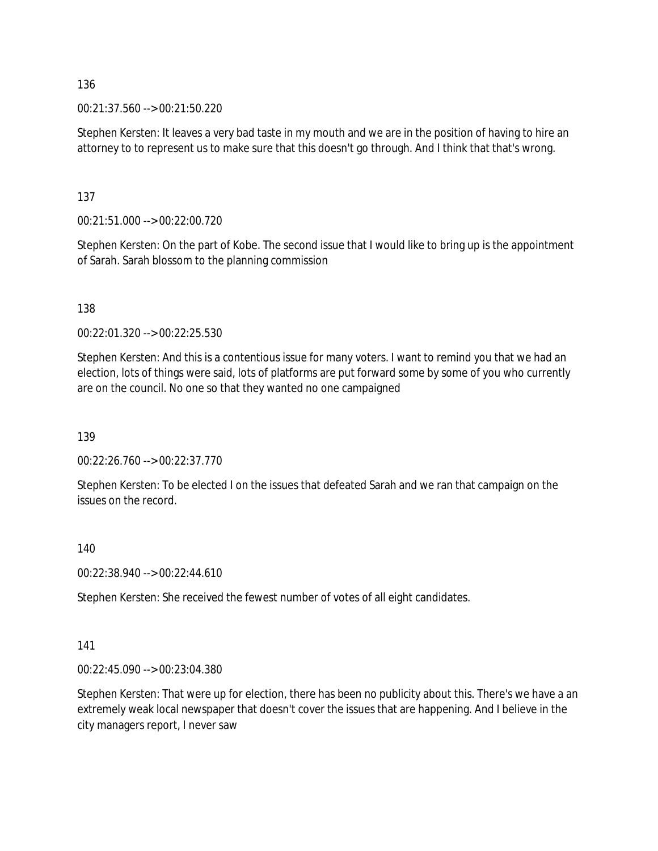00:21:37.560 --> 00:21:50.220

Stephen Kersten: It leaves a very bad taste in my mouth and we are in the position of having to hire an attorney to to represent us to make sure that this doesn't go through. And I think that that's wrong.

137

00:21:51.000 --> 00:22:00.720

Stephen Kersten: On the part of Kobe. The second issue that I would like to bring up is the appointment of Sarah. Sarah blossom to the planning commission

138

00:22:01.320 --> 00:22:25.530

Stephen Kersten: And this is a contentious issue for many voters. I want to remind you that we had an election, lots of things were said, lots of platforms are put forward some by some of you who currently are on the council. No one so that they wanted no one campaigned

139

00:22:26.760 --> 00:22:37.770

Stephen Kersten: To be elected I on the issues that defeated Sarah and we ran that campaign on the issues on the record.

140

00:22:38.940 --> 00:22:44.610

Stephen Kersten: She received the fewest number of votes of all eight candidates.

#### 141

00:22:45.090 --> 00:23:04.380

Stephen Kersten: That were up for election, there has been no publicity about this. There's we have a an extremely weak local newspaper that doesn't cover the issues that are happening. And I believe in the city managers report, I never saw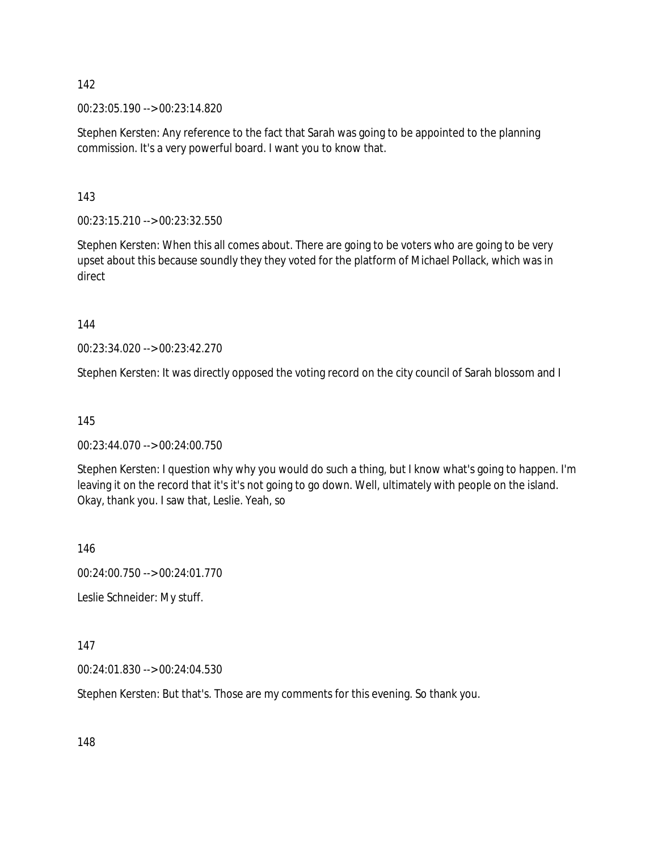00:23:05.190 --> 00:23:14.820

Stephen Kersten: Any reference to the fact that Sarah was going to be appointed to the planning commission. It's a very powerful board. I want you to know that.

143

00:23:15.210 --> 00:23:32.550

Stephen Kersten: When this all comes about. There are going to be voters who are going to be very upset about this because soundly they they voted for the platform of Michael Pollack, which was in direct

144

00:23:34.020 --> 00:23:42.270

Stephen Kersten: It was directly opposed the voting record on the city council of Sarah blossom and I

145

00:23:44.070 --> 00:24:00.750

Stephen Kersten: I question why why you would do such a thing, but I know what's going to happen. I'm leaving it on the record that it's it's not going to go down. Well, ultimately with people on the island. Okay, thank you. I saw that, Leslie. Yeah, so

146

00:24:00.750 --> 00:24:01.770

Leslie Schneider: My stuff.

147

00:24:01.830 --> 00:24:04.530

Stephen Kersten: But that's. Those are my comments for this evening. So thank you.

148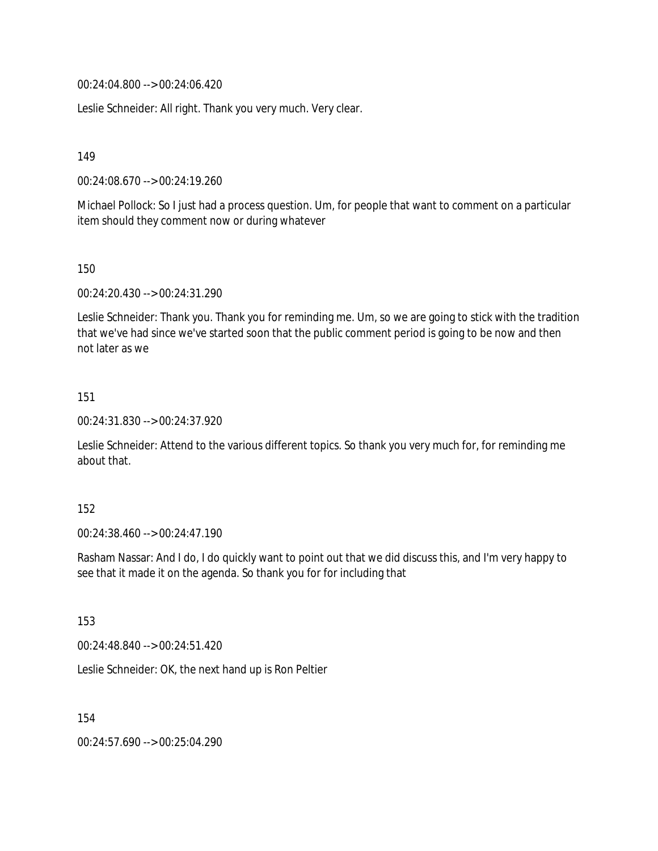00:24:04.800 --> 00:24:06.420

Leslie Schneider: All right. Thank you very much. Very clear.

149

00:24:08.670 --> 00:24:19.260

Michael Pollock: So I just had a process question. Um, for people that want to comment on a particular item should they comment now or during whatever

150

00:24:20.430 --> 00:24:31.290

Leslie Schneider: Thank you. Thank you for reminding me. Um, so we are going to stick with the tradition that we've had since we've started soon that the public comment period is going to be now and then not later as we

151

00:24:31.830 --> 00:24:37.920

Leslie Schneider: Attend to the various different topics. So thank you very much for, for reminding me about that.

152

00:24:38.460 --> 00:24:47.190

Rasham Nassar: And I do, I do quickly want to point out that we did discuss this, and I'm very happy to see that it made it on the agenda. So thank you for for including that

153

00:24:48.840 --> 00:24:51.420

Leslie Schneider: OK, the next hand up is Ron Peltier

154

00:24:57.690 --> 00:25:04.290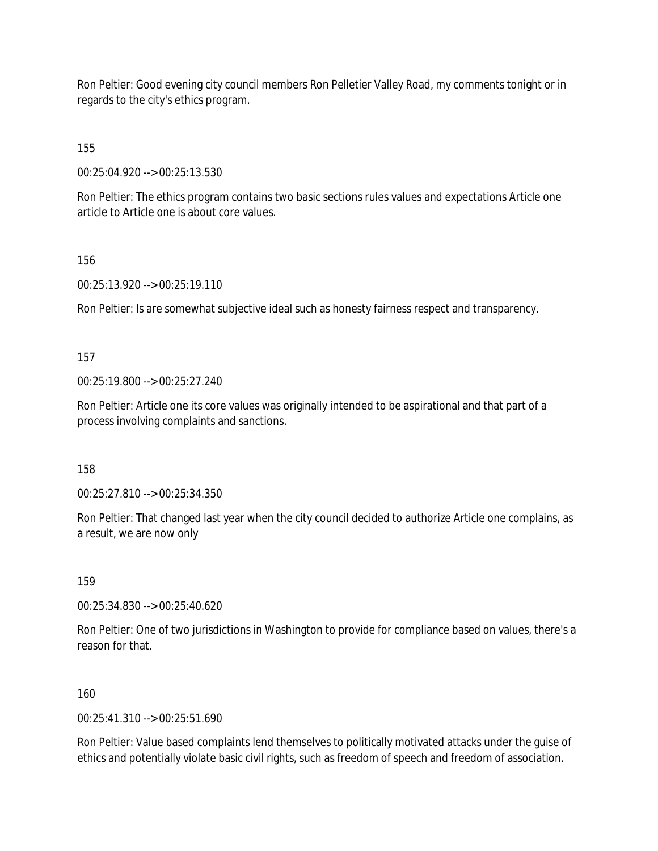Ron Peltier: Good evening city council members Ron Pelletier Valley Road, my comments tonight or in regards to the city's ethics program.

155

00:25:04.920 --> 00:25:13.530

Ron Peltier: The ethics program contains two basic sections rules values and expectations Article one article to Article one is about core values.

156

00:25:13.920 --> 00:25:19.110

Ron Peltier: Is are somewhat subjective ideal such as honesty fairness respect and transparency.

157

00:25:19.800 --> 00:25:27.240

Ron Peltier: Article one its core values was originally intended to be aspirational and that part of a process involving complaints and sanctions.

158

00:25:27.810 --> 00:25:34.350

Ron Peltier: That changed last year when the city council decided to authorize Article one complains, as a result, we are now only

159

00:25:34.830 --> 00:25:40.620

Ron Peltier: One of two jurisdictions in Washington to provide for compliance based on values, there's a reason for that.

160

 $00:25:41.310 \rightarrow 00:25:51.690$ 

Ron Peltier: Value based complaints lend themselves to politically motivated attacks under the guise of ethics and potentially violate basic civil rights, such as freedom of speech and freedom of association.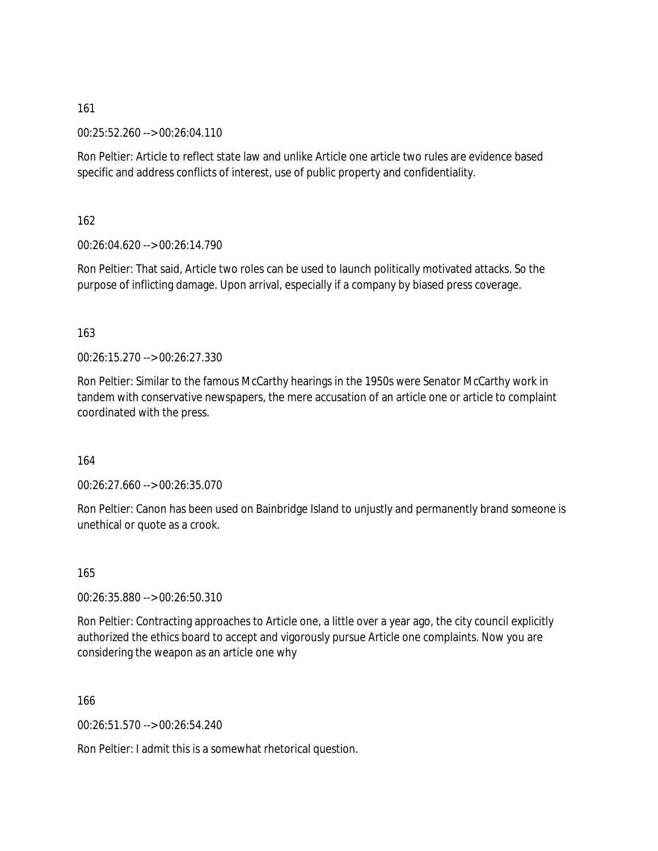00:25:52.260 --> 00:26:04.110

Ron Peltier: Article to reflect state law and unlike Article one article two rules are evidence based specific and address conflicts of interest, use of public property and confidentiality.

162

00:26:04.620 --> 00:26:14.790

Ron Peltier: That said, Article two roles can be used to launch politically motivated attacks. So the purpose of inflicting damage. Upon arrival, especially if a company by biased press coverage.

### 163

00:26:15.270 --> 00:26:27.330

Ron Peltier: Similar to the famous McCarthy hearings in the 1950s were Senator McCarthy work in tandem with conservative newspapers, the mere accusation of an article one or article to complaint coordinated with the press.

164

00:26:27.660 --> 00:26:35.070

Ron Peltier: Canon has been used on Bainbridge Island to unjustly and permanently brand someone is unethical or quote as a crook.

165

00:26:35.880 --> 00:26:50.310

Ron Peltier: Contracting approaches to Article one, a little over a year ago, the city council explicitly authorized the ethics board to accept and vigorously pursue Article one complaints. Now you are considering the weapon as an article one why

166

00:26:51.570 --> 00:26:54.240

Ron Peltier: I admit this is a somewhat rhetorical question.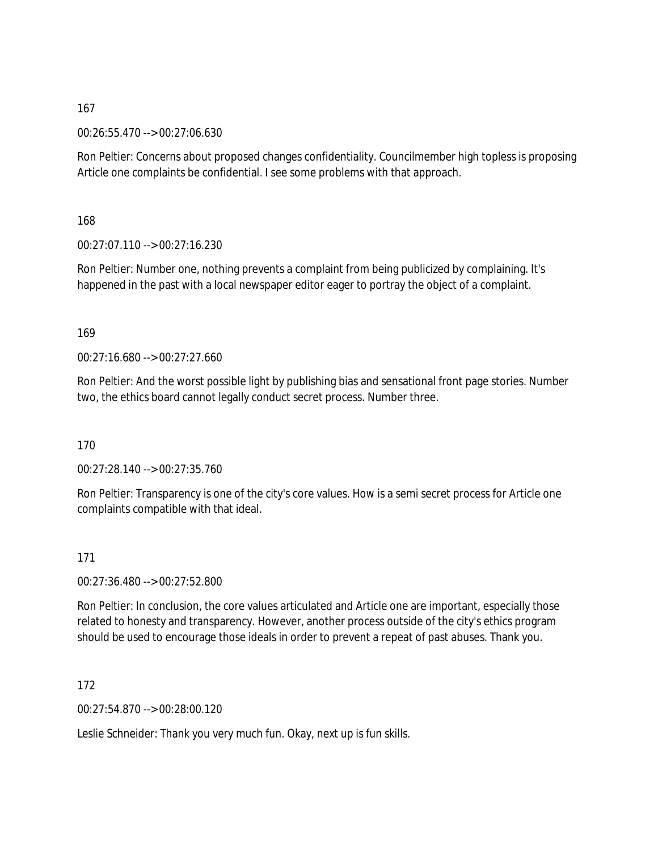00:26:55.470 --> 00:27:06.630

Ron Peltier: Concerns about proposed changes confidentiality. Councilmember high topless is proposing Article one complaints be confidential. I see some problems with that approach.

168

00:27:07.110 --> 00:27:16.230

Ron Peltier: Number one, nothing prevents a complaint from being publicized by complaining. It's happened in the past with a local newspaper editor eager to portray the object of a complaint.

#### 169

00:27:16.680 --> 00:27:27.660

Ron Peltier: And the worst possible light by publishing bias and sensational front page stories. Number two, the ethics board cannot legally conduct secret process. Number three.

170

00:27:28.140 --> 00:27:35.760

Ron Peltier: Transparency is one of the city's core values. How is a semi secret process for Article one complaints compatible with that ideal.

#### 171

00:27:36.480 --> 00:27:52.800

Ron Peltier: In conclusion, the core values articulated and Article one are important, especially those related to honesty and transparency. However, another process outside of the city's ethics program should be used to encourage those ideals in order to prevent a repeat of past abuses. Thank you.

172

00:27:54.870 --> 00:28:00.120

Leslie Schneider: Thank you very much fun. Okay, next up is fun skills.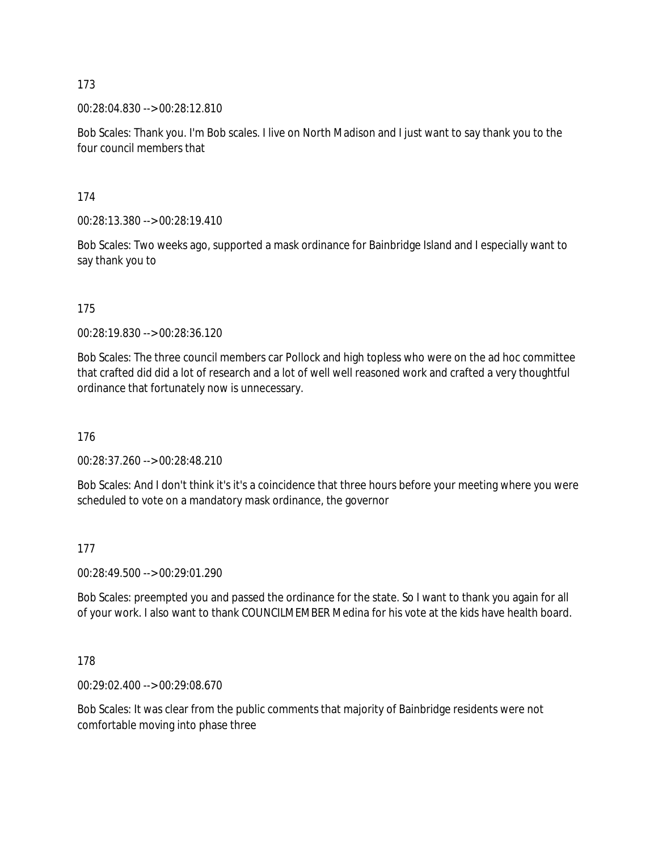00:28:04.830 --> 00:28:12.810

Bob Scales: Thank you. I'm Bob scales. I live on North Madison and I just want to say thank you to the four council members that

174

00:28:13.380 --> 00:28:19.410

Bob Scales: Two weeks ago, supported a mask ordinance for Bainbridge Island and I especially want to say thank you to

175

00:28:19.830 --> 00:28:36.120

Bob Scales: The three council members car Pollock and high topless who were on the ad hoc committee that crafted did did a lot of research and a lot of well well reasoned work and crafted a very thoughtful ordinance that fortunately now is unnecessary.

176

00:28:37.260 --> 00:28:48.210

Bob Scales: And I don't think it's it's a coincidence that three hours before your meeting where you were scheduled to vote on a mandatory mask ordinance, the governor

177

00:28:49.500 --> 00:29:01.290

Bob Scales: preempted you and passed the ordinance for the state. So I want to thank you again for all of your work. I also want to thank COUNCILMEMBER Medina for his vote at the kids have health board.

178

00:29:02.400 --> 00:29:08.670

Bob Scales: It was clear from the public comments that majority of Bainbridge residents were not comfortable moving into phase three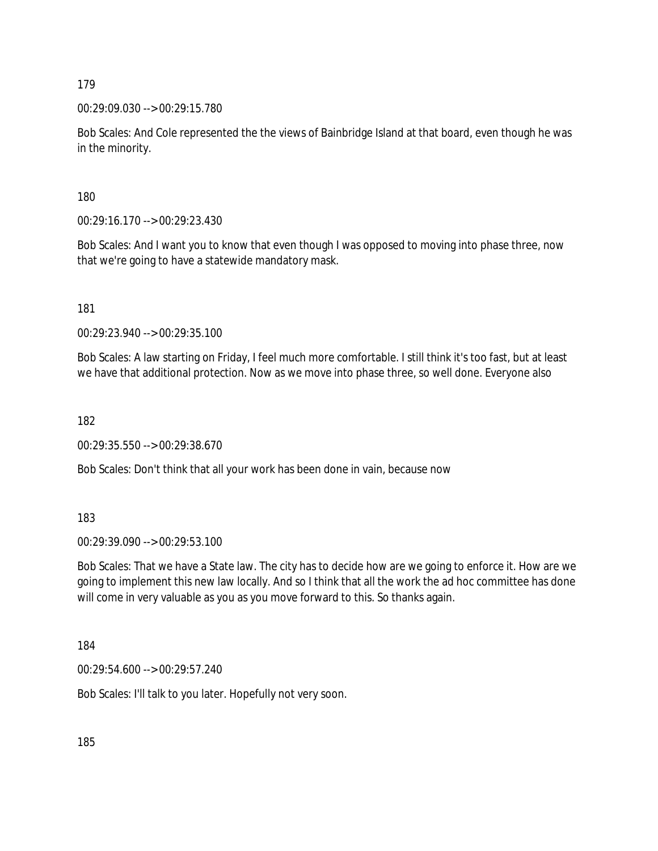00:29:09.030 --> 00:29:15.780

Bob Scales: And Cole represented the the views of Bainbridge Island at that board, even though he was in the minority.

180

00:29:16.170 --> 00:29:23.430

Bob Scales: And I want you to know that even though I was opposed to moving into phase three, now that we're going to have a statewide mandatory mask.

181

00:29:23.940 --> 00:29:35.100

Bob Scales: A law starting on Friday, I feel much more comfortable. I still think it's too fast, but at least we have that additional protection. Now as we move into phase three, so well done. Everyone also

182

00:29:35.550 --> 00:29:38.670

Bob Scales: Don't think that all your work has been done in vain, because now

183

00:29:39.090 --> 00:29:53.100

Bob Scales: That we have a State law. The city has to decide how are we going to enforce it. How are we going to implement this new law locally. And so I think that all the work the ad hoc committee has done will come in very valuable as you as you move forward to this. So thanks again.

184

00:29:54.600 --> 00:29:57.240

Bob Scales: I'll talk to you later. Hopefully not very soon.

185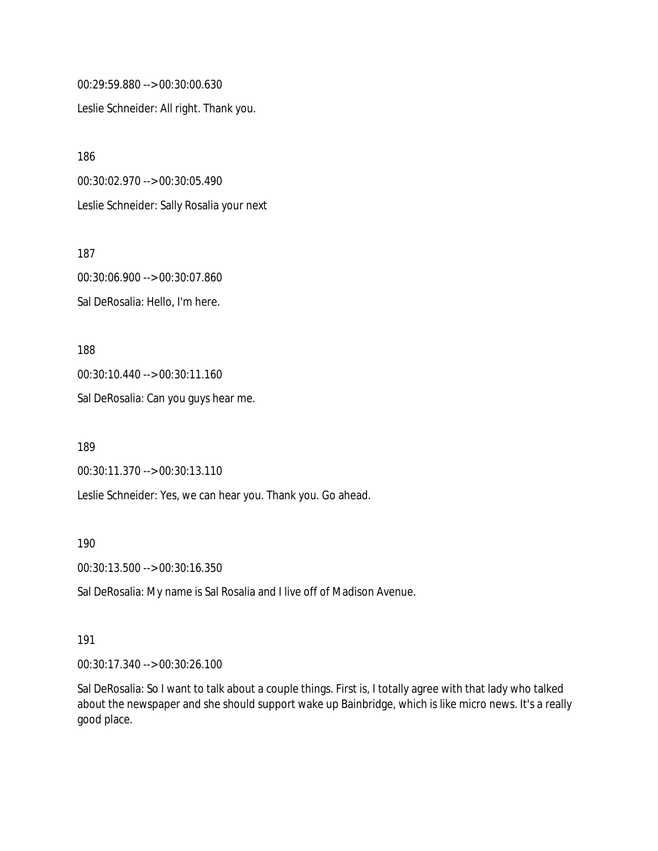00:29:59.880 --> 00:30:00.630 Leslie Schneider: All right. Thank you.

186 00:30:02.970 --> 00:30:05.490 Leslie Schneider: Sally Rosalia your next

187 00:30:06.900 --> 00:30:07.860 Sal DeRosalia: Hello, I'm here.

188 00:30:10.440 --> 00:30:11.160 Sal DeRosalia: Can you guys hear me.

189

00:30:11.370 --> 00:30:13.110

Leslie Schneider: Yes, we can hear you. Thank you. Go ahead.

190

00:30:13.500 --> 00:30:16.350

Sal DeRosalia: My name is Sal Rosalia and I live off of Madison Avenue.

191

00:30:17.340 --> 00:30:26.100

Sal DeRosalia: So I want to talk about a couple things. First is, I totally agree with that lady who talked about the newspaper and she should support wake up Bainbridge, which is like micro news. It's a really good place.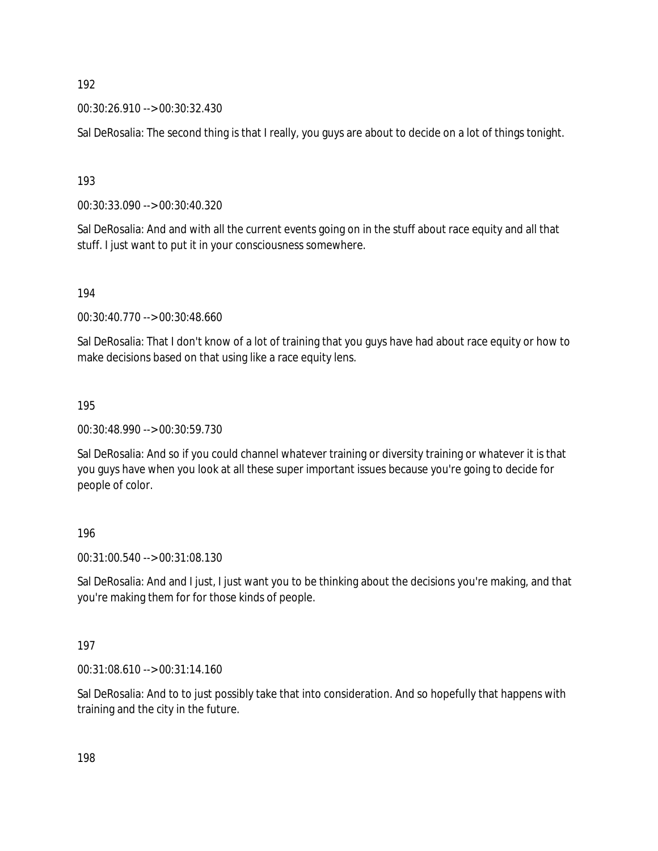00:30:26.910 --> 00:30:32.430

Sal DeRosalia: The second thing is that I really, you guys are about to decide on a lot of things tonight.

193

00:30:33.090 --> 00:30:40.320

Sal DeRosalia: And and with all the current events going on in the stuff about race equity and all that stuff. I just want to put it in your consciousness somewhere.

194

00:30:40.770 --> 00:30:48.660

Sal DeRosalia: That I don't know of a lot of training that you guys have had about race equity or how to make decisions based on that using like a race equity lens.

195

00:30:48.990 --> 00:30:59.730

Sal DeRosalia: And so if you could channel whatever training or diversity training or whatever it is that you guys have when you look at all these super important issues because you're going to decide for people of color.

196

00:31:00.540 --> 00:31:08.130

Sal DeRosalia: And and I just, I just want you to be thinking about the decisions you're making, and that you're making them for for those kinds of people.

197

00:31:08.610 --> 00:31:14.160

Sal DeRosalia: And to to just possibly take that into consideration. And so hopefully that happens with training and the city in the future.

198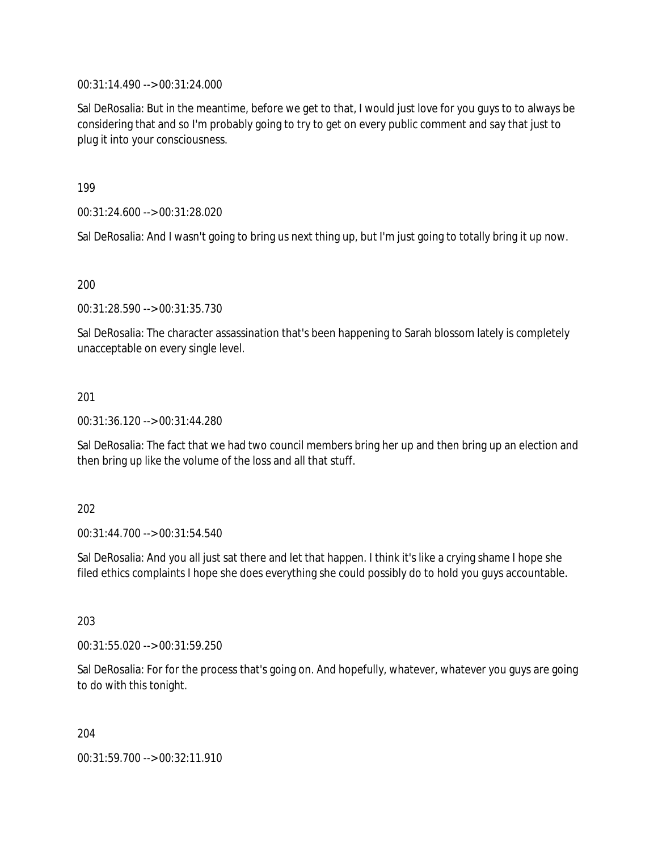00:31:14.490 --> 00:31:24.000

Sal DeRosalia: But in the meantime, before we get to that, I would just love for you guys to to always be considering that and so I'm probably going to try to get on every public comment and say that just to plug it into your consciousness.

199

00:31:24.600 --> 00:31:28.020

Sal DeRosalia: And I wasn't going to bring us next thing up, but I'm just going to totally bring it up now.

200

00:31:28.590 --> 00:31:35.730

Sal DeRosalia: The character assassination that's been happening to Sarah blossom lately is completely unacceptable on every single level.

201

00:31:36.120 --> 00:31:44.280

Sal DeRosalia: The fact that we had two council members bring her up and then bring up an election and then bring up like the volume of the loss and all that stuff.

202

00:31:44.700 --> 00:31:54.540

Sal DeRosalia: And you all just sat there and let that happen. I think it's like a crying shame I hope she filed ethics complaints I hope she does everything she could possibly do to hold you guys accountable.

203

00:31:55.020 --> 00:31:59.250

Sal DeRosalia: For for the process that's going on. And hopefully, whatever, whatever you guys are going to do with this tonight.

204

00:31:59.700 --> 00:32:11.910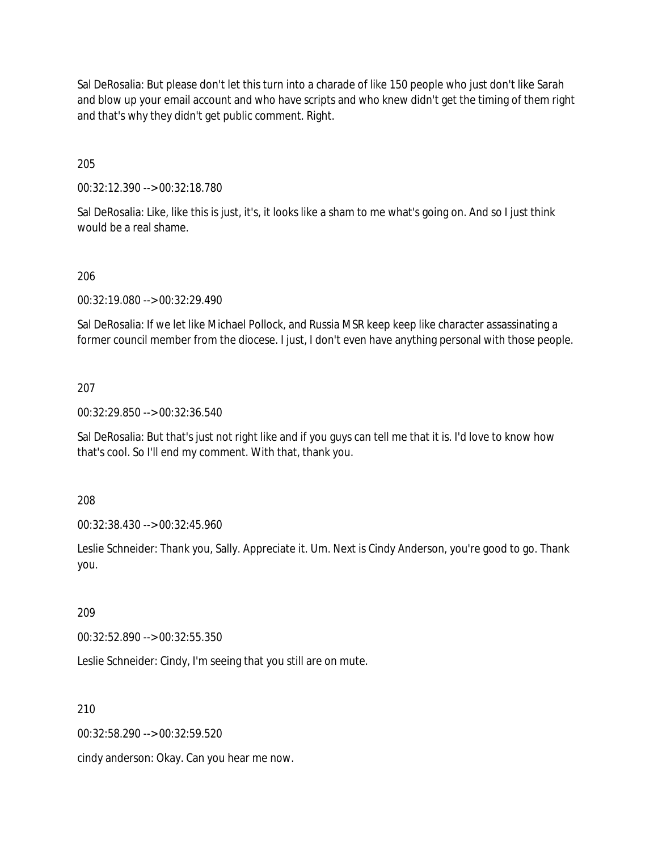Sal DeRosalia: But please don't let this turn into a charade of like 150 people who just don't like Sarah and blow up your email account and who have scripts and who knew didn't get the timing of them right and that's why they didn't get public comment. Right.

205

00:32:12.390 --> 00:32:18.780

Sal DeRosalia: Like, like this is just, it's, it looks like a sham to me what's going on. And so I just think would be a real shame.

#### 206

00:32:19.080 --> 00:32:29.490

Sal DeRosalia: If we let like Michael Pollock, and Russia MSR keep keep like character assassinating a former council member from the diocese. I just, I don't even have anything personal with those people.

#### 207

00:32:29.850 --> 00:32:36.540

Sal DeRosalia: But that's just not right like and if you guys can tell me that it is. I'd love to know how that's cool. So I'll end my comment. With that, thank you.

208

00:32:38.430 --> 00:32:45.960

Leslie Schneider: Thank you, Sally. Appreciate it. Um. Next is Cindy Anderson, you're good to go. Thank you.

209

00:32:52.890 --> 00:32:55.350

Leslie Schneider: Cindy, I'm seeing that you still are on mute.

210

00:32:58.290 --> 00:32:59.520

cindy anderson: Okay. Can you hear me now.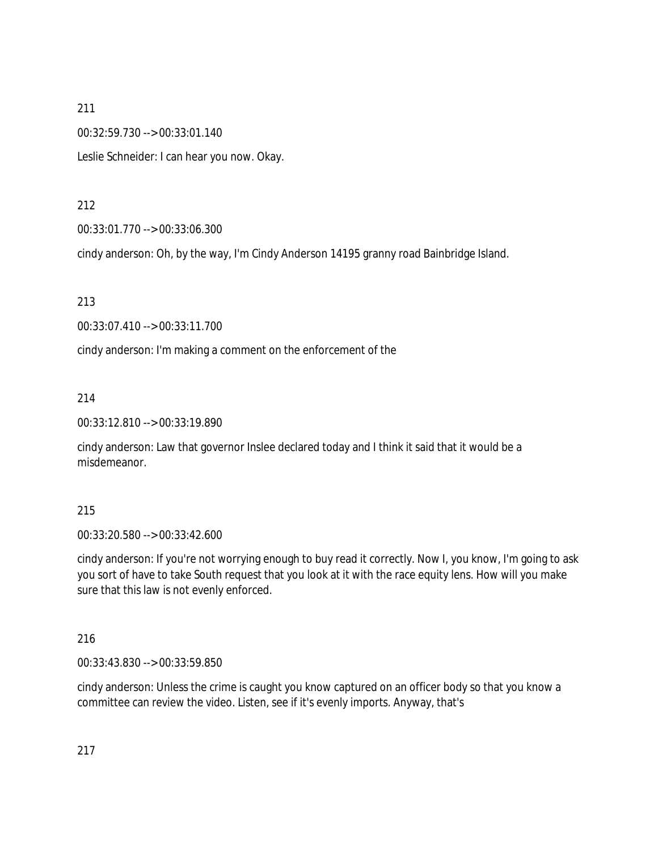00:32:59.730 --> 00:33:01.140

Leslie Schneider: I can hear you now. Okay.

### 212

00:33:01.770 --> 00:33:06.300

cindy anderson: Oh, by the way, I'm Cindy Anderson 14195 granny road Bainbridge Island.

### 213

00:33:07.410 --> 00:33:11.700

cindy anderson: I'm making a comment on the enforcement of the

### 214

00:33:12.810 --> 00:33:19.890

cindy anderson: Law that governor Inslee declared today and I think it said that it would be a misdemeanor.

#### 215

00:33:20.580 --> 00:33:42.600

cindy anderson: If you're not worrying enough to buy read it correctly. Now I, you know, I'm going to ask you sort of have to take South request that you look at it with the race equity lens. How will you make sure that this law is not evenly enforced.

# 216

00:33:43.830 --> 00:33:59.850

cindy anderson: Unless the crime is caught you know captured on an officer body so that you know a committee can review the video. Listen, see if it's evenly imports. Anyway, that's

217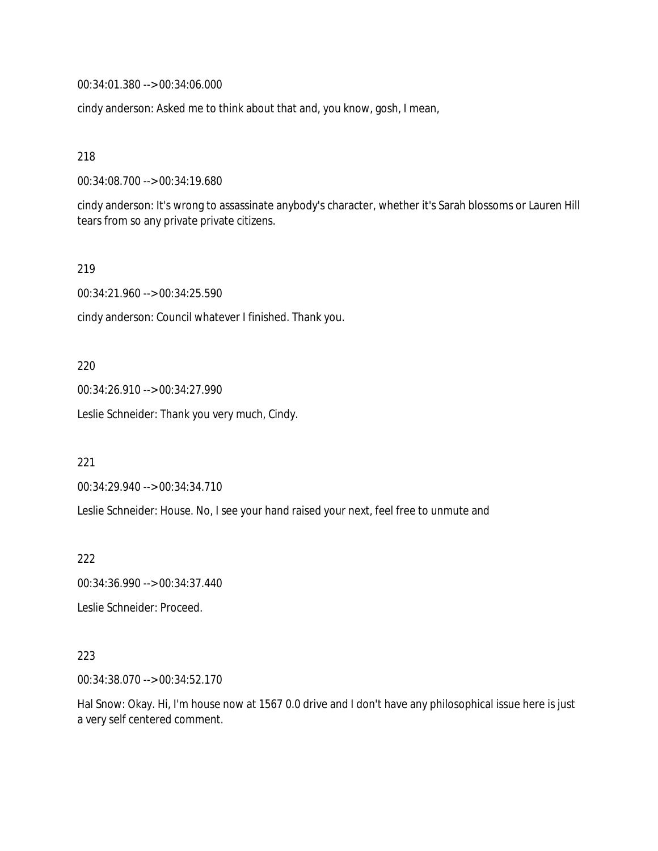00:34:01.380 --> 00:34:06.000

cindy anderson: Asked me to think about that and, you know, gosh, I mean,

218

00:34:08.700 --> 00:34:19.680

cindy anderson: It's wrong to assassinate anybody's character, whether it's Sarah blossoms or Lauren Hill tears from so any private private citizens.

219

00:34:21.960 --> 00:34:25.590

cindy anderson: Council whatever I finished. Thank you.

220

00:34:26.910 --> 00:34:27.990

Leslie Schneider: Thank you very much, Cindy.

221

00:34:29.940 --> 00:34:34.710

Leslie Schneider: House. No, I see your hand raised your next, feel free to unmute and

222

00:34:36.990 --> 00:34:37.440

Leslie Schneider: Proceed.

223

00:34:38.070 --> 00:34:52.170

Hal Snow: Okay. Hi, I'm house now at 1567 0.0 drive and I don't have any philosophical issue here is just a very self centered comment.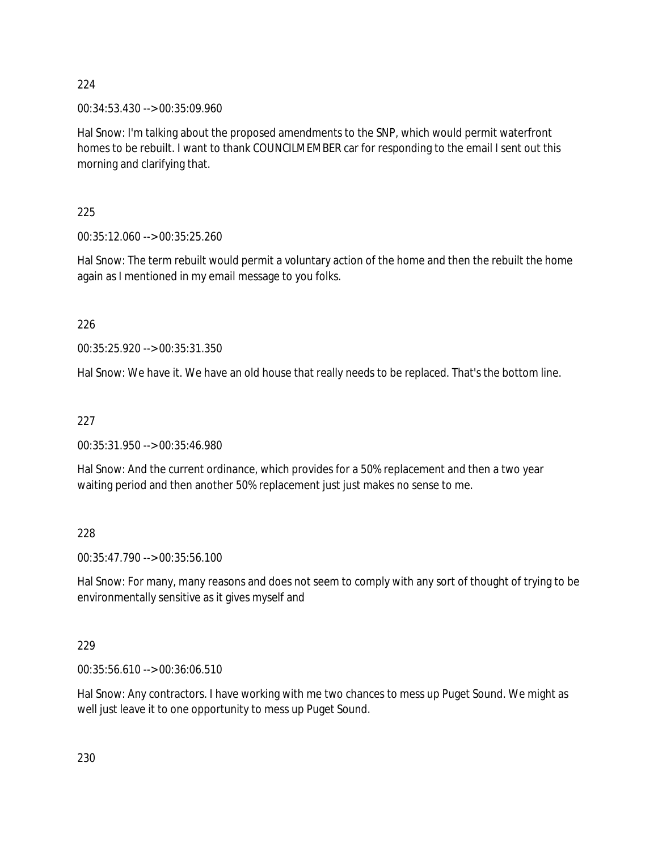00:34:53.430 --> 00:35:09.960

Hal Snow: I'm talking about the proposed amendments to the SNP, which would permit waterfront homes to be rebuilt. I want to thank COUNCILMEMBER car for responding to the email I sent out this morning and clarifying that.

225

00:35:12.060 --> 00:35:25.260

Hal Snow: The term rebuilt would permit a voluntary action of the home and then the rebuilt the home again as I mentioned in my email message to you folks.

226

00:35:25.920 --> 00:35:31.350

Hal Snow: We have it. We have an old house that really needs to be replaced. That's the bottom line.

227

00:35:31.950 --> 00:35:46.980

Hal Snow: And the current ordinance, which provides for a 50% replacement and then a two year waiting period and then another 50% replacement just just makes no sense to me.

228

00:35:47.790 --> 00:35:56.100

Hal Snow: For many, many reasons and does not seem to comply with any sort of thought of trying to be environmentally sensitive as it gives myself and

229

00:35:56.610 --> 00:36:06.510

Hal Snow: Any contractors. I have working with me two chances to mess up Puget Sound. We might as well just leave it to one opportunity to mess up Puget Sound.

230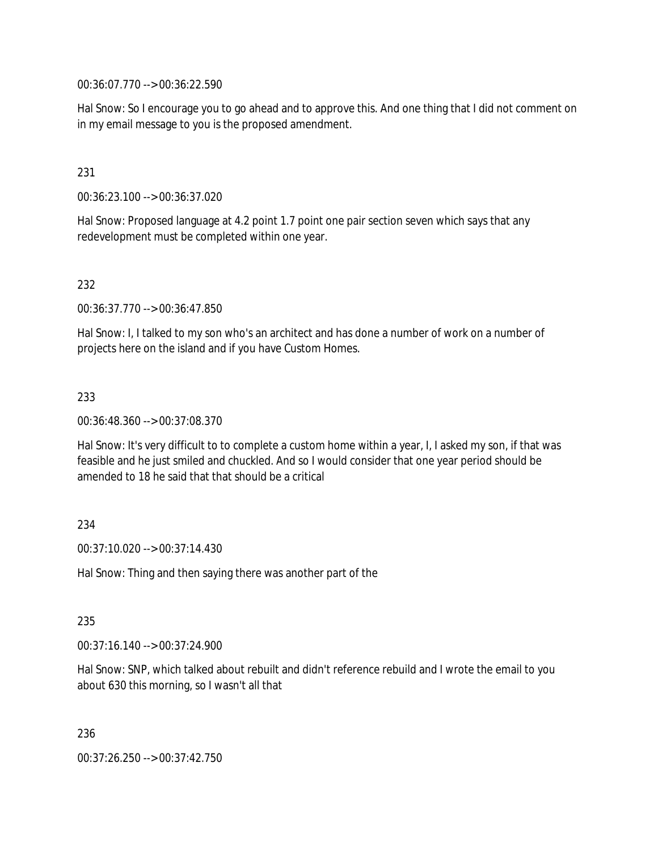00:36:07.770 --> 00:36:22.590

Hal Snow: So I encourage you to go ahead and to approve this. And one thing that I did not comment on in my email message to you is the proposed amendment.

#### 231

00:36:23.100 --> 00:36:37.020

Hal Snow: Proposed language at 4.2 point 1.7 point one pair section seven which says that any redevelopment must be completed within one year.

#### 232

00:36:37.770 --> 00:36:47.850

Hal Snow: I, I talked to my son who's an architect and has done a number of work on a number of projects here on the island and if you have Custom Homes.

#### 233

00:36:48.360 --> 00:37:08.370

Hal Snow: It's very difficult to to complete a custom home within a year, I, I asked my son, if that was feasible and he just smiled and chuckled. And so I would consider that one year period should be amended to 18 he said that that should be a critical

#### 234

00:37:10.020 --> 00:37:14.430

Hal Snow: Thing and then saying there was another part of the

#### 235

00:37:16.140 --> 00:37:24.900

Hal Snow: SNP, which talked about rebuilt and didn't reference rebuild and I wrote the email to you about 630 this morning, so I wasn't all that

236

00:37:26.250 --> 00:37:42.750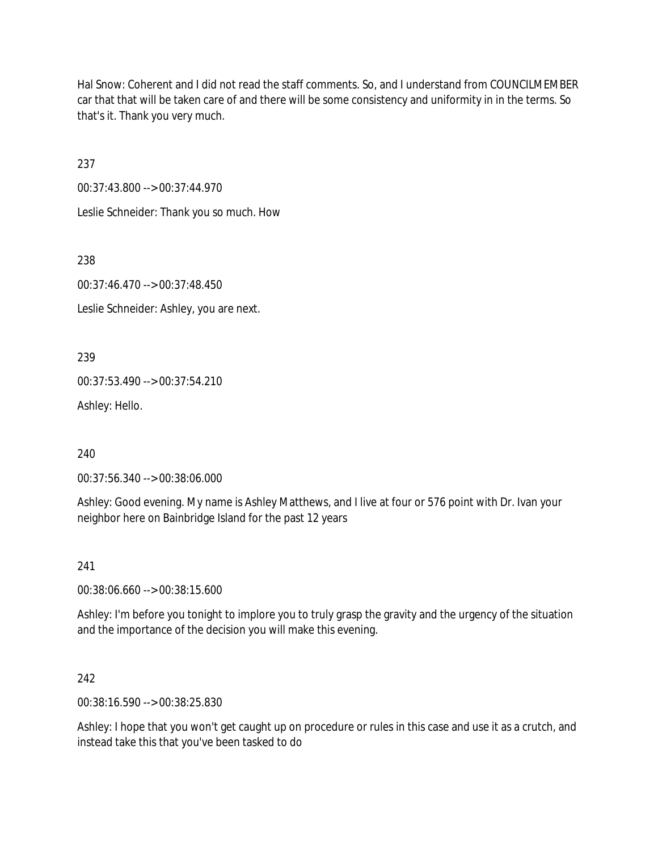Hal Snow: Coherent and I did not read the staff comments. So, and I understand from COUNCILMEMBER car that that will be taken care of and there will be some consistency and uniformity in in the terms. So that's it. Thank you very much.

237

00:37:43.800 --> 00:37:44.970 Leslie Schneider: Thank you so much. How

238

00:37:46.470 --> 00:37:48.450

Leslie Schneider: Ashley, you are next.

239

00:37:53.490 --> 00:37:54.210

Ashley: Hello.

240

00:37:56.340 --> 00:38:06.000

Ashley: Good evening. My name is Ashley Matthews, and I live at four or 576 point with Dr. Ivan your neighbor here on Bainbridge Island for the past 12 years

241

00:38:06.660 --> 00:38:15.600

Ashley: I'm before you tonight to implore you to truly grasp the gravity and the urgency of the situation and the importance of the decision you will make this evening.

242

00:38:16.590 --> 00:38:25.830

Ashley: I hope that you won't get caught up on procedure or rules in this case and use it as a crutch, and instead take this that you've been tasked to do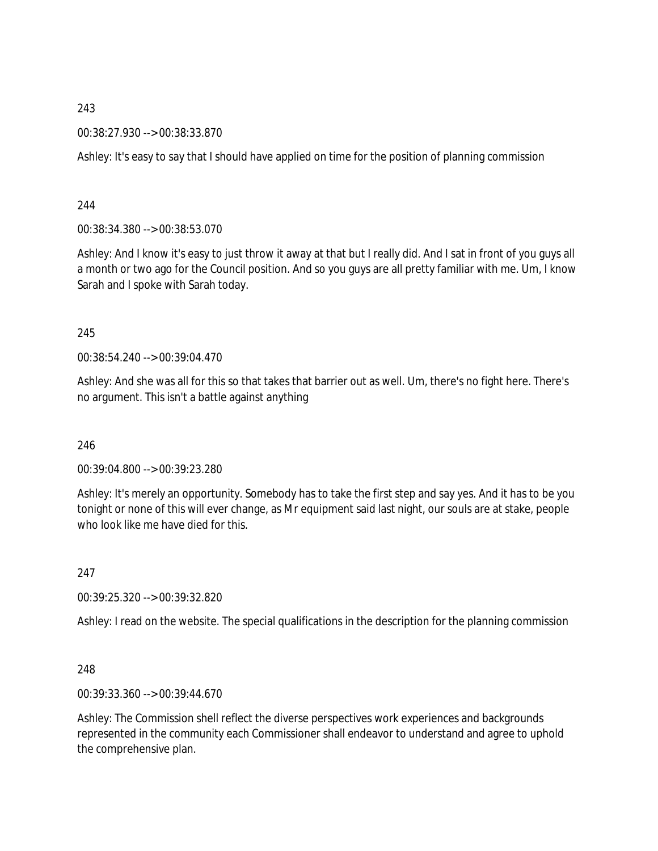00:38:27.930 --> 00:38:33.870

Ashley: It's easy to say that I should have applied on time for the position of planning commission

244

00:38:34.380 --> 00:38:53.070

Ashley: And I know it's easy to just throw it away at that but I really did. And I sat in front of you guys all a month or two ago for the Council position. And so you guys are all pretty familiar with me. Um, I know Sarah and I spoke with Sarah today.

245

00:38:54.240 --> 00:39:04.470

Ashley: And she was all for this so that takes that barrier out as well. Um, there's no fight here. There's no argument. This isn't a battle against anything

246

00:39:04.800 --> 00:39:23.280

Ashley: It's merely an opportunity. Somebody has to take the first step and say yes. And it has to be you tonight or none of this will ever change, as Mr equipment said last night, our souls are at stake, people who look like me have died for this.

247

00:39:25.320 --> 00:39:32.820

Ashley: I read on the website. The special qualifications in the description for the planning commission

248

00:39:33.360 --> 00:39:44.670

Ashley: The Commission shell reflect the diverse perspectives work experiences and backgrounds represented in the community each Commissioner shall endeavor to understand and agree to uphold the comprehensive plan.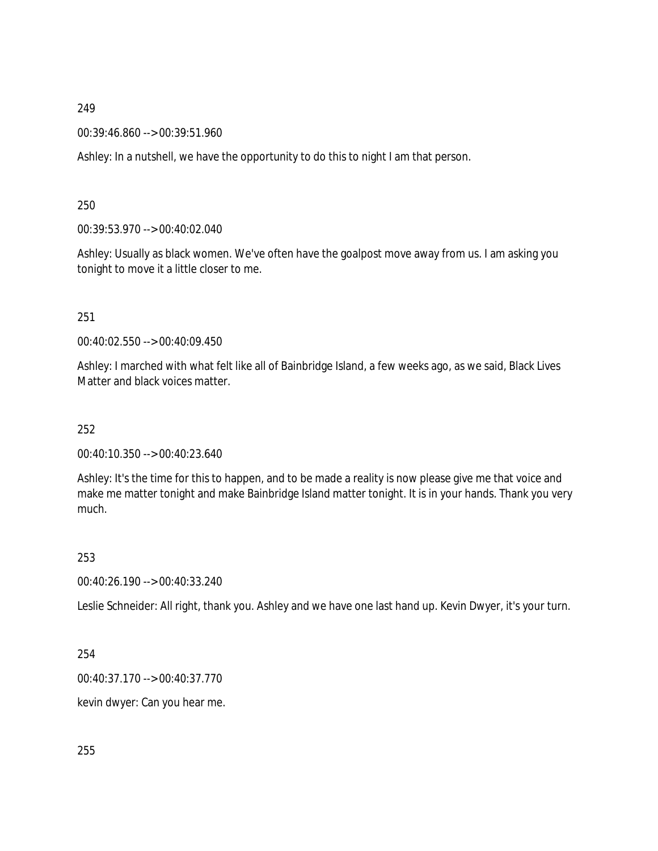00:39:46.860 --> 00:39:51.960

Ashley: In a nutshell, we have the opportunity to do this to night I am that person.

250

00:39:53.970 --> 00:40:02.040

Ashley: Usually as black women. We've often have the goalpost move away from us. I am asking you tonight to move it a little closer to me.

251

00:40:02.550 --> 00:40:09.450

Ashley: I marched with what felt like all of Bainbridge Island, a few weeks ago, as we said, Black Lives Matter and black voices matter.

252

00:40:10.350 --> 00:40:23.640

Ashley: It's the time for this to happen, and to be made a reality is now please give me that voice and make me matter tonight and make Bainbridge Island matter tonight. It is in your hands. Thank you very much.

253

00:40:26.190 --> 00:40:33.240

Leslie Schneider: All right, thank you. Ashley and we have one last hand up. Kevin Dwyer, it's your turn.

254

00:40:37.170 --> 00:40:37.770

kevin dwyer: Can you hear me.

255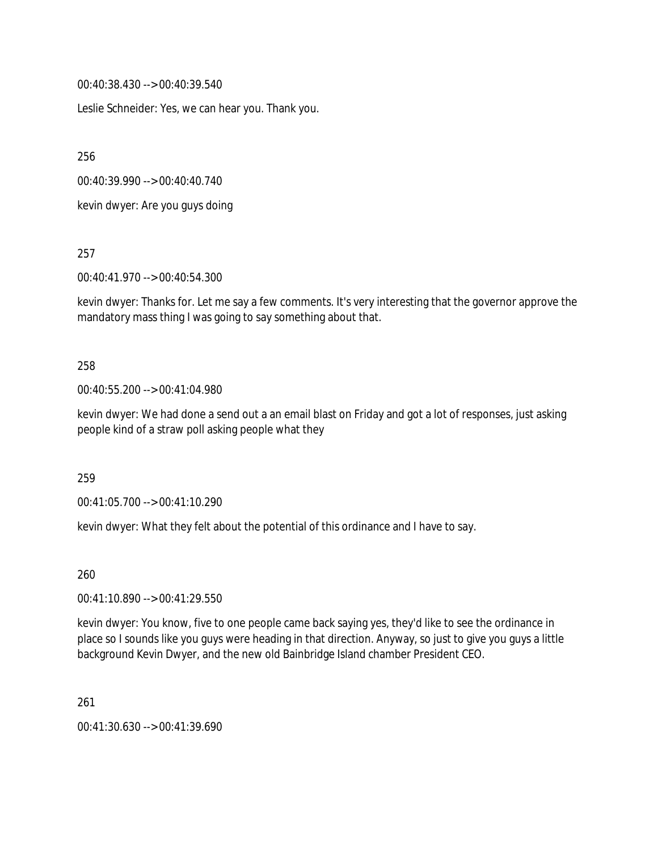00:40:38.430 --> 00:40:39.540

Leslie Schneider: Yes, we can hear you. Thank you.

256

00:40:39.990 --> 00:40:40.740

kevin dwyer: Are you guys doing

257

00:40:41.970 --> 00:40:54.300

kevin dwyer: Thanks for. Let me say a few comments. It's very interesting that the governor approve the mandatory mass thing I was going to say something about that.

#### 258

00:40:55.200 --> 00:41:04.980

kevin dwyer: We had done a send out a an email blast on Friday and got a lot of responses, just asking people kind of a straw poll asking people what they

259

00:41:05.700 --> 00:41:10.290

kevin dwyer: What they felt about the potential of this ordinance and I have to say.

260

00:41:10.890 --> 00:41:29.550

kevin dwyer: You know, five to one people came back saying yes, they'd like to see the ordinance in place so I sounds like you guys were heading in that direction. Anyway, so just to give you guys a little background Kevin Dwyer, and the new old Bainbridge Island chamber President CEO.

261

00:41:30.630 --> 00:41:39.690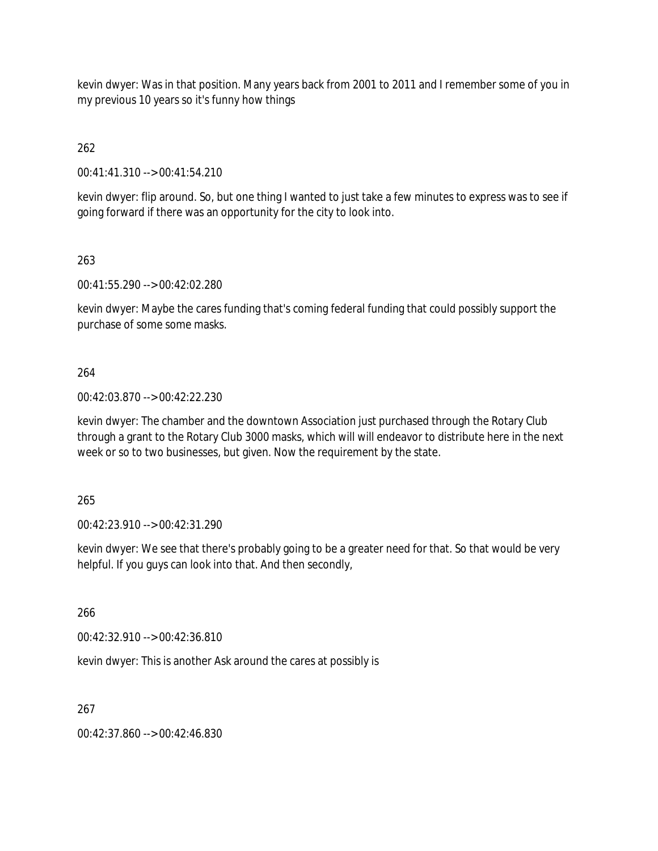kevin dwyer: Was in that position. Many years back from 2001 to 2011 and I remember some of you in my previous 10 years so it's funny how things

262

00:41:41.310 --> 00:41:54.210

kevin dwyer: flip around. So, but one thing I wanted to just take a few minutes to express was to see if going forward if there was an opportunity for the city to look into.

263

00:41:55.290 --> 00:42:02.280

kevin dwyer: Maybe the cares funding that's coming federal funding that could possibly support the purchase of some some masks.

264

00:42:03.870 --> 00:42:22.230

kevin dwyer: The chamber and the downtown Association just purchased through the Rotary Club through a grant to the Rotary Club 3000 masks, which will will endeavor to distribute here in the next week or so to two businesses, but given. Now the requirement by the state.

265

00:42:23.910 --> 00:42:31.290

kevin dwyer: We see that there's probably going to be a greater need for that. So that would be very helpful. If you guys can look into that. And then secondly,

266

00:42:32.910 --> 00:42:36.810

kevin dwyer: This is another Ask around the cares at possibly is

267

00:42:37.860 --> 00:42:46.830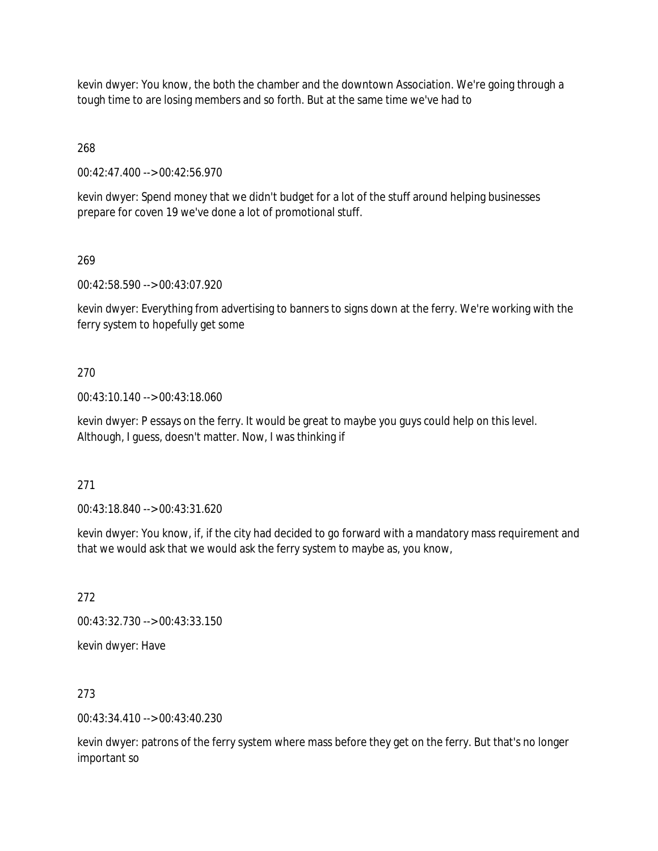kevin dwyer: You know, the both the chamber and the downtown Association. We're going through a tough time to are losing members and so forth. But at the same time we've had to

268

00:42:47.400 --> 00:42:56.970

kevin dwyer: Spend money that we didn't budget for a lot of the stuff around helping businesses prepare for coven 19 we've done a lot of promotional stuff.

269

00:42:58.590 --> 00:43:07.920

kevin dwyer: Everything from advertising to banners to signs down at the ferry. We're working with the ferry system to hopefully get some

270

00:43:10.140 --> 00:43:18.060

kevin dwyer: P essays on the ferry. It would be great to maybe you guys could help on this level. Although, I guess, doesn't matter. Now, I was thinking if

271

00:43:18.840 --> 00:43:31.620

kevin dwyer: You know, if, if the city had decided to go forward with a mandatory mass requirement and that we would ask that we would ask the ferry system to maybe as, you know,

272

00:43:32.730 --> 00:43:33.150

kevin dwyer: Have

273

00:43:34.410 --> 00:43:40.230

kevin dwyer: patrons of the ferry system where mass before they get on the ferry. But that's no longer important so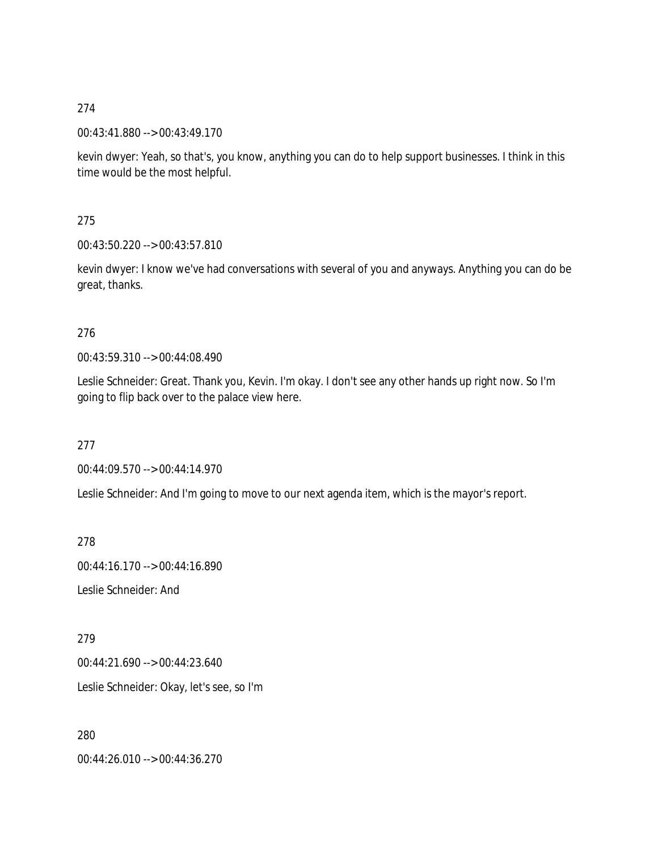00:43:41.880 --> 00:43:49.170

kevin dwyer: Yeah, so that's, you know, anything you can do to help support businesses. I think in this time would be the most helpful.

275

00:43:50.220 --> 00:43:57.810

kevin dwyer: I know we've had conversations with several of you and anyways. Anything you can do be great, thanks.

### 276

00:43:59.310 --> 00:44:08.490

Leslie Schneider: Great. Thank you, Kevin. I'm okay. I don't see any other hands up right now. So I'm going to flip back over to the palace view here.

277

00:44:09.570 --> 00:44:14.970

Leslie Schneider: And I'm going to move to our next agenda item, which is the mayor's report.

278

00:44:16.170 --> 00:44:16.890

Leslie Schneider: And

279

00:44:21.690 --> 00:44:23.640

Leslie Schneider: Okay, let's see, so I'm

280

00:44:26.010 --> 00:44:36.270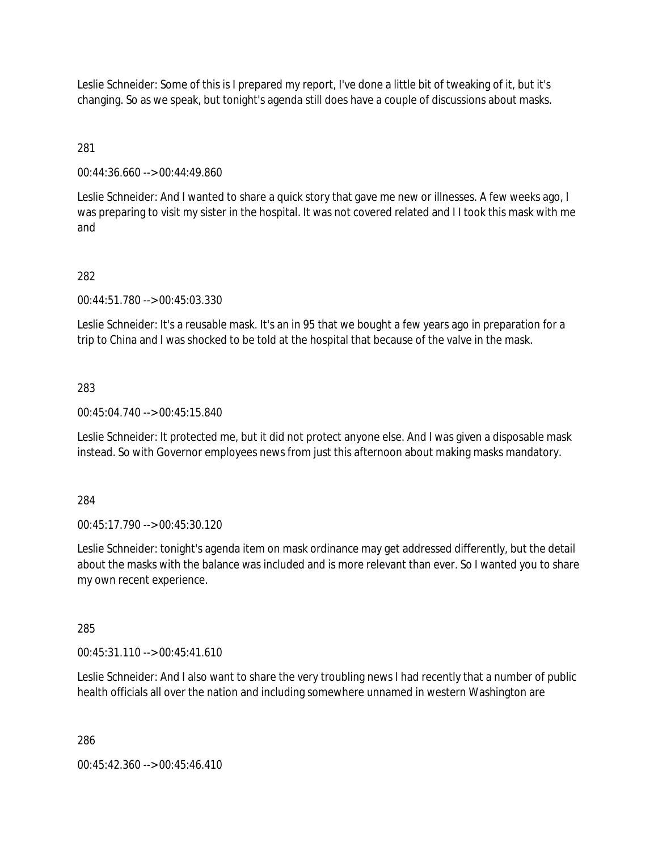Leslie Schneider: Some of this is I prepared my report, I've done a little bit of tweaking of it, but it's changing. So as we speak, but tonight's agenda still does have a couple of discussions about masks.

281

00:44:36.660 --> 00:44:49.860

Leslie Schneider: And I wanted to share a quick story that gave me new or illnesses. A few weeks ago, I was preparing to visit my sister in the hospital. It was not covered related and I I took this mask with me and

## 282

00:44:51.780 --> 00:45:03.330

Leslie Schneider: It's a reusable mask. It's an in 95 that we bought a few years ago in preparation for a trip to China and I was shocked to be told at the hospital that because of the valve in the mask.

### 283

00:45:04.740 --> 00:45:15.840

Leslie Schneider: It protected me, but it did not protect anyone else. And I was given a disposable mask instead. So with Governor employees news from just this afternoon about making masks mandatory.

### 284

00:45:17.790 --> 00:45:30.120

Leslie Schneider: tonight's agenda item on mask ordinance may get addressed differently, but the detail about the masks with the balance was included and is more relevant than ever. So I wanted you to share my own recent experience.

### 285

00:45:31.110 --> 00:45:41.610

Leslie Schneider: And I also want to share the very troubling news I had recently that a number of public health officials all over the nation and including somewhere unnamed in western Washington are

286

 $00:45:42.360 \rightarrow 00:45:46.410$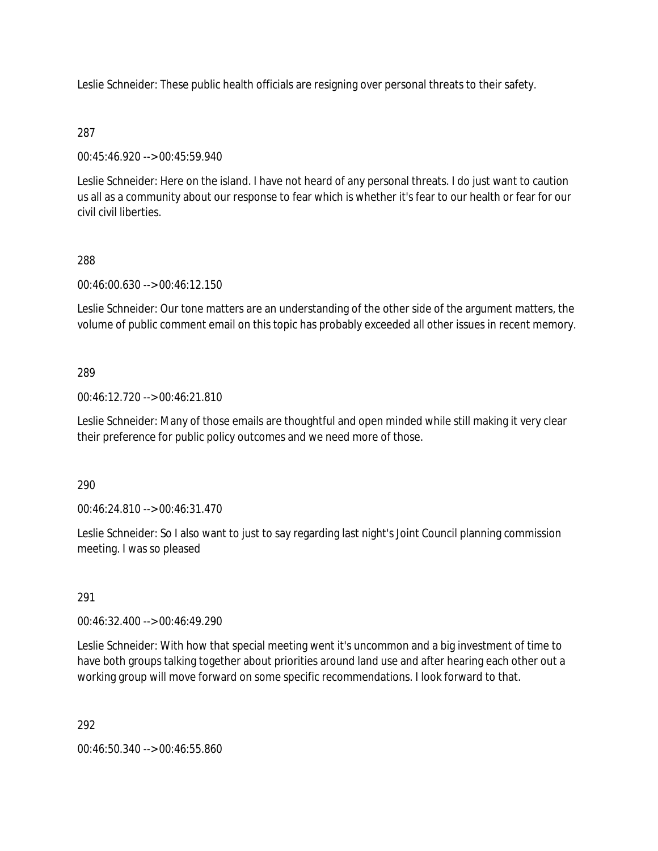Leslie Schneider: These public health officials are resigning over personal threats to their safety.

## 287

00:45:46.920 --> 00:45:59.940

Leslie Schneider: Here on the island. I have not heard of any personal threats. I do just want to caution us all as a community about our response to fear which is whether it's fear to our health or fear for our civil civil liberties.

# 288

00:46:00.630 --> 00:46:12.150

Leslie Schneider: Our tone matters are an understanding of the other side of the argument matters, the volume of public comment email on this topic has probably exceeded all other issues in recent memory.

# 289

00:46:12.720 --> 00:46:21.810

Leslie Schneider: Many of those emails are thoughtful and open minded while still making it very clear their preference for public policy outcomes and we need more of those.

290

00:46:24.810 --> 00:46:31.470

Leslie Schneider: So I also want to just to say regarding last night's Joint Council planning commission meeting. I was so pleased

## 291

00:46:32.400 --> 00:46:49.290

Leslie Schneider: With how that special meeting went it's uncommon and a big investment of time to have both groups talking together about priorities around land use and after hearing each other out a working group will move forward on some specific recommendations. I look forward to that.

292

00:46:50.340 --> 00:46:55.860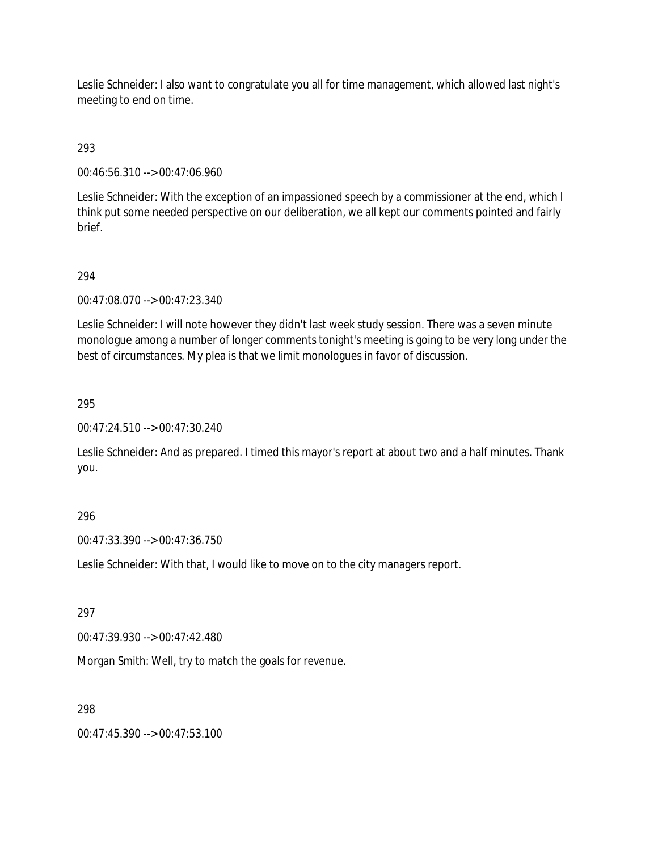Leslie Schneider: I also want to congratulate you all for time management, which allowed last night's meeting to end on time.

## 293

00:46:56.310 --> 00:47:06.960

Leslie Schneider: With the exception of an impassioned speech by a commissioner at the end, which I think put some needed perspective on our deliberation, we all kept our comments pointed and fairly brief.

## 294

00:47:08.070 --> 00:47:23.340

Leslie Schneider: I will note however they didn't last week study session. There was a seven minute monologue among a number of longer comments tonight's meeting is going to be very long under the best of circumstances. My plea is that we limit monologues in favor of discussion.

### 295

00:47:24.510 --> 00:47:30.240

Leslie Schneider: And as prepared. I timed this mayor's report at about two and a half minutes. Thank you.

## 296

00:47:33.390 --> 00:47:36.750

Leslie Schneider: With that, I would like to move on to the city managers report.

## 297

00:47:39.930 --> 00:47:42.480

Morgan Smith: Well, try to match the goals for revenue.

### 298

00:47:45.390 --> 00:47:53.100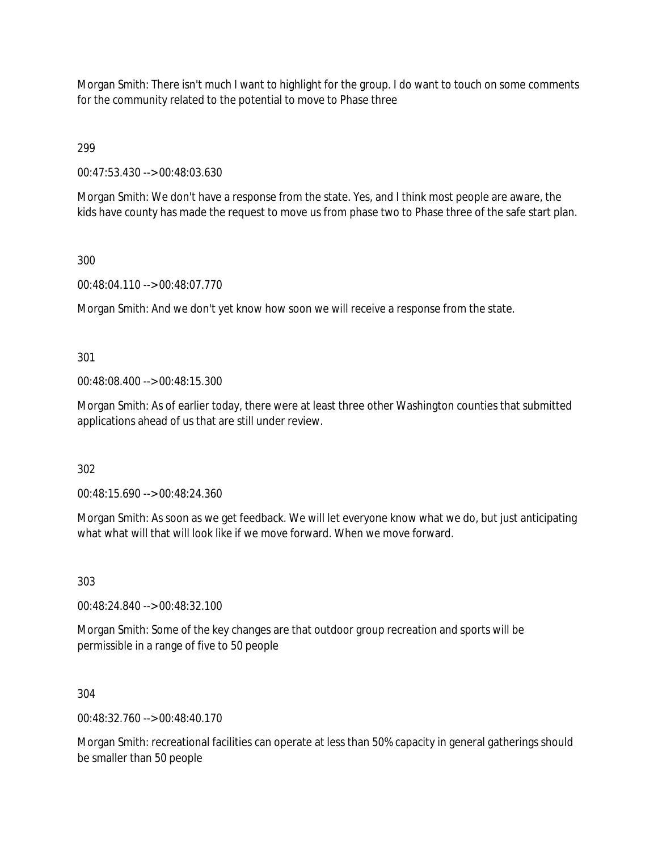Morgan Smith: There isn't much I want to highlight for the group. I do want to touch on some comments for the community related to the potential to move to Phase three

299

00:47:53.430 --> 00:48:03.630

Morgan Smith: We don't have a response from the state. Yes, and I think most people are aware, the kids have county has made the request to move us from phase two to Phase three of the safe start plan.

### 300

00:48:04.110 --> 00:48:07.770

Morgan Smith: And we don't yet know how soon we will receive a response from the state.

301

00:48:08.400 --> 00:48:15.300

Morgan Smith: As of earlier today, there were at least three other Washington counties that submitted applications ahead of us that are still under review.

302

00:48:15.690 --> 00:48:24.360

Morgan Smith: As soon as we get feedback. We will let everyone know what we do, but just anticipating what what will that will look like if we move forward. When we move forward.

303

00:48:24.840 --> 00:48:32.100

Morgan Smith: Some of the key changes are that outdoor group recreation and sports will be permissible in a range of five to 50 people

304

00:48:32.760 --> 00:48:40.170

Morgan Smith: recreational facilities can operate at less than 50% capacity in general gatherings should be smaller than 50 people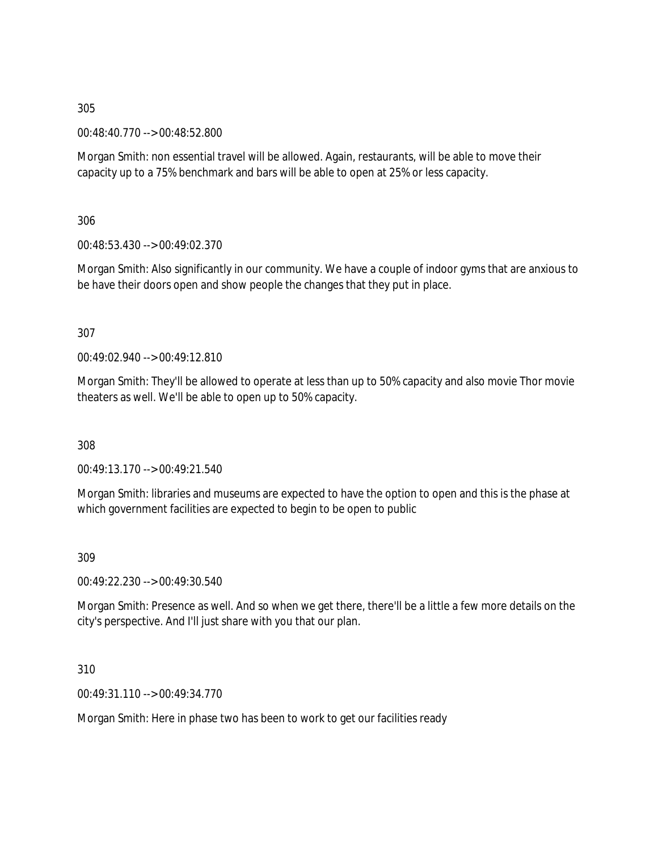00:48:40.770 --> 00:48:52.800

Morgan Smith: non essential travel will be allowed. Again, restaurants, will be able to move their capacity up to a 75% benchmark and bars will be able to open at 25% or less capacity.

306

00:48:53.430 --> 00:49:02.370

Morgan Smith: Also significantly in our community. We have a couple of indoor gyms that are anxious to be have their doors open and show people the changes that they put in place.

307

00:49:02.940 --> 00:49:12.810

Morgan Smith: They'll be allowed to operate at less than up to 50% capacity and also movie Thor movie theaters as well. We'll be able to open up to 50% capacity.

308

00:49:13.170 --> 00:49:21.540

Morgan Smith: libraries and museums are expected to have the option to open and this is the phase at which government facilities are expected to begin to be open to public

309

00:49:22.230 --> 00:49:30.540

Morgan Smith: Presence as well. And so when we get there, there'll be a little a few more details on the city's perspective. And I'll just share with you that our plan.

310

00:49:31.110 --> 00:49:34.770

Morgan Smith: Here in phase two has been to work to get our facilities ready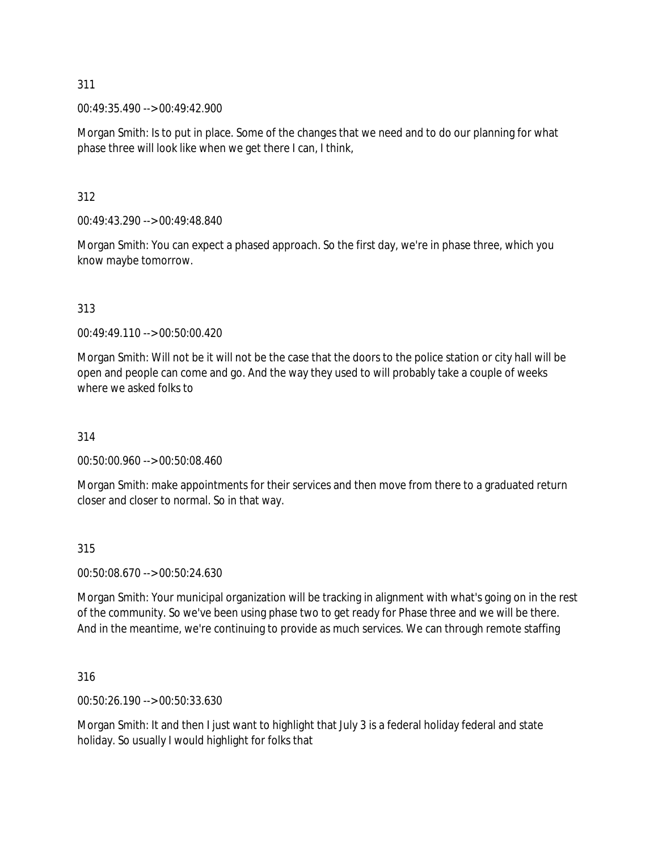00:49:35.490 --> 00:49:42.900

Morgan Smith: Is to put in place. Some of the changes that we need and to do our planning for what phase three will look like when we get there I can, I think,

312

00:49:43.290 --> 00:49:48.840

Morgan Smith: You can expect a phased approach. So the first day, we're in phase three, which you know maybe tomorrow.

313

00:49:49.110 --> 00:50:00.420

Morgan Smith: Will not be it will not be the case that the doors to the police station or city hall will be open and people can come and go. And the way they used to will probably take a couple of weeks where we asked folks to

314

00:50:00.960 --> 00:50:08.460

Morgan Smith: make appointments for their services and then move from there to a graduated return closer and closer to normal. So in that way.

315

00:50:08.670 --> 00:50:24.630

Morgan Smith: Your municipal organization will be tracking in alignment with what's going on in the rest of the community. So we've been using phase two to get ready for Phase three and we will be there. And in the meantime, we're continuing to provide as much services. We can through remote staffing

316

00:50:26.190 --> 00:50:33.630

Morgan Smith: It and then I just want to highlight that July 3 is a federal holiday federal and state holiday. So usually I would highlight for folks that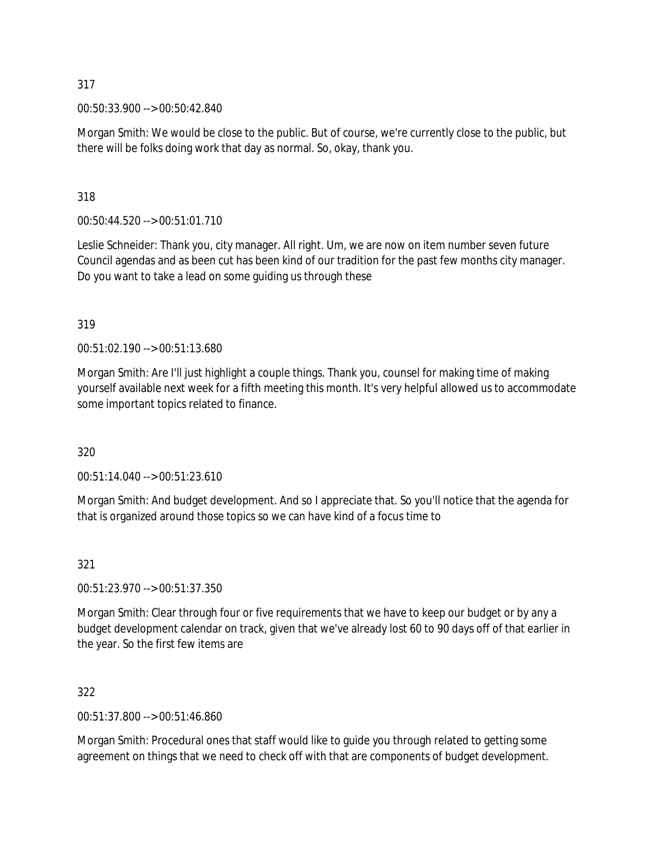00:50:33.900 --> 00:50:42.840

Morgan Smith: We would be close to the public. But of course, we're currently close to the public, but there will be folks doing work that day as normal. So, okay, thank you.

318

00:50:44.520 --> 00:51:01.710

Leslie Schneider: Thank you, city manager. All right. Um, we are now on item number seven future Council agendas and as been cut has been kind of our tradition for the past few months city manager. Do you want to take a lead on some guiding us through these

319

00:51:02.190 --> 00:51:13.680

Morgan Smith: Are I'll just highlight a couple things. Thank you, counsel for making time of making yourself available next week for a fifth meeting this month. It's very helpful allowed us to accommodate some important topics related to finance.

320

00:51:14.040 --> 00:51:23.610

Morgan Smith: And budget development. And so I appreciate that. So you'll notice that the agenda for that is organized around those topics so we can have kind of a focus time to

321

00:51:23.970 --> 00:51:37.350

Morgan Smith: Clear through four or five requirements that we have to keep our budget or by any a budget development calendar on track, given that we've already lost 60 to 90 days off of that earlier in the year. So the first few items are

322

00:51:37.800 --> 00:51:46.860

Morgan Smith: Procedural ones that staff would like to guide you through related to getting some agreement on things that we need to check off with that are components of budget development.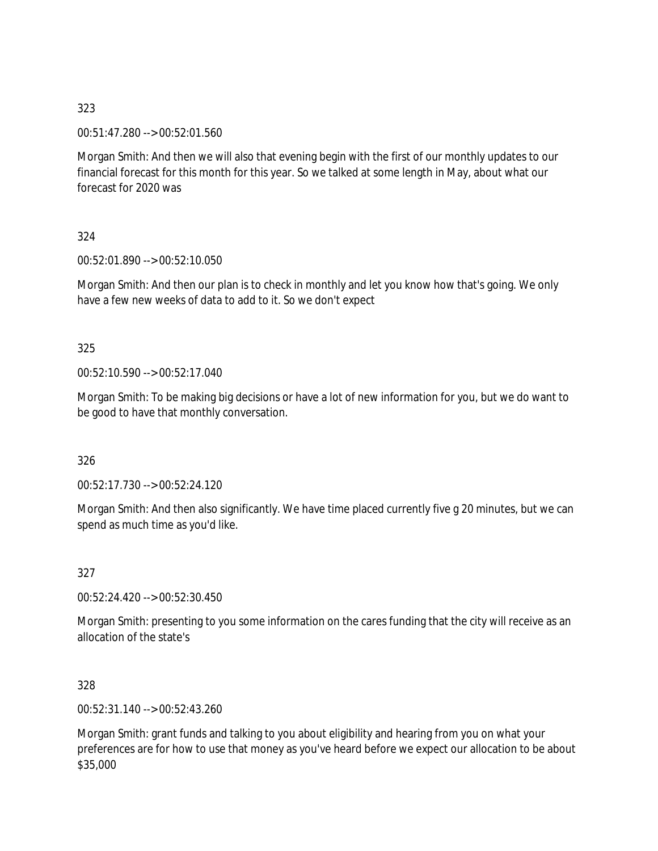00:51:47.280 --> 00:52:01.560

Morgan Smith: And then we will also that evening begin with the first of our monthly updates to our financial forecast for this month for this year. So we talked at some length in May, about what our forecast for 2020 was

324

00:52:01.890 --> 00:52:10.050

Morgan Smith: And then our plan is to check in monthly and let you know how that's going. We only have a few new weeks of data to add to it. So we don't expect

325

00:52:10.590 --> 00:52:17.040

Morgan Smith: To be making big decisions or have a lot of new information for you, but we do want to be good to have that monthly conversation.

326

00:52:17.730 --> 00:52:24.120

Morgan Smith: And then also significantly. We have time placed currently five g 20 minutes, but we can spend as much time as you'd like.

327

00:52:24.420 --> 00:52:30.450

Morgan Smith: presenting to you some information on the cares funding that the city will receive as an allocation of the state's

328

00:52:31.140 --> 00:52:43.260

Morgan Smith: grant funds and talking to you about eligibility and hearing from you on what your preferences are for how to use that money as you've heard before we expect our allocation to be about \$35,000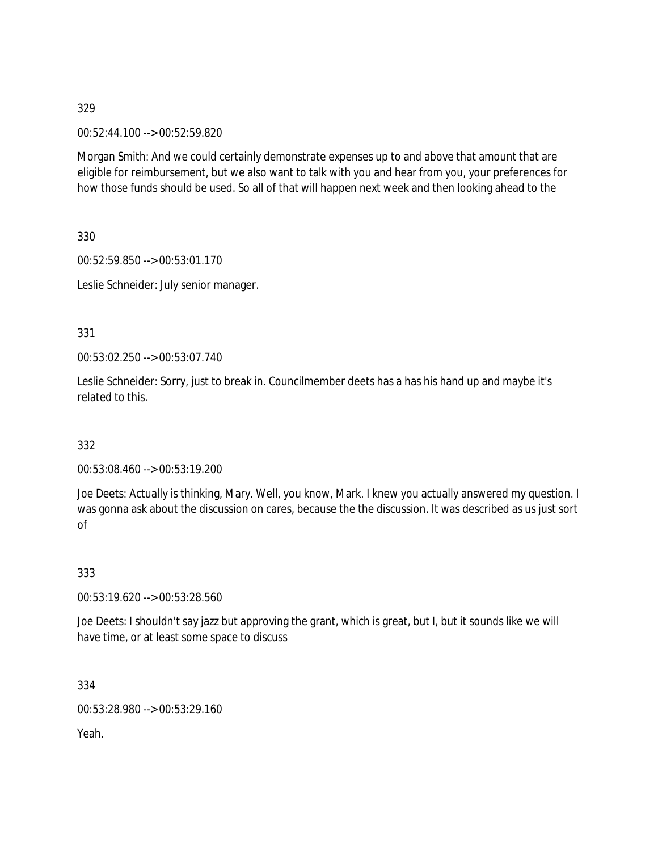00:52:44.100 --> 00:52:59.820

Morgan Smith: And we could certainly demonstrate expenses up to and above that amount that are eligible for reimbursement, but we also want to talk with you and hear from you, your preferences for how those funds should be used. So all of that will happen next week and then looking ahead to the

330

00:52:59.850 --> 00:53:01.170

Leslie Schneider: July senior manager.

331

00:53:02.250 --> 00:53:07.740

Leslie Schneider: Sorry, just to break in. Councilmember deets has a has his hand up and maybe it's related to this.

332

00:53:08.460 --> 00:53:19.200

Joe Deets: Actually is thinking, Mary. Well, you know, Mark. I knew you actually answered my question. I was gonna ask about the discussion on cares, because the the discussion. It was described as us just sort of

333

00:53:19.620 --> 00:53:28.560

Joe Deets: I shouldn't say jazz but approving the grant, which is great, but I, but it sounds like we will have time, or at least some space to discuss

334

00:53:28.980 --> 00:53:29.160

Yeah.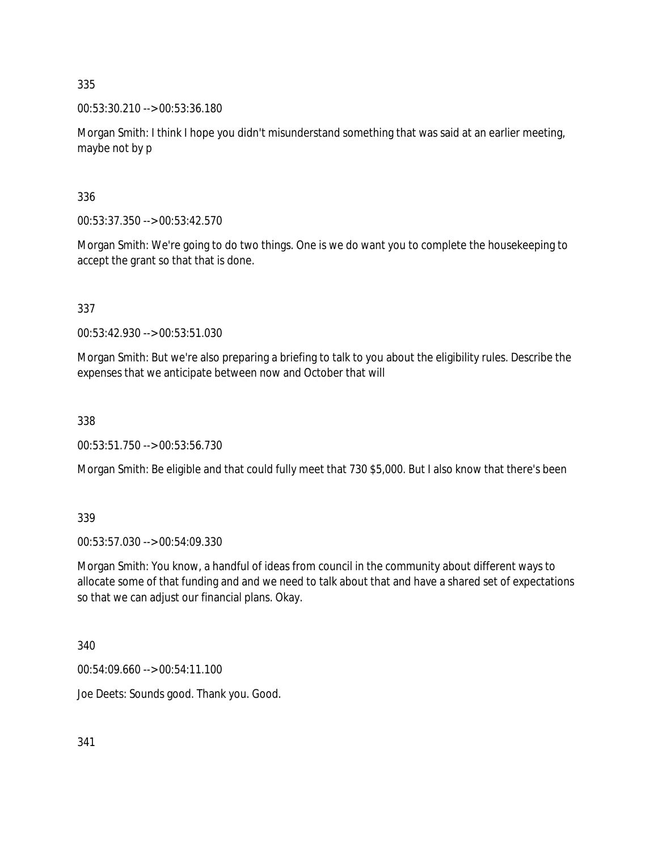00:53:30.210 --> 00:53:36.180

Morgan Smith: I think I hope you didn't misunderstand something that was said at an earlier meeting, maybe not by p

336

00:53:37.350 --> 00:53:42.570

Morgan Smith: We're going to do two things. One is we do want you to complete the housekeeping to accept the grant so that that is done.

337

00:53:42.930 --> 00:53:51.030

Morgan Smith: But we're also preparing a briefing to talk to you about the eligibility rules. Describe the expenses that we anticipate between now and October that will

338

00:53:51.750 --> 00:53:56.730

Morgan Smith: Be eligible and that could fully meet that 730 \$5,000. But I also know that there's been

339

00:53:57.030 --> 00:54:09.330

Morgan Smith: You know, a handful of ideas from council in the community about different ways to allocate some of that funding and and we need to talk about that and have a shared set of expectations so that we can adjust our financial plans. Okay.

340

00:54:09.660 --> 00:54:11.100

Joe Deets: Sounds good. Thank you. Good.

341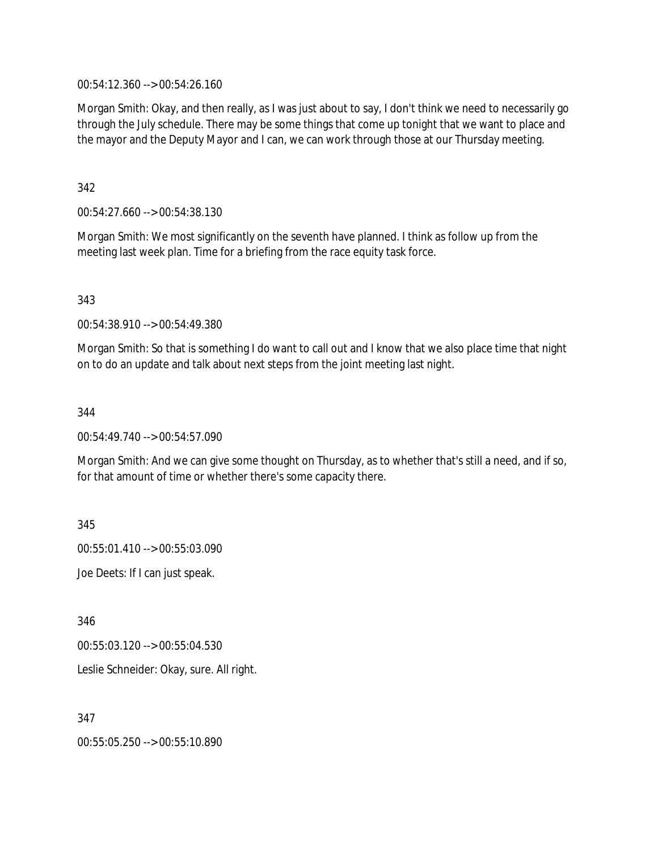00:54:12.360 --> 00:54:26.160

Morgan Smith: Okay, and then really, as I was just about to say, I don't think we need to necessarily go through the July schedule. There may be some things that come up tonight that we want to place and the mayor and the Deputy Mayor and I can, we can work through those at our Thursday meeting.

342

00:54:27.660 --> 00:54:38.130

Morgan Smith: We most significantly on the seventh have planned. I think as follow up from the meeting last week plan. Time for a briefing from the race equity task force.

343

00:54:38.910 --> 00:54:49.380

Morgan Smith: So that is something I do want to call out and I know that we also place time that night on to do an update and talk about next steps from the joint meeting last night.

344

00:54:49.740 --> 00:54:57.090

Morgan Smith: And we can give some thought on Thursday, as to whether that's still a need, and if so, for that amount of time or whether there's some capacity there.

345

00:55:01.410 --> 00:55:03.090

Joe Deets: If I can just speak.

346

00:55:03.120 --> 00:55:04.530

Leslie Schneider: Okay, sure. All right.

347

00:55:05.250 --> 00:55:10.890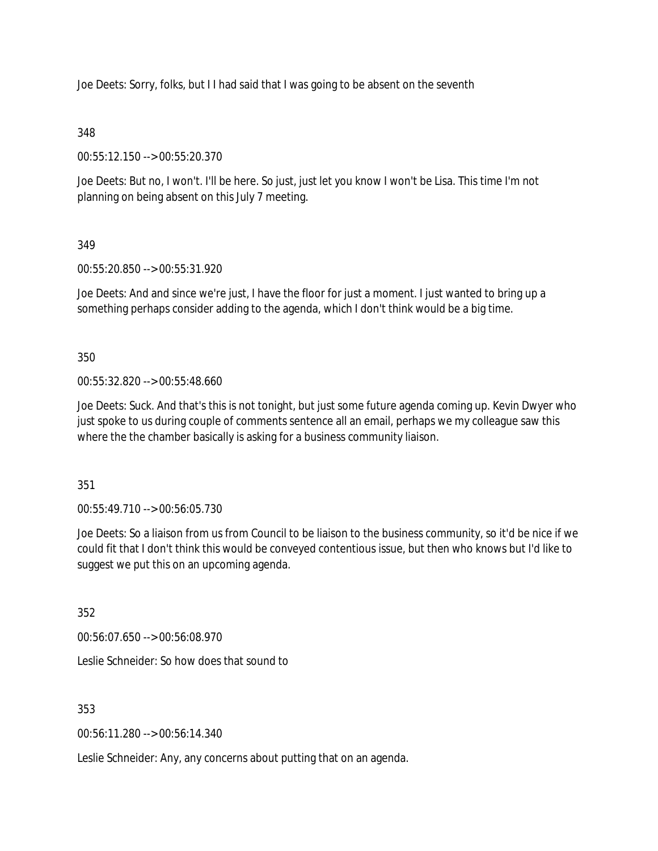Joe Deets: Sorry, folks, but I I had said that I was going to be absent on the seventh

### 348

00:55:12.150 --> 00:55:20.370

Joe Deets: But no, I won't. I'll be here. So just, just let you know I won't be Lisa. This time I'm not planning on being absent on this July 7 meeting.

### 349

00:55:20.850 --> 00:55:31.920

Joe Deets: And and since we're just, I have the floor for just a moment. I just wanted to bring up a something perhaps consider adding to the agenda, which I don't think would be a big time.

350

00:55:32.820 --> 00:55:48.660

Joe Deets: Suck. And that's this is not tonight, but just some future agenda coming up. Kevin Dwyer who just spoke to us during couple of comments sentence all an email, perhaps we my colleague saw this where the the chamber basically is asking for a business community liaison.

351

00:55:49.710 --> 00:56:05.730

Joe Deets: So a liaison from us from Council to be liaison to the business community, so it'd be nice if we could fit that I don't think this would be conveyed contentious issue, but then who knows but I'd like to suggest we put this on an upcoming agenda.

352

00:56:07.650 --> 00:56:08.970

Leslie Schneider: So how does that sound to

353

00:56:11.280 --> 00:56:14.340

Leslie Schneider: Any, any concerns about putting that on an agenda.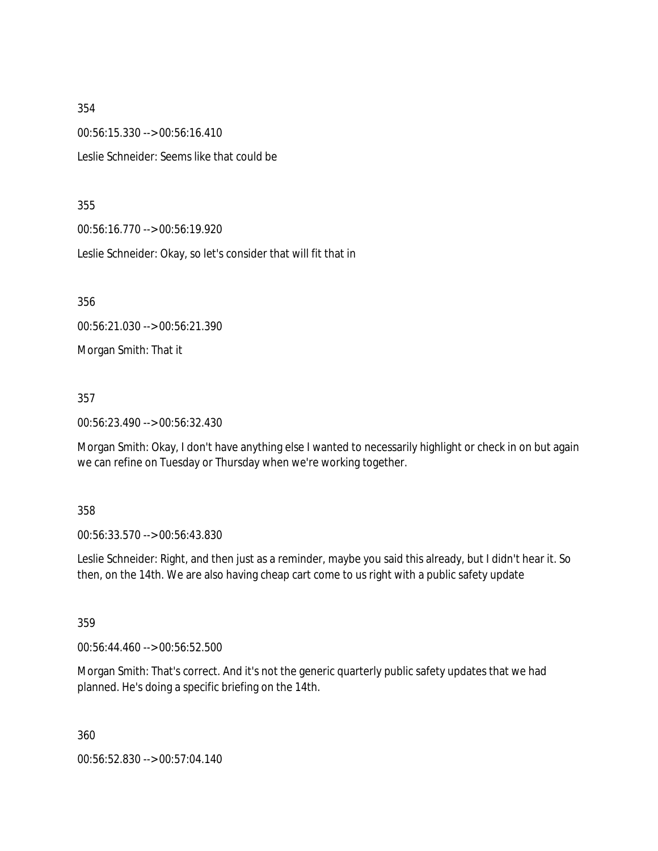00:56:15.330 --> 00:56:16.410 Leslie Schneider: Seems like that could be

355

00:56:16.770 --> 00:56:19.920

Leslie Schneider: Okay, so let's consider that will fit that in

356

00:56:21.030 --> 00:56:21.390

Morgan Smith: That it

357

00:56:23.490 --> 00:56:32.430

Morgan Smith: Okay, I don't have anything else I wanted to necessarily highlight or check in on but again we can refine on Tuesday or Thursday when we're working together.

358

00:56:33.570 --> 00:56:43.830

Leslie Schneider: Right, and then just as a reminder, maybe you said this already, but I didn't hear it. So then, on the 14th. We are also having cheap cart come to us right with a public safety update

359

00:56:44.460 --> 00:56:52.500

Morgan Smith: That's correct. And it's not the generic quarterly public safety updates that we had planned. He's doing a specific briefing on the 14th.

360

00:56:52.830 --> 00:57:04.140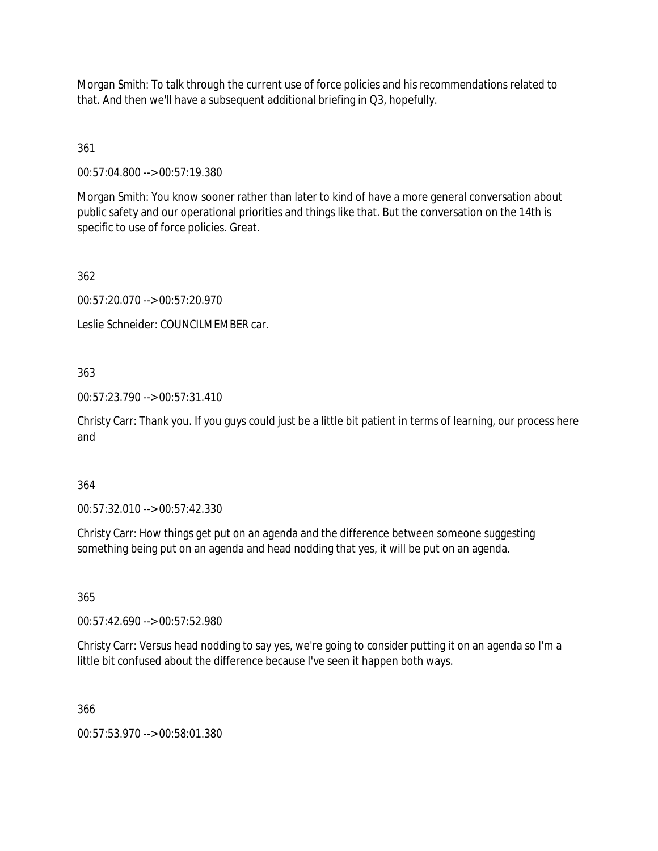Morgan Smith: To talk through the current use of force policies and his recommendations related to that. And then we'll have a subsequent additional briefing in Q3, hopefully.

361

00:57:04.800 --> 00:57:19.380

Morgan Smith: You know sooner rather than later to kind of have a more general conversation about public safety and our operational priorities and things like that. But the conversation on the 14th is specific to use of force policies. Great.

362

00:57:20.070 --> 00:57:20.970

Leslie Schneider: COUNCILMEMBER car.

363

00:57:23.790 --> 00:57:31.410

Christy Carr: Thank you. If you guys could just be a little bit patient in terms of learning, our process here and

364

00:57:32.010 --> 00:57:42.330

Christy Carr: How things get put on an agenda and the difference between someone suggesting something being put on an agenda and head nodding that yes, it will be put on an agenda.

365

00:57:42.690 --> 00:57:52.980

Christy Carr: Versus head nodding to say yes, we're going to consider putting it on an agenda so I'm a little bit confused about the difference because I've seen it happen both ways.

366

00:57:53.970 --> 00:58:01.380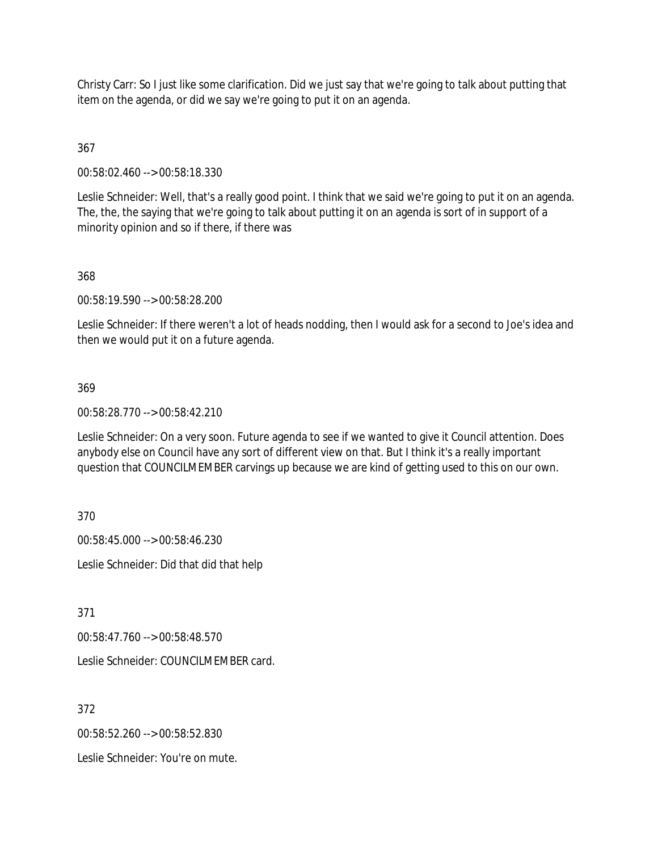Christy Carr: So I just like some clarification. Did we just say that we're going to talk about putting that item on the agenda, or did we say we're going to put it on an agenda.

## 367

00:58:02.460 --> 00:58:18.330

Leslie Schneider: Well, that's a really good point. I think that we said we're going to put it on an agenda. The, the, the saying that we're going to talk about putting it on an agenda is sort of in support of a minority opinion and so if there, if there was

### 368

00:58:19.590 --> 00:58:28.200

Leslie Schneider: If there weren't a lot of heads nodding, then I would ask for a second to Joe's idea and then we would put it on a future agenda.

### 369

00:58:28.770 --> 00:58:42.210

Leslie Schneider: On a very soon. Future agenda to see if we wanted to give it Council attention. Does anybody else on Council have any sort of different view on that. But I think it's a really important question that COUNCILMEMBER carvings up because we are kind of getting used to this on our own.

370

00:58:45.000 --> 00:58:46.230 Leslie Schneider: Did that did that help

371

00:58:47.760 --> 00:58:48.570

Leslie Schneider: COUNCILMEMBER card.

372

00:58:52.260 --> 00:58:52.830

Leslie Schneider: You're on mute.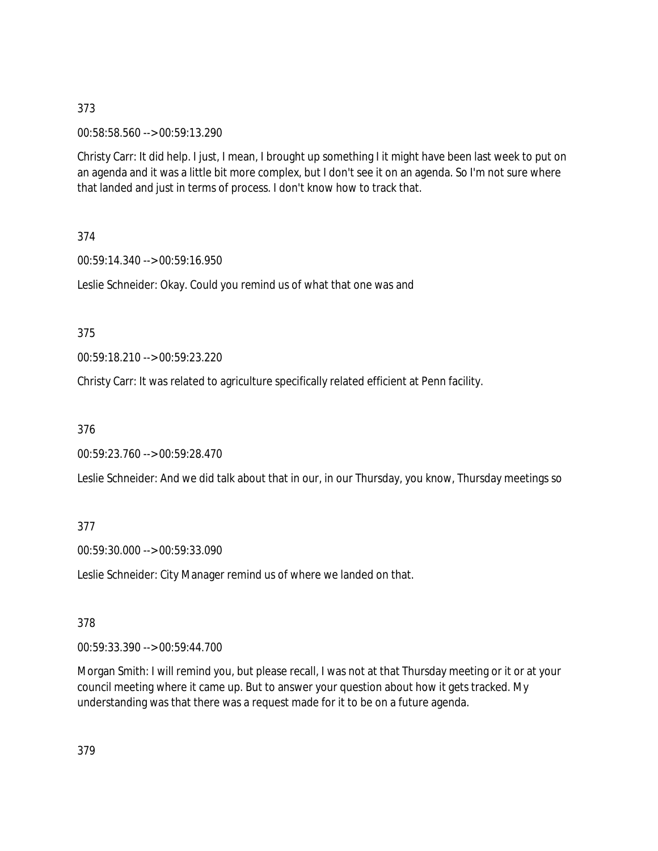00:58:58.560 --> 00:59:13.290

Christy Carr: It did help. I just, I mean, I brought up something I it might have been last week to put on an agenda and it was a little bit more complex, but I don't see it on an agenda. So I'm not sure where that landed and just in terms of process. I don't know how to track that.

374

00:59:14.340 --> 00:59:16.950

Leslie Schneider: Okay. Could you remind us of what that one was and

375

00:59:18.210 --> 00:59:23.220

Christy Carr: It was related to agriculture specifically related efficient at Penn facility.

376

00:59:23.760 --> 00:59:28.470

Leslie Schneider: And we did talk about that in our, in our Thursday, you know, Thursday meetings so

377

00:59:30.000 --> 00:59:33.090

Leslie Schneider: City Manager remind us of where we landed on that.

378

00:59:33.390 --> 00:59:44.700

Morgan Smith: I will remind you, but please recall, I was not at that Thursday meeting or it or at your council meeting where it came up. But to answer your question about how it gets tracked. My understanding was that there was a request made for it to be on a future agenda.

379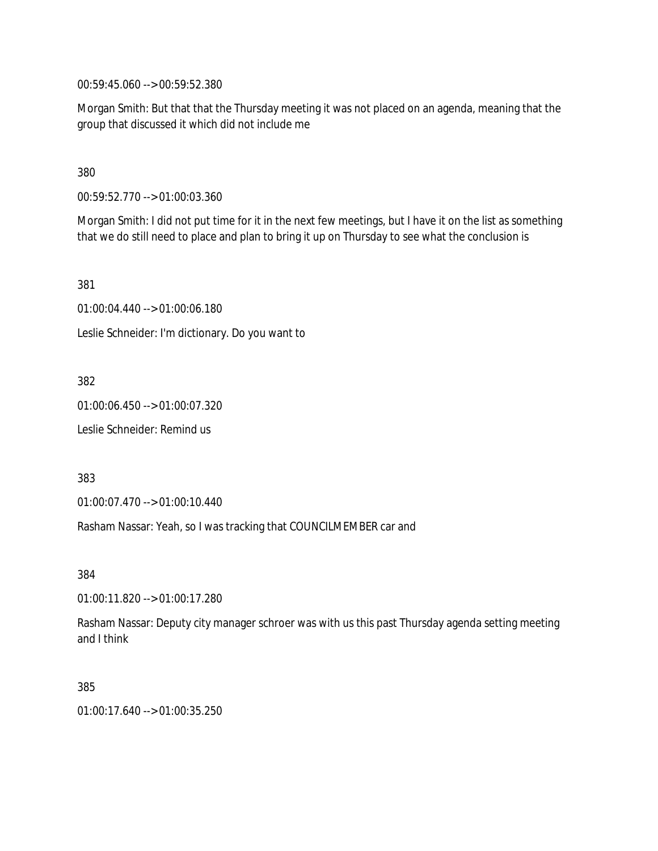00:59:45.060 --> 00:59:52.380

Morgan Smith: But that that the Thursday meeting it was not placed on an agenda, meaning that the group that discussed it which did not include me

380

00:59:52.770 --> 01:00:03.360

Morgan Smith: I did not put time for it in the next few meetings, but I have it on the list as something that we do still need to place and plan to bring it up on Thursday to see what the conclusion is

381

01:00:04.440 --> 01:00:06.180

Leslie Schneider: I'm dictionary. Do you want to

382

01:00:06.450 --> 01:00:07.320

Leslie Schneider: Remind us

383

01:00:07.470 --> 01:00:10.440

Rasham Nassar: Yeah, so I was tracking that COUNCILMEMBER car and

384

01:00:11.820 --> 01:00:17.280

Rasham Nassar: Deputy city manager schroer was with us this past Thursday agenda setting meeting and I think

385

01:00:17.640 --> 01:00:35.250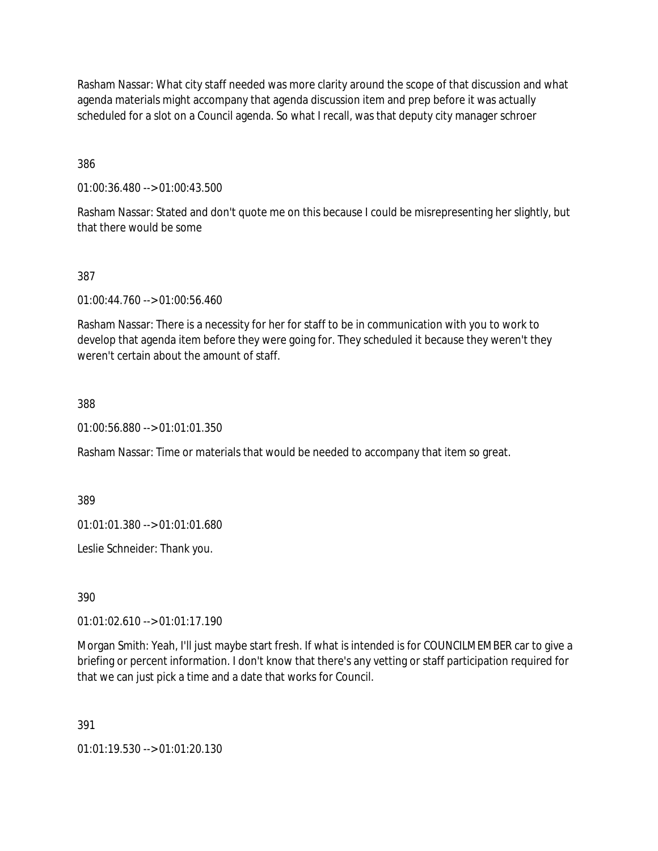Rasham Nassar: What city staff needed was more clarity around the scope of that discussion and what agenda materials might accompany that agenda discussion item and prep before it was actually scheduled for a slot on a Council agenda. So what I recall, was that deputy city manager schroer

386

01:00:36.480 --> 01:00:43.500

Rasham Nassar: Stated and don't quote me on this because I could be misrepresenting her slightly, but that there would be some

### 387

01:00:44.760 --> 01:00:56.460

Rasham Nassar: There is a necessity for her for staff to be in communication with you to work to develop that agenda item before they were going for. They scheduled it because they weren't they weren't certain about the amount of staff.

### 388

01:00:56.880 --> 01:01:01.350

Rasham Nassar: Time or materials that would be needed to accompany that item so great.

389

01:01:01.380 --> 01:01:01.680

Leslie Schneider: Thank you.

390

01:01:02.610 --> 01:01:17.190

Morgan Smith: Yeah, I'll just maybe start fresh. If what is intended is for COUNCILMEMBER car to give a briefing or percent information. I don't know that there's any vetting or staff participation required for that we can just pick a time and a date that works for Council.

391

01:01:19.530 --> 01:01:20.130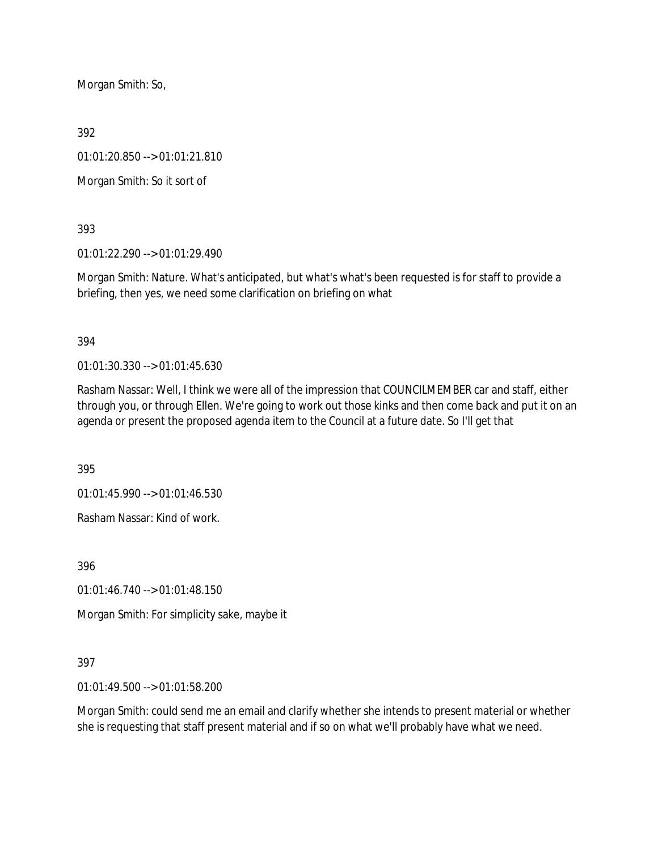Morgan Smith: So,

392

01:01:20.850 --> 01:01:21.810

Morgan Smith: So it sort of

393

01:01:22.290 --> 01:01:29.490

Morgan Smith: Nature. What's anticipated, but what's what's been requested is for staff to provide a briefing, then yes, we need some clarification on briefing on what

394

01:01:30.330 --> 01:01:45.630

Rasham Nassar: Well, I think we were all of the impression that COUNCILMEMBER car and staff, either through you, or through Ellen. We're going to work out those kinks and then come back and put it on an agenda or present the proposed agenda item to the Council at a future date. So I'll get that

395

01:01:45.990 --> 01:01:46.530

Rasham Nassar: Kind of work.

396

01:01:46.740 --> 01:01:48.150

Morgan Smith: For simplicity sake, maybe it

### 397

01:01:49.500 --> 01:01:58.200

Morgan Smith: could send me an email and clarify whether she intends to present material or whether she is requesting that staff present material and if so on what we'll probably have what we need.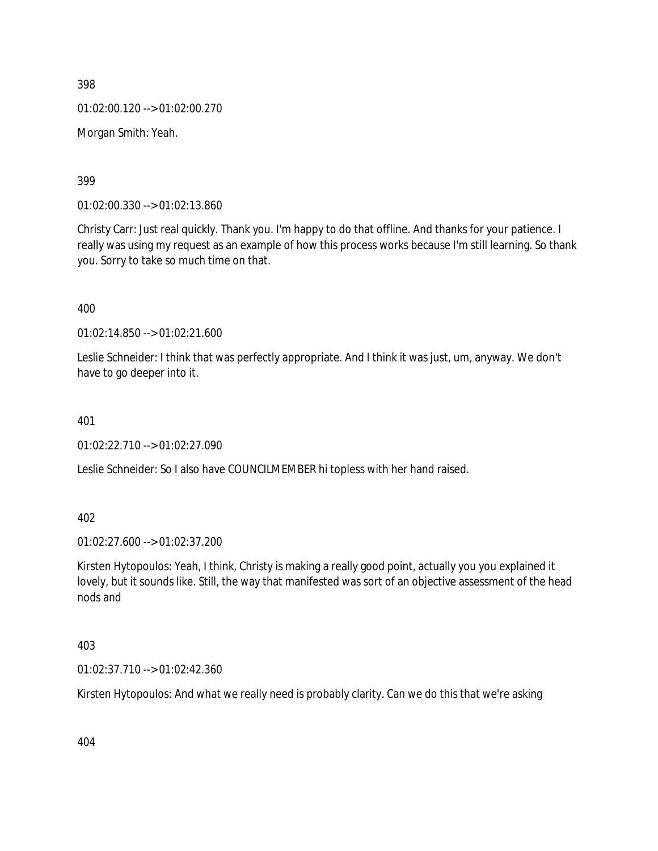398 01:02:00.120 --> 01:02:00.270

Morgan Smith: Yeah.

399

01:02:00.330 --> 01:02:13.860

Christy Carr: Just real quickly. Thank you. I'm happy to do that offline. And thanks for your patience. I really was using my request as an example of how this process works because I'm still learning. So thank you. Sorry to take so much time on that.

400

01:02:14.850 --> 01:02:21.600

Leslie Schneider: I think that was perfectly appropriate. And I think it was just, um, anyway. We don't have to go deeper into it.

401

01:02:22.710 --> 01:02:27.090

Leslie Schneider: So I also have COUNCILMEMBER hi topless with her hand raised.

402

01:02:27.600 --> 01:02:37.200

Kirsten Hytopoulos: Yeah, I think, Christy is making a really good point, actually you you explained it lovely, but it sounds like. Still, the way that manifested was sort of an objective assessment of the head nods and

403

01:02:37.710 --> 01:02:42.360

Kirsten Hytopoulos: And what we really need is probably clarity. Can we do this that we're asking

404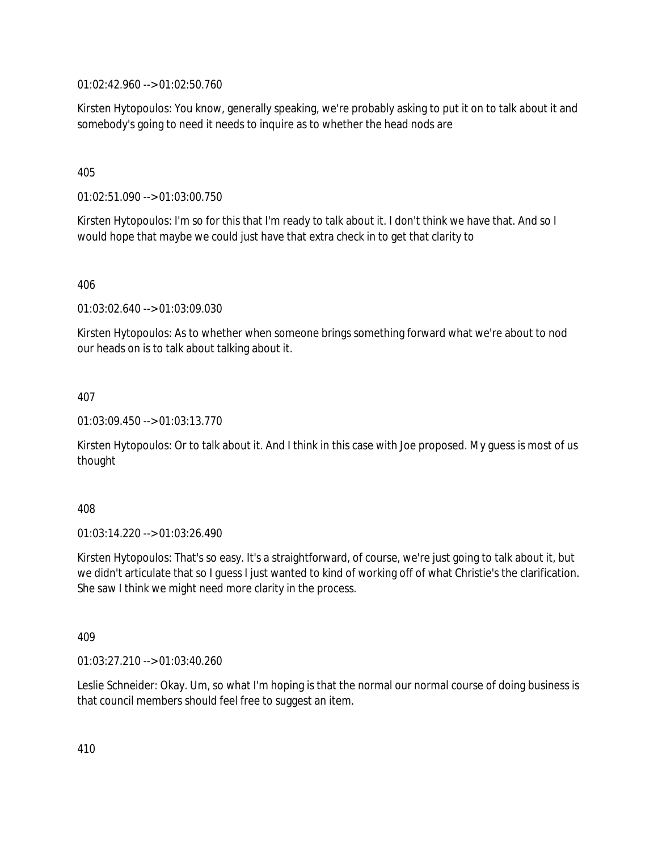01:02:42.960 --> 01:02:50.760

Kirsten Hytopoulos: You know, generally speaking, we're probably asking to put it on to talk about it and somebody's going to need it needs to inquire as to whether the head nods are

### 405

01:02:51.090 --> 01:03:00.750

Kirsten Hytopoulos: I'm so for this that I'm ready to talk about it. I don't think we have that. And so I would hope that maybe we could just have that extra check in to get that clarity to

406

01:03:02.640 --> 01:03:09.030

Kirsten Hytopoulos: As to whether when someone brings something forward what we're about to nod our heads on is to talk about talking about it.

407

01:03:09.450 --> 01:03:13.770

Kirsten Hytopoulos: Or to talk about it. And I think in this case with Joe proposed. My guess is most of us thought

### 408

01:03:14.220 --> 01:03:26.490

Kirsten Hytopoulos: That's so easy. It's a straightforward, of course, we're just going to talk about it, but we didn't articulate that so I guess I just wanted to kind of working off of what Christie's the clarification. She saw I think we might need more clarity in the process.

409

01:03:27.210 --> 01:03:40.260

Leslie Schneider: Okay. Um, so what I'm hoping is that the normal our normal course of doing business is that council members should feel free to suggest an item.

410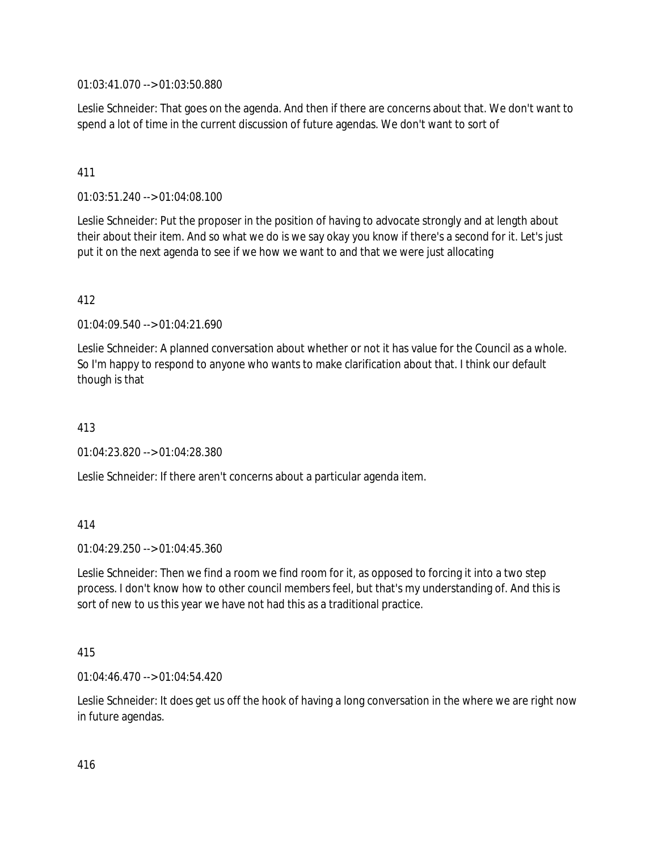01:03:41.070 --> 01:03:50.880

Leslie Schneider: That goes on the agenda. And then if there are concerns about that. We don't want to spend a lot of time in the current discussion of future agendas. We don't want to sort of

## 411

01:03:51.240 --> 01:04:08.100

Leslie Schneider: Put the proposer in the position of having to advocate strongly and at length about their about their item. And so what we do is we say okay you know if there's a second for it. Let's just put it on the next agenda to see if we how we want to and that we were just allocating

### 412

 $01:04:09.540 \rightarrow 01:04:21.690$ 

Leslie Schneider: A planned conversation about whether or not it has value for the Council as a whole. So I'm happy to respond to anyone who wants to make clarification about that. I think our default though is that

## 413

01:04:23.820 --> 01:04:28.380

Leslie Schneider: If there aren't concerns about a particular agenda item.

### 414

 $01:04:29.250 \rightarrow 01:04:45.360$ 

Leslie Schneider: Then we find a room we find room for it, as opposed to forcing it into a two step process. I don't know how to other council members feel, but that's my understanding of. And this is sort of new to us this year we have not had this as a traditional practice.

### 415

01:04:46.470 --> 01:04:54.420

Leslie Schneider: It does get us off the hook of having a long conversation in the where we are right now in future agendas.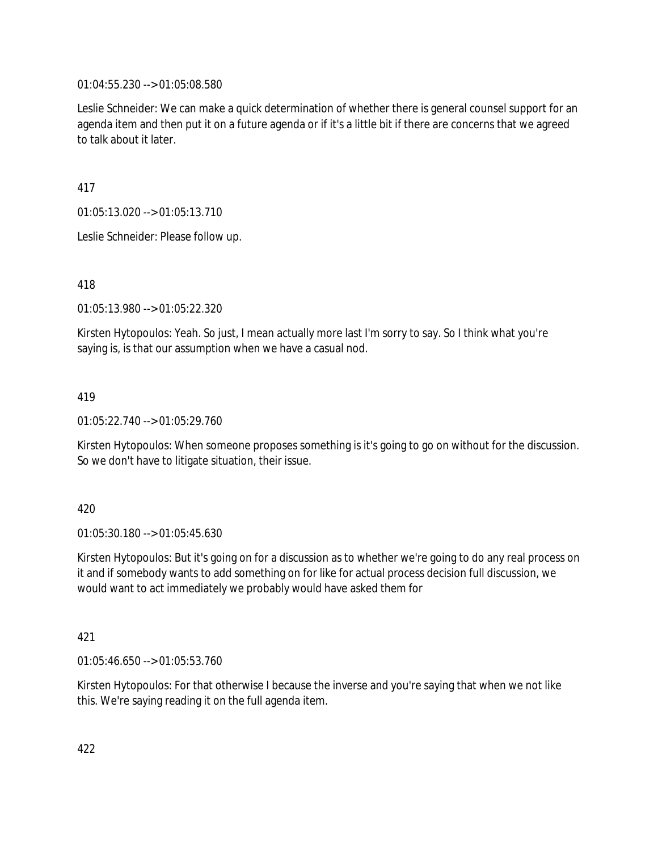01:04:55.230 --> 01:05:08.580

Leslie Schneider: We can make a quick determination of whether there is general counsel support for an agenda item and then put it on a future agenda or if it's a little bit if there are concerns that we agreed to talk about it later.

417

01:05:13.020 --> 01:05:13.710

Leslie Schneider: Please follow up.

418

01:05:13.980 --> 01:05:22.320

Kirsten Hytopoulos: Yeah. So just, I mean actually more last I'm sorry to say. So I think what you're saying is, is that our assumption when we have a casual nod.

419

01:05:22.740 --> 01:05:29.760

Kirsten Hytopoulos: When someone proposes something is it's going to go on without for the discussion. So we don't have to litigate situation, their issue.

420

01:05:30.180 --> 01:05:45.630

Kirsten Hytopoulos: But it's going on for a discussion as to whether we're going to do any real process on it and if somebody wants to add something on for like for actual process decision full discussion, we would want to act immediately we probably would have asked them for

421

01:05:46.650 --> 01:05:53.760

Kirsten Hytopoulos: For that otherwise I because the inverse and you're saying that when we not like this. We're saying reading it on the full agenda item.

422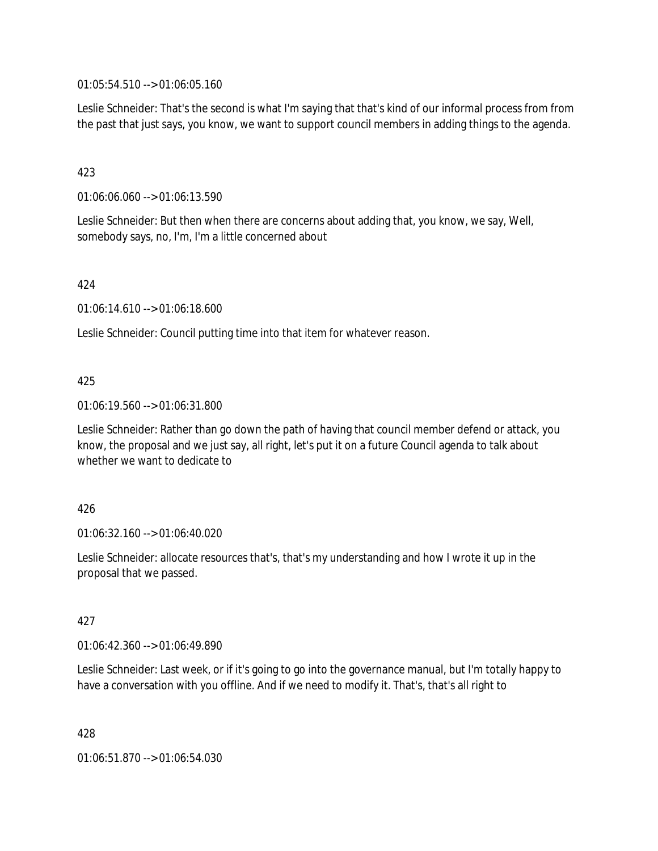01:05:54.510 --> 01:06:05.160

Leslie Schneider: That's the second is what I'm saying that that's kind of our informal process from from the past that just says, you know, we want to support council members in adding things to the agenda.

## 423

01:06:06.060 --> 01:06:13.590

Leslie Schneider: But then when there are concerns about adding that, you know, we say, Well, somebody says, no, I'm, I'm a little concerned about

### 424

01:06:14.610 --> 01:06:18.600

Leslie Schneider: Council putting time into that item for whatever reason.

### 425

01:06:19.560 --> 01:06:31.800

Leslie Schneider: Rather than go down the path of having that council member defend or attack, you know, the proposal and we just say, all right, let's put it on a future Council agenda to talk about whether we want to dedicate to

### 426

01:06:32.160 --> 01:06:40.020

Leslie Schneider: allocate resources that's, that's my understanding and how I wrote it up in the proposal that we passed.

### 427

01:06:42.360 --> 01:06:49.890

Leslie Schneider: Last week, or if it's going to go into the governance manual, but I'm totally happy to have a conversation with you offline. And if we need to modify it. That's, that's all right to

428

01:06:51.870 --> 01:06:54.030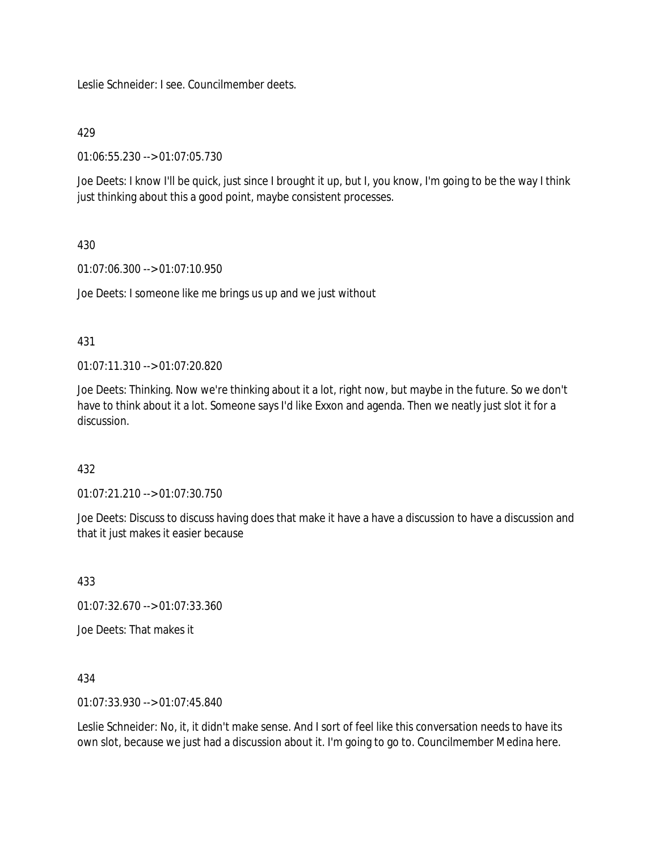Leslie Schneider: I see. Councilmember deets.

### 429

01:06:55.230 --> 01:07:05.730

Joe Deets: I know I'll be quick, just since I brought it up, but I, you know, I'm going to be the way I think just thinking about this a good point, maybe consistent processes.

## 430

01:07:06.300 --> 01:07:10.950

Joe Deets: I someone like me brings us up and we just without

### 431

01:07:11.310 --> 01:07:20.820

Joe Deets: Thinking. Now we're thinking about it a lot, right now, but maybe in the future. So we don't have to think about it a lot. Someone says I'd like Exxon and agenda. Then we neatly just slot it for a discussion.

## 432

01:07:21.210 --> 01:07:30.750

Joe Deets: Discuss to discuss having does that make it have a have a discussion to have a discussion and that it just makes it easier because

433

01:07:32.670 --> 01:07:33.360

Joe Deets: That makes it

434

01:07:33.930 --> 01:07:45.840

Leslie Schneider: No, it, it didn't make sense. And I sort of feel like this conversation needs to have its own slot, because we just had a discussion about it. I'm going to go to. Councilmember Medina here.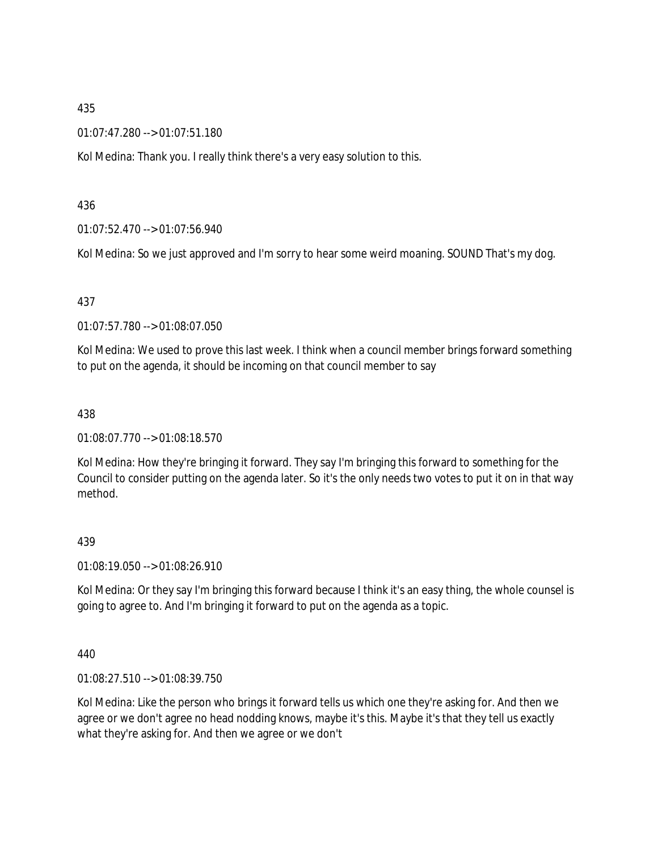01:07:47.280 --> 01:07:51.180

Kol Medina: Thank you. I really think there's a very easy solution to this.

436

01:07:52.470 --> 01:07:56.940

Kol Medina: So we just approved and I'm sorry to hear some weird moaning. SOUND That's my dog.

### 437

01:07:57.780 --> 01:08:07.050

Kol Medina: We used to prove this last week. I think when a council member brings forward something to put on the agenda, it should be incoming on that council member to say

### 438

01:08:07.770 --> 01:08:18.570

Kol Medina: How they're bringing it forward. They say I'm bringing this forward to something for the Council to consider putting on the agenda later. So it's the only needs two votes to put it on in that way method.

### 439

01:08:19.050 --> 01:08:26.910

Kol Medina: Or they say I'm bringing this forward because I think it's an easy thing, the whole counsel is going to agree to. And I'm bringing it forward to put on the agenda as a topic.

440

01:08:27.510 --> 01:08:39.750

Kol Medina: Like the person who brings it forward tells us which one they're asking for. And then we agree or we don't agree no head nodding knows, maybe it's this. Maybe it's that they tell us exactly what they're asking for. And then we agree or we don't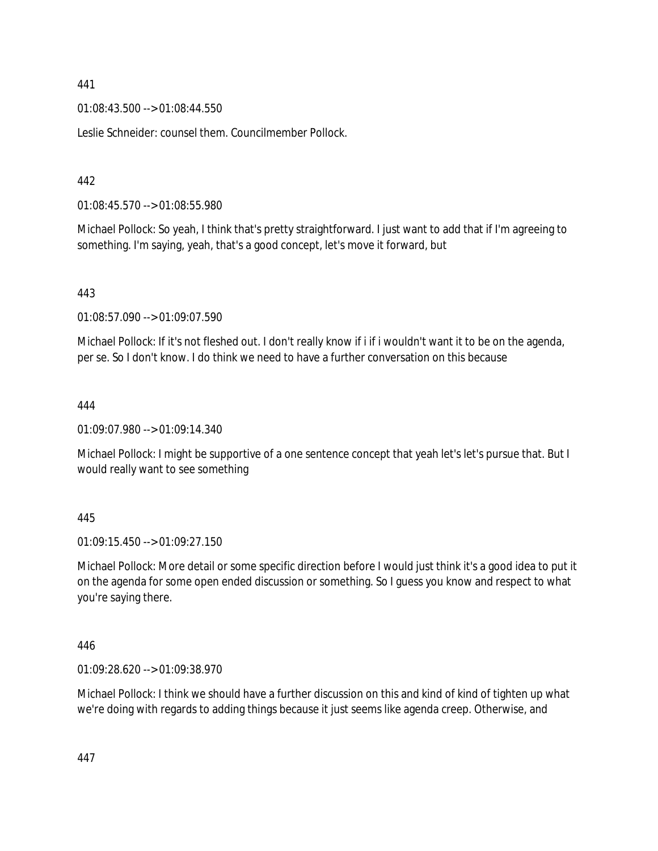01:08:43.500 --> 01:08:44.550

Leslie Schneider: counsel them. Councilmember Pollock.

### 442

01:08:45.570 --> 01:08:55.980

Michael Pollock: So yeah, I think that's pretty straightforward. I just want to add that if I'm agreeing to something. I'm saying, yeah, that's a good concept, let's move it forward, but

### 443

01:08:57.090 --> 01:09:07.590

Michael Pollock: If it's not fleshed out. I don't really know if i if i wouldn't want it to be on the agenda, per se. So I don't know. I do think we need to have a further conversation on this because

### 444

01:09:07.980 --> 01:09:14.340

Michael Pollock: I might be supportive of a one sentence concept that yeah let's let's pursue that. But I would really want to see something

### 445

01:09:15.450 --> 01:09:27.150

Michael Pollock: More detail or some specific direction before I would just think it's a good idea to put it on the agenda for some open ended discussion or something. So I guess you know and respect to what you're saying there.

### 446

01:09:28.620 --> 01:09:38.970

Michael Pollock: I think we should have a further discussion on this and kind of kind of tighten up what we're doing with regards to adding things because it just seems like agenda creep. Otherwise, and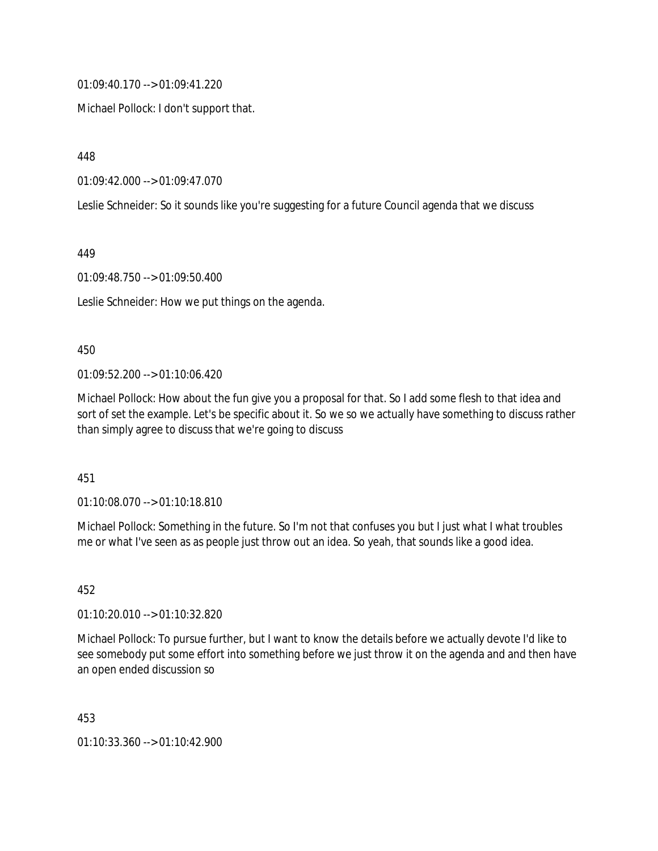01:09:40.170 --> 01:09:41.220

Michael Pollock: I don't support that.

448

01:09:42.000 --> 01:09:47.070

Leslie Schneider: So it sounds like you're suggesting for a future Council agenda that we discuss

449

01:09:48.750 --> 01:09:50.400

Leslie Schneider: How we put things on the agenda.

#### 450

01:09:52.200 --> 01:10:06.420

Michael Pollock: How about the fun give you a proposal for that. So I add some flesh to that idea and sort of set the example. Let's be specific about it. So we so we actually have something to discuss rather than simply agree to discuss that we're going to discuss

451

01:10:08.070 --> 01:10:18.810

Michael Pollock: Something in the future. So I'm not that confuses you but I just what I what troubles me or what I've seen as as people just throw out an idea. So yeah, that sounds like a good idea.

452

01:10:20.010 --> 01:10:32.820

Michael Pollock: To pursue further, but I want to know the details before we actually devote I'd like to see somebody put some effort into something before we just throw it on the agenda and and then have an open ended discussion so

453

01:10:33.360 --> 01:10:42.900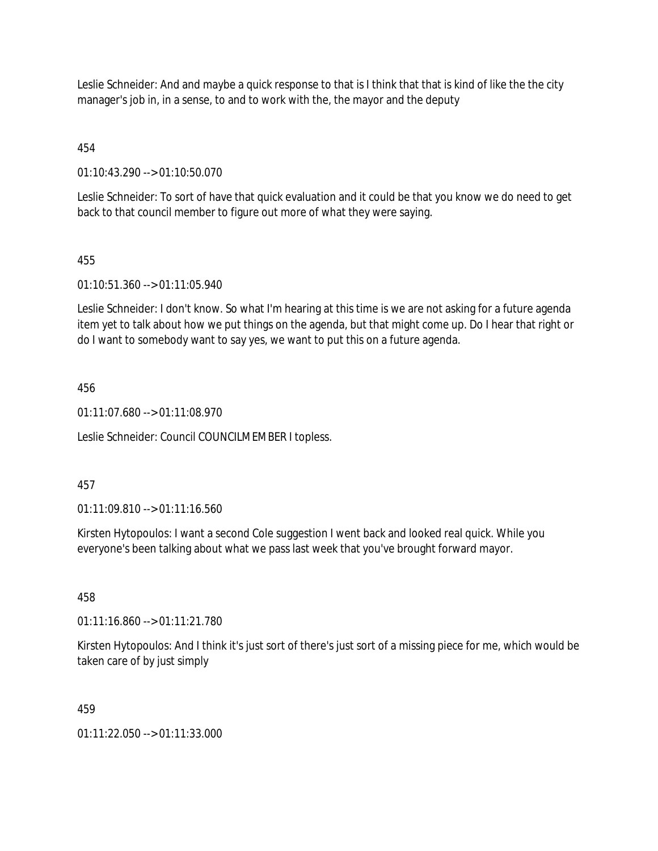Leslie Schneider: And and maybe a quick response to that is I think that that is kind of like the the city manager's job in, in a sense, to and to work with the, the mayor and the deputy

454

01:10:43.290 --> 01:10:50.070

Leslie Schneider: To sort of have that quick evaluation and it could be that you know we do need to get back to that council member to figure out more of what they were saying.

## 455

01:10:51.360 --> 01:11:05.940

Leslie Schneider: I don't know. So what I'm hearing at this time is we are not asking for a future agenda item yet to talk about how we put things on the agenda, but that might come up. Do I hear that right or do I want to somebody want to say yes, we want to put this on a future agenda.

## 456

01:11:07.680 --> 01:11:08.970

Leslie Schneider: Council COUNCILMEMBER I topless.

## 457

01:11:09.810 --> 01:11:16.560

Kirsten Hytopoulos: I want a second Cole suggestion I went back and looked real quick. While you everyone's been talking about what we pass last week that you've brought forward mayor.

## 458

01:11:16.860 --> 01:11:21.780

Kirsten Hytopoulos: And I think it's just sort of there's just sort of a missing piece for me, which would be taken care of by just simply

## 459

01:11:22.050 --> 01:11:33.000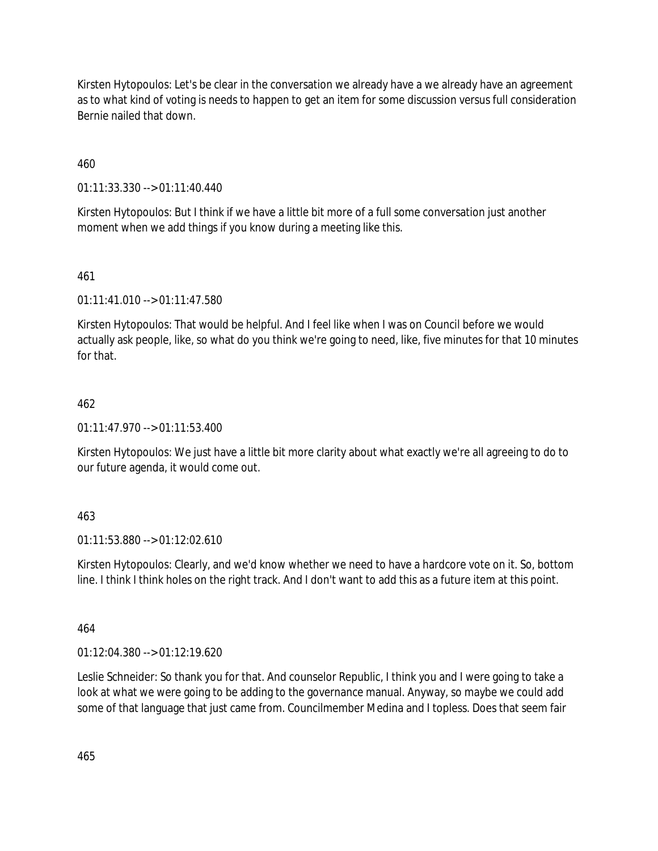Kirsten Hytopoulos: Let's be clear in the conversation we already have a we already have an agreement as to what kind of voting is needs to happen to get an item for some discussion versus full consideration Bernie nailed that down.

460

01:11:33.330 --> 01:11:40.440

Kirsten Hytopoulos: But I think if we have a little bit more of a full some conversation just another moment when we add things if you know during a meeting like this.

461

01:11:41.010 --> 01:11:47.580

Kirsten Hytopoulos: That would be helpful. And I feel like when I was on Council before we would actually ask people, like, so what do you think we're going to need, like, five minutes for that 10 minutes for that.

#### 462

01:11:47.970 --> 01:11:53.400

Kirsten Hytopoulos: We just have a little bit more clarity about what exactly we're all agreeing to do to our future agenda, it would come out.

## 463

01:11:53.880 --> 01:12:02.610

Kirsten Hytopoulos: Clearly, and we'd know whether we need to have a hardcore vote on it. So, bottom line. I think I think holes on the right track. And I don't want to add this as a future item at this point.

464

01:12:04.380 --> 01:12:19.620

Leslie Schneider: So thank you for that. And counselor Republic, I think you and I were going to take a look at what we were going to be adding to the governance manual. Anyway, so maybe we could add some of that language that just came from. Councilmember Medina and I topless. Does that seem fair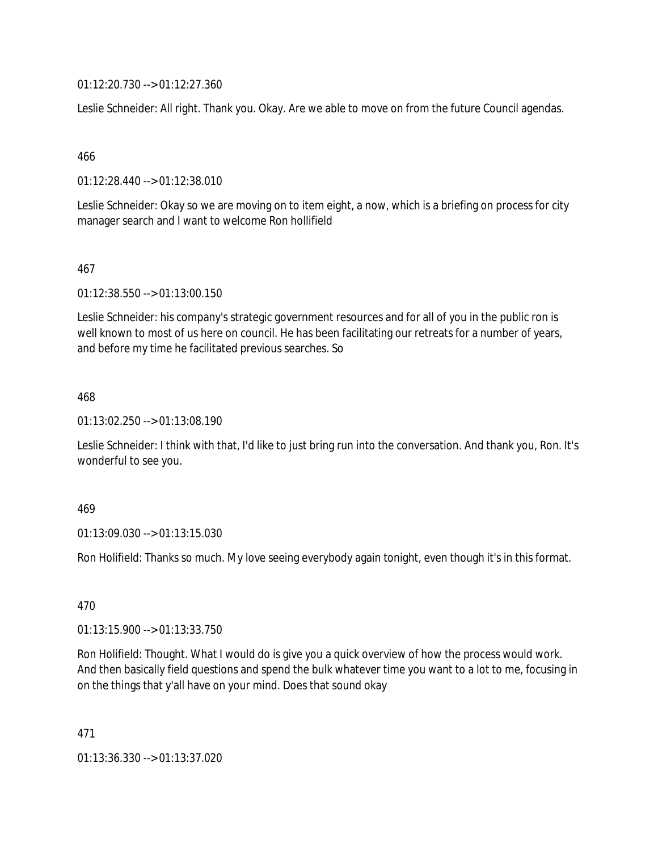01:12:20.730 --> 01:12:27.360

Leslie Schneider: All right. Thank you. Okay. Are we able to move on from the future Council agendas.

466

01:12:28.440 --> 01:12:38.010

Leslie Schneider: Okay so we are moving on to item eight, a now, which is a briefing on process for city manager search and I want to welcome Ron hollifield

467

01:12:38.550 --> 01:13:00.150

Leslie Schneider: his company's strategic government resources and for all of you in the public ron is well known to most of us here on council. He has been facilitating our retreats for a number of years, and before my time he facilitated previous searches. So

468

01:13:02.250 --> 01:13:08.190

Leslie Schneider: I think with that, I'd like to just bring run into the conversation. And thank you, Ron. It's wonderful to see you.

#### 469

01:13:09.030 --> 01:13:15.030

Ron Holifield: Thanks so much. My love seeing everybody again tonight, even though it's in this format.

470

01:13:15.900 --> 01:13:33.750

Ron Holifield: Thought. What I would do is give you a quick overview of how the process would work. And then basically field questions and spend the bulk whatever time you want to a lot to me, focusing in on the things that y'all have on your mind. Does that sound okay

471

01:13:36.330 --> 01:13:37.020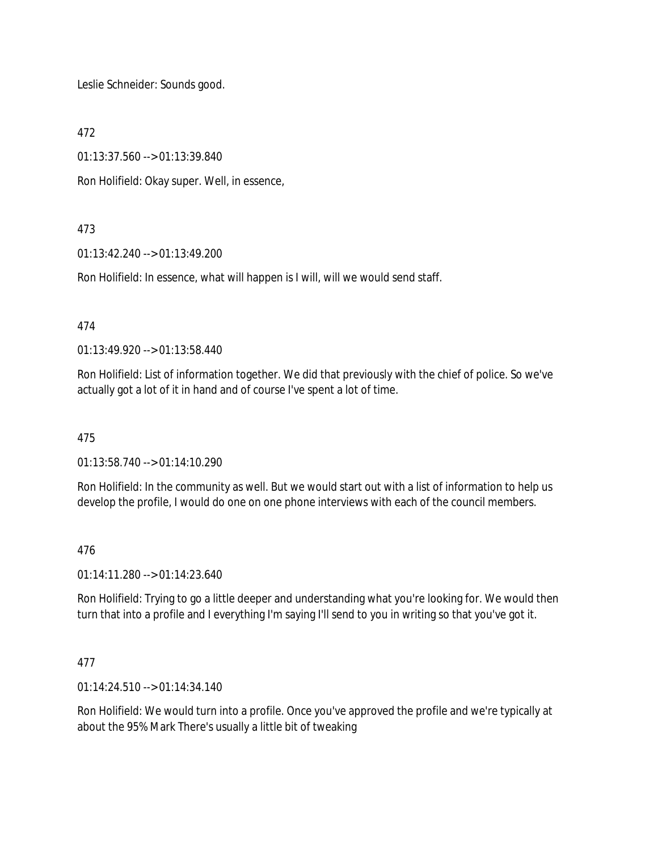Leslie Schneider: Sounds good.

472

01:13:37.560 --> 01:13:39.840

Ron Holifield: Okay super. Well, in essence,

#### 473

01:13:42.240 --> 01:13:49.200

Ron Holifield: In essence, what will happen is I will, will we would send staff.

#### 474

01:13:49.920 --> 01:13:58.440

Ron Holifield: List of information together. We did that previously with the chief of police. So we've actually got a lot of it in hand and of course I've spent a lot of time.

475

01:13:58.740 --> 01:14:10.290

Ron Holifield: In the community as well. But we would start out with a list of information to help us develop the profile, I would do one on one phone interviews with each of the council members.

#### 476

01:14:11.280 --> 01:14:23.640

Ron Holifield: Trying to go a little deeper and understanding what you're looking for. We would then turn that into a profile and I everything I'm saying I'll send to you in writing so that you've got it.

#### 477

01:14:24.510 --> 01:14:34.140

Ron Holifield: We would turn into a profile. Once you've approved the profile and we're typically at about the 95% Mark There's usually a little bit of tweaking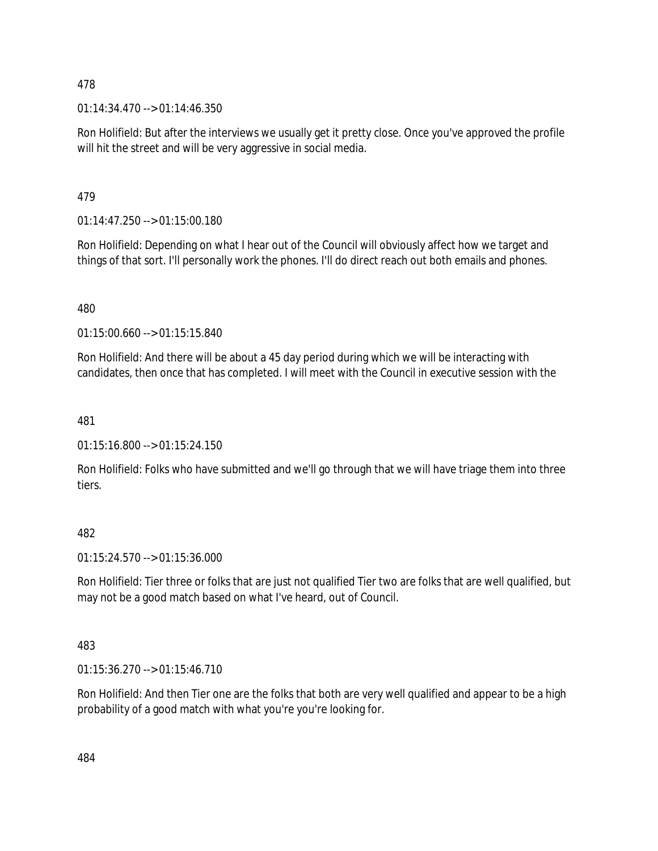01:14:34.470 --> 01:14:46.350

Ron Holifield: But after the interviews we usually get it pretty close. Once you've approved the profile will hit the street and will be very aggressive in social media.

## 479

01:14:47.250 --> 01:15:00.180

Ron Holifield: Depending on what I hear out of the Council will obviously affect how we target and things of that sort. I'll personally work the phones. I'll do direct reach out both emails and phones.

## 480

01:15:00.660 --> 01:15:15.840

Ron Holifield: And there will be about a 45 day period during which we will be interacting with candidates, then once that has completed. I will meet with the Council in executive session with the

## 481

01:15:16.800 --> 01:15:24.150

Ron Holifield: Folks who have submitted and we'll go through that we will have triage them into three tiers.

## 482

01:15:24.570 --> 01:15:36.000

Ron Holifield: Tier three or folks that are just not qualified Tier two are folks that are well qualified, but may not be a good match based on what I've heard, out of Council.

## 483

01:15:36.270 --> 01:15:46.710

Ron Holifield: And then Tier one are the folks that both are very well qualified and appear to be a high probability of a good match with what you're you're looking for.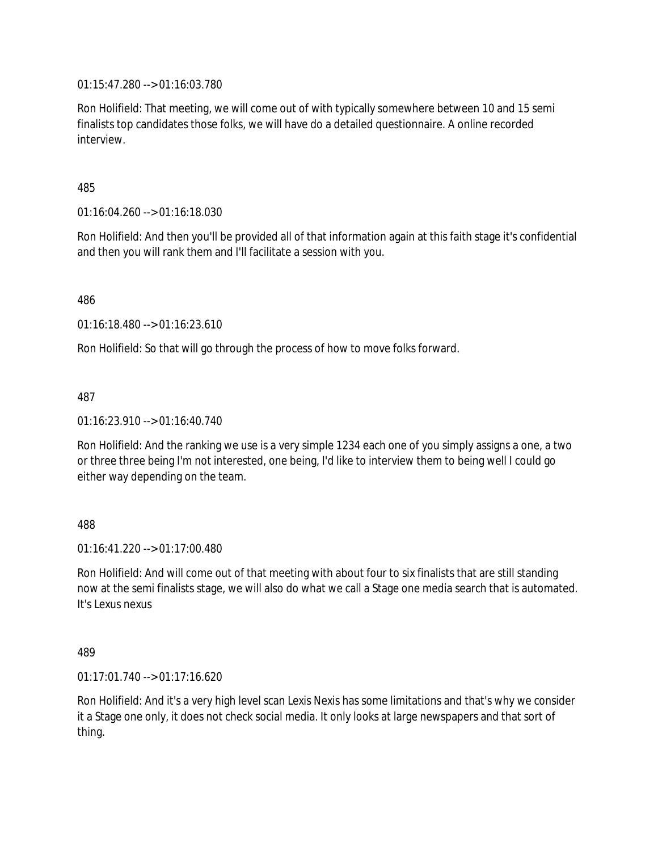01:15:47.280 --> 01:16:03.780

Ron Holifield: That meeting, we will come out of with typically somewhere between 10 and 15 semi finalists top candidates those folks, we will have do a detailed questionnaire. A online recorded interview.

485

01:16:04.260 --> 01:16:18.030

Ron Holifield: And then you'll be provided all of that information again at this faith stage it's confidential and then you will rank them and I'll facilitate a session with you.

486

01:16:18.480 --> 01:16:23.610

Ron Holifield: So that will go through the process of how to move folks forward.

487

01:16:23.910 --> 01:16:40.740

Ron Holifield: And the ranking we use is a very simple 1234 each one of you simply assigns a one, a two or three three being I'm not interested, one being, I'd like to interview them to being well I could go either way depending on the team.

488

01:16:41.220 --> 01:17:00.480

Ron Holifield: And will come out of that meeting with about four to six finalists that are still standing now at the semi finalists stage, we will also do what we call a Stage one media search that is automated. It's Lexus nexus

489

01:17:01.740 --> 01:17:16.620

Ron Holifield: And it's a very high level scan Lexis Nexis has some limitations and that's why we consider it a Stage one only, it does not check social media. It only looks at large newspapers and that sort of thing.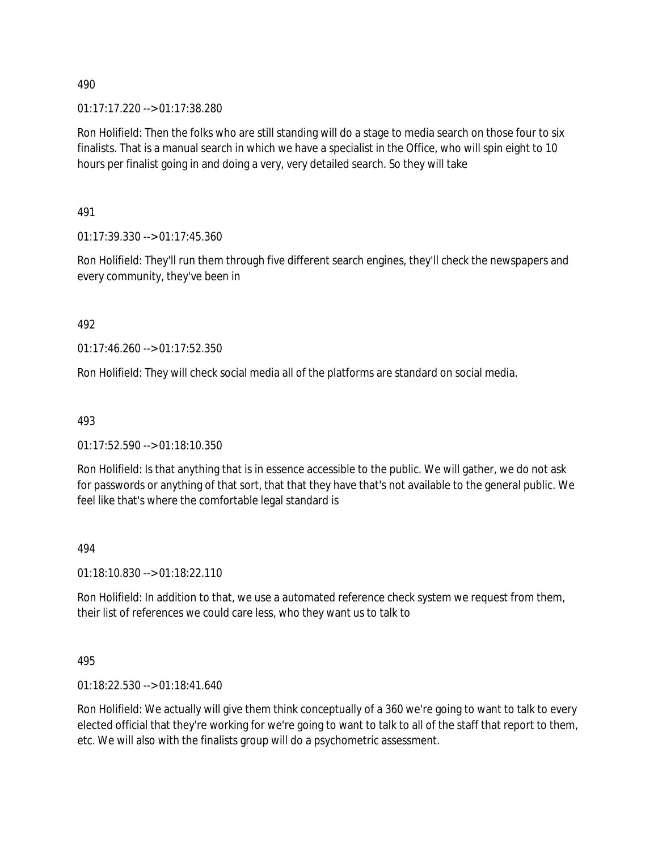01:17:17.220 --> 01:17:38.280

Ron Holifield: Then the folks who are still standing will do a stage to media search on those four to six finalists. That is a manual search in which we have a specialist in the Office, who will spin eight to 10 hours per finalist going in and doing a very, very detailed search. So they will take

491

01:17:39.330 --> 01:17:45.360

Ron Holifield: They'll run them through five different search engines, they'll check the newspapers and every community, they've been in

492

01:17:46.260 --> 01:17:52.350

Ron Holifield: They will check social media all of the platforms are standard on social media.

493

01:17:52.590 --> 01:18:10.350

Ron Holifield: Is that anything that is in essence accessible to the public. We will gather, we do not ask for passwords or anything of that sort, that that they have that's not available to the general public. We feel like that's where the comfortable legal standard is

494

01:18:10.830 --> 01:18:22.110

Ron Holifield: In addition to that, we use a automated reference check system we request from them, their list of references we could care less, who they want us to talk to

495

01:18:22.530 --> 01:18:41.640

Ron Holifield: We actually will give them think conceptually of a 360 we're going to want to talk to every elected official that they're working for we're going to want to talk to all of the staff that report to them, etc. We will also with the finalists group will do a psychometric assessment.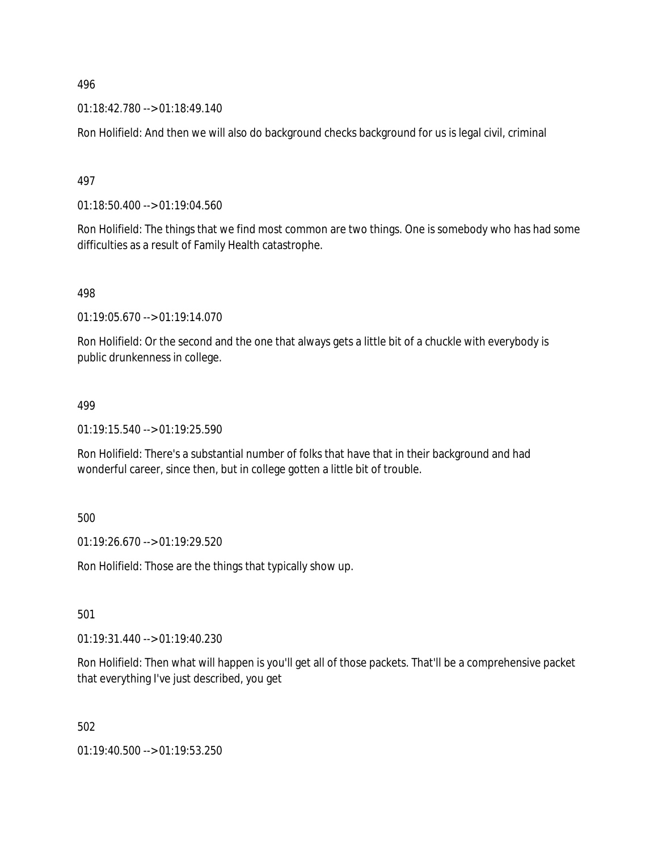01:18:42.780 --> 01:18:49.140

Ron Holifield: And then we will also do background checks background for us is legal civil, criminal

497

01:18:50.400 --> 01:19:04.560

Ron Holifield: The things that we find most common are two things. One is somebody who has had some difficulties as a result of Family Health catastrophe.

498

01:19:05.670 --> 01:19:14.070

Ron Holifield: Or the second and the one that always gets a little bit of a chuckle with everybody is public drunkenness in college.

#### 499

01:19:15.540 --> 01:19:25.590

Ron Holifield: There's a substantial number of folks that have that in their background and had wonderful career, since then, but in college gotten a little bit of trouble.

500

01:19:26.670 --> 01:19:29.520

Ron Holifield: Those are the things that typically show up.

501

01:19:31.440 --> 01:19:40.230

Ron Holifield: Then what will happen is you'll get all of those packets. That'll be a comprehensive packet that everything I've just described, you get

502

01:19:40.500 --> 01:19:53.250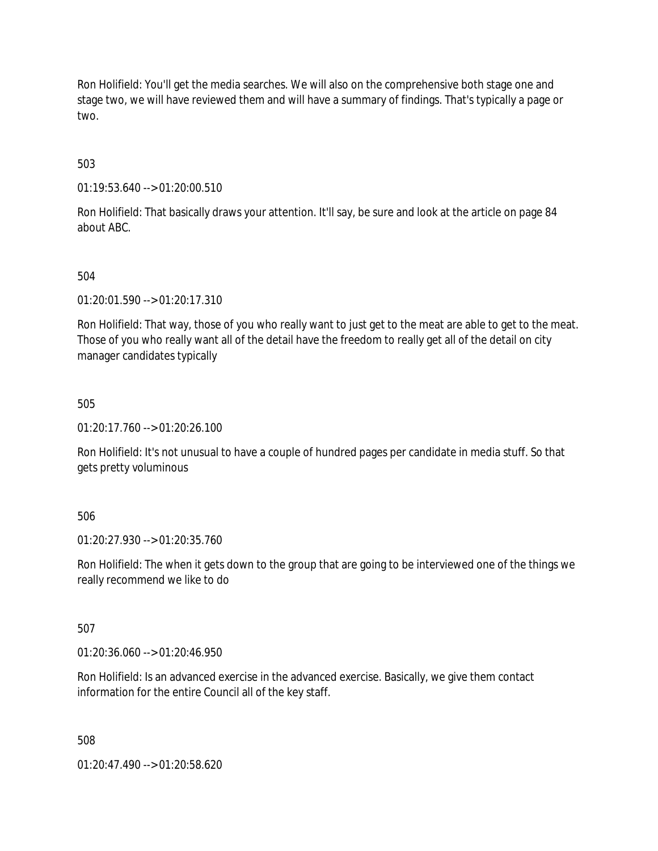Ron Holifield: You'll get the media searches. We will also on the comprehensive both stage one and stage two, we will have reviewed them and will have a summary of findings. That's typically a page or two.

503

01:19:53.640 --> 01:20:00.510

Ron Holifield: That basically draws your attention. It'll say, be sure and look at the article on page 84 about ABC.

504

01:20:01.590 --> 01:20:17.310

Ron Holifield: That way, those of you who really want to just get to the meat are able to get to the meat. Those of you who really want all of the detail have the freedom to really get all of the detail on city manager candidates typically

505

01:20:17.760 --> 01:20:26.100

Ron Holifield: It's not unusual to have a couple of hundred pages per candidate in media stuff. So that gets pretty voluminous

506

01:20:27.930 --> 01:20:35.760

Ron Holifield: The when it gets down to the group that are going to be interviewed one of the things we really recommend we like to do

507

01:20:36.060 --> 01:20:46.950

Ron Holifield: Is an advanced exercise in the advanced exercise. Basically, we give them contact information for the entire Council all of the key staff.

508

01:20:47.490 --> 01:20:58.620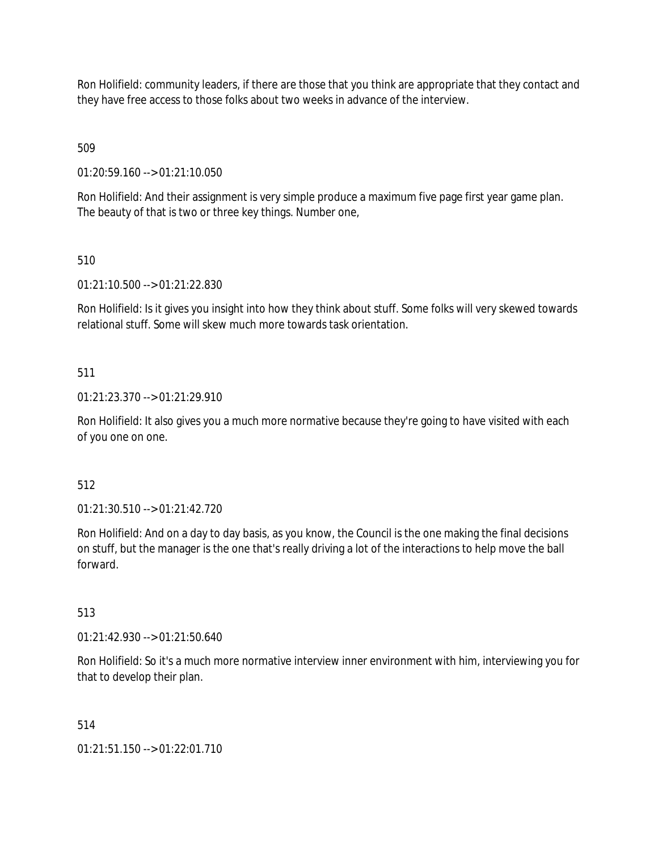Ron Holifield: community leaders, if there are those that you think are appropriate that they contact and they have free access to those folks about two weeks in advance of the interview.

509

01:20:59.160 --> 01:21:10.050

Ron Holifield: And their assignment is very simple produce a maximum five page first year game plan. The beauty of that is two or three key things. Number one,

510

01:21:10.500 --> 01:21:22.830

Ron Holifield: Is it gives you insight into how they think about stuff. Some folks will very skewed towards relational stuff. Some will skew much more towards task orientation.

511

01:21:23.370 --> 01:21:29.910

Ron Holifield: It also gives you a much more normative because they're going to have visited with each of you one on one.

512

01:21:30.510 --> 01:21:42.720

Ron Holifield: And on a day to day basis, as you know, the Council is the one making the final decisions on stuff, but the manager is the one that's really driving a lot of the interactions to help move the ball forward.

513

01:21:42.930 --> 01:21:50.640

Ron Holifield: So it's a much more normative interview inner environment with him, interviewing you for that to develop their plan.

514

01:21:51.150 --> 01:22:01.710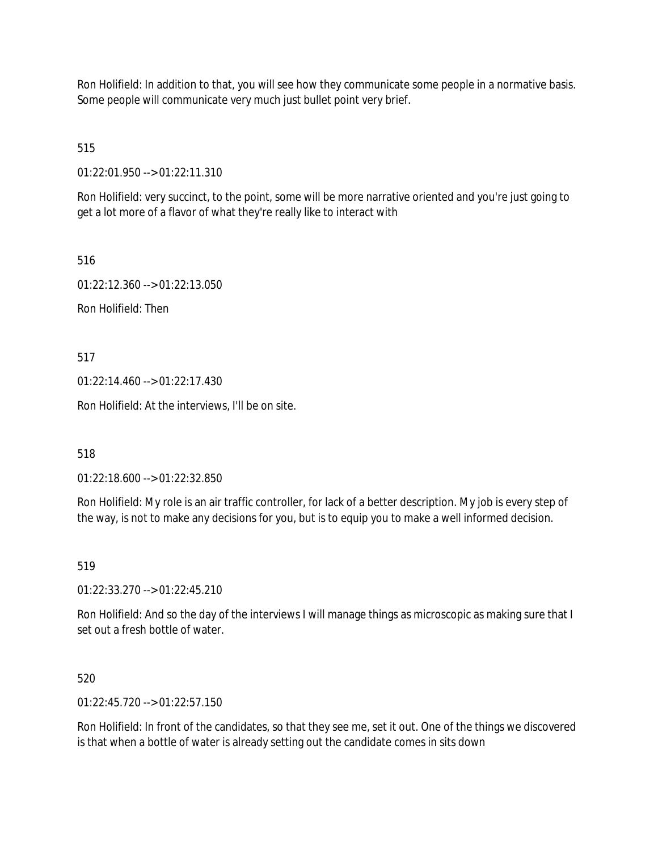Ron Holifield: In addition to that, you will see how they communicate some people in a normative basis. Some people will communicate very much just bullet point very brief.

515

01:22:01.950 --> 01:22:11.310

Ron Holifield: very succinct, to the point, some will be more narrative oriented and you're just going to get a lot more of a flavor of what they're really like to interact with

516

01:22:12.360 --> 01:22:13.050 Ron Holifield: Then

517

01:22:14.460 --> 01:22:17.430

Ron Holifield: At the interviews, I'll be on site.

518

01:22:18.600 --> 01:22:32.850

Ron Holifield: My role is an air traffic controller, for lack of a better description. My job is every step of the way, is not to make any decisions for you, but is to equip you to make a well informed decision.

519

01:22:33.270 --> 01:22:45.210

Ron Holifield: And so the day of the interviews I will manage things as microscopic as making sure that I set out a fresh bottle of water.

520

01:22:45.720 --> 01:22:57.150

Ron Holifield: In front of the candidates, so that they see me, set it out. One of the things we discovered is that when a bottle of water is already setting out the candidate comes in sits down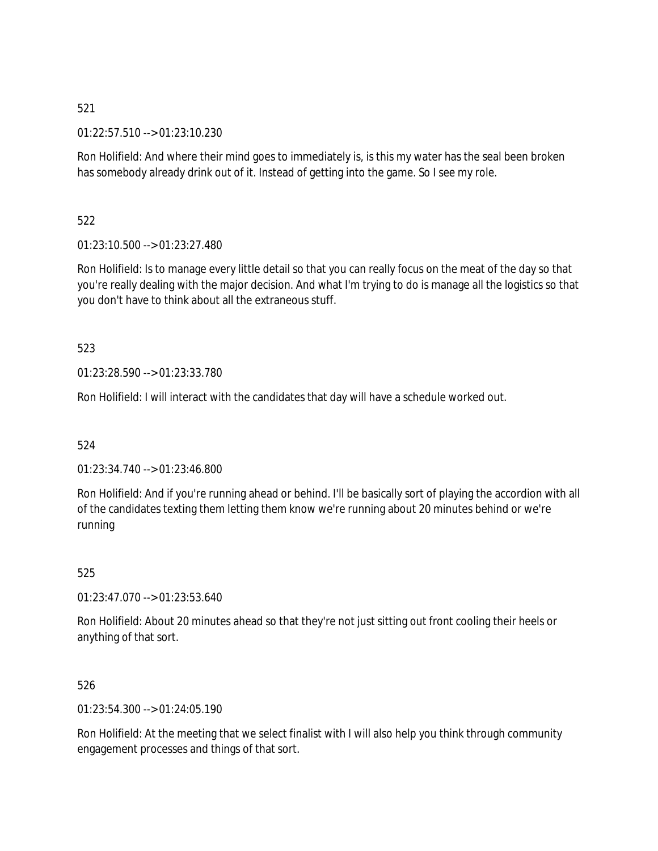01:22:57.510 --> 01:23:10.230

Ron Holifield: And where their mind goes to immediately is, is this my water has the seal been broken has somebody already drink out of it. Instead of getting into the game. So I see my role.

522

01:23:10.500 --> 01:23:27.480

Ron Holifield: Is to manage every little detail so that you can really focus on the meat of the day so that you're really dealing with the major decision. And what I'm trying to do is manage all the logistics so that you don't have to think about all the extraneous stuff.

523

01:23:28.590 --> 01:23:33.780

Ron Holifield: I will interact with the candidates that day will have a schedule worked out.

524

01:23:34.740 --> 01:23:46.800

Ron Holifield: And if you're running ahead or behind. I'll be basically sort of playing the accordion with all of the candidates texting them letting them know we're running about 20 minutes behind or we're running

525

01:23:47.070 --> 01:23:53.640

Ron Holifield: About 20 minutes ahead so that they're not just sitting out front cooling their heels or anything of that sort.

526

01:23:54.300 --> 01:24:05.190

Ron Holifield: At the meeting that we select finalist with I will also help you think through community engagement processes and things of that sort.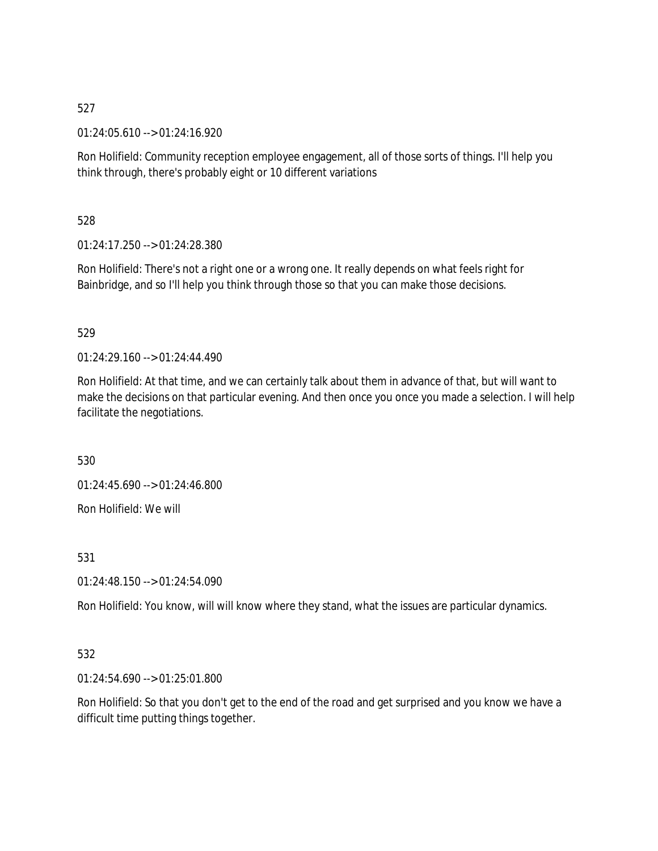01:24:05.610 --> 01:24:16.920

Ron Holifield: Community reception employee engagement, all of those sorts of things. I'll help you think through, there's probably eight or 10 different variations

528

01:24:17.250 --> 01:24:28.380

Ron Holifield: There's not a right one or a wrong one. It really depends on what feels right for Bainbridge, and so I'll help you think through those so that you can make those decisions.

#### 529

01:24:29.160 --> 01:24:44.490

Ron Holifield: At that time, and we can certainly talk about them in advance of that, but will want to make the decisions on that particular evening. And then once you once you made a selection. I will help facilitate the negotiations.

530

01:24:45.690 --> 01:24:46.800 Ron Holifield: We will

531

01:24:48.150 --> 01:24:54.090

Ron Holifield: You know, will will know where they stand, what the issues are particular dynamics.

## 532

01:24:54.690 --> 01:25:01.800

Ron Holifield: So that you don't get to the end of the road and get surprised and you know we have a difficult time putting things together.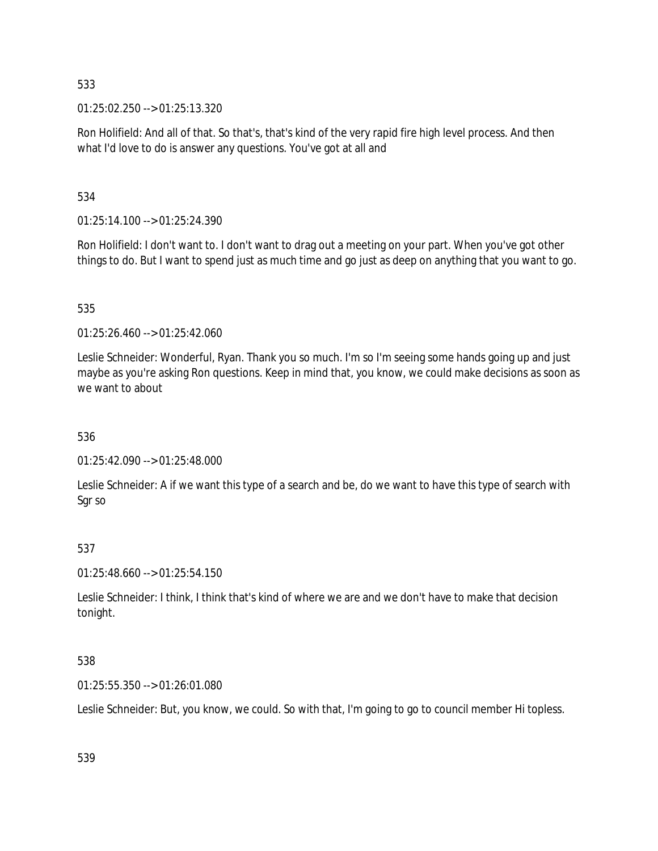01:25:02.250 --> 01:25:13.320

Ron Holifield: And all of that. So that's, that's kind of the very rapid fire high level process. And then what I'd love to do is answer any questions. You've got at all and

534

01:25:14.100 --> 01:25:24.390

Ron Holifield: I don't want to. I don't want to drag out a meeting on your part. When you've got other things to do. But I want to spend just as much time and go just as deep on anything that you want to go.

535

01:25:26.460 --> 01:25:42.060

Leslie Schneider: Wonderful, Ryan. Thank you so much. I'm so I'm seeing some hands going up and just maybe as you're asking Ron questions. Keep in mind that, you know, we could make decisions as soon as we want to about

536

01:25:42.090 --> 01:25:48.000

Leslie Schneider: A if we want this type of a search and be, do we want to have this type of search with Sgr so

#### 537

01:25:48.660 --> 01:25:54.150

Leslie Schneider: I think, I think that's kind of where we are and we don't have to make that decision tonight.

#### 538

01:25:55.350 --> 01:26:01.080

Leslie Schneider: But, you know, we could. So with that, I'm going to go to council member Hi topless.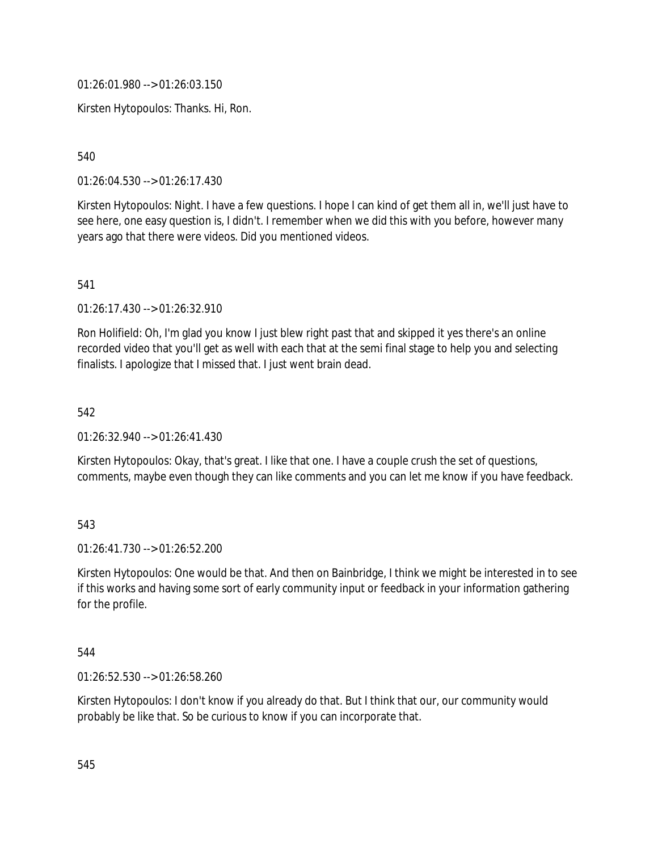01:26:01.980 --> 01:26:03.150

Kirsten Hytopoulos: Thanks. Hi, Ron.

540

01:26:04.530 --> 01:26:17.430

Kirsten Hytopoulos: Night. I have a few questions. I hope I can kind of get them all in, we'll just have to see here, one easy question is, I didn't. I remember when we did this with you before, however many years ago that there were videos. Did you mentioned videos.

541

01:26:17.430 --> 01:26:32.910

Ron Holifield: Oh, I'm glad you know I just blew right past that and skipped it yes there's an online recorded video that you'll get as well with each that at the semi final stage to help you and selecting finalists. I apologize that I missed that. I just went brain dead.

542

01:26:32.940 --> 01:26:41.430

Kirsten Hytopoulos: Okay, that's great. I like that one. I have a couple crush the set of questions, comments, maybe even though they can like comments and you can let me know if you have feedback.

#### 543

01:26:41.730 --> 01:26:52.200

Kirsten Hytopoulos: One would be that. And then on Bainbridge, I think we might be interested in to see if this works and having some sort of early community input or feedback in your information gathering for the profile.

544

01:26:52.530 --> 01:26:58.260

Kirsten Hytopoulos: I don't know if you already do that. But I think that our, our community would probably be like that. So be curious to know if you can incorporate that.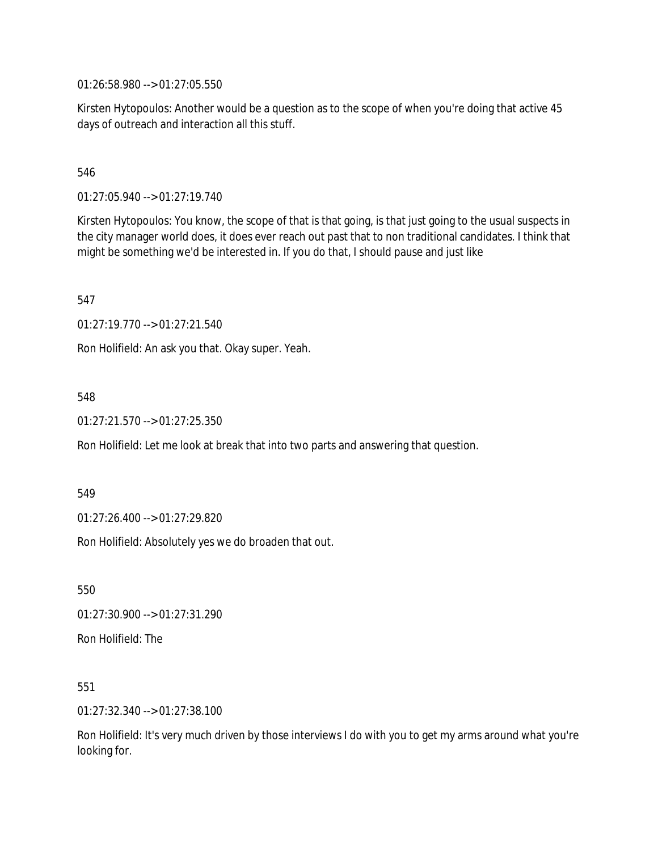01:26:58.980 --> 01:27:05.550

Kirsten Hytopoulos: Another would be a question as to the scope of when you're doing that active 45 days of outreach and interaction all this stuff.

546

01:27:05.940 --> 01:27:19.740

Kirsten Hytopoulos: You know, the scope of that is that going, is that just going to the usual suspects in the city manager world does, it does ever reach out past that to non traditional candidates. I think that might be something we'd be interested in. If you do that, I should pause and just like

547

01:27:19.770 --> 01:27:21.540

Ron Holifield: An ask you that. Okay super. Yeah.

548

01:27:21.570 --> 01:27:25.350

Ron Holifield: Let me look at break that into two parts and answering that question.

549

01:27:26.400 --> 01:27:29.820

Ron Holifield: Absolutely yes we do broaden that out.

550

01:27:30.900 --> 01:27:31.290

Ron Holifield: The

551

01:27:32.340 --> 01:27:38.100

Ron Holifield: It's very much driven by those interviews I do with you to get my arms around what you're looking for.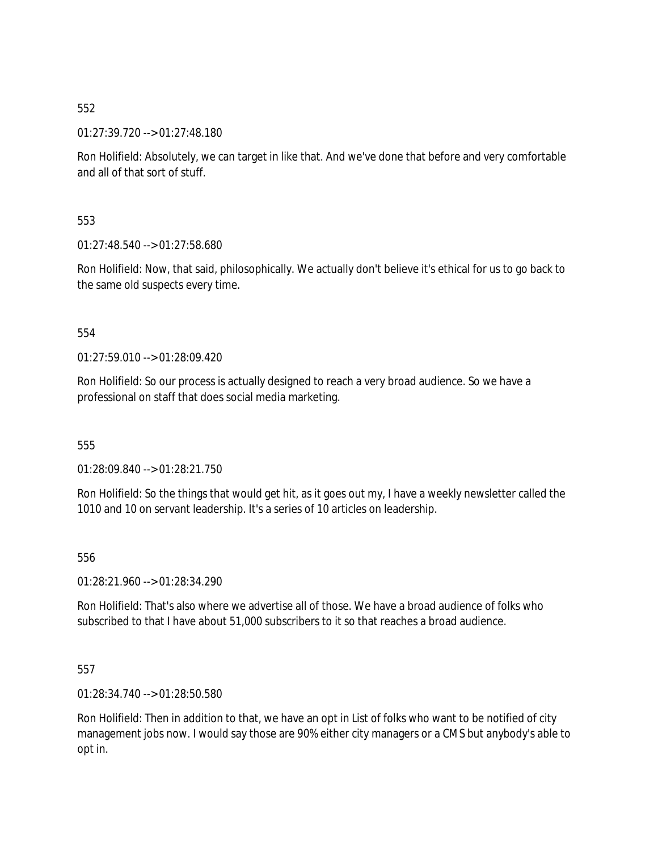01:27:39.720 --> 01:27:48.180

Ron Holifield: Absolutely, we can target in like that. And we've done that before and very comfortable and all of that sort of stuff.

553

01:27:48.540 --> 01:27:58.680

Ron Holifield: Now, that said, philosophically. We actually don't believe it's ethical for us to go back to the same old suspects every time.

554

01:27:59.010 --> 01:28:09.420

Ron Holifield: So our process is actually designed to reach a very broad audience. So we have a professional on staff that does social media marketing.

555

01:28:09.840 --> 01:28:21.750

Ron Holifield: So the things that would get hit, as it goes out my, I have a weekly newsletter called the 1010 and 10 on servant leadership. It's a series of 10 articles on leadership.

556

01:28:21.960 --> 01:28:34.290

Ron Holifield: That's also where we advertise all of those. We have a broad audience of folks who subscribed to that I have about 51,000 subscribers to it so that reaches a broad audience.

557

01:28:34.740 --> 01:28:50.580

Ron Holifield: Then in addition to that, we have an opt in List of folks who want to be notified of city management jobs now. I would say those are 90% either city managers or a CMS but anybody's able to opt in.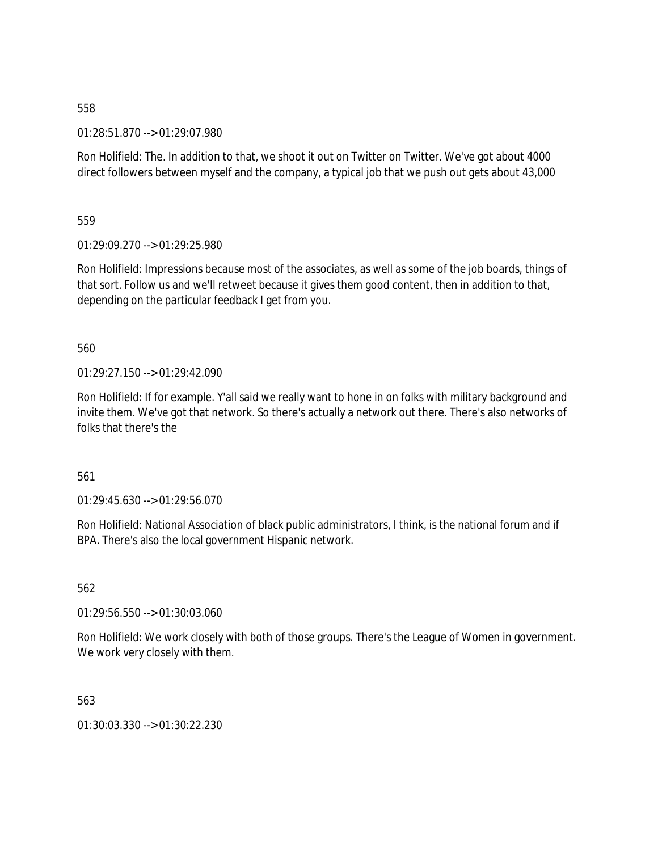01:28:51.870 --> 01:29:07.980

Ron Holifield: The. In addition to that, we shoot it out on Twitter on Twitter. We've got about 4000 direct followers between myself and the company, a typical job that we push out gets about 43,000

559

01:29:09.270 --> 01:29:25.980

Ron Holifield: Impressions because most of the associates, as well as some of the job boards, things of that sort. Follow us and we'll retweet because it gives them good content, then in addition to that, depending on the particular feedback I get from you.

560

01:29:27.150 --> 01:29:42.090

Ron Holifield: If for example. Y'all said we really want to hone in on folks with military background and invite them. We've got that network. So there's actually a network out there. There's also networks of folks that there's the

561

 $01:29:45.630 \rightarrow 01:29:56.070$ 

Ron Holifield: National Association of black public administrators, I think, is the national forum and if BPA. There's also the local government Hispanic network.

562

01:29:56.550 --> 01:30:03.060

Ron Holifield: We work closely with both of those groups. There's the League of Women in government. We work very closely with them.

563

01:30:03.330 --> 01:30:22.230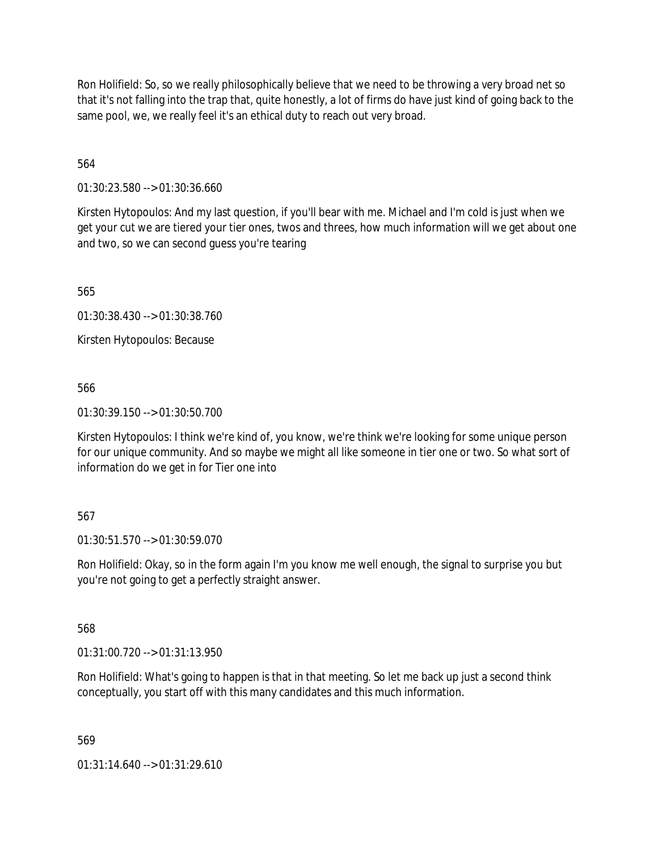Ron Holifield: So, so we really philosophically believe that we need to be throwing a very broad net so that it's not falling into the trap that, quite honestly, a lot of firms do have just kind of going back to the same pool, we, we really feel it's an ethical duty to reach out very broad.

564

01:30:23.580 --> 01:30:36.660

Kirsten Hytopoulos: And my last question, if you'll bear with me. Michael and I'm cold is just when we get your cut we are tiered your tier ones, twos and threes, how much information will we get about one and two, so we can second guess you're tearing

565

01:30:38.430 --> 01:30:38.760

Kirsten Hytopoulos: Because

566

01:30:39.150 --> 01:30:50.700

Kirsten Hytopoulos: I think we're kind of, you know, we're think we're looking for some unique person for our unique community. And so maybe we might all like someone in tier one or two. So what sort of information do we get in for Tier one into

#### 567

01:30:51.570 --> 01:30:59.070

Ron Holifield: Okay, so in the form again I'm you know me well enough, the signal to surprise you but you're not going to get a perfectly straight answer.

568

01:31:00.720 --> 01:31:13.950

Ron Holifield: What's going to happen is that in that meeting. So let me back up just a second think conceptually, you start off with this many candidates and this much information.

569

 $01:31:14.640 \rightarrow 01:31:29.610$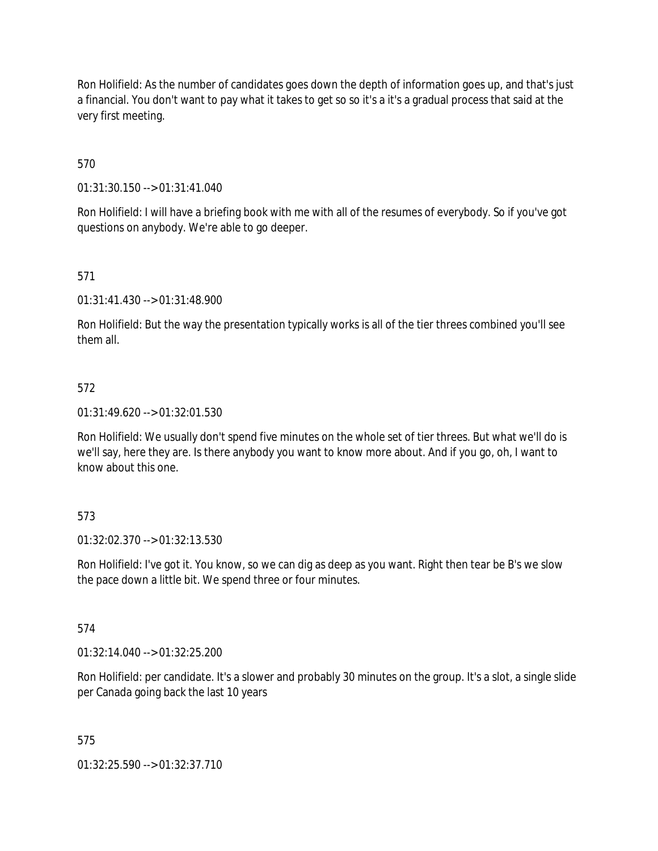Ron Holifield: As the number of candidates goes down the depth of information goes up, and that's just a financial. You don't want to pay what it takes to get so so it's a it's a gradual process that said at the very first meeting.

570

01:31:30.150 --> 01:31:41.040

Ron Holifield: I will have a briefing book with me with all of the resumes of everybody. So if you've got questions on anybody. We're able to go deeper.

571

01:31:41.430 --> 01:31:48.900

Ron Holifield: But the way the presentation typically works is all of the tier threes combined you'll see them all.

#### 572

01:31:49.620 --> 01:32:01.530

Ron Holifield: We usually don't spend five minutes on the whole set of tier threes. But what we'll do is we'll say, here they are. Is there anybody you want to know more about. And if you go, oh, I want to know about this one.

#### 573

01:32:02.370 --> 01:32:13.530

Ron Holifield: I've got it. You know, so we can dig as deep as you want. Right then tear be B's we slow the pace down a little bit. We spend three or four minutes.

#### 574

01:32:14.040 --> 01:32:25.200

Ron Holifield: per candidate. It's a slower and probably 30 minutes on the group. It's a slot, a single slide per Canada going back the last 10 years

#### 575

01:32:25.590 --> 01:32:37.710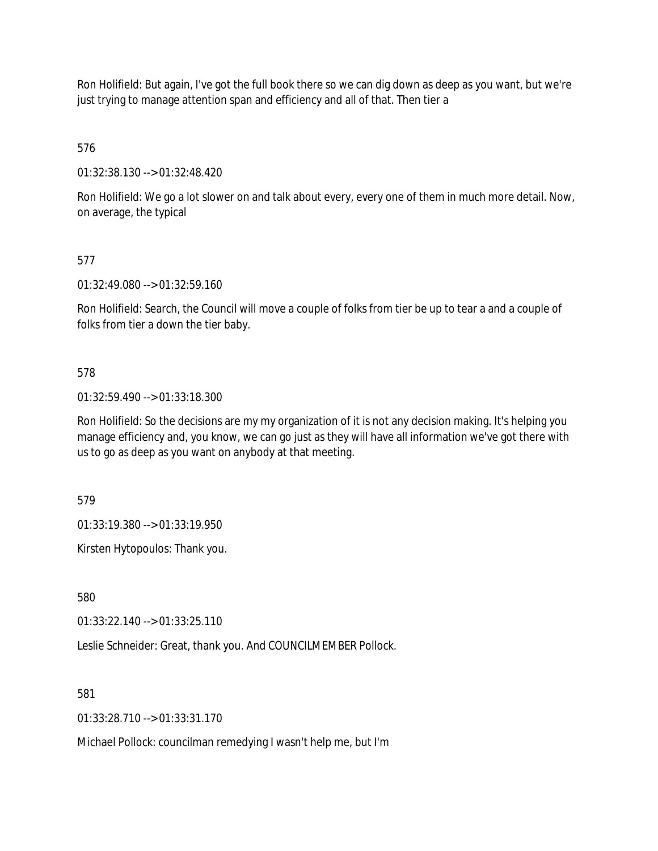Ron Holifield: But again, I've got the full book there so we can dig down as deep as you want, but we're just trying to manage attention span and efficiency and all of that. Then tier a

576

01:32:38.130 --> 01:32:48.420

Ron Holifield: We go a lot slower on and talk about every, every one of them in much more detail. Now, on average, the typical

## 577

01:32:49.080 --> 01:32:59.160

Ron Holifield: Search, the Council will move a couple of folks from tier be up to tear a and a couple of folks from tier a down the tier baby.

#### 578

01:32:59.490 --> 01:33:18.300

Ron Holifield: So the decisions are my my organization of it is not any decision making. It's helping you manage efficiency and, you know, we can go just as they will have all information we've got there with us to go as deep as you want on anybody at that meeting.

579

01:33:19.380 --> 01:33:19.950

Kirsten Hytopoulos: Thank you.

580

01:33:22.140 --> 01:33:25.110

Leslie Schneider: Great, thank you. And COUNCILMEMBER Pollock.

581

01:33:28.710 --> 01:33:31.170

Michael Pollock: councilman remedying I wasn't help me, but I'm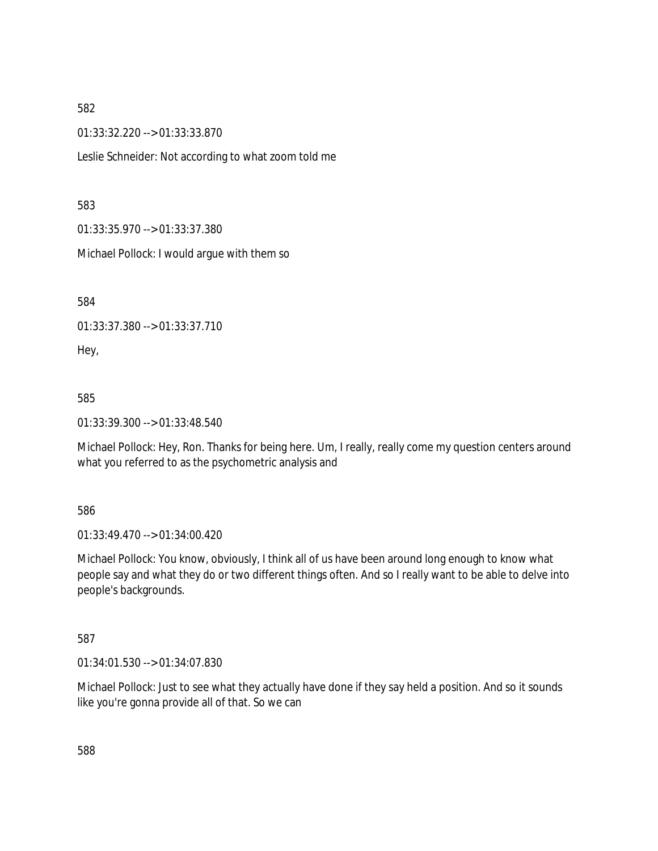01:33:32.220 --> 01:33:33.870

Leslie Schneider: Not according to what zoom told me

#### 583

01:33:35.970 --> 01:33:37.380

Michael Pollock: I would argue with them so

584

01:33:37.380 --> 01:33:37.710

Hey,

#### 585

01:33:39.300 --> 01:33:48.540

Michael Pollock: Hey, Ron. Thanks for being here. Um, I really, really come my question centers around what you referred to as the psychometric analysis and

#### 586

01:33:49.470 --> 01:34:00.420

Michael Pollock: You know, obviously, I think all of us have been around long enough to know what people say and what they do or two different things often. And so I really want to be able to delve into people's backgrounds.

#### 587

01:34:01.530 --> 01:34:07.830

Michael Pollock: Just to see what they actually have done if they say held a position. And so it sounds like you're gonna provide all of that. So we can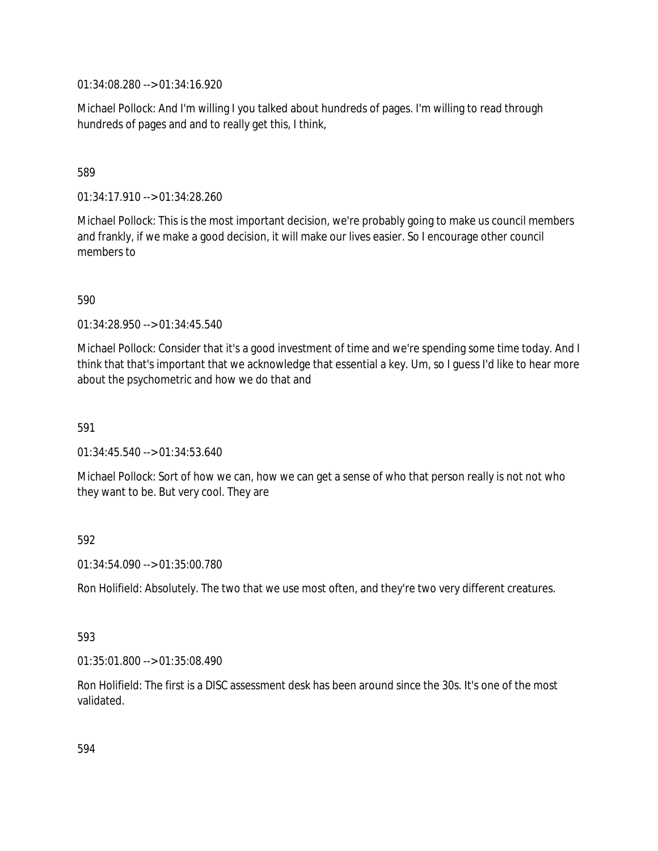01:34:08.280 --> 01:34:16.920

Michael Pollock: And I'm willing I you talked about hundreds of pages. I'm willing to read through hundreds of pages and and to really get this, I think,

## 589

01:34:17.910 --> 01:34:28.260

Michael Pollock: This is the most important decision, we're probably going to make us council members and frankly, if we make a good decision, it will make our lives easier. So I encourage other council members to

590

01:34:28.950 --> 01:34:45.540

Michael Pollock: Consider that it's a good investment of time and we're spending some time today. And I think that that's important that we acknowledge that essential a key. Um, so I guess I'd like to hear more about the psychometric and how we do that and

591

 $01:34:45.540 \rightarrow 01:34:53.640$ 

Michael Pollock: Sort of how we can, how we can get a sense of who that person really is not not who they want to be. But very cool. They are

#### 592

01:34:54.090 --> 01:35:00.780

Ron Holifield: Absolutely. The two that we use most often, and they're two very different creatures.

#### 593

01:35:01.800 --> 01:35:08.490

Ron Holifield: The first is a DISC assessment desk has been around since the 30s. It's one of the most validated.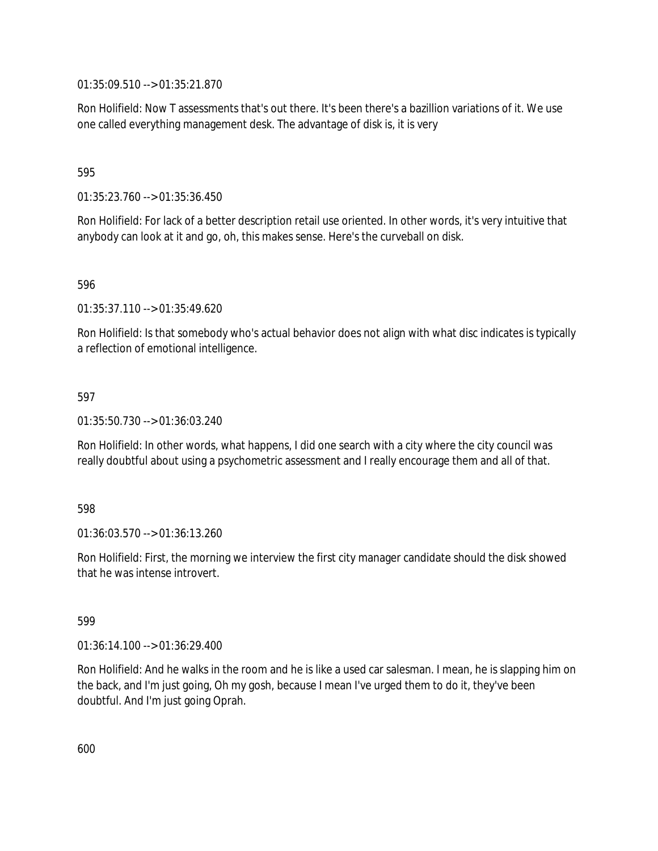01:35:09.510 --> 01:35:21.870

Ron Holifield: Now T assessments that's out there. It's been there's a bazillion variations of it. We use one called everything management desk. The advantage of disk is, it is very

#### 595

01:35:23.760 --> 01:35:36.450

Ron Holifield: For lack of a better description retail use oriented. In other words, it's very intuitive that anybody can look at it and go, oh, this makes sense. Here's the curveball on disk.

596

01:35:37.110 --> 01:35:49.620

Ron Holifield: Is that somebody who's actual behavior does not align with what disc indicates is typically a reflection of emotional intelligence.

#### 597

01:35:50.730 --> 01:36:03.240

Ron Holifield: In other words, what happens, I did one search with a city where the city council was really doubtful about using a psychometric assessment and I really encourage them and all of that.

#### 598

01:36:03.570 --> 01:36:13.260

Ron Holifield: First, the morning we interview the first city manager candidate should the disk showed that he was intense introvert.

#### 599

01:36:14.100 --> 01:36:29.400

Ron Holifield: And he walks in the room and he is like a used car salesman. I mean, he is slapping him on the back, and I'm just going, Oh my gosh, because I mean I've urged them to do it, they've been doubtful. And I'm just going Oprah.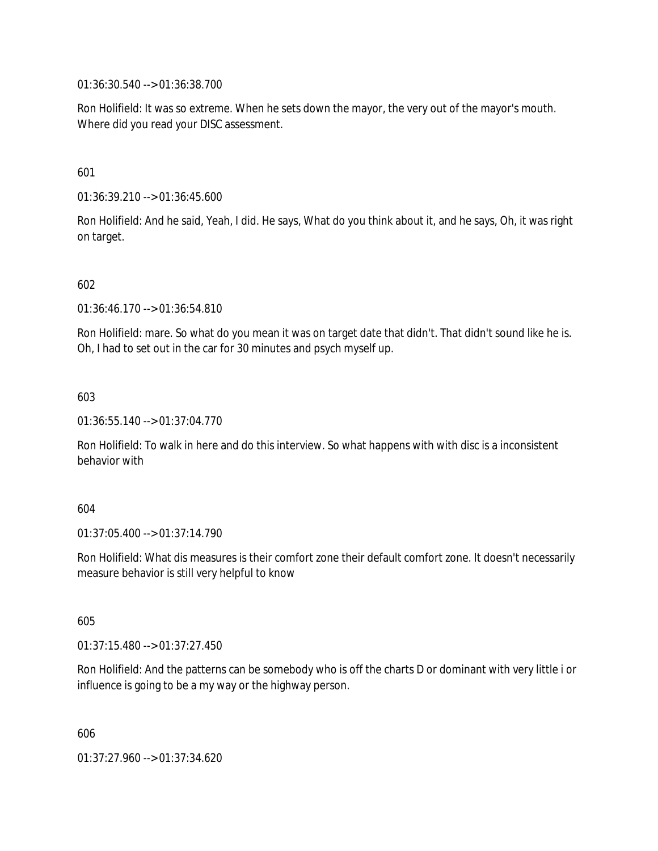01:36:30.540 --> 01:36:38.700

Ron Holifield: It was so extreme. When he sets down the mayor, the very out of the mayor's mouth. Where did you read your DISC assessment.

601

01:36:39.210 --> 01:36:45.600

Ron Holifield: And he said, Yeah, I did. He says, What do you think about it, and he says, Oh, it was right on target.

602

01:36:46.170 --> 01:36:54.810

Ron Holifield: mare. So what do you mean it was on target date that didn't. That didn't sound like he is. Oh, I had to set out in the car for 30 minutes and psych myself up.

603

01:36:55.140 --> 01:37:04.770

Ron Holifield: To walk in here and do this interview. So what happens with with disc is a inconsistent behavior with

604

01:37:05.400 --> 01:37:14.790

Ron Holifield: What dis measures is their comfort zone their default comfort zone. It doesn't necessarily measure behavior is still very helpful to know

605

01:37:15.480 --> 01:37:27.450

Ron Holifield: And the patterns can be somebody who is off the charts D or dominant with very little i or influence is going to be a my way or the highway person.

606

01:37:27.960 --> 01:37:34.620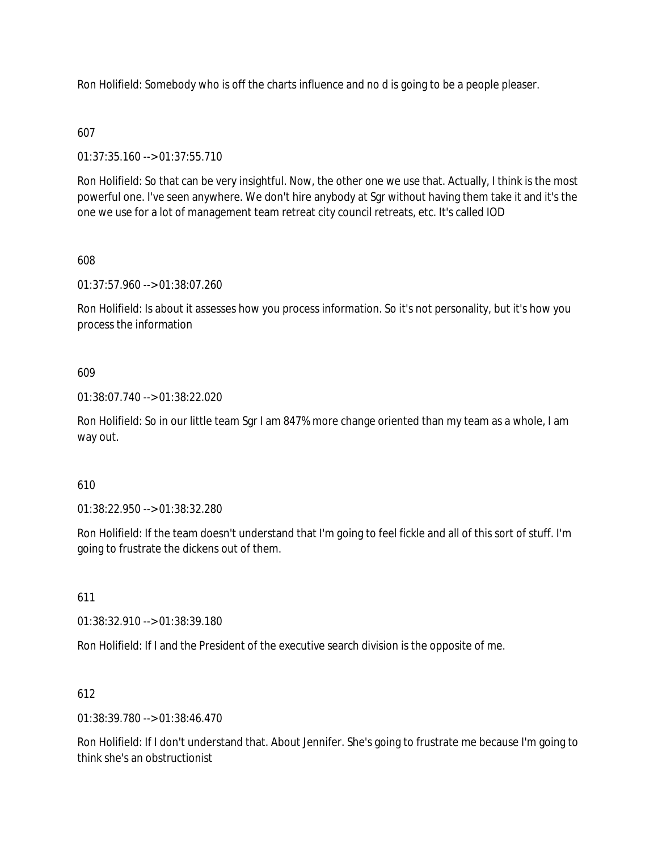Ron Holifield: Somebody who is off the charts influence and no d is going to be a people pleaser.

## 607

01:37:35.160 --> 01:37:55.710

Ron Holifield: So that can be very insightful. Now, the other one we use that. Actually, I think is the most powerful one. I've seen anywhere. We don't hire anybody at Sgr without having them take it and it's the one we use for a lot of management team retreat city council retreats, etc. It's called IOD

## 608

01:37:57.960 --> 01:38:07.260

Ron Holifield: Is about it assesses how you process information. So it's not personality, but it's how you process the information

## 609

01:38:07.740 --> 01:38:22.020

Ron Holifield: So in our little team Sgr I am 847% more change oriented than my team as a whole, I am way out.

## 610

01:38:22.950 --> 01:38:32.280

Ron Holifield: If the team doesn't understand that I'm going to feel fickle and all of this sort of stuff. I'm going to frustrate the dickens out of them.

#### 611

01:38:32.910 --> 01:38:39.180

Ron Holifield: If I and the President of the executive search division is the opposite of me.

## 612

01:38:39.780 --> 01:38:46.470

Ron Holifield: If I don't understand that. About Jennifer. She's going to frustrate me because I'm going to think she's an obstructionist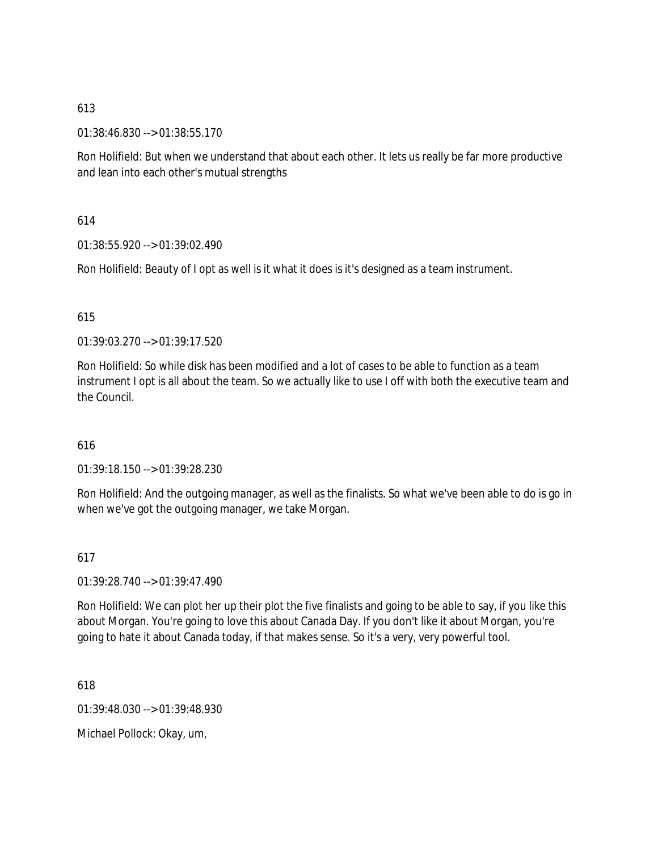01:38:46.830 --> 01:38:55.170

Ron Holifield: But when we understand that about each other. It lets us really be far more productive and lean into each other's mutual strengths

#### 614

01:38:55.920 --> 01:39:02.490

Ron Holifield: Beauty of I opt as well is it what it does is it's designed as a team instrument.

#### 615

01:39:03.270 --> 01:39:17.520

Ron Holifield: So while disk has been modified and a lot of cases to be able to function as a team instrument I opt is all about the team. So we actually like to use I off with both the executive team and the Council.

#### 616

01:39:18.150 --> 01:39:28.230

Ron Holifield: And the outgoing manager, as well as the finalists. So what we've been able to do is go in when we've got the outgoing manager, we take Morgan.

#### 617

01:39:28.740 --> 01:39:47.490

Ron Holifield: We can plot her up their plot the five finalists and going to be able to say, if you like this about Morgan. You're going to love this about Canada Day. If you don't like it about Morgan, you're going to hate it about Canada today, if that makes sense. So it's a very, very powerful tool.

618

01:39:48.030 --> 01:39:48.930

Michael Pollock: Okay, um,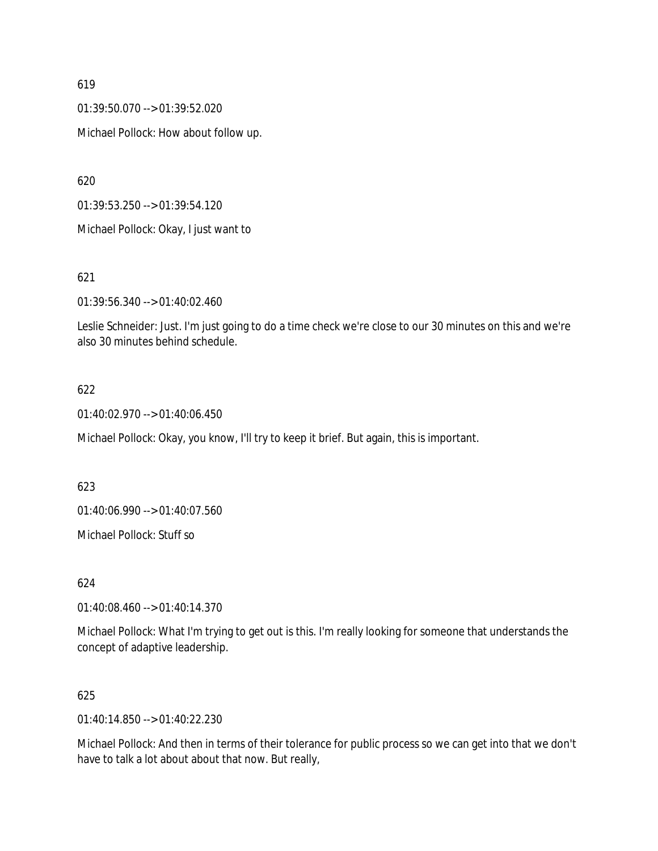01:39:50.070 --> 01:39:52.020

Michael Pollock: How about follow up.

620

01:39:53.250 --> 01:39:54.120

Michael Pollock: Okay, I just want to

#### 621

01:39:56.340 --> 01:40:02.460

Leslie Schneider: Just. I'm just going to do a time check we're close to our 30 minutes on this and we're also 30 minutes behind schedule.

## 622

01:40:02.970 --> 01:40:06.450

Michael Pollock: Okay, you know, I'll try to keep it brief. But again, this is important.

623

01:40:06.990 --> 01:40:07.560

Michael Pollock: Stuff so

624

01:40:08.460 --> 01:40:14.370

Michael Pollock: What I'm trying to get out is this. I'm really looking for someone that understands the concept of adaptive leadership.

#### 625

01:40:14.850 --> 01:40:22.230

Michael Pollock: And then in terms of their tolerance for public process so we can get into that we don't have to talk a lot about about that now. But really,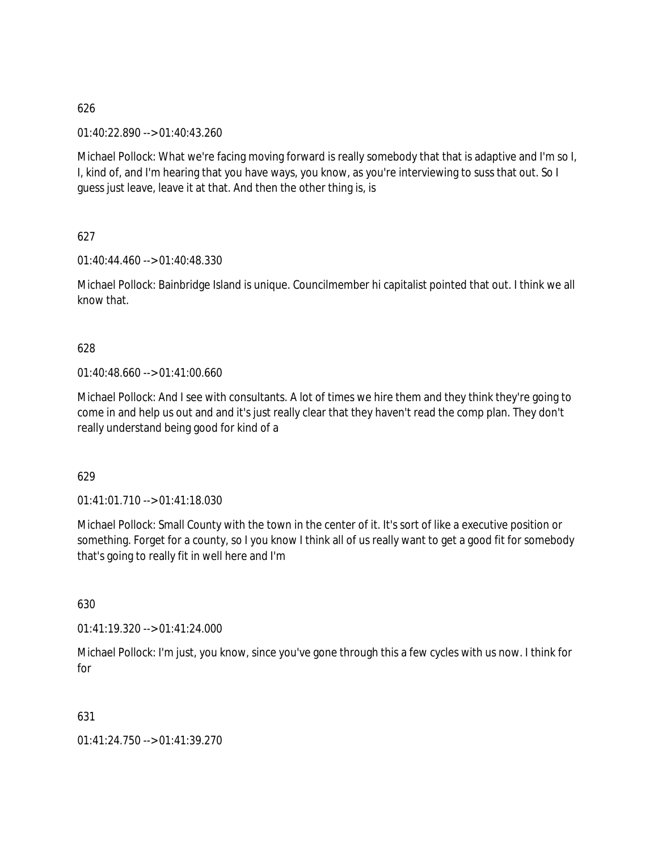01:40:22.890 --> 01:40:43.260

Michael Pollock: What we're facing moving forward is really somebody that that is adaptive and I'm so I, I, kind of, and I'm hearing that you have ways, you know, as you're interviewing to suss that out. So I guess just leave, leave it at that. And then the other thing is, is

627

01:40:44.460 --> 01:40:48.330

Michael Pollock: Bainbridge Island is unique. Councilmember hi capitalist pointed that out. I think we all know that.

#### 628

01:40:48.660 --> 01:41:00.660

Michael Pollock: And I see with consultants. A lot of times we hire them and they think they're going to come in and help us out and and it's just really clear that they haven't read the comp plan. They don't really understand being good for kind of a

629

 $01:41:01.710 \rightarrow 01:41:18.030$ 

Michael Pollock: Small County with the town in the center of it. It's sort of like a executive position or something. Forget for a county, so I you know I think all of us really want to get a good fit for somebody that's going to really fit in well here and I'm

630

01:41:19.320 --> 01:41:24.000

Michael Pollock: I'm just, you know, since you've gone through this a few cycles with us now. I think for for

631

01:41:24.750 --> 01:41:39.270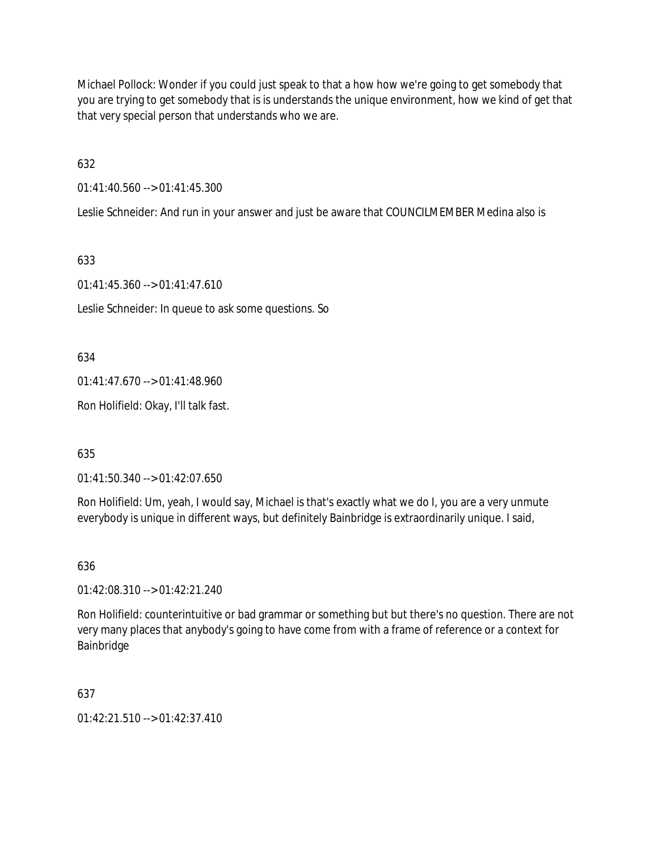Michael Pollock: Wonder if you could just speak to that a how how we're going to get somebody that you are trying to get somebody that is is understands the unique environment, how we kind of get that that very special person that understands who we are.

632

01:41:40.560 --> 01:41:45.300

Leslie Schneider: And run in your answer and just be aware that COUNCILMEMBER Medina also is

633

01:41:45.360 --> 01:41:47.610

Leslie Schneider: In queue to ask some questions. So

634

01:41:47.670 --> 01:41:48.960

Ron Holifield: Okay, I'll talk fast.

635

01:41:50.340 --> 01:42:07.650

Ron Holifield: Um, yeah, I would say, Michael is that's exactly what we do I, you are a very unmute everybody is unique in different ways, but definitely Bainbridge is extraordinarily unique. I said,

636

01:42:08.310 --> 01:42:21.240

Ron Holifield: counterintuitive or bad grammar or something but but there's no question. There are not very many places that anybody's going to have come from with a frame of reference or a context for Bainbridge

637

01:42:21.510 --> 01:42:37.410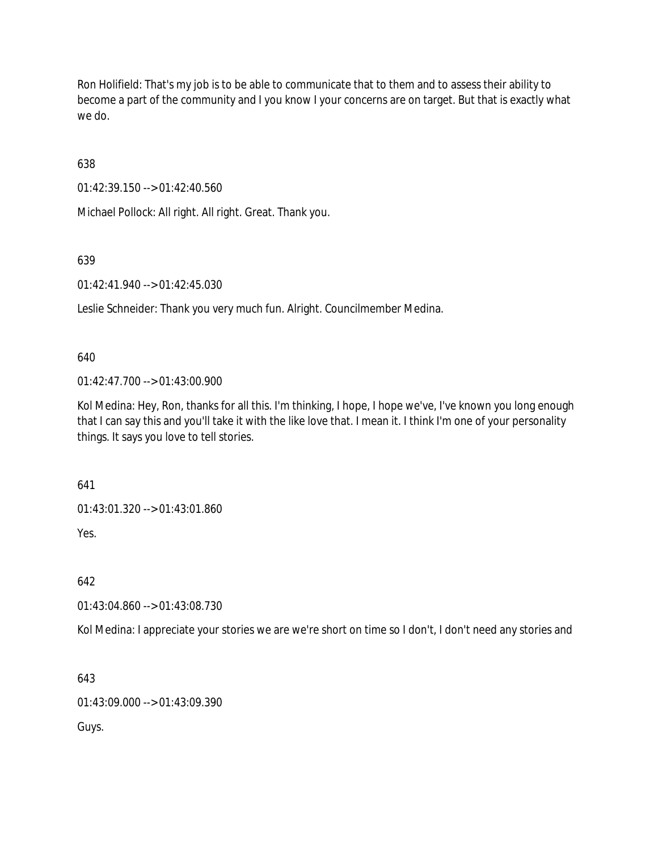Ron Holifield: That's my job is to be able to communicate that to them and to assess their ability to become a part of the community and I you know I your concerns are on target. But that is exactly what we do.

638

01:42:39.150 --> 01:42:40.560

Michael Pollock: All right. All right. Great. Thank you.

639

01:42:41.940 --> 01:42:45.030

Leslie Schneider: Thank you very much fun. Alright. Councilmember Medina.

640

01:42:47.700 --> 01:43:00.900

Kol Medina: Hey, Ron, thanks for all this. I'm thinking, I hope, I hope we've, I've known you long enough that I can say this and you'll take it with the like love that. I mean it. I think I'm one of your personality things. It says you love to tell stories.

641

01:43:01.320 --> 01:43:01.860

Yes.

642

01:43:04.860 --> 01:43:08.730

Kol Medina: I appreciate your stories we are we're short on time so I don't, I don't need any stories and

643

01:43:09.000 --> 01:43:09.390

Guys.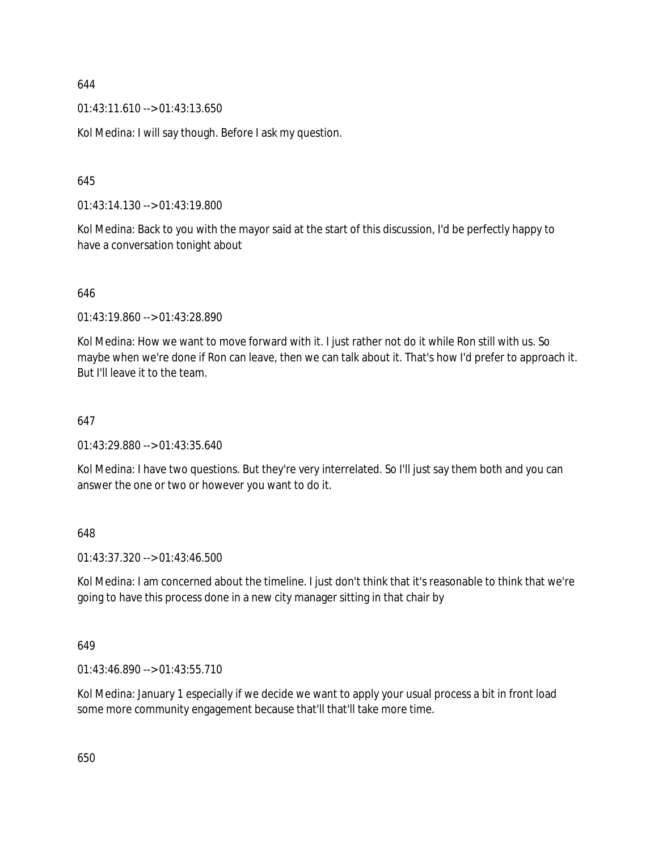$01:43:11.610 \rightarrow 01:43:13.650$ 

Kol Medina: I will say though. Before I ask my question.

645

01:43:14.130 --> 01:43:19.800

Kol Medina: Back to you with the mayor said at the start of this discussion, I'd be perfectly happy to have a conversation tonight about

646

01:43:19.860 --> 01:43:28.890

Kol Medina: How we want to move forward with it. I just rather not do it while Ron still with us. So maybe when we're done if Ron can leave, then we can talk about it. That's how I'd prefer to approach it. But I'll leave it to the team.

#### 647

01:43:29.880 --> 01:43:35.640

Kol Medina: I have two questions. But they're very interrelated. So I'll just say them both and you can answer the one or two or however you want to do it.

648

01:43:37.320 --> 01:43:46.500

Kol Medina: I am concerned about the timeline. I just don't think that it's reasonable to think that we're going to have this process done in a new city manager sitting in that chair by

649

01:43:46.890 --> 01:43:55.710

Kol Medina: January 1 especially if we decide we want to apply your usual process a bit in front load some more community engagement because that'll that'll take more time.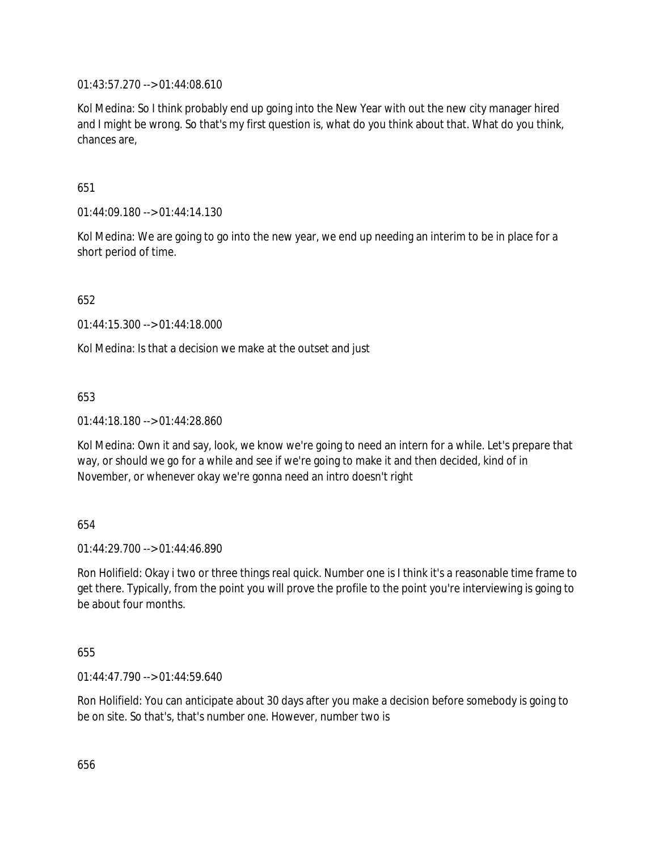01:43:57.270 --> 01:44:08.610

Kol Medina: So I think probably end up going into the New Year with out the new city manager hired and I might be wrong. So that's my first question is, what do you think about that. What do you think, chances are,

651

01:44:09.180 --> 01:44:14.130

Kol Medina: We are going to go into the new year, we end up needing an interim to be in place for a short period of time.

652

01:44:15.300 --> 01:44:18.000

Kol Medina: Is that a decision we make at the outset and just

653

01:44:18.180 --> 01:44:28.860

Kol Medina: Own it and say, look, we know we're going to need an intern for a while. Let's prepare that way, or should we go for a while and see if we're going to make it and then decided, kind of in November, or whenever okay we're gonna need an intro doesn't right

654

 $01:44:29.700 \rightarrow 01:44:46.890$ 

Ron Holifield: Okay i two or three things real quick. Number one is I think it's a reasonable time frame to get there. Typically, from the point you will prove the profile to the point you're interviewing is going to be about four months.

655

01:44:47.790 --> 01:44:59.640

Ron Holifield: You can anticipate about 30 days after you make a decision before somebody is going to be on site. So that's, that's number one. However, number two is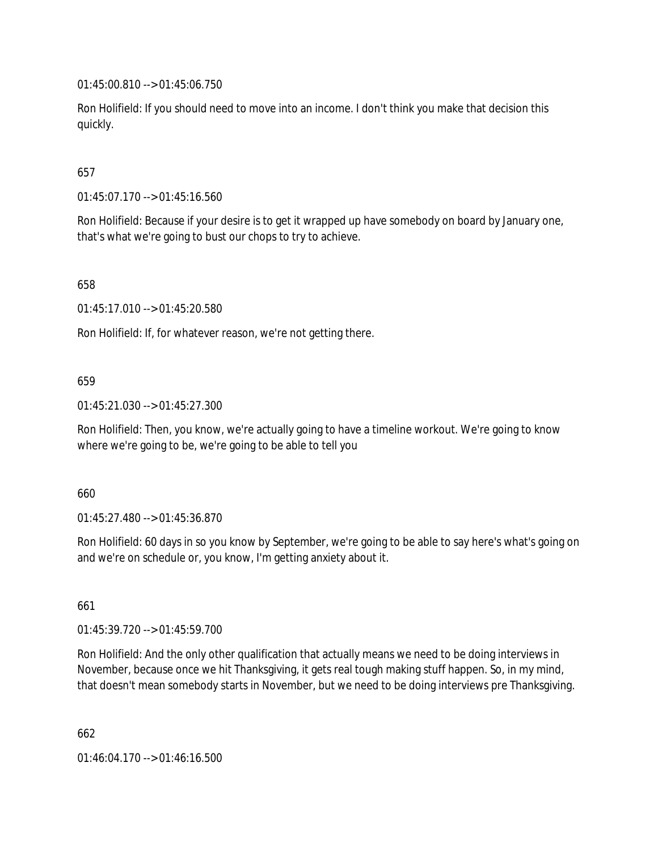01:45:00.810 --> 01:45:06.750

Ron Holifield: If you should need to move into an income. I don't think you make that decision this quickly.

## 657

01:45:07.170 --> 01:45:16.560

Ron Holifield: Because if your desire is to get it wrapped up have somebody on board by January one, that's what we're going to bust our chops to try to achieve.

658

01:45:17.010 --> 01:45:20.580

Ron Holifield: If, for whatever reason, we're not getting there.

#### 659

01:45:21.030 --> 01:45:27.300

Ron Holifield: Then, you know, we're actually going to have a timeline workout. We're going to know where we're going to be, we're going to be able to tell you

#### 660

01:45:27.480 --> 01:45:36.870

Ron Holifield: 60 days in so you know by September, we're going to be able to say here's what's going on and we're on schedule or, you know, I'm getting anxiety about it.

661

01:45:39.720 --> 01:45:59.700

Ron Holifield: And the only other qualification that actually means we need to be doing interviews in November, because once we hit Thanksgiving, it gets real tough making stuff happen. So, in my mind, that doesn't mean somebody starts in November, but we need to be doing interviews pre Thanksgiving.

662

01:46:04.170 --> 01:46:16.500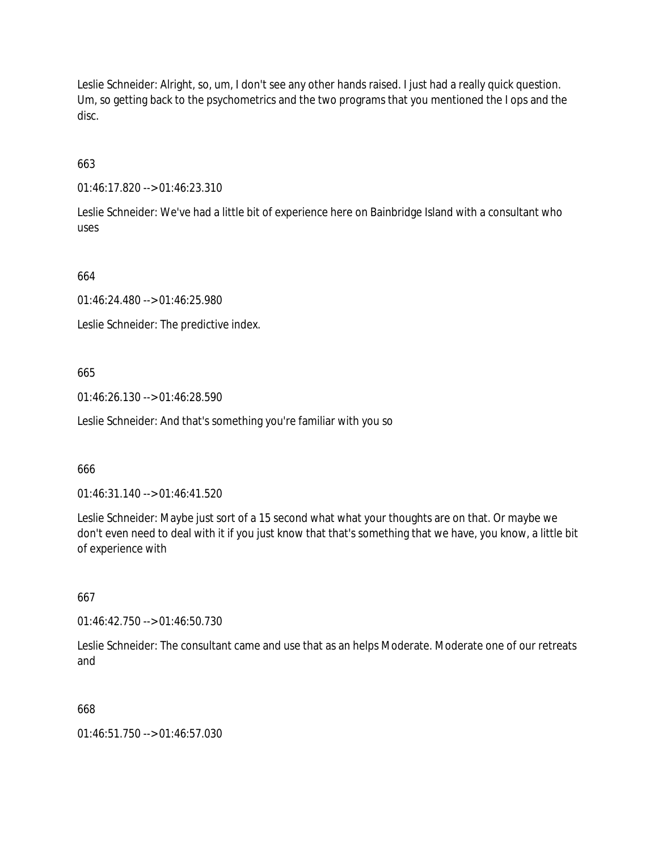Leslie Schneider: Alright, so, um, I don't see any other hands raised. I just had a really quick question. Um, so getting back to the psychometrics and the two programs that you mentioned the I ops and the disc.

663

01:46:17.820 --> 01:46:23.310

Leslie Schneider: We've had a little bit of experience here on Bainbridge Island with a consultant who uses

664

01:46:24.480 --> 01:46:25.980

Leslie Schneider: The predictive index.

665

01:46:26.130 --> 01:46:28.590

Leslie Schneider: And that's something you're familiar with you so

666

01:46:31.140 --> 01:46:41.520

Leslie Schneider: Maybe just sort of a 15 second what what your thoughts are on that. Or maybe we don't even need to deal with it if you just know that that's something that we have, you know, a little bit of experience with

667

01:46:42.750 --> 01:46:50.730

Leslie Schneider: The consultant came and use that as an helps Moderate. Moderate one of our retreats and

668

01:46:51.750 --> 01:46:57.030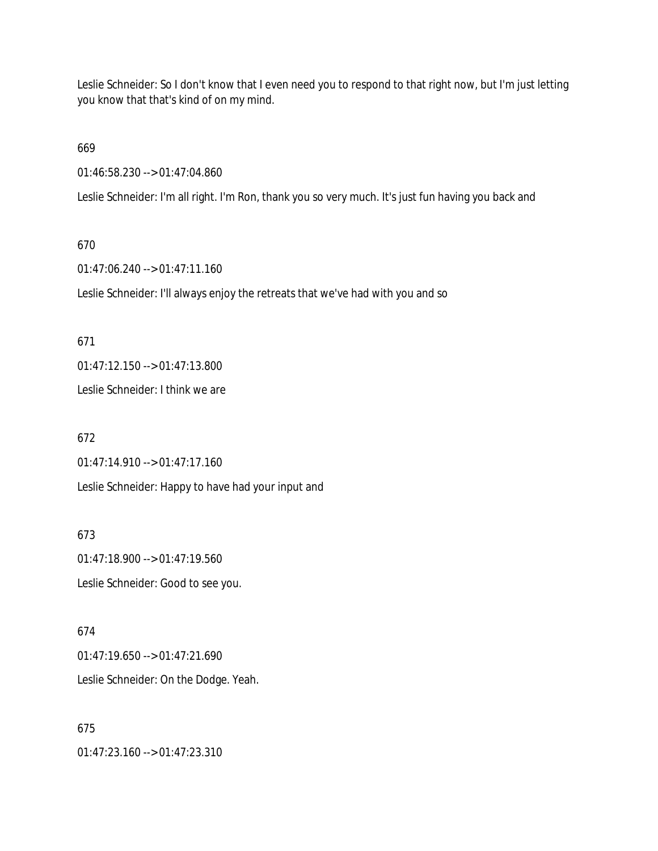Leslie Schneider: So I don't know that I even need you to respond to that right now, but I'm just letting you know that that's kind of on my mind.

669

01:46:58.230 --> 01:47:04.860

Leslie Schneider: I'm all right. I'm Ron, thank you so very much. It's just fun having you back and

#### 670

01:47:06.240 --> 01:47:11.160

Leslie Schneider: I'll always enjoy the retreats that we've had with you and so

#### 671

01:47:12.150 --> 01:47:13.800

Leslie Schneider: I think we are

## 672

01:47:14.910 --> 01:47:17.160

Leslie Schneider: Happy to have had your input and

673

01:47:18.900 --> 01:47:19.560 Leslie Schneider: Good to see you.

## 674 01:47:19.650 --> 01:47:21.690 Leslie Schneider: On the Dodge. Yeah.

# 675

01:47:23.160 --> 01:47:23.310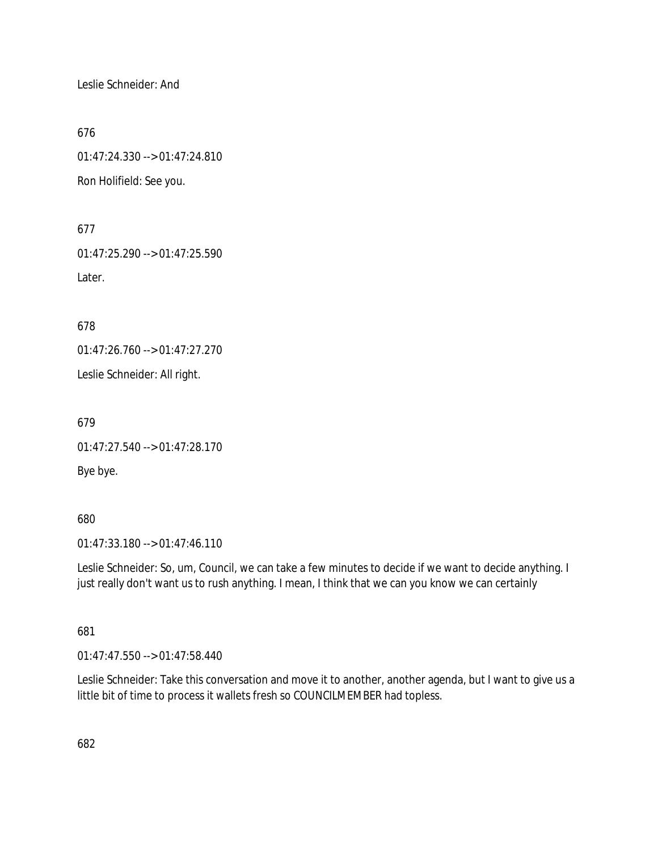Leslie Schneider: And

676

01:47:24.330 --> 01:47:24.810 Ron Holifield: See you.

677

01:47:25.290 --> 01:47:25.590 Later.

678

01:47:26.760 --> 01:47:27.270

Leslie Schneider: All right.

679

01:47:27.540 --> 01:47:28.170

Bye bye.

680

01:47:33.180 --> 01:47:46.110

Leslie Schneider: So, um, Council, we can take a few minutes to decide if we want to decide anything. I just really don't want us to rush anything. I mean, I think that we can you know we can certainly

681

01:47:47.550 --> 01:47:58.440

Leslie Schneider: Take this conversation and move it to another, another agenda, but I want to give us a little bit of time to process it wallets fresh so COUNCILMEMBER had topless.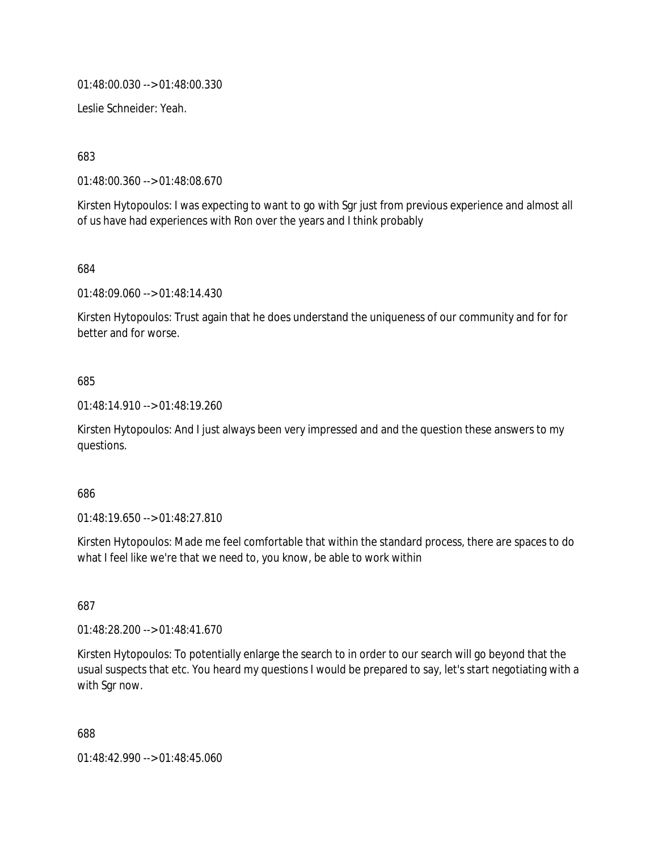01:48:00.030 --> 01:48:00.330

Leslie Schneider: Yeah.

683

01:48:00.360 --> 01:48:08.670

Kirsten Hytopoulos: I was expecting to want to go with Sgr just from previous experience and almost all of us have had experiences with Ron over the years and I think probably

684

01:48:09.060 --> 01:48:14.430

Kirsten Hytopoulos: Trust again that he does understand the uniqueness of our community and for for better and for worse.

## 685

01:48:14.910 --> 01:48:19.260

Kirsten Hytopoulos: And I just always been very impressed and and the question these answers to my questions.

### 686

01:48:19.650 --> 01:48:27.810

Kirsten Hytopoulos: Made me feel comfortable that within the standard process, there are spaces to do what I feel like we're that we need to, you know, be able to work within

687

01:48:28.200 --> 01:48:41.670

Kirsten Hytopoulos: To potentially enlarge the search to in order to our search will go beyond that the usual suspects that etc. You heard my questions I would be prepared to say, let's start negotiating with a with Sgr now.

688

01:48:42.990 --> 01:48:45.060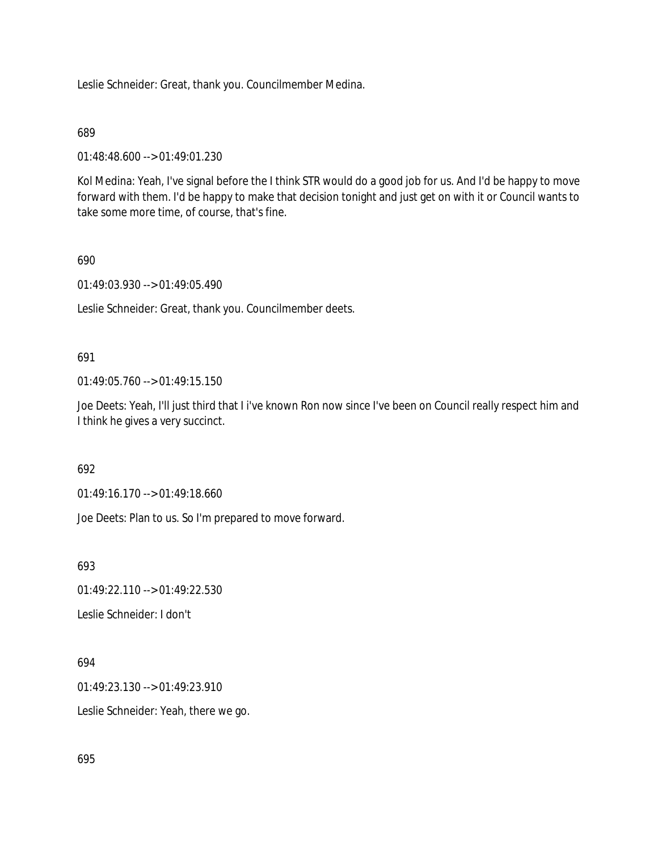Leslie Schneider: Great, thank you. Councilmember Medina.

### 689

01:48:48.600 --> 01:49:01.230

Kol Medina: Yeah, I've signal before the I think STR would do a good job for us. And I'd be happy to move forward with them. I'd be happy to make that decision tonight and just get on with it or Council wants to take some more time, of course, that's fine.

## 690

01:49:03.930 --> 01:49:05.490

Leslie Schneider: Great, thank you. Councilmember deets.

## 691

01:49:05.760 --> 01:49:15.150

Joe Deets: Yeah, I'll just third that I i've known Ron now since I've been on Council really respect him and I think he gives a very succinct.

### 692

01:49:16.170 --> 01:49:18.660

Joe Deets: Plan to us. So I'm prepared to move forward.

693

01:49:22.110 --> 01:49:22.530

Leslie Schneider: I don't

### 694

01:49:23.130 --> 01:49:23.910

Leslie Schneider: Yeah, there we go.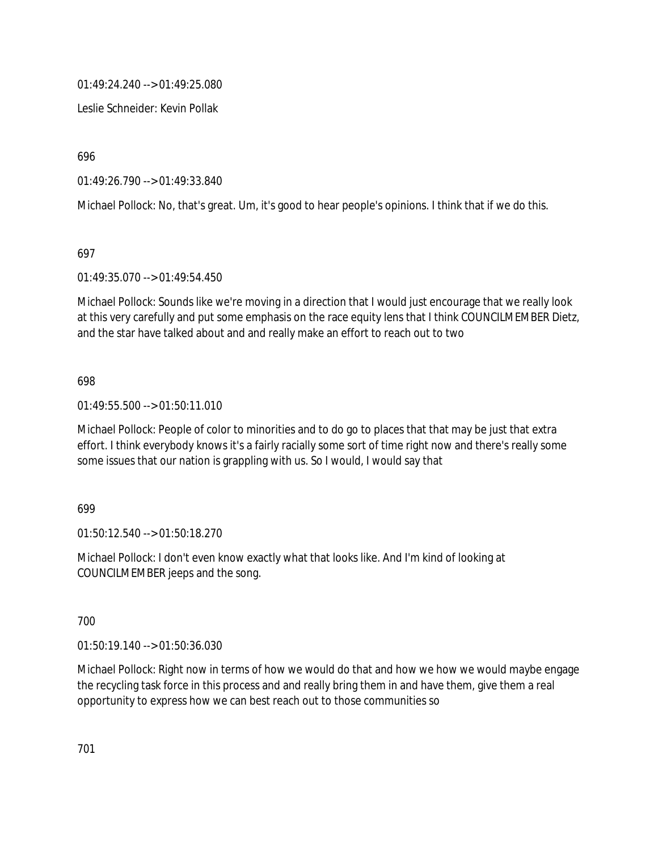01:49:24.240 --> 01:49:25.080

Leslie Schneider: Kevin Pollak

696

01:49:26.790 --> 01:49:33.840

Michael Pollock: No, that's great. Um, it's good to hear people's opinions. I think that if we do this.

697

01:49:35.070 --> 01:49:54.450

Michael Pollock: Sounds like we're moving in a direction that I would just encourage that we really look at this very carefully and put some emphasis on the race equity lens that I think COUNCILMEMBER Dietz, and the star have talked about and and really make an effort to reach out to two

698

01:49:55.500 --> 01:50:11.010

Michael Pollock: People of color to minorities and to do go to places that that may be just that extra effort. I think everybody knows it's a fairly racially some sort of time right now and there's really some some issues that our nation is grappling with us. So I would, I would say that

699

01:50:12.540 --> 01:50:18.270

Michael Pollock: I don't even know exactly what that looks like. And I'm kind of looking at COUNCILMEMBER jeeps and the song.

700

01:50:19.140 --> 01:50:36.030

Michael Pollock: Right now in terms of how we would do that and how we how we would maybe engage the recycling task force in this process and and really bring them in and have them, give them a real opportunity to express how we can best reach out to those communities so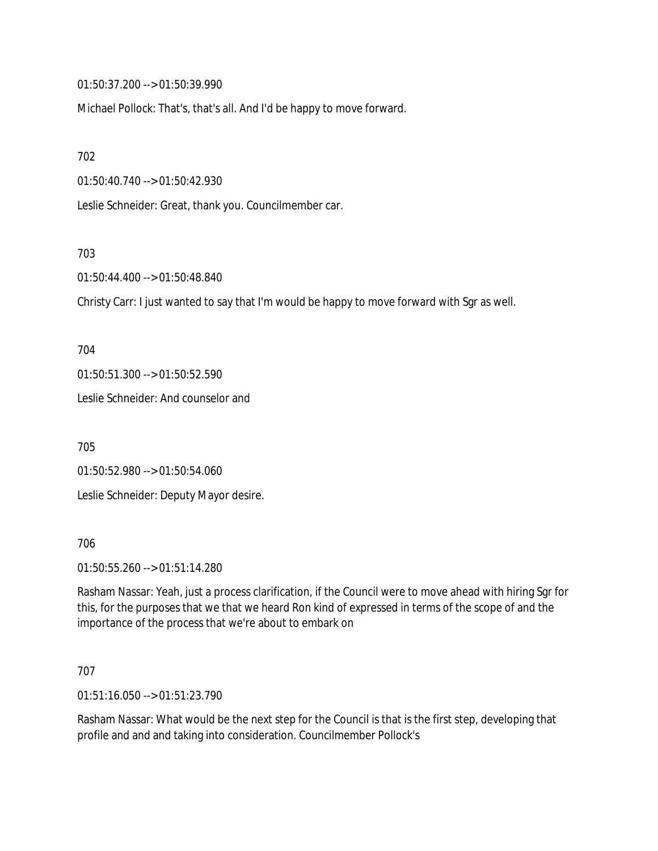01:50:37.200 --> 01:50:39.990

Michael Pollock: That's, that's all. And I'd be happy to move forward.

702

01:50:40.740 --> 01:50:42.930

Leslie Schneider: Great, thank you. Councilmember car.

703

01:50:44.400 --> 01:50:48.840

Christy Carr: I just wanted to say that I'm would be happy to move forward with Sgr as well.

704

01:50:51.300 --> 01:50:52.590

Leslie Schneider: And counselor and

705

01:50:52.980 --> 01:50:54.060

Leslie Schneider: Deputy Mayor desire.

706

01:50:55.260 --> 01:51:14.280

Rasham Nassar: Yeah, just a process clarification, if the Council were to move ahead with hiring Sgr for this, for the purposes that we that we heard Ron kind of expressed in terms of the scope of and the importance of the process that we're about to embark on

707

01:51:16.050 --> 01:51:23.790

Rasham Nassar: What would be the next step for the Council is that is the first step, developing that profile and and and taking into consideration. Councilmember Pollock's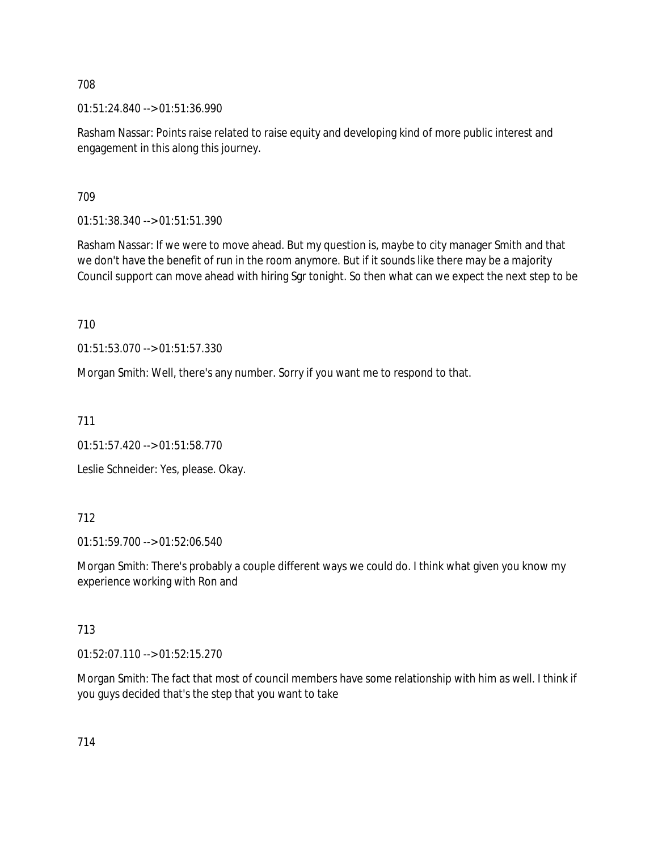01:51:24.840 --> 01:51:36.990

Rasham Nassar: Points raise related to raise equity and developing kind of more public interest and engagement in this along this journey.

709

01:51:38.340 --> 01:51:51.390

Rasham Nassar: If we were to move ahead. But my question is, maybe to city manager Smith and that we don't have the benefit of run in the room anymore. But if it sounds like there may be a majority Council support can move ahead with hiring Sgr tonight. So then what can we expect the next step to be

710

01:51:53.070 --> 01:51:57.330

Morgan Smith: Well, there's any number. Sorry if you want me to respond to that.

711

01:51:57.420 --> 01:51:58.770

Leslie Schneider: Yes, please. Okay.

# 712

01:51:59.700 --> 01:52:06.540

Morgan Smith: There's probably a couple different ways we could do. I think what given you know my experience working with Ron and

# 713

01:52:07.110 --> 01:52:15.270

Morgan Smith: The fact that most of council members have some relationship with him as well. I think if you guys decided that's the step that you want to take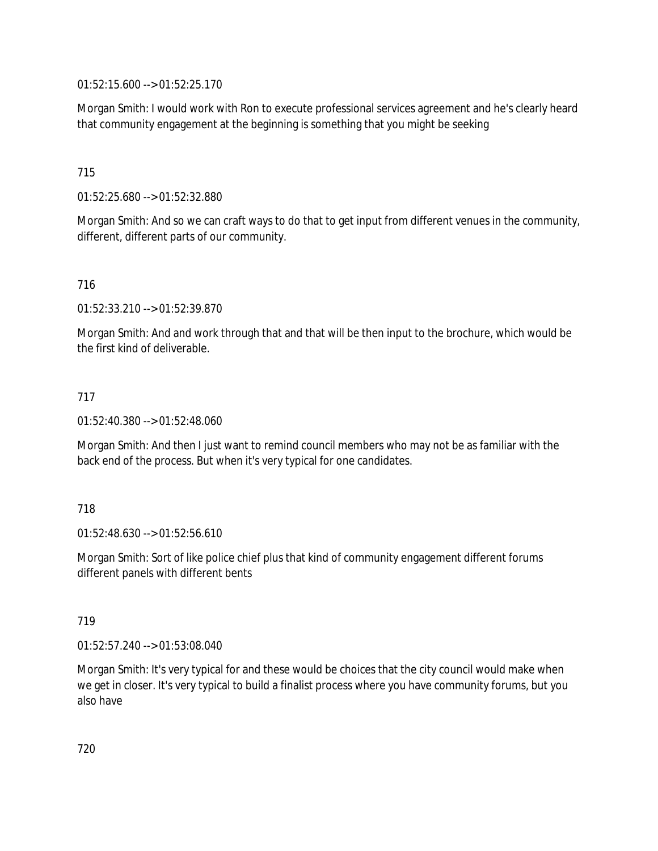01:52:15.600 --> 01:52:25.170

Morgan Smith: I would work with Ron to execute professional services agreement and he's clearly heard that community engagement at the beginning is something that you might be seeking

715

01:52:25.680 --> 01:52:32.880

Morgan Smith: And so we can craft ways to do that to get input from different venues in the community, different, different parts of our community.

716

01:52:33.210 --> 01:52:39.870

Morgan Smith: And and work through that and that will be then input to the brochure, which would be the first kind of deliverable.

717

01:52:40.380 --> 01:52:48.060

Morgan Smith: And then I just want to remind council members who may not be as familiar with the back end of the process. But when it's very typical for one candidates.

718

01:52:48.630 --> 01:52:56.610

Morgan Smith: Sort of like police chief plus that kind of community engagement different forums different panels with different bents

719

01:52:57.240 --> 01:53:08.040

Morgan Smith: It's very typical for and these would be choices that the city council would make when we get in closer. It's very typical to build a finalist process where you have community forums, but you also have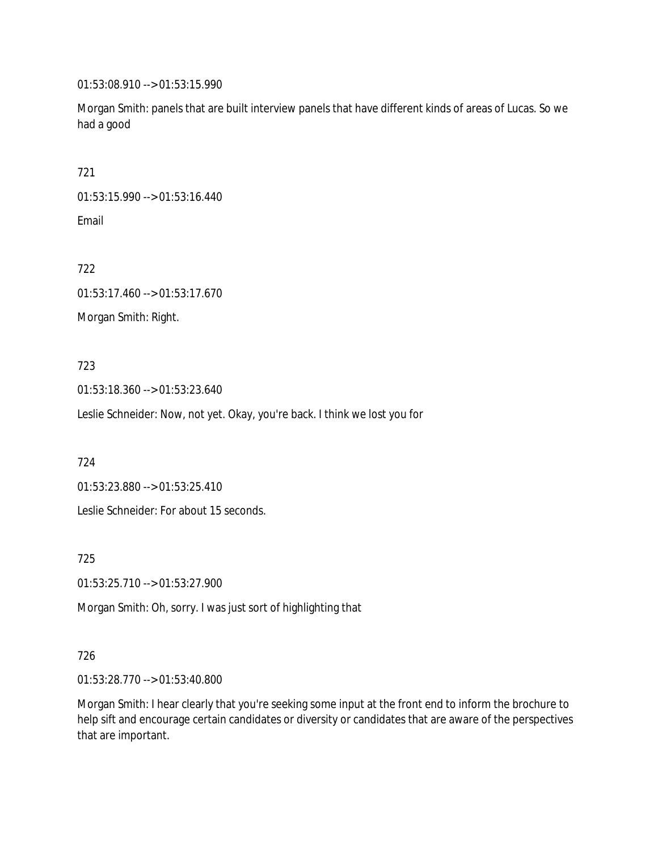01:53:08.910 --> 01:53:15.990

Morgan Smith: panels that are built interview panels that have different kinds of areas of Lucas. So we had a good

721

01:53:15.990 --> 01:53:16.440

Email

722

01:53:17.460 --> 01:53:17.670

Morgan Smith: Right.

## 723

01:53:18.360 --> 01:53:23.640

Leslie Schneider: Now, not yet. Okay, you're back. I think we lost you for

724

01:53:23.880 --> 01:53:25.410

Leslie Schneider: For about 15 seconds.

725

01:53:25.710 --> 01:53:27.900

Morgan Smith: Oh, sorry. I was just sort of highlighting that

# 726

01:53:28.770 --> 01:53:40.800

Morgan Smith: I hear clearly that you're seeking some input at the front end to inform the brochure to help sift and encourage certain candidates or diversity or candidates that are aware of the perspectives that are important.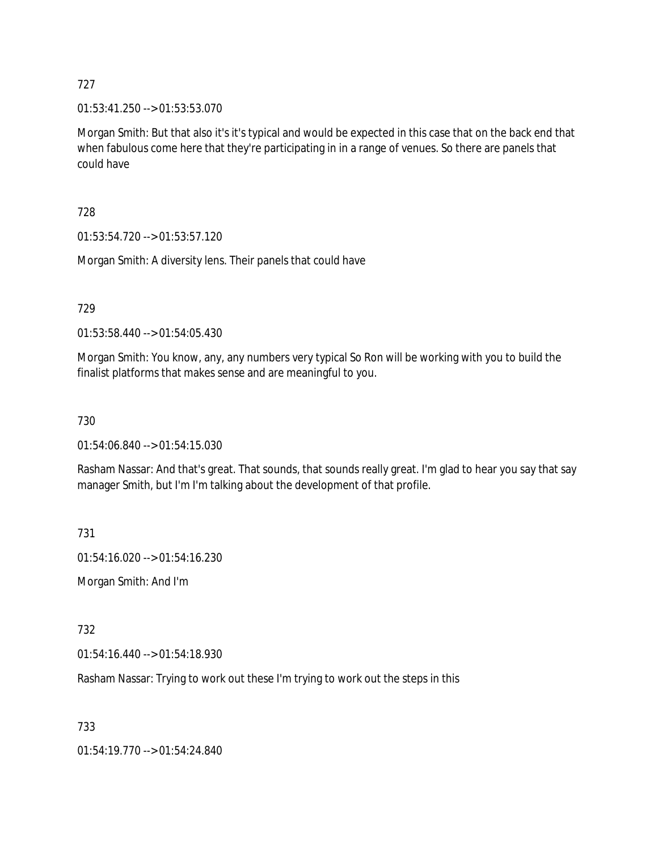01:53:41.250 --> 01:53:53.070

Morgan Smith: But that also it's it's typical and would be expected in this case that on the back end that when fabulous come here that they're participating in in a range of venues. So there are panels that could have

728

01:53:54.720 --> 01:53:57.120

Morgan Smith: A diversity lens. Their panels that could have

729

01:53:58.440 --> 01:54:05.430

Morgan Smith: You know, any, any numbers very typical So Ron will be working with you to build the finalist platforms that makes sense and are meaningful to you.

730

01:54:06.840 --> 01:54:15.030

Rasham Nassar: And that's great. That sounds, that sounds really great. I'm glad to hear you say that say manager Smith, but I'm I'm talking about the development of that profile.

731

01:54:16.020 --> 01:54:16.230

Morgan Smith: And I'm

732

01:54:16.440 --> 01:54:18.930

Rasham Nassar: Trying to work out these I'm trying to work out the steps in this

733

01:54:19.770 --> 01:54:24.840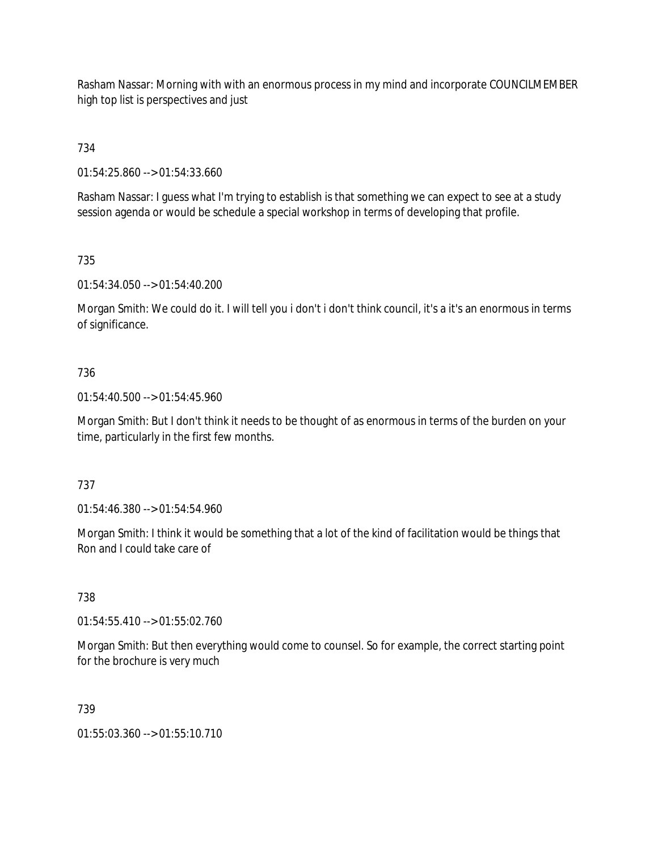Rasham Nassar: Morning with with an enormous process in my mind and incorporate COUNCILMEMBER high top list is perspectives and just

734

01:54:25.860 --> 01:54:33.660

Rasham Nassar: I guess what I'm trying to establish is that something we can expect to see at a study session agenda or would be schedule a special workshop in terms of developing that profile.

735

01:54:34.050 --> 01:54:40.200

Morgan Smith: We could do it. I will tell you i don't i don't think council, it's a it's an enormous in terms of significance.

### 736

01:54:40.500 --> 01:54:45.960

Morgan Smith: But I don't think it needs to be thought of as enormous in terms of the burden on your time, particularly in the first few months.

### 737

01:54:46.380 --> 01:54:54.960

Morgan Smith: I think it would be something that a lot of the kind of facilitation would be things that Ron and I could take care of

738

01:54:55.410 --> 01:55:02.760

Morgan Smith: But then everything would come to counsel. So for example, the correct starting point for the brochure is very much

739

01:55:03.360 --> 01:55:10.710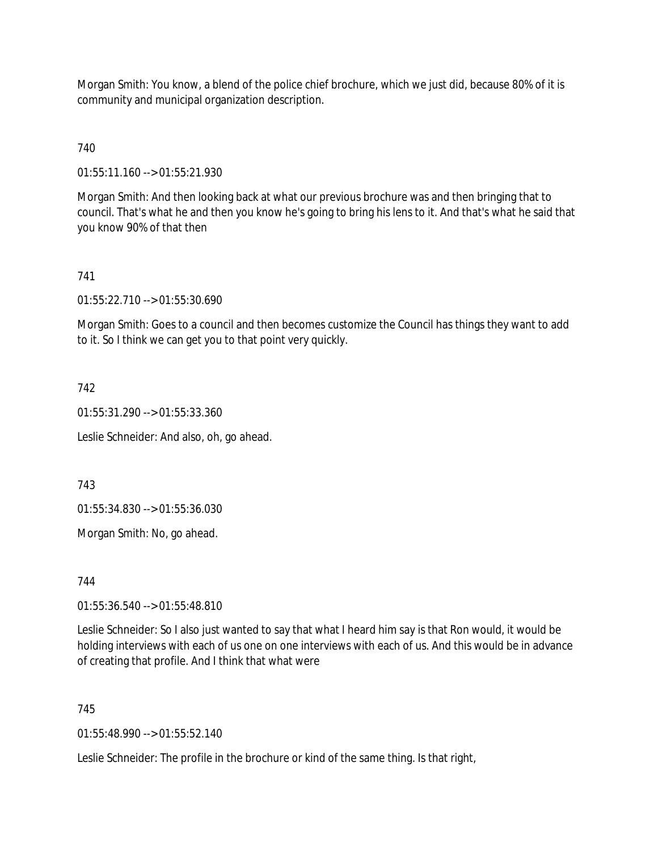Morgan Smith: You know, a blend of the police chief brochure, which we just did, because 80% of it is community and municipal organization description.

740

01:55:11.160 --> 01:55:21.930

Morgan Smith: And then looking back at what our previous brochure was and then bringing that to council. That's what he and then you know he's going to bring his lens to it. And that's what he said that you know 90% of that then

## 741

01:55:22.710 --> 01:55:30.690

Morgan Smith: Goes to a council and then becomes customize the Council has things they want to add to it. So I think we can get you to that point very quickly.

### 742

01:55:31.290 --> 01:55:33.360

Leslie Schneider: And also, oh, go ahead.

743

01:55:34.830 --> 01:55:36.030

Morgan Smith: No, go ahead.

744

01:55:36.540 --> 01:55:48.810

Leslie Schneider: So I also just wanted to say that what I heard him say is that Ron would, it would be holding interviews with each of us one on one interviews with each of us. And this would be in advance of creating that profile. And I think that what were

### 745

01:55:48.990 --> 01:55:52.140

Leslie Schneider: The profile in the brochure or kind of the same thing. Is that right,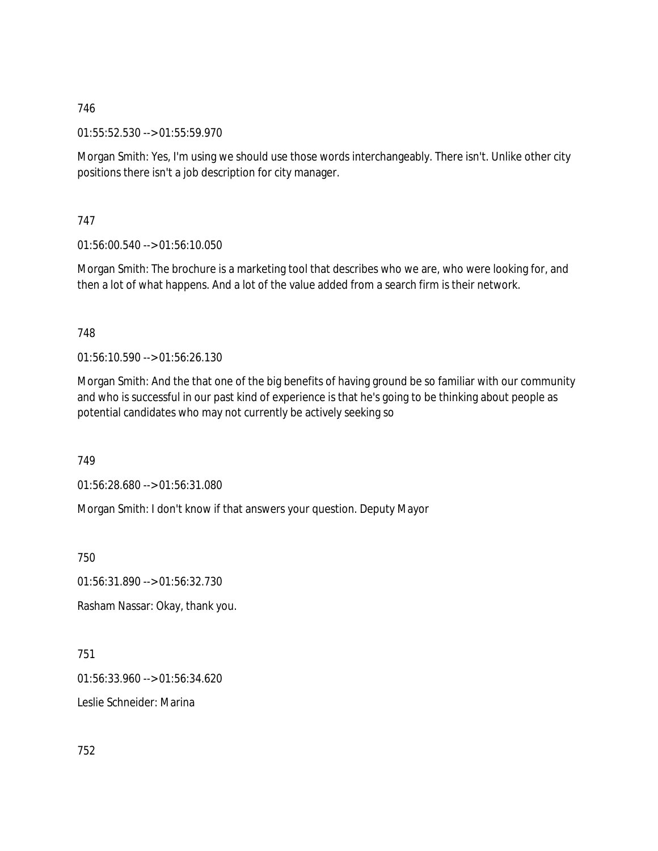01:55:52.530 --> 01:55:59.970

Morgan Smith: Yes, I'm using we should use those words interchangeably. There isn't. Unlike other city positions there isn't a job description for city manager.

747

01:56:00.540 --> 01:56:10.050

Morgan Smith: The brochure is a marketing tool that describes who we are, who were looking for, and then a lot of what happens. And a lot of the value added from a search firm is their network.

748

01:56:10.590 --> 01:56:26.130

Morgan Smith: And the that one of the big benefits of having ground be so familiar with our community and who is successful in our past kind of experience is that he's going to be thinking about people as potential candidates who may not currently be actively seeking so

749

01:56:28.680 --> 01:56:31.080

Morgan Smith: I don't know if that answers your question. Deputy Mayor

750

01:56:31.890 --> 01:56:32.730

Rasham Nassar: Okay, thank you.

751

01:56:33.960 --> 01:56:34.620

Leslie Schneider: Marina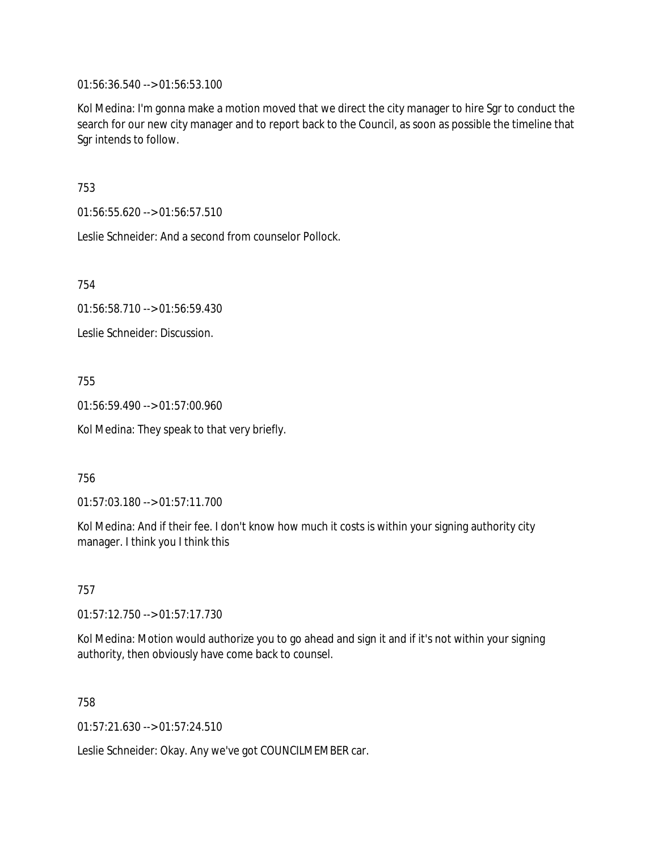01:56:36.540 --> 01:56:53.100

Kol Medina: I'm gonna make a motion moved that we direct the city manager to hire Sgr to conduct the search for our new city manager and to report back to the Council, as soon as possible the timeline that Sgr intends to follow.

753

01:56:55.620 --> 01:56:57.510

Leslie Schneider: And a second from counselor Pollock.

754

01:56:58.710 --> 01:56:59.430

Leslie Schneider: Discussion.

755

01:56:59.490 --> 01:57:00.960

Kol Medina: They speak to that very briefly.

756

01:57:03.180 --> 01:57:11.700

Kol Medina: And if their fee. I don't know how much it costs is within your signing authority city manager. I think you I think this

757

01:57:12.750 --> 01:57:17.730

Kol Medina: Motion would authorize you to go ahead and sign it and if it's not within your signing authority, then obviously have come back to counsel.

758

01:57:21.630 --> 01:57:24.510

Leslie Schneider: Okay. Any we've got COUNCILMEMBER car.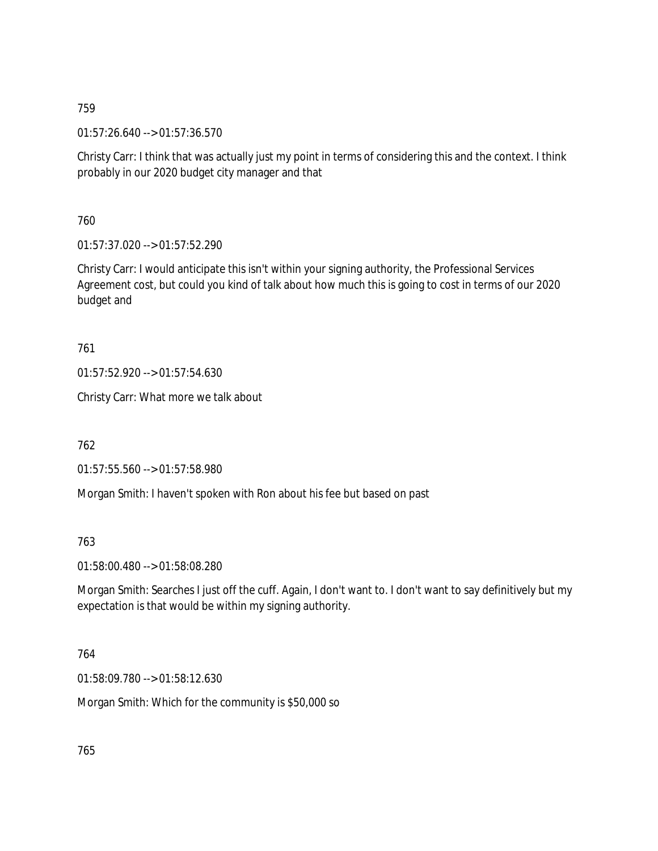01:57:26.640 --> 01:57:36.570

Christy Carr: I think that was actually just my point in terms of considering this and the context. I think probably in our 2020 budget city manager and that

760

01:57:37.020 --> 01:57:52.290

Christy Carr: I would anticipate this isn't within your signing authority, the Professional Services Agreement cost, but could you kind of talk about how much this is going to cost in terms of our 2020 budget and

761

01:57:52.920 --> 01:57:54.630

Christy Carr: What more we talk about

762

01:57:55.560 --> 01:57:58.980

Morgan Smith: I haven't spoken with Ron about his fee but based on past

763

01:58:00.480 --> 01:58:08.280

Morgan Smith: Searches I just off the cuff. Again, I don't want to. I don't want to say definitively but my expectation is that would be within my signing authority.

764

01:58:09.780 --> 01:58:12.630

Morgan Smith: Which for the community is \$50,000 so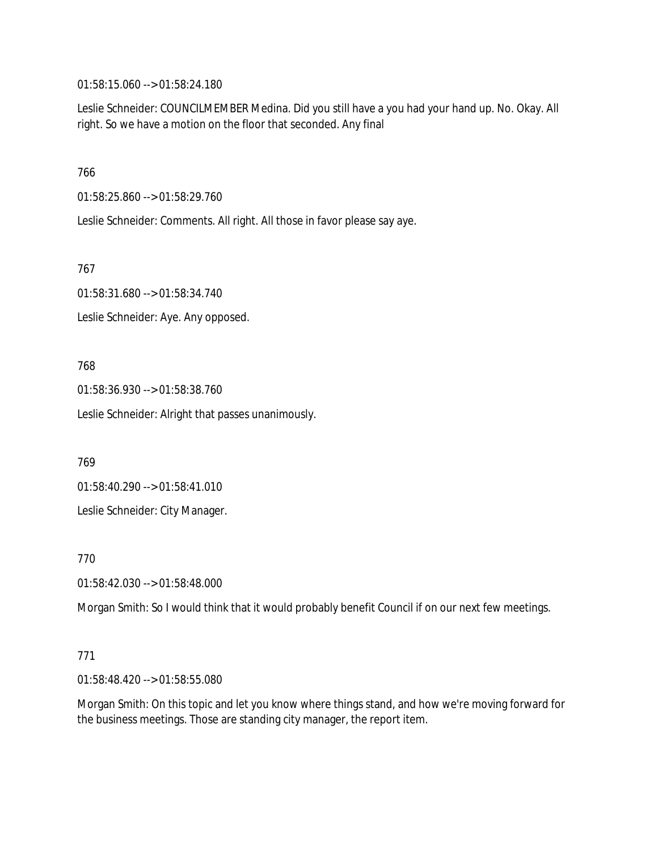01:58:15.060 --> 01:58:24.180

Leslie Schneider: COUNCILMEMBER Medina. Did you still have a you had your hand up. No. Okay. All right. So we have a motion on the floor that seconded. Any final

766

01:58:25.860 --> 01:58:29.760

Leslie Schneider: Comments. All right. All those in favor please say aye.

767

01:58:31.680 --> 01:58:34.740 Leslie Schneider: Aye. Any opposed.

768

01:58:36.930 --> 01:58:38.760

Leslie Schneider: Alright that passes unanimously.

769

01:58:40.290 --> 01:58:41.010

Leslie Schneider: City Manager.

770

01:58:42.030 --> 01:58:48.000

Morgan Smith: So I would think that it would probably benefit Council if on our next few meetings.

### 771

01:58:48.420 --> 01:58:55.080

Morgan Smith: On this topic and let you know where things stand, and how we're moving forward for the business meetings. Those are standing city manager, the report item.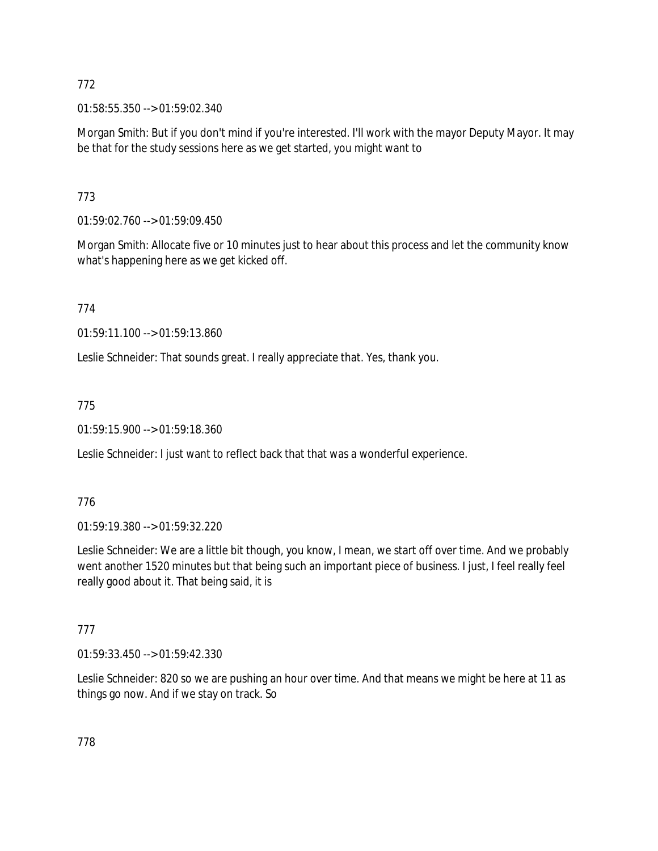01:58:55.350 --> 01:59:02.340

Morgan Smith: But if you don't mind if you're interested. I'll work with the mayor Deputy Mayor. It may be that for the study sessions here as we get started, you might want to

# 773

01:59:02.760 --> 01:59:09.450

Morgan Smith: Allocate five or 10 minutes just to hear about this process and let the community know what's happening here as we get kicked off.

774

01:59:11.100 --> 01:59:13.860

Leslie Schneider: That sounds great. I really appreciate that. Yes, thank you.

775

01:59:15.900 --> 01:59:18.360

Leslie Schneider: I just want to reflect back that that was a wonderful experience.

# 776

01:59:19.380 --> 01:59:32.220

Leslie Schneider: We are a little bit though, you know, I mean, we start off over time. And we probably went another 1520 minutes but that being such an important piece of business. I just, I feel really feel really good about it. That being said, it is

# 777

01:59:33.450 --> 01:59:42.330

Leslie Schneider: 820 so we are pushing an hour over time. And that means we might be here at 11 as things go now. And if we stay on track. So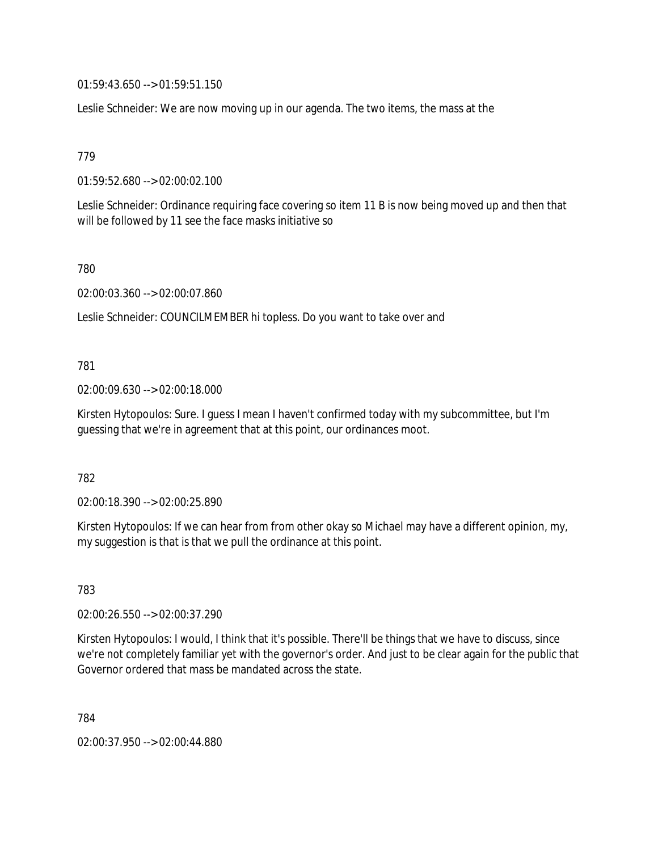01:59:43.650 --> 01:59:51.150

Leslie Schneider: We are now moving up in our agenda. The two items, the mass at the

779

01:59:52.680 --> 02:00:02.100

Leslie Schneider: Ordinance requiring face covering so item 11 B is now being moved up and then that will be followed by 11 see the face masks initiative so

780

02:00:03.360 --> 02:00:07.860

Leslie Schneider: COUNCILMEMBER hi topless. Do you want to take over and

781

02:00:09.630 --> 02:00:18.000

Kirsten Hytopoulos: Sure. I guess I mean I haven't confirmed today with my subcommittee, but I'm guessing that we're in agreement that at this point, our ordinances moot.

782

02:00:18.390 --> 02:00:25.890

Kirsten Hytopoulos: If we can hear from from other okay so Michael may have a different opinion, my, my suggestion is that is that we pull the ordinance at this point.

783

02:00:26.550 --> 02:00:37.290

Kirsten Hytopoulos: I would, I think that it's possible. There'll be things that we have to discuss, since we're not completely familiar yet with the governor's order. And just to be clear again for the public that Governor ordered that mass be mandated across the state.

784

02:00:37.950 --> 02:00:44.880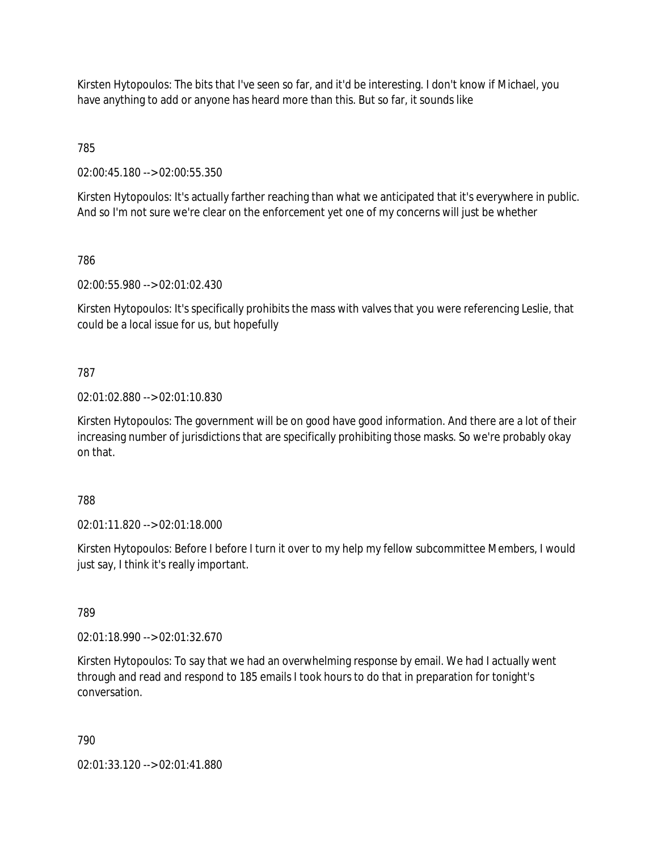Kirsten Hytopoulos: The bits that I've seen so far, and it'd be interesting. I don't know if Michael, you have anything to add or anyone has heard more than this. But so far, it sounds like

785

02:00:45.180 --> 02:00:55.350

Kirsten Hytopoulos: It's actually farther reaching than what we anticipated that it's everywhere in public. And so I'm not sure we're clear on the enforcement yet one of my concerns will just be whether

786

02:00:55.980 --> 02:01:02.430

Kirsten Hytopoulos: It's specifically prohibits the mass with valves that you were referencing Leslie, that could be a local issue for us, but hopefully

# 787

## 02:01:02.880 --> 02:01:10.830

Kirsten Hytopoulos: The government will be on good have good information. And there are a lot of their increasing number of jurisdictions that are specifically prohibiting those masks. So we're probably okay on that.

### 788

02:01:11.820 --> 02:01:18.000

Kirsten Hytopoulos: Before I before I turn it over to my help my fellow subcommittee Members, I would just say, I think it's really important.

789

02:01:18.990 --> 02:01:32.670

Kirsten Hytopoulos: To say that we had an overwhelming response by email. We had I actually went through and read and respond to 185 emails I took hours to do that in preparation for tonight's conversation.

790

02:01:33.120 --> 02:01:41.880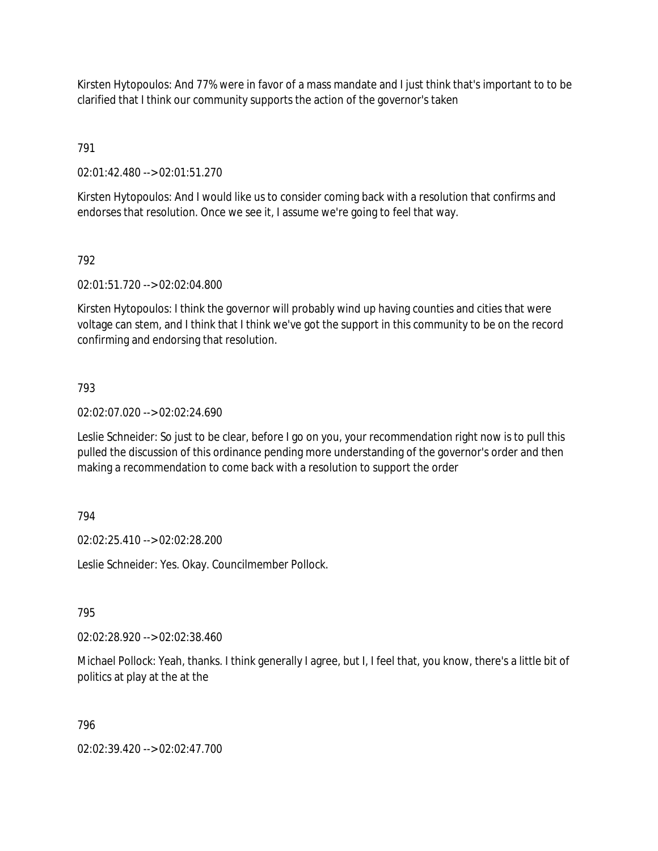Kirsten Hytopoulos: And 77% were in favor of a mass mandate and I just think that's important to to be clarified that I think our community supports the action of the governor's taken

791

02:01:42.480 --> 02:01:51.270

Kirsten Hytopoulos: And I would like us to consider coming back with a resolution that confirms and endorses that resolution. Once we see it, I assume we're going to feel that way.

792

02:01:51.720 --> 02:02:04.800

Kirsten Hytopoulos: I think the governor will probably wind up having counties and cities that were voltage can stem, and I think that I think we've got the support in this community to be on the record confirming and endorsing that resolution.

### 793

02:02:07.020 --> 02:02:24.690

Leslie Schneider: So just to be clear, before I go on you, your recommendation right now is to pull this pulled the discussion of this ordinance pending more understanding of the governor's order and then making a recommendation to come back with a resolution to support the order

### 794

02:02:25.410 --> 02:02:28.200

Leslie Schneider: Yes. Okay. Councilmember Pollock.

### 795

02:02:28.920 --> 02:02:38.460

Michael Pollock: Yeah, thanks. I think generally I agree, but I, I feel that, you know, there's a little bit of politics at play at the at the

### 796

02:02:39.420 --> 02:02:47.700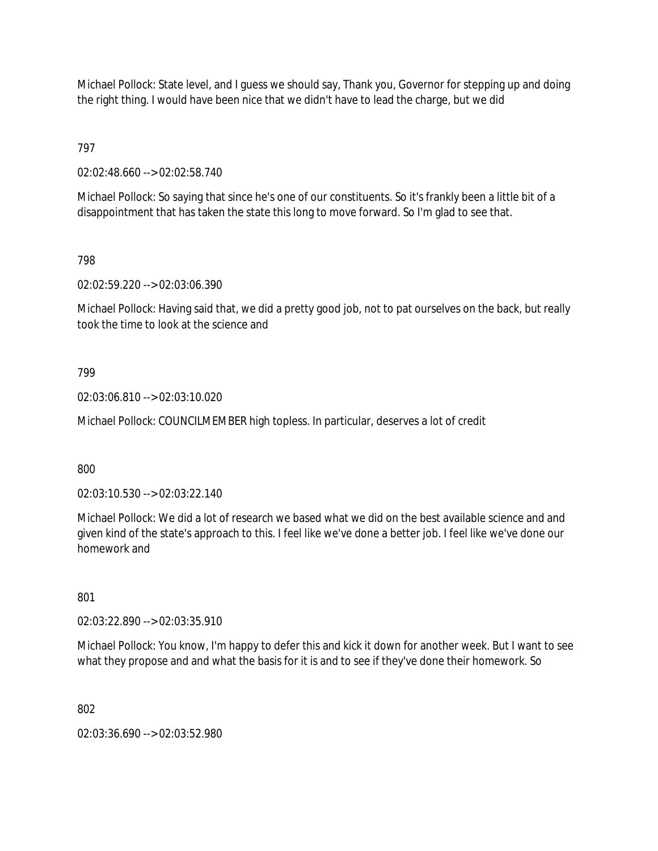Michael Pollock: State level, and I guess we should say, Thank you, Governor for stepping up and doing the right thing. I would have been nice that we didn't have to lead the charge, but we did

797

02:02:48.660 --> 02:02:58.740

Michael Pollock: So saying that since he's one of our constituents. So it's frankly been a little bit of a disappointment that has taken the state this long to move forward. So I'm glad to see that.

798

02:02:59.220 --> 02:03:06.390

Michael Pollock: Having said that, we did a pretty good job, not to pat ourselves on the back, but really took the time to look at the science and

799

02:03:06.810 --> 02:03:10.020

Michael Pollock: COUNCILMEMBER high topless. In particular, deserves a lot of credit

800

02:03:10.530 --> 02:03:22.140

Michael Pollock: We did a lot of research we based what we did on the best available science and and given kind of the state's approach to this. I feel like we've done a better job. I feel like we've done our homework and

801

02:03:22.890 --> 02:03:35.910

Michael Pollock: You know, I'm happy to defer this and kick it down for another week. But I want to see what they propose and and what the basis for it is and to see if they've done their homework. So

802

02:03:36.690 --> 02:03:52.980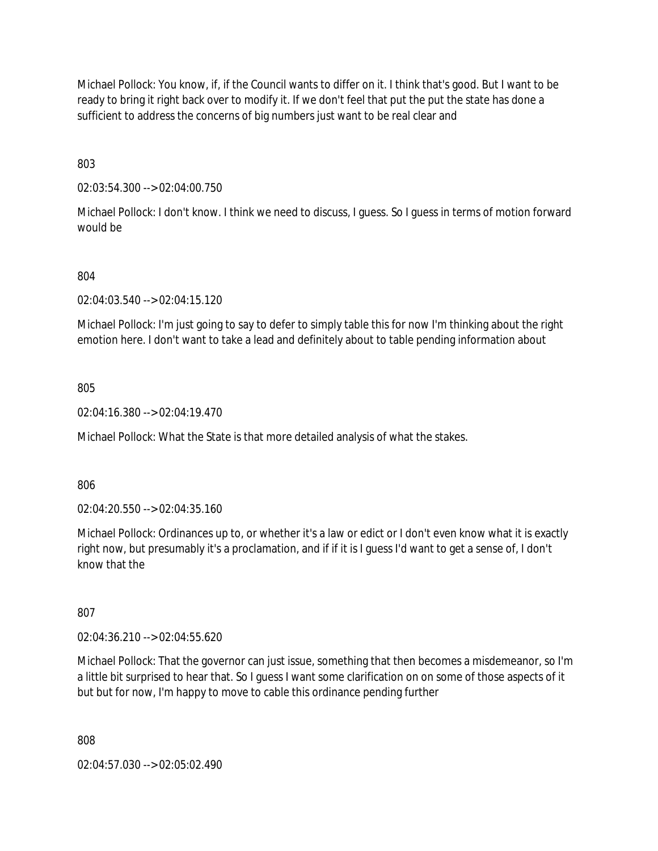Michael Pollock: You know, if, if the Council wants to differ on it. I think that's good. But I want to be ready to bring it right back over to modify it. If we don't feel that put the put the state has done a sufficient to address the concerns of big numbers just want to be real clear and

803

02:03:54.300 --> 02:04:00.750

Michael Pollock: I don't know. I think we need to discuss, I guess. So I guess in terms of motion forward would be

## 804

02:04:03.540 --> 02:04:15.120

Michael Pollock: I'm just going to say to defer to simply table this for now I'm thinking about the right emotion here. I don't want to take a lead and definitely about to table pending information about

805

02:04:16.380 --> 02:04:19.470

Michael Pollock: What the State is that more detailed analysis of what the stakes.

806

02:04:20.550 --> 02:04:35.160

Michael Pollock: Ordinances up to, or whether it's a law or edict or I don't even know what it is exactly right now, but presumably it's a proclamation, and if if it is I guess I'd want to get a sense of, I don't know that the

807

02:04:36.210 --> 02:04:55.620

Michael Pollock: That the governor can just issue, something that then becomes a misdemeanor, so I'm a little bit surprised to hear that. So I guess I want some clarification on on some of those aspects of it but but for now, I'm happy to move to cable this ordinance pending further

808

02:04:57.030 --> 02:05:02.490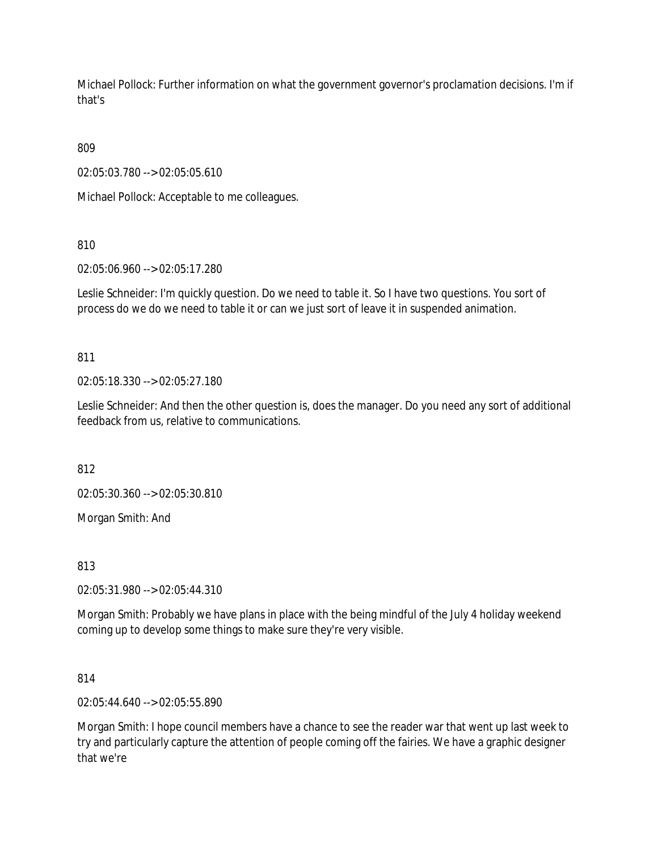Michael Pollock: Further information on what the government governor's proclamation decisions. I'm if that's

809

02:05:03.780 --> 02:05:05.610

Michael Pollock: Acceptable to me colleagues.

810

02:05:06.960 --> 02:05:17.280

Leslie Schneider: I'm quickly question. Do we need to table it. So I have two questions. You sort of process do we do we need to table it or can we just sort of leave it in suspended animation.

811

02:05:18.330 --> 02:05:27.180

Leslie Schneider: And then the other question is, does the manager. Do you need any sort of additional feedback from us, relative to communications.

812

02:05:30.360 --> 02:05:30.810

Morgan Smith: And

813

02:05:31.980 --> 02:05:44.310

Morgan Smith: Probably we have plans in place with the being mindful of the July 4 holiday weekend coming up to develop some things to make sure they're very visible.

814

02:05:44.640 --> 02:05:55.890

Morgan Smith: I hope council members have a chance to see the reader war that went up last week to try and particularly capture the attention of people coming off the fairies. We have a graphic designer that we're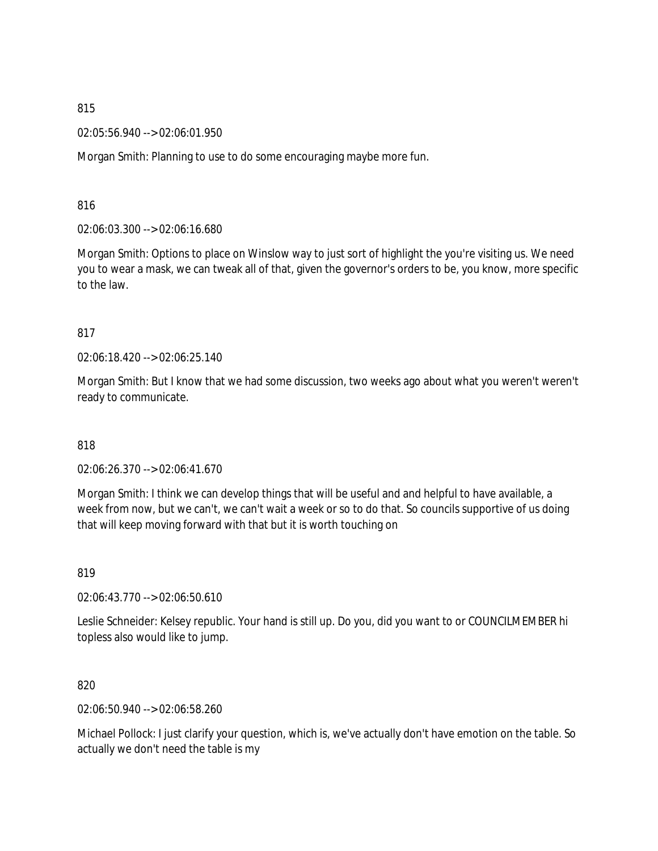02:05:56.940 --> 02:06:01.950

Morgan Smith: Planning to use to do some encouraging maybe more fun.

816

02:06:03.300 --> 02:06:16.680

Morgan Smith: Options to place on Winslow way to just sort of highlight the you're visiting us. We need you to wear a mask, we can tweak all of that, given the governor's orders to be, you know, more specific to the law.

817

02:06:18.420 --> 02:06:25.140

Morgan Smith: But I know that we had some discussion, two weeks ago about what you weren't weren't ready to communicate.

818

02:06:26.370 --> 02:06:41.670

Morgan Smith: I think we can develop things that will be useful and and helpful to have available, a week from now, but we can't, we can't wait a week or so to do that. So councils supportive of us doing that will keep moving forward with that but it is worth touching on

819

02:06:43.770 --> 02:06:50.610

Leslie Schneider: Kelsey republic. Your hand is still up. Do you, did you want to or COUNCILMEMBER hi topless also would like to jump.

820

02:06:50.940 --> 02:06:58.260

Michael Pollock: I just clarify your question, which is, we've actually don't have emotion on the table. So actually we don't need the table is my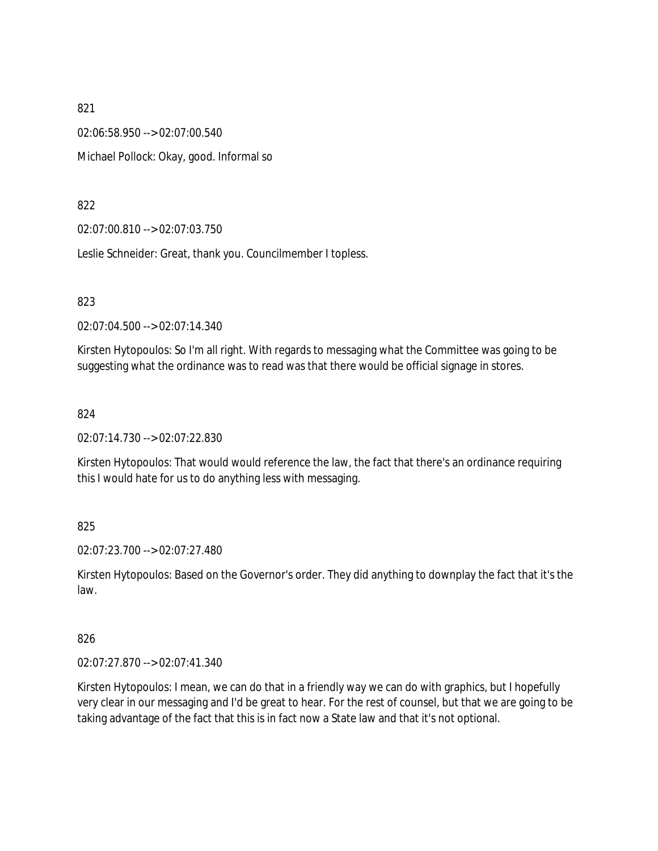02:06:58.950 --> 02:07:00.540 Michael Pollock: Okay, good. Informal so

822

02:07:00.810 --> 02:07:03.750

Leslie Schneider: Great, thank you. Councilmember I topless.

823

02:07:04.500 --> 02:07:14.340

Kirsten Hytopoulos: So I'm all right. With regards to messaging what the Committee was going to be suggesting what the ordinance was to read was that there would be official signage in stores.

824

02:07:14.730 --> 02:07:22.830

Kirsten Hytopoulos: That would would reference the law, the fact that there's an ordinance requiring this I would hate for us to do anything less with messaging.

825

02:07:23.700 --> 02:07:27.480

Kirsten Hytopoulos: Based on the Governor's order. They did anything to downplay the fact that it's the law.

826

02:07:27.870 --> 02:07:41.340

Kirsten Hytopoulos: I mean, we can do that in a friendly way we can do with graphics, but I hopefully very clear in our messaging and I'd be great to hear. For the rest of counsel, but that we are going to be taking advantage of the fact that this is in fact now a State law and that it's not optional.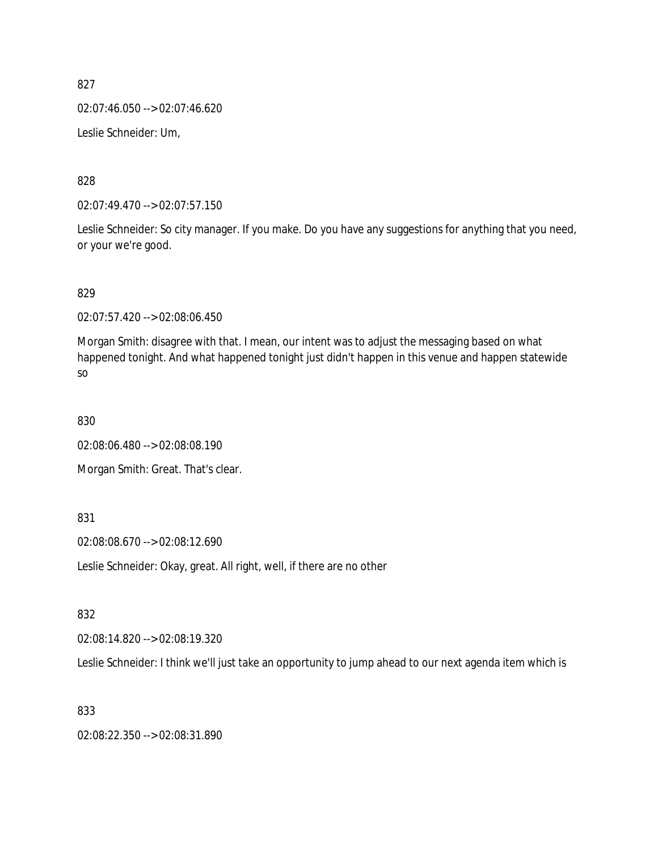02:07:46.050 --> 02:07:46.620

Leslie Schneider: Um,

828

02:07:49.470 --> 02:07:57.150

Leslie Schneider: So city manager. If you make. Do you have any suggestions for anything that you need, or your we're good.

829

02:07:57.420 --> 02:08:06.450

Morgan Smith: disagree with that. I mean, our intent was to adjust the messaging based on what happened tonight. And what happened tonight just didn't happen in this venue and happen statewide so

830

02:08:06.480 --> 02:08:08.190

Morgan Smith: Great. That's clear.

831

02:08:08.670 --> 02:08:12.690

Leslie Schneider: Okay, great. All right, well, if there are no other

832

02:08:14.820 --> 02:08:19.320

Leslie Schneider: I think we'll just take an opportunity to jump ahead to our next agenda item which is

833

02:08:22.350 --> 02:08:31.890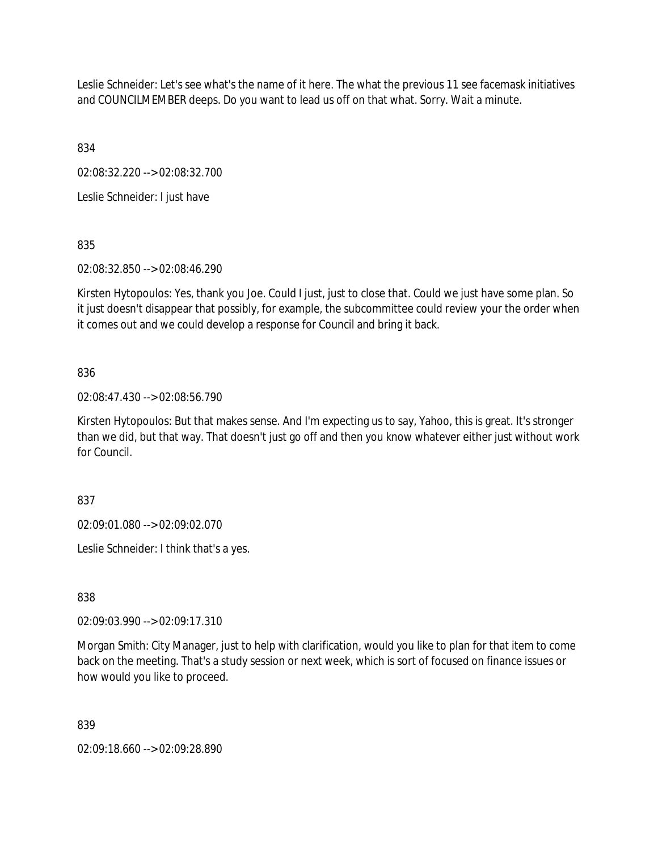Leslie Schneider: Let's see what's the name of it here. The what the previous 11 see facemask initiatives and COUNCILMEMBER deeps. Do you want to lead us off on that what. Sorry. Wait a minute.

834

02:08:32.220 --> 02:08:32.700

Leslie Schneider: I just have

835

02:08:32.850 --> 02:08:46.290

Kirsten Hytopoulos: Yes, thank you Joe. Could I just, just to close that. Could we just have some plan. So it just doesn't disappear that possibly, for example, the subcommittee could review your the order when it comes out and we could develop a response for Council and bring it back.

## 836

02:08:47.430 --> 02:08:56.790

Kirsten Hytopoulos: But that makes sense. And I'm expecting us to say, Yahoo, this is great. It's stronger than we did, but that way. That doesn't just go off and then you know whatever either just without work for Council.

837

02:09:01.080 --> 02:09:02.070

Leslie Schneider: I think that's a yes.

838

02:09:03.990 --> 02:09:17.310

Morgan Smith: City Manager, just to help with clarification, would you like to plan for that item to come back on the meeting. That's a study session or next week, which is sort of focused on finance issues or how would you like to proceed.

839

02:09:18.660 --> 02:09:28.890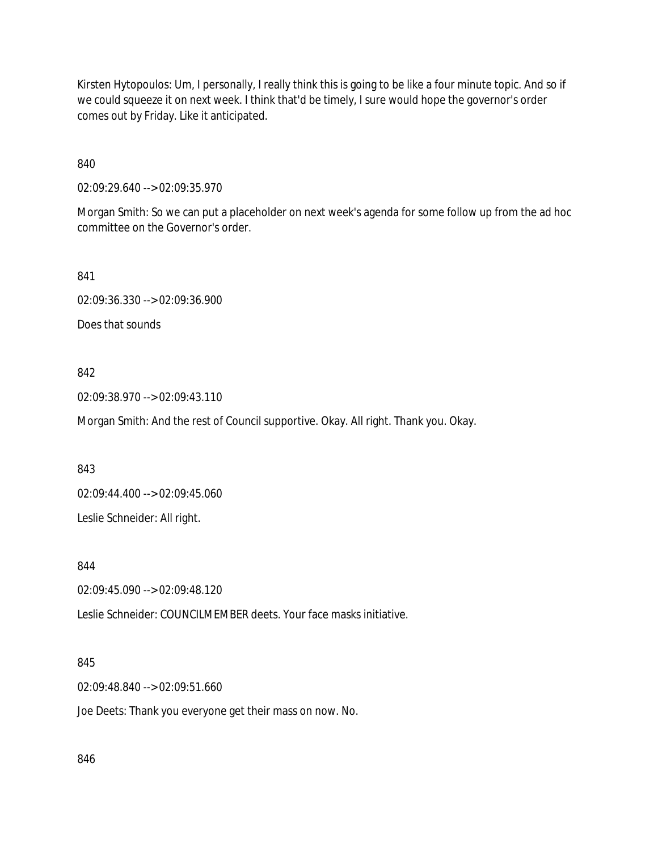Kirsten Hytopoulos: Um, I personally, I really think this is going to be like a four minute topic. And so if we could squeeze it on next week. I think that'd be timely, I sure would hope the governor's order comes out by Friday. Like it anticipated.

840

02:09:29.640 --> 02:09:35.970

Morgan Smith: So we can put a placeholder on next week's agenda for some follow up from the ad hoc committee on the Governor's order.

841

02:09:36.330 --> 02:09:36.900

Does that sounds

#### 842

02:09:38.970 --> 02:09:43.110

Morgan Smith: And the rest of Council supportive. Okay. All right. Thank you. Okay.

843

02:09:44.400 --> 02:09:45.060

Leslie Schneider: All right.

844

02:09:45.090 --> 02:09:48.120

Leslie Schneider: COUNCILMEMBER deets. Your face masks initiative.

### 845

02:09:48.840 --> 02:09:51.660

Joe Deets: Thank you everyone get their mass on now. No.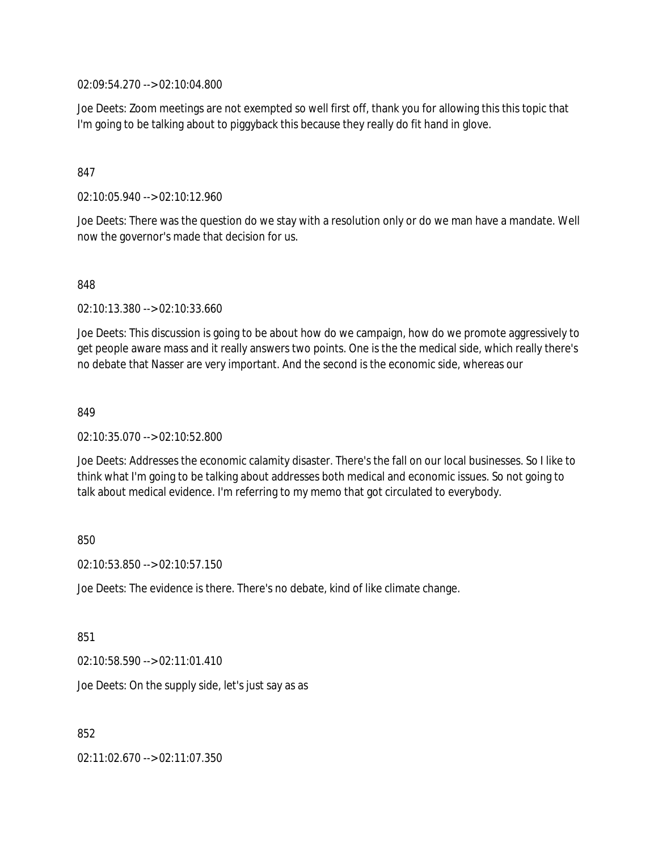02:09:54.270 --> 02:10:04.800

Joe Deets: Zoom meetings are not exempted so well first off, thank you for allowing this this topic that I'm going to be talking about to piggyback this because they really do fit hand in glove.

### 847

02:10:05.940 --> 02:10:12.960

Joe Deets: There was the question do we stay with a resolution only or do we man have a mandate. Well now the governor's made that decision for us.

848

02:10:13.380 --> 02:10:33.660

Joe Deets: This discussion is going to be about how do we campaign, how do we promote aggressively to get people aware mass and it really answers two points. One is the the medical side, which really there's no debate that Nasser are very important. And the second is the economic side, whereas our

#### 849

02:10:35.070 --> 02:10:52.800

Joe Deets: Addresses the economic calamity disaster. There's the fall on our local businesses. So I like to think what I'm going to be talking about addresses both medical and economic issues. So not going to talk about medical evidence. I'm referring to my memo that got circulated to everybody.

#### 850

02:10:53.850 --> 02:10:57.150

Joe Deets: The evidence is there. There's no debate, kind of like climate change.

#### 851

02:10:58.590 --> 02:11:01.410

Joe Deets: On the supply side, let's just say as as

852

02:11:02.670 --> 02:11:07.350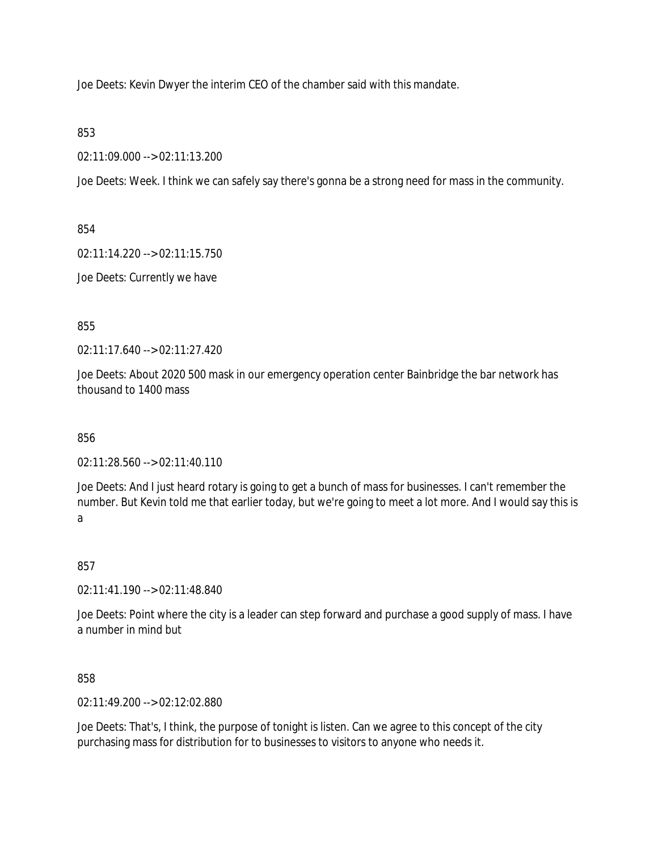Joe Deets: Kevin Dwyer the interim CEO of the chamber said with this mandate.

853

02:11:09.000 --> 02:11:13.200

Joe Deets: Week. I think we can safely say there's gonna be a strong need for mass in the community.

854

02:11:14.220 --> 02:11:15.750

Joe Deets: Currently we have

855

02:11:17.640 --> 02:11:27.420

Joe Deets: About 2020 500 mask in our emergency operation center Bainbridge the bar network has thousand to 1400 mass

856

02:11:28.560 --> 02:11:40.110

Joe Deets: And I just heard rotary is going to get a bunch of mass for businesses. I can't remember the number. But Kevin told me that earlier today, but we're going to meet a lot more. And I would say this is a

857

02:11:41.190 --> 02:11:48.840

Joe Deets: Point where the city is a leader can step forward and purchase a good supply of mass. I have a number in mind but

858

02:11:49.200 --> 02:12:02.880

Joe Deets: That's, I think, the purpose of tonight is listen. Can we agree to this concept of the city purchasing mass for distribution for to businesses to visitors to anyone who needs it.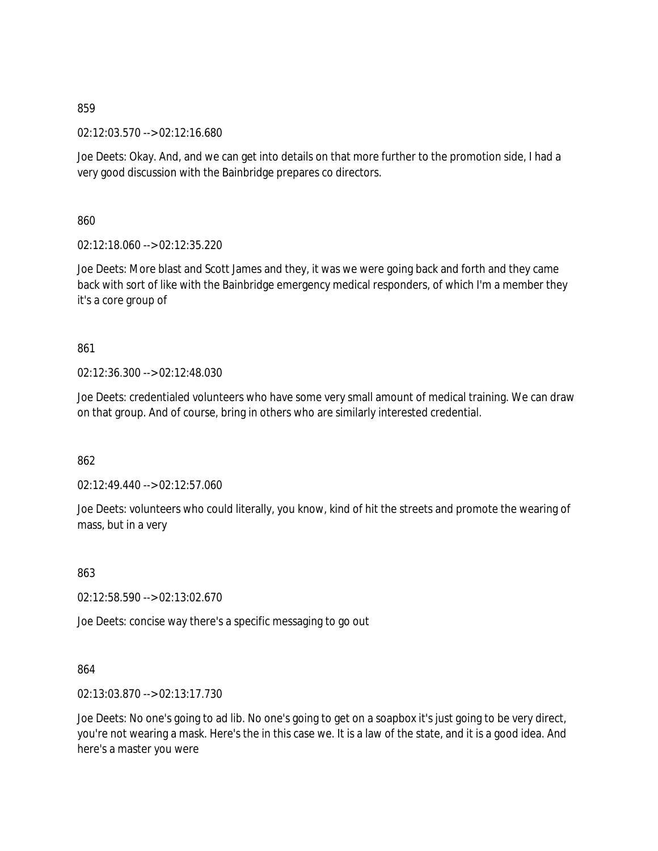02:12:03.570 --> 02:12:16.680

Joe Deets: Okay. And, and we can get into details on that more further to the promotion side, I had a very good discussion with the Bainbridge prepares co directors.

860

02:12:18.060 --> 02:12:35.220

Joe Deets: More blast and Scott James and they, it was we were going back and forth and they came back with sort of like with the Bainbridge emergency medical responders, of which I'm a member they it's a core group of

861

02:12:36.300 --> 02:12:48.030

Joe Deets: credentialed volunteers who have some very small amount of medical training. We can draw on that group. And of course, bring in others who are similarly interested credential.

862

02:12:49.440 --> 02:12:57.060

Joe Deets: volunteers who could literally, you know, kind of hit the streets and promote the wearing of mass, but in a very

863

02:12:58.590 --> 02:13:02.670

Joe Deets: concise way there's a specific messaging to go out

864

02:13:03.870 --> 02:13:17.730

Joe Deets: No one's going to ad lib. No one's going to get on a soapbox it's just going to be very direct, you're not wearing a mask. Here's the in this case we. It is a law of the state, and it is a good idea. And here's a master you were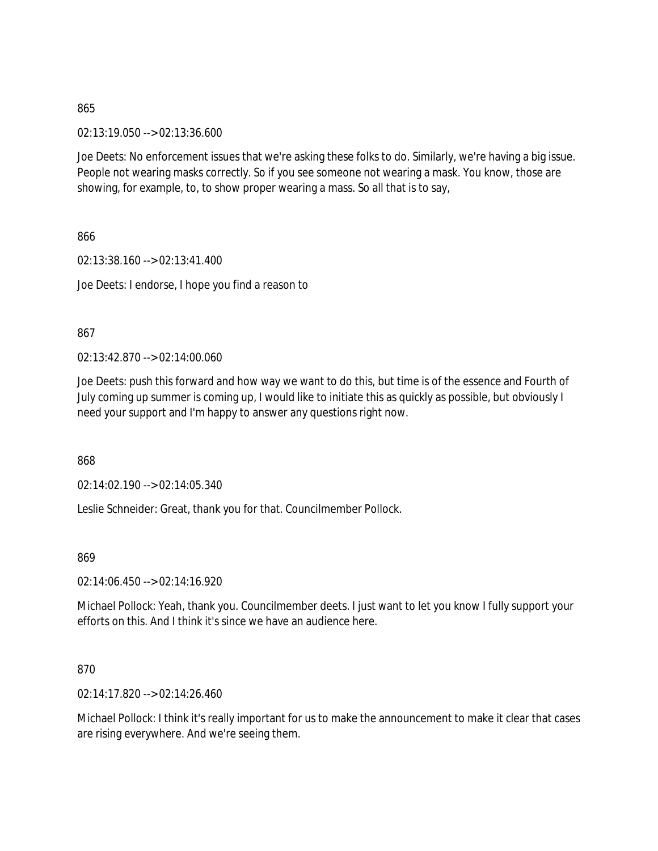02:13:19.050 --> 02:13:36.600

Joe Deets: No enforcement issues that we're asking these folks to do. Similarly, we're having a big issue. People not wearing masks correctly. So if you see someone not wearing a mask. You know, those are showing, for example, to, to show proper wearing a mass. So all that is to say,

866

02:13:38.160 --> 02:13:41.400 Joe Deets: I endorse, I hope you find a reason to

867

02:13:42.870 --> 02:14:00.060

Joe Deets: push this forward and how way we want to do this, but time is of the essence and Fourth of July coming up summer is coming up, I would like to initiate this as quickly as possible, but obviously I need your support and I'm happy to answer any questions right now.

868

02:14:02.190 --> 02:14:05.340

Leslie Schneider: Great, thank you for that. Councilmember Pollock.

869

02:14:06.450 --> 02:14:16.920

Michael Pollock: Yeah, thank you. Councilmember deets. I just want to let you know I fully support your efforts on this. And I think it's since we have an audience here.

### 870

02:14:17.820 --> 02:14:26.460

Michael Pollock: I think it's really important for us to make the announcement to make it clear that cases are rising everywhere. And we're seeing them.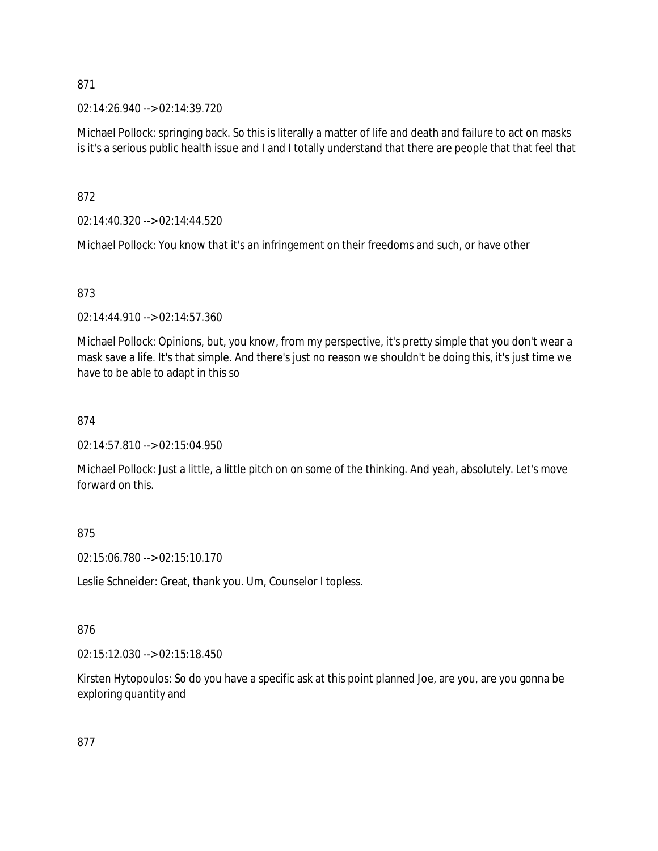02:14:26.940 --> 02:14:39.720

Michael Pollock: springing back. So this is literally a matter of life and death and failure to act on masks is it's a serious public health issue and I and I totally understand that there are people that that feel that

872

02:14:40.320 --> 02:14:44.520

Michael Pollock: You know that it's an infringement on their freedoms and such, or have other

### 873

02:14:44.910 --> 02:14:57.360

Michael Pollock: Opinions, but, you know, from my perspective, it's pretty simple that you don't wear a mask save a life. It's that simple. And there's just no reason we shouldn't be doing this, it's just time we have to be able to adapt in this so

### 874

02:14:57.810 --> 02:15:04.950

Michael Pollock: Just a little, a little pitch on on some of the thinking. And yeah, absolutely. Let's move forward on this.

### 875

02:15:06.780 --> 02:15:10.170

Leslie Schneider: Great, thank you. Um, Counselor I topless.

### 876

02:15:12.030 --> 02:15:18.450

Kirsten Hytopoulos: So do you have a specific ask at this point planned Joe, are you, are you gonna be exploring quantity and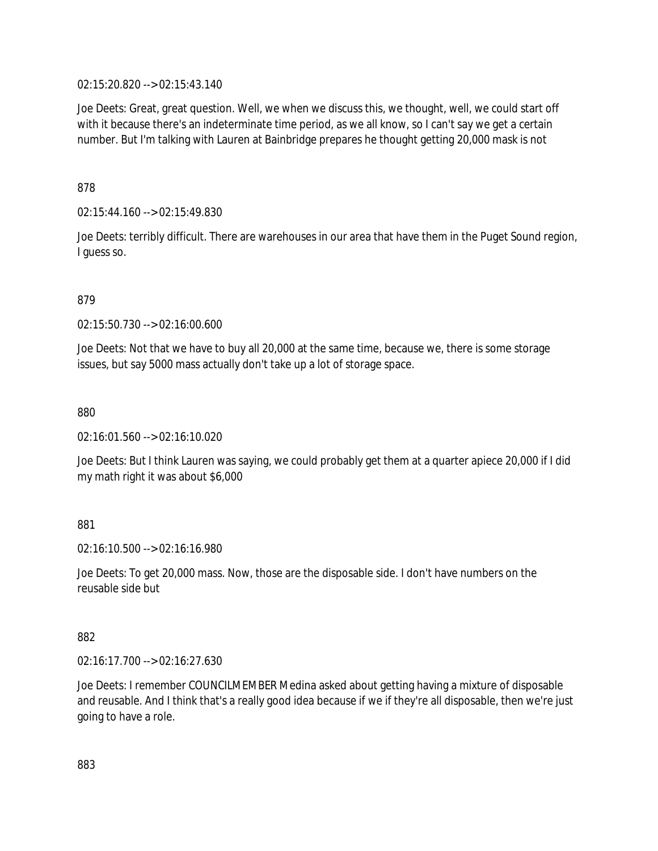02:15:20.820 --> 02:15:43.140

Joe Deets: Great, great question. Well, we when we discuss this, we thought, well, we could start off with it because there's an indeterminate time period, as we all know, so I can't say we get a certain number. But I'm talking with Lauren at Bainbridge prepares he thought getting 20,000 mask is not

878

02:15:44.160 --> 02:15:49.830

Joe Deets: terribly difficult. There are warehouses in our area that have them in the Puget Sound region, I guess so.

879

02:15:50.730 --> 02:16:00.600

Joe Deets: Not that we have to buy all 20,000 at the same time, because we, there is some storage issues, but say 5000 mass actually don't take up a lot of storage space.

880

02:16:01.560 --> 02:16:10.020

Joe Deets: But I think Lauren was saying, we could probably get them at a quarter apiece 20,000 if I did my math right it was about \$6,000

881

02:16:10.500 --> 02:16:16.980

Joe Deets: To get 20,000 mass. Now, those are the disposable side. I don't have numbers on the reusable side but

882

02:16:17.700 --> 02:16:27.630

Joe Deets: I remember COUNCILMEMBER Medina asked about getting having a mixture of disposable and reusable. And I think that's a really good idea because if we if they're all disposable, then we're just going to have a role.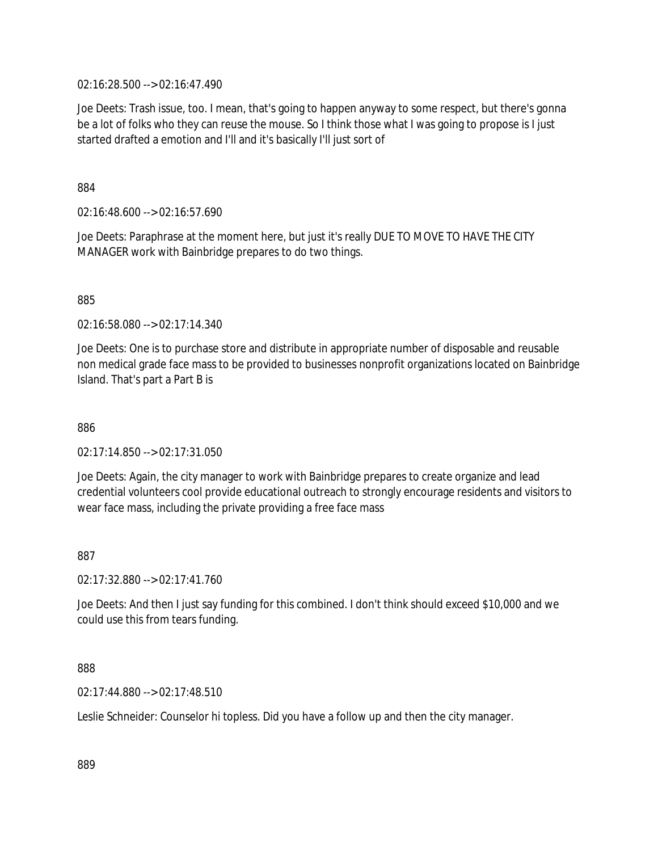02:16:28.500 --> 02:16:47.490

Joe Deets: Trash issue, too. I mean, that's going to happen anyway to some respect, but there's gonna be a lot of folks who they can reuse the mouse. So I think those what I was going to propose is I just started drafted a emotion and I'll and it's basically I'll just sort of

884

02:16:48.600 --> 02:16:57.690

Joe Deets: Paraphrase at the moment here, but just it's really DUE TO MOVE TO HAVE THE CITY MANAGER work with Bainbridge prepares to do two things.

885

02:16:58.080 --> 02:17:14.340

Joe Deets: One is to purchase store and distribute in appropriate number of disposable and reusable non medical grade face mass to be provided to businesses nonprofit organizations located on Bainbridge Island. That's part a Part B is

886

02:17:14.850 --> 02:17:31.050

Joe Deets: Again, the city manager to work with Bainbridge prepares to create organize and lead credential volunteers cool provide educational outreach to strongly encourage residents and visitors to wear face mass, including the private providing a free face mass

887

02:17:32.880 --> 02:17:41.760

Joe Deets: And then I just say funding for this combined. I don't think should exceed \$10,000 and we could use this from tears funding.

888

02:17:44.880 --> 02:17:48.510

Leslie Schneider: Counselor hi topless. Did you have a follow up and then the city manager.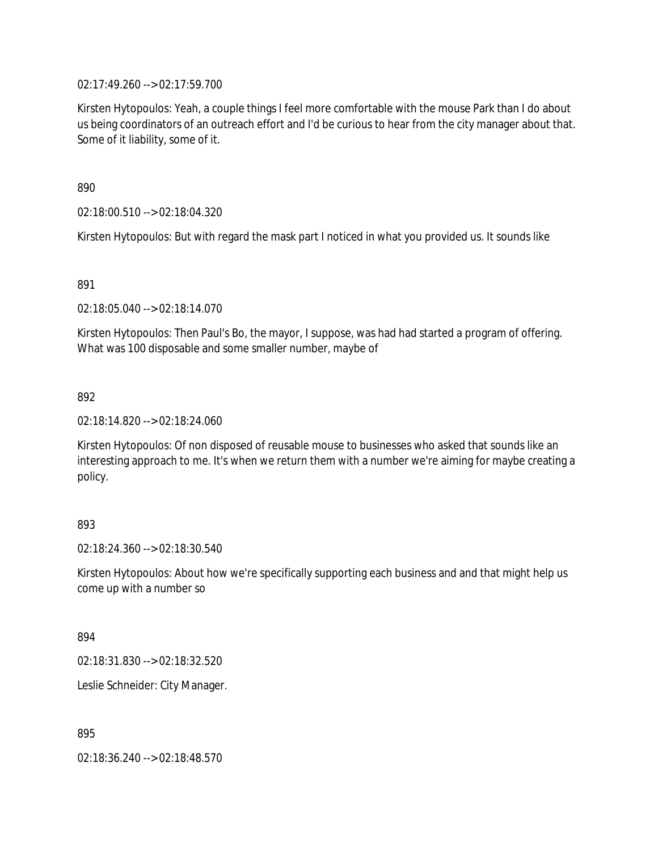02:17:49.260 --> 02:17:59.700

Kirsten Hytopoulos: Yeah, a couple things I feel more comfortable with the mouse Park than I do about us being coordinators of an outreach effort and I'd be curious to hear from the city manager about that. Some of it liability, some of it.

890

02:18:00.510 --> 02:18:04.320

Kirsten Hytopoulos: But with regard the mask part I noticed in what you provided us. It sounds like

891

02:18:05.040 --> 02:18:14.070

Kirsten Hytopoulos: Then Paul's Bo, the mayor, I suppose, was had had started a program of offering. What was 100 disposable and some smaller number, maybe of

892

02:18:14.820 --> 02:18:24.060

Kirsten Hytopoulos: Of non disposed of reusable mouse to businesses who asked that sounds like an interesting approach to me. It's when we return them with a number we're aiming for maybe creating a policy.

#### 893

02:18:24.360 --> 02:18:30.540

Kirsten Hytopoulos: About how we're specifically supporting each business and and that might help us come up with a number so

894

02:18:31.830 --> 02:18:32.520

Leslie Schneider: City Manager.

895

02:18:36.240 --> 02:18:48.570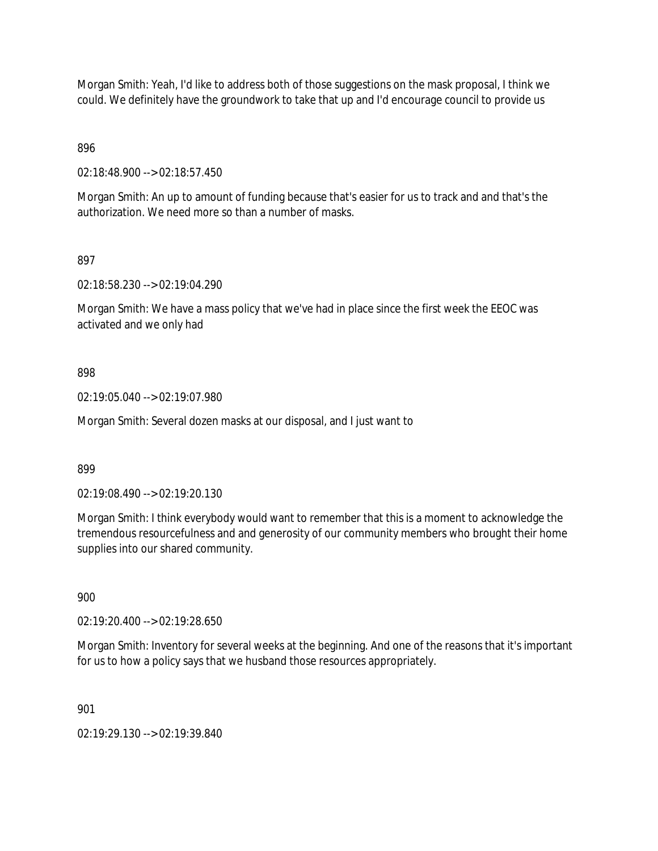Morgan Smith: Yeah, I'd like to address both of those suggestions on the mask proposal, I think we could. We definitely have the groundwork to take that up and I'd encourage council to provide us

896

02:18:48.900 --> 02:18:57.450

Morgan Smith: An up to amount of funding because that's easier for us to track and and that's the authorization. We need more so than a number of masks.

897

02:18:58.230 --> 02:19:04.290

Morgan Smith: We have a mass policy that we've had in place since the first week the EEOC was activated and we only had

### 898

02:19:05.040 --> 02:19:07.980

Morgan Smith: Several dozen masks at our disposal, and I just want to

### 899

02:19:08.490 --> 02:19:20.130

Morgan Smith: I think everybody would want to remember that this is a moment to acknowledge the tremendous resourcefulness and and generosity of our community members who brought their home supplies into our shared community.

900

02:19:20.400 --> 02:19:28.650

Morgan Smith: Inventory for several weeks at the beginning. And one of the reasons that it's important for us to how a policy says that we husband those resources appropriately.

901

02:19:29.130 --> 02:19:39.840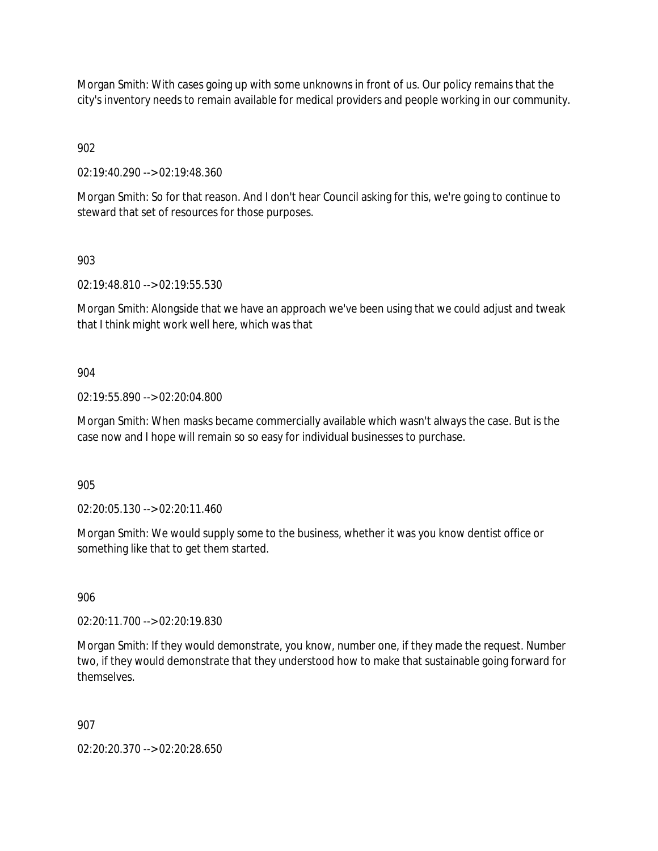Morgan Smith: With cases going up with some unknowns in front of us. Our policy remains that the city's inventory needs to remain available for medical providers and people working in our community.

902

02:19:40.290 --> 02:19:48.360

Morgan Smith: So for that reason. And I don't hear Council asking for this, we're going to continue to steward that set of resources for those purposes.

903

02:19:48.810 --> 02:19:55.530

Morgan Smith: Alongside that we have an approach we've been using that we could adjust and tweak that I think might work well here, which was that

904

02:19:55.890 --> 02:20:04.800

Morgan Smith: When masks became commercially available which wasn't always the case. But is the case now and I hope will remain so so easy for individual businesses to purchase.

905

02:20:05.130 --> 02:20:11.460

Morgan Smith: We would supply some to the business, whether it was you know dentist office or something like that to get them started.

906

02:20:11.700 --> 02:20:19.830

Morgan Smith: If they would demonstrate, you know, number one, if they made the request. Number two, if they would demonstrate that they understood how to make that sustainable going forward for themselves.

907

02:20:20.370 --> 02:20:28.650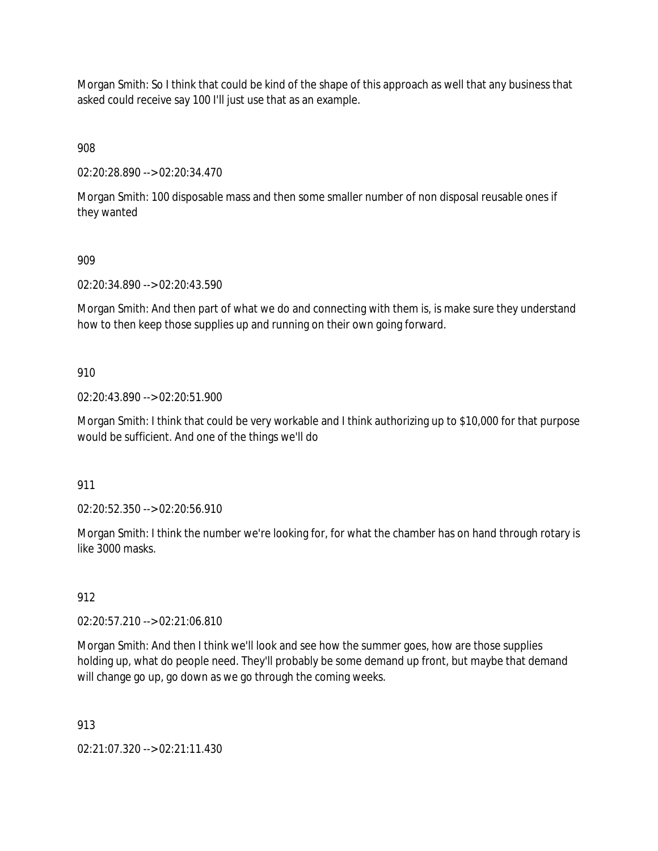Morgan Smith: So I think that could be kind of the shape of this approach as well that any business that asked could receive say 100 I'll just use that as an example.

908

02:20:28.890 --> 02:20:34.470

Morgan Smith: 100 disposable mass and then some smaller number of non disposal reusable ones if they wanted

909

02:20:34.890 --> 02:20:43.590

Morgan Smith: And then part of what we do and connecting with them is, is make sure they understand how to then keep those supplies up and running on their own going forward.

910

02:20:43.890 --> 02:20:51.900

Morgan Smith: I think that could be very workable and I think authorizing up to \$10,000 for that purpose would be sufficient. And one of the things we'll do

911

02:20:52.350 --> 02:20:56.910

Morgan Smith: I think the number we're looking for, for what the chamber has on hand through rotary is like 3000 masks.

912

02:20:57.210 --> 02:21:06.810

Morgan Smith: And then I think we'll look and see how the summer goes, how are those supplies holding up, what do people need. They'll probably be some demand up front, but maybe that demand will change go up, go down as we go through the coming weeks.

913

02:21:07.320 --> 02:21:11.430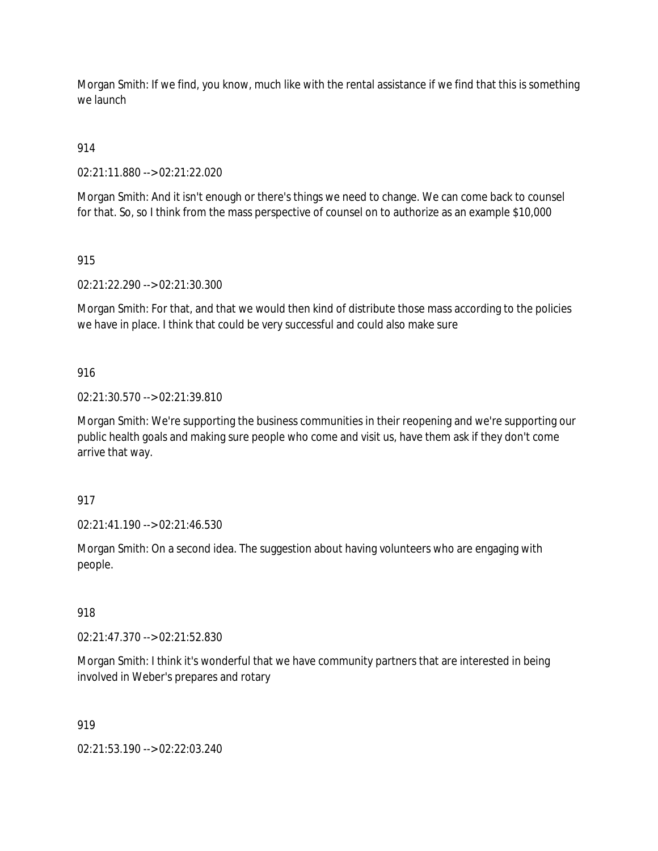Morgan Smith: If we find, you know, much like with the rental assistance if we find that this is something we launch

914

02:21:11.880 --> 02:21:22.020

Morgan Smith: And it isn't enough or there's things we need to change. We can come back to counsel for that. So, so I think from the mass perspective of counsel on to authorize as an example \$10,000

915

02:21:22.290 --> 02:21:30.300

Morgan Smith: For that, and that we would then kind of distribute those mass according to the policies we have in place. I think that could be very successful and could also make sure

916

02:21:30.570 --> 02:21:39.810

Morgan Smith: We're supporting the business communities in their reopening and we're supporting our public health goals and making sure people who come and visit us, have them ask if they don't come arrive that way.

917

02:21:41.190 --> 02:21:46.530

Morgan Smith: On a second idea. The suggestion about having volunteers who are engaging with people.

918

02:21:47.370 --> 02:21:52.830

Morgan Smith: I think it's wonderful that we have community partners that are interested in being involved in Weber's prepares and rotary

919

02:21:53.190 --> 02:22:03.240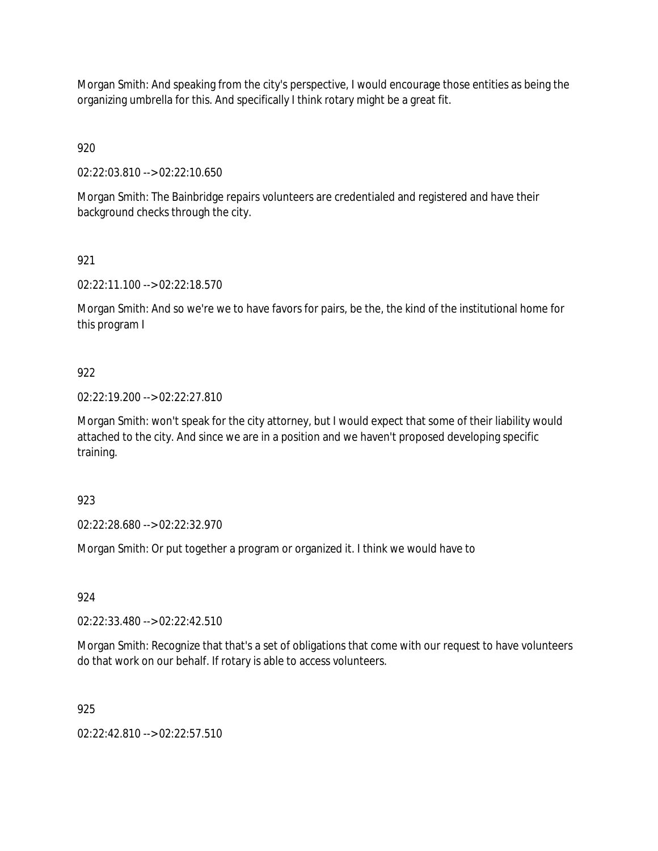Morgan Smith: And speaking from the city's perspective, I would encourage those entities as being the organizing umbrella for this. And specifically I think rotary might be a great fit.

920

02:22:03.810 --> 02:22:10.650

Morgan Smith: The Bainbridge repairs volunteers are credentialed and registered and have their background checks through the city.

921

02:22:11.100 --> 02:22:18.570

Morgan Smith: And so we're we to have favors for pairs, be the, the kind of the institutional home for this program I

### 922

02:22:19.200 --> 02:22:27.810

Morgan Smith: won't speak for the city attorney, but I would expect that some of their liability would attached to the city. And since we are in a position and we haven't proposed developing specific training.

923

02:22:28.680 --> 02:22:32.970

Morgan Smith: Or put together a program or organized it. I think we would have to

924

02:22:33.480 --> 02:22:42.510

Morgan Smith: Recognize that that's a set of obligations that come with our request to have volunteers do that work on our behalf. If rotary is able to access volunteers.

925

02:22:42.810 --> 02:22:57.510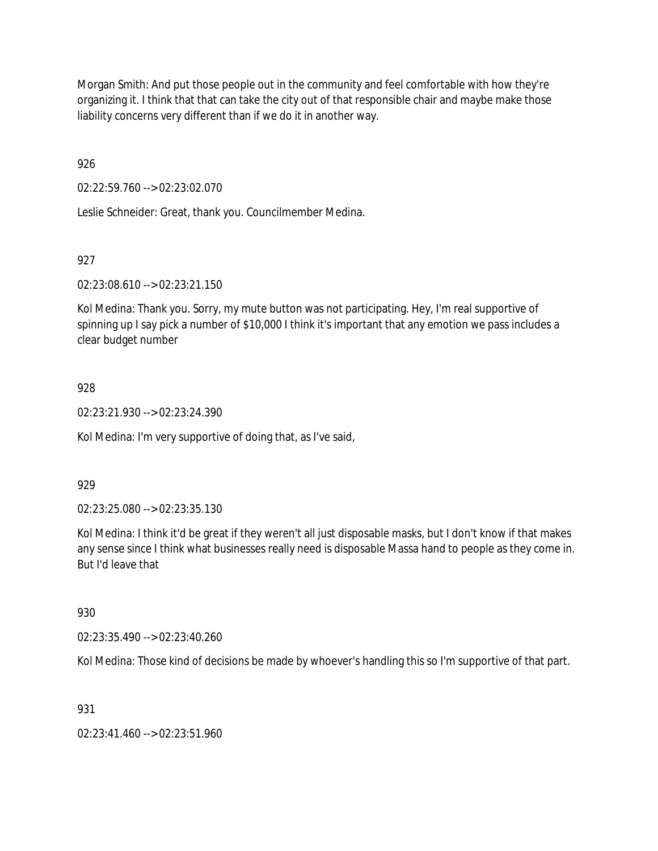Morgan Smith: And put those people out in the community and feel comfortable with how they're organizing it. I think that that can take the city out of that responsible chair and maybe make those liability concerns very different than if we do it in another way.

926

02:22:59.760 --> 02:23:02.070

Leslie Schneider: Great, thank you. Councilmember Medina.

927

02:23:08.610 --> 02:23:21.150

Kol Medina: Thank you. Sorry, my mute button was not participating. Hey, I'm real supportive of spinning up I say pick a number of \$10,000 I think it's important that any emotion we pass includes a clear budget number

### 928

02:23:21.930 --> 02:23:24.390

Kol Medina: I'm very supportive of doing that, as I've said,

929

02:23:25.080 --> 02:23:35.130

Kol Medina: I think it'd be great if they weren't all just disposable masks, but I don't know if that makes any sense since I think what businesses really need is disposable Massa hand to people as they come in. But I'd leave that

930

02:23:35.490 --> 02:23:40.260

Kol Medina: Those kind of decisions be made by whoever's handling this so I'm supportive of that part.

931

02:23:41.460 --> 02:23:51.960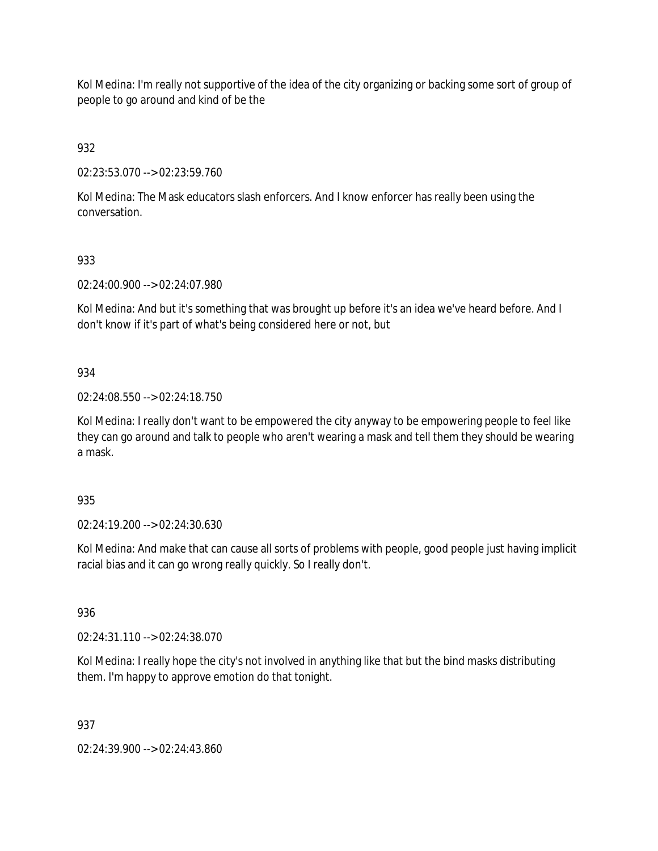Kol Medina: I'm really not supportive of the idea of the city organizing or backing some sort of group of people to go around and kind of be the

932

02:23:53.070 --> 02:23:59.760

Kol Medina: The Mask educators slash enforcers. And I know enforcer has really been using the conversation.

933

02:24:00.900 --> 02:24:07.980

Kol Medina: And but it's something that was brought up before it's an idea we've heard before. And I don't know if it's part of what's being considered here or not, but

934

02:24:08.550 --> 02:24:18.750

Kol Medina: I really don't want to be empowered the city anyway to be empowering people to feel like they can go around and talk to people who aren't wearing a mask and tell them they should be wearing a mask.

935

02:24:19.200 --> 02:24:30.630

Kol Medina: And make that can cause all sorts of problems with people, good people just having implicit racial bias and it can go wrong really quickly. So I really don't.

936

02:24:31.110 --> 02:24:38.070

Kol Medina: I really hope the city's not involved in anything like that but the bind masks distributing them. I'm happy to approve emotion do that tonight.

937

02:24:39.900 --> 02:24:43.860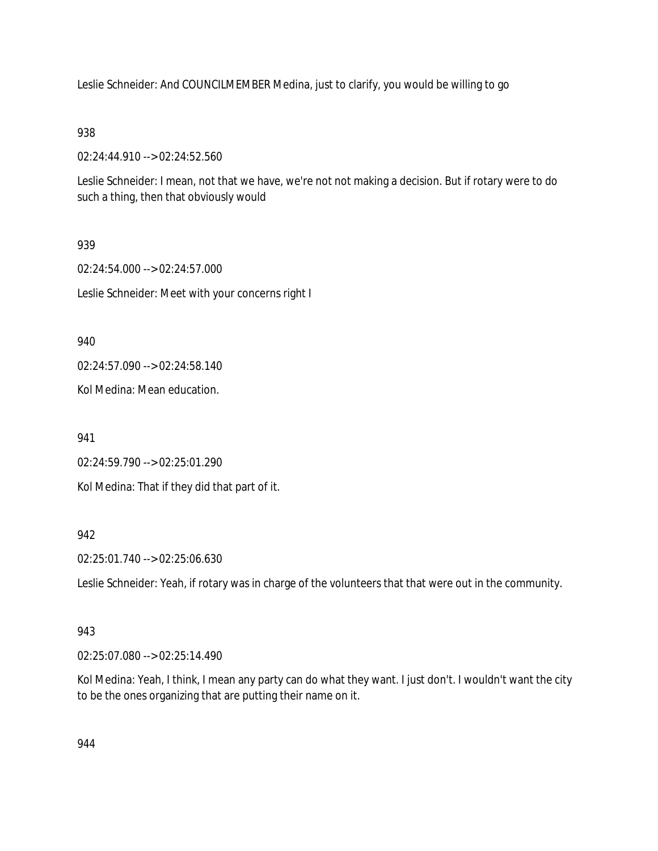Leslie Schneider: And COUNCILMEMBER Medina, just to clarify, you would be willing to go

# 938

02:24:44.910 --> 02:24:52.560

Leslie Schneider: I mean, not that we have, we're not not making a decision. But if rotary were to do such a thing, then that obviously would

# 939

02:24:54.000 --> 02:24:57.000 Leslie Schneider: Meet with your concerns right I

# 940

02:24:57.090 --> 02:24:58.140

Kol Medina: Mean education.

941

02:24:59.790 --> 02:25:01.290

Kol Medina: That if they did that part of it.

# 942

02:25:01.740 --> 02:25:06.630

Leslie Schneider: Yeah, if rotary was in charge of the volunteers that that were out in the community.

### 943

02:25:07.080 --> 02:25:14.490

Kol Medina: Yeah, I think, I mean any party can do what they want. I just don't. I wouldn't want the city to be the ones organizing that are putting their name on it.

944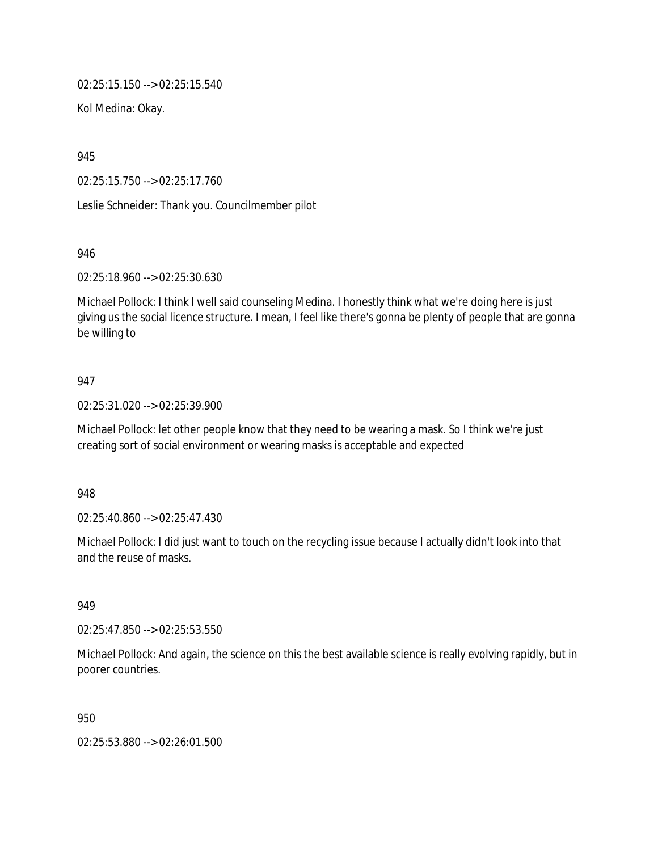02:25:15.150 --> 02:25:15.540

Kol Medina: Okay.

945

02:25:15.750 --> 02:25:17.760

Leslie Schneider: Thank you. Councilmember pilot

946

02:25:18.960 --> 02:25:30.630

Michael Pollock: I think I well said counseling Medina. I honestly think what we're doing here is just giving us the social licence structure. I mean, I feel like there's gonna be plenty of people that are gonna be willing to

#### 947

02:25:31.020 --> 02:25:39.900

Michael Pollock: let other people know that they need to be wearing a mask. So I think we're just creating sort of social environment or wearing masks is acceptable and expected

948

02:25:40.860 --> 02:25:47.430

Michael Pollock: I did just want to touch on the recycling issue because I actually didn't look into that and the reuse of masks.

949

02:25:47.850 --> 02:25:53.550

Michael Pollock: And again, the science on this the best available science is really evolving rapidly, but in poorer countries.

950

02:25:53.880 --> 02:26:01.500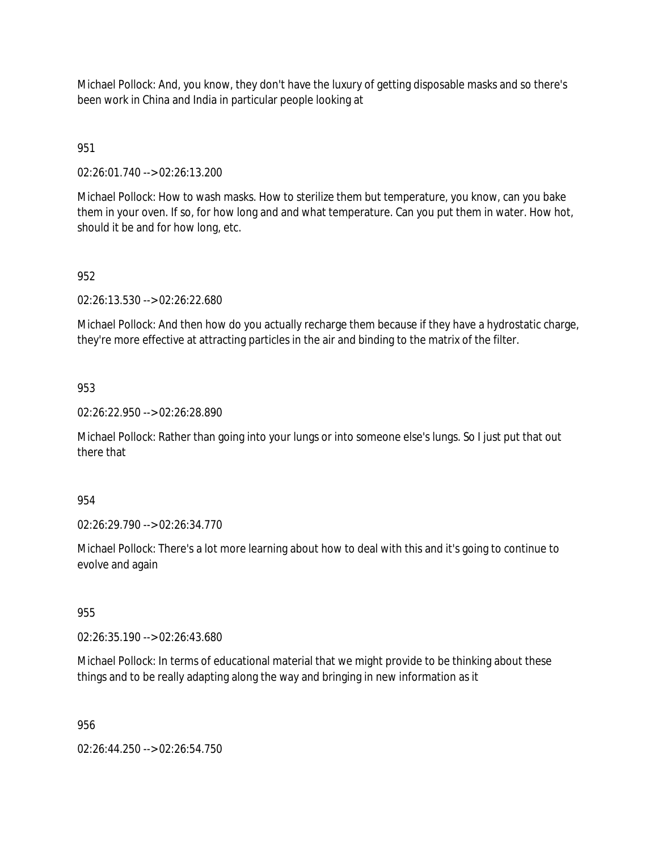Michael Pollock: And, you know, they don't have the luxury of getting disposable masks and so there's been work in China and India in particular people looking at

# 951

02:26:01.740 --> 02:26:13.200

Michael Pollock: How to wash masks. How to sterilize them but temperature, you know, can you bake them in your oven. If so, for how long and and what temperature. Can you put them in water. How hot, should it be and for how long, etc.

# 952

02:26:13.530 --> 02:26:22.680

Michael Pollock: And then how do you actually recharge them because if they have a hydrostatic charge, they're more effective at attracting particles in the air and binding to the matrix of the filter.

# 953

02:26:22.950 --> 02:26:28.890

Michael Pollock: Rather than going into your lungs or into someone else's lungs. So I just put that out there that

# 954

02:26:29.790 --> 02:26:34.770

Michael Pollock: There's a lot more learning about how to deal with this and it's going to continue to evolve and again

### 955

02:26:35.190 --> 02:26:43.680

Michael Pollock: In terms of educational material that we might provide to be thinking about these things and to be really adapting along the way and bringing in new information as it

956

02:26:44.250 --> 02:26:54.750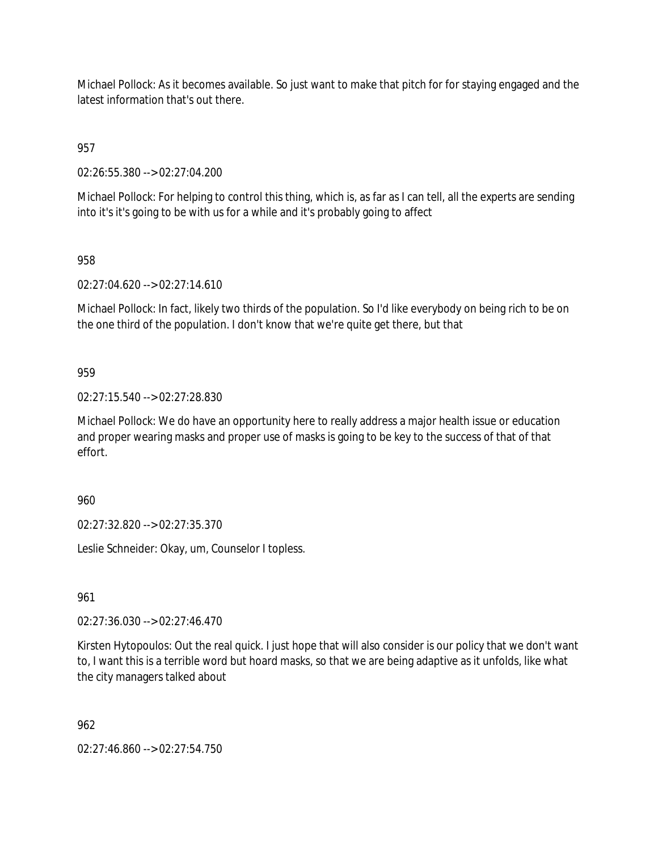Michael Pollock: As it becomes available. So just want to make that pitch for for staying engaged and the latest information that's out there.

957

02:26:55.380 --> 02:27:04.200

Michael Pollock: For helping to control this thing, which is, as far as I can tell, all the experts are sending into it's it's going to be with us for a while and it's probably going to affect

958

02:27:04.620 --> 02:27:14.610

Michael Pollock: In fact, likely two thirds of the population. So I'd like everybody on being rich to be on the one third of the population. I don't know that we're quite get there, but that

### 959

02:27:15.540 --> 02:27:28.830

Michael Pollock: We do have an opportunity here to really address a major health issue or education and proper wearing masks and proper use of masks is going to be key to the success of that of that effort.

960

02:27:32.820 --> 02:27:35.370

Leslie Schneider: Okay, um, Counselor I topless.

961

02:27:36.030 --> 02:27:46.470

Kirsten Hytopoulos: Out the real quick. I just hope that will also consider is our policy that we don't want to, I want this is a terrible word but hoard masks, so that we are being adaptive as it unfolds, like what the city managers talked about

962

02:27:46.860 --> 02:27:54.750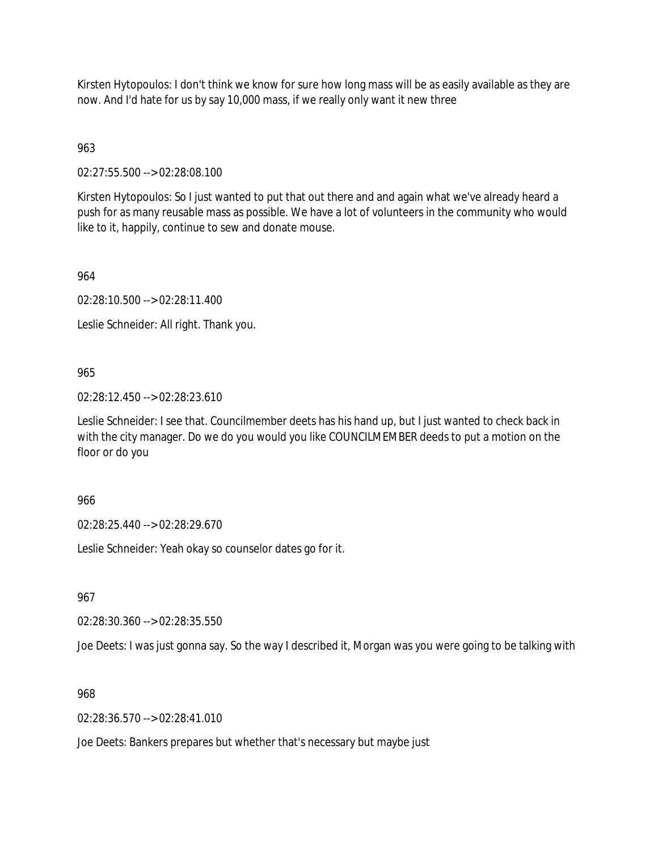Kirsten Hytopoulos: I don't think we know for sure how long mass will be as easily available as they are now. And I'd hate for us by say 10,000 mass, if we really only want it new three

963

02:27:55.500 --> 02:28:08.100

Kirsten Hytopoulos: So I just wanted to put that out there and and again what we've already heard a push for as many reusable mass as possible. We have a lot of volunteers in the community who would like to it, happily, continue to sew and donate mouse.

964

02:28:10.500 --> 02:28:11.400

Leslie Schneider: All right. Thank you.

#### 965

02:28:12.450 --> 02:28:23.610

Leslie Schneider: I see that. Councilmember deets has his hand up, but I just wanted to check back in with the city manager. Do we do you would you like COUNCILMEMBER deeds to put a motion on the floor or do you

#### 966

02:28:25.440 --> 02:28:29.670

Leslie Schneider: Yeah okay so counselor dates go for it.

967

02:28:30.360 --> 02:28:35.550

Joe Deets: I was just gonna say. So the way I described it, Morgan was you were going to be talking with

#### 968

 $02.28:36.570 \rightarrow 02.28:41.010$ 

Joe Deets: Bankers prepares but whether that's necessary but maybe just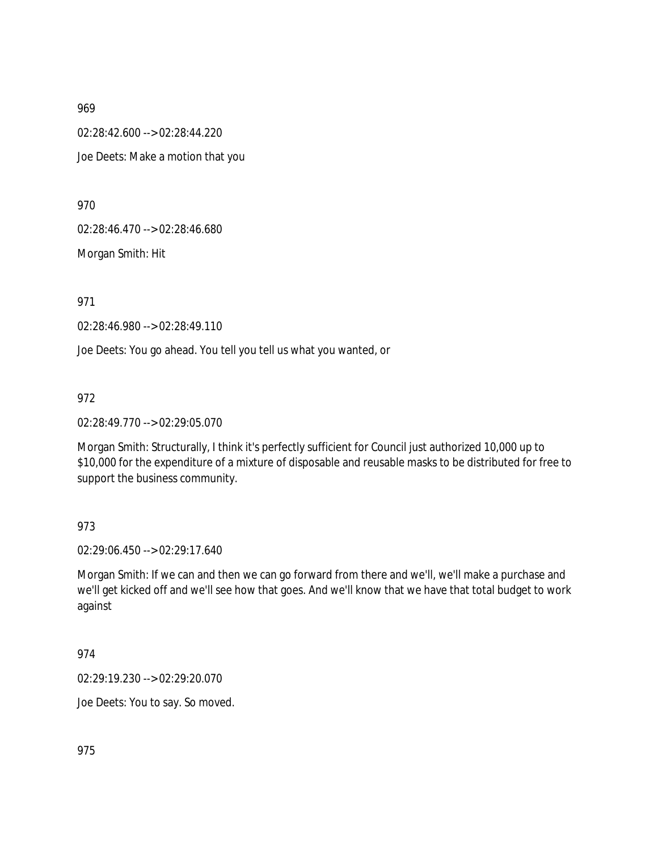02:28:42.600 --> 02:28:44.220 Joe Deets: Make a motion that you

970

02:28:46.470 --> 02:28:46.680

Morgan Smith: Hit

971

02:28:46.980 --> 02:28:49.110

Joe Deets: You go ahead. You tell you tell us what you wanted, or

972

02:28:49.770 --> 02:29:05.070

Morgan Smith: Structurally, I think it's perfectly sufficient for Council just authorized 10,000 up to \$10,000 for the expenditure of a mixture of disposable and reusable masks to be distributed for free to support the business community.

### 973

02:29:06.450 --> 02:29:17.640

Morgan Smith: If we can and then we can go forward from there and we'll, we'll make a purchase and we'll get kicked off and we'll see how that goes. And we'll know that we have that total budget to work against

974

02:29:19.230 --> 02:29:20.070

Joe Deets: You to say. So moved.

975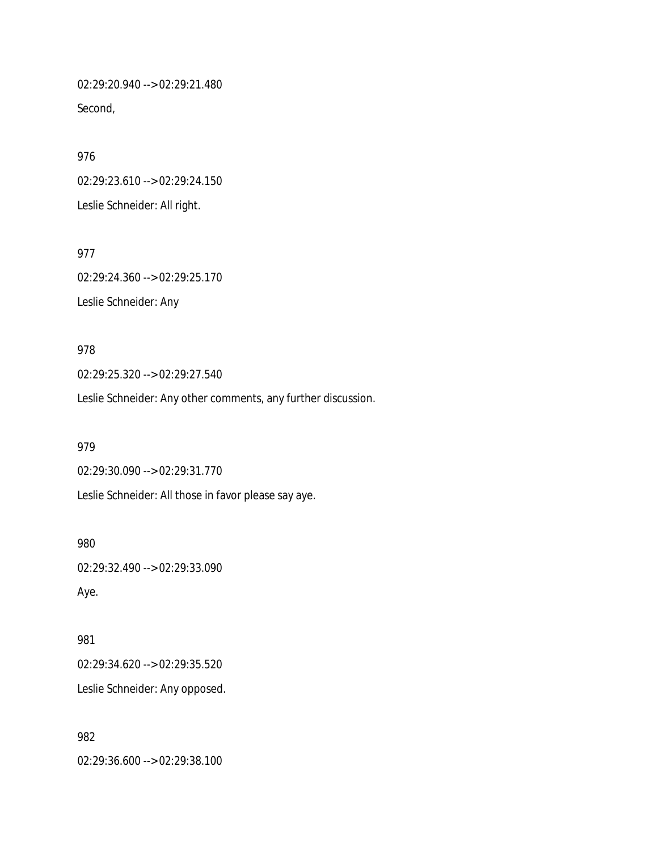02:29:20.940 --> 02:29:21.480 Second,

976 02:29:23.610 --> 02:29:24.150 Leslie Schneider: All right.

977 02:29:24.360 --> 02:29:25.170 Leslie Schneider: Any

978 02:29:25.320 --> 02:29:27.540 Leslie Schneider: Any other comments, any further discussion.

979 02:29:30.090 --> 02:29:31.770 Leslie Schneider: All those in favor please say aye.

02:29:32.490 --> 02:29:33.090 Aye.

981 02:29:34.620 --> 02:29:35.520 Leslie Schneider: Any opposed.

982

980

02:29:36.600 --> 02:29:38.100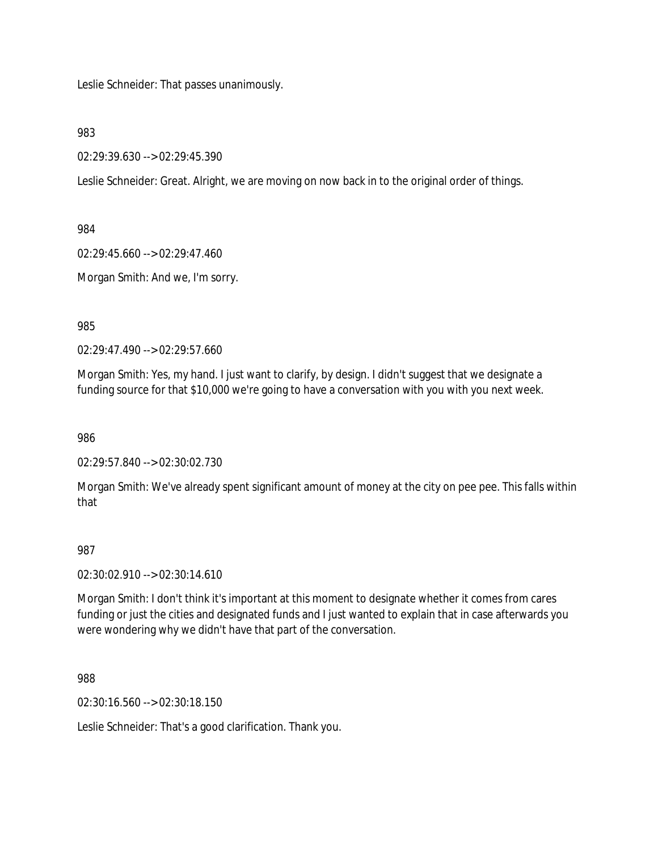Leslie Schneider: That passes unanimously.

983

02:29:39.630 --> 02:29:45.390

Leslie Schneider: Great. Alright, we are moving on now back in to the original order of things.

984

02:29:45.660 --> 02:29:47.460

Morgan Smith: And we, I'm sorry.

985

02:29:47.490 --> 02:29:57.660

Morgan Smith: Yes, my hand. I just want to clarify, by design. I didn't suggest that we designate a funding source for that \$10,000 we're going to have a conversation with you with you next week.

986

02:29:57.840 --> 02:30:02.730

Morgan Smith: We've already spent significant amount of money at the city on pee pee. This falls within that

### 987

02:30:02.910 --> 02:30:14.610

Morgan Smith: I don't think it's important at this moment to designate whether it comes from cares funding or just the cities and designated funds and I just wanted to explain that in case afterwards you were wondering why we didn't have that part of the conversation.

988

02:30:16.560 --> 02:30:18.150

Leslie Schneider: That's a good clarification. Thank you.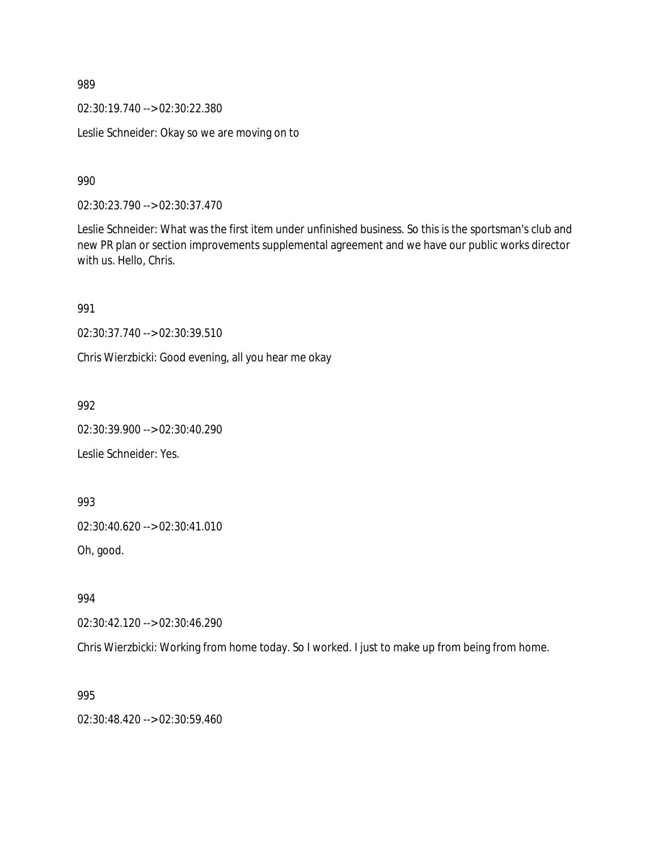02:30:19.740 --> 02:30:22.380

Leslie Schneider: Okay so we are moving on to

990

02:30:23.790 --> 02:30:37.470

Leslie Schneider: What was the first item under unfinished business. So this is the sportsman's club and new PR plan or section improvements supplemental agreement and we have our public works director with us. Hello, Chris.

991

02:30:37.740 --> 02:30:39.510

Chris Wierzbicki: Good evening, all you hear me okay

992

02:30:39.900 --> 02:30:40.290

Leslie Schneider: Yes.

993

02:30:40.620 --> 02:30:41.010

Oh, good.

994

02:30:42.120 --> 02:30:46.290

Chris Wierzbicki: Working from home today. So I worked. I just to make up from being from home.

995

02:30:48.420 --> 02:30:59.460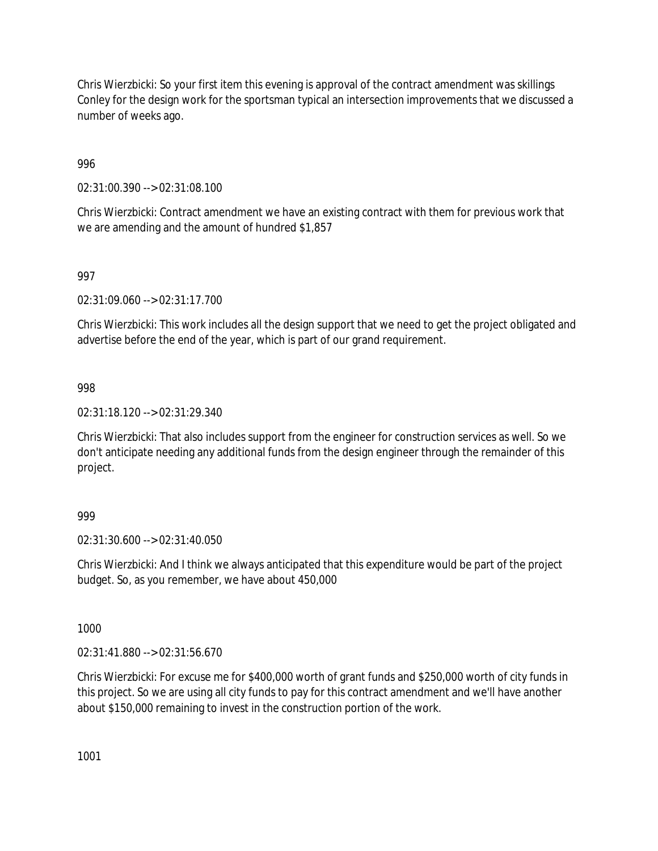Chris Wierzbicki: So your first item this evening is approval of the contract amendment was skillings Conley for the design work for the sportsman typical an intersection improvements that we discussed a number of weeks ago.

996

02:31:00.390 --> 02:31:08.100

Chris Wierzbicki: Contract amendment we have an existing contract with them for previous work that we are amending and the amount of hundred \$1,857

# 997

02:31:09.060 --> 02:31:17.700

Chris Wierzbicki: This work includes all the design support that we need to get the project obligated and advertise before the end of the year, which is part of our grand requirement.

### 998

02:31:18.120 --> 02:31:29.340

Chris Wierzbicki: That also includes support from the engineer for construction services as well. So we don't anticipate needing any additional funds from the design engineer through the remainder of this project.

### 999

02:31:30.600 --> 02:31:40.050

Chris Wierzbicki: And I think we always anticipated that this expenditure would be part of the project budget. So, as you remember, we have about 450,000

1000

02:31:41.880 --> 02:31:56.670

Chris Wierzbicki: For excuse me for \$400,000 worth of grant funds and \$250,000 worth of city funds in this project. So we are using all city funds to pay for this contract amendment and we'll have another about \$150,000 remaining to invest in the construction portion of the work.

1001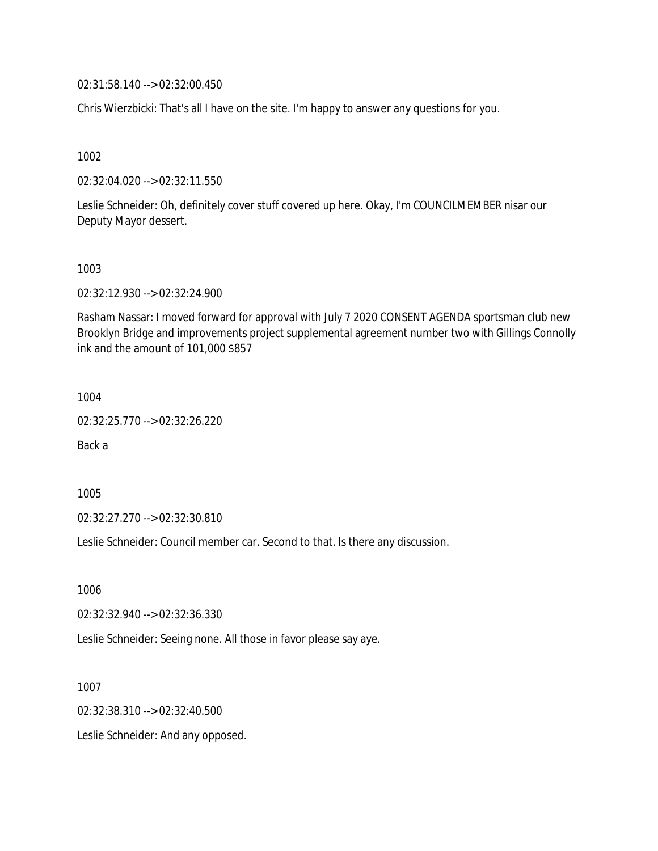02:31:58.140 --> 02:32:00.450

Chris Wierzbicki: That's all I have on the site. I'm happy to answer any questions for you.

1002

02:32:04.020 --> 02:32:11.550

Leslie Schneider: Oh, definitely cover stuff covered up here. Okay, I'm COUNCILMEMBER nisar our Deputy Mayor dessert.

#### 1003

02:32:12.930 --> 02:32:24.900

Rasham Nassar: I moved forward for approval with July 7 2020 CONSENT AGENDA sportsman club new Brooklyn Bridge and improvements project supplemental agreement number two with Gillings Connolly ink and the amount of 101,000 \$857

1004

02:32:25.770 --> 02:32:26.220

Back a

1005

02:32:27.270 --> 02:32:30.810

Leslie Schneider: Council member car. Second to that. Is there any discussion.

1006

02:32:32.940 --> 02:32:36.330

Leslie Schneider: Seeing none. All those in favor please say aye.

1007 02:32:38.310 --> 02:32:40.500 Leslie Schneider: And any opposed.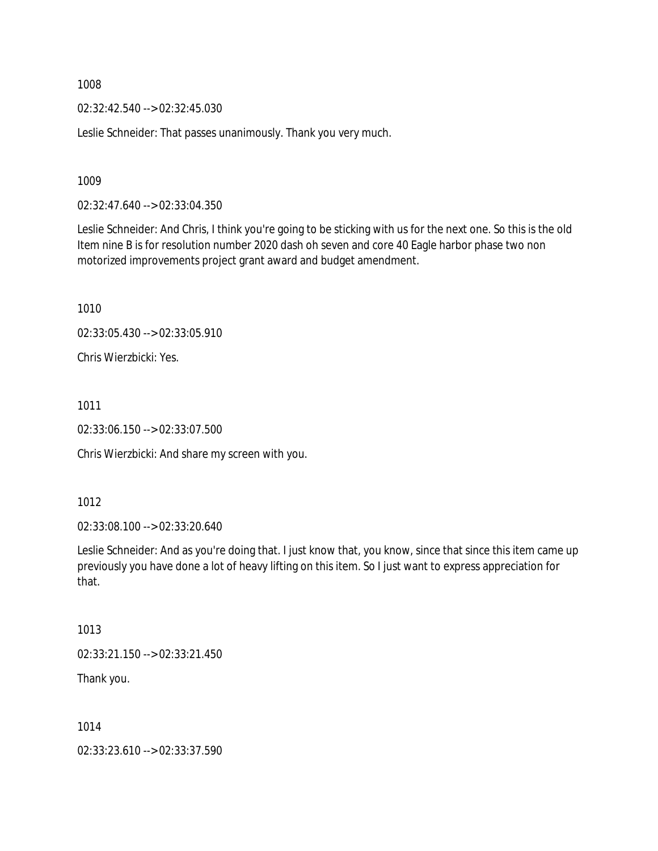02:32:42.540 --> 02:32:45.030

Leslie Schneider: That passes unanimously. Thank you very much.

1009

02:32:47.640 --> 02:33:04.350

Leslie Schneider: And Chris, I think you're going to be sticking with us for the next one. So this is the old Item nine B is for resolution number 2020 dash oh seven and core 40 Eagle harbor phase two non motorized improvements project grant award and budget amendment.

1010

02:33:05.430 --> 02:33:05.910

Chris Wierzbicki: Yes.

1011

02:33:06.150 --> 02:33:07.500

Chris Wierzbicki: And share my screen with you.

1012

02:33:08.100 --> 02:33:20.640

Leslie Schneider: And as you're doing that. I just know that, you know, since that since this item came up previously you have done a lot of heavy lifting on this item. So I just want to express appreciation for that.

1013

02:33:21.150 --> 02:33:21.450

Thank you.

1014

02:33:23.610 --> 02:33:37.590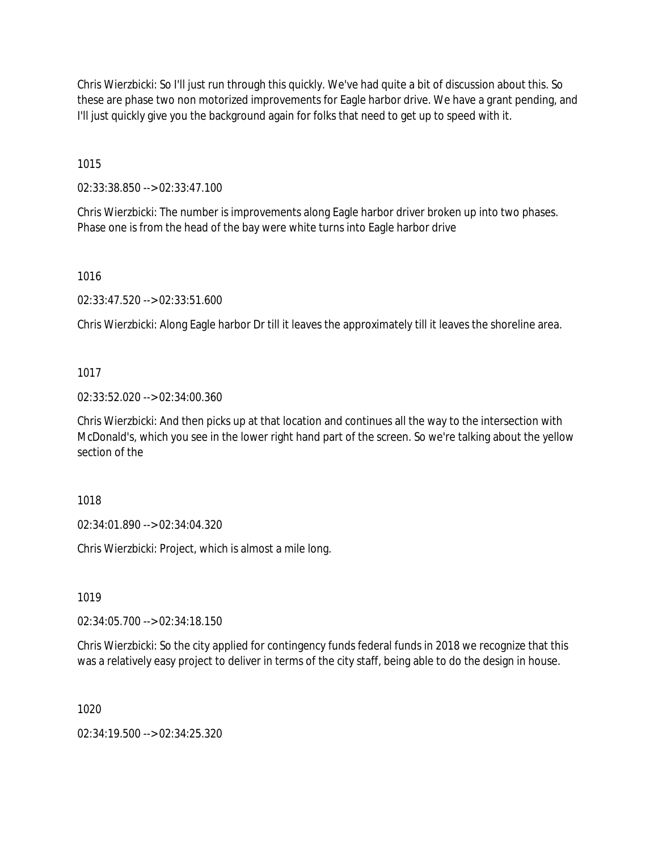Chris Wierzbicki: So I'll just run through this quickly. We've had quite a bit of discussion about this. So these are phase two non motorized improvements for Eagle harbor drive. We have a grant pending, and I'll just quickly give you the background again for folks that need to get up to speed with it.

1015

02:33:38.850 --> 02:33:47.100

Chris Wierzbicki: The number is improvements along Eagle harbor driver broken up into two phases. Phase one is from the head of the bay were white turns into Eagle harbor drive

1016

02:33:47.520 --> 02:33:51.600

Chris Wierzbicki: Along Eagle harbor Dr till it leaves the approximately till it leaves the shoreline area.

### 1017

02:33:52.020 --> 02:34:00.360

Chris Wierzbicki: And then picks up at that location and continues all the way to the intersection with McDonald's, which you see in the lower right hand part of the screen. So we're talking about the yellow section of the

1018

02:34:01.890 --> 02:34:04.320

Chris Wierzbicki: Project, which is almost a mile long.

1019

02:34:05.700 --> 02:34:18.150

Chris Wierzbicki: So the city applied for contingency funds federal funds in 2018 we recognize that this was a relatively easy project to deliver in terms of the city staff, being able to do the design in house.

1020

02:34:19.500 --> 02:34:25.320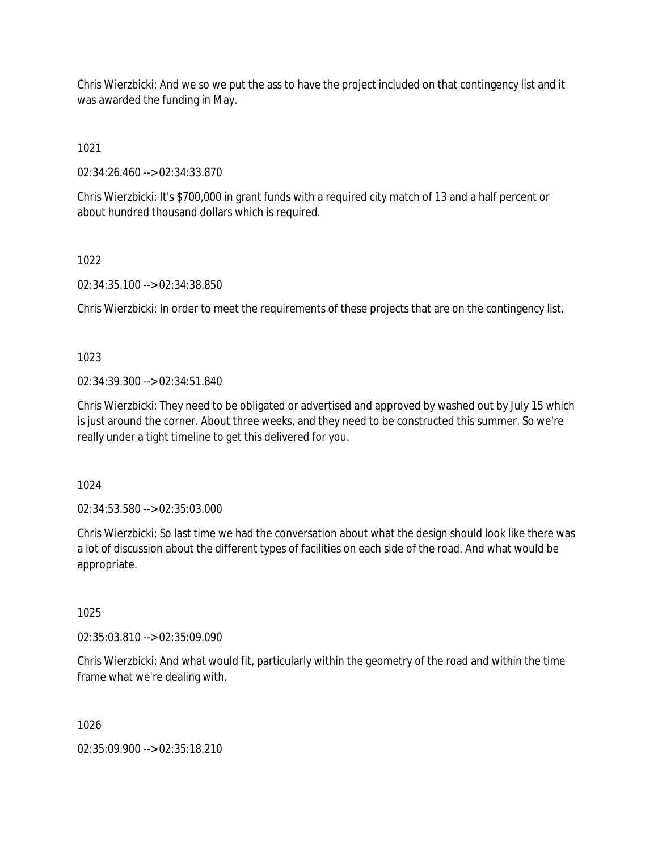Chris Wierzbicki: And we so we put the ass to have the project included on that contingency list and it was awarded the funding in May.

1021

02:34:26.460 --> 02:34:33.870

Chris Wierzbicki: It's \$700,000 in grant funds with a required city match of 13 and a half percent or about hundred thousand dollars which is required.

1022

02:34:35.100 --> 02:34:38.850

Chris Wierzbicki: In order to meet the requirements of these projects that are on the contingency list.

1023

02:34:39.300 --> 02:34:51.840

Chris Wierzbicki: They need to be obligated or advertised and approved by washed out by July 15 which is just around the corner. About three weeks, and they need to be constructed this summer. So we're really under a tight timeline to get this delivered for you.

1024

02:34:53.580 --> 02:35:03.000

Chris Wierzbicki: So last time we had the conversation about what the design should look like there was a lot of discussion about the different types of facilities on each side of the road. And what would be appropriate.

1025

02:35:03.810 --> 02:35:09.090

Chris Wierzbicki: And what would fit, particularly within the geometry of the road and within the time frame what we're dealing with.

1026

02:35:09.900 --> 02:35:18.210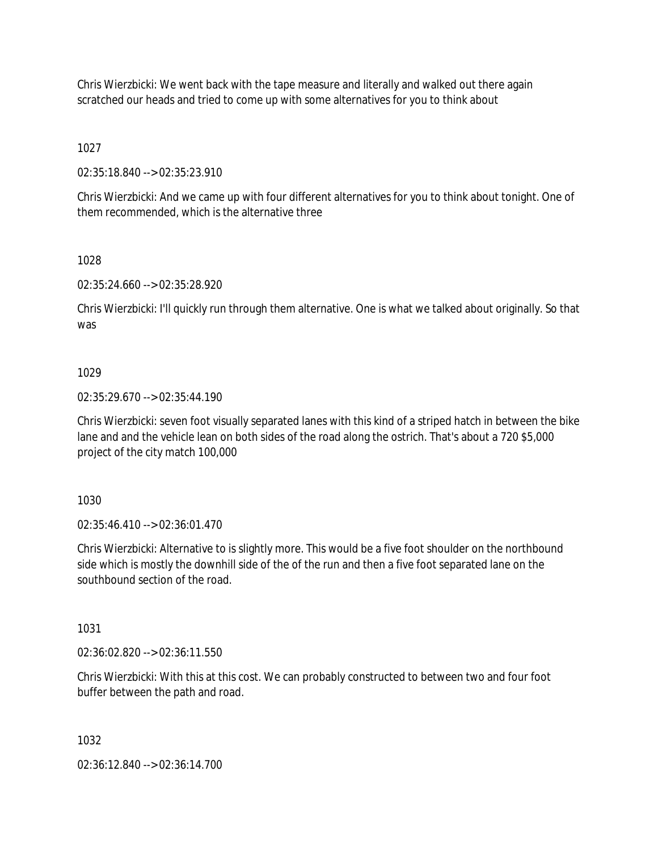Chris Wierzbicki: We went back with the tape measure and literally and walked out there again scratched our heads and tried to come up with some alternatives for you to think about

1027

02:35:18.840 --> 02:35:23.910

Chris Wierzbicki: And we came up with four different alternatives for you to think about tonight. One of them recommended, which is the alternative three

1028

02:35:24.660 --> 02:35:28.920

Chris Wierzbicki: I'll quickly run through them alternative. One is what we talked about originally. So that was

# 1029

02:35:29.670 --> 02:35:44.190

Chris Wierzbicki: seven foot visually separated lanes with this kind of a striped hatch in between the bike lane and and the vehicle lean on both sides of the road along the ostrich. That's about a 720 \$5,000 project of the city match 100,000

1030

02:35:46.410 --> 02:36:01.470

Chris Wierzbicki: Alternative to is slightly more. This would be a five foot shoulder on the northbound side which is mostly the downhill side of the of the run and then a five foot separated lane on the southbound section of the road.

1031

02:36:02.820 --> 02:36:11.550

Chris Wierzbicki: With this at this cost. We can probably constructed to between two and four foot buffer between the path and road.

1032

02:36:12.840 --> 02:36:14.700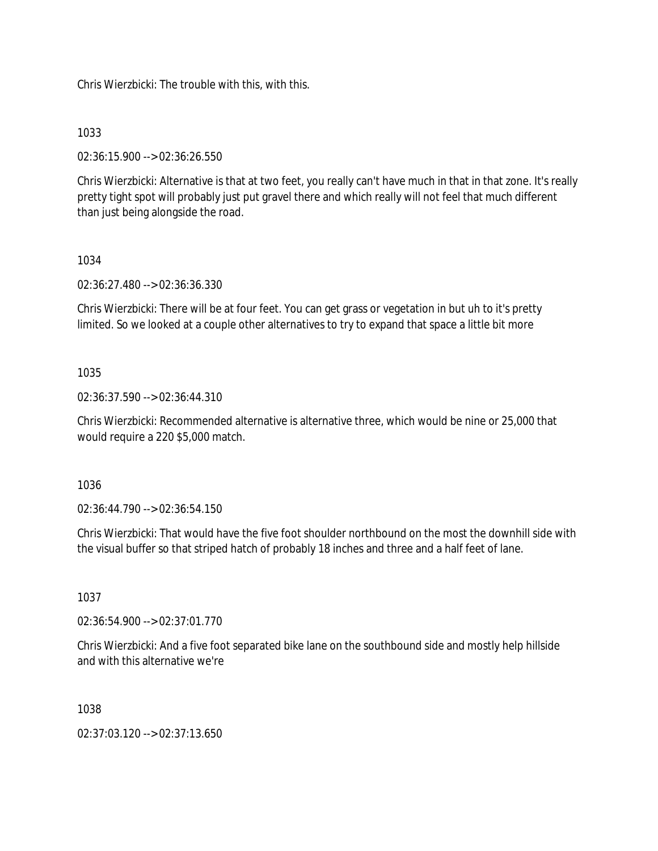Chris Wierzbicki: The trouble with this, with this.

# 1033

02:36:15.900 --> 02:36:26.550

Chris Wierzbicki: Alternative is that at two feet, you really can't have much in that in that zone. It's really pretty tight spot will probably just put gravel there and which really will not feel that much different than just being alongside the road.

# 1034

02:36:27.480 --> 02:36:36.330

Chris Wierzbicki: There will be at four feet. You can get grass or vegetation in but uh to it's pretty limited. So we looked at a couple other alternatives to try to expand that space a little bit more

# 1035

02:36:37.590 --> 02:36:44.310

Chris Wierzbicki: Recommended alternative is alternative three, which would be nine or 25,000 that would require a 220 \$5,000 match.

### 1036

02:36:44.790 --> 02:36:54.150

Chris Wierzbicki: That would have the five foot shoulder northbound on the most the downhill side with the visual buffer so that striped hatch of probably 18 inches and three and a half feet of lane.

### 1037

02:36:54.900 --> 02:37:01.770

Chris Wierzbicki: And a five foot separated bike lane on the southbound side and mostly help hillside and with this alternative we're

### 1038

02:37:03.120 --> 02:37:13.650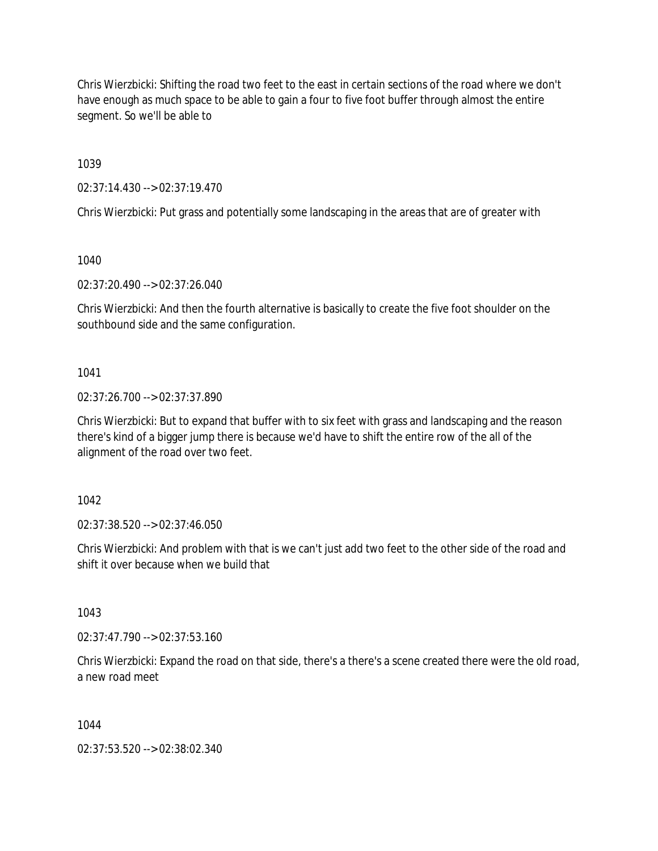Chris Wierzbicki: Shifting the road two feet to the east in certain sections of the road where we don't have enough as much space to be able to gain a four to five foot buffer through almost the entire segment. So we'll be able to

1039

02:37:14.430 --> 02:37:19.470

Chris Wierzbicki: Put grass and potentially some landscaping in the areas that are of greater with

1040

02:37:20.490 --> 02:37:26.040

Chris Wierzbicki: And then the fourth alternative is basically to create the five foot shoulder on the southbound side and the same configuration.

1041

02:37:26.700 --> 02:37:37.890

Chris Wierzbicki: But to expand that buffer with to six feet with grass and landscaping and the reason there's kind of a bigger jump there is because we'd have to shift the entire row of the all of the alignment of the road over two feet.

1042

02:37:38.520 --> 02:37:46.050

Chris Wierzbicki: And problem with that is we can't just add two feet to the other side of the road and shift it over because when we build that

1043

02:37:47.790 --> 02:37:53.160

Chris Wierzbicki: Expand the road on that side, there's a there's a scene created there were the old road, a new road meet

1044

02:37:53.520 --> 02:38:02.340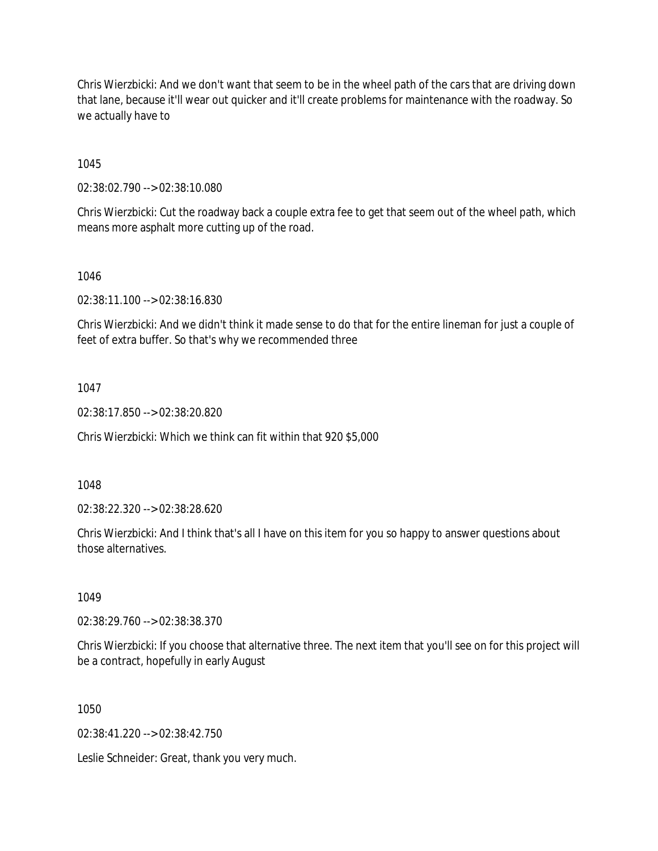Chris Wierzbicki: And we don't want that seem to be in the wheel path of the cars that are driving down that lane, because it'll wear out quicker and it'll create problems for maintenance with the roadway. So we actually have to

1045

02:38:02.790 --> 02:38:10.080

Chris Wierzbicki: Cut the roadway back a couple extra fee to get that seem out of the wheel path, which means more asphalt more cutting up of the road.

1046

02:38:11.100 --> 02:38:16.830

Chris Wierzbicki: And we didn't think it made sense to do that for the entire lineman for just a couple of feet of extra buffer. So that's why we recommended three

1047

02:38:17.850 --> 02:38:20.820

Chris Wierzbicki: Which we think can fit within that 920 \$5,000

1048

02:38:22.320 --> 02:38:28.620

Chris Wierzbicki: And I think that's all I have on this item for you so happy to answer questions about those alternatives.

1049

02:38:29.760 --> 02:38:38.370

Chris Wierzbicki: If you choose that alternative three. The next item that you'll see on for this project will be a contract, hopefully in early August

1050

02:38:41.220 --> 02:38:42.750

Leslie Schneider: Great, thank you very much.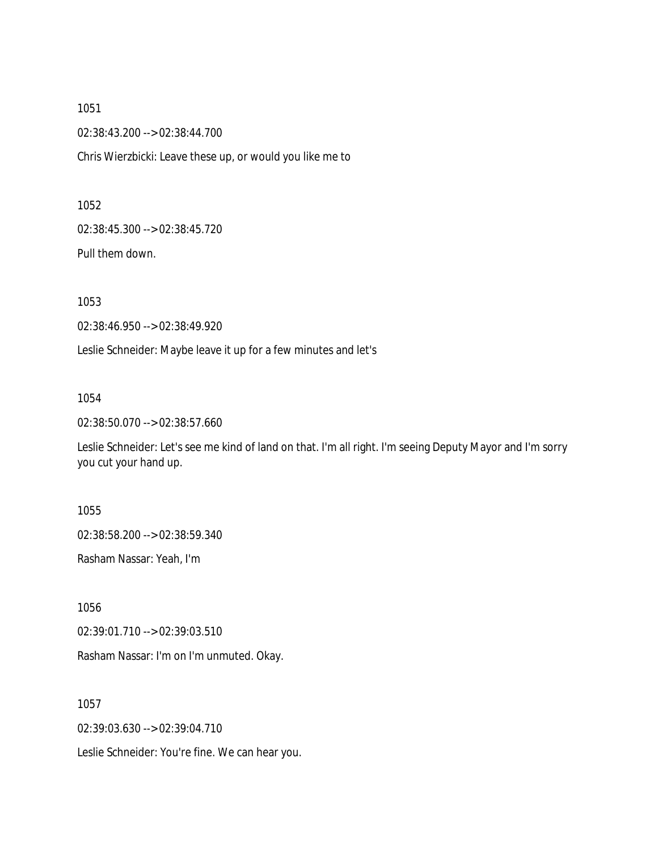1051 02:38:43.200 --> 02:38:44.700 Chris Wierzbicki: Leave these up, or would you like me to

1052

02:38:45.300 --> 02:38:45.720

Pull them down.

1053

02:38:46.950 --> 02:38:49.920

Leslie Schneider: Maybe leave it up for a few minutes and let's

1054

02:38:50.070 --> 02:38:57.660

Leslie Schneider: Let's see me kind of land on that. I'm all right. I'm seeing Deputy Mayor and I'm sorry you cut your hand up.

1055

02:38:58.200 --> 02:38:59.340

Rasham Nassar: Yeah, I'm

1056

02:39:01.710 --> 02:39:03.510

Rasham Nassar: I'm on I'm unmuted. Okay.

1057

02:39:03.630 --> 02:39:04.710

Leslie Schneider: You're fine. We can hear you.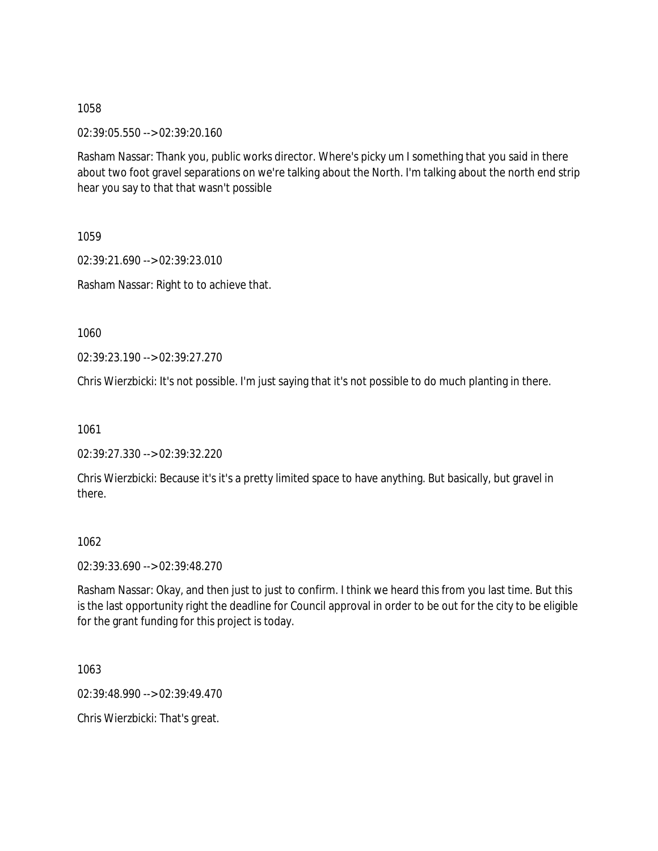02:39:05.550 --> 02:39:20.160

Rasham Nassar: Thank you, public works director. Where's picky um I something that you said in there about two foot gravel separations on we're talking about the North. I'm talking about the north end strip hear you say to that that wasn't possible

1059

02:39:21.690 --> 02:39:23.010 Rasham Nassar: Right to to achieve that.

1060

02:39:23.190 --> 02:39:27.270

Chris Wierzbicki: It's not possible. I'm just saying that it's not possible to do much planting in there.

1061

02:39:27.330 --> 02:39:32.220

Chris Wierzbicki: Because it's it's a pretty limited space to have anything. But basically, but gravel in there.

1062

02:39:33.690 --> 02:39:48.270

Rasham Nassar: Okay, and then just to just to confirm. I think we heard this from you last time. But this is the last opportunity right the deadline for Council approval in order to be out for the city to be eligible for the grant funding for this project is today.

1063

02:39:48.990 --> 02:39:49.470

Chris Wierzbicki: That's great.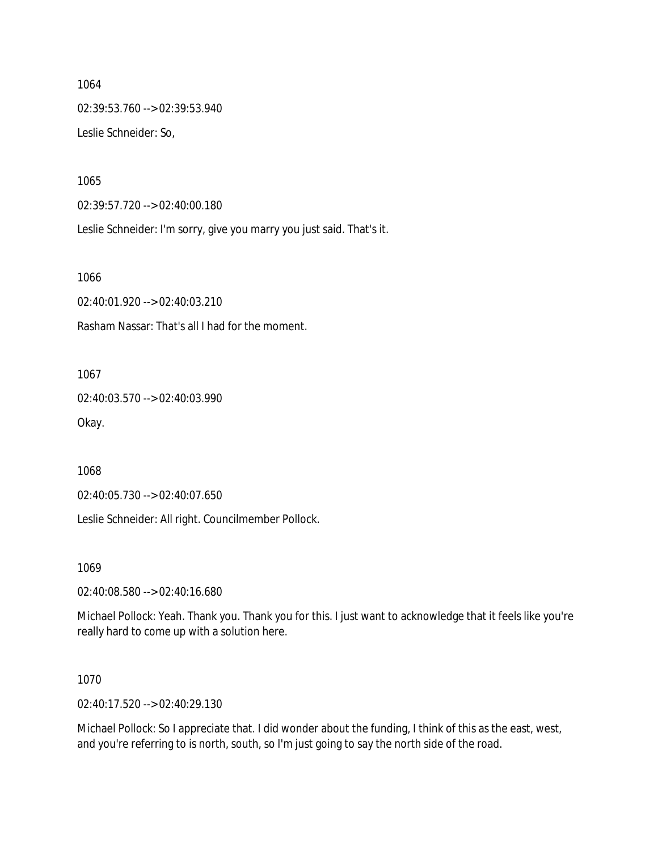1064 02:39:53.760 --> 02:39:53.940 Leslie Schneider: So,

1065

02:39:57.720 --> 02:40:00.180

Leslie Schneider: I'm sorry, give you marry you just said. That's it.

1066

02:40:01.920 --> 02:40:03.210

Rasham Nassar: That's all I had for the moment.

1067

02:40:03.570 --> 02:40:03.990 Okay.

1068

02:40:05.730 --> 02:40:07.650

Leslie Schneider: All right. Councilmember Pollock.

1069

02:40:08.580 --> 02:40:16.680

Michael Pollock: Yeah. Thank you. Thank you for this. I just want to acknowledge that it feels like you're really hard to come up with a solution here.

1070

02:40:17.520 --> 02:40:29.130

Michael Pollock: So I appreciate that. I did wonder about the funding, I think of this as the east, west, and you're referring to is north, south, so I'm just going to say the north side of the road.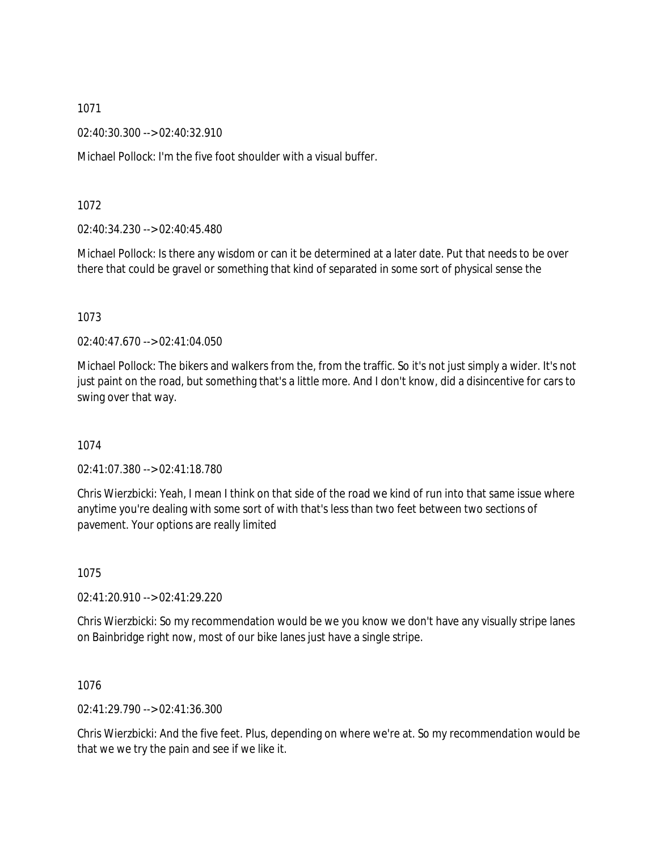02:40:30.300 --> 02:40:32.910

Michael Pollock: I'm the five foot shoulder with a visual buffer.

1072

02:40:34.230 --> 02:40:45.480

Michael Pollock: Is there any wisdom or can it be determined at a later date. Put that needs to be over there that could be gravel or something that kind of separated in some sort of physical sense the

1073

02:40:47.670 --> 02:41:04.050

Michael Pollock: The bikers and walkers from the, from the traffic. So it's not just simply a wider. It's not just paint on the road, but something that's a little more. And I don't know, did a disincentive for cars to swing over that way.

1074

02:41:07.380 --> 02:41:18.780

Chris Wierzbicki: Yeah, I mean I think on that side of the road we kind of run into that same issue where anytime you're dealing with some sort of with that's less than two feet between two sections of pavement. Your options are really limited

1075

02:41:20.910 --> 02:41:29.220

Chris Wierzbicki: So my recommendation would be we you know we don't have any visually stripe lanes on Bainbridge right now, most of our bike lanes just have a single stripe.

1076

02:41:29.790 --> 02:41:36.300

Chris Wierzbicki: And the five feet. Plus, depending on where we're at. So my recommendation would be that we we try the pain and see if we like it.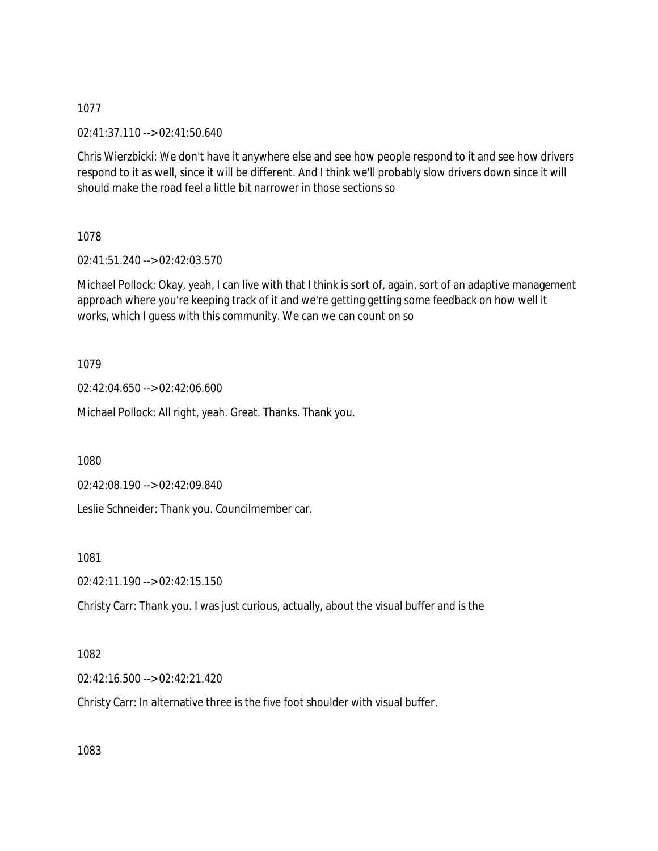02:41:37.110 --> 02:41:50.640

Chris Wierzbicki: We don't have it anywhere else and see how people respond to it and see how drivers respond to it as well, since it will be different. And I think we'll probably slow drivers down since it will should make the road feel a little bit narrower in those sections so

1078

02:41:51.240 --> 02:42:03.570

Michael Pollock: Okay, yeah, I can live with that I think is sort of, again, sort of an adaptive management approach where you're keeping track of it and we're getting getting some feedback on how well it works, which I guess with this community. We can we can count on so

1079

02:42:04.650 --> 02:42:06.600

Michael Pollock: All right, yeah. Great. Thanks. Thank you.

1080

02:42:08.190 --> 02:42:09.840

Leslie Schneider: Thank you. Councilmember car.

1081

02:42:11.190 --> 02:42:15.150

Christy Carr: Thank you. I was just curious, actually, about the visual buffer and is the

1082

02:42:16.500 --> 02:42:21.420

Christy Carr: In alternative three is the five foot shoulder with visual buffer.

1083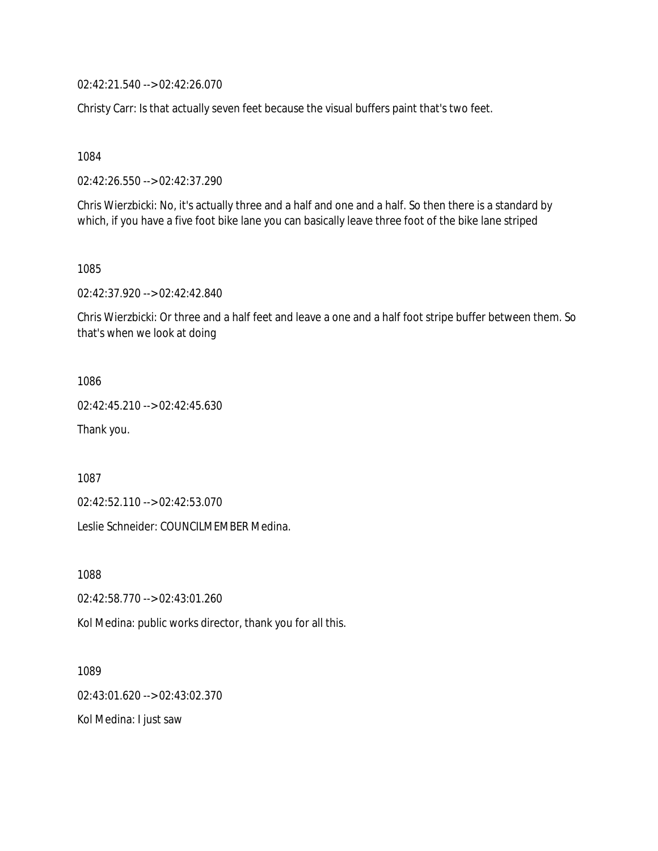02:42:21.540 --> 02:42:26.070

Christy Carr: Is that actually seven feet because the visual buffers paint that's two feet.

1084

02:42:26.550 --> 02:42:37.290

Chris Wierzbicki: No, it's actually three and a half and one and a half. So then there is a standard by which, if you have a five foot bike lane you can basically leave three foot of the bike lane striped

1085

02:42:37.920 --> 02:42:42.840

Chris Wierzbicki: Or three and a half feet and leave a one and a half foot stripe buffer between them. So that's when we look at doing

1086

02:42:45.210 --> 02:42:45.630

Thank you.

1087

02:42:52.110 --> 02:42:53.070

Leslie Schneider: COUNCILMEMBER Medina.

1088

02:42:58.770 --> 02:43:01.260

Kol Medina: public works director, thank you for all this.

1089 02:43:01.620 --> 02:43:02.370 Kol Medina: I just saw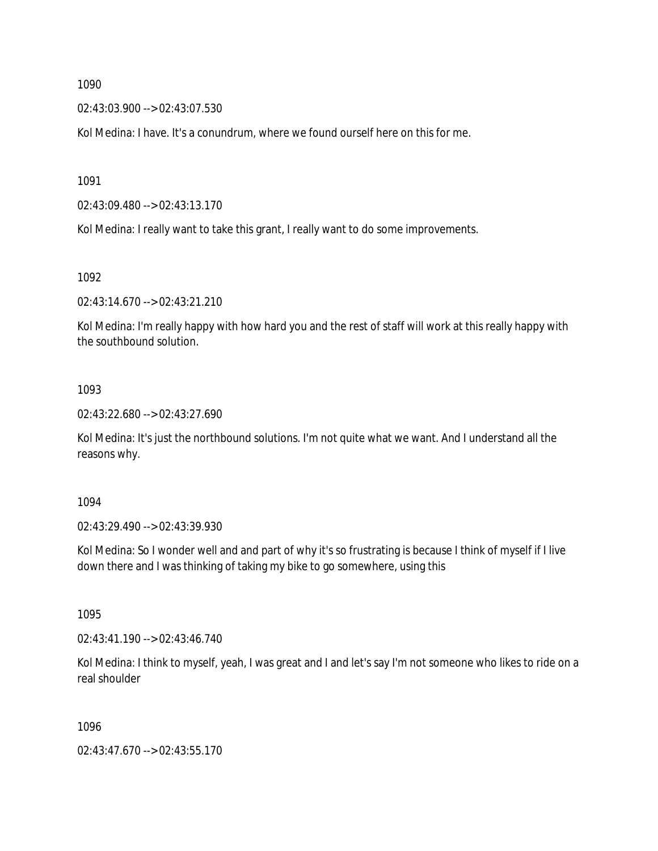02:43:03.900 --> 02:43:07.530

Kol Medina: I have. It's a conundrum, where we found ourself here on this for me.

1091

02:43:09.480 --> 02:43:13.170

Kol Medina: I really want to take this grant, I really want to do some improvements.

1092

02:43:14.670 --> 02:43:21.210

Kol Medina: I'm really happy with how hard you and the rest of staff will work at this really happy with the southbound solution.

### 1093

02:43:22.680 --> 02:43:27.690

Kol Medina: It's just the northbound solutions. I'm not quite what we want. And I understand all the reasons why.

1094

02:43:29.490 --> 02:43:39.930

Kol Medina: So I wonder well and and part of why it's so frustrating is because I think of myself if I live down there and I was thinking of taking my bike to go somewhere, using this

1095

02:43:41.190 --> 02:43:46.740

Kol Medina: I think to myself, yeah, I was great and I and let's say I'm not someone who likes to ride on a real shoulder

1096

02:43:47.670 --> 02:43:55.170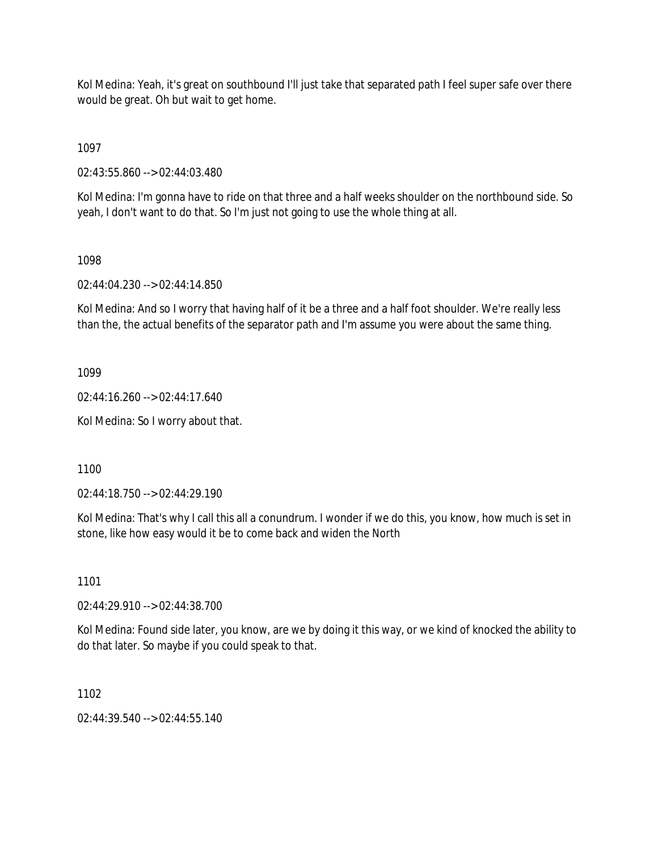Kol Medina: Yeah, it's great on southbound I'll just take that separated path I feel super safe over there would be great. Oh but wait to get home.

1097

02:43:55.860 --> 02:44:03.480

Kol Medina: I'm gonna have to ride on that three and a half weeks shoulder on the northbound side. So yeah, I don't want to do that. So I'm just not going to use the whole thing at all.

# 1098

02:44:04.230 --> 02:44:14.850

Kol Medina: And so I worry that having half of it be a three and a half foot shoulder. We're really less than the, the actual benefits of the separator path and I'm assume you were about the same thing.

1099

02:44:16.260 --> 02:44:17.640

Kol Medina: So I worry about that.

1100

02:44:18.750 --> 02:44:29.190

Kol Medina: That's why I call this all a conundrum. I wonder if we do this, you know, how much is set in stone, like how easy would it be to come back and widen the North

1101

02:44:29.910 --> 02:44:38.700

Kol Medina: Found side later, you know, are we by doing it this way, or we kind of knocked the ability to do that later. So maybe if you could speak to that.

1102

 $02.44.39.540 -> 02.44.55.140$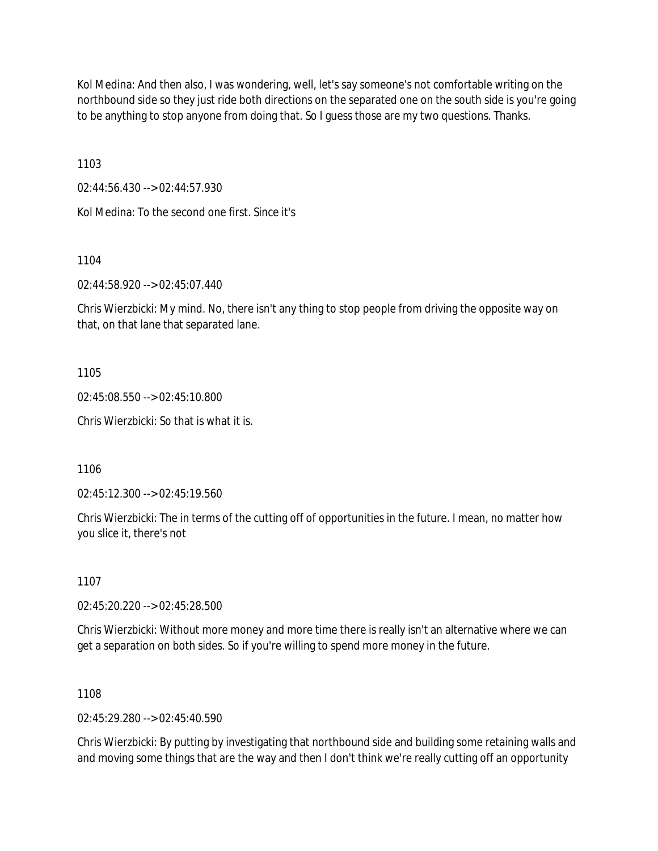Kol Medina: And then also, I was wondering, well, let's say someone's not comfortable writing on the northbound side so they just ride both directions on the separated one on the south side is you're going to be anything to stop anyone from doing that. So I guess those are my two questions. Thanks.

1103

02:44:56.430 --> 02:44:57.930

Kol Medina: To the second one first. Since it's

1104

02:44:58.920 --> 02:45:07.440

Chris Wierzbicki: My mind. No, there isn't any thing to stop people from driving the opposite way on that, on that lane that separated lane.

1105

02:45:08.550 --> 02:45:10.800

Chris Wierzbicki: So that is what it is.

1106

02:45:12.300 --> 02:45:19.560

Chris Wierzbicki: The in terms of the cutting off of opportunities in the future. I mean, no matter how you slice it, there's not

1107

02:45:20.220 --> 02:45:28.500

Chris Wierzbicki: Without more money and more time there is really isn't an alternative where we can get a separation on both sides. So if you're willing to spend more money in the future.

1108

02:45:29.280 --> 02:45:40.590

Chris Wierzbicki: By putting by investigating that northbound side and building some retaining walls and and moving some things that are the way and then I don't think we're really cutting off an opportunity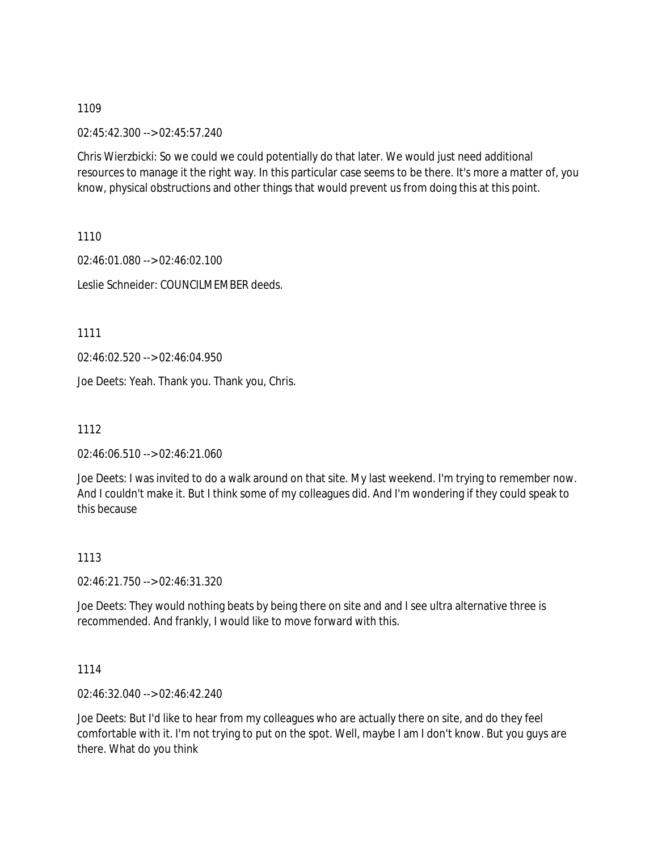02:45:42.300 --> 02:45:57.240

Chris Wierzbicki: So we could we could potentially do that later. We would just need additional resources to manage it the right way. In this particular case seems to be there. It's more a matter of, you know, physical obstructions and other things that would prevent us from doing this at this point.

1110

02:46:01.080 --> 02:46:02.100 Leslie Schneider: COUNCILMEMBER deeds.

1111

02:46:02.520 --> 02:46:04.950

Joe Deets: Yeah. Thank you. Thank you, Chris.

1112

02:46:06.510 --> 02:46:21.060

Joe Deets: I was invited to do a walk around on that site. My last weekend. I'm trying to remember now. And I couldn't make it. But I think some of my colleagues did. And I'm wondering if they could speak to this because

### 1113

02:46:21.750 --> 02:46:31.320

Joe Deets: They would nothing beats by being there on site and and I see ultra alternative three is recommended. And frankly, I would like to move forward with this.

1114

02:46:32.040 --> 02:46:42.240

Joe Deets: But I'd like to hear from my colleagues who are actually there on site, and do they feel comfortable with it. I'm not trying to put on the spot. Well, maybe I am I don't know. But you guys are there. What do you think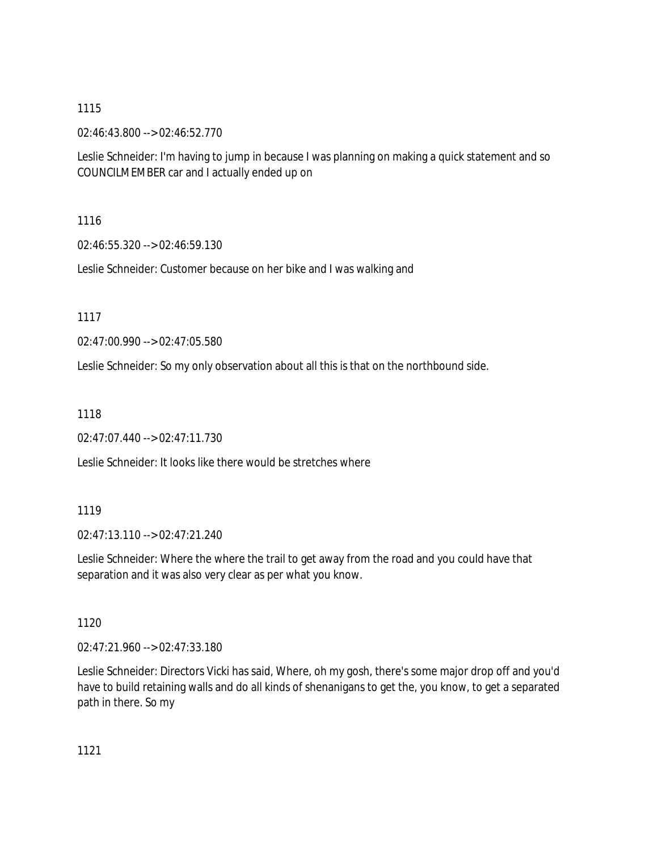02:46:43.800 --> 02:46:52.770

Leslie Schneider: I'm having to jump in because I was planning on making a quick statement and so COUNCILMEMBER car and I actually ended up on

1116

02:46:55.320 --> 02:46:59.130

Leslie Schneider: Customer because on her bike and I was walking and

1117

02:47:00.990 --> 02:47:05.580

Leslie Schneider: So my only observation about all this is that on the northbound side.

1118

02:47:07.440 --> 02:47:11.730

Leslie Schneider: It looks like there would be stretches where

### 1119

02:47:13.110 --> 02:47:21.240

Leslie Schneider: Where the where the trail to get away from the road and you could have that separation and it was also very clear as per what you know.

1120

02:47:21.960 --> 02:47:33.180

Leslie Schneider: Directors Vicki has said, Where, oh my gosh, there's some major drop off and you'd have to build retaining walls and do all kinds of shenanigans to get the, you know, to get a separated path in there. So my

1121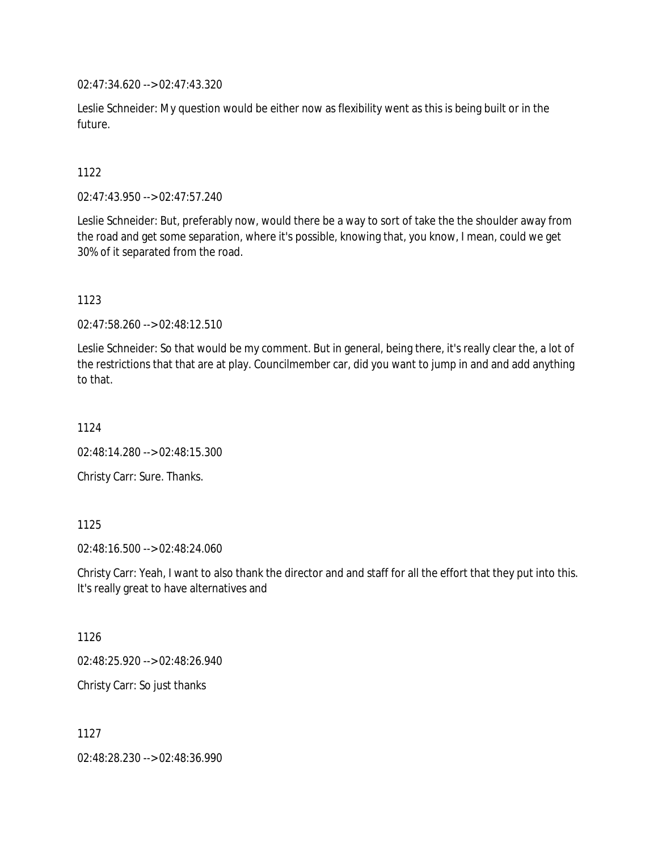02:47:34.620 --> 02:47:43.320

Leslie Schneider: My question would be either now as flexibility went as this is being built or in the future.

1122

02:47:43.950 --> 02:47:57.240

Leslie Schneider: But, preferably now, would there be a way to sort of take the the shoulder away from the road and get some separation, where it's possible, knowing that, you know, I mean, could we get 30% of it separated from the road.

1123

02:47:58.260 --> 02:48:12.510

Leslie Schneider: So that would be my comment. But in general, being there, it's really clear the, a lot of the restrictions that that are at play. Councilmember car, did you want to jump in and and add anything to that.

1124

02:48:14.280 --> 02:48:15.300

Christy Carr: Sure. Thanks.

1125

02:48:16.500 --> 02:48:24.060

Christy Carr: Yeah, I want to also thank the director and and staff for all the effort that they put into this. It's really great to have alternatives and

1126

02:48:25.920 --> 02:48:26.940

Christy Carr: So just thanks

1127

02:48:28.230 --> 02:48:36.990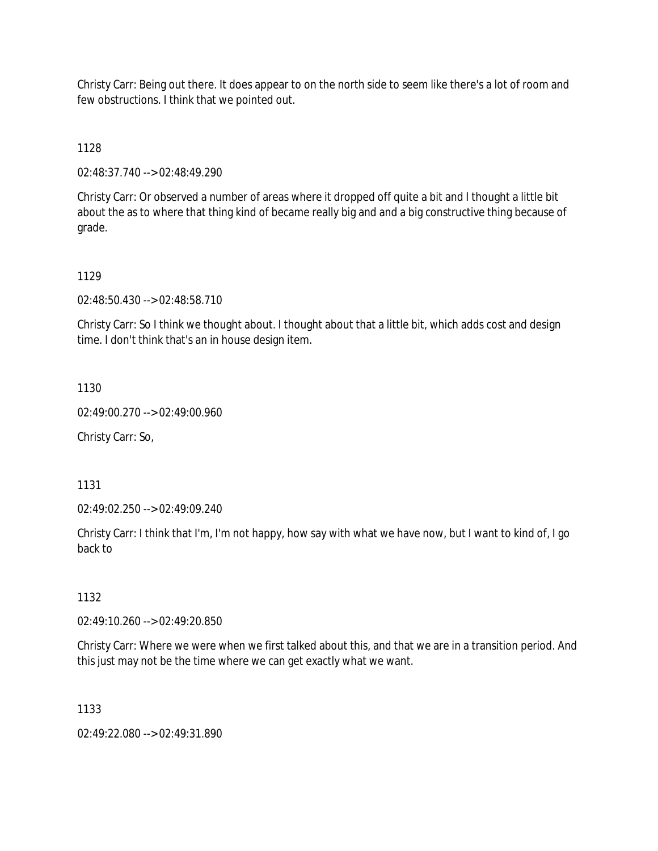Christy Carr: Being out there. It does appear to on the north side to seem like there's a lot of room and few obstructions. I think that we pointed out.

1128

02:48:37.740 --> 02:48:49.290

Christy Carr: Or observed a number of areas where it dropped off quite a bit and I thought a little bit about the as to where that thing kind of became really big and and a big constructive thing because of grade.

# 1129

02:48:50.430 --> 02:48:58.710

Christy Carr: So I think we thought about. I thought about that a little bit, which adds cost and design time. I don't think that's an in house design item.

1130

02:49:00.270 --> 02:49:00.960

Christy Carr: So,

1131

02:49:02.250 --> 02:49:09.240

Christy Carr: I think that I'm, I'm not happy, how say with what we have now, but I want to kind of, I go back to

1132

02:49:10.260 --> 02:49:20.850

Christy Carr: Where we were when we first talked about this, and that we are in a transition period. And this just may not be the time where we can get exactly what we want.

1133

02:49:22.080 --> 02:49:31.890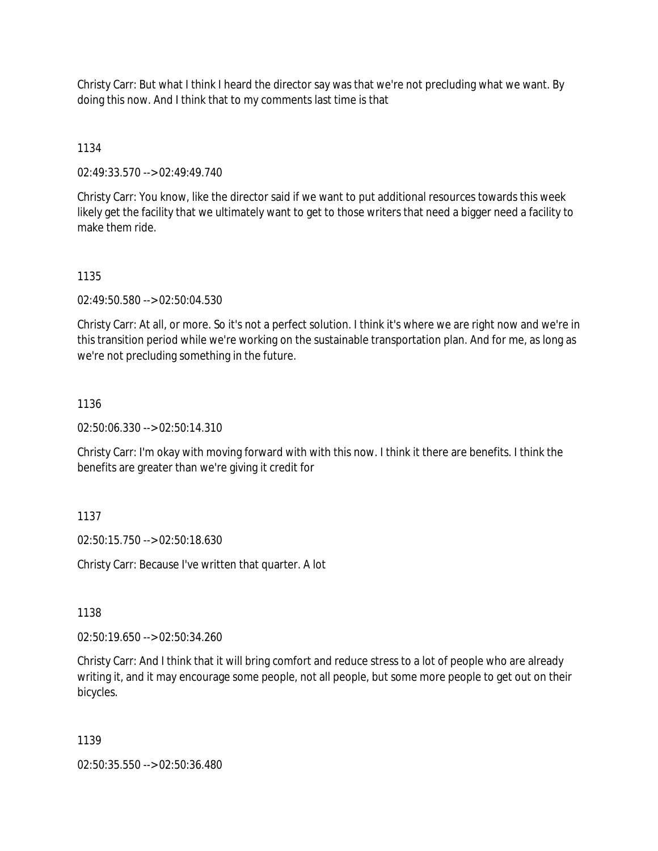Christy Carr: But what I think I heard the director say was that we're not precluding what we want. By doing this now. And I think that to my comments last time is that

1134

02:49:33.570 --> 02:49:49.740

Christy Carr: You know, like the director said if we want to put additional resources towards this week likely get the facility that we ultimately want to get to those writers that need a bigger need a facility to make them ride.

1135

02:49:50.580 --> 02:50:04.530

Christy Carr: At all, or more. So it's not a perfect solution. I think it's where we are right now and we're in this transition period while we're working on the sustainable transportation plan. And for me, as long as we're not precluding something in the future.

1136

02:50:06.330 --> 02:50:14.310

Christy Carr: I'm okay with moving forward with with this now. I think it there are benefits. I think the benefits are greater than we're giving it credit for

1137

02:50:15.750 --> 02:50:18.630

Christy Carr: Because I've written that quarter. A lot

1138

02:50:19.650 --> 02:50:34.260

Christy Carr: And I think that it will bring comfort and reduce stress to a lot of people who are already writing it, and it may encourage some people, not all people, but some more people to get out on their bicycles.

1139

02:50:35.550 --> 02:50:36.480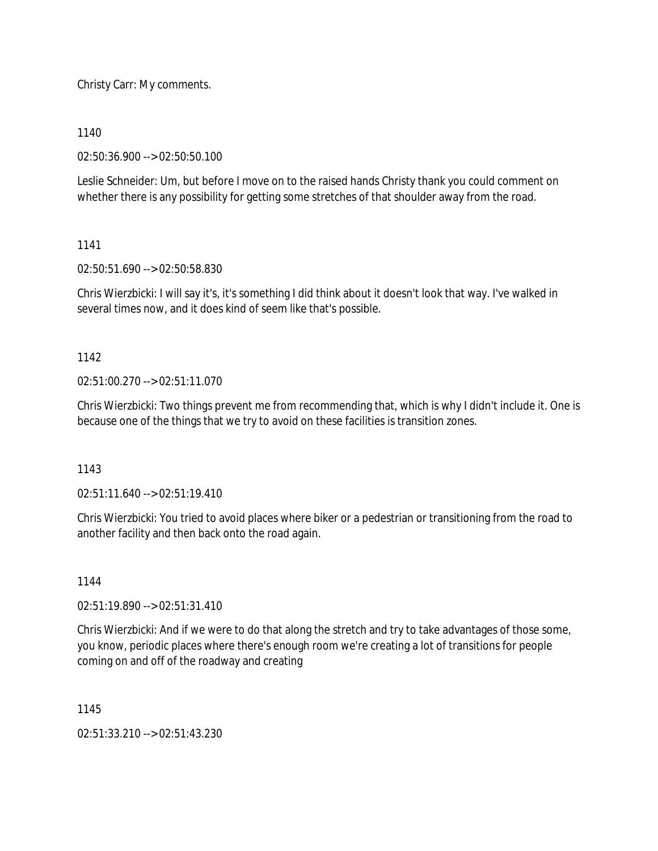Christy Carr: My comments.

1140

02:50:36.900 --> 02:50:50.100

Leslie Schneider: Um, but before I move on to the raised hands Christy thank you could comment on whether there is any possibility for getting some stretches of that shoulder away from the road.

1141

02:50:51.690 --> 02:50:58.830

Chris Wierzbicki: I will say it's, it's something I did think about it doesn't look that way. I've walked in several times now, and it does kind of seem like that's possible.

1142

 $02:51:00.270 \rightarrow 02:51:11.070$ 

Chris Wierzbicki: Two things prevent me from recommending that, which is why I didn't include it. One is because one of the things that we try to avoid on these facilities is transition zones.

1143

02:51:11.640 --> 02:51:19.410

Chris Wierzbicki: You tried to avoid places where biker or a pedestrian or transitioning from the road to another facility and then back onto the road again.

1144

02:51:19.890 --> 02:51:31.410

Chris Wierzbicki: And if we were to do that along the stretch and try to take advantages of those some, you know, periodic places where there's enough room we're creating a lot of transitions for people coming on and off of the roadway and creating

1145

02:51:33.210 --> 02:51:43.230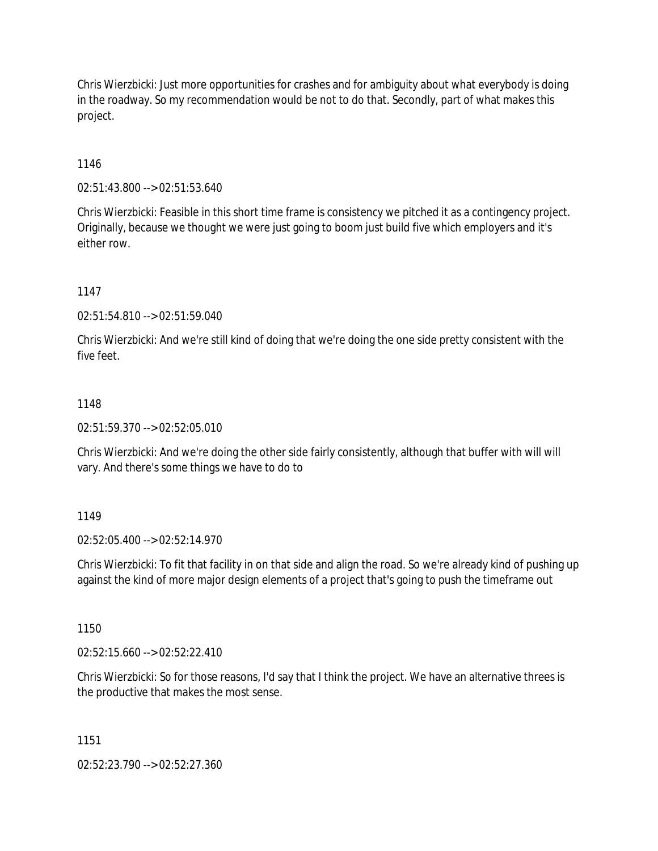Chris Wierzbicki: Just more opportunities for crashes and for ambiguity about what everybody is doing in the roadway. So my recommendation would be not to do that. Secondly, part of what makes this project.

1146

02:51:43.800 --> 02:51:53.640

Chris Wierzbicki: Feasible in this short time frame is consistency we pitched it as a contingency project. Originally, because we thought we were just going to boom just build five which employers and it's either row.

1147

02:51:54.810 --> 02:51:59.040

Chris Wierzbicki: And we're still kind of doing that we're doing the one side pretty consistent with the five feet.

### 1148

02:51:59.370 --> 02:52:05.010

Chris Wierzbicki: And we're doing the other side fairly consistently, although that buffer with will will vary. And there's some things we have to do to

### 1149

02:52:05.400 --> 02:52:14.970

Chris Wierzbicki: To fit that facility in on that side and align the road. So we're already kind of pushing up against the kind of more major design elements of a project that's going to push the timeframe out

1150

 $02:52:15.660 \rightarrow 02:52:22.410$ 

Chris Wierzbicki: So for those reasons, I'd say that I think the project. We have an alternative threes is the productive that makes the most sense.

1151

02:52:23.790 --> 02:52:27.360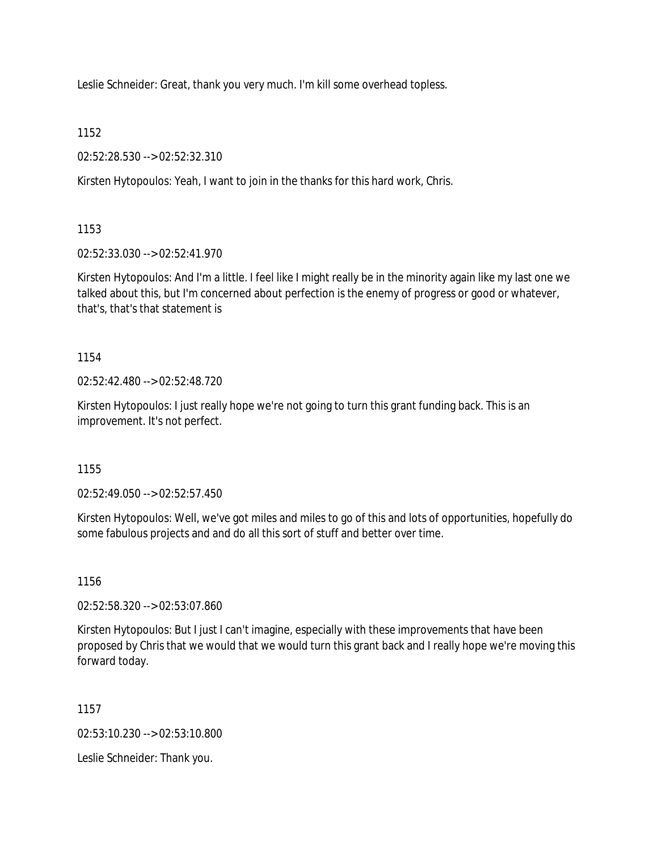Leslie Schneider: Great, thank you very much. I'm kill some overhead topless.

1152

02:52:28.530 --> 02:52:32.310

Kirsten Hytopoulos: Yeah, I want to join in the thanks for this hard work, Chris.

1153

02:52:33.030 --> 02:52:41.970

Kirsten Hytopoulos: And I'm a little. I feel like I might really be in the minority again like my last one we talked about this, but I'm concerned about perfection is the enemy of progress or good or whatever, that's, that's that statement is

1154

02:52:42.480 --> 02:52:48.720

Kirsten Hytopoulos: I just really hope we're not going to turn this grant funding back. This is an improvement. It's not perfect.

1155

02:52:49.050 --> 02:52:57.450

Kirsten Hytopoulos: Well, we've got miles and miles to go of this and lots of opportunities, hopefully do some fabulous projects and and do all this sort of stuff and better over time.

1156

02:52:58.320 --> 02:53:07.860

Kirsten Hytopoulos: But I just I can't imagine, especially with these improvements that have been proposed by Chris that we would that we would turn this grant back and I really hope we're moving this forward today.

1157

02:53:10.230 --> 02:53:10.800

Leslie Schneider: Thank you.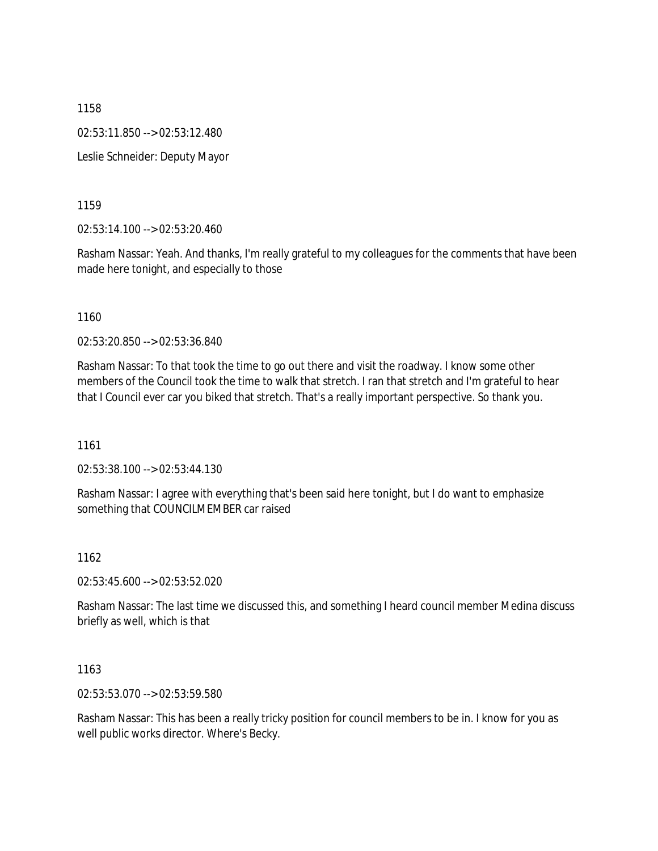1158 02:53:11.850 --> 02:53:12.480 Leslie Schneider: Deputy Mayor

1159

02:53:14.100 --> 02:53:20.460

Rasham Nassar: Yeah. And thanks, I'm really grateful to my colleagues for the comments that have been made here tonight, and especially to those

1160

02:53:20.850 --> 02:53:36.840

Rasham Nassar: To that took the time to go out there and visit the roadway. I know some other members of the Council took the time to walk that stretch. I ran that stretch and I'm grateful to hear that I Council ever car you biked that stretch. That's a really important perspective. So thank you.

1161

02:53:38.100 --> 02:53:44.130

Rasham Nassar: I agree with everything that's been said here tonight, but I do want to emphasize something that COUNCILMEMBER car raised

1162

02:53:45.600 --> 02:53:52.020

Rasham Nassar: The last time we discussed this, and something I heard council member Medina discuss briefly as well, which is that

1163

02:53:53.070 --> 02:53:59.580

Rasham Nassar: This has been a really tricky position for council members to be in. I know for you as well public works director. Where's Becky.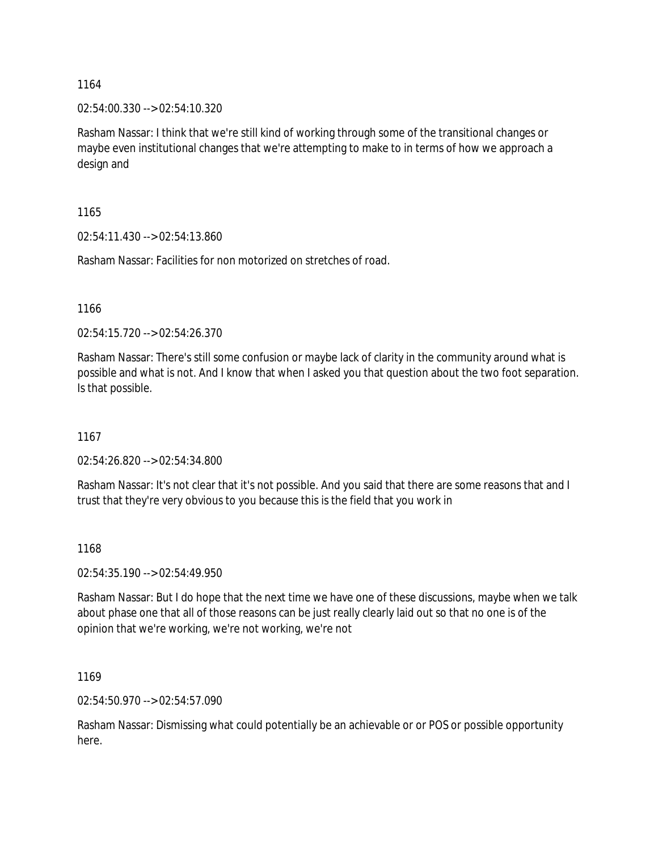02:54:00.330 --> 02:54:10.320

Rasham Nassar: I think that we're still kind of working through some of the transitional changes or maybe even institutional changes that we're attempting to make to in terms of how we approach a design and

1165

02:54:11.430 --> 02:54:13.860

Rasham Nassar: Facilities for non motorized on stretches of road.

1166

02:54:15.720 --> 02:54:26.370

Rasham Nassar: There's still some confusion or maybe lack of clarity in the community around what is possible and what is not. And I know that when I asked you that question about the two foot separation. Is that possible.

1167

02:54:26.820 --> 02:54:34.800

Rasham Nassar: It's not clear that it's not possible. And you said that there are some reasons that and I trust that they're very obvious to you because this is the field that you work in

1168

02:54:35.190 --> 02:54:49.950

Rasham Nassar: But I do hope that the next time we have one of these discussions, maybe when we talk about phase one that all of those reasons can be just really clearly laid out so that no one is of the opinion that we're working, we're not working, we're not

1169

02:54:50.970 --> 02:54:57.090

Rasham Nassar: Dismissing what could potentially be an achievable or or POS or possible opportunity here.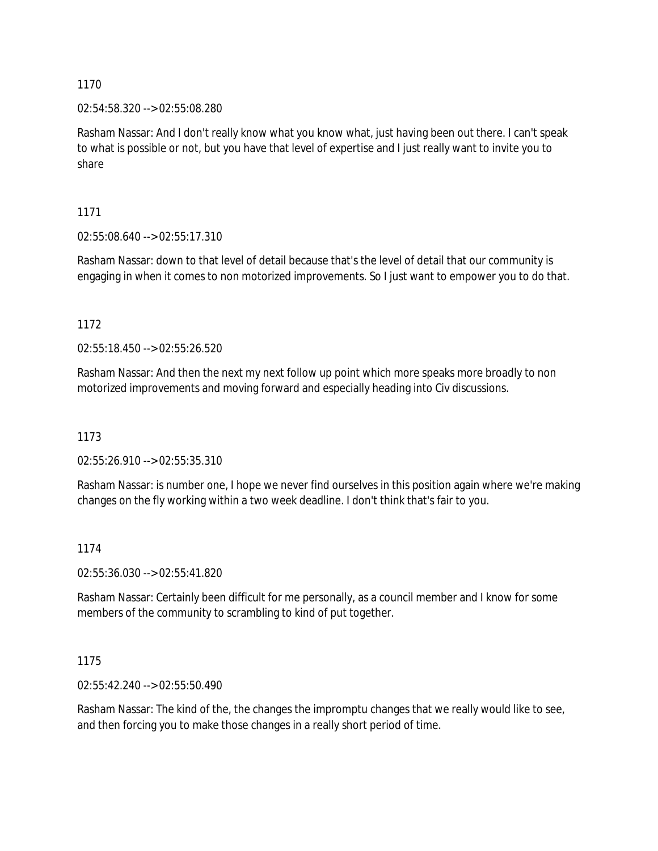02:54:58.320 --> 02:55:08.280

Rasham Nassar: And I don't really know what you know what, just having been out there. I can't speak to what is possible or not, but you have that level of expertise and I just really want to invite you to share

1171

02:55:08.640 --> 02:55:17.310

Rasham Nassar: down to that level of detail because that's the level of detail that our community is engaging in when it comes to non motorized improvements. So I just want to empower you to do that.

1172

02:55:18.450 --> 02:55:26.520

Rasham Nassar: And then the next my next follow up point which more speaks more broadly to non motorized improvements and moving forward and especially heading into Civ discussions.

1173

02:55:26.910 --> 02:55:35.310

Rasham Nassar: is number one, I hope we never find ourselves in this position again where we're making changes on the fly working within a two week deadline. I don't think that's fair to you.

### 1174

02:55:36.030 --> 02:55:41.820

Rasham Nassar: Certainly been difficult for me personally, as a council member and I know for some members of the community to scrambling to kind of put together.

1175

02:55:42.240 --> 02:55:50.490

Rasham Nassar: The kind of the, the changes the impromptu changes that we really would like to see, and then forcing you to make those changes in a really short period of time.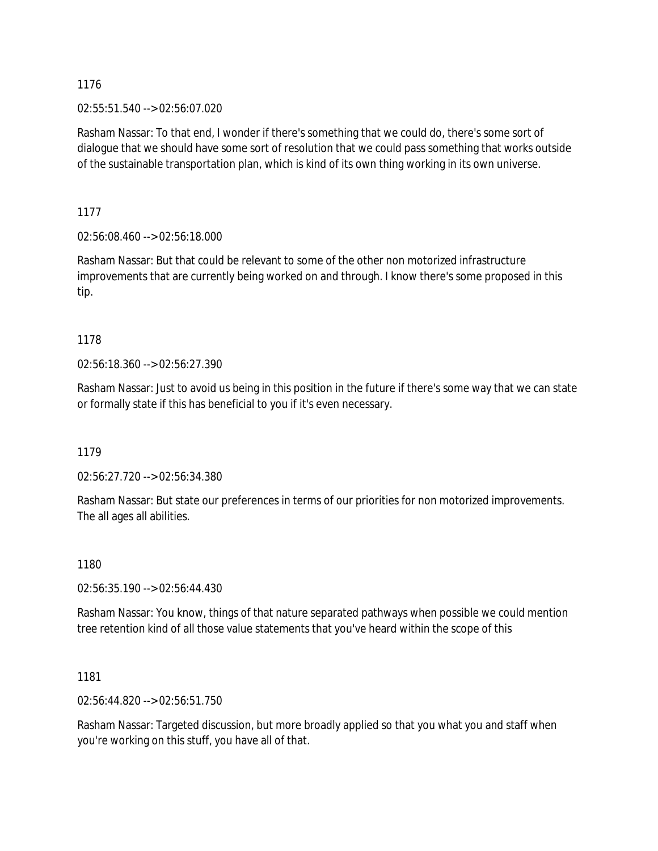02:55:51.540 --> 02:56:07.020

Rasham Nassar: To that end, I wonder if there's something that we could do, there's some sort of dialogue that we should have some sort of resolution that we could pass something that works outside of the sustainable transportation plan, which is kind of its own thing working in its own universe.

1177

02:56:08.460 --> 02:56:18.000

Rasham Nassar: But that could be relevant to some of the other non motorized infrastructure improvements that are currently being worked on and through. I know there's some proposed in this tip.

1178

02:56:18.360 --> 02:56:27.390

Rasham Nassar: Just to avoid us being in this position in the future if there's some way that we can state or formally state if this has beneficial to you if it's even necessary.

1179

02:56:27.720 --> 02:56:34.380

Rasham Nassar: But state our preferences in terms of our priorities for non motorized improvements. The all ages all abilities.

1180

02:56:35.190 --> 02:56:44.430

Rasham Nassar: You know, things of that nature separated pathways when possible we could mention tree retention kind of all those value statements that you've heard within the scope of this

1181

02:56:44.820 --> 02:56:51.750

Rasham Nassar: Targeted discussion, but more broadly applied so that you what you and staff when you're working on this stuff, you have all of that.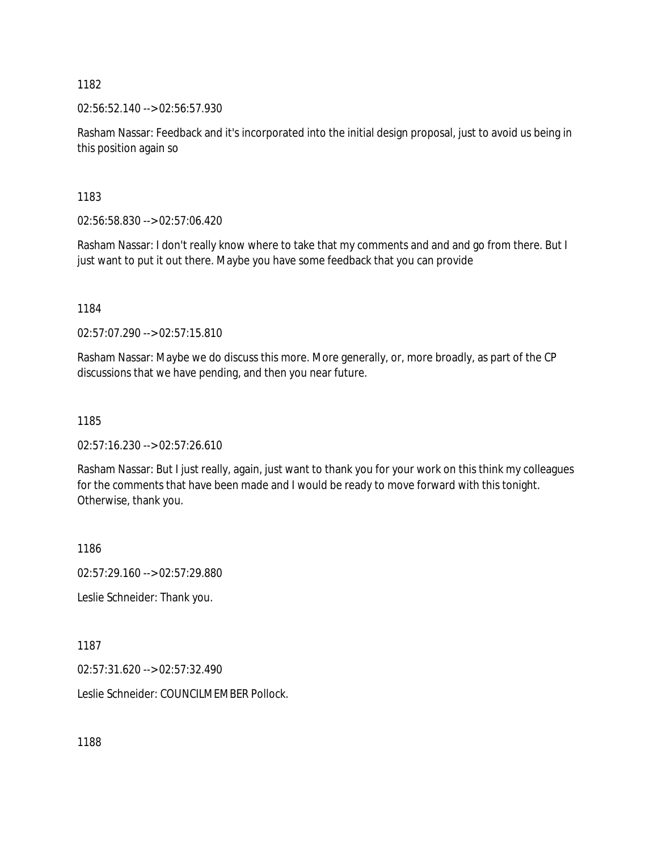02:56:52.140 --> 02:56:57.930

Rasham Nassar: Feedback and it's incorporated into the initial design proposal, just to avoid us being in this position again so

1183

02:56:58.830 --> 02:57:06.420

Rasham Nassar: I don't really know where to take that my comments and and and go from there. But I just want to put it out there. Maybe you have some feedback that you can provide

1184

02:57:07.290 --> 02:57:15.810

Rasham Nassar: Maybe we do discuss this more. More generally, or, more broadly, as part of the CP discussions that we have pending, and then you near future.

1185

02:57:16.230 --> 02:57:26.610

Rasham Nassar: But I just really, again, just want to thank you for your work on this think my colleagues for the comments that have been made and I would be ready to move forward with this tonight. Otherwise, thank you.

1186

02:57:29.160 --> 02:57:29.880

Leslie Schneider: Thank you.

1187

02:57:31.620 --> 02:57:32.490

Leslie Schneider: COUNCILMEMBER Pollock.

1188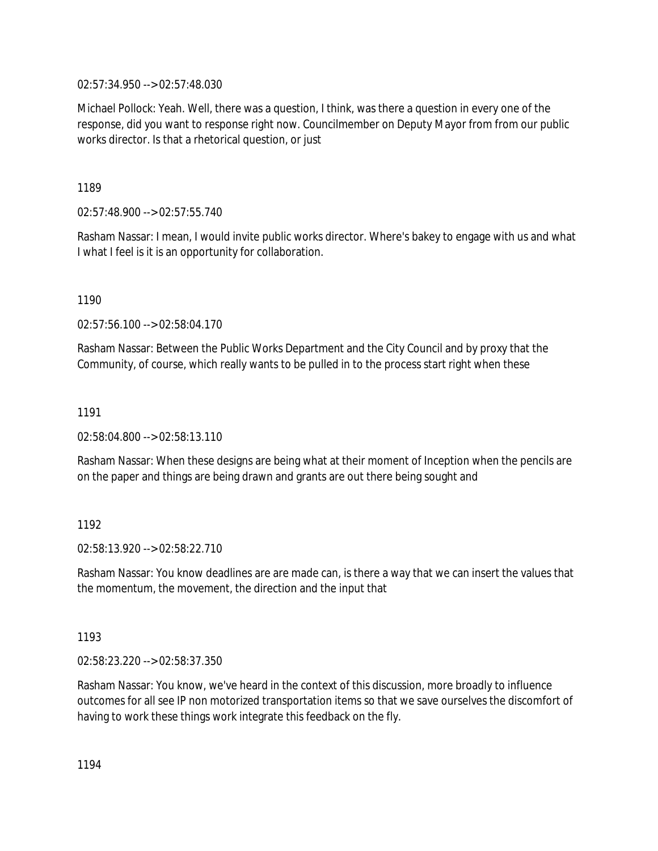02:57:34.950 --> 02:57:48.030

Michael Pollock: Yeah. Well, there was a question, I think, was there a question in every one of the response, did you want to response right now. Councilmember on Deputy Mayor from from our public works director. Is that a rhetorical question, or just

1189

02:57:48.900 --> 02:57:55.740

Rasham Nassar: I mean, I would invite public works director. Where's bakey to engage with us and what I what I feel is it is an opportunity for collaboration.

1190

02:57:56.100 --> 02:58:04.170

Rasham Nassar: Between the Public Works Department and the City Council and by proxy that the Community, of course, which really wants to be pulled in to the process start right when these

1191

02:58:04.800 --> 02:58:13.110

Rasham Nassar: When these designs are being what at their moment of Inception when the pencils are on the paper and things are being drawn and grants are out there being sought and

1192

02:58:13.920 --> 02:58:22.710

Rasham Nassar: You know deadlines are are made can, is there a way that we can insert the values that the momentum, the movement, the direction and the input that

1193

02:58:23.220 --> 02:58:37.350

Rasham Nassar: You know, we've heard in the context of this discussion, more broadly to influence outcomes for all see IP non motorized transportation items so that we save ourselves the discomfort of having to work these things work integrate this feedback on the fly.

1194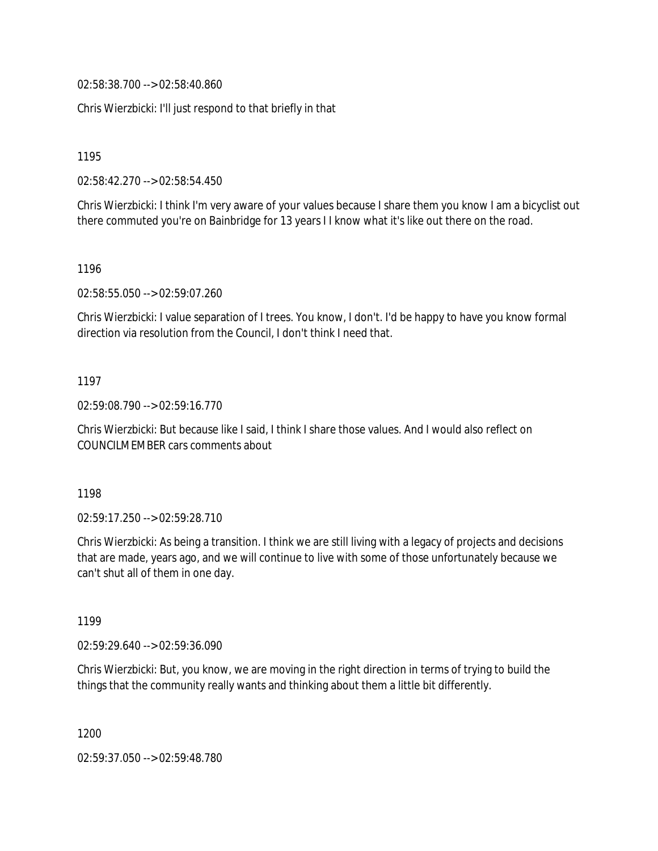02:58:38.700 --> 02:58:40.860

Chris Wierzbicki: I'll just respond to that briefly in that

1195

02:58:42.270 --> 02:58:54.450

Chris Wierzbicki: I think I'm very aware of your values because I share them you know I am a bicyclist out there commuted you're on Bainbridge for 13 years I I know what it's like out there on the road.

1196

02:58:55.050 --> 02:59:07.260

Chris Wierzbicki: I value separation of I trees. You know, I don't. I'd be happy to have you know formal direction via resolution from the Council, I don't think I need that.

#### 1197

02:59:08.790 --> 02:59:16.770

Chris Wierzbicki: But because like I said, I think I share those values. And I would also reflect on COUNCILMEMBER cars comments about

1198

02:59:17.250 --> 02:59:28.710

Chris Wierzbicki: As being a transition. I think we are still living with a legacy of projects and decisions that are made, years ago, and we will continue to live with some of those unfortunately because we can't shut all of them in one day.

1199

02:59:29.640 --> 02:59:36.090

Chris Wierzbicki: But, you know, we are moving in the right direction in terms of trying to build the things that the community really wants and thinking about them a little bit differently.

1200

02:59:37.050 --> 02:59:48.780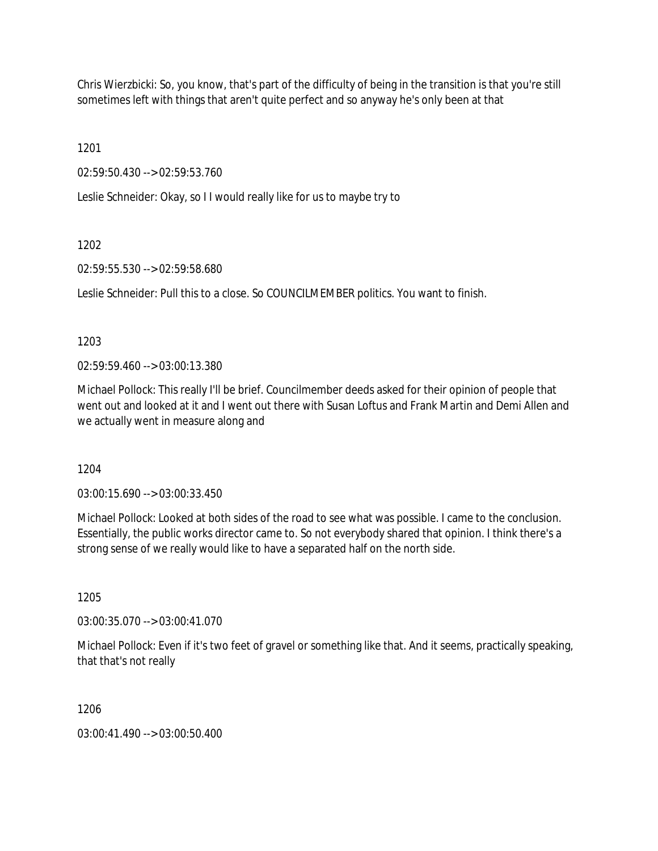Chris Wierzbicki: So, you know, that's part of the difficulty of being in the transition is that you're still sometimes left with things that aren't quite perfect and so anyway he's only been at that

1201

02:59:50.430 --> 02:59:53.760

Leslie Schneider: Okay, so I I would really like for us to maybe try to

1202

02:59:55.530 --> 02:59:58.680

Leslie Schneider: Pull this to a close. So COUNCILMEMBER politics. You want to finish.

1203

02:59:59.460 --> 03:00:13.380

Michael Pollock: This really I'll be brief. Councilmember deeds asked for their opinion of people that went out and looked at it and I went out there with Susan Loftus and Frank Martin and Demi Allen and we actually went in measure along and

1204

03:00:15.690 --> 03:00:33.450

Michael Pollock: Looked at both sides of the road to see what was possible. I came to the conclusion. Essentially, the public works director came to. So not everybody shared that opinion. I think there's a strong sense of we really would like to have a separated half on the north side.

1205

03:00:35.070 --> 03:00:41.070

Michael Pollock: Even if it's two feet of gravel or something like that. And it seems, practically speaking, that that's not really

1206

03:00:41.490 --> 03:00:50.400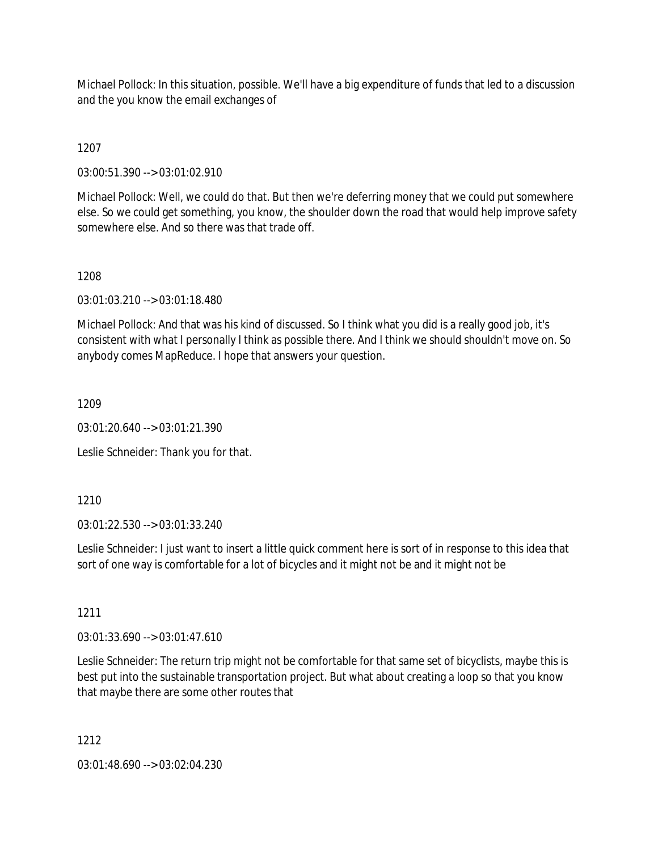Michael Pollock: In this situation, possible. We'll have a big expenditure of funds that led to a discussion and the you know the email exchanges of

1207

03:00:51.390 --> 03:01:02.910

Michael Pollock: Well, we could do that. But then we're deferring money that we could put somewhere else. So we could get something, you know, the shoulder down the road that would help improve safety somewhere else. And so there was that trade off.

### 1208

03:01:03.210 --> 03:01:18.480

Michael Pollock: And that was his kind of discussed. So I think what you did is a really good job, it's consistent with what I personally I think as possible there. And I think we should shouldn't move on. So anybody comes MapReduce. I hope that answers your question.

1209

03:01:20.640 --> 03:01:21.390

Leslie Schneider: Thank you for that.

1210

03:01:22.530 --> 03:01:33.240

Leslie Schneider: I just want to insert a little quick comment here is sort of in response to this idea that sort of one way is comfortable for a lot of bicycles and it might not be and it might not be

1211

03:01:33.690 --> 03:01:47.610

Leslie Schneider: The return trip might not be comfortable for that same set of bicyclists, maybe this is best put into the sustainable transportation project. But what about creating a loop so that you know that maybe there are some other routes that

1212

03:01:48.690 --> 03:02:04.230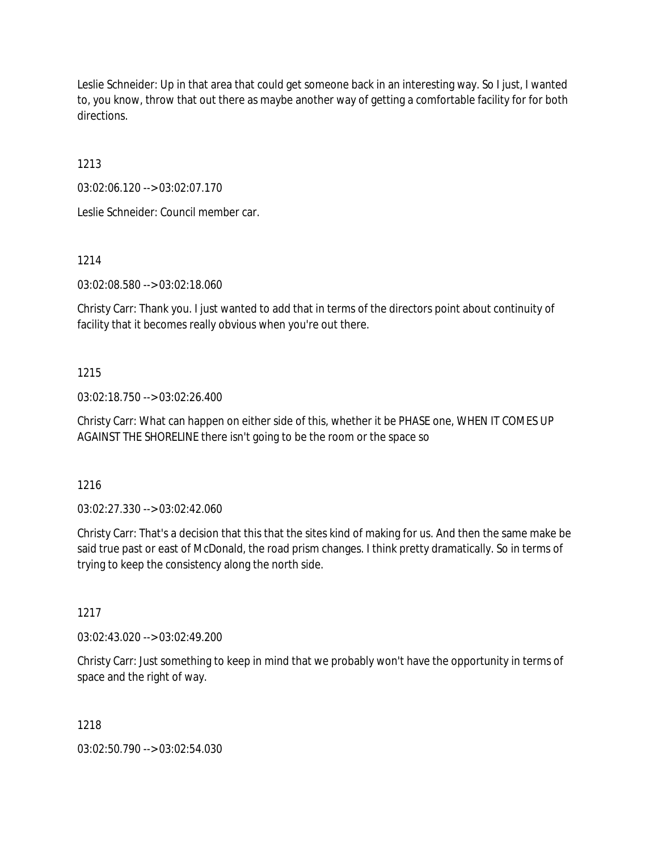Leslie Schneider: Up in that area that could get someone back in an interesting way. So I just, I wanted to, you know, throw that out there as maybe another way of getting a comfortable facility for for both directions.

1213

03:02:06.120 --> 03:02:07.170

Leslie Schneider: Council member car.

1214

03:02:08.580 --> 03:02:18.060

Christy Carr: Thank you. I just wanted to add that in terms of the directors point about continuity of facility that it becomes really obvious when you're out there.

## 1215

03:02:18.750 --> 03:02:26.400

Christy Carr: What can happen on either side of this, whether it be PHASE one, WHEN IT COMES UP AGAINST THE SHORELINE there isn't going to be the room or the space so

1216

03:02:27.330 --> 03:02:42.060

Christy Carr: That's a decision that this that the sites kind of making for us. And then the same make be said true past or east of McDonald, the road prism changes. I think pretty dramatically. So in terms of trying to keep the consistency along the north side.

1217

03:02:43.020 --> 03:02:49.200

Christy Carr: Just something to keep in mind that we probably won't have the opportunity in terms of space and the right of way.

1218

03:02:50.790 --> 03:02:54.030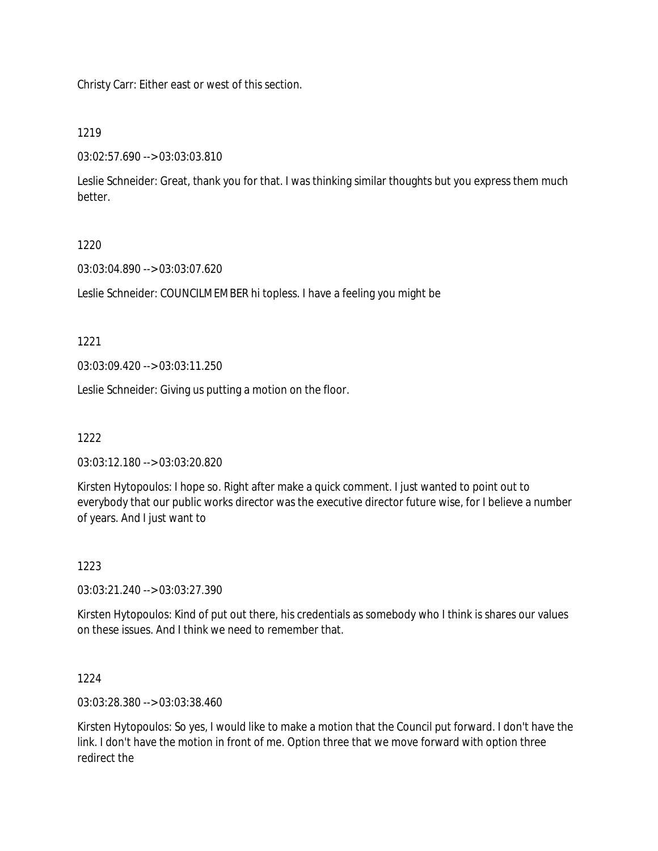Christy Carr: Either east or west of this section.

## 1219

03:02:57.690 --> 03:03:03.810

Leslie Schneider: Great, thank you for that. I was thinking similar thoughts but you express them much better.

# 1220

03:03:04.890 --> 03:03:07.620

Leslie Schneider: COUNCILMEMBER hi topless. I have a feeling you might be

1221

03:03:09.420 --> 03:03:11.250

Leslie Schneider: Giving us putting a motion on the floor.

1222

03:03:12.180 --> 03:03:20.820

Kirsten Hytopoulos: I hope so. Right after make a quick comment. I just wanted to point out to everybody that our public works director was the executive director future wise, for I believe a number of years. And I just want to

### 1223

03:03:21.240 --> 03:03:27.390

Kirsten Hytopoulos: Kind of put out there, his credentials as somebody who I think is shares our values on these issues. And I think we need to remember that.

1224

03:03:28.380 --> 03:03:38.460

Kirsten Hytopoulos: So yes, I would like to make a motion that the Council put forward. I don't have the link. I don't have the motion in front of me. Option three that we move forward with option three redirect the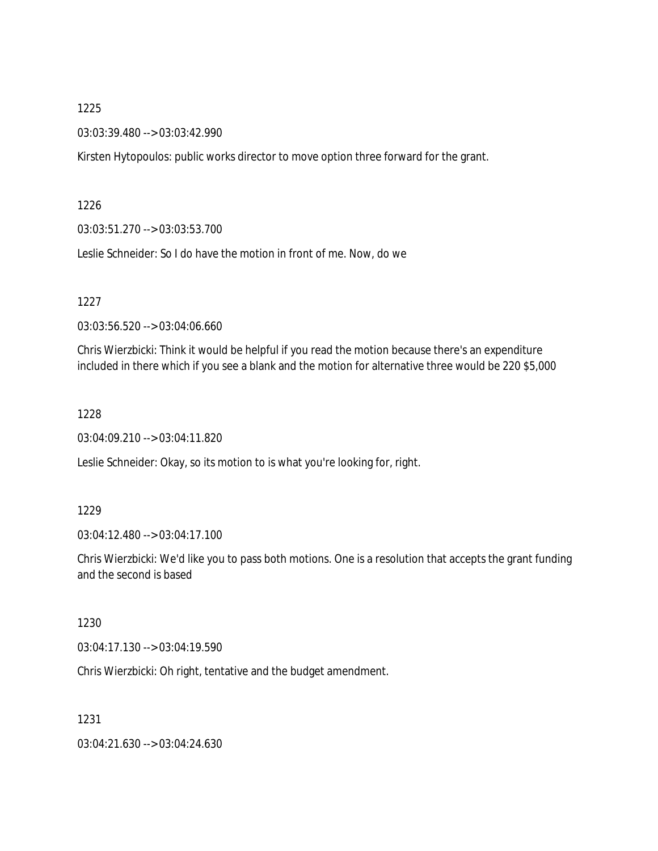03:03:39.480 --> 03:03:42.990

Kirsten Hytopoulos: public works director to move option three forward for the grant.

1226

03:03:51.270 --> 03:03:53.700

Leslie Schneider: So I do have the motion in front of me. Now, do we

1227

03:03:56.520 --> 03:04:06.660

Chris Wierzbicki: Think it would be helpful if you read the motion because there's an expenditure included in there which if you see a blank and the motion for alternative three would be 220 \$5,000

1228

03:04:09.210 --> 03:04:11.820

Leslie Schneider: Okay, so its motion to is what you're looking for, right.

1229

03:04:12.480 --> 03:04:17.100

Chris Wierzbicki: We'd like you to pass both motions. One is a resolution that accepts the grant funding and the second is based

1230

03:04:17.130 --> 03:04:19.590

Chris Wierzbicki: Oh right, tentative and the budget amendment.

1231

03:04:21.630 --> 03:04:24.630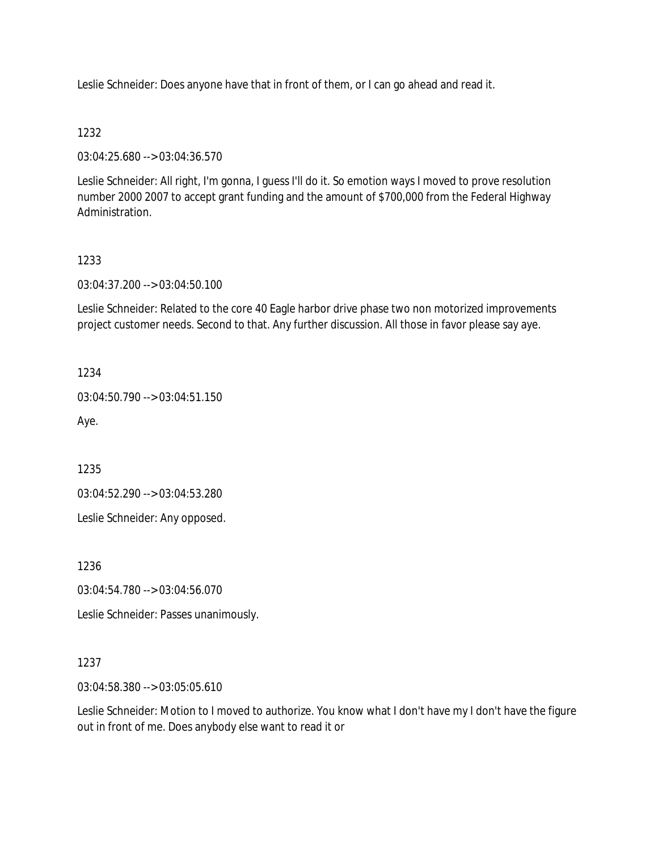Leslie Schneider: Does anyone have that in front of them, or I can go ahead and read it.

## 1232

03:04:25.680 --> 03:04:36.570

Leslie Schneider: All right, I'm gonna, I guess I'll do it. So emotion ways I moved to prove resolution number 2000 2007 to accept grant funding and the amount of \$700,000 from the Federal Highway Administration.

## 1233

03:04:37.200 --> 03:04:50.100

Leslie Schneider: Related to the core 40 Eagle harbor drive phase two non motorized improvements project customer needs. Second to that. Any further discussion. All those in favor please say aye.

1234

03:04:50.790 --> 03:04:51.150

Aye.

1235

03:04:52.290 --> 03:04:53.280

Leslie Schneider: Any opposed.

1236

03:04:54.780 --> 03:04:56.070

Leslie Schneider: Passes unanimously.

1237

03:04:58.380 --> 03:05:05.610

Leslie Schneider: Motion to I moved to authorize. You know what I don't have my I don't have the figure out in front of me. Does anybody else want to read it or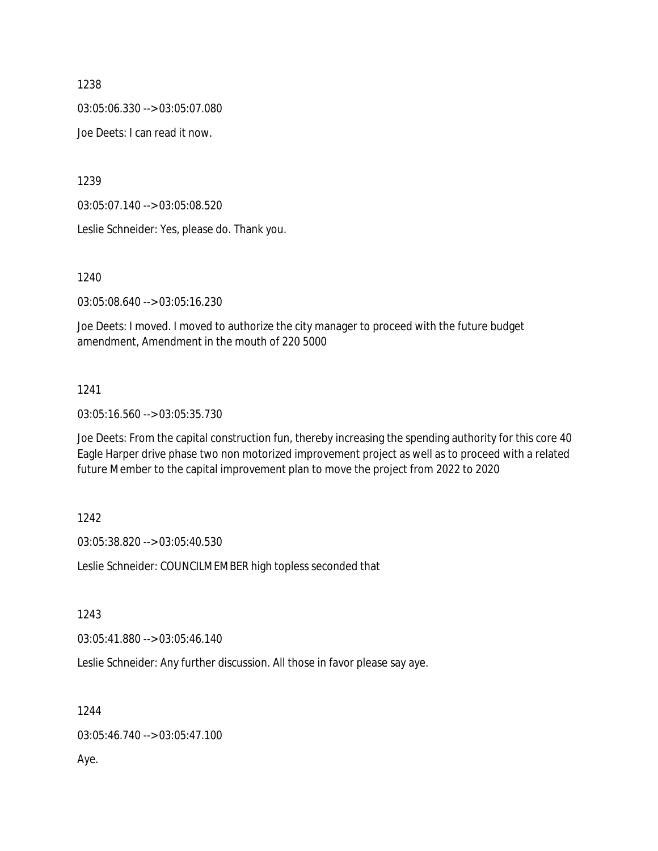03:05:06.330 --> 03:05:07.080

Joe Deets: I can read it now.

1239

03:05:07.140 --> 03:05:08.520

Leslie Schneider: Yes, please do. Thank you.

1240

03:05:08.640 --> 03:05:16.230

Joe Deets: I moved. I moved to authorize the city manager to proceed with the future budget amendment, Amendment in the mouth of 220 5000

## 1241

03:05:16.560 --> 03:05:35.730

Joe Deets: From the capital construction fun, thereby increasing the spending authority for this core 40 Eagle Harper drive phase two non motorized improvement project as well as to proceed with a related future Member to the capital improvement plan to move the project from 2022 to 2020

1242

03:05:38.820 --> 03:05:40.530

Leslie Schneider: COUNCILMEMBER high topless seconded that

1243

03:05:41.880 --> 03:05:46.140

Leslie Schneider: Any further discussion. All those in favor please say aye.

1244

03:05:46.740 --> 03:05:47.100

Aye.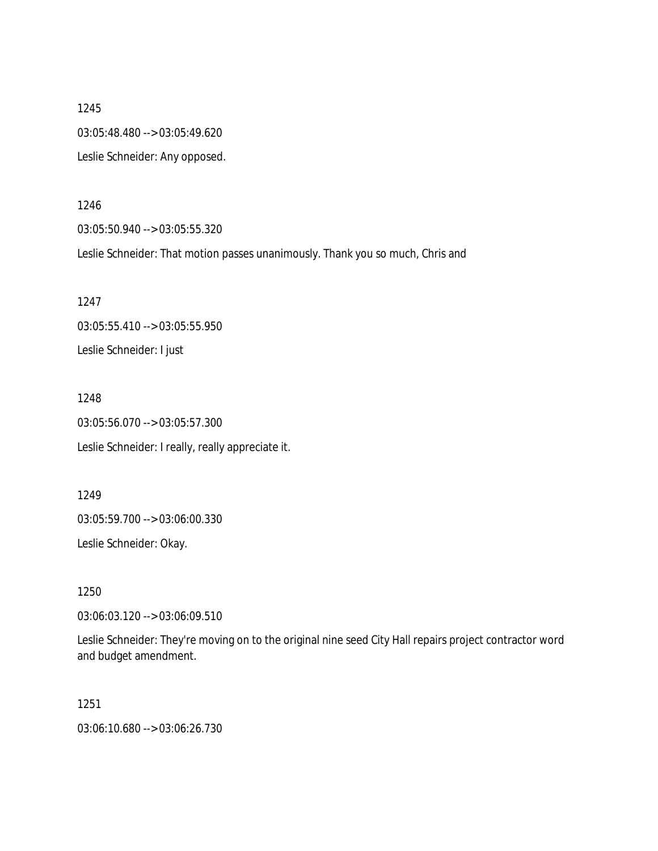1245 03:05:48.480 --> 03:05:49.620 Leslie Schneider: Any opposed.

1246

03:05:50.940 --> 03:05:55.320

Leslie Schneider: That motion passes unanimously. Thank you so much, Chris and

1247 03:05:55.410 --> 03:05:55.950 Leslie Schneider: I just

1248 03:05:56.070 --> 03:05:57.300 Leslie Schneider: I really, really appreciate it.

1249 03:05:59.700 --> 03:06:00.330

Leslie Schneider: Okay.

1250

03:06:03.120 --> 03:06:09.510

Leslie Schneider: They're moving on to the original nine seed City Hall repairs project contractor word and budget amendment.

1251

03:06:10.680 --> 03:06:26.730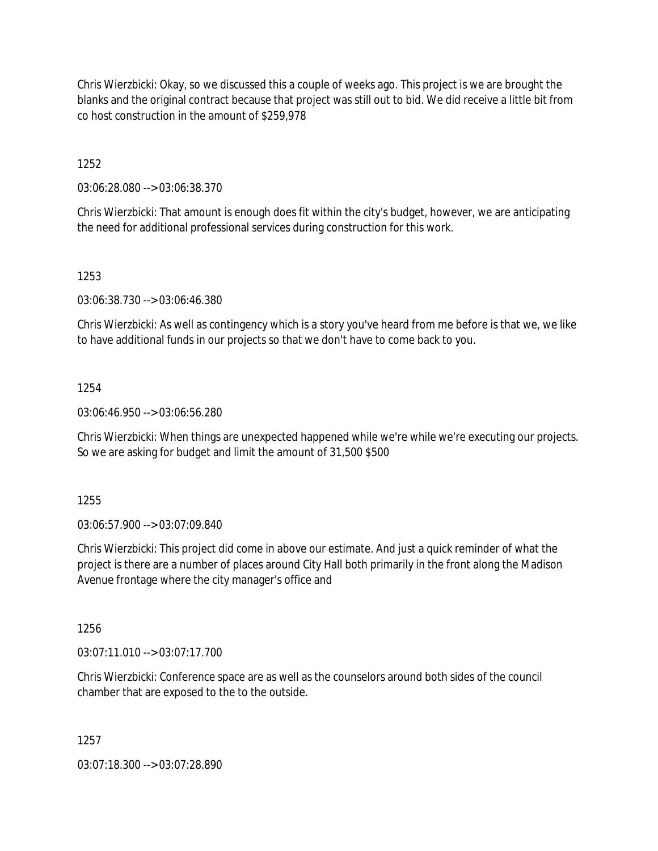Chris Wierzbicki: Okay, so we discussed this a couple of weeks ago. This project is we are brought the blanks and the original contract because that project was still out to bid. We did receive a little bit from co host construction in the amount of \$259,978

1252

03:06:28.080 --> 03:06:38.370

Chris Wierzbicki: That amount is enough does fit within the city's budget, however, we are anticipating the need for additional professional services during construction for this work.

1253

03:06:38.730 --> 03:06:46.380

Chris Wierzbicki: As well as contingency which is a story you've heard from me before is that we, we like to have additional funds in our projects so that we don't have to come back to you.

1254

03:06:46.950 --> 03:06:56.280

Chris Wierzbicki: When things are unexpected happened while we're while we're executing our projects. So we are asking for budget and limit the amount of 31,500 \$500

1255

03:06:57.900 --> 03:07:09.840

Chris Wierzbicki: This project did come in above our estimate. And just a quick reminder of what the project is there are a number of places around City Hall both primarily in the front along the Madison Avenue frontage where the city manager's office and

1256

03:07:11.010 --> 03:07:17.700

Chris Wierzbicki: Conference space are as well as the counselors around both sides of the council chamber that are exposed to the to the outside.

1257

03:07:18.300 --> 03:07:28.890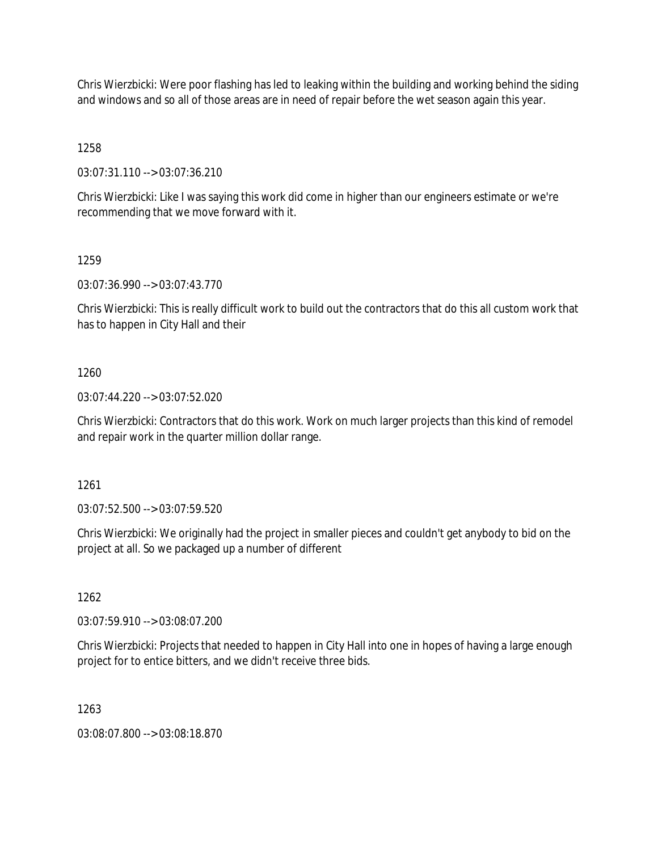Chris Wierzbicki: Were poor flashing has led to leaking within the building and working behind the siding and windows and so all of those areas are in need of repair before the wet season again this year.

1258

03:07:31.110 --> 03:07:36.210

Chris Wierzbicki: Like I was saying this work did come in higher than our engineers estimate or we're recommending that we move forward with it.

1259

03:07:36.990 --> 03:07:43.770

Chris Wierzbicki: This is really difficult work to build out the contractors that do this all custom work that has to happen in City Hall and their

1260

03:07:44.220 --> 03:07:52.020

Chris Wierzbicki: Contractors that do this work. Work on much larger projects than this kind of remodel and repair work in the quarter million dollar range.

1261

03:07:52.500 --> 03:07:59.520

Chris Wierzbicki: We originally had the project in smaller pieces and couldn't get anybody to bid on the project at all. So we packaged up a number of different

1262

03:07:59.910 --> 03:08:07.200

Chris Wierzbicki: Projects that needed to happen in City Hall into one in hopes of having a large enough project for to entice bitters, and we didn't receive three bids.

1263

03:08:07.800 --> 03:08:18.870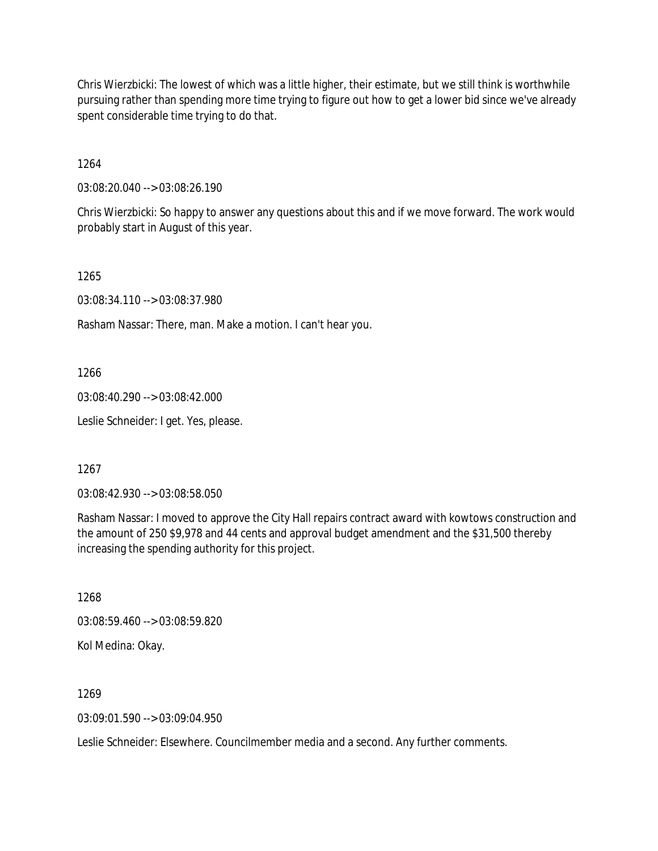Chris Wierzbicki: The lowest of which was a little higher, their estimate, but we still think is worthwhile pursuing rather than spending more time trying to figure out how to get a lower bid since we've already spent considerable time trying to do that.

1264

03:08:20.040 --> 03:08:26.190

Chris Wierzbicki: So happy to answer any questions about this and if we move forward. The work would probably start in August of this year.

1265

03:08:34.110 --> 03:08:37.980

Rasham Nassar: There, man. Make a motion. I can't hear you.

1266

03:08:40.290 --> 03:08:42.000

Leslie Schneider: I get. Yes, please.

1267

03:08:42.930 --> 03:08:58.050

Rasham Nassar: I moved to approve the City Hall repairs contract award with kowtows construction and the amount of 250 \$9,978 and 44 cents and approval budget amendment and the \$31,500 thereby increasing the spending authority for this project.

1268 03:08:59.460 --> 03:08:59.820 Kol Medina: Okay.

1269

 $03.09.01.590 -> 03.09.04.950$ 

Leslie Schneider: Elsewhere. Councilmember media and a second. Any further comments.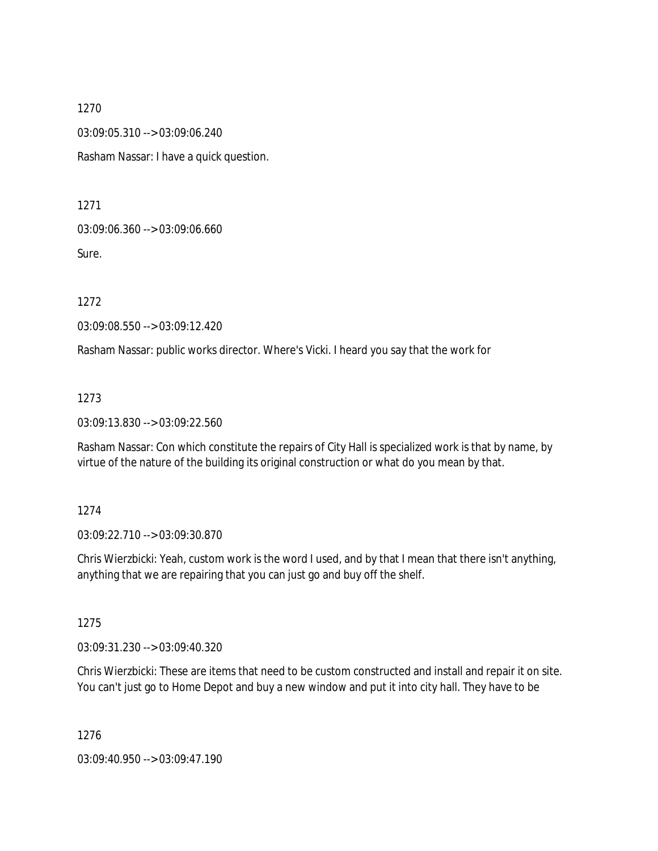03:09:05.310 --> 03:09:06.240

Rasham Nassar: I have a quick question.

1271

03:09:06.360 --> 03:09:06.660

Sure.

1272

03:09:08.550 --> 03:09:12.420

Rasham Nassar: public works director. Where's Vicki. I heard you say that the work for

1273

03:09:13.830 --> 03:09:22.560

Rasham Nassar: Con which constitute the repairs of City Hall is specialized work is that by name, by virtue of the nature of the building its original construction or what do you mean by that.

1274

03:09:22.710 --> 03:09:30.870

Chris Wierzbicki: Yeah, custom work is the word I used, and by that I mean that there isn't anything, anything that we are repairing that you can just go and buy off the shelf.

1275

03:09:31.230 --> 03:09:40.320

Chris Wierzbicki: These are items that need to be custom constructed and install and repair it on site. You can't just go to Home Depot and buy a new window and put it into city hall. They have to be

1276

03:09:40.950 --> 03:09:47.190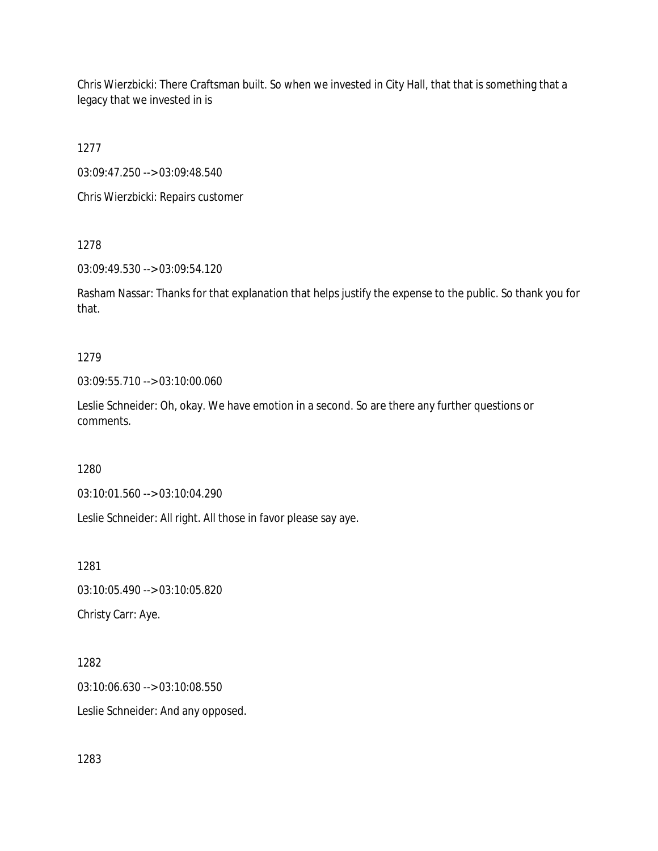Chris Wierzbicki: There Craftsman built. So when we invested in City Hall, that that is something that a legacy that we invested in is

1277

03:09:47.250 --> 03:09:48.540

Chris Wierzbicki: Repairs customer

1278

03:09:49.530 --> 03:09:54.120

Rasham Nassar: Thanks for that explanation that helps justify the expense to the public. So thank you for that.

# 1279

03:09:55.710 --> 03:10:00.060

Leslie Schneider: Oh, okay. We have emotion in a second. So are there any further questions or comments.

1280

03:10:01.560 --> 03:10:04.290

Leslie Schneider: All right. All those in favor please say aye.

1281 03:10:05.490 --> 03:10:05.820 Christy Carr: Aye.

1282 03:10:06.630 --> 03:10:08.550 Leslie Schneider: And any opposed.

1283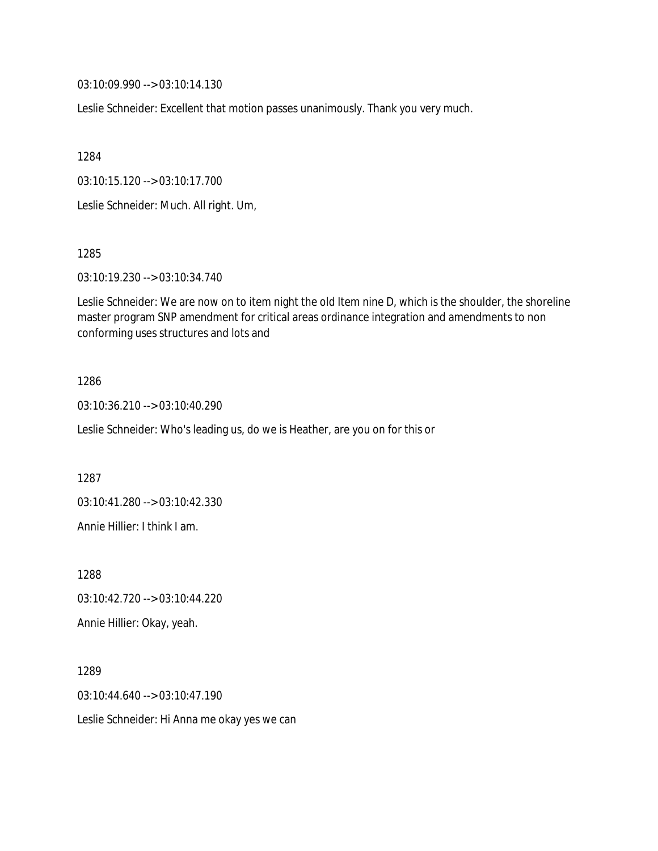03:10:09.990 --> 03:10:14.130

Leslie Schneider: Excellent that motion passes unanimously. Thank you very much.

1284

03:10:15.120 --> 03:10:17.700

Leslie Schneider: Much. All right. Um,

1285

03:10:19.230 --> 03:10:34.740

Leslie Schneider: We are now on to item night the old Item nine D, which is the shoulder, the shoreline master program SNP amendment for critical areas ordinance integration and amendments to non conforming uses structures and lots and

#### 1286

03:10:36.210 --> 03:10:40.290

Leslie Schneider: Who's leading us, do we is Heather, are you on for this or

1287

03:10:41.280 --> 03:10:42.330

Annie Hillier: I think I am.

1288

03:10:42.720 --> 03:10:44.220

Annie Hillier: Okay, yeah.

1289 03:10:44.640 --> 03:10:47.190

Leslie Schneider: Hi Anna me okay yes we can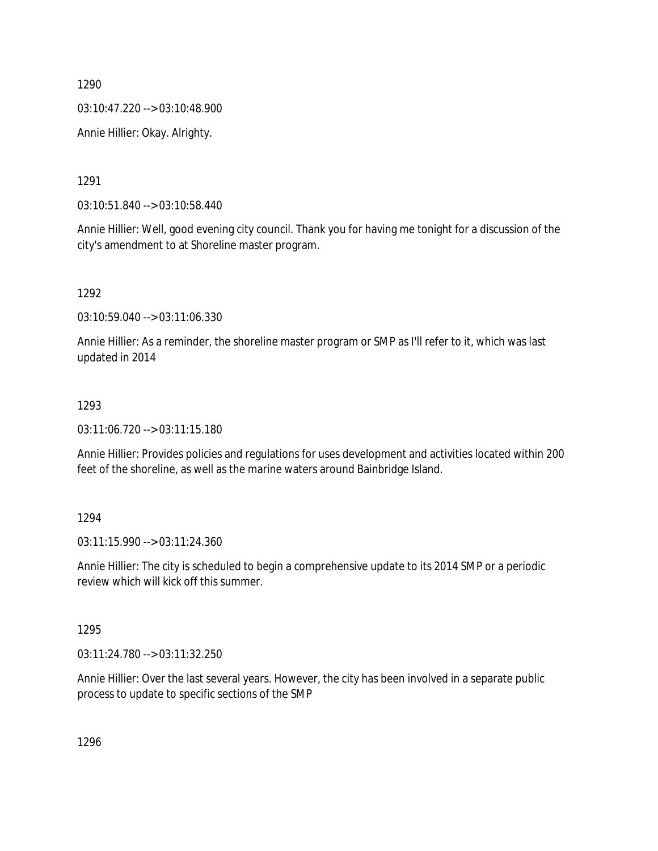03:10:47.220 --> 03:10:48.900

Annie Hillier: Okay. Alrighty.

1291

03:10:51.840 --> 03:10:58.440

Annie Hillier: Well, good evening city council. Thank you for having me tonight for a discussion of the city's amendment to at Shoreline master program.

1292

03:10:59.040 --> 03:11:06.330

Annie Hillier: As a reminder, the shoreline master program or SMP as I'll refer to it, which was last updated in 2014

#### 1293

03:11:06.720 --> 03:11:15.180

Annie Hillier: Provides policies and regulations for uses development and activities located within 200 feet of the shoreline, as well as the marine waters around Bainbridge Island.

#### 1294

03:11:15.990 --> 03:11:24.360

Annie Hillier: The city is scheduled to begin a comprehensive update to its 2014 SMP or a periodic review which will kick off this summer.

#### 1295

03:11:24.780 --> 03:11:32.250

Annie Hillier: Over the last several years. However, the city has been involved in a separate public process to update to specific sections of the SMP

1296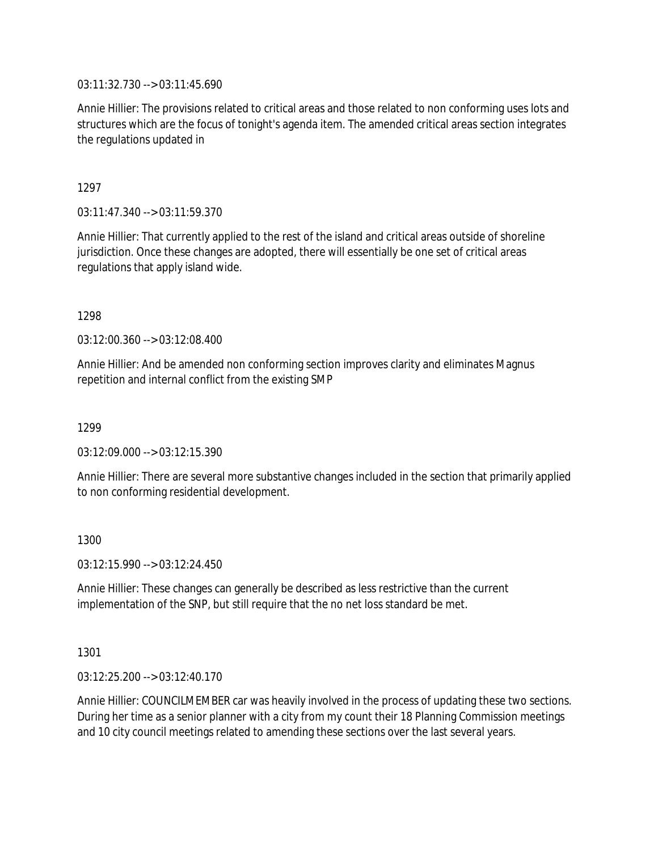03:11:32.730 --> 03:11:45.690

Annie Hillier: The provisions related to critical areas and those related to non conforming uses lots and structures which are the focus of tonight's agenda item. The amended critical areas section integrates the regulations updated in

1297

03:11:47.340 --> 03:11:59.370

Annie Hillier: That currently applied to the rest of the island and critical areas outside of shoreline jurisdiction. Once these changes are adopted, there will essentially be one set of critical areas regulations that apply island wide.

1298

03:12:00.360 --> 03:12:08.400

Annie Hillier: And be amended non conforming section improves clarity and eliminates Magnus repetition and internal conflict from the existing SMP

1299

03:12:09.000 --> 03:12:15.390

Annie Hillier: There are several more substantive changes included in the section that primarily applied to non conforming residential development.

1300

03:12:15.990 --> 03:12:24.450

Annie Hillier: These changes can generally be described as less restrictive than the current implementation of the SNP, but still require that the no net loss standard be met.

1301

03:12:25.200 --> 03:12:40.170

Annie Hillier: COUNCILMEMBER car was heavily involved in the process of updating these two sections. During her time as a senior planner with a city from my count their 18 Planning Commission meetings and 10 city council meetings related to amending these sections over the last several years.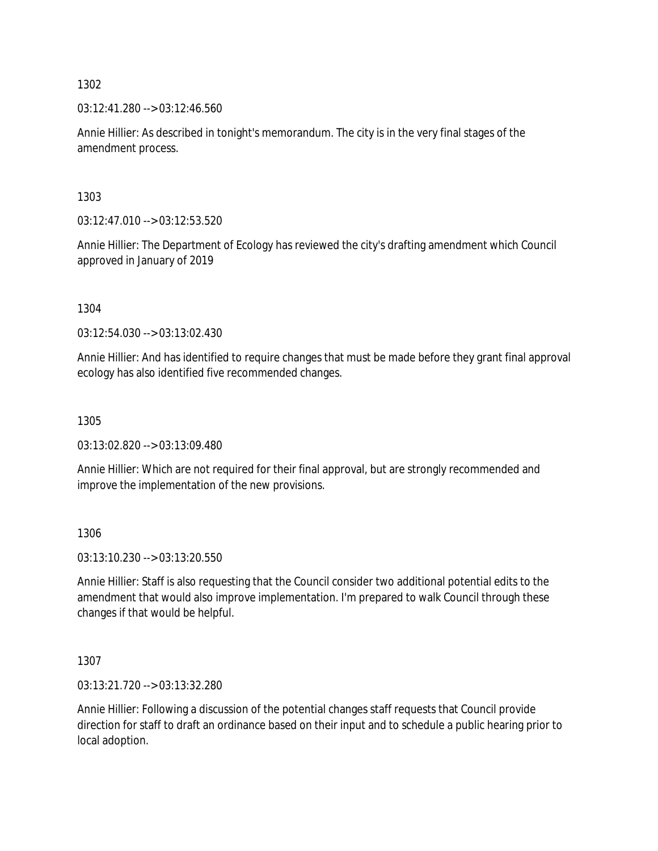03:12:41.280 --> 03:12:46.560

Annie Hillier: As described in tonight's memorandum. The city is in the very final stages of the amendment process.

1303

03:12:47.010 --> 03:12:53.520

Annie Hillier: The Department of Ecology has reviewed the city's drafting amendment which Council approved in January of 2019

1304

03:12:54.030 --> 03:13:02.430

Annie Hillier: And has identified to require changes that must be made before they grant final approval ecology has also identified five recommended changes.

1305

03:13:02.820 --> 03:13:09.480

Annie Hillier: Which are not required for their final approval, but are strongly recommended and improve the implementation of the new provisions.

1306

03:13:10.230 --> 03:13:20.550

Annie Hillier: Staff is also requesting that the Council consider two additional potential edits to the amendment that would also improve implementation. I'm prepared to walk Council through these changes if that would be helpful.

1307

03:13:21.720 --> 03:13:32.280

Annie Hillier: Following a discussion of the potential changes staff requests that Council provide direction for staff to draft an ordinance based on their input and to schedule a public hearing prior to local adoption.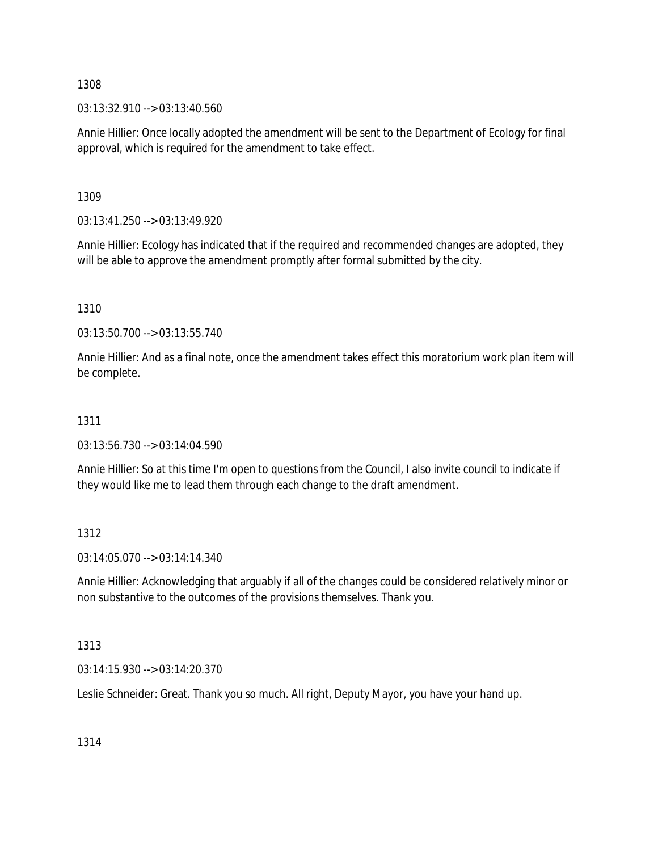03:13:32.910 --> 03:13:40.560

Annie Hillier: Once locally adopted the amendment will be sent to the Department of Ecology for final approval, which is required for the amendment to take effect.

1309

03:13:41.250 --> 03:13:49.920

Annie Hillier: Ecology has indicated that if the required and recommended changes are adopted, they will be able to approve the amendment promptly after formal submitted by the city.

1310

03:13:50.700 --> 03:13:55.740

Annie Hillier: And as a final note, once the amendment takes effect this moratorium work plan item will be complete.

# 1311

03:13:56.730 --> 03:14:04.590

Annie Hillier: So at this time I'm open to questions from the Council, I also invite council to indicate if they would like me to lead them through each change to the draft amendment.

# 1312

03:14:05.070 --> 03:14:14.340

Annie Hillier: Acknowledging that arguably if all of the changes could be considered relatively minor or non substantive to the outcomes of the provisions themselves. Thank you.

1313

03:14:15.930 --> 03:14:20.370

Leslie Schneider: Great. Thank you so much. All right, Deputy Mayor, you have your hand up.

1314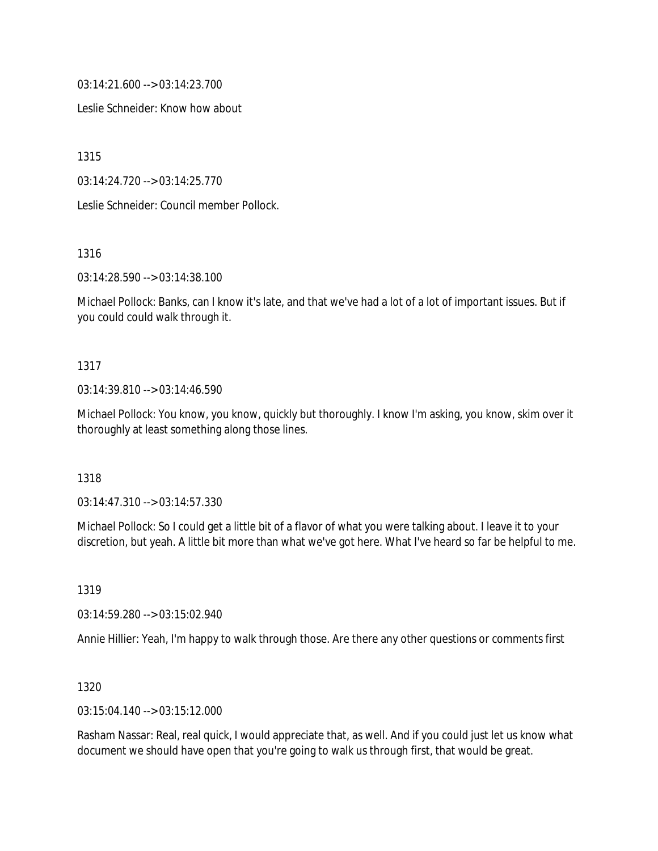03:14:21.600 --> 03:14:23.700

Leslie Schneider: Know how about

1315

03:14:24.720 --> 03:14:25.770

Leslie Schneider: Council member Pollock.

1316

03:14:28.590 --> 03:14:38.100

Michael Pollock: Banks, can I know it's late, and that we've had a lot of a lot of important issues. But if you could could walk through it.

#### 1317

#### 03:14:39.810 --> 03:14:46.590

Michael Pollock: You know, you know, quickly but thoroughly. I know I'm asking, you know, skim over it thoroughly at least something along those lines.

#### 1318

03:14:47.310 --> 03:14:57.330

Michael Pollock: So I could get a little bit of a flavor of what you were talking about. I leave it to your discretion, but yeah. A little bit more than what we've got here. What I've heard so far be helpful to me.

1319

03:14:59.280 --> 03:15:02.940

Annie Hillier: Yeah, I'm happy to walk through those. Are there any other questions or comments first

#### 1320

03:15:04.140 --> 03:15:12.000

Rasham Nassar: Real, real quick, I would appreciate that, as well. And if you could just let us know what document we should have open that you're going to walk us through first, that would be great.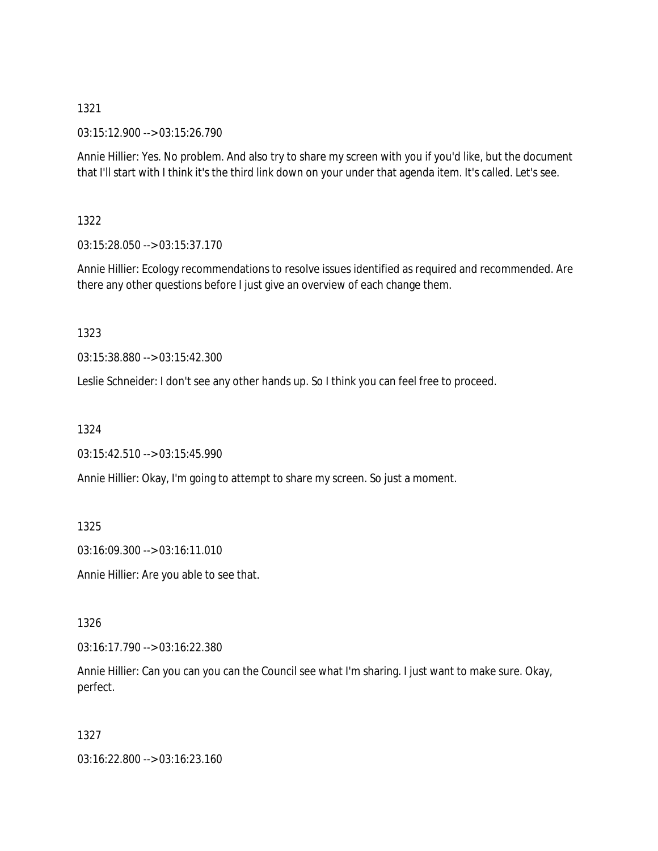03:15:12.900 --> 03:15:26.790

Annie Hillier: Yes. No problem. And also try to share my screen with you if you'd like, but the document that I'll start with I think it's the third link down on your under that agenda item. It's called. Let's see.

1322

03:15:28.050 --> 03:15:37.170

Annie Hillier: Ecology recommendations to resolve issues identified as required and recommended. Are there any other questions before I just give an overview of each change them.

1323

03:15:38.880 --> 03:15:42.300

Leslie Schneider: I don't see any other hands up. So I think you can feel free to proceed.

1324

03:15:42.510 --> 03:15:45.990

Annie Hillier: Okay, I'm going to attempt to share my screen. So just a moment.

1325

03:16:09.300 --> 03:16:11.010

Annie Hillier: Are you able to see that.

1326

03:16:17.790 --> 03:16:22.380

Annie Hillier: Can you can you can the Council see what I'm sharing. I just want to make sure. Okay, perfect.

1327

03:16:22.800 --> 03:16:23.160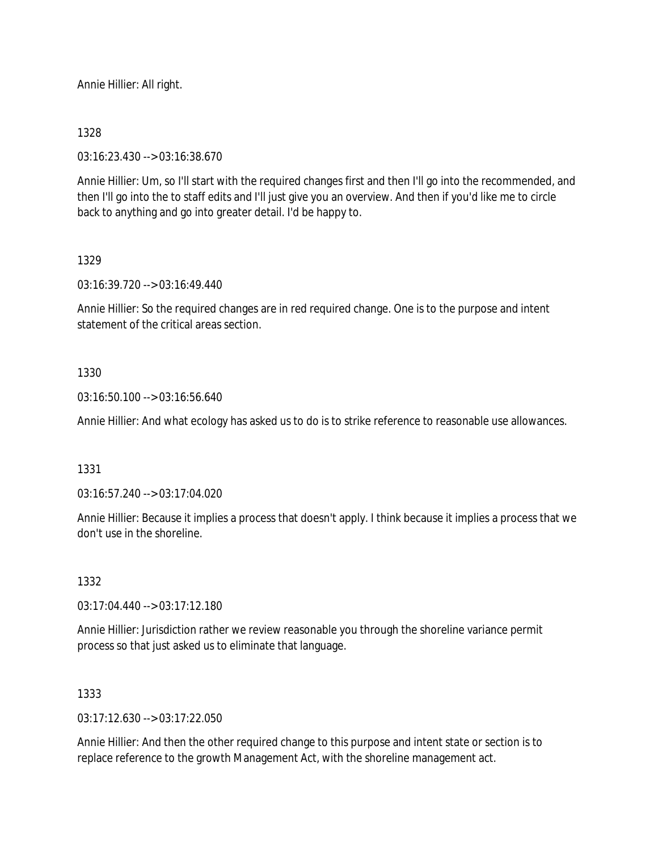Annie Hillier: All right.

## 1328

03:16:23.430 --> 03:16:38.670

Annie Hillier: Um, so I'll start with the required changes first and then I'll go into the recommended, and then I'll go into the to staff edits and I'll just give you an overview. And then if you'd like me to circle back to anything and go into greater detail. I'd be happy to.

## 1329

03:16:39.720 --> 03:16:49.440

Annie Hillier: So the required changes are in red required change. One is to the purpose and intent statement of the critical areas section.

## 1330

03:16:50.100 --> 03:16:56.640

Annie Hillier: And what ecology has asked us to do is to strike reference to reasonable use allowances.

### 1331

03:16:57.240 --> 03:17:04.020

Annie Hillier: Because it implies a process that doesn't apply. I think because it implies a process that we don't use in the shoreline.

### 1332

03:17:04.440 --> 03:17:12.180

Annie Hillier: Jurisdiction rather we review reasonable you through the shoreline variance permit process so that just asked us to eliminate that language.

### 1333

 $03:17:12.630 \rightarrow 03:17:22.050$ 

Annie Hillier: And then the other required change to this purpose and intent state or section is to replace reference to the growth Management Act, with the shoreline management act.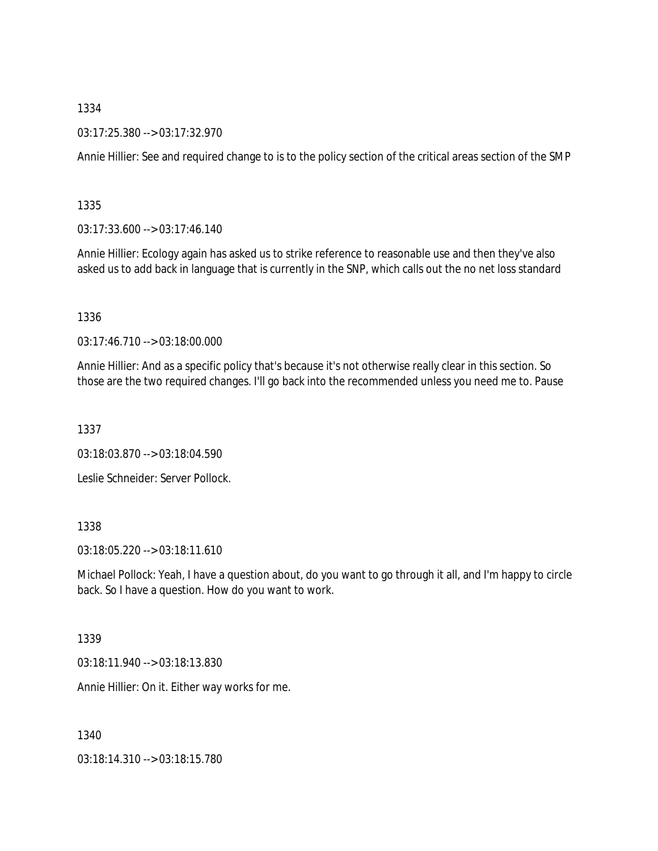03:17:25.380 --> 03:17:32.970

Annie Hillier: See and required change to is to the policy section of the critical areas section of the SMP

1335

03:17:33.600 --> 03:17:46.140

Annie Hillier: Ecology again has asked us to strike reference to reasonable use and then they've also asked us to add back in language that is currently in the SNP, which calls out the no net loss standard

1336

03:17:46.710 --> 03:18:00.000

Annie Hillier: And as a specific policy that's because it's not otherwise really clear in this section. So those are the two required changes. I'll go back into the recommended unless you need me to. Pause

1337

03:18:03.870 --> 03:18:04.590

Leslie Schneider: Server Pollock.

## 1338

03:18:05.220 --> 03:18:11.610

Michael Pollock: Yeah, I have a question about, do you want to go through it all, and I'm happy to circle back. So I have a question. How do you want to work.

#### 1339

03:18:11.940 --> 03:18:13.830

Annie Hillier: On it. Either way works for me.

1340

03:18:14.310 --> 03:18:15.780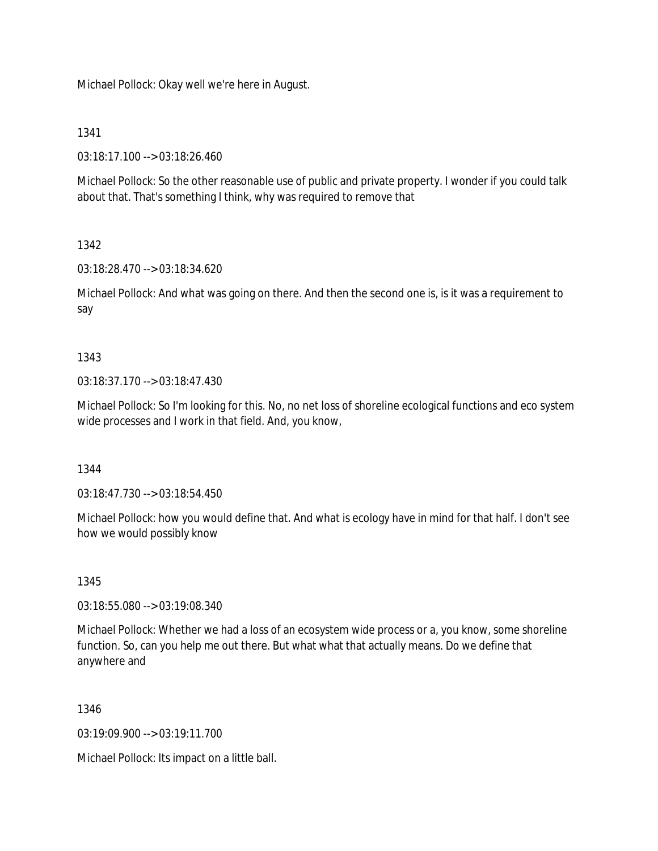Michael Pollock: Okay well we're here in August.

## 1341

03:18:17.100 --> 03:18:26.460

Michael Pollock: So the other reasonable use of public and private property. I wonder if you could talk about that. That's something I think, why was required to remove that

# 1342

03:18:28.470 --> 03:18:34.620

Michael Pollock: And what was going on there. And then the second one is, is it was a requirement to say

## 1343

03:18:37.170 --> 03:18:47.430

Michael Pollock: So I'm looking for this. No, no net loss of shoreline ecological functions and eco system wide processes and I work in that field. And, you know,

1344

03:18:47.730 --> 03:18:54.450

Michael Pollock: how you would define that. And what is ecology have in mind for that half. I don't see how we would possibly know

# 1345

03:18:55.080 --> 03:19:08.340

Michael Pollock: Whether we had a loss of an ecosystem wide process or a, you know, some shoreline function. So, can you help me out there. But what what that actually means. Do we define that anywhere and

# 1346

03:19:09.900 --> 03:19:11.700

Michael Pollock: Its impact on a little ball.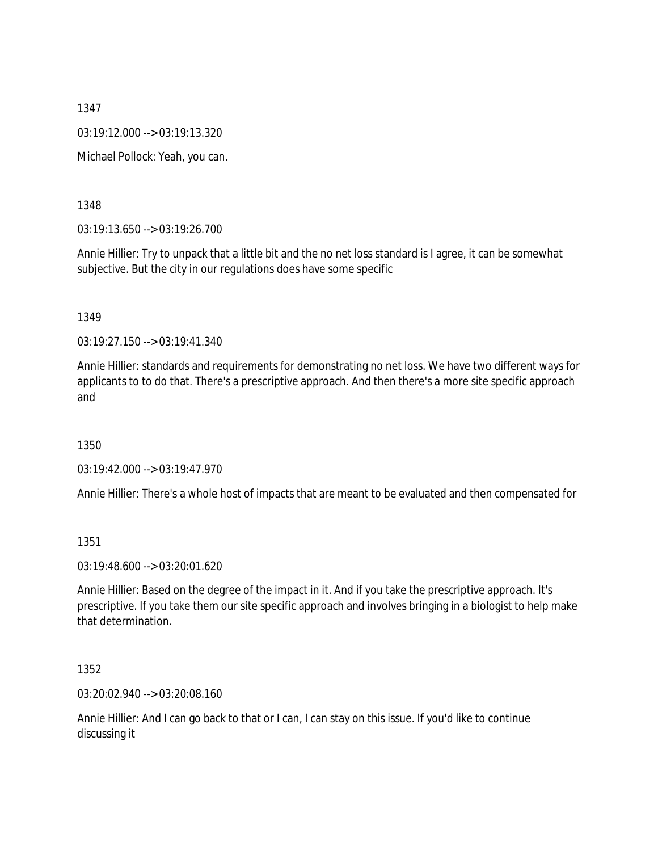03:19:12.000 --> 03:19:13.320

Michael Pollock: Yeah, you can.

1348

03:19:13.650 --> 03:19:26.700

Annie Hillier: Try to unpack that a little bit and the no net loss standard is I agree, it can be somewhat subjective. But the city in our regulations does have some specific

1349

03:19:27.150 --> 03:19:41.340

Annie Hillier: standards and requirements for demonstrating no net loss. We have two different ways for applicants to to do that. There's a prescriptive approach. And then there's a more site specific approach and

1350

03:19:42.000 --> 03:19:47.970

Annie Hillier: There's a whole host of impacts that are meant to be evaluated and then compensated for

1351

03:19:48.600 --> 03:20:01.620

Annie Hillier: Based on the degree of the impact in it. And if you take the prescriptive approach. It's prescriptive. If you take them our site specific approach and involves bringing in a biologist to help make that determination.

1352

03:20:02.940 --> 03:20:08.160

Annie Hillier: And I can go back to that or I can, I can stay on this issue. If you'd like to continue discussing it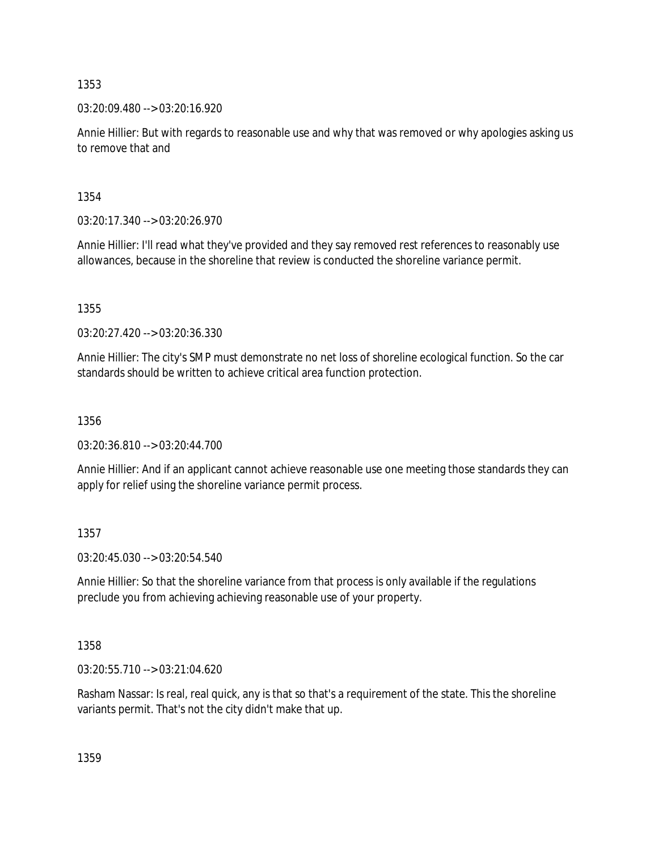03:20:09.480 --> 03:20:16.920

Annie Hillier: But with regards to reasonable use and why that was removed or why apologies asking us to remove that and

1354

03:20:17.340 --> 03:20:26.970

Annie Hillier: I'll read what they've provided and they say removed rest references to reasonably use allowances, because in the shoreline that review is conducted the shoreline variance permit.

1355

03:20:27.420 --> 03:20:36.330

Annie Hillier: The city's SMP must demonstrate no net loss of shoreline ecological function. So the car standards should be written to achieve critical area function protection.

1356

03:20:36.810 --> 03:20:44.700

Annie Hillier: And if an applicant cannot achieve reasonable use one meeting those standards they can apply for relief using the shoreline variance permit process.

1357

03:20:45.030 --> 03:20:54.540

Annie Hillier: So that the shoreline variance from that process is only available if the regulations preclude you from achieving achieving reasonable use of your property.

1358

03:20:55.710 --> 03:21:04.620

Rasham Nassar: Is real, real quick, any is that so that's a requirement of the state. This the shoreline variants permit. That's not the city didn't make that up.

1359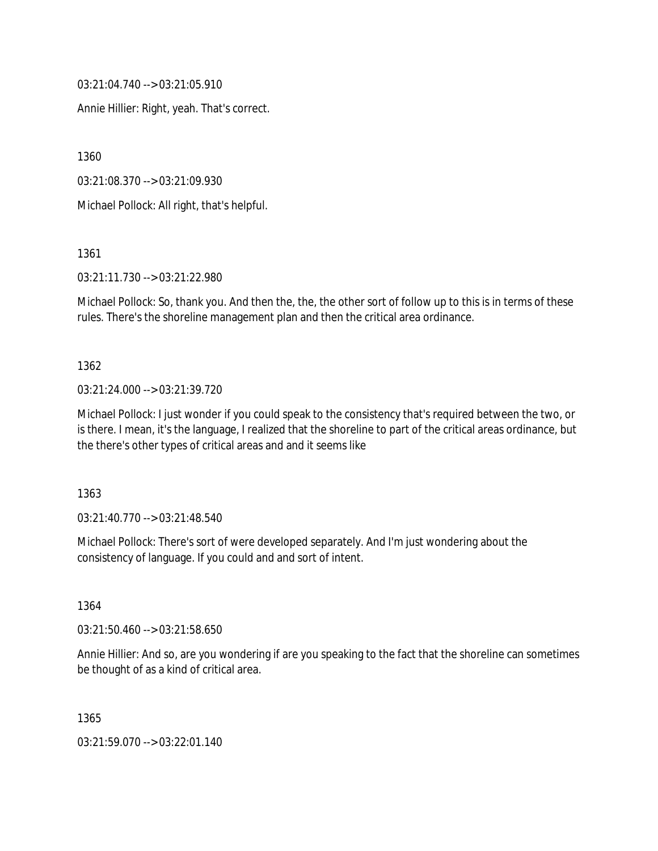03:21:04.740 --> 03:21:05.910

Annie Hillier: Right, yeah. That's correct.

1360

03:21:08.370 --> 03:21:09.930

Michael Pollock: All right, that's helpful.

1361

03:21:11.730 --> 03:21:22.980

Michael Pollock: So, thank you. And then the, the, the other sort of follow up to this is in terms of these rules. There's the shoreline management plan and then the critical area ordinance.

# 1362

03:21:24.000 --> 03:21:39.720

Michael Pollock: I just wonder if you could speak to the consistency that's required between the two, or is there. I mean, it's the language, I realized that the shoreline to part of the critical areas ordinance, but the there's other types of critical areas and and it seems like

1363

03:21:40.770 --> 03:21:48.540

Michael Pollock: There's sort of were developed separately. And I'm just wondering about the consistency of language. If you could and and sort of intent.

1364

03:21:50.460 --> 03:21:58.650

Annie Hillier: And so, are you wondering if are you speaking to the fact that the shoreline can sometimes be thought of as a kind of critical area.

1365

03:21:59.070 --> 03:22:01.140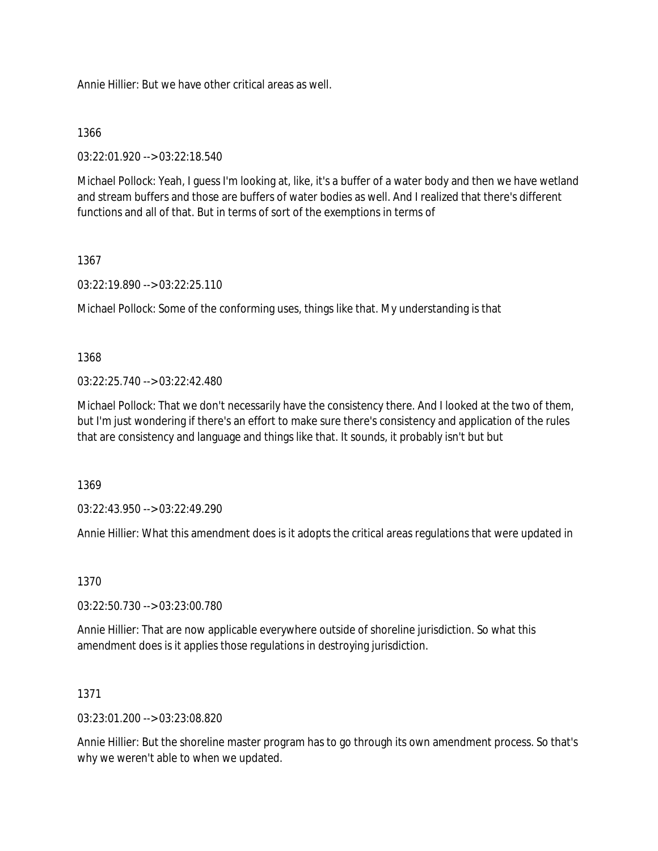Annie Hillier: But we have other critical areas as well.

## 1366

03:22:01.920 --> 03:22:18.540

Michael Pollock: Yeah, I guess I'm looking at, like, it's a buffer of a water body and then we have wetland and stream buffers and those are buffers of water bodies as well. And I realized that there's different functions and all of that. But in terms of sort of the exemptions in terms of

# 1367

03:22:19.890 --> 03:22:25.110

Michael Pollock: Some of the conforming uses, things like that. My understanding is that

# 1368

03:22:25.740 --> 03:22:42.480

Michael Pollock: That we don't necessarily have the consistency there. And I looked at the two of them, but I'm just wondering if there's an effort to make sure there's consistency and application of the rules that are consistency and language and things like that. It sounds, it probably isn't but but

1369

03:22:43.950 --> 03:22:49.290

Annie Hillier: What this amendment does is it adopts the critical areas regulations that were updated in

# 1370

03:22:50.730 --> 03:23:00.780

Annie Hillier: That are now applicable everywhere outside of shoreline jurisdiction. So what this amendment does is it applies those regulations in destroying jurisdiction.

# 1371

03:23:01.200 --> 03:23:08.820

Annie Hillier: But the shoreline master program has to go through its own amendment process. So that's why we weren't able to when we updated.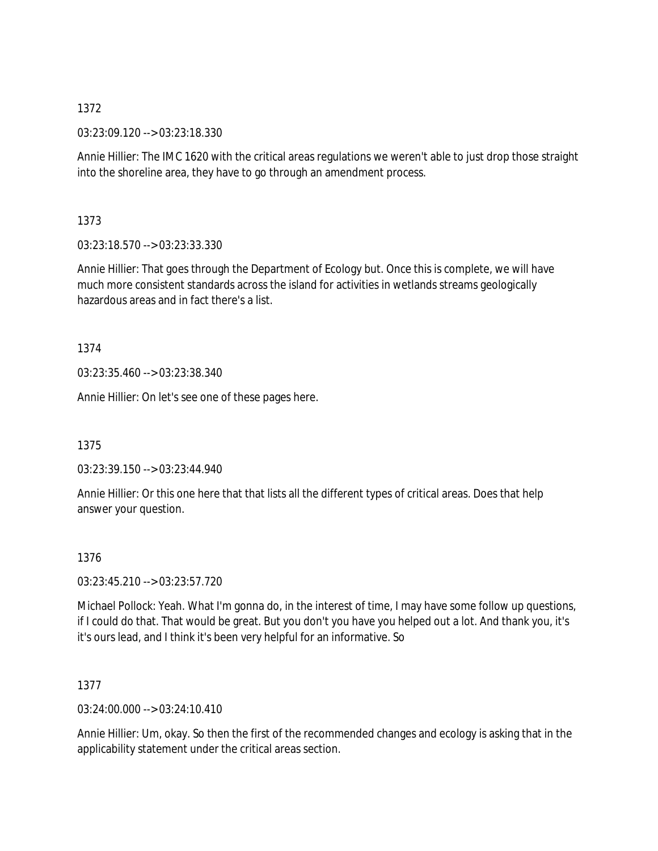03:23:09.120 --> 03:23:18.330

Annie Hillier: The IMC 1620 with the critical areas regulations we weren't able to just drop those straight into the shoreline area, they have to go through an amendment process.

1373

03:23:18.570 --> 03:23:33.330

Annie Hillier: That goes through the Department of Ecology but. Once this is complete, we will have much more consistent standards across the island for activities in wetlands streams geologically hazardous areas and in fact there's a list.

1374

03:23:35.460 --> 03:23:38.340

Annie Hillier: On let's see one of these pages here.

1375

03:23:39.150 --> 03:23:44.940

Annie Hillier: Or this one here that that lists all the different types of critical areas. Does that help answer your question.

### 1376

03:23:45.210 --> 03:23:57.720

Michael Pollock: Yeah. What I'm gonna do, in the interest of time, I may have some follow up questions, if I could do that. That would be great. But you don't you have you helped out a lot. And thank you, it's it's ours lead, and I think it's been very helpful for an informative. So

1377

03:24:00.000 --> 03:24:10.410

Annie Hillier: Um, okay. So then the first of the recommended changes and ecology is asking that in the applicability statement under the critical areas section.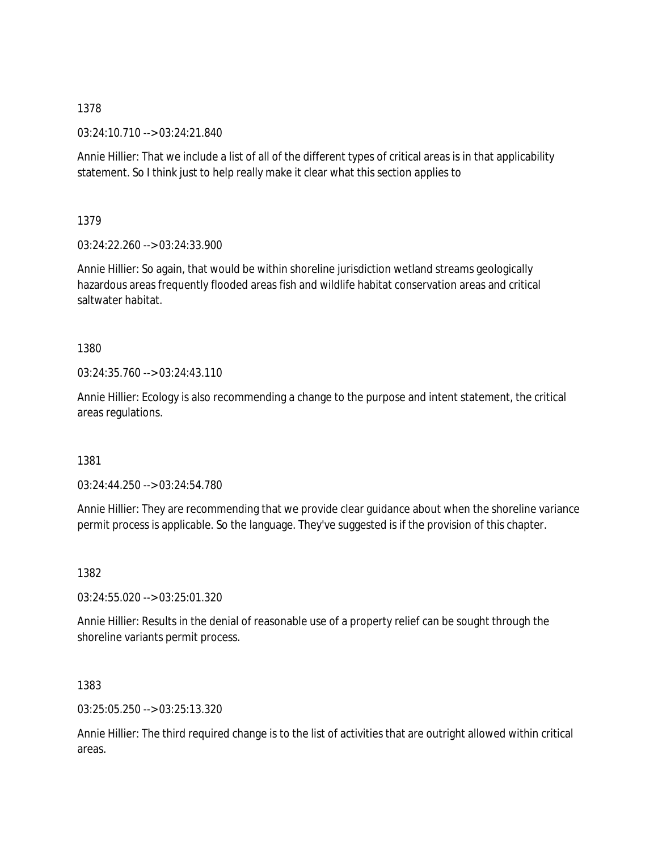03:24:10.710 --> 03:24:21.840

Annie Hillier: That we include a list of all of the different types of critical areas is in that applicability statement. So I think just to help really make it clear what this section applies to

1379

03:24:22.260 --> 03:24:33.900

Annie Hillier: So again, that would be within shoreline jurisdiction wetland streams geologically hazardous areas frequently flooded areas fish and wildlife habitat conservation areas and critical saltwater habitat.

1380

03:24:35.760 --> 03:24:43.110

Annie Hillier: Ecology is also recommending a change to the purpose and intent statement, the critical areas regulations.

1381

03:24:44.250 --> 03:24:54.780

Annie Hillier: They are recommending that we provide clear guidance about when the shoreline variance permit process is applicable. So the language. They've suggested is if the provision of this chapter.

1382

03:24:55.020 --> 03:25:01.320

Annie Hillier: Results in the denial of reasonable use of a property relief can be sought through the shoreline variants permit process.

1383

03:25:05.250 --> 03:25:13.320

Annie Hillier: The third required change is to the list of activities that are outright allowed within critical areas.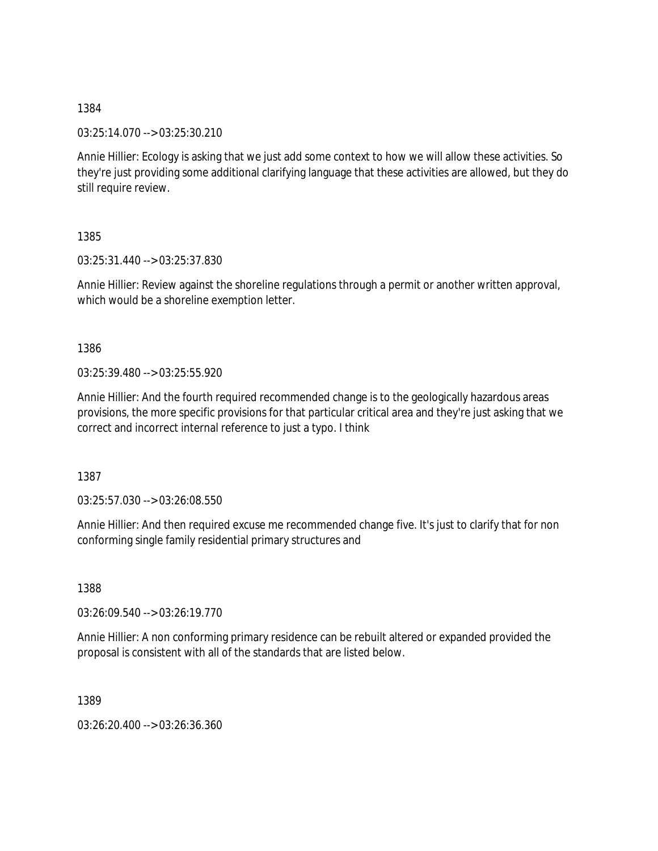03:25:14.070 --> 03:25:30.210

Annie Hillier: Ecology is asking that we just add some context to how we will allow these activities. So they're just providing some additional clarifying language that these activities are allowed, but they do still require review.

1385

03:25:31.440 --> 03:25:37.830

Annie Hillier: Review against the shoreline regulations through a permit or another written approval, which would be a shoreline exemption letter.

1386

03:25:39.480 --> 03:25:55.920

Annie Hillier: And the fourth required recommended change is to the geologically hazardous areas provisions, the more specific provisions for that particular critical area and they're just asking that we correct and incorrect internal reference to just a typo. I think

1387

03:25:57.030 --> 03:26:08.550

Annie Hillier: And then required excuse me recommended change five. It's just to clarify that for non conforming single family residential primary structures and

1388

03:26:09.540 --> 03:26:19.770

Annie Hillier: A non conforming primary residence can be rebuilt altered or expanded provided the proposal is consistent with all of the standards that are listed below.

1389

03:26:20.400 --> 03:26:36.360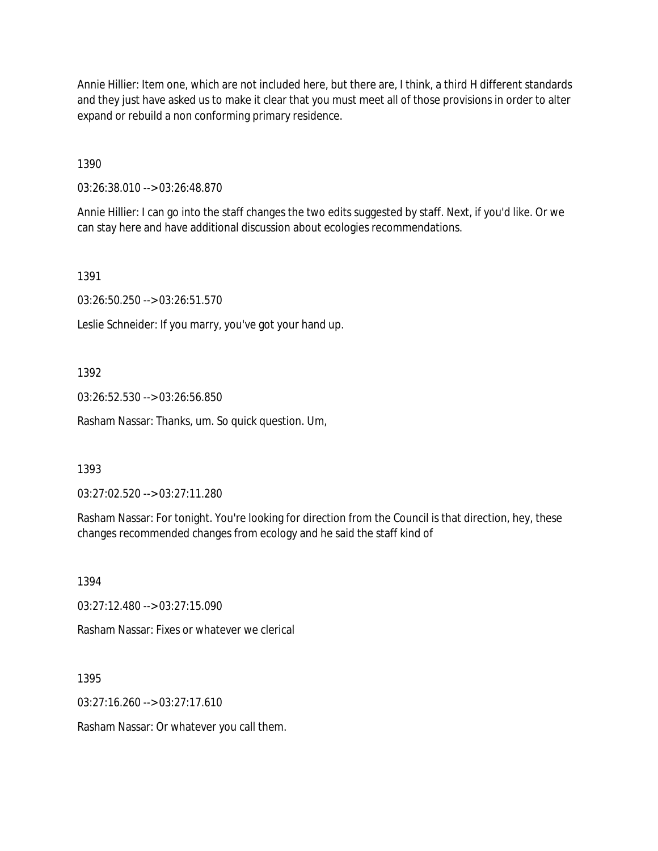Annie Hillier: Item one, which are not included here, but there are, I think, a third H different standards and they just have asked us to make it clear that you must meet all of those provisions in order to alter expand or rebuild a non conforming primary residence.

1390

03:26:38.010 --> 03:26:48.870

Annie Hillier: I can go into the staff changes the two edits suggested by staff. Next, if you'd like. Or we can stay here and have additional discussion about ecologies recommendations.

1391

03:26:50.250 --> 03:26:51.570

Leslie Schneider: If you marry, you've got your hand up.

1392

03:26:52.530 --> 03:26:56.850

Rasham Nassar: Thanks, um. So quick question. Um,

1393

03:27:02.520 --> 03:27:11.280

Rasham Nassar: For tonight. You're looking for direction from the Council is that direction, hey, these changes recommended changes from ecology and he said the staff kind of

1394

03:27:12.480 --> 03:27:15.090

Rasham Nassar: Fixes or whatever we clerical

1395

03:27:16.260 --> 03:27:17.610

Rasham Nassar: Or whatever you call them.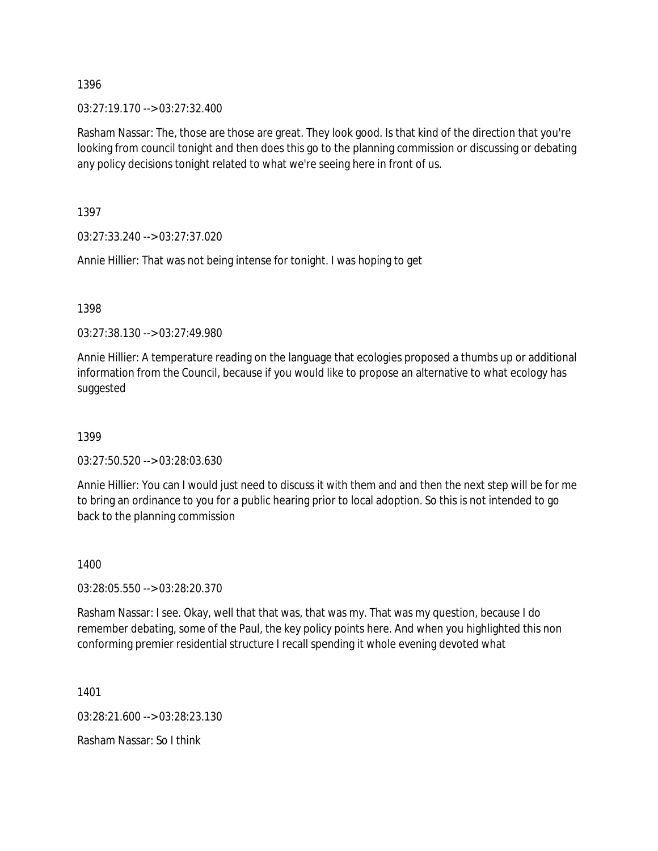$03:27:19.170 \rightarrow 03:27:32.400$ 

Rasham Nassar: The, those are those are great. They look good. Is that kind of the direction that you're looking from council tonight and then does this go to the planning commission or discussing or debating any policy decisions tonight related to what we're seeing here in front of us.

1397

03:27:33.240 --> 03:27:37.020

Annie Hillier: That was not being intense for tonight. I was hoping to get

1398

03:27:38.130 --> 03:27:49.980

Annie Hillier: A temperature reading on the language that ecologies proposed a thumbs up or additional information from the Council, because if you would like to propose an alternative to what ecology has suggested

1399

03:27:50.520 --> 03:28:03.630

Annie Hillier: You can I would just need to discuss it with them and and then the next step will be for me to bring an ordinance to you for a public hearing prior to local adoption. So this is not intended to go back to the planning commission

1400

03:28:05.550 --> 03:28:20.370

Rasham Nassar: I see. Okay, well that that was, that was my. That was my question, because I do remember debating, some of the Paul, the key policy points here. And when you highlighted this non conforming premier residential structure I recall spending it whole evening devoted what

1401

03:28:21.600 --> 03:28:23.130

Rasham Nassar: So I think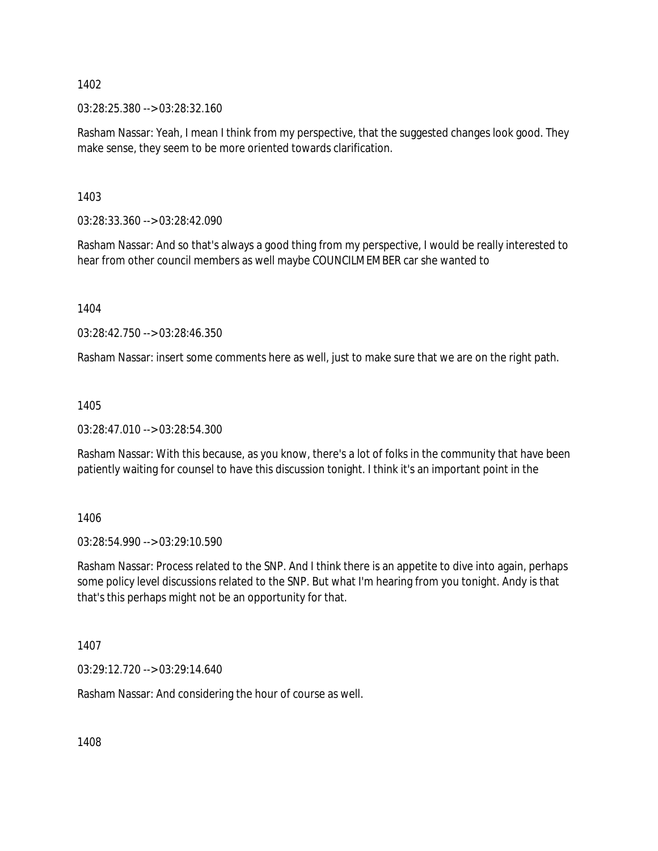03:28:25.380 --> 03:28:32.160

Rasham Nassar: Yeah, I mean I think from my perspective, that the suggested changes look good. They make sense, they seem to be more oriented towards clarification.

1403

03:28:33.360 --> 03:28:42.090

Rasham Nassar: And so that's always a good thing from my perspective, I would be really interested to hear from other council members as well maybe COUNCILMEMBER car she wanted to

1404

03:28:42.750 --> 03:28:46.350

Rasham Nassar: insert some comments here as well, just to make sure that we are on the right path.

1405

03:28:47.010 --> 03:28:54.300

Rasham Nassar: With this because, as you know, there's a lot of folks in the community that have been patiently waiting for counsel to have this discussion tonight. I think it's an important point in the

1406

03:28:54.990 --> 03:29:10.590

Rasham Nassar: Process related to the SNP. And I think there is an appetite to dive into again, perhaps some policy level discussions related to the SNP. But what I'm hearing from you tonight. Andy is that that's this perhaps might not be an opportunity for that.

1407

03:29:12.720 --> 03:29:14.640

Rasham Nassar: And considering the hour of course as well.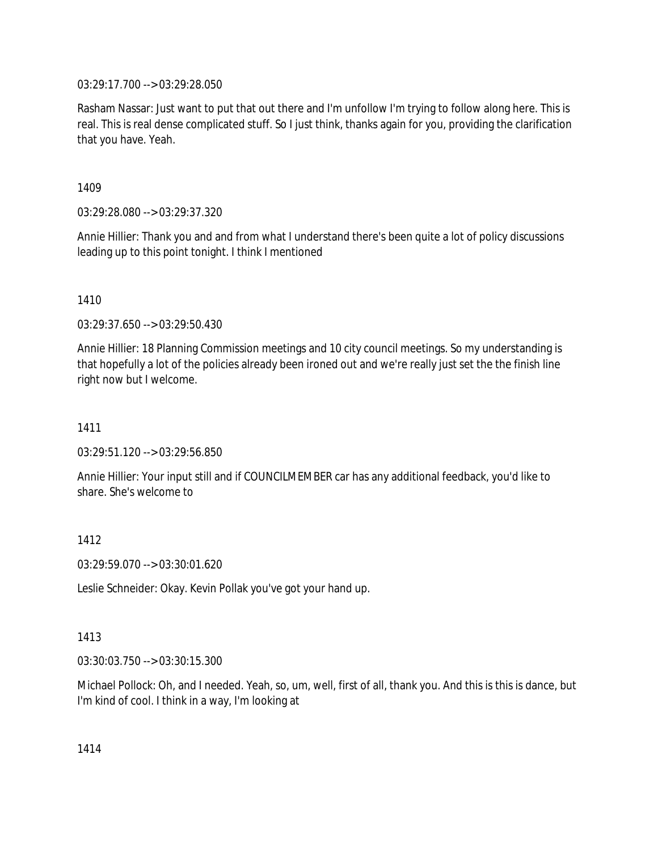03:29:17.700 --> 03:29:28.050

Rasham Nassar: Just want to put that out there and I'm unfollow I'm trying to follow along here. This is real. This is real dense complicated stuff. So I just think, thanks again for you, providing the clarification that you have. Yeah.

1409

03:29:28.080 --> 03:29:37.320

Annie Hillier: Thank you and and from what I understand there's been quite a lot of policy discussions leading up to this point tonight. I think I mentioned

1410

03:29:37.650 --> 03:29:50.430

Annie Hillier: 18 Planning Commission meetings and 10 city council meetings. So my understanding is that hopefully a lot of the policies already been ironed out and we're really just set the the finish line right now but I welcome.

1411

03:29:51.120 --> 03:29:56.850

Annie Hillier: Your input still and if COUNCILMEMBER car has any additional feedback, you'd like to share. She's welcome to

1412

03:29:59.070 --> 03:30:01.620

Leslie Schneider: Okay. Kevin Pollak you've got your hand up.

### 1413

03:30:03.750 --> 03:30:15.300

Michael Pollock: Oh, and I needed. Yeah, so, um, well, first of all, thank you. And this is this is dance, but I'm kind of cool. I think in a way, I'm looking at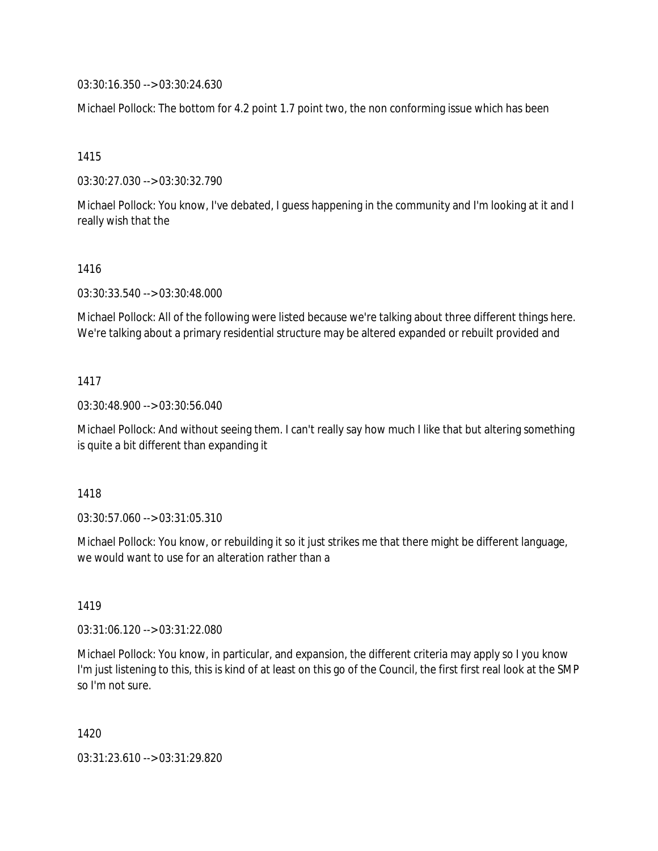03:30:16.350 --> 03:30:24.630

Michael Pollock: The bottom for 4.2 point 1.7 point two, the non conforming issue which has been

1415

03:30:27.030 --> 03:30:32.790

Michael Pollock: You know, I've debated, I guess happening in the community and I'm looking at it and I really wish that the

#### 1416

03:30:33.540 --> 03:30:48.000

Michael Pollock: All of the following were listed because we're talking about three different things here. We're talking about a primary residential structure may be altered expanded or rebuilt provided and

### 1417

03:30:48.900 --> 03:30:56.040

Michael Pollock: And without seeing them. I can't really say how much I like that but altering something is quite a bit different than expanding it

### 1418

03:30:57.060 --> 03:31:05.310

Michael Pollock: You know, or rebuilding it so it just strikes me that there might be different language, we would want to use for an alteration rather than a

### 1419

03:31:06.120 --> 03:31:22.080

Michael Pollock: You know, in particular, and expansion, the different criteria may apply so I you know I'm just listening to this, this is kind of at least on this go of the Council, the first first real look at the SMP so I'm not sure.

1420

03:31:23.610 --> 03:31:29.820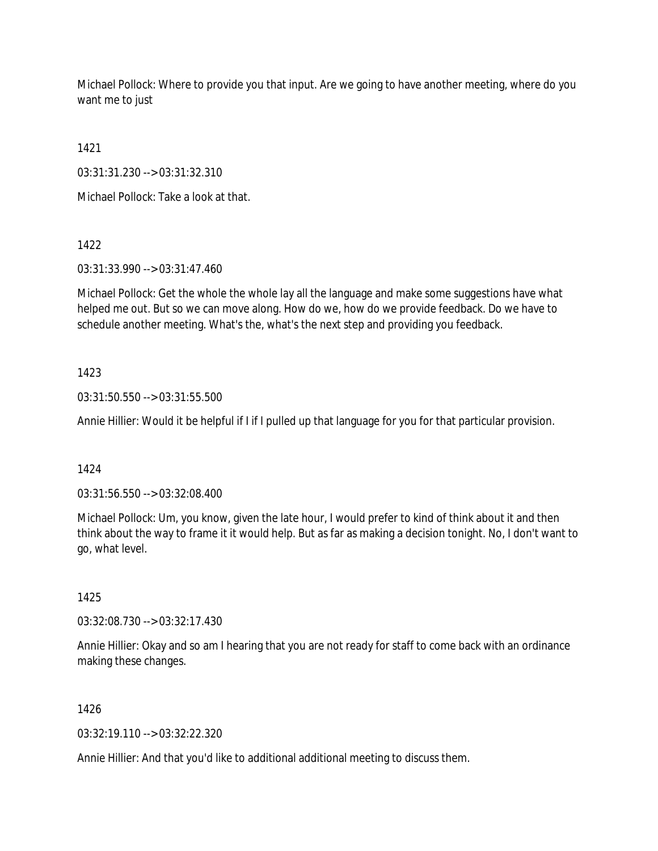Michael Pollock: Where to provide you that input. Are we going to have another meeting, where do you want me to just

1421

03:31:31.230 --> 03:31:32.310

Michael Pollock: Take a look at that.

1422

03:31:33.990 --> 03:31:47.460

Michael Pollock: Get the whole the whole lay all the language and make some suggestions have what helped me out. But so we can move along. How do we, how do we provide feedback. Do we have to schedule another meeting. What's the, what's the next step and providing you feedback.

# 1423

03:31:50.550 --> 03:31:55.500

Annie Hillier: Would it be helpful if I if I pulled up that language for you for that particular provision.

1424

03:31:56.550 --> 03:32:08.400

Michael Pollock: Um, you know, given the late hour, I would prefer to kind of think about it and then think about the way to frame it it would help. But as far as making a decision tonight. No, I don't want to go, what level.

1425

03:32:08.730 --> 03:32:17.430

Annie Hillier: Okay and so am I hearing that you are not ready for staff to come back with an ordinance making these changes.

1426

03:32:19.110 --> 03:32:22.320

Annie Hillier: And that you'd like to additional additional meeting to discuss them.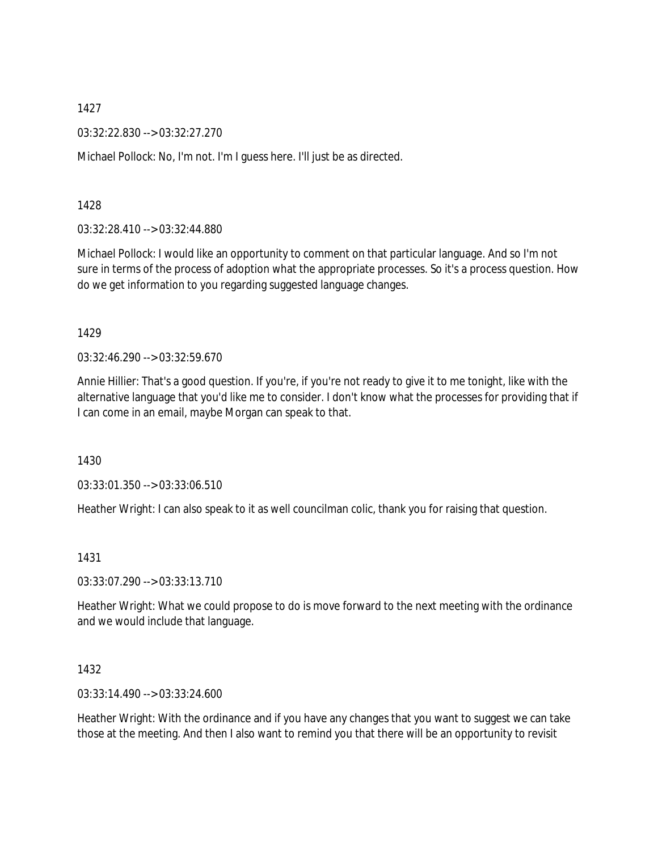03:32:22.830 --> 03:32:27.270

Michael Pollock: No, I'm not. I'm I guess here. I'll just be as directed.

1428

03:32:28.410 --> 03:32:44.880

Michael Pollock: I would like an opportunity to comment on that particular language. And so I'm not sure in terms of the process of adoption what the appropriate processes. So it's a process question. How do we get information to you regarding suggested language changes.

1429

03:32:46.290 --> 03:32:59.670

Annie Hillier: That's a good question. If you're, if you're not ready to give it to me tonight, like with the alternative language that you'd like me to consider. I don't know what the processes for providing that if I can come in an email, maybe Morgan can speak to that.

1430

03:33:01.350 --> 03:33:06.510

Heather Wright: I can also speak to it as well councilman colic, thank you for raising that question.

1431

03:33:07.290 --> 03:33:13.710

Heather Wright: What we could propose to do is move forward to the next meeting with the ordinance and we would include that language.

1432

03:33:14.490 --> 03:33:24.600

Heather Wright: With the ordinance and if you have any changes that you want to suggest we can take those at the meeting. And then I also want to remind you that there will be an opportunity to revisit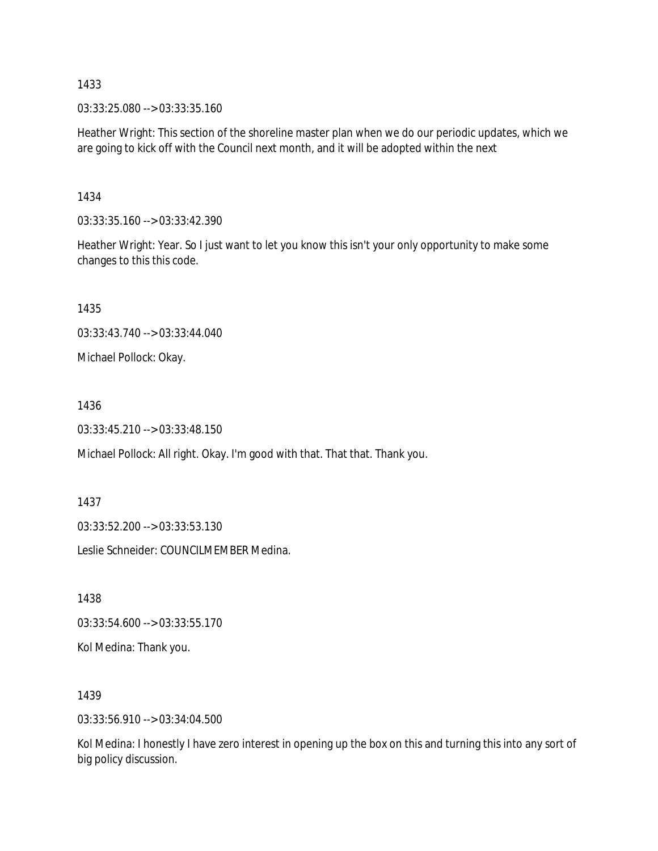03:33:25.080 --> 03:33:35.160

Heather Wright: This section of the shoreline master plan when we do our periodic updates, which we are going to kick off with the Council next month, and it will be adopted within the next

1434

03:33:35.160 --> 03:33:42.390

Heather Wright: Year. So I just want to let you know this isn't your only opportunity to make some changes to this this code.

1435

03:33:43.740 --> 03:33:44.040

Michael Pollock: Okay.

1436

03:33:45.210 --> 03:33:48.150

Michael Pollock: All right. Okay. I'm good with that. That that. Thank you.

1437

03:33:52.200 --> 03:33:53.130

Leslie Schneider: COUNCILMEMBER Medina.

1438

03:33:54.600 --> 03:33:55.170

Kol Medina: Thank you.

1439

03:33:56.910 --> 03:34:04.500

Kol Medina: I honestly I have zero interest in opening up the box on this and turning this into any sort of big policy discussion.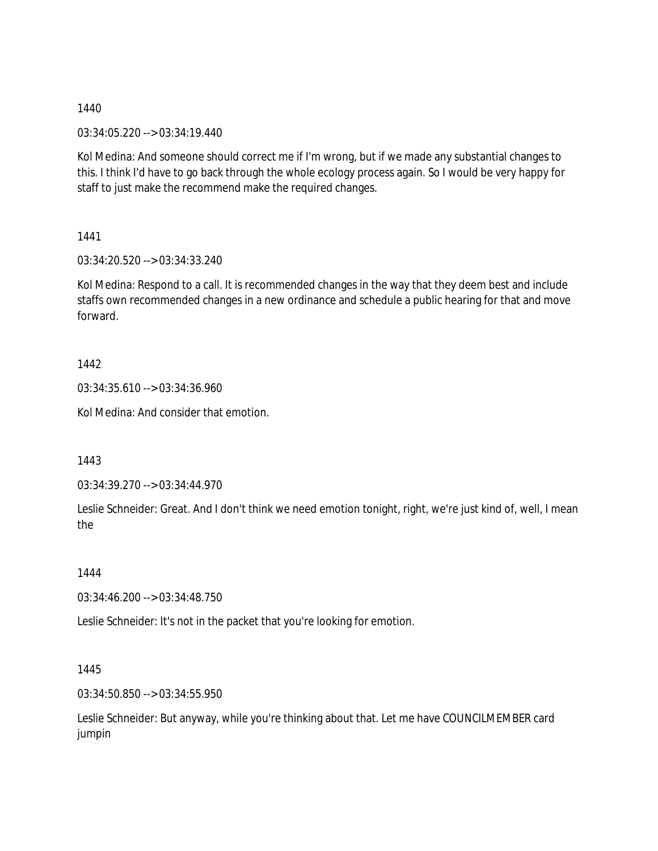03:34:05.220 --> 03:34:19.440

Kol Medina: And someone should correct me if I'm wrong, but if we made any substantial changes to this. I think I'd have to go back through the whole ecology process again. So I would be very happy for staff to just make the recommend make the required changes.

1441

03:34:20.520 --> 03:34:33.240

Kol Medina: Respond to a call. It is recommended changes in the way that they deem best and include staffs own recommended changes in a new ordinance and schedule a public hearing for that and move forward.

1442

03:34:35.610 --> 03:34:36.960

Kol Medina: And consider that emotion.

1443

03:34:39.270 --> 03:34:44.970

Leslie Schneider: Great. And I don't think we need emotion tonight, right, we're just kind of, well, I mean the

1444

03:34:46.200 --> 03:34:48.750

Leslie Schneider: It's not in the packet that you're looking for emotion.

1445

03:34:50.850 --> 03:34:55.950

Leslie Schneider: But anyway, while you're thinking about that. Let me have COUNCILMEMBER card jumpin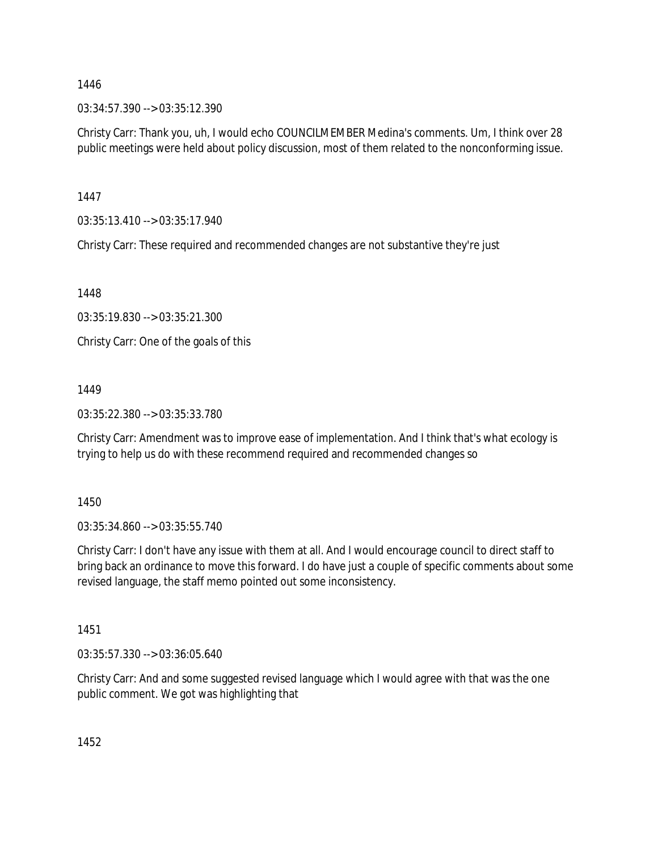03:34:57.390 --> 03:35:12.390

Christy Carr: Thank you, uh, I would echo COUNCILMEMBER Medina's comments. Um, I think over 28 public meetings were held about policy discussion, most of them related to the nonconforming issue.

1447

03:35:13.410 --> 03:35:17.940

Christy Carr: These required and recommended changes are not substantive they're just

1448

03:35:19.830 --> 03:35:21.300

Christy Carr: One of the goals of this

1449

03:35:22.380 --> 03:35:33.780

Christy Carr: Amendment was to improve ease of implementation. And I think that's what ecology is trying to help us do with these recommend required and recommended changes so

1450

03:35:34.860 --> 03:35:55.740

Christy Carr: I don't have any issue with them at all. And I would encourage council to direct staff to bring back an ordinance to move this forward. I do have just a couple of specific comments about some revised language, the staff memo pointed out some inconsistency.

1451

03:35:57.330 --> 03:36:05.640

Christy Carr: And and some suggested revised language which I would agree with that was the one public comment. We got was highlighting that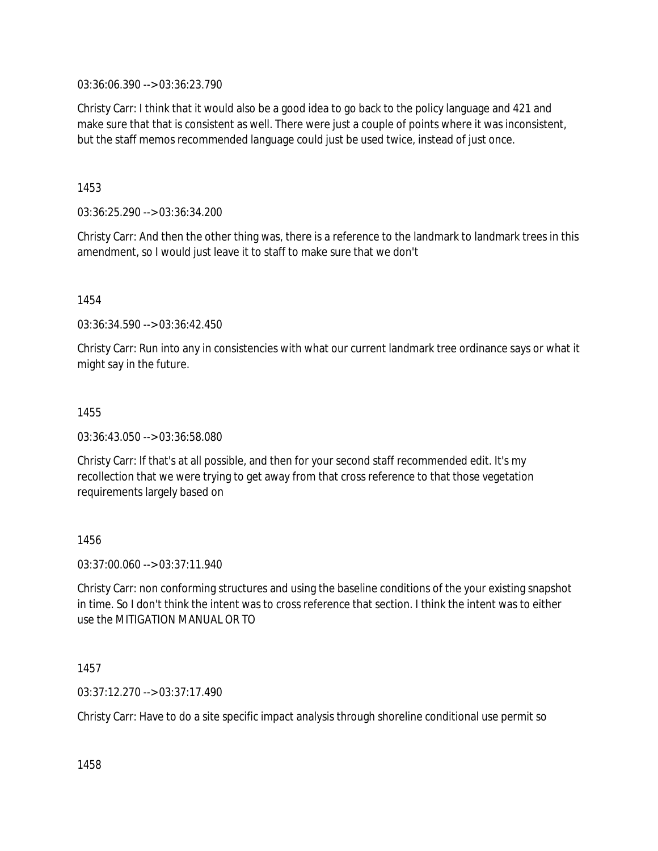03:36:06.390 --> 03:36:23.790

Christy Carr: I think that it would also be a good idea to go back to the policy language and 421 and make sure that that is consistent as well. There were just a couple of points where it was inconsistent, but the staff memos recommended language could just be used twice, instead of just once.

1453

03:36:25.290 --> 03:36:34.200

Christy Carr: And then the other thing was, there is a reference to the landmark to landmark trees in this amendment, so I would just leave it to staff to make sure that we don't

1454

03:36:34.590 --> 03:36:42.450

Christy Carr: Run into any in consistencies with what our current landmark tree ordinance says or what it might say in the future.

1455

03:36:43.050 --> 03:36:58.080

Christy Carr: If that's at all possible, and then for your second staff recommended edit. It's my recollection that we were trying to get away from that cross reference to that those vegetation requirements largely based on

1456

03:37:00.060 --> 03:37:11.940

Christy Carr: non conforming structures and using the baseline conditions of the your existing snapshot in time. So I don't think the intent was to cross reference that section. I think the intent was to either use the MITIGATION MANUAL OR TO

1457

03:37:12.270 --> 03:37:17.490

Christy Carr: Have to do a site specific impact analysis through shoreline conditional use permit so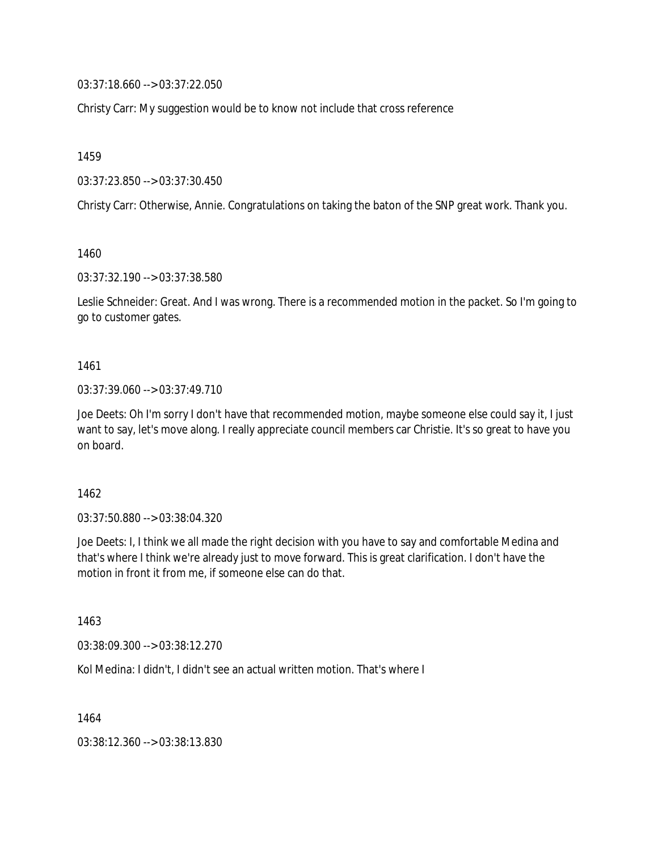03:37:18.660 --> 03:37:22.050

Christy Carr: My suggestion would be to know not include that cross reference

1459

03:37:23.850 --> 03:37:30.450

Christy Carr: Otherwise, Annie. Congratulations on taking the baton of the SNP great work. Thank you.

1460

03:37:32.190 --> 03:37:38.580

Leslie Schneider: Great. And I was wrong. There is a recommended motion in the packet. So I'm going to go to customer gates.

1461

03:37:39.060 --> 03:37:49.710

Joe Deets: Oh I'm sorry I don't have that recommended motion, maybe someone else could say it, I just want to say, let's move along. I really appreciate council members car Christie. It's so great to have you on board.

1462

03:37:50.880 --> 03:38:04.320

Joe Deets: I, I think we all made the right decision with you have to say and comfortable Medina and that's where I think we're already just to move forward. This is great clarification. I don't have the motion in front it from me, if someone else can do that.

1463

03:38:09.300 --> 03:38:12.270

Kol Medina: I didn't, I didn't see an actual written motion. That's where I

1464

03:38:12.360 --> 03:38:13.830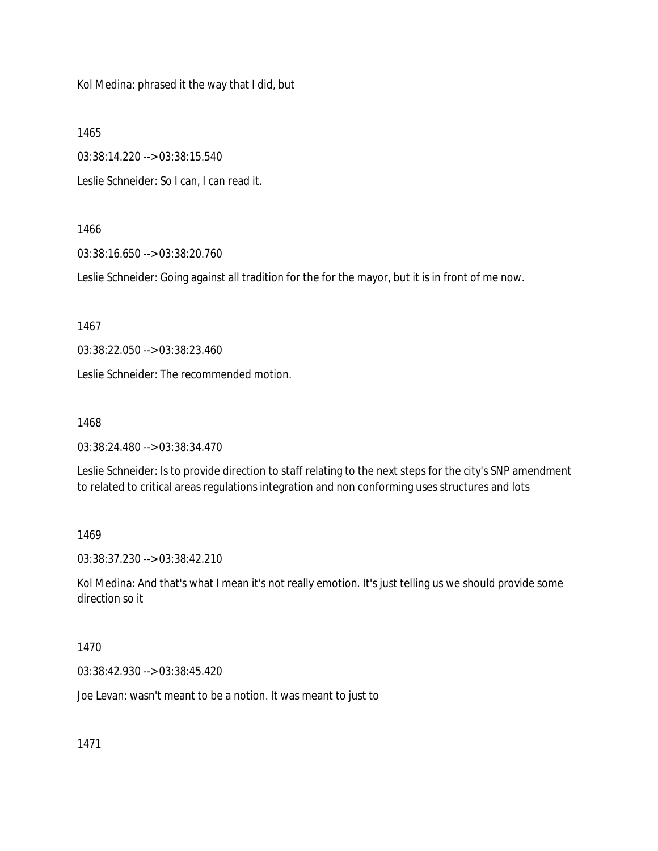Kol Medina: phrased it the way that I did, but

1465

03:38:14.220 --> 03:38:15.540

Leslie Schneider: So I can, I can read it.

### 1466

03:38:16.650 --> 03:38:20.760

Leslie Schneider: Going against all tradition for the for the mayor, but it is in front of me now.

1467

03:38:22.050 --> 03:38:23.460

Leslie Schneider: The recommended motion.

1468

03:38:24.480 --> 03:38:34.470

Leslie Schneider: Is to provide direction to staff relating to the next steps for the city's SNP amendment to related to critical areas regulations integration and non conforming uses structures and lots

1469

03:38:37.230 --> 03:38:42.210

Kol Medina: And that's what I mean it's not really emotion. It's just telling us we should provide some direction so it

1470

03:38:42.930 --> 03:38:45.420

Joe Levan: wasn't meant to be a notion. It was meant to just to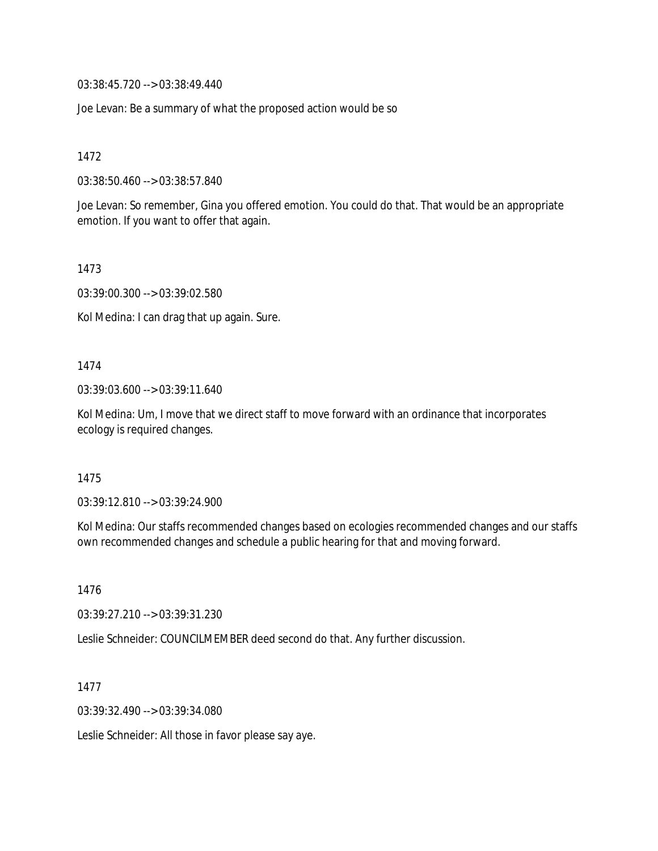03:38:45.720 --> 03:38:49.440

Joe Levan: Be a summary of what the proposed action would be so

1472

03:38:50.460 --> 03:38:57.840

Joe Levan: So remember, Gina you offered emotion. You could do that. That would be an appropriate emotion. If you want to offer that again.

1473

03:39:00.300 --> 03:39:02.580

Kol Medina: I can drag that up again. Sure.

1474

03:39:03.600 --> 03:39:11.640

Kol Medina: Um, I move that we direct staff to move forward with an ordinance that incorporates ecology is required changes.

1475

03:39:12.810 --> 03:39:24.900

Kol Medina: Our staffs recommended changes based on ecologies recommended changes and our staffs own recommended changes and schedule a public hearing for that and moving forward.

1476

03:39:27.210 --> 03:39:31.230

Leslie Schneider: COUNCILMEMBER deed second do that. Any further discussion.

1477

03:39:32.490 --> 03:39:34.080

Leslie Schneider: All those in favor please say aye.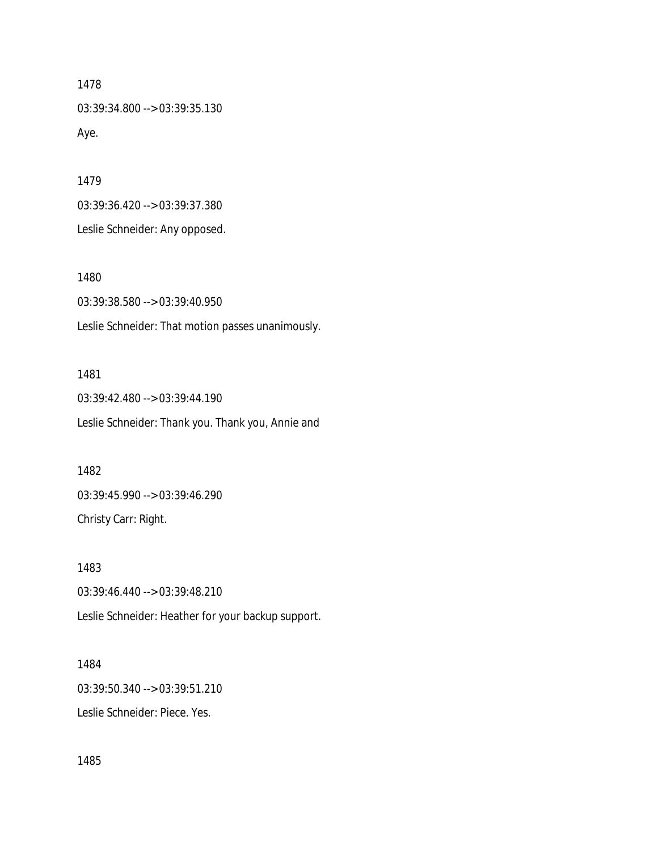03:39:34.800 --> 03:39:35.130 Aye.

1479

03:39:36.420 --> 03:39:37.380 Leslie Schneider: Any opposed.

1480

03:39:38.580 --> 03:39:40.950 Leslie Schneider: That motion passes unanimously.

## 1481

03:39:42.480 --> 03:39:44.190 Leslie Schneider: Thank you. Thank you, Annie and

#### 1482

03:39:45.990 --> 03:39:46.290 Christy Carr: Right.

### 1483

03:39:46.440 --> 03:39:48.210 Leslie Schneider: Heather for your backup support.

#### 1484

03:39:50.340 --> 03:39:51.210

Leslie Schneider: Piece. Yes.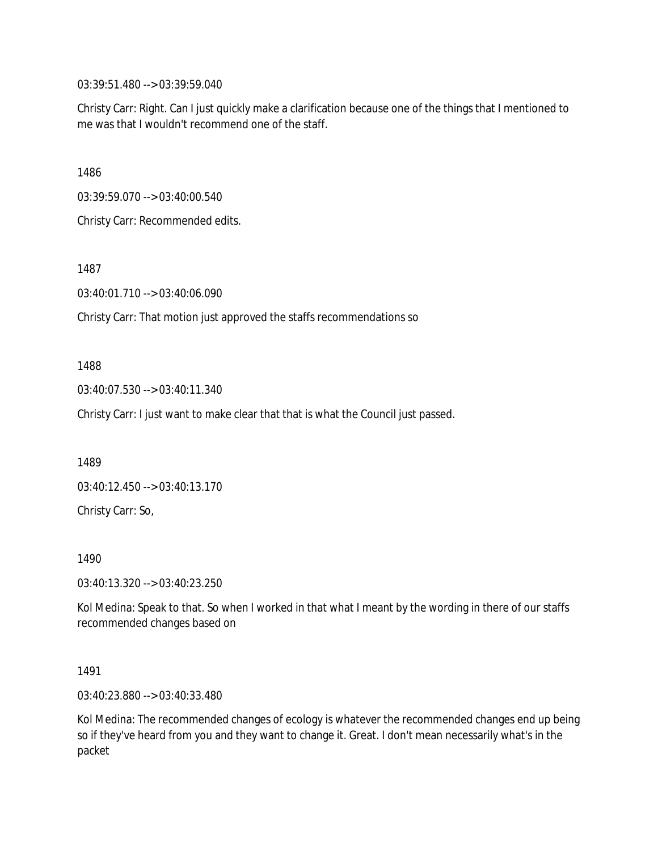03:39:51.480 --> 03:39:59.040

Christy Carr: Right. Can I just quickly make a clarification because one of the things that I mentioned to me was that I wouldn't recommend one of the staff.

1486

03:39:59.070 --> 03:40:00.540

Christy Carr: Recommended edits.

1487

03:40:01.710 --> 03:40:06.090

Christy Carr: That motion just approved the staffs recommendations so

#### 1488

03:40:07.530 --> 03:40:11.340

Christy Carr: I just want to make clear that that is what the Council just passed.

1489

03:40:12.450 --> 03:40:13.170

Christy Carr: So,

1490

03:40:13.320 --> 03:40:23.250

Kol Medina: Speak to that. So when I worked in that what I meant by the wording in there of our staffs recommended changes based on

1491

03:40:23.880 --> 03:40:33.480

Kol Medina: The recommended changes of ecology is whatever the recommended changes end up being so if they've heard from you and they want to change it. Great. I don't mean necessarily what's in the packet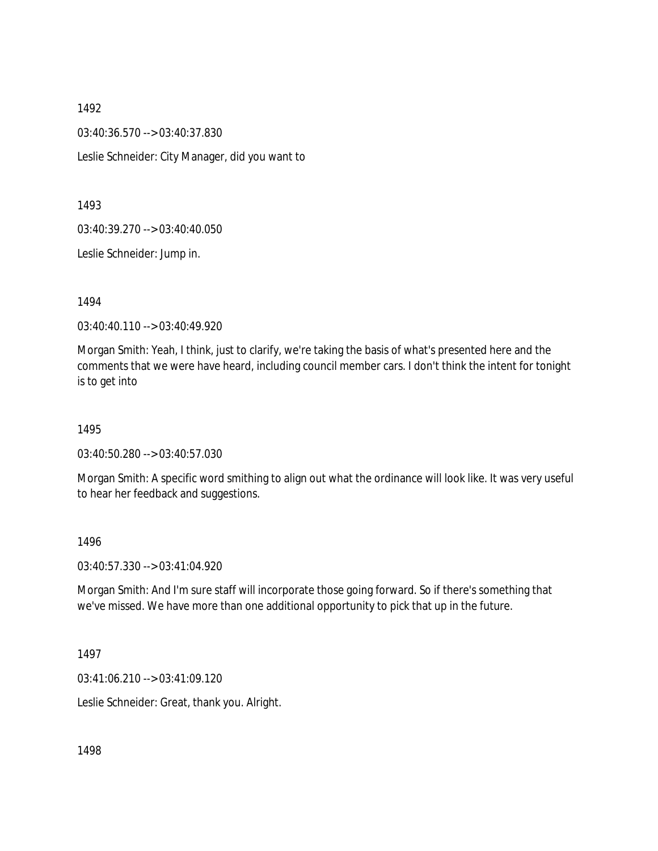1492 03:40:36.570 --> 03:40:37.830 Leslie Schneider: City Manager, did you want to

1493

03:40:39.270 --> 03:40:40.050

Leslie Schneider: Jump in.

1494

03:40:40.110 --> 03:40:49.920

Morgan Smith: Yeah, I think, just to clarify, we're taking the basis of what's presented here and the comments that we were have heard, including council member cars. I don't think the intent for tonight is to get into

1495

03:40:50.280 --> 03:40:57.030

Morgan Smith: A specific word smithing to align out what the ordinance will look like. It was very useful to hear her feedback and suggestions.

1496

03:40:57.330 --> 03:41:04.920

Morgan Smith: And I'm sure staff will incorporate those going forward. So if there's something that we've missed. We have more than one additional opportunity to pick that up in the future.

1497

03:41:06.210 --> 03:41:09.120

Leslie Schneider: Great, thank you. Alright.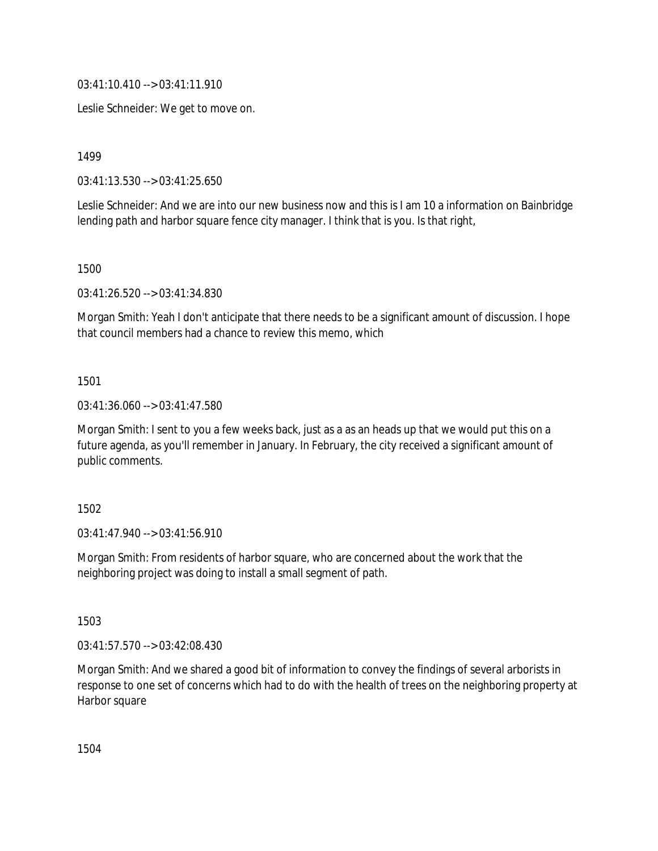03:41:10.410 --> 03:41:11.910

Leslie Schneider: We get to move on.

1499

03:41:13.530 --> 03:41:25.650

Leslie Schneider: And we are into our new business now and this is I am 10 a information on Bainbridge lending path and harbor square fence city manager. I think that is you. Is that right,

1500

03:41:26.520 --> 03:41:34.830

Morgan Smith: Yeah I don't anticipate that there needs to be a significant amount of discussion. I hope that council members had a chance to review this memo, which

1501

03:41:36.060 --> 03:41:47.580

Morgan Smith: I sent to you a few weeks back, just as a as an heads up that we would put this on a future agenda, as you'll remember in January. In February, the city received a significant amount of public comments.

1502

03:41:47.940 --> 03:41:56.910

Morgan Smith: From residents of harbor square, who are concerned about the work that the neighboring project was doing to install a small segment of path.

1503

03:41:57.570 --> 03:42:08.430

Morgan Smith: And we shared a good bit of information to convey the findings of several arborists in response to one set of concerns which had to do with the health of trees on the neighboring property at Harbor square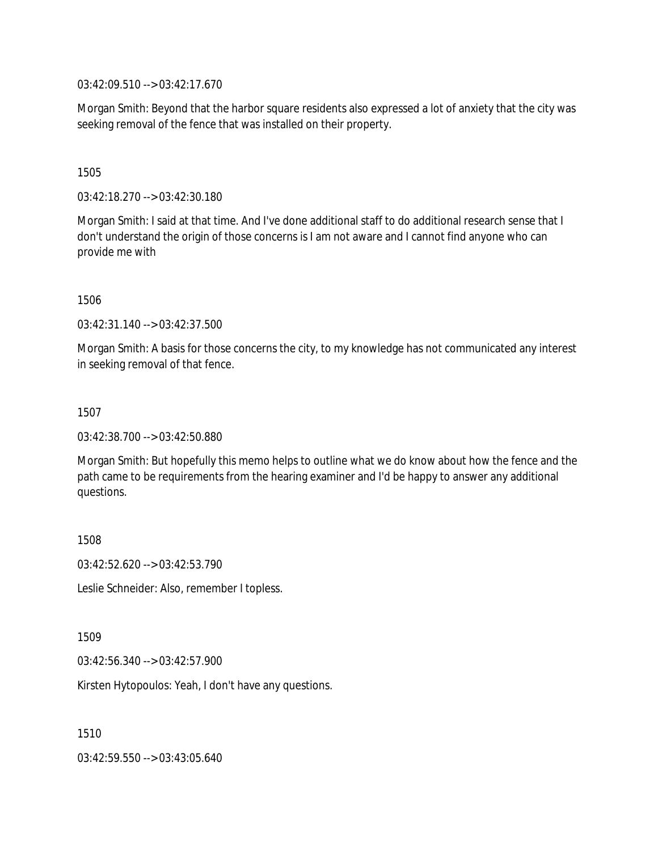03:42:09.510 --> 03:42:17.670

Morgan Smith: Beyond that the harbor square residents also expressed a lot of anxiety that the city was seeking removal of the fence that was installed on their property.

#### 1505

03:42:18.270 --> 03:42:30.180

Morgan Smith: I said at that time. And I've done additional staff to do additional research sense that I don't understand the origin of those concerns is I am not aware and I cannot find anyone who can provide me with

1506

03:42:31.140 --> 03:42:37.500

Morgan Smith: A basis for those concerns the city, to my knowledge has not communicated any interest in seeking removal of that fence.

#### 1507

03:42:38.700 --> 03:42:50.880

Morgan Smith: But hopefully this memo helps to outline what we do know about how the fence and the path came to be requirements from the hearing examiner and I'd be happy to answer any additional questions.

1508

03:42:52.620 --> 03:42:53.790

Leslie Schneider: Also, remember I topless.

1509

03:42:56.340 --> 03:42:57.900

Kirsten Hytopoulos: Yeah, I don't have any questions.

1510

03:42:59.550 --> 03:43:05.640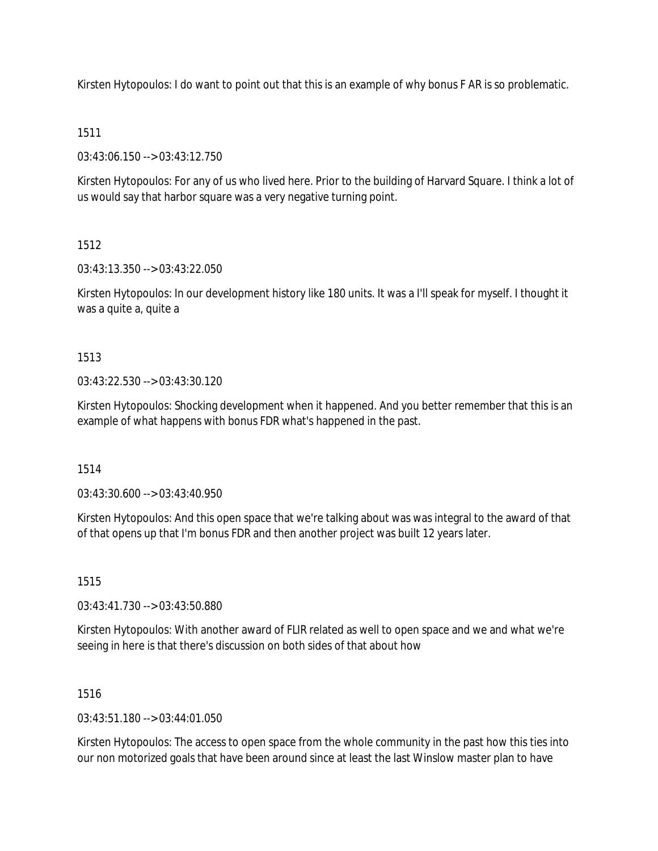Kirsten Hytopoulos: I do want to point out that this is an example of why bonus F AR is so problematic.

### 1511

03:43:06.150 --> 03:43:12.750

Kirsten Hytopoulos: For any of us who lived here. Prior to the building of Harvard Square. I think a lot of us would say that harbor square was a very negative turning point.

# 1512

03:43:13.350 --> 03:43:22.050

Kirsten Hytopoulos: In our development history like 180 units. It was a I'll speak for myself. I thought it was a quite a, quite a

# 1513

03:43:22.530 --> 03:43:30.120

Kirsten Hytopoulos: Shocking development when it happened. And you better remember that this is an example of what happens with bonus FDR what's happened in the past.

# 1514

03:43:30.600 --> 03:43:40.950

Kirsten Hytopoulos: And this open space that we're talking about was was integral to the award of that of that opens up that I'm bonus FDR and then another project was built 12 years later.

# 1515

03:43:41.730 --> 03:43:50.880

Kirsten Hytopoulos: With another award of FLIR related as well to open space and we and what we're seeing in here is that there's discussion on both sides of that about how

### 1516

 $03:43:51.180 \rightarrow 03:44:01.050$ 

Kirsten Hytopoulos: The access to open space from the whole community in the past how this ties into our non motorized goals that have been around since at least the last Winslow master plan to have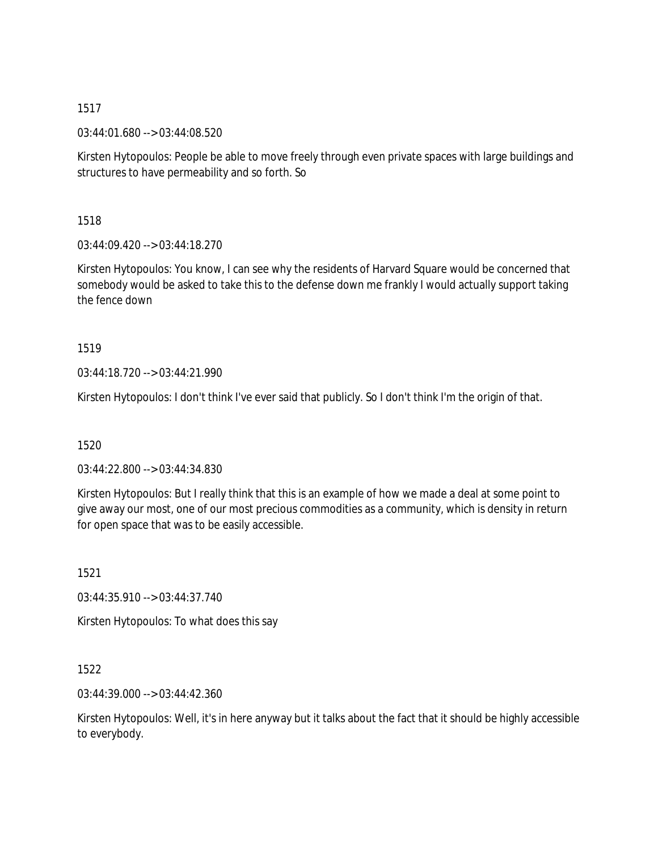03:44:01.680 --> 03:44:08.520

Kirsten Hytopoulos: People be able to move freely through even private spaces with large buildings and structures to have permeability and so forth. So

1518

03:44:09.420 --> 03:44:18.270

Kirsten Hytopoulos: You know, I can see why the residents of Harvard Square would be concerned that somebody would be asked to take this to the defense down me frankly I would actually support taking the fence down

1519

03:44:18.720 --> 03:44:21.990

Kirsten Hytopoulos: I don't think I've ever said that publicly. So I don't think I'm the origin of that.

1520

03:44:22.800 --> 03:44:34.830

Kirsten Hytopoulos: But I really think that this is an example of how we made a deal at some point to give away our most, one of our most precious commodities as a community, which is density in return for open space that was to be easily accessible.

1521

03:44:35.910 --> 03:44:37.740

Kirsten Hytopoulos: To what does this say

1522

03:44:39.000 --> 03:44:42.360

Kirsten Hytopoulos: Well, it's in here anyway but it talks about the fact that it should be highly accessible to everybody.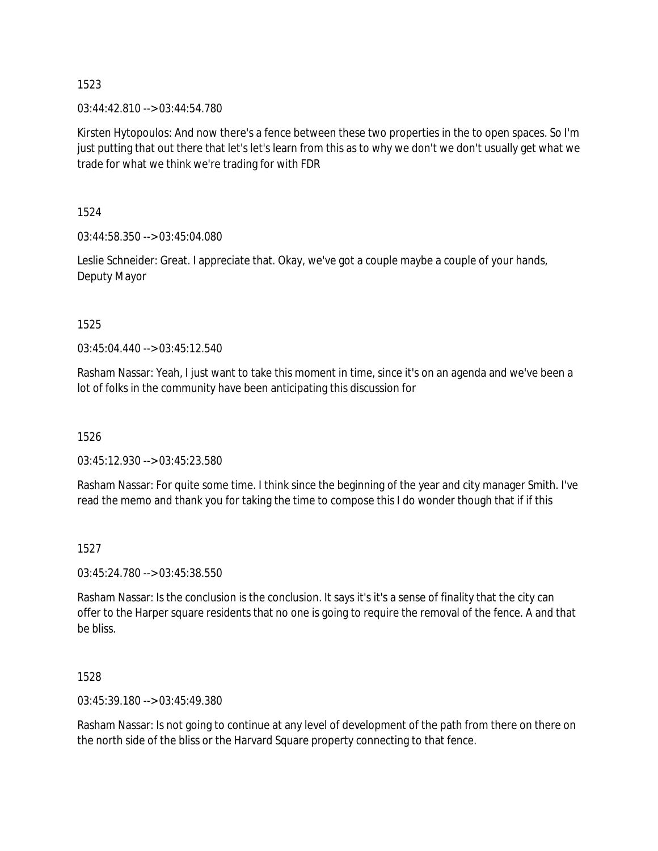03:44:42.810 --> 03:44:54.780

Kirsten Hytopoulos: And now there's a fence between these two properties in the to open spaces. So I'm just putting that out there that let's let's learn from this as to why we don't we don't usually get what we trade for what we think we're trading for with FDR

1524

03:44:58.350 --> 03:45:04.080

Leslie Schneider: Great. I appreciate that. Okay, we've got a couple maybe a couple of your hands, Deputy Mayor

1525

03:45:04.440 --> 03:45:12.540

Rasham Nassar: Yeah, I just want to take this moment in time, since it's on an agenda and we've been a lot of folks in the community have been anticipating this discussion for

1526

03:45:12.930 --> 03:45:23.580

Rasham Nassar: For quite some time. I think since the beginning of the year and city manager Smith. I've read the memo and thank you for taking the time to compose this I do wonder though that if if this

### 1527

03:45:24.780 --> 03:45:38.550

Rasham Nassar: Is the conclusion is the conclusion. It says it's it's a sense of finality that the city can offer to the Harper square residents that no one is going to require the removal of the fence. A and that be bliss.

1528

03:45:39.180 --> 03:45:49.380

Rasham Nassar: Is not going to continue at any level of development of the path from there on there on the north side of the bliss or the Harvard Square property connecting to that fence.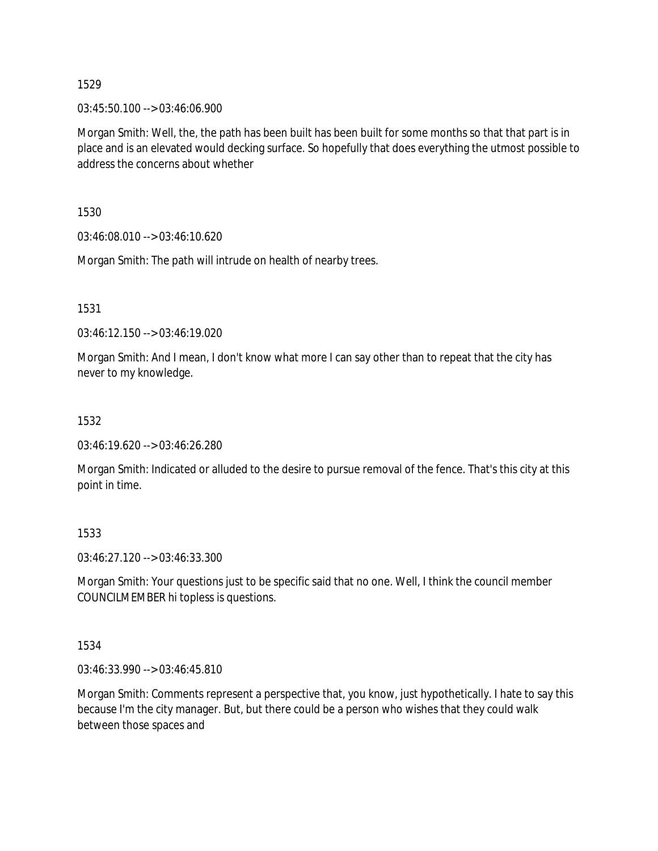03:45:50.100 --> 03:46:06.900

Morgan Smith: Well, the, the path has been built has been built for some months so that that part is in place and is an elevated would decking surface. So hopefully that does everything the utmost possible to address the concerns about whether

1530

03:46:08.010 --> 03:46:10.620

Morgan Smith: The path will intrude on health of nearby trees.

1531

03:46:12.150 --> 03:46:19.020

Morgan Smith: And I mean, I don't know what more I can say other than to repeat that the city has never to my knowledge.

# 1532

03:46:19.620 --> 03:46:26.280

Morgan Smith: Indicated or alluded to the desire to pursue removal of the fence. That's this city at this point in time.

1533

03:46:27.120 --> 03:46:33.300

Morgan Smith: Your questions just to be specific said that no one. Well, I think the council member COUNCILMEMBER hi topless is questions.

1534

03:46:33.990 --> 03:46:45.810

Morgan Smith: Comments represent a perspective that, you know, just hypothetically. I hate to say this because I'm the city manager. But, but there could be a person who wishes that they could walk between those spaces and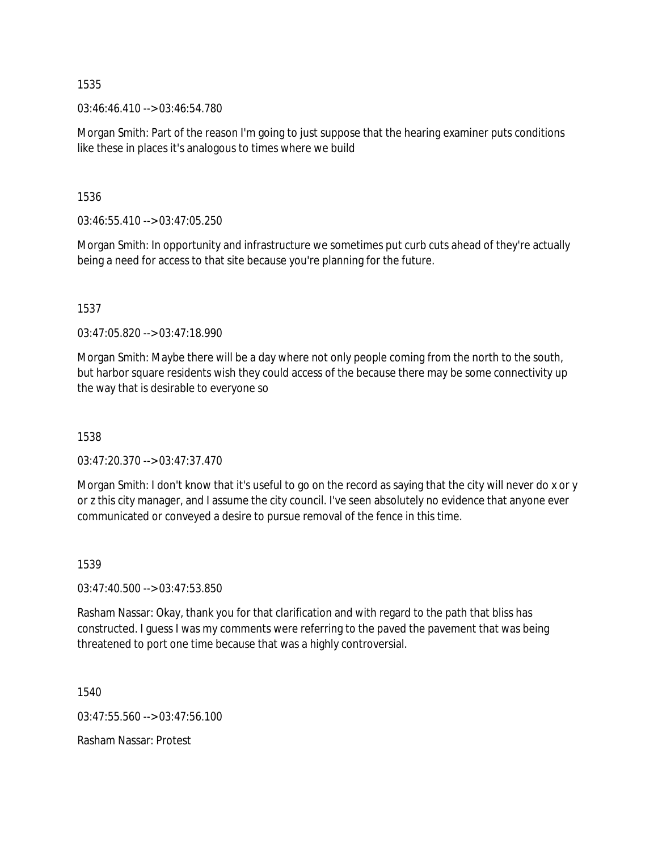03:46:46.410 --> 03:46:54.780

Morgan Smith: Part of the reason I'm going to just suppose that the hearing examiner puts conditions like these in places it's analogous to times where we build

1536

 $03:46:55.410 \rightarrow 03:47:05.250$ 

Morgan Smith: In opportunity and infrastructure we sometimes put curb cuts ahead of they're actually being a need for access to that site because you're planning for the future.

1537

03:47:05.820 --> 03:47:18.990

Morgan Smith: Maybe there will be a day where not only people coming from the north to the south, but harbor square residents wish they could access of the because there may be some connectivity up the way that is desirable to everyone so

1538

03:47:20.370 --> 03:47:37.470

Morgan Smith: I don't know that it's useful to go on the record as saying that the city will never do x or y or z this city manager, and I assume the city council. I've seen absolutely no evidence that anyone ever communicated or conveyed a desire to pursue removal of the fence in this time.

1539

03:47:40.500 --> 03:47:53.850

Rasham Nassar: Okay, thank you for that clarification and with regard to the path that bliss has constructed. I guess I was my comments were referring to the paved the pavement that was being threatened to port one time because that was a highly controversial.

1540

03:47:55.560 --> 03:47:56.100

Rasham Nassar: Protest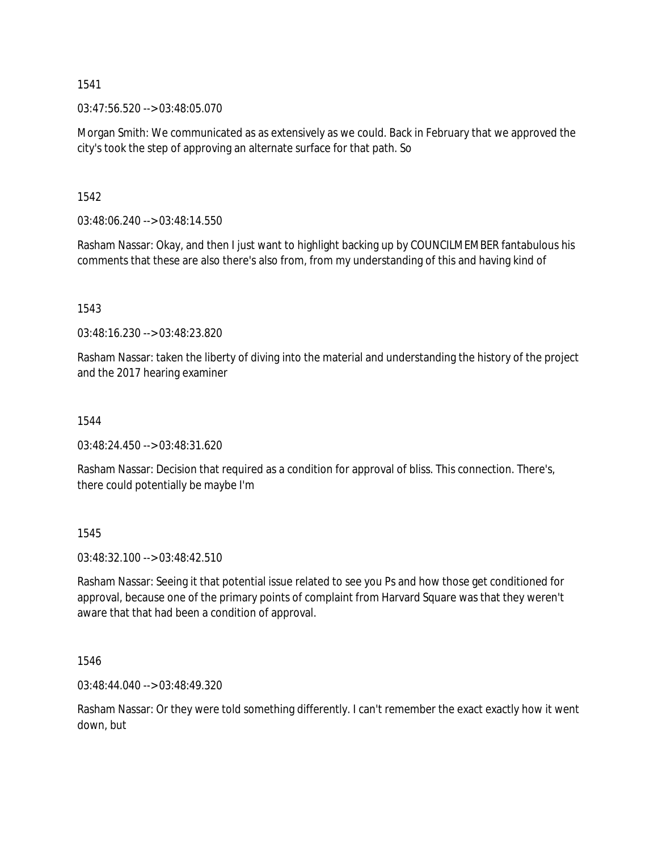03:47:56.520 --> 03:48:05.070

Morgan Smith: We communicated as as extensively as we could. Back in February that we approved the city's took the step of approving an alternate surface for that path. So

1542

03:48:06.240 --> 03:48:14.550

Rasham Nassar: Okay, and then I just want to highlight backing up by COUNCILMEMBER fantabulous his comments that these are also there's also from, from my understanding of this and having kind of

1543

03:48:16.230 --> 03:48:23.820

Rasham Nassar: taken the liberty of diving into the material and understanding the history of the project and the 2017 hearing examiner

1544

03:48:24.450 --> 03:48:31.620

Rasham Nassar: Decision that required as a condition for approval of bliss. This connection. There's, there could potentially be maybe I'm

1545

03:48:32.100 --> 03:48:42.510

Rasham Nassar: Seeing it that potential issue related to see you Ps and how those get conditioned for approval, because one of the primary points of complaint from Harvard Square was that they weren't aware that that had been a condition of approval.

1546

03:48:44.040 --> 03:48:49.320

Rasham Nassar: Or they were told something differently. I can't remember the exact exactly how it went down, but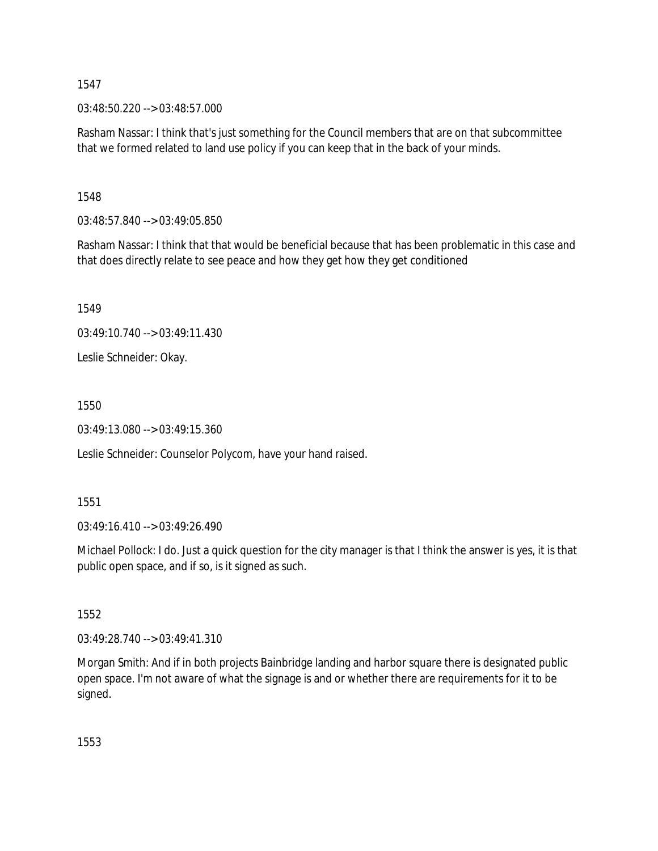03:48:50.220 --> 03:48:57.000

Rasham Nassar: I think that's just something for the Council members that are on that subcommittee that we formed related to land use policy if you can keep that in the back of your minds.

1548

03:48:57.840 --> 03:49:05.850

Rasham Nassar: I think that that would be beneficial because that has been problematic in this case and that does directly relate to see peace and how they get how they get conditioned

1549

03:49:10.740 --> 03:49:11.430

Leslie Schneider: Okay.

1550

03:49:13.080 --> 03:49:15.360

Leslie Schneider: Counselor Polycom, have your hand raised.

1551

03:49:16.410 --> 03:49:26.490

Michael Pollock: I do. Just a quick question for the city manager is that I think the answer is yes, it is that public open space, and if so, is it signed as such.

1552

03:49:28.740 --> 03:49:41.310

Morgan Smith: And if in both projects Bainbridge landing and harbor square there is designated public open space. I'm not aware of what the signage is and or whether there are requirements for it to be signed.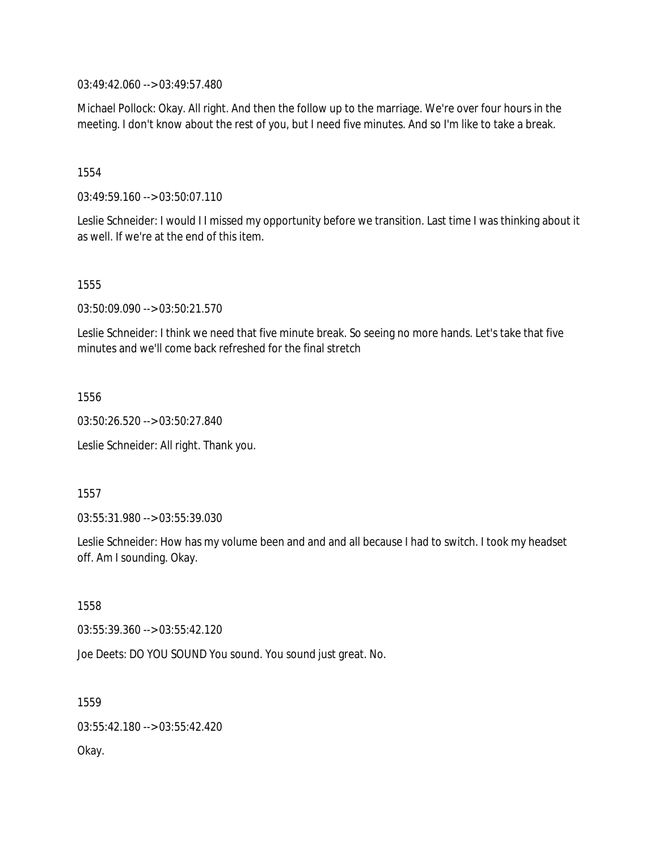03:49:42.060 --> 03:49:57.480

Michael Pollock: Okay. All right. And then the follow up to the marriage. We're over four hours in the meeting. I don't know about the rest of you, but I need five minutes. And so I'm like to take a break.

### 1554

03:49:59.160 --> 03:50:07.110

Leslie Schneider: I would I I missed my opportunity before we transition. Last time I was thinking about it as well. If we're at the end of this item.

1555

03:50:09.090 --> 03:50:21.570

Leslie Schneider: I think we need that five minute break. So seeing no more hands. Let's take that five minutes and we'll come back refreshed for the final stretch

1556

03:50:26.520 --> 03:50:27.840

Leslie Schneider: All right. Thank you.

1557

03:55:31.980 --> 03:55:39.030

Leslie Schneider: How has my volume been and and and all because I had to switch. I took my headset off. Am I sounding. Okay.

1558

03:55:39.360 --> 03:55:42.120

Joe Deets: DO YOU SOUND You sound. You sound just great. No.

1559 03:55:42.180 --> 03:55:42.420 Okay.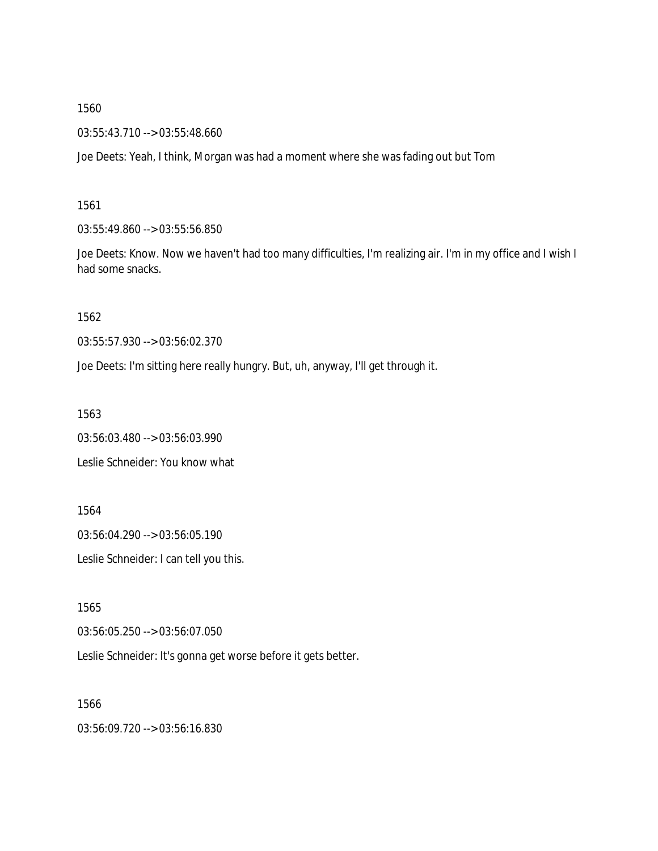03:55:43.710 --> 03:55:48.660

Joe Deets: Yeah, I think, Morgan was had a moment where she was fading out but Tom

1561

03:55:49.860 --> 03:55:56.850

Joe Deets: Know. Now we haven't had too many difficulties, I'm realizing air. I'm in my office and I wish I had some snacks.

1562

03:55:57.930 --> 03:56:02.370

Joe Deets: I'm sitting here really hungry. But, uh, anyway, I'll get through it.

1563

03:56:03.480 --> 03:56:03.990

Leslie Schneider: You know what

1564

03:56:04.290 --> 03:56:05.190

Leslie Schneider: I can tell you this.

1565

03:56:05.250 --> 03:56:07.050

Leslie Schneider: It's gonna get worse before it gets better.

1566

03:56:09.720 --> 03:56:16.830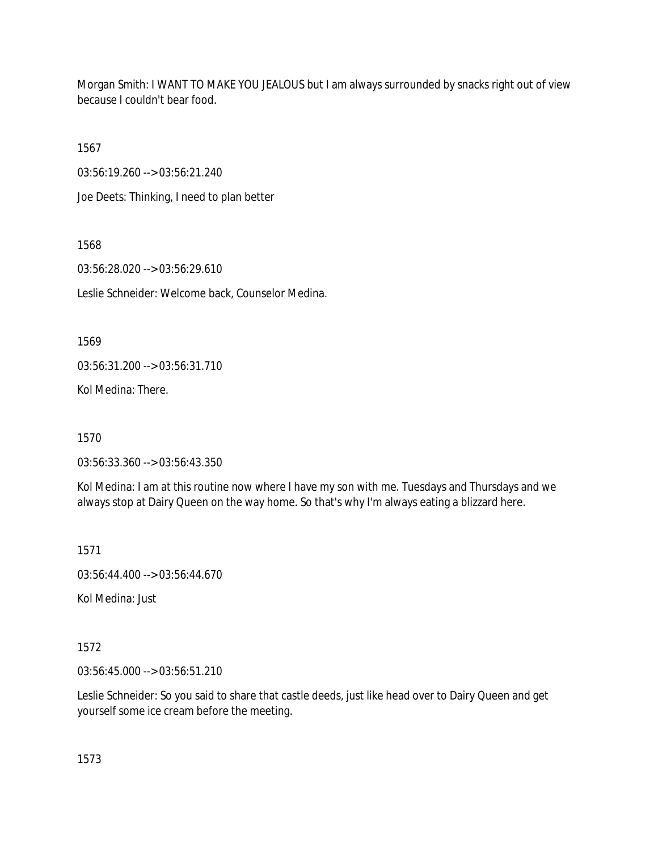Morgan Smith: I WANT TO MAKE YOU JEALOUS but I am always surrounded by snacks right out of view because I couldn't bear food.

1567

03:56:19.260 --> 03:56:21.240

Joe Deets: Thinking, I need to plan better

1568

03:56:28.020 --> 03:56:29.610

Leslie Schneider: Welcome back, Counselor Medina.

1569

03:56:31.200 --> 03:56:31.710

Kol Medina: There.

1570

03:56:33.360 --> 03:56:43.350

Kol Medina: I am at this routine now where I have my son with me. Tuesdays and Thursdays and we always stop at Dairy Queen on the way home. So that's why I'm always eating a blizzard here.

1571

03:56:44.400 --> 03:56:44.670

Kol Medina: Just

## 1572

03:56:45.000 --> 03:56:51.210

Leslie Schneider: So you said to share that castle deeds, just like head over to Dairy Queen and get yourself some ice cream before the meeting.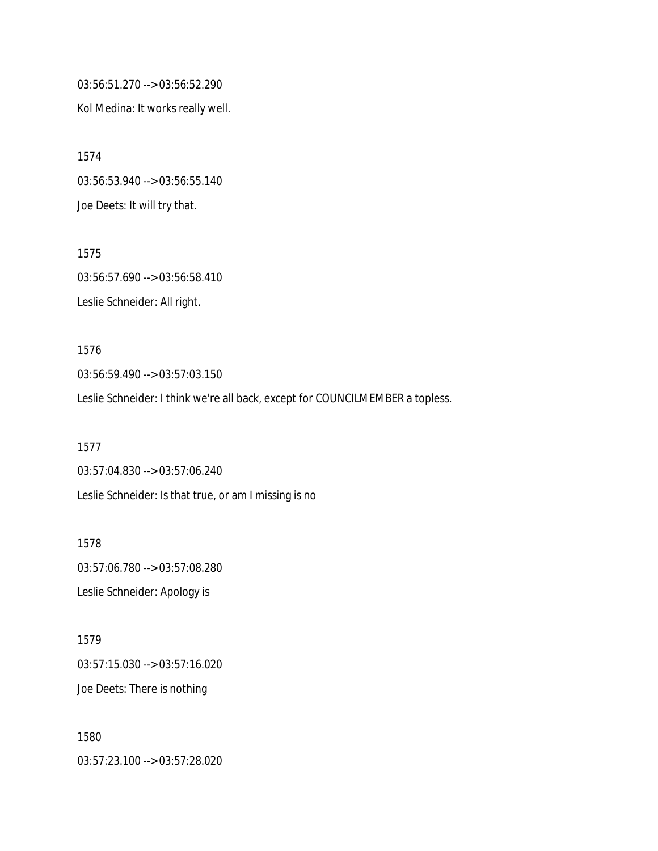03:56:51.270 --> 03:56:52.290 Kol Medina: It works really well.

1574 03:56:53.940 --> 03:56:55.140 Joe Deets: It will try that.

1575 03:56:57.690 --> 03:56:58.410 Leslie Schneider: All right.

1576 03:56:59.490 --> 03:57:03.150 Leslie Schneider: I think we're all back, except for COUNCILMEMBER a topless.

1577 03:57:04.830 --> 03:57:06.240 Leslie Schneider: Is that true, or am I missing is no

1578 03:57:06.780 --> 03:57:08.280 Leslie Schneider: Apology is

1579 03:57:15.030 --> 03:57:16.020 Joe Deets: There is nothing

1580 03:57:23.100 --> 03:57:28.020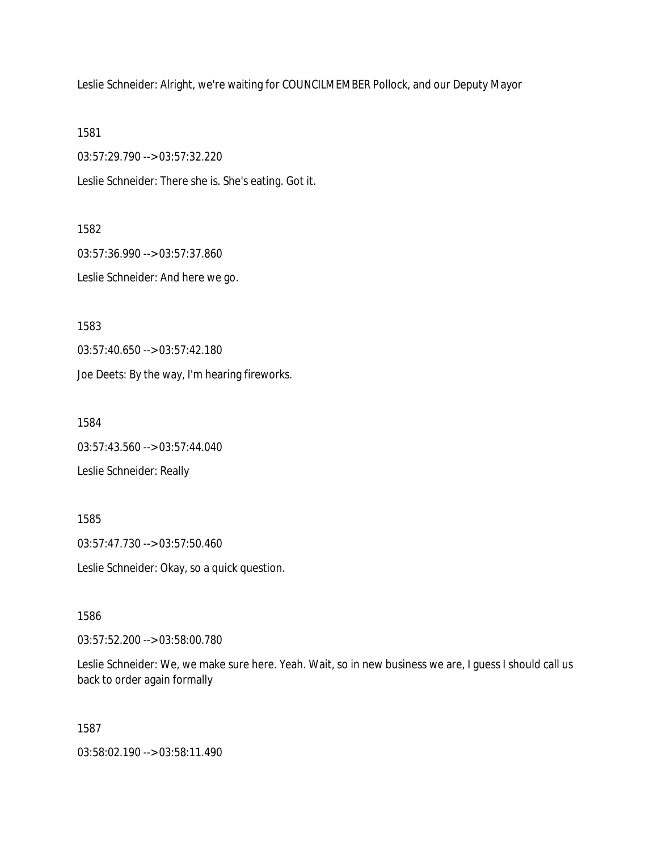Leslie Schneider: Alright, we're waiting for COUNCILMEMBER Pollock, and our Deputy Mayor

1581

03:57:29.790 --> 03:57:32.220

Leslie Schneider: There she is. She's eating. Got it.

1582

03:57:36.990 --> 03:57:37.860 Leslie Schneider: And here we go.

1583

03:57:40.650 --> 03:57:42.180

Joe Deets: By the way, I'm hearing fireworks.

1584

03:57:43.560 --> 03:57:44.040

Leslie Schneider: Really

1585

03:57:47.730 --> 03:57:50.460

Leslie Schneider: Okay, so a quick question.

1586

03:57:52.200 --> 03:58:00.780

Leslie Schneider: We, we make sure here. Yeah. Wait, so in new business we are, I guess I should call us back to order again formally

1587

03:58:02.190 --> 03:58:11.490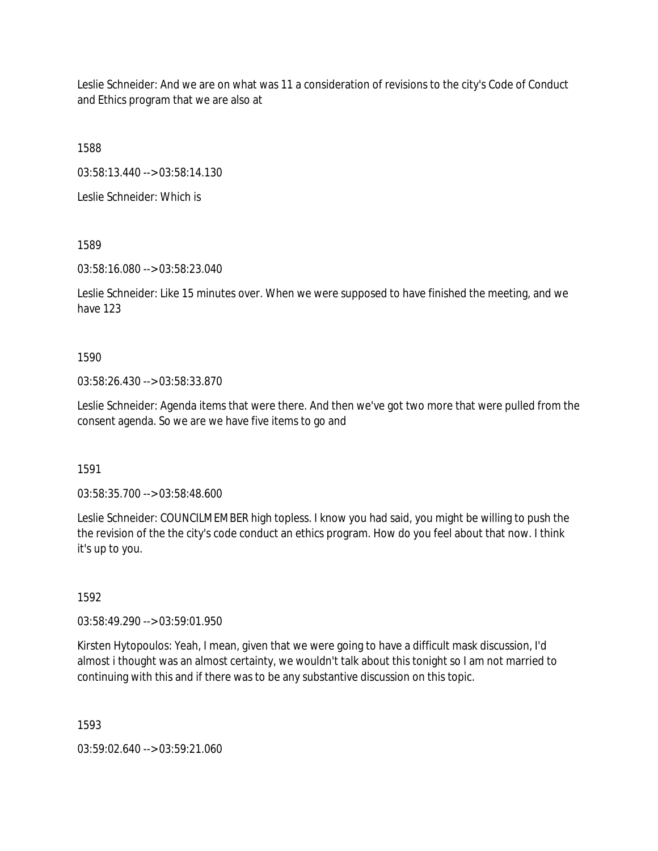Leslie Schneider: And we are on what was 11 a consideration of revisions to the city's Code of Conduct and Ethics program that we are also at

1588

03:58:13.440 --> 03:58:14.130

Leslie Schneider: Which is

1589

03:58:16.080 --> 03:58:23.040

Leslie Schneider: Like 15 minutes over. When we were supposed to have finished the meeting, and we have 123

1590

03:58:26.430 --> 03:58:33.870

Leslie Schneider: Agenda items that were there. And then we've got two more that were pulled from the consent agenda. So we are we have five items to go and

1591

03:58:35.700 --> 03:58:48.600

Leslie Schneider: COUNCILMEMBER high topless. I know you had said, you might be willing to push the the revision of the the city's code conduct an ethics program. How do you feel about that now. I think it's up to you.

1592

03:58:49.290 --> 03:59:01.950

Kirsten Hytopoulos: Yeah, I mean, given that we were going to have a difficult mask discussion, I'd almost i thought was an almost certainty, we wouldn't talk about this tonight so I am not married to continuing with this and if there was to be any substantive discussion on this topic.

1593

03:59:02.640 --> 03:59:21.060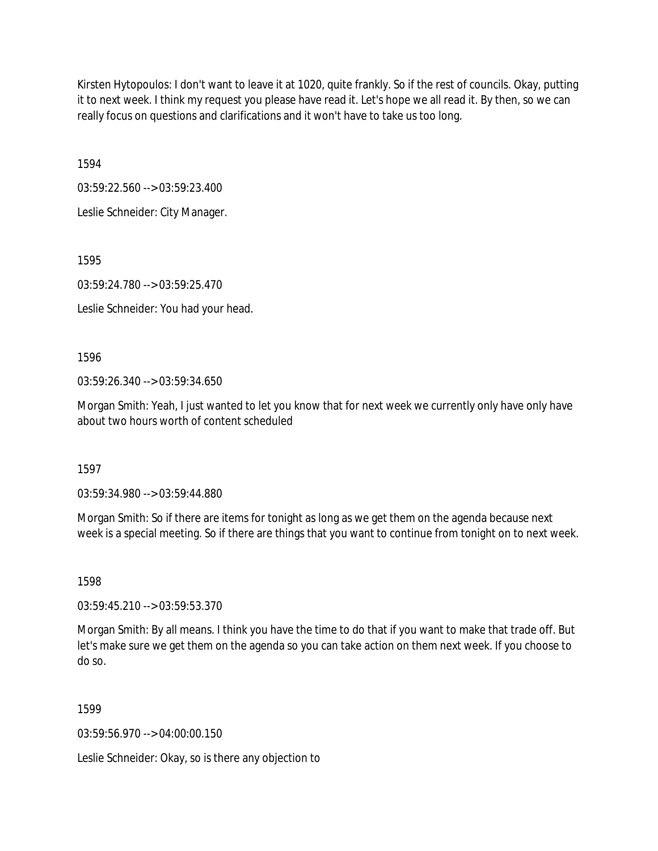Kirsten Hytopoulos: I don't want to leave it at 1020, quite frankly. So if the rest of councils. Okay, putting it to next week. I think my request you please have read it. Let's hope we all read it. By then, so we can really focus on questions and clarifications and it won't have to take us too long.

1594

03:59:22.560 --> 03:59:23.400

Leslie Schneider: City Manager.

1595

03:59:24.780 --> 03:59:25.470

Leslie Schneider: You had your head.

1596

03:59:26.340 --> 03:59:34.650

Morgan Smith: Yeah, I just wanted to let you know that for next week we currently only have only have about two hours worth of content scheduled

1597

03:59:34.980 --> 03:59:44.880

Morgan Smith: So if there are items for tonight as long as we get them on the agenda because next week is a special meeting. So if there are things that you want to continue from tonight on to next week.

1598

03:59:45.210 --> 03:59:53.370

Morgan Smith: By all means. I think you have the time to do that if you want to make that trade off. But let's make sure we get them on the agenda so you can take action on them next week. If you choose to do so.

1599

03:59:56.970 --> 04:00:00.150

Leslie Schneider: Okay, so is there any objection to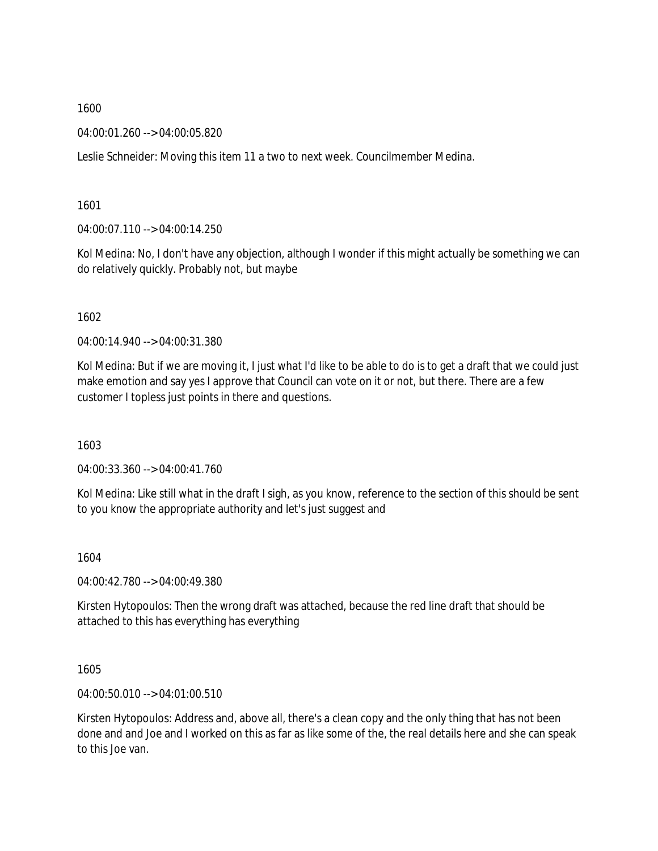04:00:01.260 --> 04:00:05.820

Leslie Schneider: Moving this item 11 a two to next week. Councilmember Medina.

1601

04:00:07.110 --> 04:00:14.250

Kol Medina: No, I don't have any objection, although I wonder if this might actually be something we can do relatively quickly. Probably not, but maybe

1602

04:00:14.940 --> 04:00:31.380

Kol Medina: But if we are moving it, I just what I'd like to be able to do is to get a draft that we could just make emotion and say yes I approve that Council can vote on it or not, but there. There are a few customer I topless just points in there and questions.

1603

04:00:33.360 --> 04:00:41.760

Kol Medina: Like still what in the draft I sigh, as you know, reference to the section of this should be sent to you know the appropriate authority and let's just suggest and

1604

04:00:42.780 --> 04:00:49.380

Kirsten Hytopoulos: Then the wrong draft was attached, because the red line draft that should be attached to this has everything has everything

1605

04:00:50.010 --> 04:01:00.510

Kirsten Hytopoulos: Address and, above all, there's a clean copy and the only thing that has not been done and and Joe and I worked on this as far as like some of the, the real details here and she can speak to this Joe van.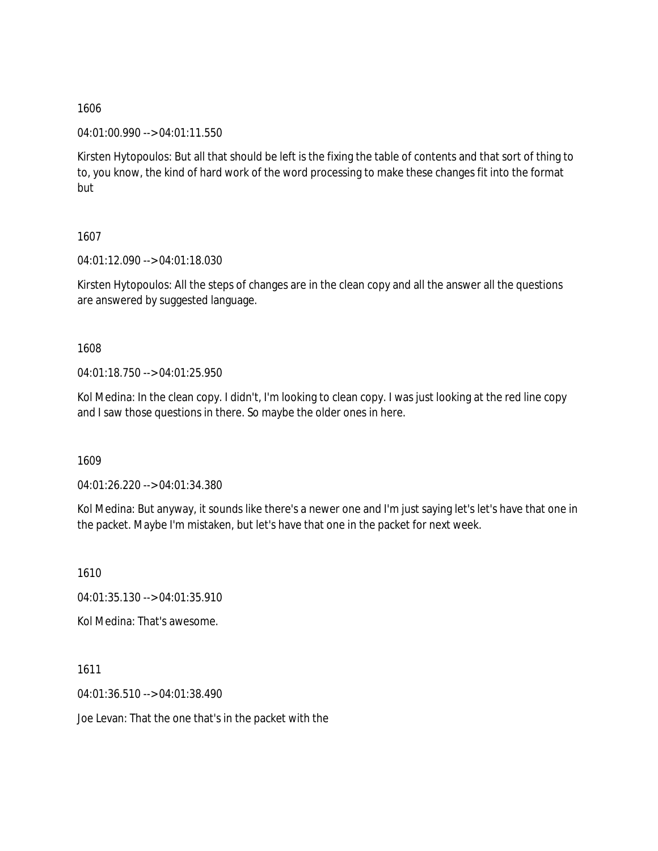04:01:00.990 --> 04:01:11.550

Kirsten Hytopoulos: But all that should be left is the fixing the table of contents and that sort of thing to to, you know, the kind of hard work of the word processing to make these changes fit into the format but

# 1607

04:01:12.090 --> 04:01:18.030

Kirsten Hytopoulos: All the steps of changes are in the clean copy and all the answer all the questions are answered by suggested language.

# 1608

04:01:18.750 --> 04:01:25.950

Kol Medina: In the clean copy. I didn't, I'm looking to clean copy. I was just looking at the red line copy and I saw those questions in there. So maybe the older ones in here.

1609

04:01:26.220 --> 04:01:34.380

Kol Medina: But anyway, it sounds like there's a newer one and I'm just saying let's let's have that one in the packet. Maybe I'm mistaken, but let's have that one in the packet for next week.

1610

04:01:35.130 --> 04:01:35.910

Kol Medina: That's awesome.

1611 04:01:36.510 --> 04:01:38.490

Joe Levan: That the one that's in the packet with the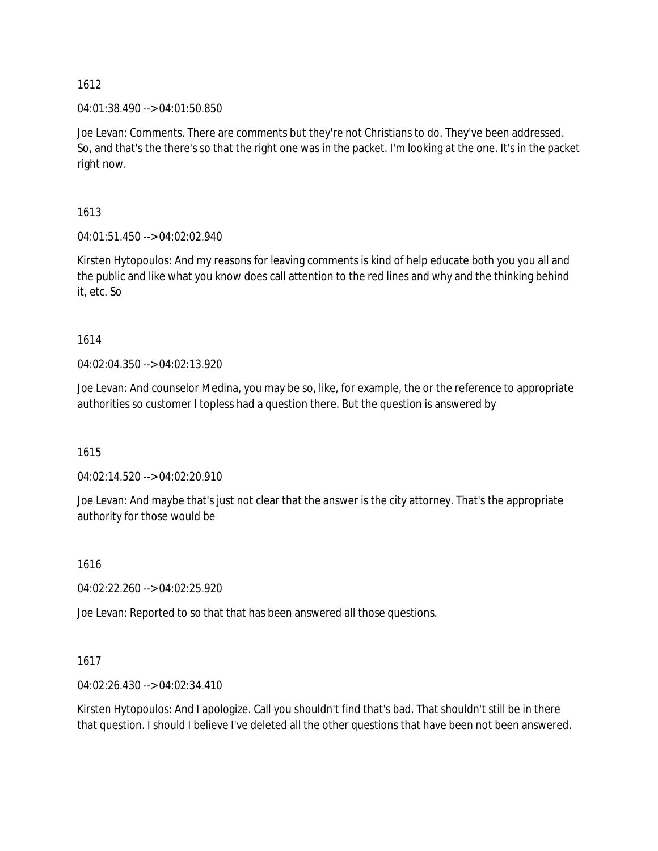04:01:38.490 --> 04:01:50.850

Joe Levan: Comments. There are comments but they're not Christians to do. They've been addressed. So, and that's the there's so that the right one was in the packet. I'm looking at the one. It's in the packet right now.

1613

04:01:51.450 --> 04:02:02.940

Kirsten Hytopoulos: And my reasons for leaving comments is kind of help educate both you you all and the public and like what you know does call attention to the red lines and why and the thinking behind it, etc. So

1614

04:02:04.350 --> 04:02:13.920

Joe Levan: And counselor Medina, you may be so, like, for example, the or the reference to appropriate authorities so customer I topless had a question there. But the question is answered by

1615

04:02:14.520 --> 04:02:20.910

Joe Levan: And maybe that's just not clear that the answer is the city attorney. That's the appropriate authority for those would be

1616

04:02:22.260 --> 04:02:25.920

Joe Levan: Reported to so that that has been answered all those questions.

1617

04:02:26.430 --> 04:02:34.410

Kirsten Hytopoulos: And I apologize. Call you shouldn't find that's bad. That shouldn't still be in there that question. I should I believe I've deleted all the other questions that have been not been answered.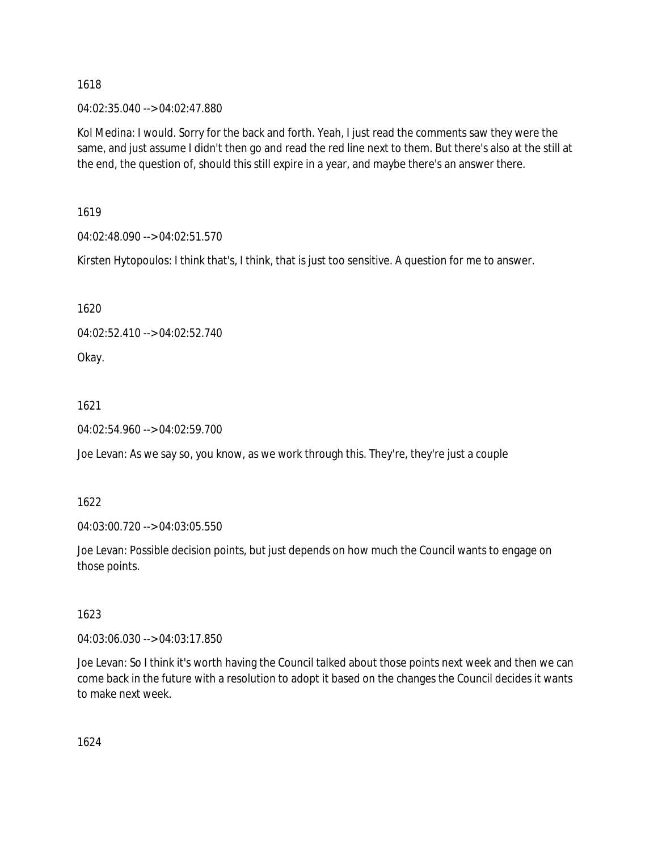04:02:35.040 --> 04:02:47.880

Kol Medina: I would. Sorry for the back and forth. Yeah, I just read the comments saw they were the same, and just assume I didn't then go and read the red line next to them. But there's also at the still at the end, the question of, should this still expire in a year, and maybe there's an answer there.

1619

04:02:48.090 --> 04:02:51.570

Kirsten Hytopoulos: I think that's, I think, that is just too sensitive. A question for me to answer.

1620

04:02:52.410 --> 04:02:52.740

Okay.

1621

04:02:54.960 --> 04:02:59.700

Joe Levan: As we say so, you know, as we work through this. They're, they're just a couple

1622

04:03:00.720 --> 04:03:05.550

Joe Levan: Possible decision points, but just depends on how much the Council wants to engage on those points.

1623

04:03:06.030 --> 04:03:17.850

Joe Levan: So I think it's worth having the Council talked about those points next week and then we can come back in the future with a resolution to adopt it based on the changes the Council decides it wants to make next week.

1624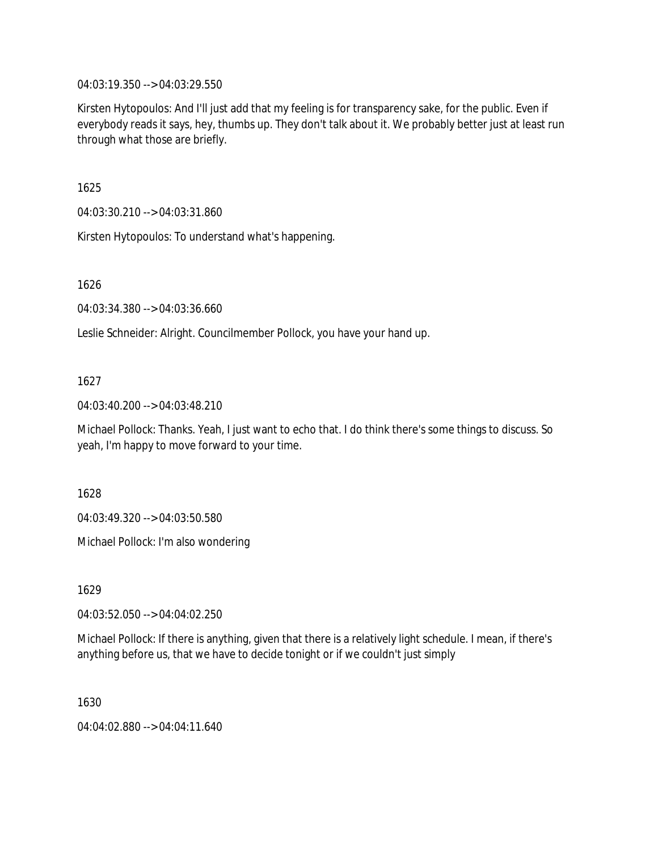04:03:19.350 --> 04:03:29.550

Kirsten Hytopoulos: And I'll just add that my feeling is for transparency sake, for the public. Even if everybody reads it says, hey, thumbs up. They don't talk about it. We probably better just at least run through what those are briefly.

1625

04:03:30.210 --> 04:03:31.860

Kirsten Hytopoulos: To understand what's happening.

1626

04:03:34.380 --> 04:03:36.660

Leslie Schneider: Alright. Councilmember Pollock, you have your hand up.

# 1627

04:03:40.200 --> 04:03:48.210

Michael Pollock: Thanks. Yeah, I just want to echo that. I do think there's some things to discuss. So yeah, I'm happy to move forward to your time.

1628

04:03:49.320 --> 04:03:50.580

Michael Pollock: I'm also wondering

1629

04:03:52.050 --> 04:04:02.250

Michael Pollock: If there is anything, given that there is a relatively light schedule. I mean, if there's anything before us, that we have to decide tonight or if we couldn't just simply

1630

04:04:02.880 --> 04:04:11.640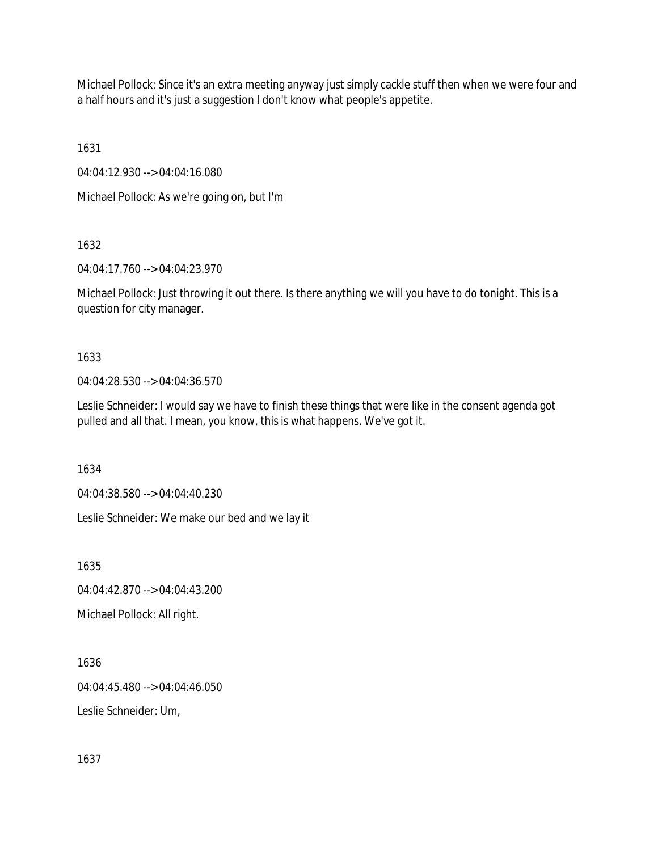Michael Pollock: Since it's an extra meeting anyway just simply cackle stuff then when we were four and a half hours and it's just a suggestion I don't know what people's appetite.

1631

04:04:12.930 --> 04:04:16.080

Michael Pollock: As we're going on, but I'm

1632

04:04:17.760 --> 04:04:23.970

Michael Pollock: Just throwing it out there. Is there anything we will you have to do tonight. This is a question for city manager.

1633

04:04:28.530 --> 04:04:36.570

Leslie Schneider: I would say we have to finish these things that were like in the consent agenda got pulled and all that. I mean, you know, this is what happens. We've got it.

1634

04:04:38.580 --> 04:04:40.230

Leslie Schneider: We make our bed and we lay it

1635

04:04:42.870 --> 04:04:43.200

Michael Pollock: All right.

1636 04:04:45.480 --> 04:04:46.050 Leslie Schneider: Um,

1637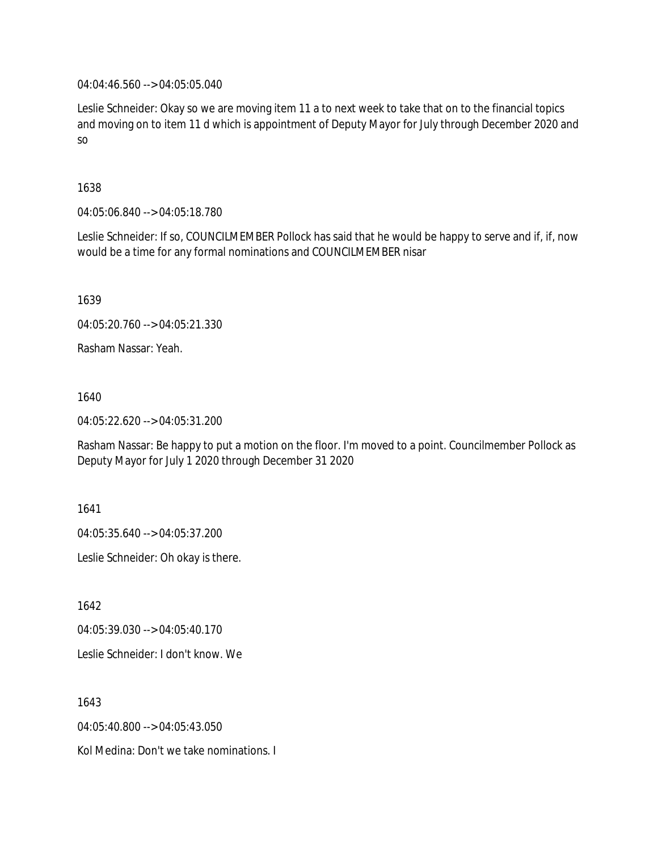04:04:46.560 --> 04:05:05.040

Leslie Schneider: Okay so we are moving item 11 a to next week to take that on to the financial topics and moving on to item 11 d which is appointment of Deputy Mayor for July through December 2020 and so

## 1638

04:05:06.840 --> 04:05:18.780

Leslie Schneider: If so, COUNCILMEMBER Pollock has said that he would be happy to serve and if, if, now would be a time for any formal nominations and COUNCILMEMBER nisar

1639

04:05:20.760 --> 04:05:21.330

Rasham Nassar: Yeah.

1640

04:05:22.620 --> 04:05:31.200

Rasham Nassar: Be happy to put a motion on the floor. I'm moved to a point. Councilmember Pollock as Deputy Mayor for July 1 2020 through December 31 2020

1641

04:05:35.640 --> 04:05:37.200

Leslie Schneider: Oh okay is there.

1642

04:05:39.030 --> 04:05:40.170

Leslie Schneider: I don't know. We

1643

04:05:40.800 --> 04:05:43.050

Kol Medina: Don't we take nominations. I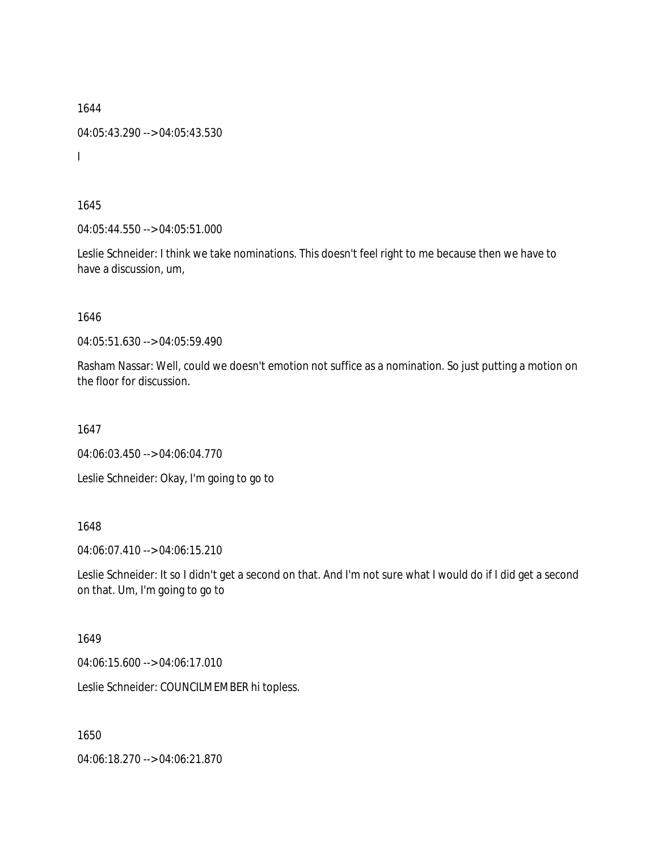1644 04:05:43.290 --> 04:05:43.530 I

1645

04:05:44.550 --> 04:05:51.000

Leslie Schneider: I think we take nominations. This doesn't feel right to me because then we have to have a discussion, um,

1646

04:05:51.630 --> 04:05:59.490

Rasham Nassar: Well, could we doesn't emotion not suffice as a nomination. So just putting a motion on the floor for discussion.

1647

04:06:03.450 --> 04:06:04.770

Leslie Schneider: Okay, I'm going to go to

## 1648

04:06:07.410 --> 04:06:15.210

Leslie Schneider: It so I didn't get a second on that. And I'm not sure what I would do if I did get a second on that. Um, I'm going to go to

## 1649

04:06:15.600 --> 04:06:17.010

Leslie Schneider: COUNCILMEMBER hi topless.

1650

04:06:18.270 --> 04:06:21.870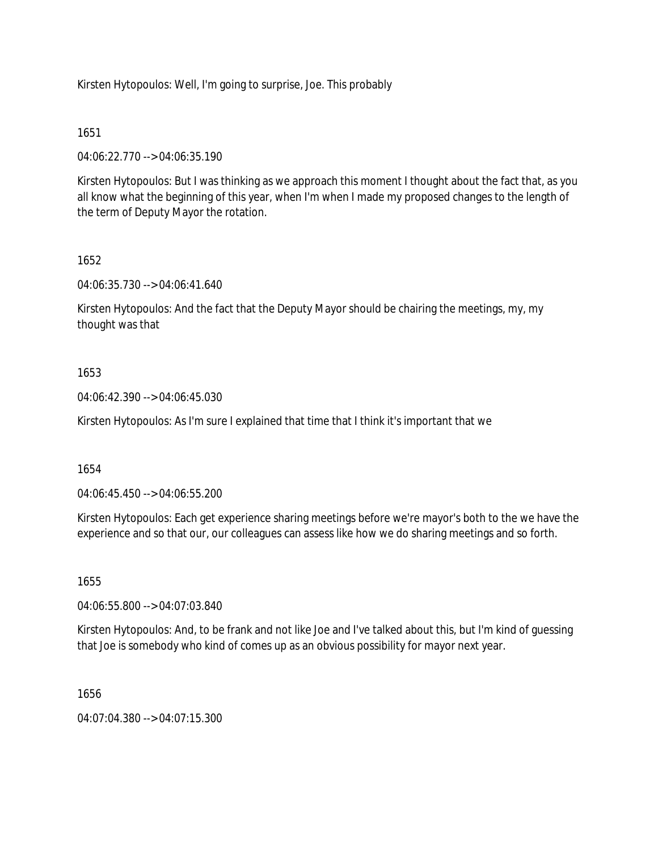Kirsten Hytopoulos: Well, I'm going to surprise, Joe. This probably

# 1651

04:06:22.770 --> 04:06:35.190

Kirsten Hytopoulos: But I was thinking as we approach this moment I thought about the fact that, as you all know what the beginning of this year, when I'm when I made my proposed changes to the length of the term of Deputy Mayor the rotation.

# 1652

04:06:35.730 --> 04:06:41.640

Kirsten Hytopoulos: And the fact that the Deputy Mayor should be chairing the meetings, my, my thought was that

# 1653

04:06:42.390 --> 04:06:45.030

Kirsten Hytopoulos: As I'm sure I explained that time that I think it's important that we

# 1654

04:06:45.450 --> 04:06:55.200

Kirsten Hytopoulos: Each get experience sharing meetings before we're mayor's both to the we have the experience and so that our, our colleagues can assess like how we do sharing meetings and so forth.

## 1655

04:06:55.800 --> 04:07:03.840

Kirsten Hytopoulos: And, to be frank and not like Joe and I've talked about this, but I'm kind of guessing that Joe is somebody who kind of comes up as an obvious possibility for mayor next year.

## 1656

04:07:04.380 --> 04:07:15.300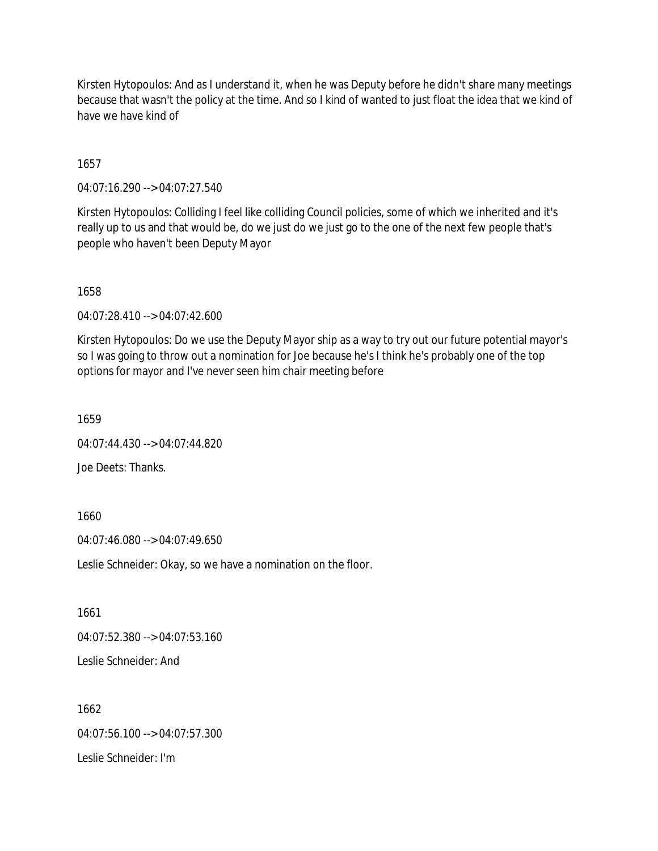Kirsten Hytopoulos: And as I understand it, when he was Deputy before he didn't share many meetings because that wasn't the policy at the time. And so I kind of wanted to just float the idea that we kind of have we have kind of

1657

04:07:16.290 --> 04:07:27.540

Kirsten Hytopoulos: Colliding I feel like colliding Council policies, some of which we inherited and it's really up to us and that would be, do we just do we just go to the one of the next few people that's people who haven't been Deputy Mayor

1658

04:07:28.410 --> 04:07:42.600

Kirsten Hytopoulos: Do we use the Deputy Mayor ship as a way to try out our future potential mayor's so I was going to throw out a nomination for Joe because he's I think he's probably one of the top options for mayor and I've never seen him chair meeting before

1659

04:07:44.430 --> 04:07:44.820

Joe Deets: Thanks.

1660

04:07:46.080 --> 04:07:49.650

Leslie Schneider: Okay, so we have a nomination on the floor.

1661

04:07:52.380 --> 04:07:53.160

Leslie Schneider: And

1662 04:07:56.100 --> 04:07:57.300 Leslie Schneider: I'm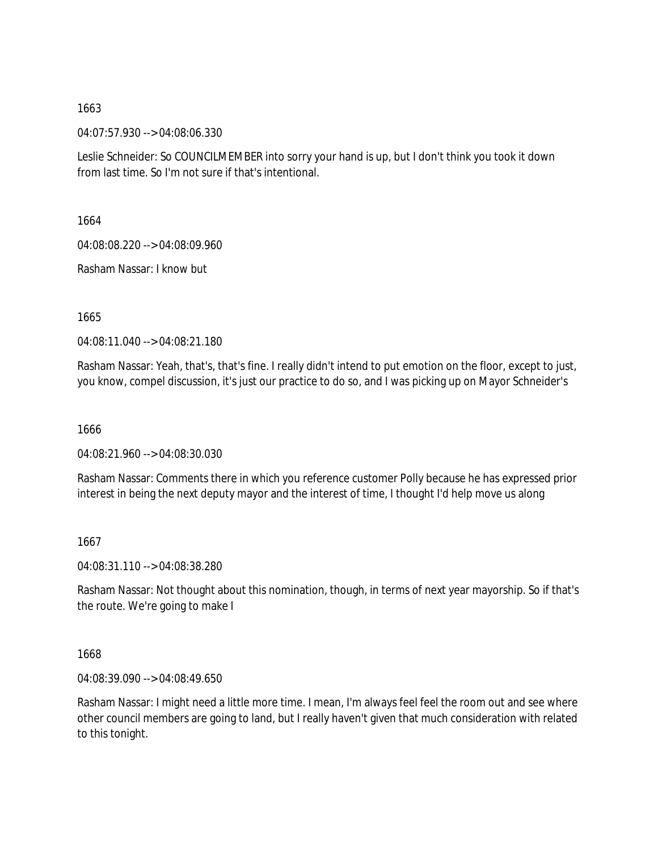04:07:57.930 --> 04:08:06.330

Leslie Schneider: So COUNCILMEMBER into sorry your hand is up, but I don't think you took it down from last time. So I'm not sure if that's intentional.

1664

04:08:08.220 --> 04:08:09.960

Rasham Nassar: I know but

1665

04:08:11.040 --> 04:08:21.180

Rasham Nassar: Yeah, that's, that's fine. I really didn't intend to put emotion on the floor, except to just, you know, compel discussion, it's just our practice to do so, and I was picking up on Mayor Schneider's

1666

04:08:21.960 --> 04:08:30.030

Rasham Nassar: Comments there in which you reference customer Polly because he has expressed prior interest in being the next deputy mayor and the interest of time, I thought I'd help move us along

1667

04:08:31.110 --> 04:08:38.280

Rasham Nassar: Not thought about this nomination, though, in terms of next year mayorship. So if that's the route. We're going to make I

1668

04:08:39.090 --> 04:08:49.650

Rasham Nassar: I might need a little more time. I mean, I'm always feel feel the room out and see where other council members are going to land, but I really haven't given that much consideration with related to this tonight.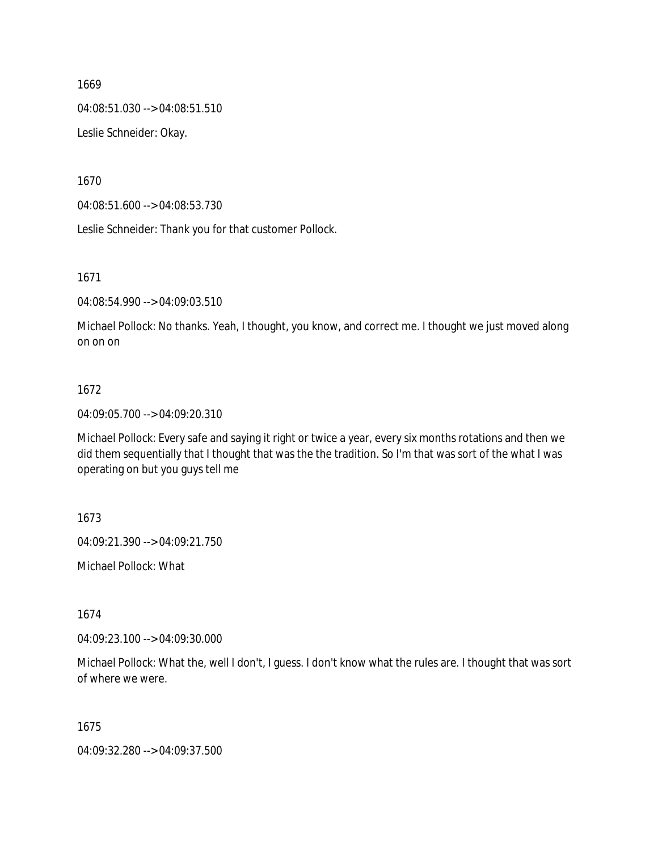04:08:51.030 --> 04:08:51.510

Leslie Schneider: Okay.

1670

04:08:51.600 --> 04:08:53.730

Leslie Schneider: Thank you for that customer Pollock.

1671

04:08:54.990 --> 04:09:03.510

Michael Pollock: No thanks. Yeah, I thought, you know, and correct me. I thought we just moved along on on on

#### 1672

04:09:05.700 --> 04:09:20.310

Michael Pollock: Every safe and saying it right or twice a year, every six months rotations and then we did them sequentially that I thought that was the the tradition. So I'm that was sort of the what I was operating on but you guys tell me

1673

04:09:21.390 --> 04:09:21.750

Michael Pollock: What

1674

04:09:23.100 --> 04:09:30.000

Michael Pollock: What the, well I don't, I guess. I don't know what the rules are. I thought that was sort of where we were.

1675

04:09:32.280 --> 04:09:37.500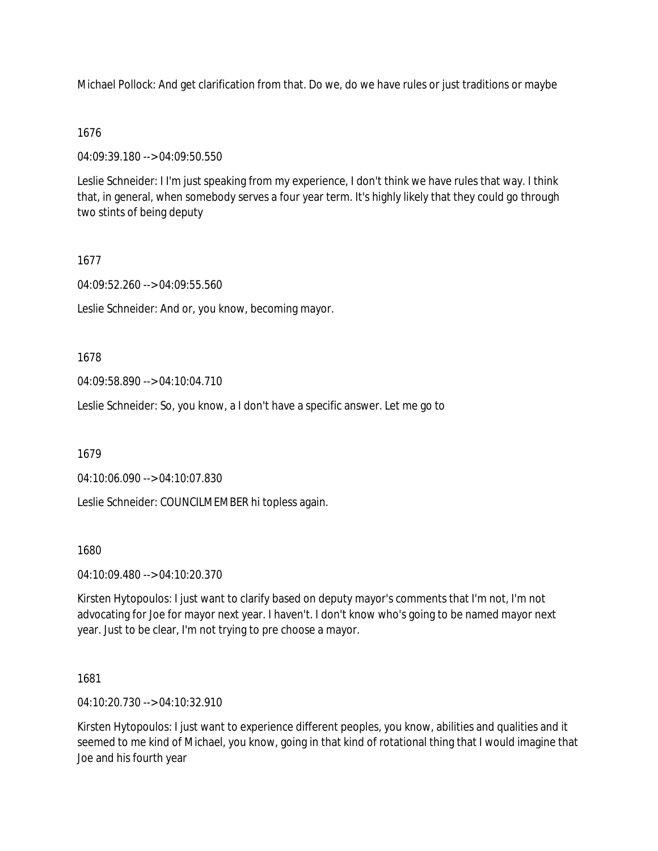Michael Pollock: And get clarification from that. Do we, do we have rules or just traditions or maybe

## 1676

04:09:39.180 --> 04:09:50.550

Leslie Schneider: I I'm just speaking from my experience, I don't think we have rules that way. I think that, in general, when somebody serves a four year term. It's highly likely that they could go through two stints of being deputy

# 1677

04:09:52.260 --> 04:09:55.560

Leslie Schneider: And or, you know, becoming mayor.

## 1678

04:09:58.890 --> 04:10:04.710

Leslie Schneider: So, you know, a I don't have a specific answer. Let me go to

1679

04:10:06.090 --> 04:10:07.830

Leslie Schneider: COUNCILMEMBER hi topless again.

## 1680

04:10:09.480 --> 04:10:20.370

Kirsten Hytopoulos: I just want to clarify based on deputy mayor's comments that I'm not, I'm not advocating for Joe for mayor next year. I haven't. I don't know who's going to be named mayor next year. Just to be clear, I'm not trying to pre choose a mayor.

1681

04:10:20.730 --> 04:10:32.910

Kirsten Hytopoulos: I just want to experience different peoples, you know, abilities and qualities and it seemed to me kind of Michael, you know, going in that kind of rotational thing that I would imagine that Joe and his fourth year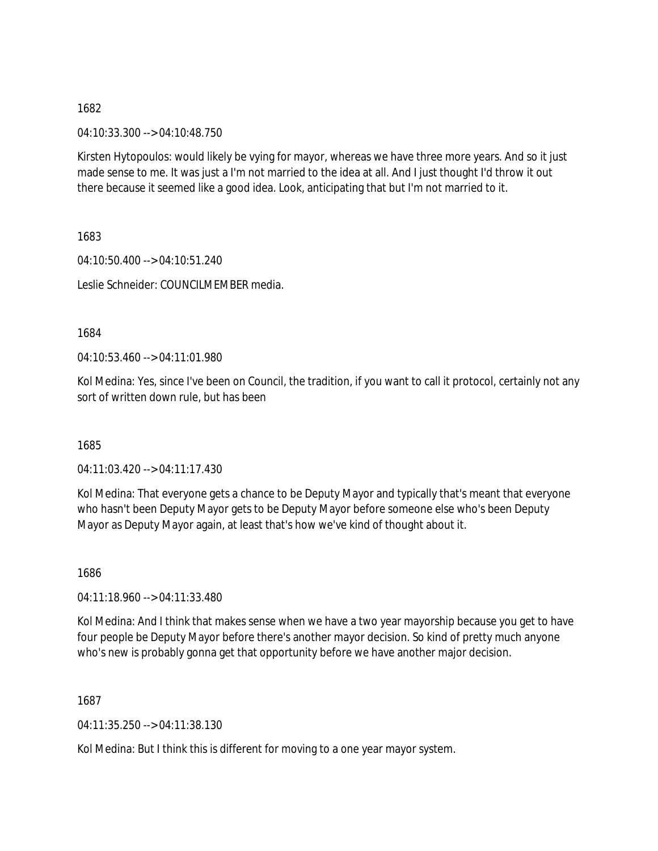04:10:33.300 --> 04:10:48.750

Kirsten Hytopoulos: would likely be vying for mayor, whereas we have three more years. And so it just made sense to me. It was just a I'm not married to the idea at all. And I just thought I'd throw it out there because it seemed like a good idea. Look, anticipating that but I'm not married to it.

1683

04:10:50.400 --> 04:10:51.240 Leslie Schneider: COUNCILMEMBER media.

1684

 $04.10.53.460 -> 04.11.01.980$ 

Kol Medina: Yes, since I've been on Council, the tradition, if you want to call it protocol, certainly not any sort of written down rule, but has been

1685

04:11:03.420 --> 04:11:17.430

Kol Medina: That everyone gets a chance to be Deputy Mayor and typically that's meant that everyone who hasn't been Deputy Mayor gets to be Deputy Mayor before someone else who's been Deputy Mayor as Deputy Mayor again, at least that's how we've kind of thought about it.

1686

04:11:18.960 --> 04:11:33.480

Kol Medina: And I think that makes sense when we have a two year mayorship because you get to have four people be Deputy Mayor before there's another mayor decision. So kind of pretty much anyone who's new is probably gonna get that opportunity before we have another major decision.

1687

04:11:35.250 --> 04:11:38.130

Kol Medina: But I think this is different for moving to a one year mayor system.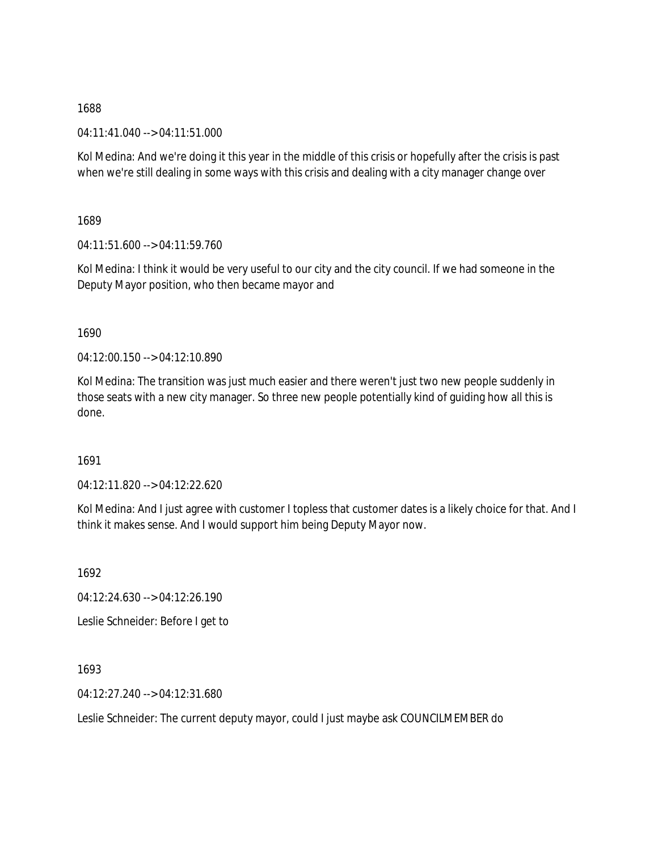04:11:41.040 --> 04:11:51.000

Kol Medina: And we're doing it this year in the middle of this crisis or hopefully after the crisis is past when we're still dealing in some ways with this crisis and dealing with a city manager change over

1689

04:11:51.600 --> 04:11:59.760

Kol Medina: I think it would be very useful to our city and the city council. If we had someone in the Deputy Mayor position, who then became mayor and

1690

04:12:00.150 --> 04:12:10.890

Kol Medina: The transition was just much easier and there weren't just two new people suddenly in those seats with a new city manager. So three new people potentially kind of guiding how all this is done.

1691

04:12:11.820 --> 04:12:22.620

Kol Medina: And I just agree with customer I topless that customer dates is a likely choice for that. And I think it makes sense. And I would support him being Deputy Mayor now.

1692

04:12:24.630 --> 04:12:26.190

Leslie Schneider: Before I get to

1693

04:12:27.240 --> 04:12:31.680

Leslie Schneider: The current deputy mayor, could I just maybe ask COUNCILMEMBER do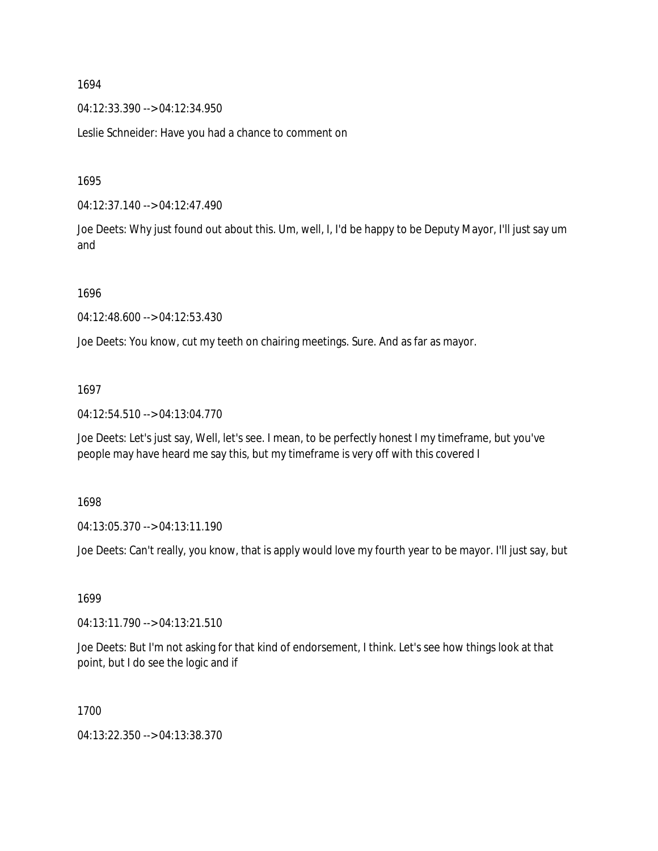04:12:33.390 --> 04:12:34.950

Leslie Schneider: Have you had a chance to comment on

1695

04:12:37.140 --> 04:12:47.490

Joe Deets: Why just found out about this. Um, well, I, I'd be happy to be Deputy Mayor, I'll just say um and

1696

04:12:48.600 --> 04:12:53.430

Joe Deets: You know, cut my teeth on chairing meetings. Sure. And as far as mayor.

1697

04:12:54.510 --> 04:13:04.770

Joe Deets: Let's just say, Well, let's see. I mean, to be perfectly honest I my timeframe, but you've people may have heard me say this, but my timeframe is very off with this covered I

1698

04:13:05.370 --> 04:13:11.190

Joe Deets: Can't really, you know, that is apply would love my fourth year to be mayor. I'll just say, but

1699

04:13:11.790 --> 04:13:21.510

Joe Deets: But I'm not asking for that kind of endorsement, I think. Let's see how things look at that point, but I do see the logic and if

1700

04:13:22.350 --> 04:13:38.370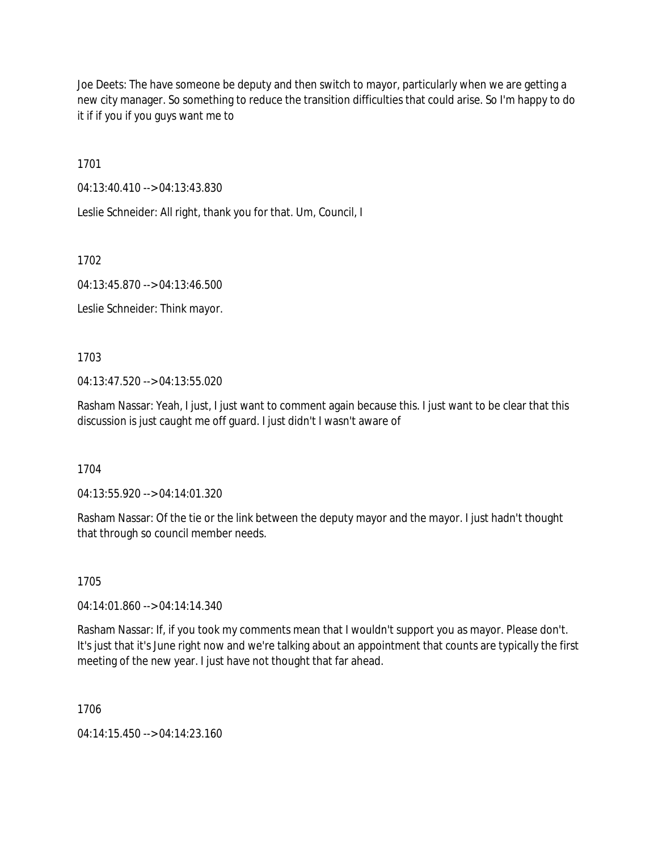Joe Deets: The have someone be deputy and then switch to mayor, particularly when we are getting a new city manager. So something to reduce the transition difficulties that could arise. So I'm happy to do it if if you if you guys want me to

1701

04:13:40.410 --> 04:13:43.830

Leslie Schneider: All right, thank you for that. Um, Council, I

1702

04:13:45.870 --> 04:13:46.500

Leslie Schneider: Think mayor.

1703

04:13:47.520 --> 04:13:55.020

Rasham Nassar: Yeah, I just, I just want to comment again because this. I just want to be clear that this discussion is just caught me off guard. I just didn't I wasn't aware of

1704

04:13:55.920 --> 04:14:01.320

Rasham Nassar: Of the tie or the link between the deputy mayor and the mayor. I just hadn't thought that through so council member needs.

1705

04:14:01.860 --> 04:14:14.340

Rasham Nassar: If, if you took my comments mean that I wouldn't support you as mayor. Please don't. It's just that it's June right now and we're talking about an appointment that counts are typically the first meeting of the new year. I just have not thought that far ahead.

1706

04:14:15.450 --> 04:14:23.160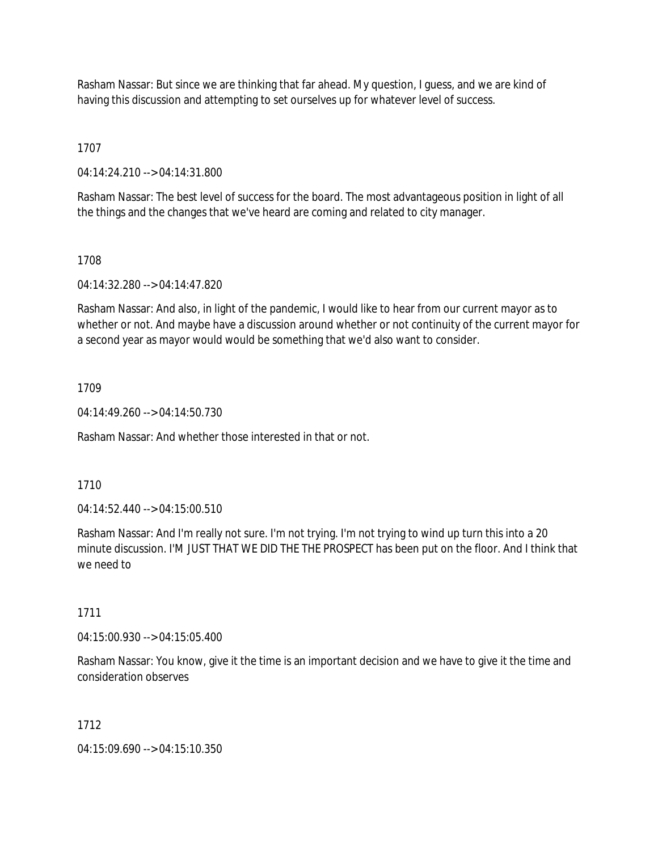Rasham Nassar: But since we are thinking that far ahead. My question, I guess, and we are kind of having this discussion and attempting to set ourselves up for whatever level of success.

1707

04:14:24.210 --> 04:14:31.800

Rasham Nassar: The best level of success for the board. The most advantageous position in light of all the things and the changes that we've heard are coming and related to city manager.

### 1708

04:14:32.280 --> 04:14:47.820

Rasham Nassar: And also, in light of the pandemic, I would like to hear from our current mayor as to whether or not. And maybe have a discussion around whether or not continuity of the current mayor for a second year as mayor would would be something that we'd also want to consider.

### 1709

04:14:49.260 --> 04:14:50.730

Rasham Nassar: And whether those interested in that or not.

### 1710

04:14:52.440 --> 04:15:00.510

Rasham Nassar: And I'm really not sure. I'm not trying. I'm not trying to wind up turn this into a 20 minute discussion. I'M JUST THAT WE DID THE THE PROSPECT has been put on the floor. And I think that we need to

#### 1711

04:15:00.930 --> 04:15:05.400

Rasham Nassar: You know, give it the time is an important decision and we have to give it the time and consideration observes

#### 1712

04:15:09.690 --> 04:15:10.350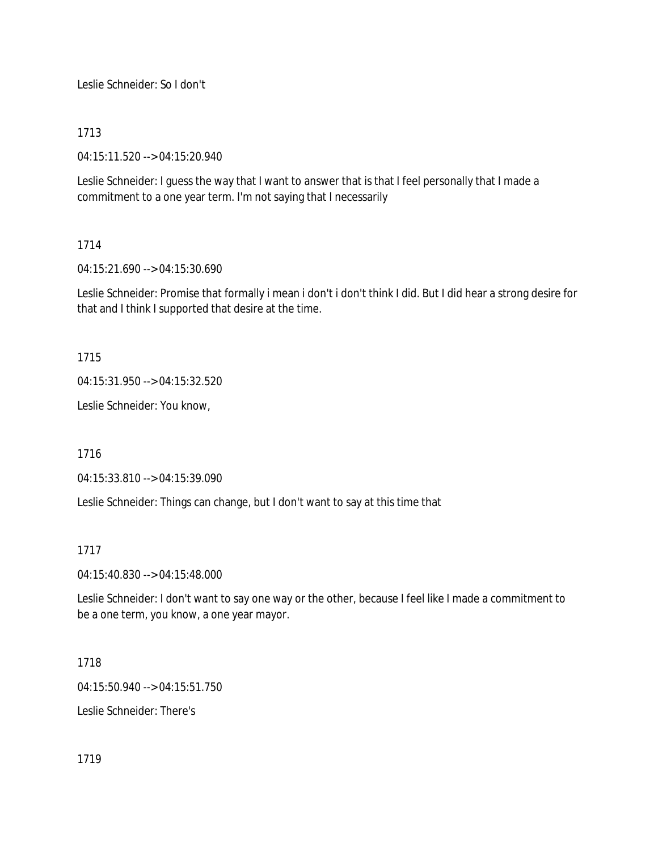Leslie Schneider: So I don't

# 1713

04:15:11.520 --> 04:15:20.940

Leslie Schneider: I guess the way that I want to answer that is that I feel personally that I made a commitment to a one year term. I'm not saying that I necessarily

# 1714

04:15:21.690 --> 04:15:30.690

Leslie Schneider: Promise that formally i mean i don't i don't think I did. But I did hear a strong desire for that and I think I supported that desire at the time.

1715

04:15:31.950 --> 04:15:32.520

Leslie Schneider: You know,

1716

04:15:33.810 --> 04:15:39.090

Leslie Schneider: Things can change, but I don't want to say at this time that

# 1717

04:15:40.830 --> 04:15:48.000

Leslie Schneider: I don't want to say one way or the other, because I feel like I made a commitment to be a one term, you know, a one year mayor.

# 1718

04:15:50.940 --> 04:15:51.750

Leslie Schneider: There's

1719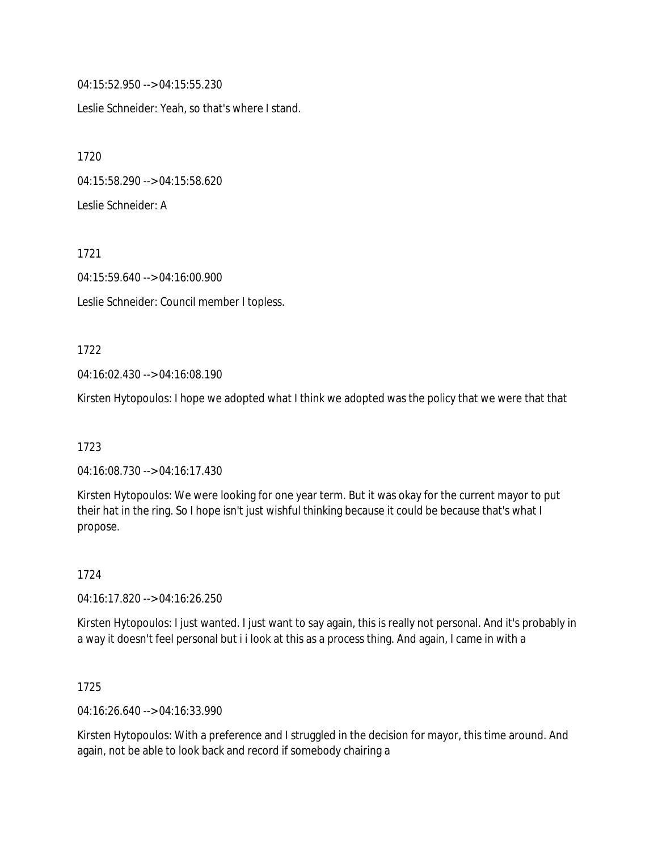04:15:52.950 --> 04:15:55.230

Leslie Schneider: Yeah, so that's where I stand.

1720 04:15:58.290 --> 04:15:58.620 Leslie Schneider: A

1721

04:15:59.640 --> 04:16:00.900

Leslie Schneider: Council member I topless.

### 1722

04:16:02.430 --> 04:16:08.190

Kirsten Hytopoulos: I hope we adopted what I think we adopted was the policy that we were that that

## 1723

04:16:08.730 --> 04:16:17.430

Kirsten Hytopoulos: We were looking for one year term. But it was okay for the current mayor to put their hat in the ring. So I hope isn't just wishful thinking because it could be because that's what I propose.

# 1724

04:16:17.820 --> 04:16:26.250

Kirsten Hytopoulos: I just wanted. I just want to say again, this is really not personal. And it's probably in a way it doesn't feel personal but i i look at this as a process thing. And again, I came in with a

## 1725

04:16:26.640 --> 04:16:33.990

Kirsten Hytopoulos: With a preference and I struggled in the decision for mayor, this time around. And again, not be able to look back and record if somebody chairing a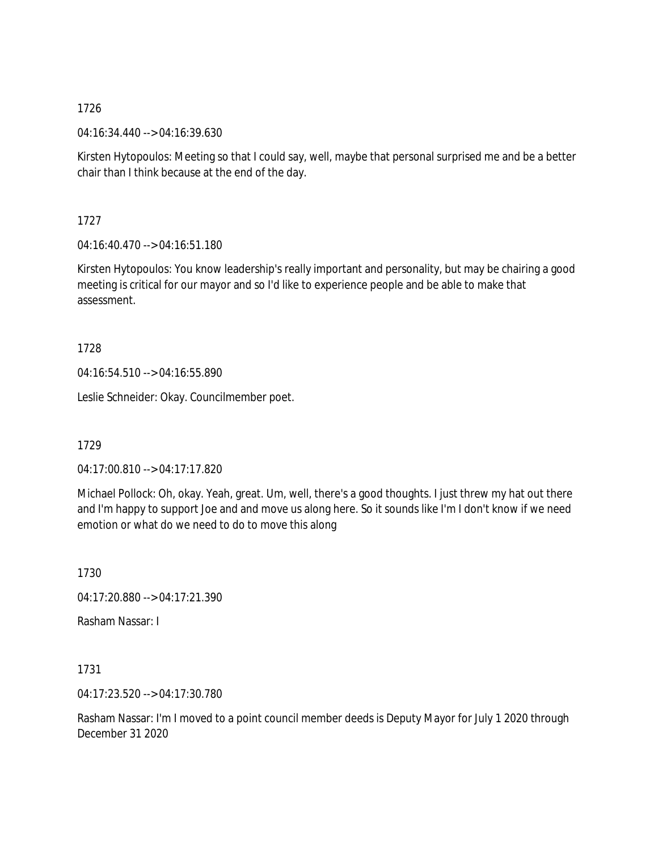04:16:34.440 --> 04:16:39.630

Kirsten Hytopoulos: Meeting so that I could say, well, maybe that personal surprised me and be a better chair than I think because at the end of the day.

1727

04:16:40.470 --> 04:16:51.180

Kirsten Hytopoulos: You know leadership's really important and personality, but may be chairing a good meeting is critical for our mayor and so I'd like to experience people and be able to make that assessment.

1728

04:16:54.510 --> 04:16:55.890

Leslie Schneider: Okay. Councilmember poet.

1729

04:17:00.810 --> 04:17:17.820

Michael Pollock: Oh, okay. Yeah, great. Um, well, there's a good thoughts. I just threw my hat out there and I'm happy to support Joe and and move us along here. So it sounds like I'm I don't know if we need emotion or what do we need to do to move this along

1730

04:17:20.880 --> 04:17:21.390

Rasham Nassar: I

1731

04:17:23.520 --> 04:17:30.780

Rasham Nassar: I'm I moved to a point council member deeds is Deputy Mayor for July 1 2020 through December 31 2020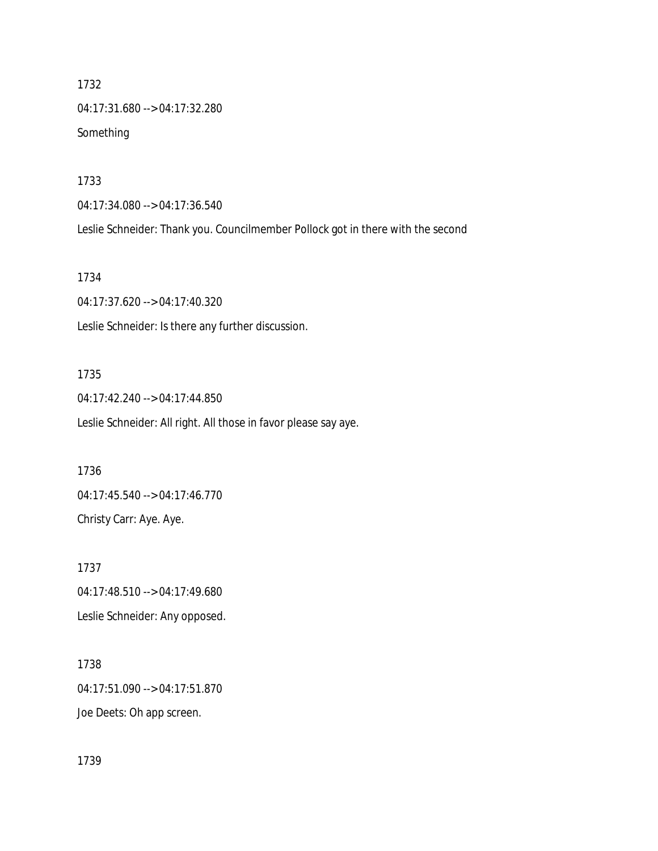1732 04:17:31.680 --> 04:17:32.280 Something

1733

04:17:34.080 --> 04:17:36.540

Leslie Schneider: Thank you. Councilmember Pollock got in there with the second

1734

04:17:37.620 --> 04:17:40.320 Leslie Schneider: Is there any further discussion.

## 1735

04:17:42.240 --> 04:17:44.850 Leslie Schneider: All right. All those in favor please say aye.

1736 04:17:45.540 --> 04:17:46.770 Christy Carr: Aye. Aye.

1737 04:17:48.510 --> 04:17:49.680 Leslie Schneider: Any opposed.

1738 04:17:51.090 --> 04:17:51.870 Joe Deets: Oh app screen.

1739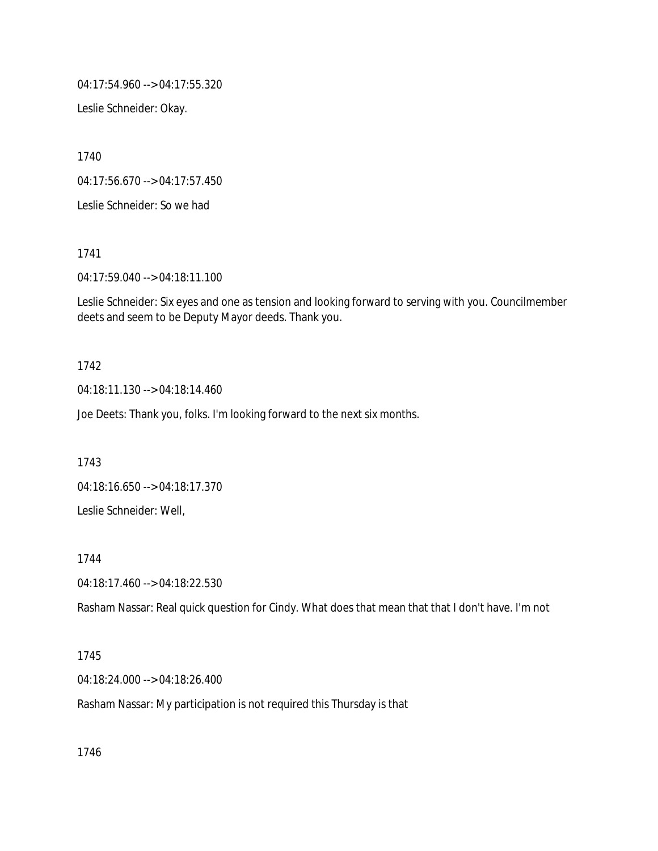04:17:54.960 --> 04:17:55.320

Leslie Schneider: Okay.

1740

04:17:56.670 --> 04:17:57.450

Leslie Schneider: So we had

1741

04:17:59.040 --> 04:18:11.100

Leslie Schneider: Six eyes and one as tension and looking forward to serving with you. Councilmember deets and seem to be Deputy Mayor deeds. Thank you.

### 1742

04:18:11.130 --> 04:18:14.460

Joe Deets: Thank you, folks. I'm looking forward to the next six months.

1743

04:18:16.650 --> 04:18:17.370 Leslie Schneider: Well,

1744

04:18:17.460 --> 04:18:22.530

Rasham Nassar: Real quick question for Cindy. What does that mean that that I don't have. I'm not

## 1745

04:18:24.000 --> 04:18:26.400

Rasham Nassar: My participation is not required this Thursday is that

1746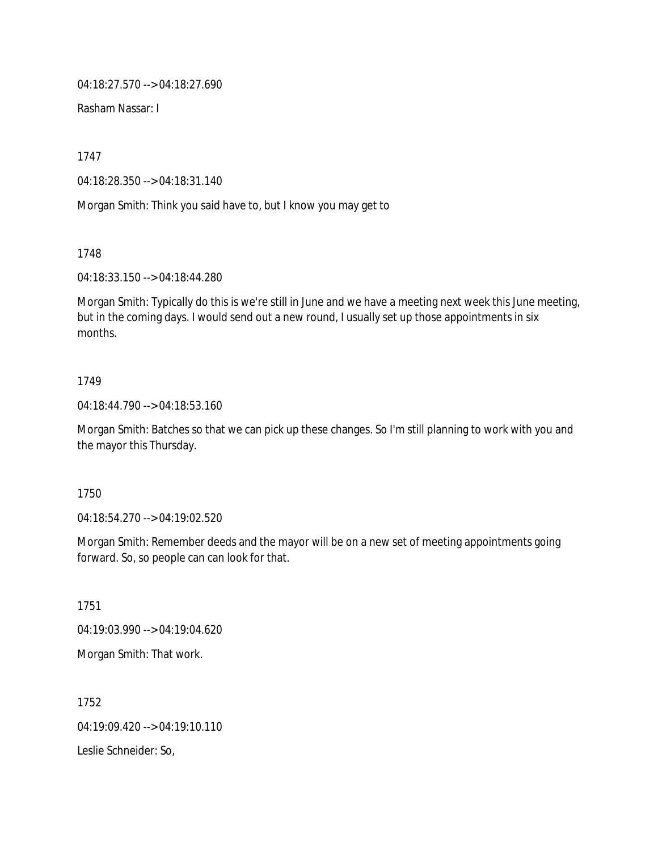04:18:27.570 --> 04:18:27.690

Rasham Nassar: I

1747

04:18:28.350 --> 04:18:31.140

Morgan Smith: Think you said have to, but I know you may get to

1748

04:18:33.150 --> 04:18:44.280

Morgan Smith: Typically do this is we're still in June and we have a meeting next week this June meeting, but in the coming days. I would send out a new round, I usually set up those appointments in six months.

## 1749

04:18:44.790 --> 04:18:53.160

Morgan Smith: Batches so that we can pick up these changes. So I'm still planning to work with you and the mayor this Thursday.

#### 1750

04:18:54.270 --> 04:19:02.520

Morgan Smith: Remember deeds and the mayor will be on a new set of meeting appointments going forward. So, so people can can look for that.

1751

04:19:03.990 --> 04:19:04.620

Morgan Smith: That work.

1752 04:19:09.420 --> 04:19:10.110 Leslie Schneider: So,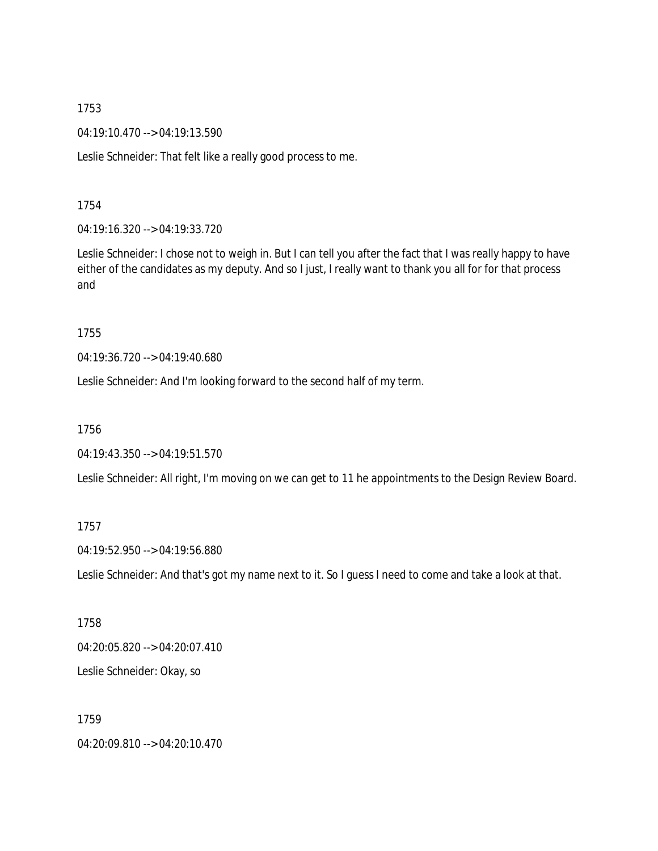04:19:10.470 --> 04:19:13.590

Leslie Schneider: That felt like a really good process to me.

1754

04:19:16.320 --> 04:19:33.720

Leslie Schneider: I chose not to weigh in. But I can tell you after the fact that I was really happy to have either of the candidates as my deputy. And so I just, I really want to thank you all for for that process and

1755

04:19:36.720 --> 04:19:40.680

Leslie Schneider: And I'm looking forward to the second half of my term.

1756

04:19:43.350 --> 04:19:51.570

Leslie Schneider: All right, I'm moving on we can get to 11 he appointments to the Design Review Board.

1757

04:19:52.950 --> 04:19:56.880

Leslie Schneider: And that's got my name next to it. So I guess I need to come and take a look at that.

1758

04:20:05.820 --> 04:20:07.410

Leslie Schneider: Okay, so

1759

04:20:09.810 --> 04:20:10.470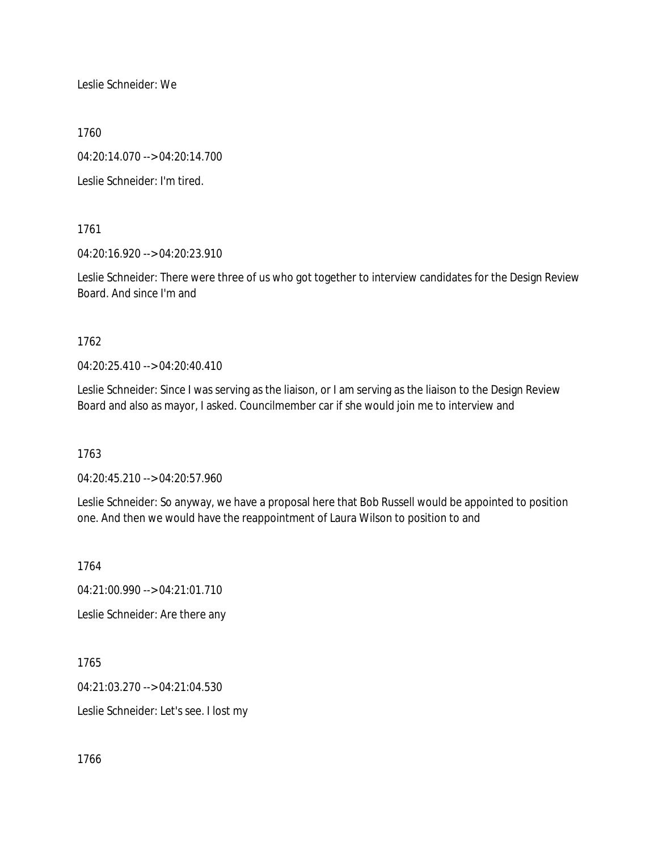Leslie Schneider: We

1760

04:20:14.070 --> 04:20:14.700

Leslie Schneider: I'm tired.

1761

04:20:16.920 --> 04:20:23.910

Leslie Schneider: There were three of us who got together to interview candidates for the Design Review Board. And since I'm and

1762

04:20:25.410 --> 04:20:40.410

Leslie Schneider: Since I was serving as the liaison, or I am serving as the liaison to the Design Review Board and also as mayor, I asked. Councilmember car if she would join me to interview and

1763

04:20:45.210 --> 04:20:57.960

Leslie Schneider: So anyway, we have a proposal here that Bob Russell would be appointed to position one. And then we would have the reappointment of Laura Wilson to position to and

1764

04:21:00.990 --> 04:21:01.710

Leslie Schneider: Are there any

1765 04:21:03.270 --> 04:21:04.530 Leslie Schneider: Let's see. I lost my

1766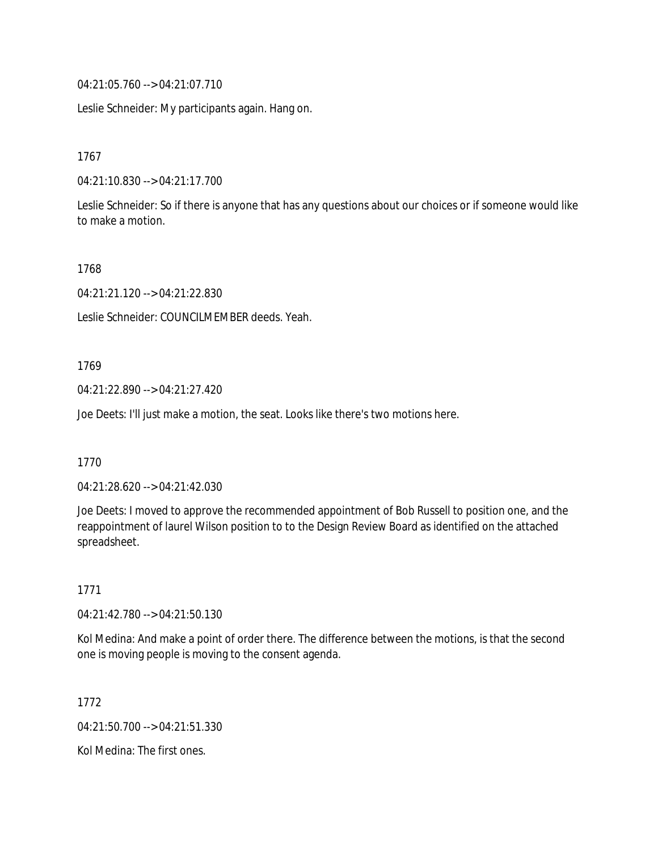04:21:05.760 --> 04:21:07.710

Leslie Schneider: My participants again. Hang on.

1767

04:21:10.830 --> 04:21:17.700

Leslie Schneider: So if there is anyone that has any questions about our choices or if someone would like to make a motion.

1768

04:21:21.120 --> 04:21:22.830

Leslie Schneider: COUNCILMEMBER deeds. Yeah.

1769

04:21:22.890 --> 04:21:27.420

Joe Deets: I'll just make a motion, the seat. Looks like there's two motions here.

1770

04:21:28.620 --> 04:21:42.030

Joe Deets: I moved to approve the recommended appointment of Bob Russell to position one, and the reappointment of laurel Wilson position to to the Design Review Board as identified on the attached spreadsheet.

1771

04:21:42.780 --> 04:21:50.130

Kol Medina: And make a point of order there. The difference between the motions, is that the second one is moving people is moving to the consent agenda.

1772

04:21:50.700 --> 04:21:51.330

Kol Medina: The first ones.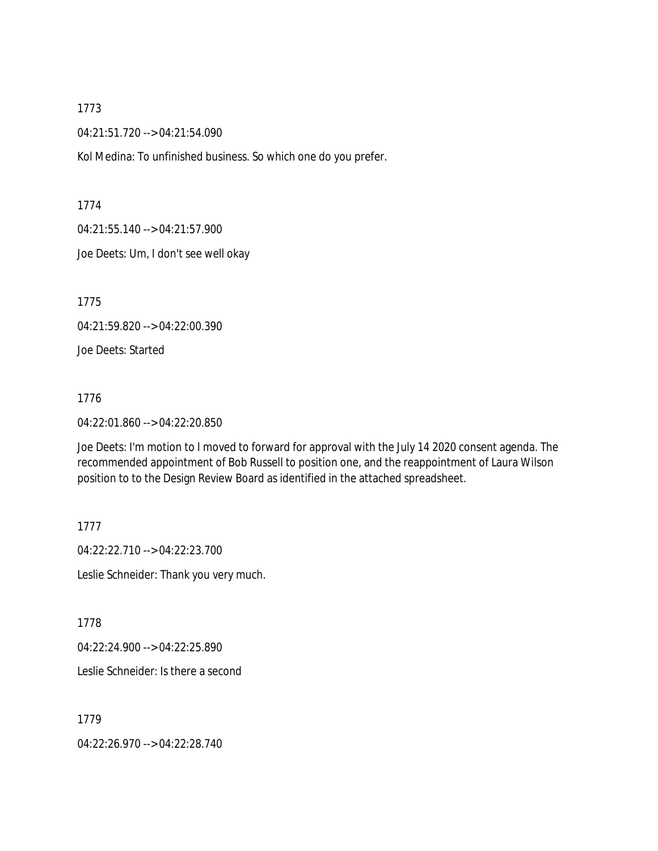04:21:51.720 --> 04:21:54.090

Kol Medina: To unfinished business. So which one do you prefer.

1774

04:21:55.140 --> 04:21:57.900

Joe Deets: Um, I don't see well okay

1775

04:21:59.820 --> 04:22:00.390

Joe Deets: Started

1776

04:22:01.860 --> 04:22:20.850

Joe Deets: I'm motion to I moved to forward for approval with the July 14 2020 consent agenda. The recommended appointment of Bob Russell to position one, and the reappointment of Laura Wilson position to to the Design Review Board as identified in the attached spreadsheet.

1777

04:22:22.710 --> 04:22:23.700 Leslie Schneider: Thank you very much.

1778

04:22:24.900 --> 04:22:25.890

Leslie Schneider: Is there a second

1779

04:22:26.970 --> 04:22:28.740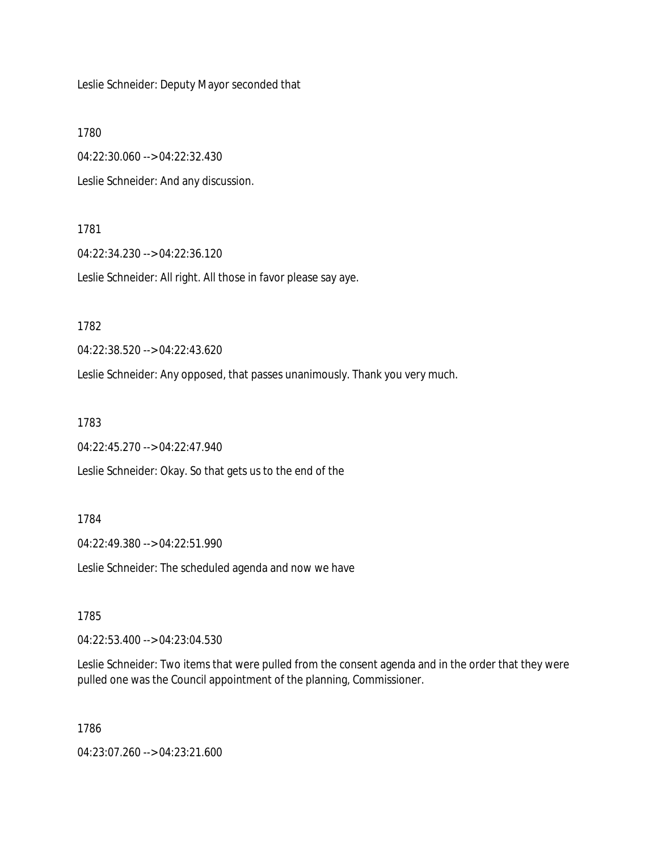Leslie Schneider: Deputy Mayor seconded that

1780

04:22:30.060 --> 04:22:32.430 Leslie Schneider: And any discussion.

1781

04:22:34.230 --> 04:22:36.120

Leslie Schneider: All right. All those in favor please say aye.

1782

04:22:38.520 --> 04:22:43.620

Leslie Schneider: Any opposed, that passes unanimously. Thank you very much.

1783

04:22:45.270 --> 04:22:47.940

Leslie Schneider: Okay. So that gets us to the end of the

1784

04:22:49.380 --> 04:22:51.990

Leslie Schneider: The scheduled agenda and now we have

1785

04:22:53.400 --> 04:23:04.530

Leslie Schneider: Two items that were pulled from the consent agenda and in the order that they were pulled one was the Council appointment of the planning, Commissioner.

1786

04:23:07.260 --> 04:23:21.600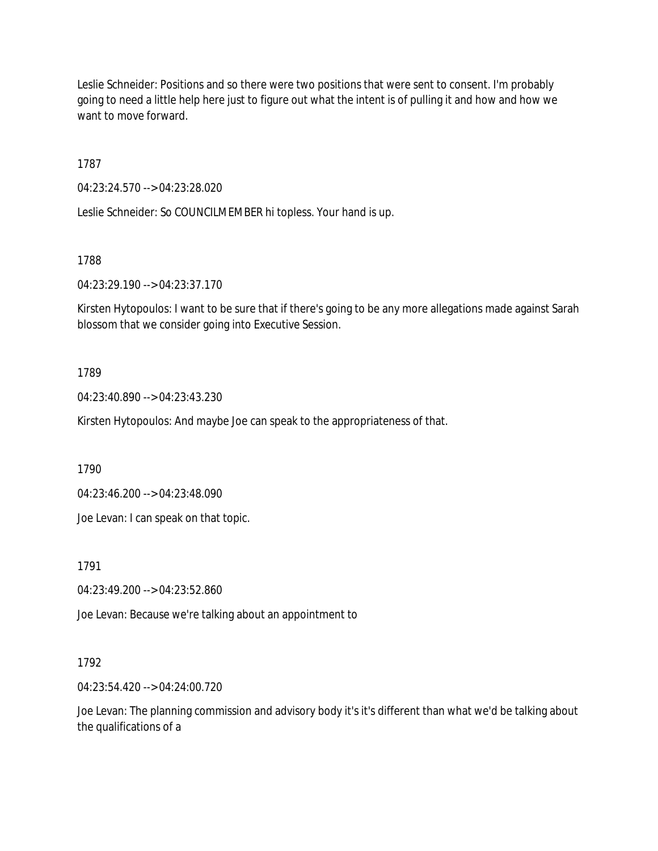Leslie Schneider: Positions and so there were two positions that were sent to consent. I'm probably going to need a little help here just to figure out what the intent is of pulling it and how and how we want to move forward.

1787

04:23:24.570 --> 04:23:28.020

Leslie Schneider: So COUNCILMEMBER hi topless. Your hand is up.

1788

04:23:29.190 --> 04:23:37.170

Kirsten Hytopoulos: I want to be sure that if there's going to be any more allegations made against Sarah blossom that we consider going into Executive Session.

1789

04:23:40.890 --> 04:23:43.230

Kirsten Hytopoulos: And maybe Joe can speak to the appropriateness of that.

1790

04:23:46.200 --> 04:23:48.090

Joe Levan: I can speak on that topic.

1791

04:23:49.200 --> 04:23:52.860

Joe Levan: Because we're talking about an appointment to

1792

04:23:54.420 --> 04:24:00.720

Joe Levan: The planning commission and advisory body it's it's different than what we'd be talking about the qualifications of a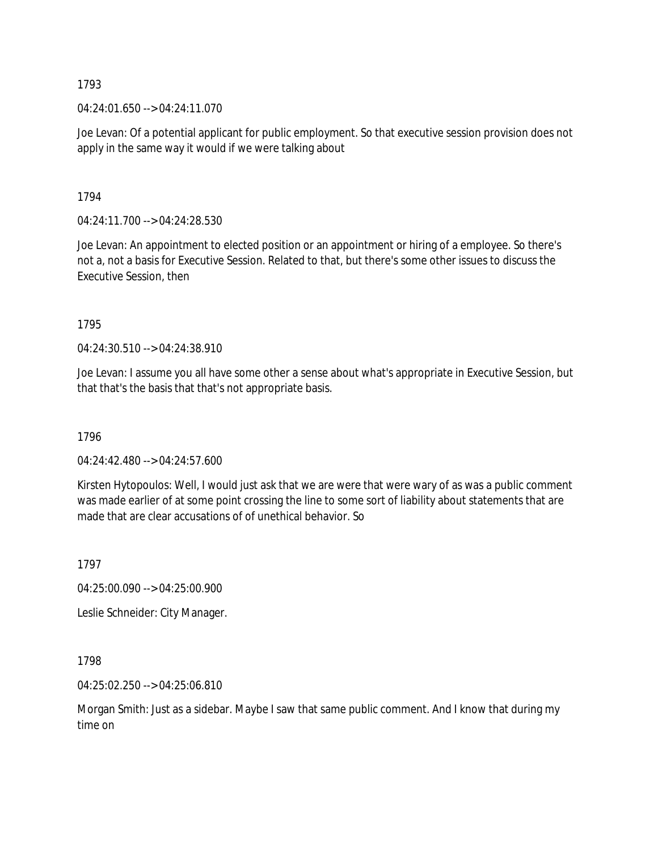04:24:01.650 --> 04:24:11.070

Joe Levan: Of a potential applicant for public employment. So that executive session provision does not apply in the same way it would if we were talking about

1794

04:24:11.700 --> 04:24:28.530

Joe Levan: An appointment to elected position or an appointment or hiring of a employee. So there's not a, not a basis for Executive Session. Related to that, but there's some other issues to discuss the Executive Session, then

1795

04:24:30.510 --> 04:24:38.910

Joe Levan: I assume you all have some other a sense about what's appropriate in Executive Session, but that that's the basis that that's not appropriate basis.

1796

04:24:42.480 --> 04:24:57.600

Kirsten Hytopoulos: Well, I would just ask that we are were that were wary of as was a public comment was made earlier of at some point crossing the line to some sort of liability about statements that are made that are clear accusations of of unethical behavior. So

1797

04:25:00.090 --> 04:25:00.900

Leslie Schneider: City Manager.

1798

04:25:02.250 --> 04:25:06.810

Morgan Smith: Just as a sidebar. Maybe I saw that same public comment. And I know that during my time on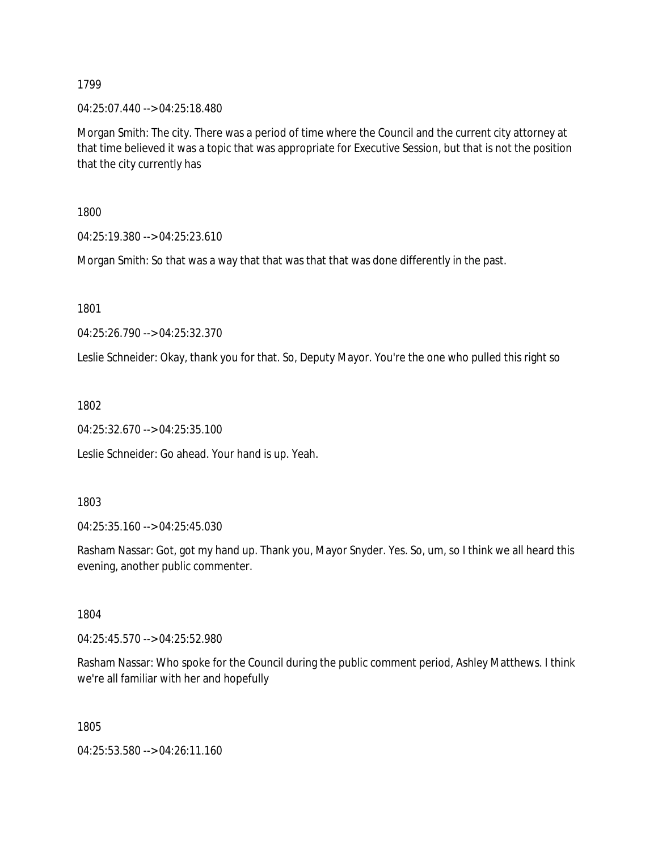04:25:07.440 --> 04:25:18.480

Morgan Smith: The city. There was a period of time where the Council and the current city attorney at that time believed it was a topic that was appropriate for Executive Session, but that is not the position that the city currently has

1800

04:25:19.380 --> 04:25:23.610

Morgan Smith: So that was a way that that was that that was done differently in the past.

1801

04:25:26.790 --> 04:25:32.370

Leslie Schneider: Okay, thank you for that. So, Deputy Mayor. You're the one who pulled this right so

1802

04:25:32.670 --> 04:25:35.100

Leslie Schneider: Go ahead. Your hand is up. Yeah.

1803

04:25:35.160 --> 04:25:45.030

Rasham Nassar: Got, got my hand up. Thank you, Mayor Snyder. Yes. So, um, so I think we all heard this evening, another public commenter.

1804

04:25:45.570 --> 04:25:52.980

Rasham Nassar: Who spoke for the Council during the public comment period, Ashley Matthews. I think we're all familiar with her and hopefully

1805

04:25:53.580 --> 04:26:11.160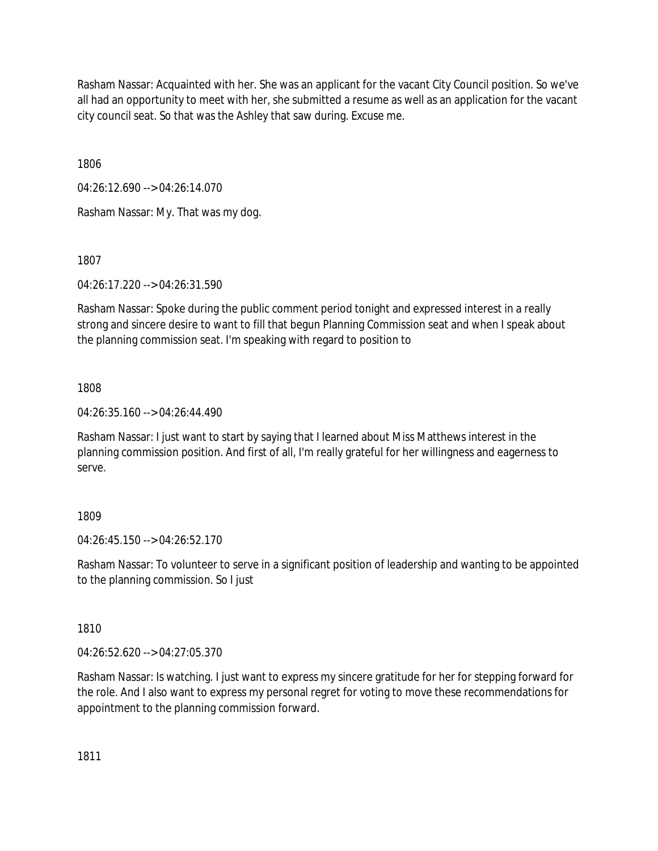Rasham Nassar: Acquainted with her. She was an applicant for the vacant City Council position. So we've all had an opportunity to meet with her, she submitted a resume as well as an application for the vacant city council seat. So that was the Ashley that saw during. Excuse me.

1806

04:26:12.690 --> 04:26:14.070

Rasham Nassar: My. That was my dog.

1807

04:26:17.220 --> 04:26:31.590

Rasham Nassar: Spoke during the public comment period tonight and expressed interest in a really strong and sincere desire to want to fill that begun Planning Commission seat and when I speak about the planning commission seat. I'm speaking with regard to position to

# 1808

04:26:35.160 --> 04:26:44.490

Rasham Nassar: I just want to start by saying that I learned about Miss Matthews interest in the planning commission position. And first of all, I'm really grateful for her willingness and eagerness to serve.

# 1809

04:26:45.150 --> 04:26:52.170

Rasham Nassar: To volunteer to serve in a significant position of leadership and wanting to be appointed to the planning commission. So I just

1810

04:26:52.620 --> 04:27:05.370

Rasham Nassar: Is watching. I just want to express my sincere gratitude for her for stepping forward for the role. And I also want to express my personal regret for voting to move these recommendations for appointment to the planning commission forward.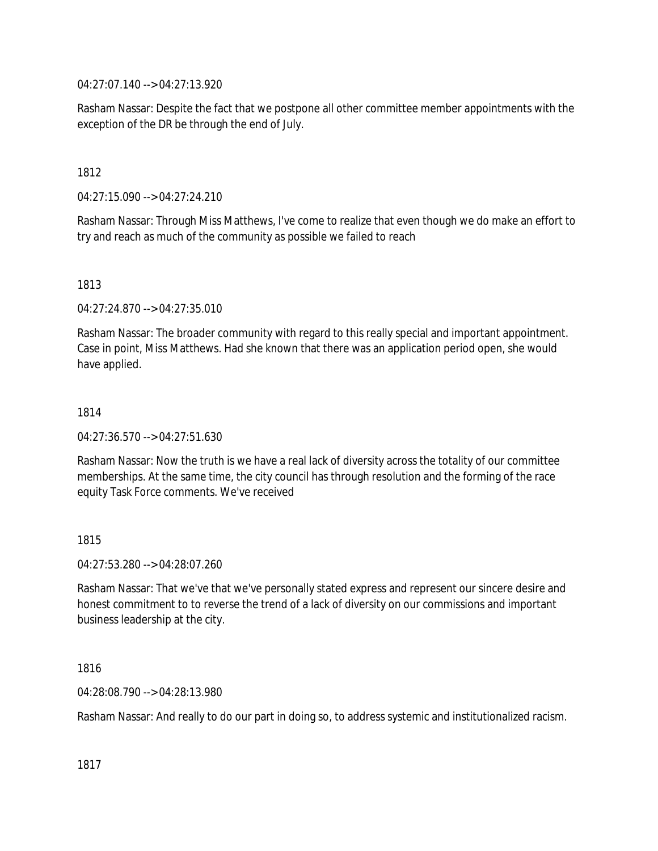04:27:07.140 --> 04:27:13.920

Rasham Nassar: Despite the fact that we postpone all other committee member appointments with the exception of the DR be through the end of July.

1812

04:27:15.090 --> 04:27:24.210

Rasham Nassar: Through Miss Matthews, I've come to realize that even though we do make an effort to try and reach as much of the community as possible we failed to reach

## 1813

04:27:24.870 --> 04:27:35.010

Rasham Nassar: The broader community with regard to this really special and important appointment. Case in point, Miss Matthews. Had she known that there was an application period open, she would have applied.

## 1814

04:27:36.570 --> 04:27:51.630

Rasham Nassar: Now the truth is we have a real lack of diversity across the totality of our committee memberships. At the same time, the city council has through resolution and the forming of the race equity Task Force comments. We've received

## 1815

04:27:53.280 --> 04:28:07.260

Rasham Nassar: That we've that we've personally stated express and represent our sincere desire and honest commitment to to reverse the trend of a lack of diversity on our commissions and important business leadership at the city.

# 1816

04:28:08.790 --> 04:28:13.980

Rasham Nassar: And really to do our part in doing so, to address systemic and institutionalized racism.

1817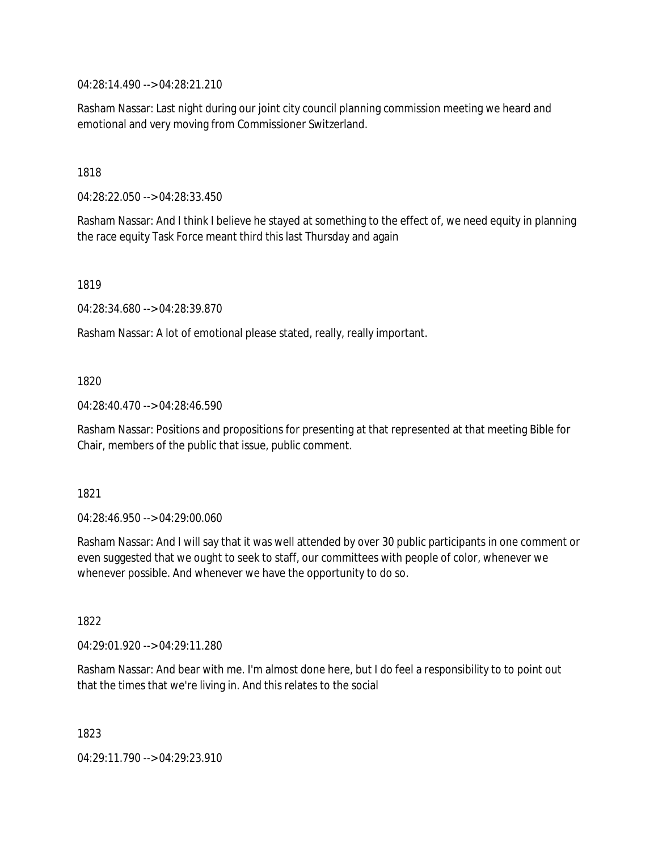04:28:14.490 --> 04:28:21.210

Rasham Nassar: Last night during our joint city council planning commission meeting we heard and emotional and very moving from Commissioner Switzerland.

1818

04:28:22.050 --> 04:28:33.450

Rasham Nassar: And I think I believe he stayed at something to the effect of, we need equity in planning the race equity Task Force meant third this last Thursday and again

1819

04:28:34.680 --> 04:28:39.870

Rasham Nassar: A lot of emotional please stated, really, really important.

1820

04:28:40.470 --> 04:28:46.590

Rasham Nassar: Positions and propositions for presenting at that represented at that meeting Bible for Chair, members of the public that issue, public comment.

1821

04:28:46.950 --> 04:29:00.060

Rasham Nassar: And I will say that it was well attended by over 30 public participants in one comment or even suggested that we ought to seek to staff, our committees with people of color, whenever we whenever possible. And whenever we have the opportunity to do so.

1822

04:29:01.920 --> 04:29:11.280

Rasham Nassar: And bear with me. I'm almost done here, but I do feel a responsibility to to point out that the times that we're living in. And this relates to the social

1823

04:29:11.790 --> 04:29:23.910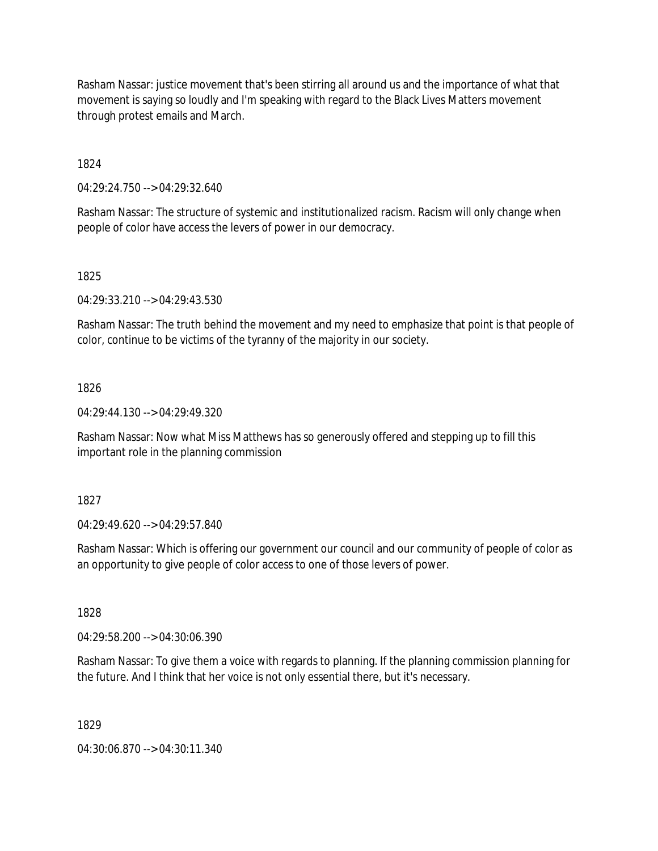Rasham Nassar: justice movement that's been stirring all around us and the importance of what that movement is saying so loudly and I'm speaking with regard to the Black Lives Matters movement through protest emails and March.

1824

04:29:24.750 --> 04:29:32.640

Rasham Nassar: The structure of systemic and institutionalized racism. Racism will only change when people of color have access the levers of power in our democracy.

1825

04:29:33.210 --> 04:29:43.530

Rasham Nassar: The truth behind the movement and my need to emphasize that point is that people of color, continue to be victims of the tyranny of the majority in our society.

1826

04:29:44.130 --> 04:29:49.320

Rasham Nassar: Now what Miss Matthews has so generously offered and stepping up to fill this important role in the planning commission

1827

04:29:49.620 --> 04:29:57.840

Rasham Nassar: Which is offering our government our council and our community of people of color as an opportunity to give people of color access to one of those levers of power.

1828

04:29:58.200 --> 04:30:06.390

Rasham Nassar: To give them a voice with regards to planning. If the planning commission planning for the future. And I think that her voice is not only essential there, but it's necessary.

1829

04:30:06.870 --> 04:30:11.340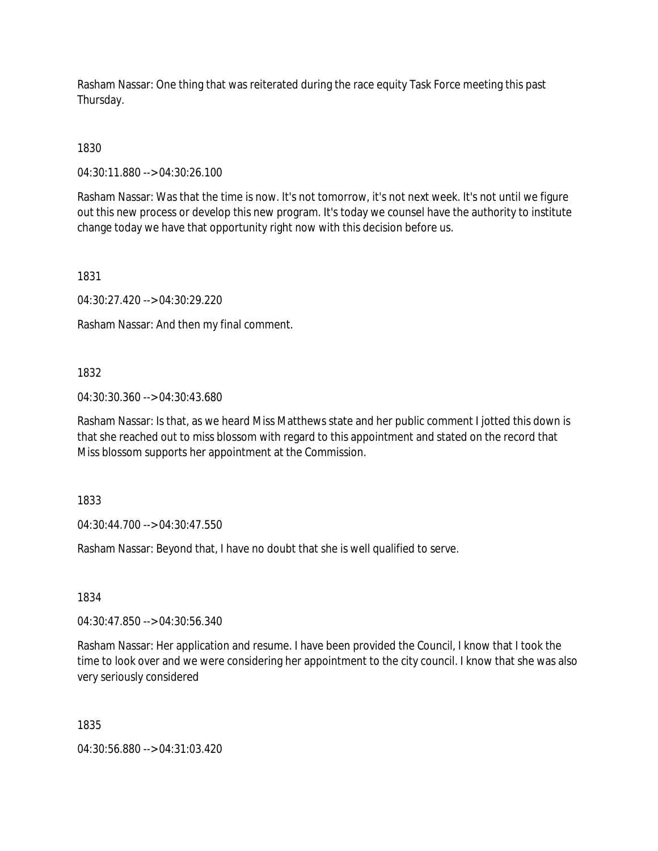Rasham Nassar: One thing that was reiterated during the race equity Task Force meeting this past Thursday.

1830

04:30:11.880 --> 04:30:26.100

Rasham Nassar: Was that the time is now. It's not tomorrow, it's not next week. It's not until we figure out this new process or develop this new program. It's today we counsel have the authority to institute change today we have that opportunity right now with this decision before us.

1831

04:30:27.420 --> 04:30:29.220

Rasham Nassar: And then my final comment.

1832

04:30:30.360 --> 04:30:43.680

Rasham Nassar: Is that, as we heard Miss Matthews state and her public comment I jotted this down is that she reached out to miss blossom with regard to this appointment and stated on the record that Miss blossom supports her appointment at the Commission.

1833

04:30:44.700 --> 04:30:47.550

Rasham Nassar: Beyond that, I have no doubt that she is well qualified to serve.

1834

04:30:47.850 --> 04:30:56.340

Rasham Nassar: Her application and resume. I have been provided the Council, I know that I took the time to look over and we were considering her appointment to the city council. I know that she was also very seriously considered

1835

04:30:56.880 --> 04:31:03.420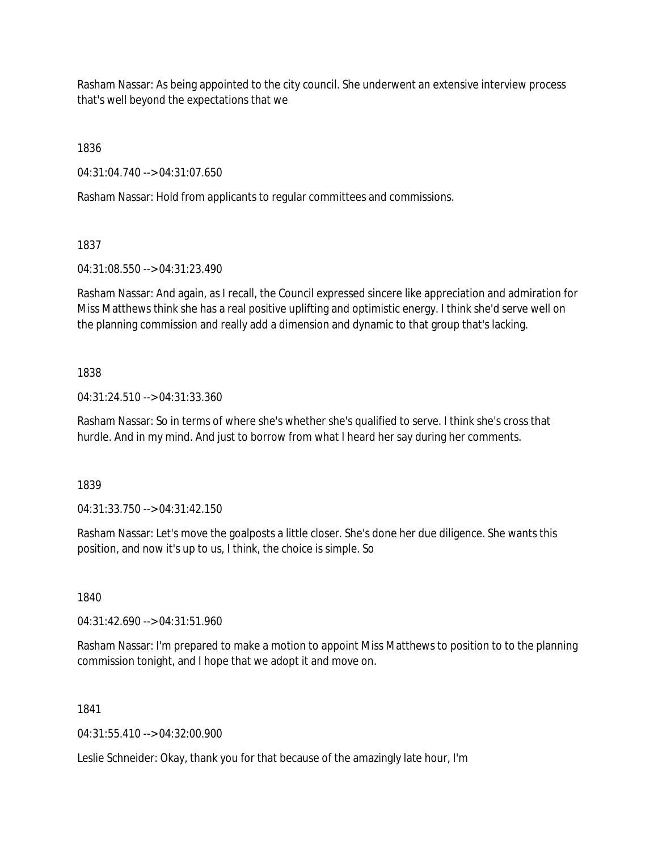Rasham Nassar: As being appointed to the city council. She underwent an extensive interview process that's well beyond the expectations that we

1836

04:31:04.740 --> 04:31:07.650

Rasham Nassar: Hold from applicants to regular committees and commissions.

1837

04:31:08.550 --> 04:31:23.490

Rasham Nassar: And again, as I recall, the Council expressed sincere like appreciation and admiration for Miss Matthews think she has a real positive uplifting and optimistic energy. I think she'd serve well on the planning commission and really add a dimension and dynamic to that group that's lacking.

# 1838

04:31:24.510 --> 04:31:33.360

Rasham Nassar: So in terms of where she's whether she's qualified to serve. I think she's cross that hurdle. And in my mind. And just to borrow from what I heard her say during her comments.

1839

04:31:33.750 --> 04:31:42.150

Rasham Nassar: Let's move the goalposts a little closer. She's done her due diligence. She wants this position, and now it's up to us, I think, the choice is simple. So

1840

04:31:42.690 --> 04:31:51.960

Rasham Nassar: I'm prepared to make a motion to appoint Miss Matthews to position to to the planning commission tonight, and I hope that we adopt it and move on.

1841

04:31:55.410 --> 04:32:00.900

Leslie Schneider: Okay, thank you for that because of the amazingly late hour, I'm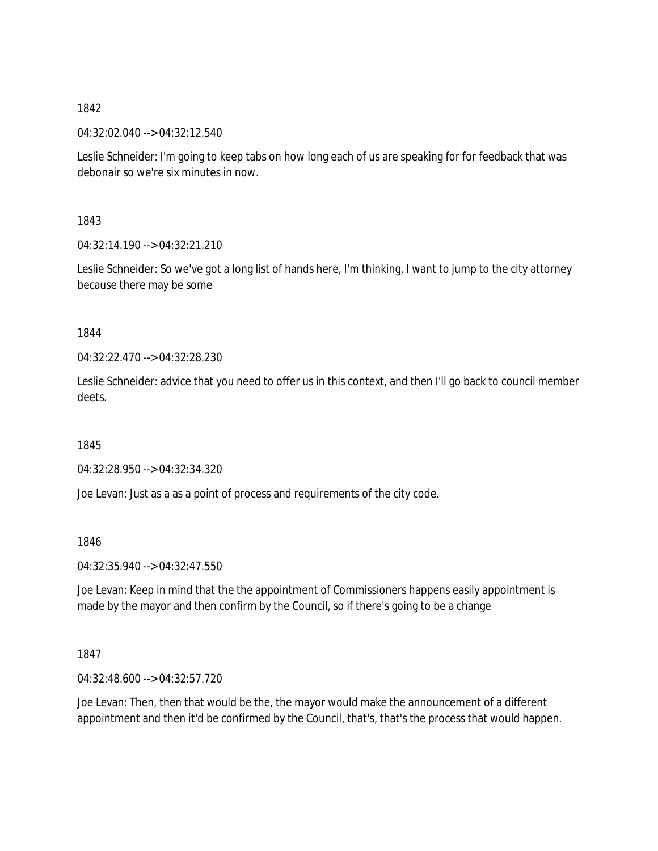04:32:02.040 --> 04:32:12.540

Leslie Schneider: I'm going to keep tabs on how long each of us are speaking for for feedback that was debonair so we're six minutes in now.

1843

04:32:14.190 --> 04:32:21.210

Leslie Schneider: So we've got a long list of hands here, I'm thinking, I want to jump to the city attorney because there may be some

1844

04:32:22.470 --> 04:32:28.230

Leslie Schneider: advice that you need to offer us in this context, and then I'll go back to council member deets.

1845

04:32:28.950 --> 04:32:34.320

Joe Levan: Just as a as a point of process and requirements of the city code.

1846

04:32:35.940 --> 04:32:47.550

Joe Levan: Keep in mind that the the appointment of Commissioners happens easily appointment is made by the mayor and then confirm by the Council, so if there's going to be a change

1847

04:32:48.600 --> 04:32:57.720

Joe Levan: Then, then that would be the, the mayor would make the announcement of a different appointment and then it'd be confirmed by the Council, that's, that's the process that would happen.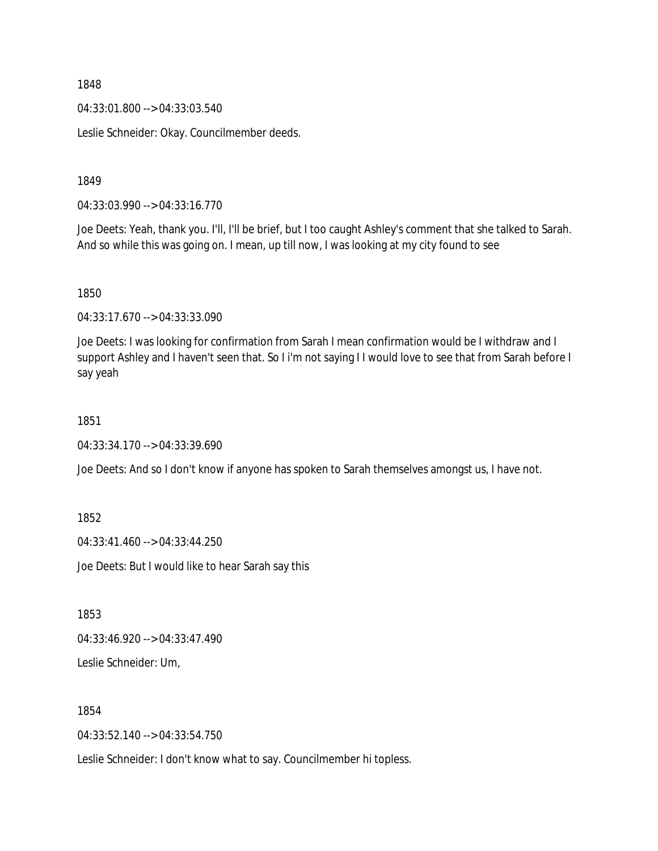04:33:01.800 --> 04:33:03.540

Leslie Schneider: Okay. Councilmember deeds.

1849

04:33:03.990 --> 04:33:16.770

Joe Deets: Yeah, thank you. I'll, I'll be brief, but I too caught Ashley's comment that she talked to Sarah. And so while this was going on. I mean, up till now, I was looking at my city found to see

1850

04:33:17.670 --> 04:33:33.090

Joe Deets: I was looking for confirmation from Sarah I mean confirmation would be I withdraw and I support Ashley and I haven't seen that. So I i'm not saying I I would love to see that from Sarah before I say yeah

1851

04:33:34.170 --> 04:33:39.690

Joe Deets: And so I don't know if anyone has spoken to Sarah themselves amongst us, I have not.

1852

04:33:41.460 --> 04:33:44.250

Joe Deets: But I would like to hear Sarah say this

1853

04:33:46.920 --> 04:33:47.490

Leslie Schneider: Um,

1854

04:33:52.140 --> 04:33:54.750

Leslie Schneider: I don't know what to say. Councilmember hi topless.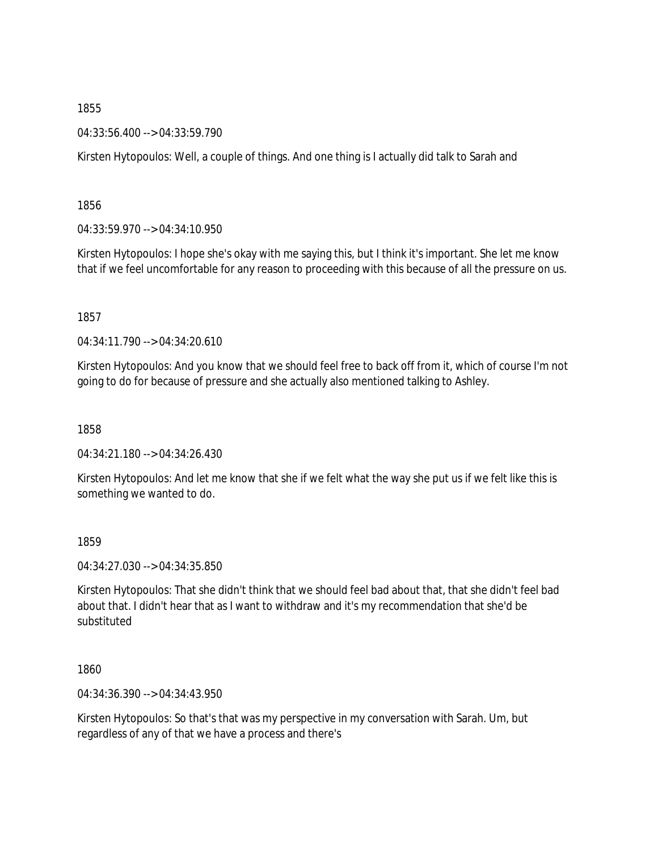04:33:56.400 --> 04:33:59.790

Kirsten Hytopoulos: Well, a couple of things. And one thing is I actually did talk to Sarah and

1856

04:33:59.970 --> 04:34:10.950

Kirsten Hytopoulos: I hope she's okay with me saying this, but I think it's important. She let me know that if we feel uncomfortable for any reason to proceeding with this because of all the pressure on us.

1857

04:34:11.790 --> 04:34:20.610

Kirsten Hytopoulos: And you know that we should feel free to back off from it, which of course I'm not going to do for because of pressure and she actually also mentioned talking to Ashley.

1858

04:34:21.180 --> 04:34:26.430

Kirsten Hytopoulos: And let me know that she if we felt what the way she put us if we felt like this is something we wanted to do.

1859

04:34:27.030 --> 04:34:35.850

Kirsten Hytopoulos: That she didn't think that we should feel bad about that, that she didn't feel bad about that. I didn't hear that as I want to withdraw and it's my recommendation that she'd be substituted

1860

04:34:36.390 --> 04:34:43.950

Kirsten Hytopoulos: So that's that was my perspective in my conversation with Sarah. Um, but regardless of any of that we have a process and there's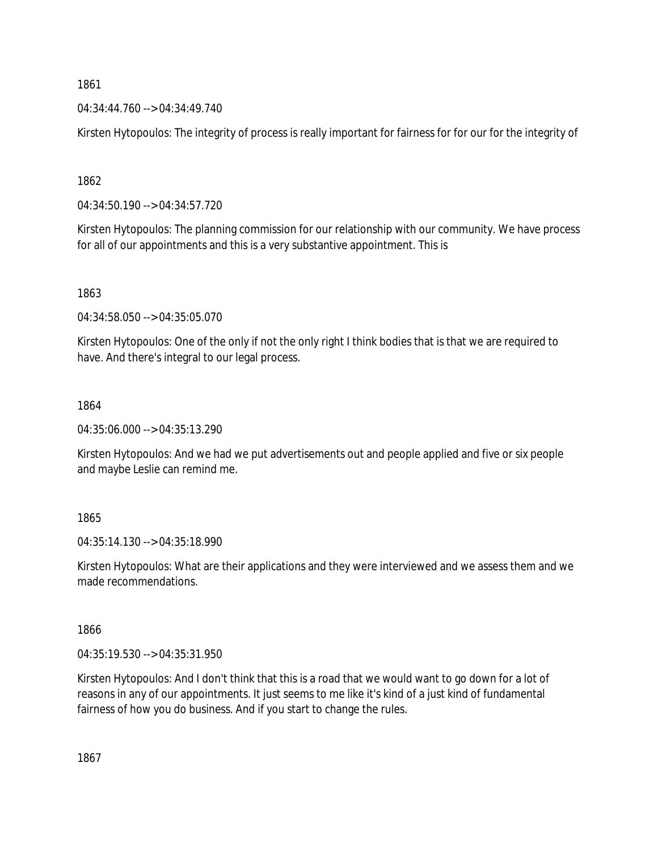04:34:44.760 --> 04:34:49.740

Kirsten Hytopoulos: The integrity of process is really important for fairness for for our for the integrity of

1862

04:34:50.190 --> 04:34:57.720

Kirsten Hytopoulos: The planning commission for our relationship with our community. We have process for all of our appointments and this is a very substantive appointment. This is

1863

04:34:58.050 --> 04:35:05.070

Kirsten Hytopoulos: One of the only if not the only right I think bodies that is that we are required to have. And there's integral to our legal process.

1864

04:35:06.000 --> 04:35:13.290

Kirsten Hytopoulos: And we had we put advertisements out and people applied and five or six people and maybe Leslie can remind me.

1865

04:35:14.130 --> 04:35:18.990

Kirsten Hytopoulos: What are their applications and they were interviewed and we assess them and we made recommendations.

1866

04:35:19.530 --> 04:35:31.950

Kirsten Hytopoulos: And I don't think that this is a road that we would want to go down for a lot of reasons in any of our appointments. It just seems to me like it's kind of a just kind of fundamental fairness of how you do business. And if you start to change the rules.

1867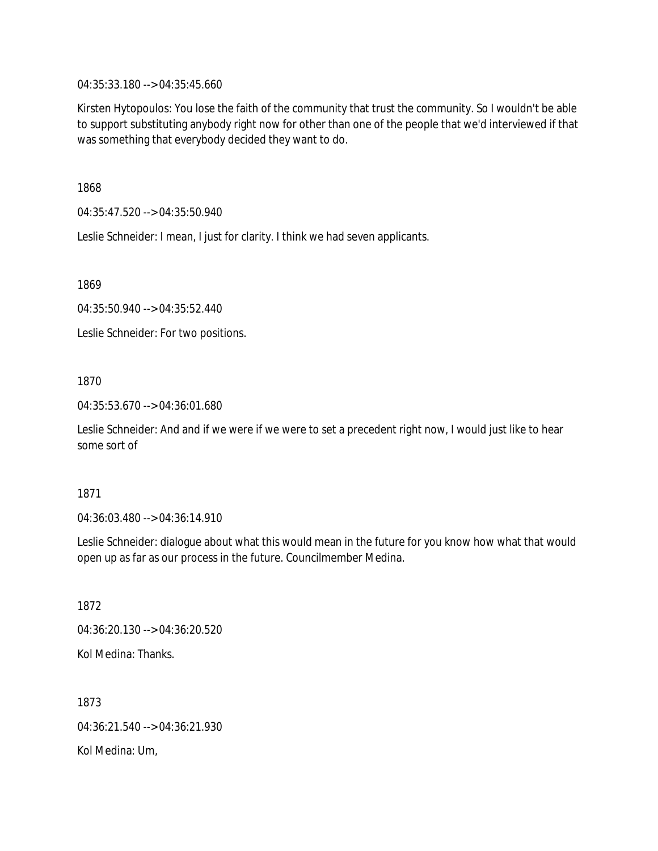04:35:33.180 --> 04:35:45.660

Kirsten Hytopoulos: You lose the faith of the community that trust the community. So I wouldn't be able to support substituting anybody right now for other than one of the people that we'd interviewed if that was something that everybody decided they want to do.

1868

04:35:47.520 --> 04:35:50.940

Leslie Schneider: I mean, I just for clarity. I think we had seven applicants.

1869

04:35:50.940 --> 04:35:52.440

Leslie Schneider: For two positions.

## 1870

04:35:53.670 --> 04:36:01.680

Leslie Schneider: And and if we were if we were to set a precedent right now, I would just like to hear some sort of

#### 1871

04:36:03.480 --> 04:36:14.910

Leslie Schneider: dialogue about what this would mean in the future for you know how what that would open up as far as our process in the future. Councilmember Medina.

1872

04:36:20.130 --> 04:36:20.520

Kol Medina: Thanks.

1873 04:36:21.540 --> 04:36:21.930 Kol Medina: Um,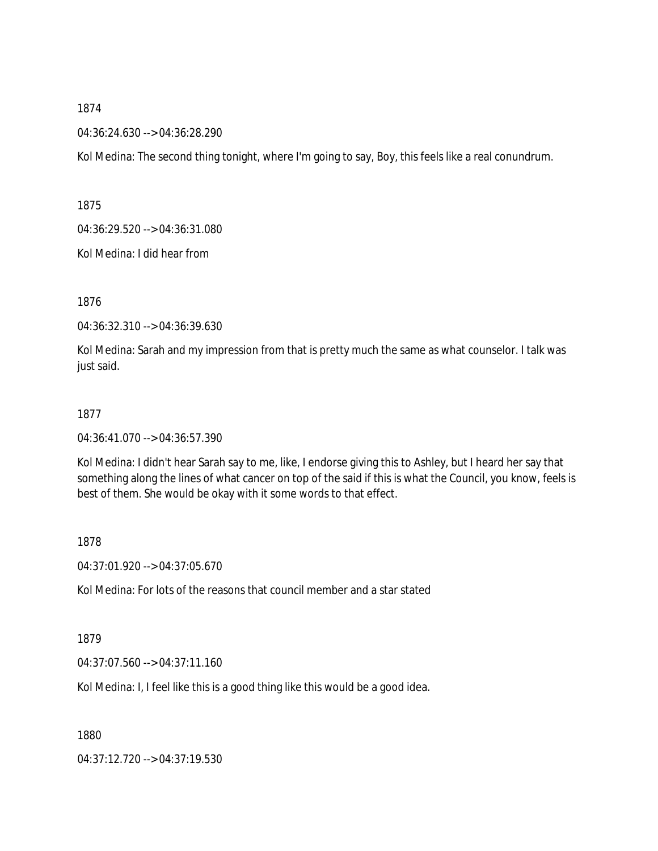04:36:24.630 --> 04:36:28.290

Kol Medina: The second thing tonight, where I'm going to say, Boy, this feels like a real conundrum.

1875

04:36:29.520 --> 04:36:31.080

Kol Medina: I did hear from

1876

04:36:32.310 --> 04:36:39.630

Kol Medina: Sarah and my impression from that is pretty much the same as what counselor. I talk was just said.

### 1877

04:36:41.070 --> 04:36:57.390

Kol Medina: I didn't hear Sarah say to me, like, I endorse giving this to Ashley, but I heard her say that something along the lines of what cancer on top of the said if this is what the Council, you know, feels is best of them. She would be okay with it some words to that effect.

#### 1878

04:37:01.920 --> 04:37:05.670

Kol Medina: For lots of the reasons that council member and a star stated

1879

04:37:07.560 --> 04:37:11.160

Kol Medina: I, I feel like this is a good thing like this would be a good idea.

1880

04:37:12.720 --> 04:37:19.530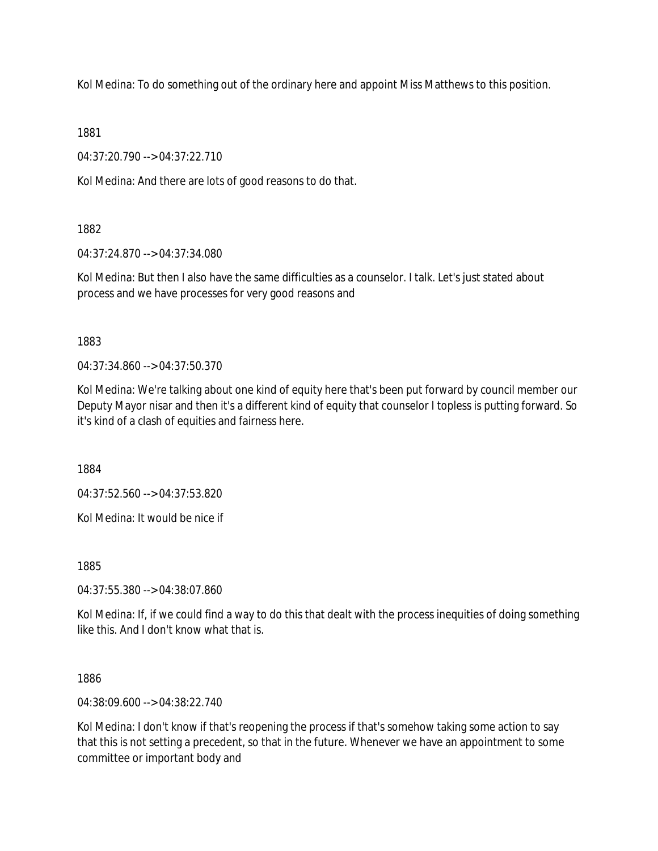Kol Medina: To do something out of the ordinary here and appoint Miss Matthews to this position.

1881

04:37:20.790 --> 04:37:22.710

Kol Medina: And there are lots of good reasons to do that.

1882

04:37:24.870 --> 04:37:34.080

Kol Medina: But then I also have the same difficulties as a counselor. I talk. Let's just stated about process and we have processes for very good reasons and

1883

04:37:34.860 --> 04:37:50.370

Kol Medina: We're talking about one kind of equity here that's been put forward by council member our Deputy Mayor nisar and then it's a different kind of equity that counselor I topless is putting forward. So it's kind of a clash of equities and fairness here.

1884

04:37:52.560 --> 04:37:53.820

Kol Medina: It would be nice if

1885

04:37:55.380 --> 04:38:07.860

Kol Medina: If, if we could find a way to do this that dealt with the process inequities of doing something like this. And I don't know what that is.

1886

04:38:09.600 --> 04:38:22.740

Kol Medina: I don't know if that's reopening the process if that's somehow taking some action to say that this is not setting a precedent, so that in the future. Whenever we have an appointment to some committee or important body and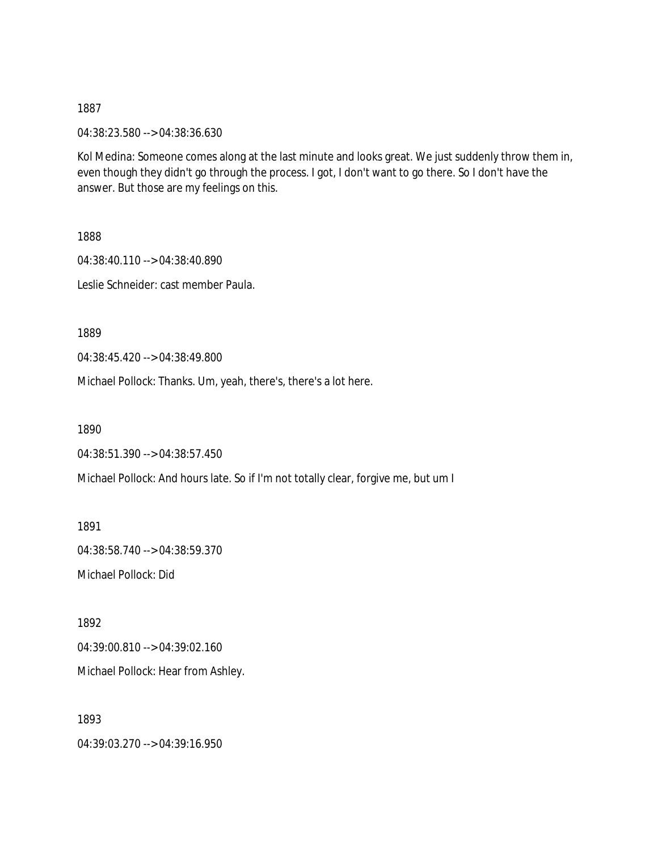04:38:23.580 --> 04:38:36.630

Kol Medina: Someone comes along at the last minute and looks great. We just suddenly throw them in, even though they didn't go through the process. I got, I don't want to go there. So I don't have the answer. But those are my feelings on this.

1888

04:38:40.110 --> 04:38:40.890 Leslie Schneider: cast member Paula.

1889

04:38:45.420 --> 04:38:49.800

Michael Pollock: Thanks. Um, yeah, there's, there's a lot here.

1890

```
04:38:51.390 --> 04:38:57.450
```
Michael Pollock: And hours late. So if I'm not totally clear, forgive me, but um I

1891 04:38:58.740 --> 04:38:59.370 Michael Pollock: Did

1892

04:39:00.810 --> 04:39:02.160

Michael Pollock: Hear from Ashley.

1893

04:39:03.270 --> 04:39:16.950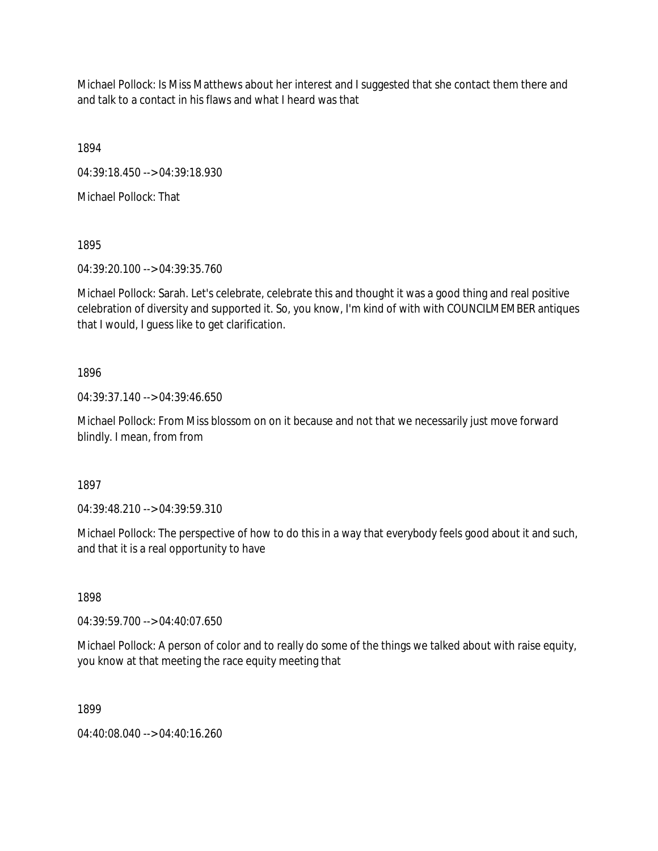Michael Pollock: Is Miss Matthews about her interest and I suggested that she contact them there and and talk to a contact in his flaws and what I heard was that

1894

04:39:18.450 --> 04:39:18.930

Michael Pollock: That

1895

04:39:20.100 --> 04:39:35.760

Michael Pollock: Sarah. Let's celebrate, celebrate this and thought it was a good thing and real positive celebration of diversity and supported it. So, you know, I'm kind of with with COUNCILMEMBER antiques that I would, I guess like to get clarification.

1896

04:39:37.140 --> 04:39:46.650

Michael Pollock: From Miss blossom on on it because and not that we necessarily just move forward blindly. I mean, from from

1897

04:39:48.210 --> 04:39:59.310

Michael Pollock: The perspective of how to do this in a way that everybody feels good about it and such, and that it is a real opportunity to have

1898

04:39:59.700 --> 04:40:07.650

Michael Pollock: A person of color and to really do some of the things we talked about with raise equity, you know at that meeting the race equity meeting that

1899

04:40:08.040 --> 04:40:16.260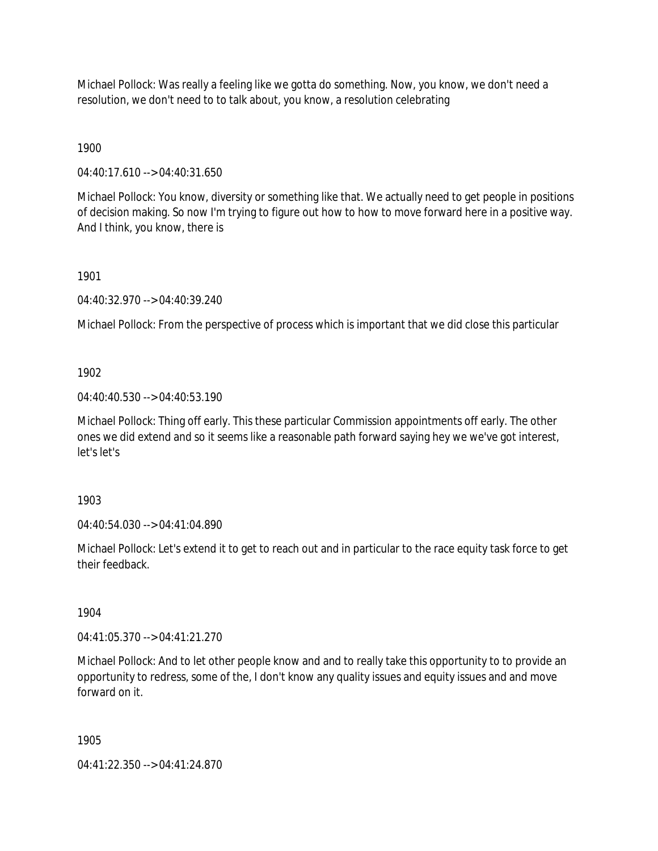Michael Pollock: Was really a feeling like we gotta do something. Now, you know, we don't need a resolution, we don't need to to talk about, you know, a resolution celebrating

1900

04:40:17.610 --> 04:40:31.650

Michael Pollock: You know, diversity or something like that. We actually need to get people in positions of decision making. So now I'm trying to figure out how to how to move forward here in a positive way. And I think, you know, there is

1901

04:40:32.970 --> 04:40:39.240

Michael Pollock: From the perspective of process which is important that we did close this particular

1902

04:40:40.530 --> 04:40:53.190

Michael Pollock: Thing off early. This these particular Commission appointments off early. The other ones we did extend and so it seems like a reasonable path forward saying hey we we've got interest, let's let's

1903

04:40:54.030 --> 04:41:04.890

Michael Pollock: Let's extend it to get to reach out and in particular to the race equity task force to get their feedback.

1904

04:41:05.370 --> 04:41:21.270

Michael Pollock: And to let other people know and and to really take this opportunity to to provide an opportunity to redress, some of the, I don't know any quality issues and equity issues and and move forward on it.

1905

04:41:22.350 --> 04:41:24.870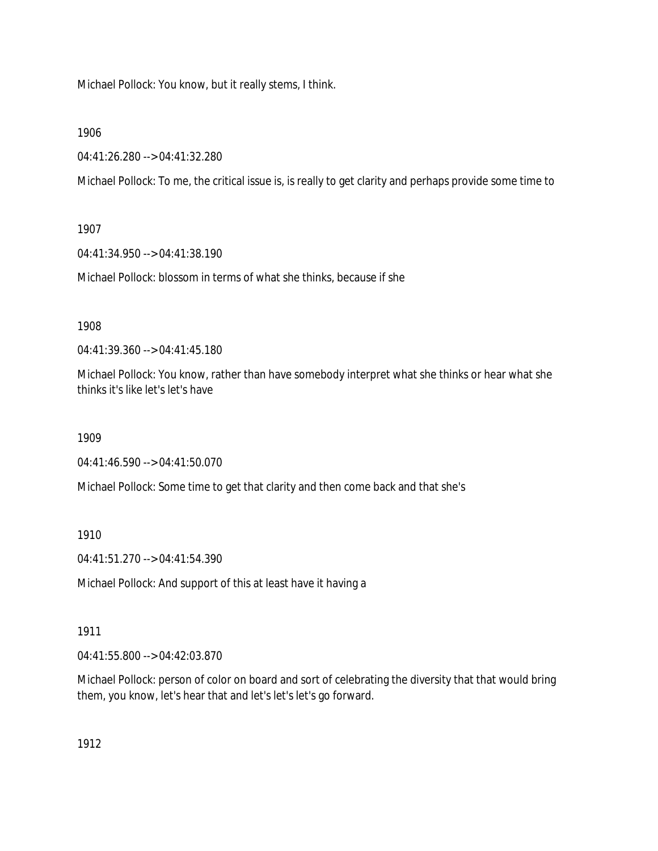Michael Pollock: You know, but it really stems, I think.

1906

04:41:26.280 --> 04:41:32.280

Michael Pollock: To me, the critical issue is, is really to get clarity and perhaps provide some time to

1907

04:41:34.950 --> 04:41:38.190

Michael Pollock: blossom in terms of what she thinks, because if she

1908

04:41:39.360 --> 04:41:45.180

Michael Pollock: You know, rather than have somebody interpret what she thinks or hear what she thinks it's like let's let's have

1909

04:41:46.590 --> 04:41:50.070

Michael Pollock: Some time to get that clarity and then come back and that she's

1910

04:41:51.270 --> 04:41:54.390

Michael Pollock: And support of this at least have it having a

1911

04:41:55.800 --> 04:42:03.870

Michael Pollock: person of color on board and sort of celebrating the diversity that that would bring them, you know, let's hear that and let's let's let's go forward.

1912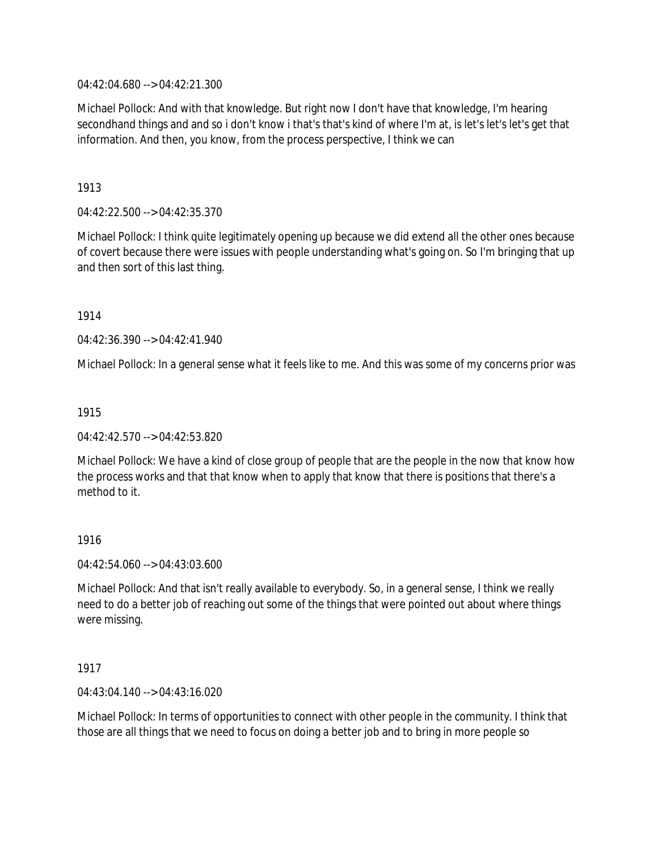04:42:04.680 --> 04:42:21.300

Michael Pollock: And with that knowledge. But right now I don't have that knowledge, I'm hearing secondhand things and and so i don't know i that's that's kind of where I'm at, is let's let's let's get that information. And then, you know, from the process perspective, I think we can

# 1913

04:42:22.500 --> 04:42:35.370

Michael Pollock: I think quite legitimately opening up because we did extend all the other ones because of covert because there were issues with people understanding what's going on. So I'm bringing that up and then sort of this last thing.

1914

04:42:36.390 --> 04:42:41.940

Michael Pollock: In a general sense what it feels like to me. And this was some of my concerns prior was

## 1915

04:42:42.570 --> 04:42:53.820

Michael Pollock: We have a kind of close group of people that are the people in the now that know how the process works and that that know when to apply that know that there is positions that there's a method to it.

## 1916

04:42:54.060 --> 04:43:03.600

Michael Pollock: And that isn't really available to everybody. So, in a general sense, I think we really need to do a better job of reaching out some of the things that were pointed out about where things were missing.

## 1917

04:43:04.140 --> 04:43:16.020

Michael Pollock: In terms of opportunities to connect with other people in the community. I think that those are all things that we need to focus on doing a better job and to bring in more people so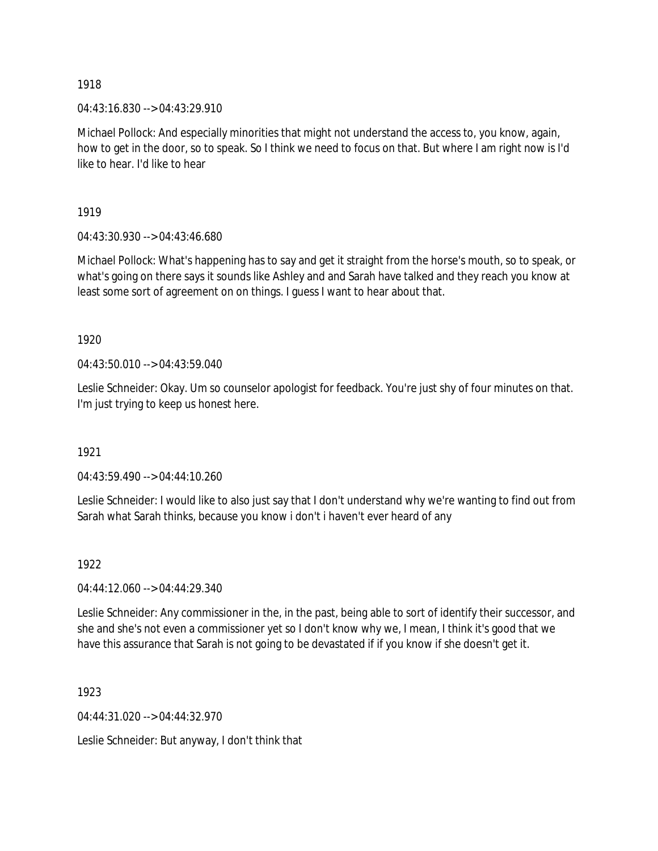04:43:16.830 --> 04:43:29.910

Michael Pollock: And especially minorities that might not understand the access to, you know, again, how to get in the door, so to speak. So I think we need to focus on that. But where I am right now is I'd like to hear. I'd like to hear

1919

04:43:30.930 --> 04:43:46.680

Michael Pollock: What's happening has to say and get it straight from the horse's mouth, so to speak, or what's going on there says it sounds like Ashley and and Sarah have talked and they reach you know at least some sort of agreement on on things. I guess I want to hear about that.

1920

 $04:43:50.010 \rightarrow 04:43:59.040$ 

Leslie Schneider: Okay. Um so counselor apologist for feedback. You're just shy of four minutes on that. I'm just trying to keep us honest here.

1921

04:43:59.490 --> 04:44:10.260

Leslie Schneider: I would like to also just say that I don't understand why we're wanting to find out from Sarah what Sarah thinks, because you know i don't i haven't ever heard of any

1922

04:44:12.060 --> 04:44:29.340

Leslie Schneider: Any commissioner in the, in the past, being able to sort of identify their successor, and she and she's not even a commissioner yet so I don't know why we, I mean, I think it's good that we have this assurance that Sarah is not going to be devastated if if you know if she doesn't get it.

1923

04:44:31.020 --> 04:44:32.970

Leslie Schneider: But anyway, I don't think that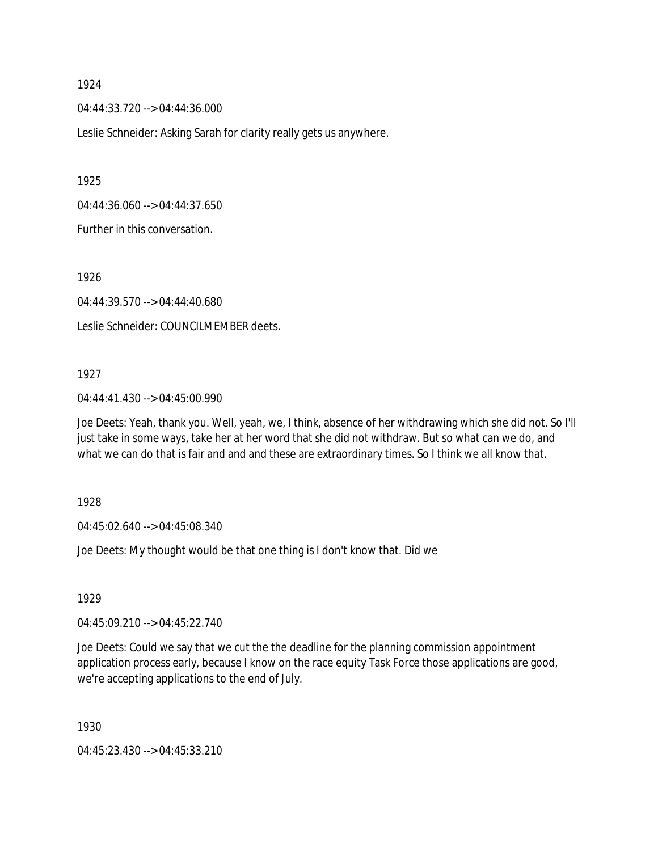04:44:33.720 --> 04:44:36.000

Leslie Schneider: Asking Sarah for clarity really gets us anywhere.

1925

04:44:36.060 --> 04:44:37.650

Further in this conversation.

1926

04:44:39.570 --> 04:44:40.680

Leslie Schneider: COUNCILMEMBER deets.

#### 1927

04:44:41.430 --> 04:45:00.990

Joe Deets: Yeah, thank you. Well, yeah, we, I think, absence of her withdrawing which she did not. So I'll just take in some ways, take her at her word that she did not withdraw. But so what can we do, and what we can do that is fair and and and these are extraordinary times. So I think we all know that.

1928

04:45:02.640 --> 04:45:08.340

Joe Deets: My thought would be that one thing is I don't know that. Did we

1929

04:45:09.210 --> 04:45:22.740

Joe Deets: Could we say that we cut the the deadline for the planning commission appointment application process early, because I know on the race equity Task Force those applications are good, we're accepting applications to the end of July.

1930

04:45:23.430 --> 04:45:33.210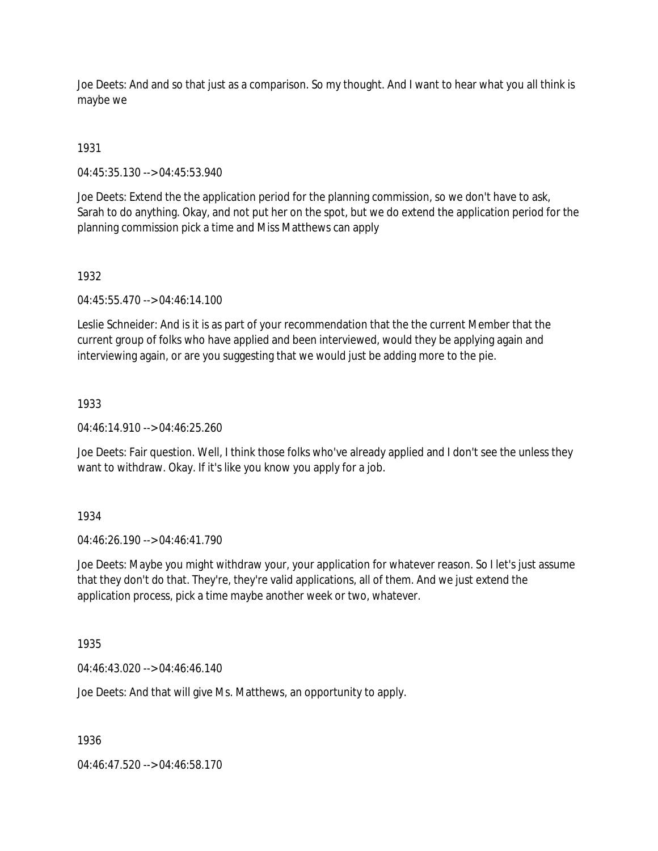Joe Deets: And and so that just as a comparison. So my thought. And I want to hear what you all think is maybe we

# 1931

04:45:35.130 --> 04:45:53.940

Joe Deets: Extend the the application period for the planning commission, so we don't have to ask, Sarah to do anything. Okay, and not put her on the spot, but we do extend the application period for the planning commission pick a time and Miss Matthews can apply

### 1932

04:45:55.470 --> 04:46:14.100

Leslie Schneider: And is it is as part of your recommendation that the the current Member that the current group of folks who have applied and been interviewed, would they be applying again and interviewing again, or are you suggesting that we would just be adding more to the pie.

## 1933

 $04.46.14.910 -> 04.46.25.260$ 

Joe Deets: Fair question. Well, I think those folks who've already applied and I don't see the unless they want to withdraw. Okay. If it's like you know you apply for a job.

## 1934

04:46:26.190 --> 04:46:41.790

Joe Deets: Maybe you might withdraw your, your application for whatever reason. So I let's just assume that they don't do that. They're, they're valid applications, all of them. And we just extend the application process, pick a time maybe another week or two, whatever.

1935

04:46:43.020 --> 04:46:46.140

Joe Deets: And that will give Ms. Matthews, an opportunity to apply.

1936

04:46:47.520 --> 04:46:58.170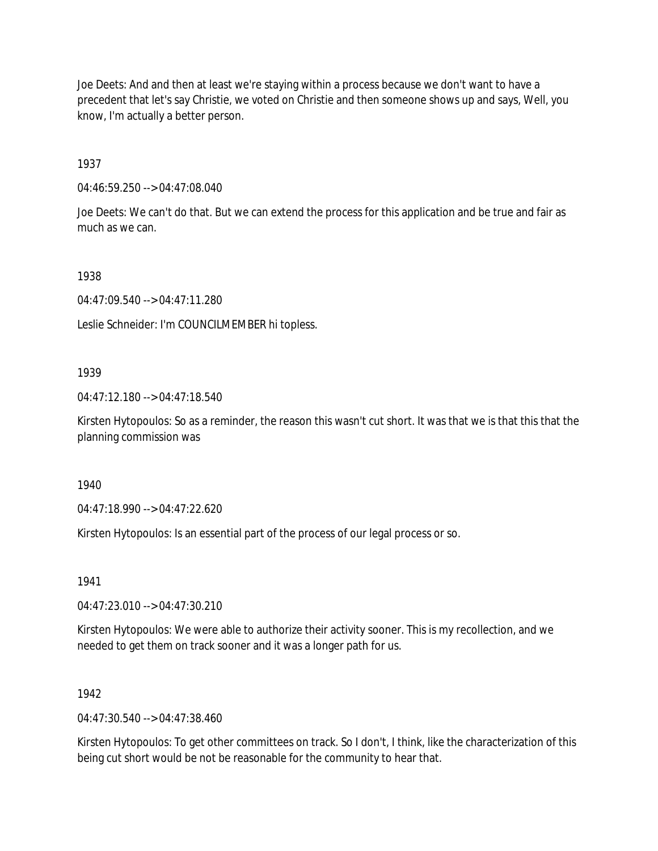Joe Deets: And and then at least we're staying within a process because we don't want to have a precedent that let's say Christie, we voted on Christie and then someone shows up and says, Well, you know, I'm actually a better person.

1937

04:46:59.250 --> 04:47:08.040

Joe Deets: We can't do that. But we can extend the process for this application and be true and fair as much as we can.

1938

04:47:09.540 --> 04:47:11.280

Leslie Schneider: I'm COUNCILMEMBER hi topless.

### 1939

04:47:12.180 --> 04:47:18.540

Kirsten Hytopoulos: So as a reminder, the reason this wasn't cut short. It was that we is that this that the planning commission was

1940

04:47:18.990 --> 04:47:22.620

Kirsten Hytopoulos: Is an essential part of the process of our legal process or so.

1941

04:47:23.010 --> 04:47:30.210

Kirsten Hytopoulos: We were able to authorize their activity sooner. This is my recollection, and we needed to get them on track sooner and it was a longer path for us.

## 1942

 $04.47.30.540 -> 04.47.38.460$ 

Kirsten Hytopoulos: To get other committees on track. So I don't, I think, like the characterization of this being cut short would be not be reasonable for the community to hear that.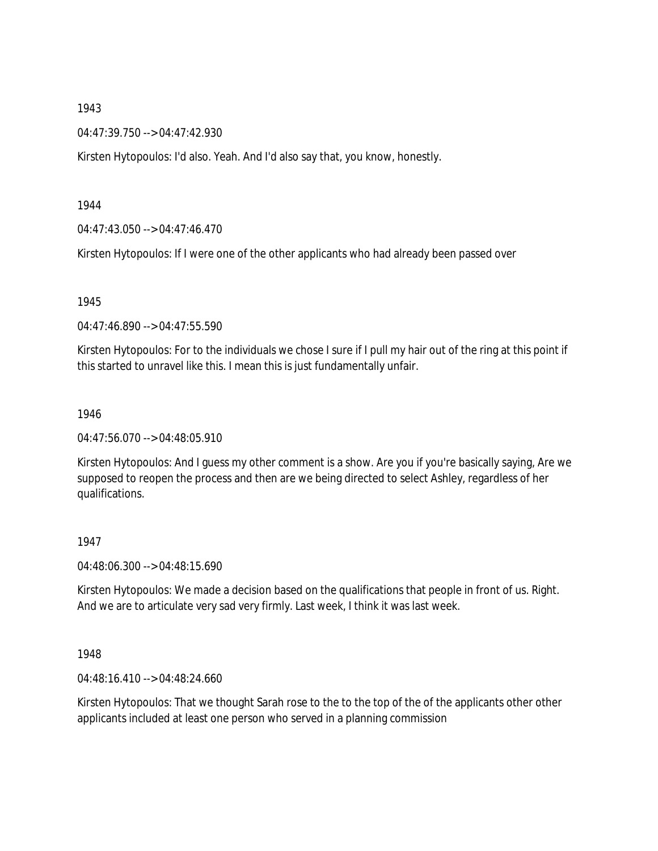04:47:39.750 --> 04:47:42.930

Kirsten Hytopoulos: I'd also. Yeah. And I'd also say that, you know, honestly.

1944

04:47:43.050 --> 04:47:46.470

Kirsten Hytopoulos: If I were one of the other applicants who had already been passed over

1945

04:47:46.890 --> 04:47:55.590

Kirsten Hytopoulos: For to the individuals we chose I sure if I pull my hair out of the ring at this point if this started to unravel like this. I mean this is just fundamentally unfair.

1946

04:47:56.070 --> 04:48:05.910

Kirsten Hytopoulos: And I guess my other comment is a show. Are you if you're basically saying, Are we supposed to reopen the process and then are we being directed to select Ashley, regardless of her qualifications.

1947

04:48:06.300 --> 04:48:15.690

Kirsten Hytopoulos: We made a decision based on the qualifications that people in front of us. Right. And we are to articulate very sad very firmly. Last week, I think it was last week.

1948

04:48:16.410 --> 04:48:24.660

Kirsten Hytopoulos: That we thought Sarah rose to the to the top of the of the applicants other other applicants included at least one person who served in a planning commission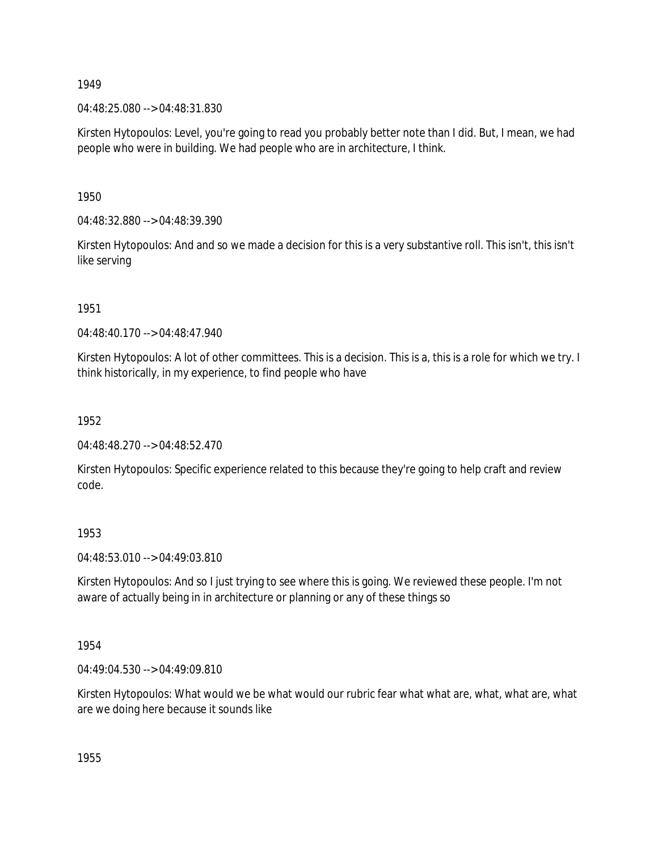04:48:25.080 --> 04:48:31.830

Kirsten Hytopoulos: Level, you're going to read you probably better note than I did. But, I mean, we had people who were in building. We had people who are in architecture, I think.

1950

04:48:32.880 --> 04:48:39.390

Kirsten Hytopoulos: And and so we made a decision for this is a very substantive roll. This isn't, this isn't like serving

1951

 $04.48.40170 -> 04.48.47940$ 

Kirsten Hytopoulos: A lot of other committees. This is a decision. This is a, this is a role for which we try. I think historically, in my experience, to find people who have

1952

04:48:48.270 --> 04:48:52.470

Kirsten Hytopoulos: Specific experience related to this because they're going to help craft and review code.

1953

04:48:53.010 --> 04:49:03.810

Kirsten Hytopoulos: And so I just trying to see where this is going. We reviewed these people. I'm not aware of actually being in in architecture or planning or any of these things so

1954

04:49:04.530 --> 04:49:09.810

Kirsten Hytopoulos: What would we be what would our rubric fear what what are, what, what are, what are we doing here because it sounds like

1955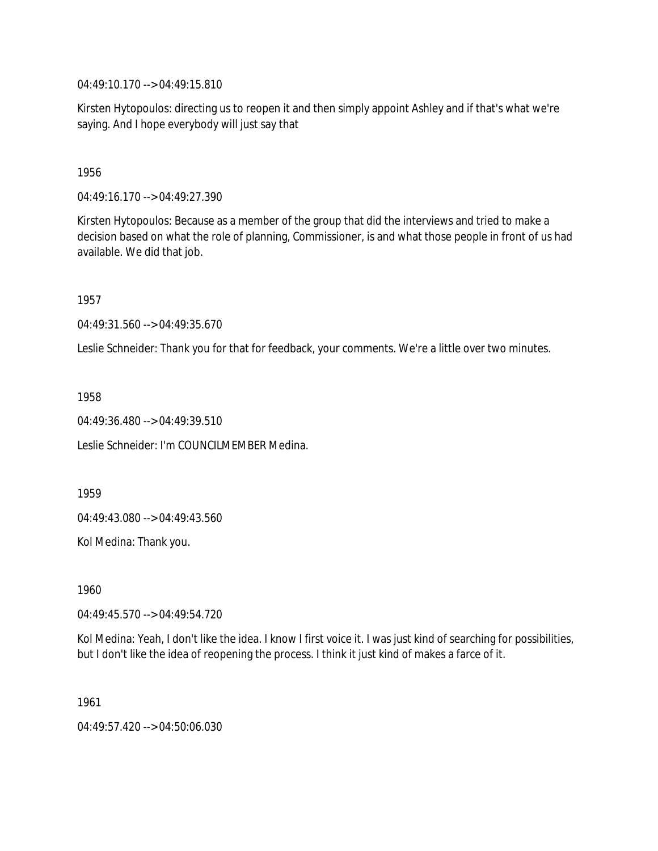04:49:10.170 --> 04:49:15.810

Kirsten Hytopoulos: directing us to reopen it and then simply appoint Ashley and if that's what we're saying. And I hope everybody will just say that

1956

04:49:16.170 --> 04:49:27.390

Kirsten Hytopoulos: Because as a member of the group that did the interviews and tried to make a decision based on what the role of planning, Commissioner, is and what those people in front of us had available. We did that job.

1957

04:49:31.560 --> 04:49:35.670

Leslie Schneider: Thank you for that for feedback, your comments. We're a little over two minutes.

1958

04:49:36.480 --> 04:49:39.510

Leslie Schneider: I'm COUNCILMEMBER Medina.

1959

04:49:43.080 --> 04:49:43.560

Kol Medina: Thank you.

1960

04:49:45.570 --> 04:49:54.720

Kol Medina: Yeah, I don't like the idea. I know I first voice it. I was just kind of searching for possibilities, but I don't like the idea of reopening the process. I think it just kind of makes a farce of it.

1961

04:49:57.420 --> 04:50:06.030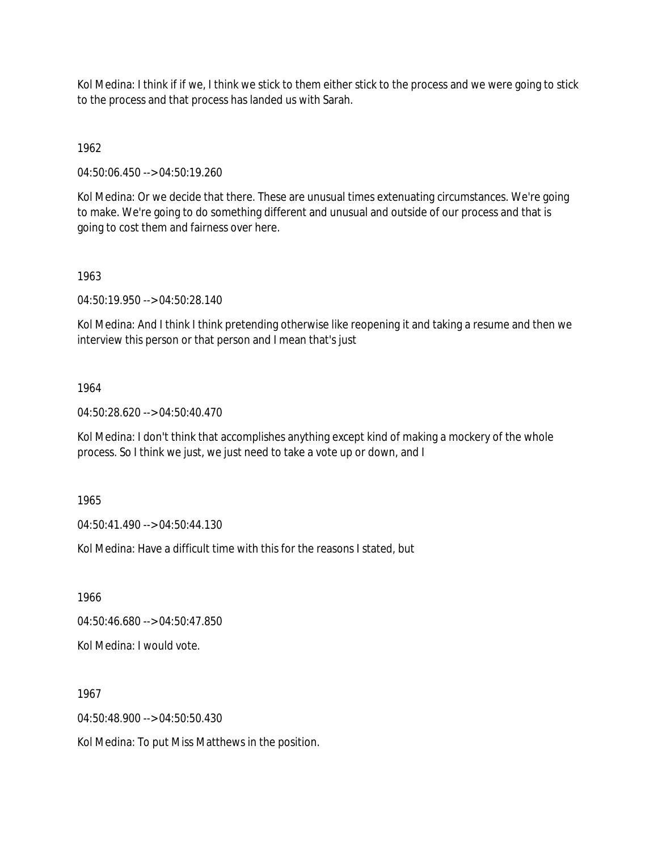Kol Medina: I think if if we, I think we stick to them either stick to the process and we were going to stick to the process and that process has landed us with Sarah.

1962

04:50:06.450 --> 04:50:19.260

Kol Medina: Or we decide that there. These are unusual times extenuating circumstances. We're going to make. We're going to do something different and unusual and outside of our process and that is going to cost them and fairness over here.

### 1963

04:50:19.950 --> 04:50:28.140

Kol Medina: And I think I think pretending otherwise like reopening it and taking a resume and then we interview this person or that person and I mean that's just

### 1964

04:50:28.620 --> 04:50:40.470

Kol Medina: I don't think that accomplishes anything except kind of making a mockery of the whole process. So I think we just, we just need to take a vote up or down, and I

1965

04:50:41.490 --> 04:50:44.130

Kol Medina: Have a difficult time with this for the reasons I stated, but

1966

04:50:46.680 --> 04:50:47.850

Kol Medina: I would vote.

1967

04:50:48.900 --> 04:50:50.430

Kol Medina: To put Miss Matthews in the position.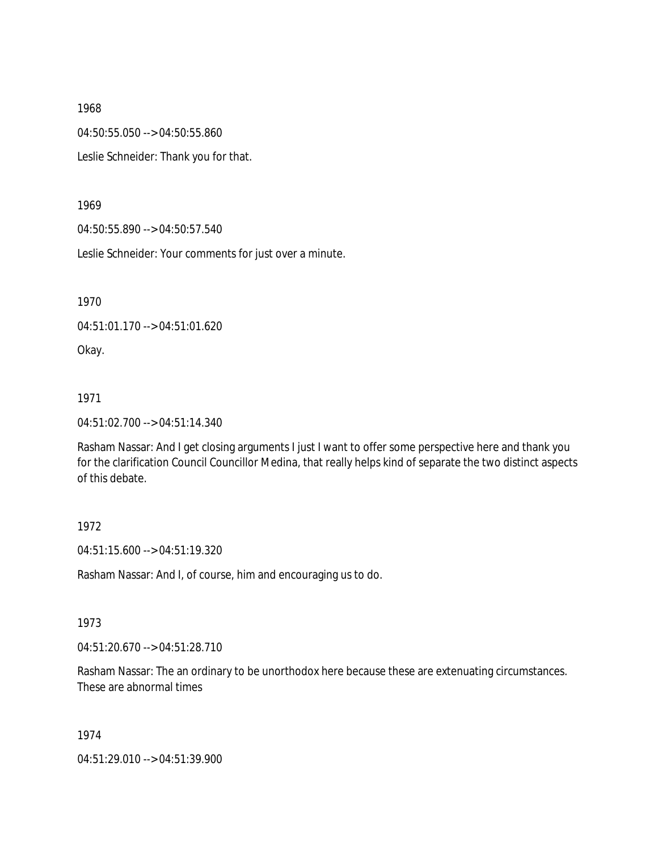04:50:55.050 --> 04:50:55.860

Leslie Schneider: Thank you for that.

### 1969

04:50:55.890 --> 04:50:57.540

Leslie Schneider: Your comments for just over a minute.

1970

04:51:01.170 --> 04:51:01.620

Okay.

## 1971

04:51:02.700 --> 04:51:14.340

Rasham Nassar: And I get closing arguments I just I want to offer some perspective here and thank you for the clarification Council Councillor Medina, that really helps kind of separate the two distinct aspects of this debate.

## 1972

04:51:15.600 --> 04:51:19.320

Rasham Nassar: And I, of course, him and encouraging us to do.

## 1973

04:51:20.670 --> 04:51:28.710

Rasham Nassar: The an ordinary to be unorthodox here because these are extenuating circumstances. These are abnormal times

1974

04:51:29.010 --> 04:51:39.900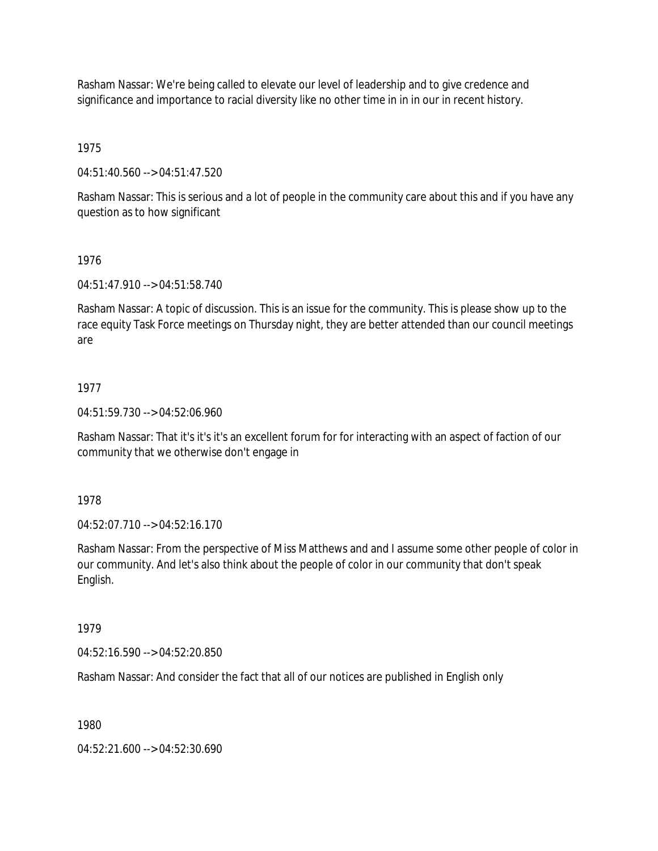Rasham Nassar: We're being called to elevate our level of leadership and to give credence and significance and importance to racial diversity like no other time in in in our in recent history.

1975

04:51:40.560 --> 04:51:47.520

Rasham Nassar: This is serious and a lot of people in the community care about this and if you have any question as to how significant

### 1976

04:51:47.910 --> 04:51:58.740

Rasham Nassar: A topic of discussion. This is an issue for the community. This is please show up to the race equity Task Force meetings on Thursday night, they are better attended than our council meetings are

## 1977

04:51:59.730 --> 04:52:06.960

Rasham Nassar: That it's it's it's an excellent forum for for interacting with an aspect of faction of our community that we otherwise don't engage in

1978

04:52:07.710 --> 04:52:16.170

Rasham Nassar: From the perspective of Miss Matthews and and I assume some other people of color in our community. And let's also think about the people of color in our community that don't speak English.

## 1979

04:52:16.590 --> 04:52:20.850

Rasham Nassar: And consider the fact that all of our notices are published in English only

## 1980

04:52:21.600 --> 04:52:30.690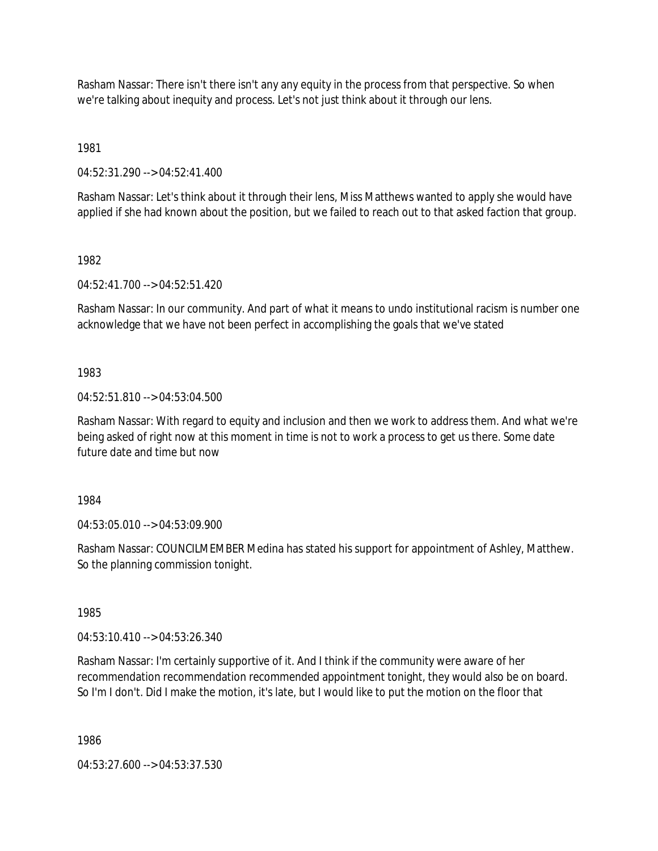Rasham Nassar: There isn't there isn't any any equity in the process from that perspective. So when we're talking about inequity and process. Let's not just think about it through our lens.

1981

04:52:31.290 --> 04:52:41.400

Rasham Nassar: Let's think about it through their lens, Miss Matthews wanted to apply she would have applied if she had known about the position, but we failed to reach out to that asked faction that group.

1982

04:52:41.700 --> 04:52:51.420

Rasham Nassar: In our community. And part of what it means to undo institutional racism is number one acknowledge that we have not been perfect in accomplishing the goals that we've stated

# 1983

04:52:51.810 --> 04:53:04.500

Rasham Nassar: With regard to equity and inclusion and then we work to address them. And what we're being asked of right now at this moment in time is not to work a process to get us there. Some date future date and time but now

1984

04:53:05.010 --> 04:53:09.900

Rasham Nassar: COUNCILMEMBER Medina has stated his support for appointment of Ashley, Matthew. So the planning commission tonight.

1985

04:53:10.410 --> 04:53:26.340

Rasham Nassar: I'm certainly supportive of it. And I think if the community were aware of her recommendation recommendation recommended appointment tonight, they would also be on board. So I'm I don't. Did I make the motion, it's late, but I would like to put the motion on the floor that

1986

04:53:27.600 --> 04:53:37.530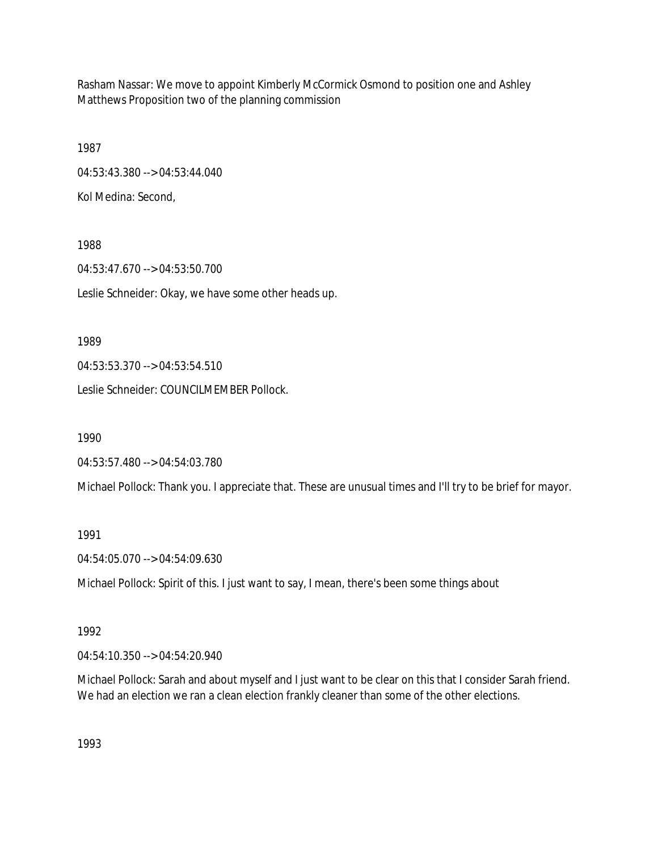Rasham Nassar: We move to appoint Kimberly McCormick Osmond to position one and Ashley Matthews Proposition two of the planning commission

1987 04:53:43.380 --> 04:53:44.040 Kol Medina: Second,

1988 04:53:47.670 --> 04:53:50.700 Leslie Schneider: Okay, we have some other heads up.

1989

04:53:53.370 --> 04:53:54.510

Leslie Schneider: COUNCILMEMBER Pollock.

1990

04:53:57.480 --> 04:54:03.780

Michael Pollock: Thank you. I appreciate that. These are unusual times and I'll try to be brief for mayor.

1991

04:54:05.070 --> 04:54:09.630

Michael Pollock: Spirit of this. I just want to say, I mean, there's been some things about

1992

04:54:10.350 --> 04:54:20.940

Michael Pollock: Sarah and about myself and I just want to be clear on this that I consider Sarah friend. We had an election we ran a clean election frankly cleaner than some of the other elections.

1993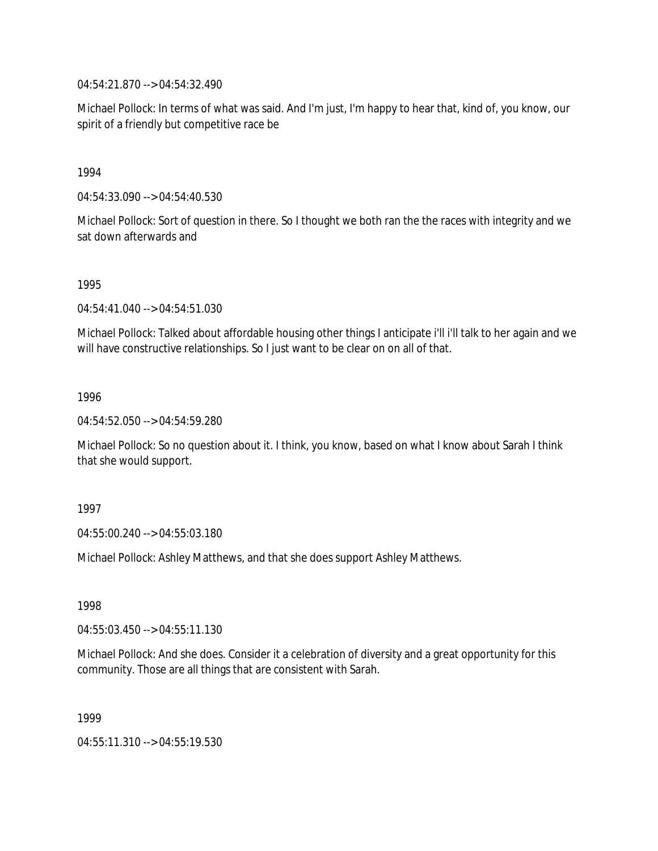04:54:21.870 --> 04:54:32.490

Michael Pollock: In terms of what was said. And I'm just, I'm happy to hear that, kind of, you know, our spirit of a friendly but competitive race be

1994

04:54:33.090 --> 04:54:40.530

Michael Pollock: Sort of question in there. So I thought we both ran the the races with integrity and we sat down afterwards and

1995

04:54:41.040 --> 04:54:51.030

Michael Pollock: Talked about affordable housing other things I anticipate i'll i'll talk to her again and we will have constructive relationships. So I just want to be clear on on all of that.

1996

04:54:52.050 --> 04:54:59.280

Michael Pollock: So no question about it. I think, you know, based on what I know about Sarah I think that she would support.

1997

04:55:00.240 --> 04:55:03.180

Michael Pollock: Ashley Matthews, and that she does support Ashley Matthews.

1998

04:55:03.450 --> 04:55:11.130

Michael Pollock: And she does. Consider it a celebration of diversity and a great opportunity for this community. Those are all things that are consistent with Sarah.

1999

04:55:11.310 --> 04:55:19.530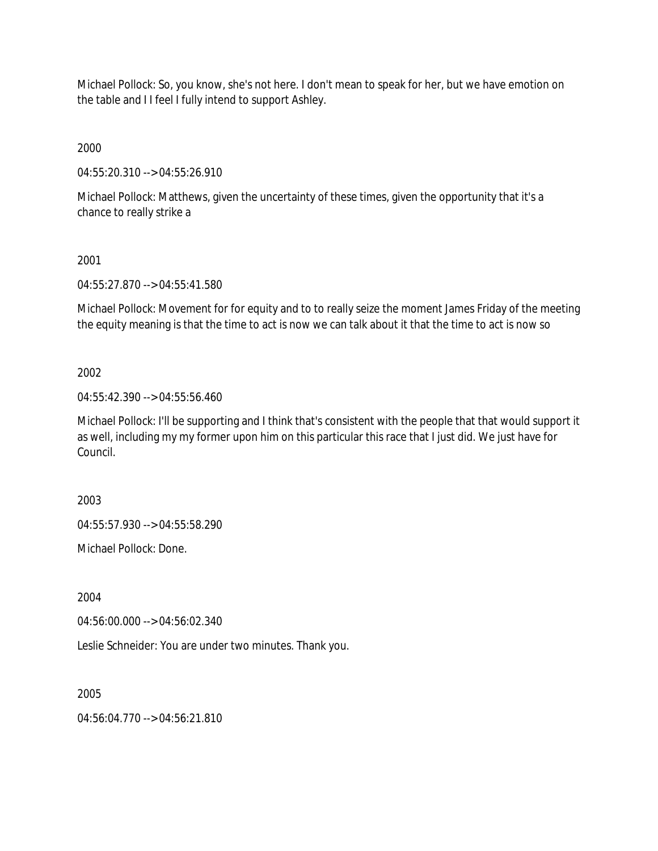Michael Pollock: So, you know, she's not here. I don't mean to speak for her, but we have emotion on the table and I I feel I fully intend to support Ashley.

2000

04:55:20.310 --> 04:55:26.910

Michael Pollock: Matthews, given the uncertainty of these times, given the opportunity that it's a chance to really strike a

# 2001

04:55:27.870 --> 04:55:41.580

Michael Pollock: Movement for for equity and to to really seize the moment James Friday of the meeting the equity meaning is that the time to act is now we can talk about it that the time to act is now so

# 2002

04:55:42.390 --> 04:55:56.460

Michael Pollock: I'll be supporting and I think that's consistent with the people that that would support it as well, including my my former upon him on this particular this race that I just did. We just have for Council.

2003

04:55:57.930 --> 04:55:58.290

Michael Pollock: Done.

2004

04:56:00.000 --> 04:56:02.340

Leslie Schneider: You are under two minutes. Thank you.

2005

 $04:56:04.770 \rightarrow 04:56:21.810$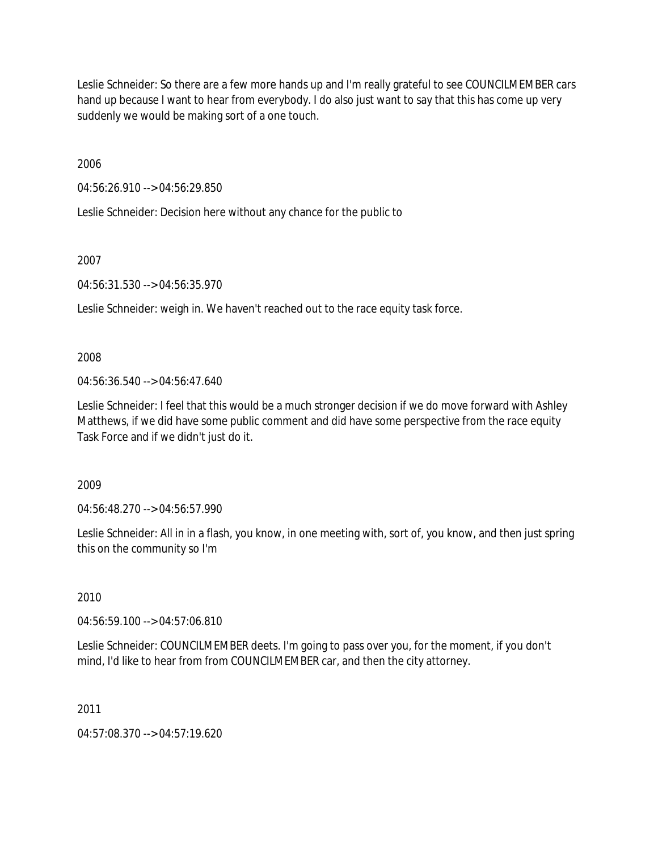Leslie Schneider: So there are a few more hands up and I'm really grateful to see COUNCILMEMBER cars hand up because I want to hear from everybody. I do also just want to say that this has come up very suddenly we would be making sort of a one touch.

2006

04:56:26.910 --> 04:56:29.850

Leslie Schneider: Decision here without any chance for the public to

2007

04:56:31.530 --> 04:56:35.970

Leslie Schneider: weigh in. We haven't reached out to the race equity task force.

2008

 $04:56:36.540 \rightarrow 04:56:47.640$ 

Leslie Schneider: I feel that this would be a much stronger decision if we do move forward with Ashley Matthews, if we did have some public comment and did have some perspective from the race equity Task Force and if we didn't just do it.

2009

04:56:48.270 --> 04:56:57.990

Leslie Schneider: All in in a flash, you know, in one meeting with, sort of, you know, and then just spring this on the community so I'm

2010

04:56:59.100 --> 04:57:06.810

Leslie Schneider: COUNCILMEMBER deets. I'm going to pass over you, for the moment, if you don't mind, I'd like to hear from from COUNCILMEMBER car, and then the city attorney.

2011

04:57:08.370 --> 04:57:19.620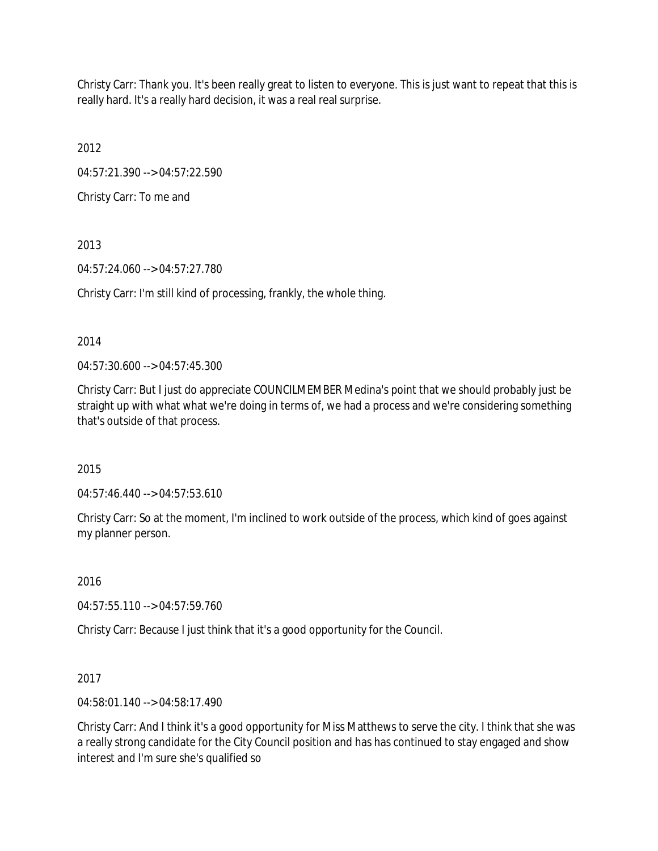Christy Carr: Thank you. It's been really great to listen to everyone. This is just want to repeat that this is really hard. It's a really hard decision, it was a real real surprise.

2012

04:57:21.390 --> 04:57:22.590

Christy Carr: To me and

2013

04:57:24.060 --> 04:57:27.780

Christy Carr: I'm still kind of processing, frankly, the whole thing.

2014

04:57:30.600 --> 04:57:45.300

Christy Carr: But I just do appreciate COUNCILMEMBER Medina's point that we should probably just be straight up with what what we're doing in terms of, we had a process and we're considering something that's outside of that process.

2015

04:57:46.440 --> 04:57:53.610

Christy Carr: So at the moment, I'm inclined to work outside of the process, which kind of goes against my planner person.

2016

04:57:55.110 --> 04:57:59.760

Christy Carr: Because I just think that it's a good opportunity for the Council.

2017

04:58:01.140 --> 04:58:17.490

Christy Carr: And I think it's a good opportunity for Miss Matthews to serve the city. I think that she was a really strong candidate for the City Council position and has has continued to stay engaged and show interest and I'm sure she's qualified so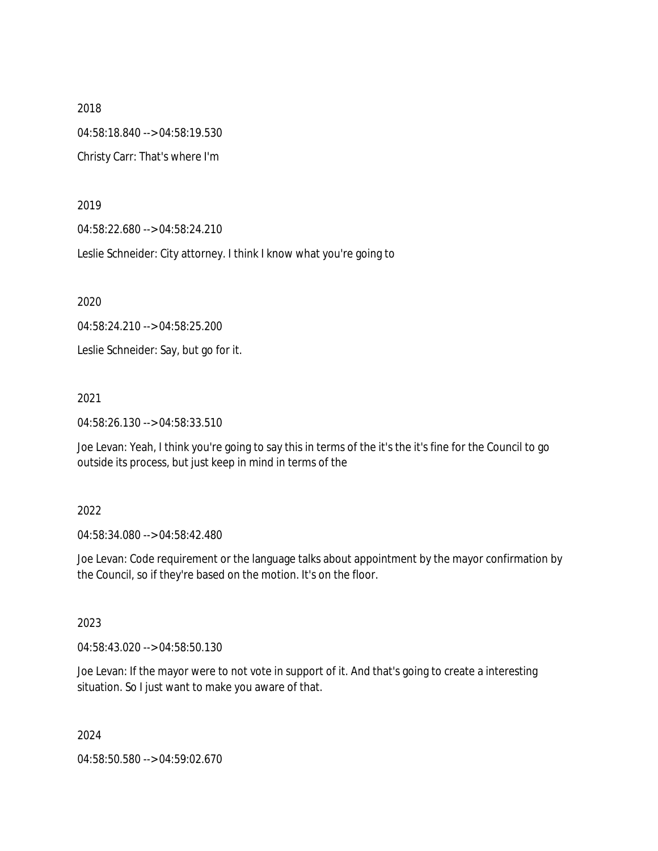2018 04:58:18.840 --> 04:58:19.530 Christy Carr: That's where I'm

2019

04:58:22.680 --> 04:58:24.210

Leslie Schneider: City attorney. I think I know what you're going to

2020

04:58:24.210 --> 04:58:25.200

Leslie Schneider: Say, but go for it.

2021

04:58:26.130 --> 04:58:33.510

Joe Levan: Yeah, I think you're going to say this in terms of the it's the it's fine for the Council to go outside its process, but just keep in mind in terms of the

## 2022

04:58:34.080 --> 04:58:42.480

Joe Levan: Code requirement or the language talks about appointment by the mayor confirmation by the Council, so if they're based on the motion. It's on the floor.

2023

04:58:43.020 --> 04:58:50.130

Joe Levan: If the mayor were to not vote in support of it. And that's going to create a interesting situation. So I just want to make you aware of that.

2024

04:58:50.580 --> 04:59:02.670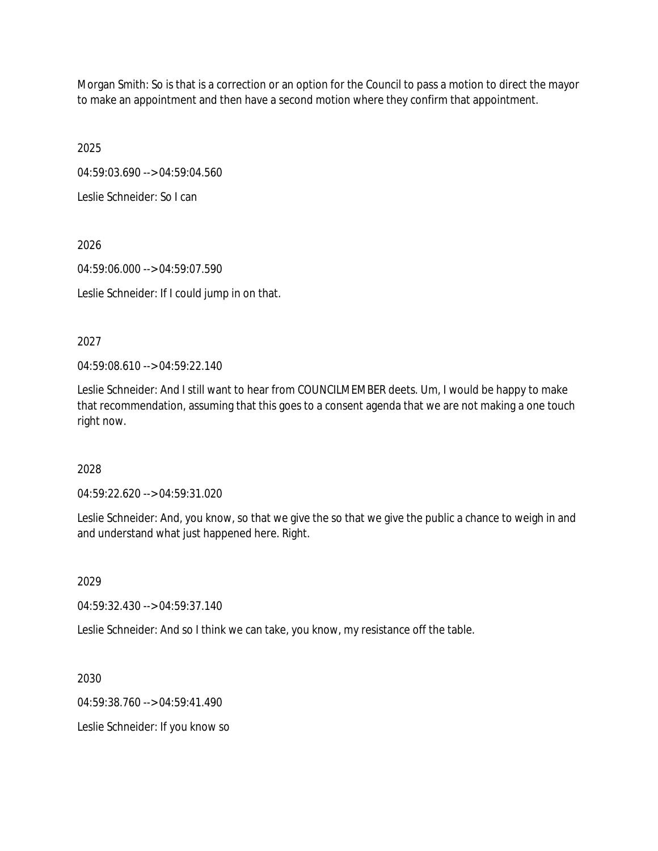Morgan Smith: So is that is a correction or an option for the Council to pass a motion to direct the mayor to make an appointment and then have a second motion where they confirm that appointment.

2025

04:59:03.690 --> 04:59:04.560

Leslie Schneider: So I can

2026

04:59:06.000 --> 04:59:07.590

Leslie Schneider: If I could jump in on that.

2027

04:59:08.610 --> 04:59:22.140

Leslie Schneider: And I still want to hear from COUNCILMEMBER deets. Um, I would be happy to make that recommendation, assuming that this goes to a consent agenda that we are not making a one touch right now.

# 2028

04:59:22.620 --> 04:59:31.020

Leslie Schneider: And, you know, so that we give the so that we give the public a chance to weigh in and and understand what just happened here. Right.

2029

04:59:32.430 --> 04:59:37.140

Leslie Schneider: And so I think we can take, you know, my resistance off the table.

2030

04:59:38.760 --> 04:59:41.490

Leslie Schneider: If you know so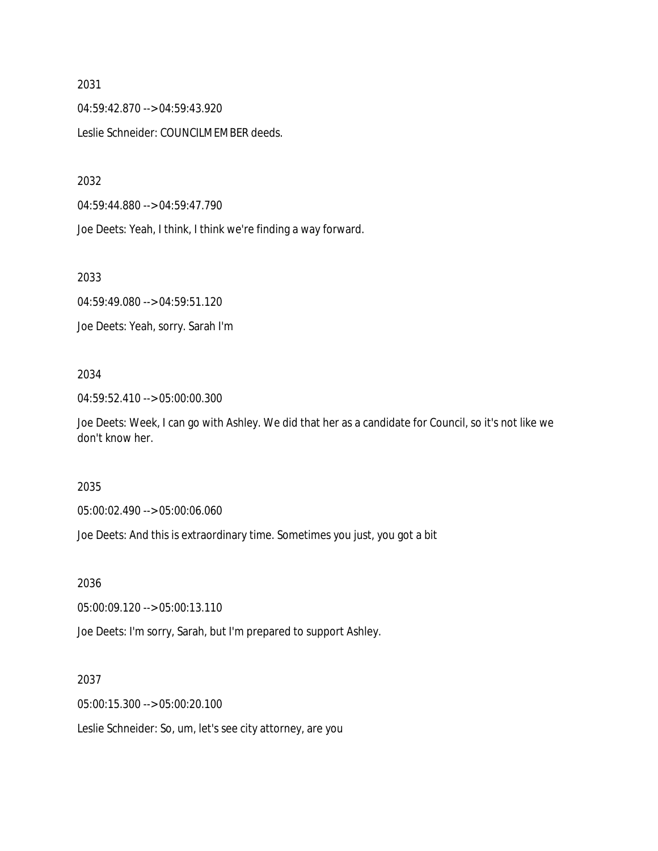04:59:42.870 --> 04:59:43.920 Leslie Schneider: COUNCILMEMBER deeds.

2032

04:59:44.880 --> 04:59:47.790

Joe Deets: Yeah, I think, I think we're finding a way forward.

2033

04:59:49.080 --> 04:59:51.120 Joe Deets: Yeah, sorry. Sarah I'm

## 2034

04:59:52.410 --> 05:00:00.300

Joe Deets: Week, I can go with Ashley. We did that her as a candidate for Council, so it's not like we don't know her.

## 2035

05:00:02.490 --> 05:00:06.060

Joe Deets: And this is extraordinary time. Sometimes you just, you got a bit

2036

05:00:09.120 --> 05:00:13.110

Joe Deets: I'm sorry, Sarah, but I'm prepared to support Ashley.

2037

05:00:15.300 --> 05:00:20.100

Leslie Schneider: So, um, let's see city attorney, are you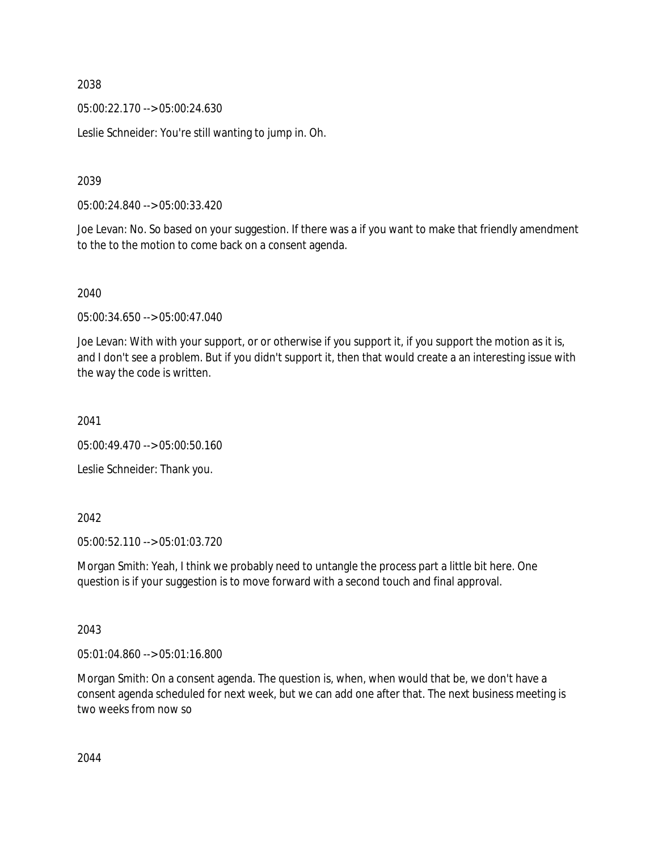05:00:22.170 --> 05:00:24.630

Leslie Schneider: You're still wanting to jump in. Oh.

2039

05:00:24.840 --> 05:00:33.420

Joe Levan: No. So based on your suggestion. If there was a if you want to make that friendly amendment to the to the motion to come back on a consent agenda.

2040

05:00:34.650 --> 05:00:47.040

Joe Levan: With with your support, or or otherwise if you support it, if you support the motion as it is, and I don't see a problem. But if you didn't support it, then that would create a an interesting issue with the way the code is written.

2041

05:00:49.470 --> 05:00:50.160

Leslie Schneider: Thank you.

2042

05:00:52.110 --> 05:01:03.720

Morgan Smith: Yeah, I think we probably need to untangle the process part a little bit here. One question is if your suggestion is to move forward with a second touch and final approval.

2043

05:01:04.860 --> 05:01:16.800

Morgan Smith: On a consent agenda. The question is, when, when would that be, we don't have a consent agenda scheduled for next week, but we can add one after that. The next business meeting is two weeks from now so

2044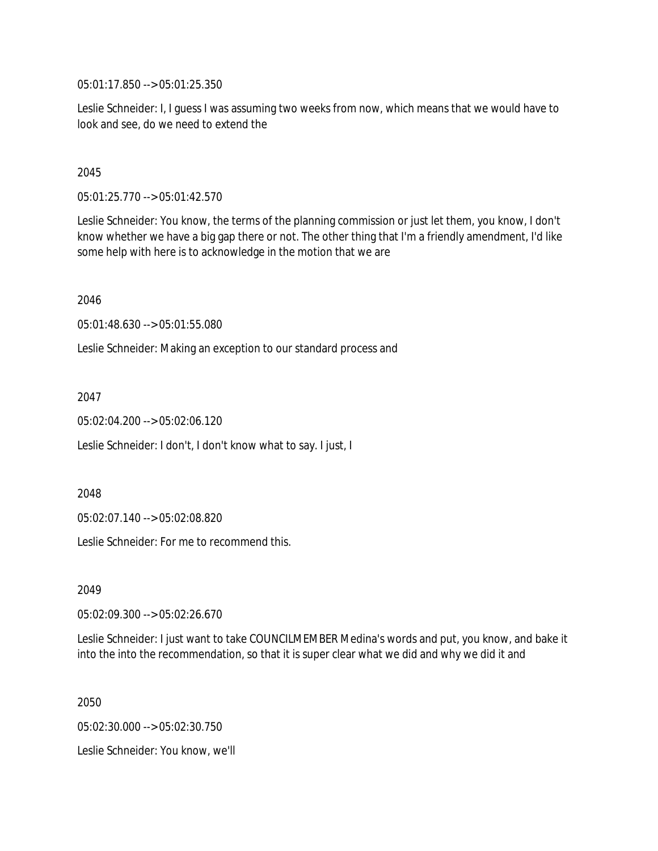05:01:17.850 --> 05:01:25.350

Leslie Schneider: I, I guess I was assuming two weeks from now, which means that we would have to look and see, do we need to extend the

## 2045

05:01:25.770 --> 05:01:42.570

Leslie Schneider: You know, the terms of the planning commission or just let them, you know, I don't know whether we have a big gap there or not. The other thing that I'm a friendly amendment, I'd like some help with here is to acknowledge in the motion that we are

2046

05:01:48.630 --> 05:01:55.080

Leslie Schneider: Making an exception to our standard process and

2047

05:02:04.200 --> 05:02:06.120

Leslie Schneider: I don't, I don't know what to say. I just, I

2048

05:02:07.140 --> 05:02:08.820

Leslie Schneider: For me to recommend this.

2049

05:02:09.300 --> 05:02:26.670

Leslie Schneider: I just want to take COUNCILMEMBER Medina's words and put, you know, and bake it into the into the recommendation, so that it is super clear what we did and why we did it and

2050

05:02:30.000 --> 05:02:30.750 Leslie Schneider: You know, we'll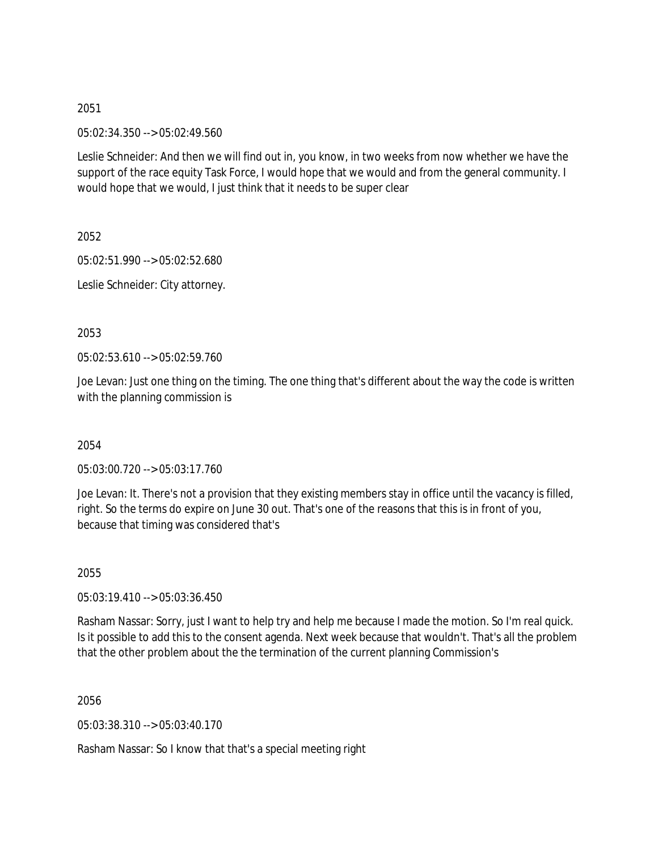05:02:34.350 --> 05:02:49.560

Leslie Schneider: And then we will find out in, you know, in two weeks from now whether we have the support of the race equity Task Force, I would hope that we would and from the general community. I would hope that we would, I just think that it needs to be super clear

2052

05:02:51.990 --> 05:02:52.680

Leslie Schneider: City attorney.

2053

05:02:53.610 --> 05:02:59.760

Joe Levan: Just one thing on the timing. The one thing that's different about the way the code is written with the planning commission is

2054

05:03:00.720 --> 05:03:17.760

Joe Levan: It. There's not a provision that they existing members stay in office until the vacancy is filled, right. So the terms do expire on June 30 out. That's one of the reasons that this is in front of you, because that timing was considered that's

2055

05:03:19.410 --> 05:03:36.450

Rasham Nassar: Sorry, just I want to help try and help me because I made the motion. So I'm real quick. Is it possible to add this to the consent agenda. Next week because that wouldn't. That's all the problem that the other problem about the the termination of the current planning Commission's

2056

05:03:38.310 --> 05:03:40.170

Rasham Nassar: So I know that that's a special meeting right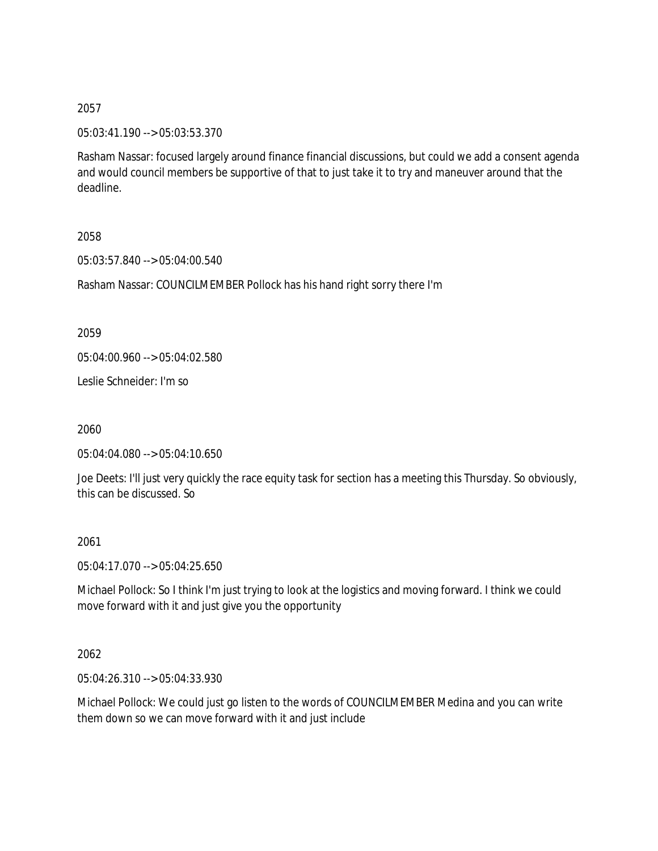05:03:41.190 --> 05:03:53.370

Rasham Nassar: focused largely around finance financial discussions, but could we add a consent agenda and would council members be supportive of that to just take it to try and maneuver around that the deadline.

2058

05:03:57.840 --> 05:04:00.540

Rasham Nassar: COUNCILMEMBER Pollock has his hand right sorry there I'm

2059

05:04:00.960 --> 05:04:02.580

Leslie Schneider: I'm so

2060

05:04:04.080 --> 05:04:10.650

Joe Deets: I'll just very quickly the race equity task for section has a meeting this Thursday. So obviously, this can be discussed. So

2061

05:04:17.070 --> 05:04:25.650

Michael Pollock: So I think I'm just trying to look at the logistics and moving forward. I think we could move forward with it and just give you the opportunity

2062

05:04:26.310 --> 05:04:33.930

Michael Pollock: We could just go listen to the words of COUNCILMEMBER Medina and you can write them down so we can move forward with it and just include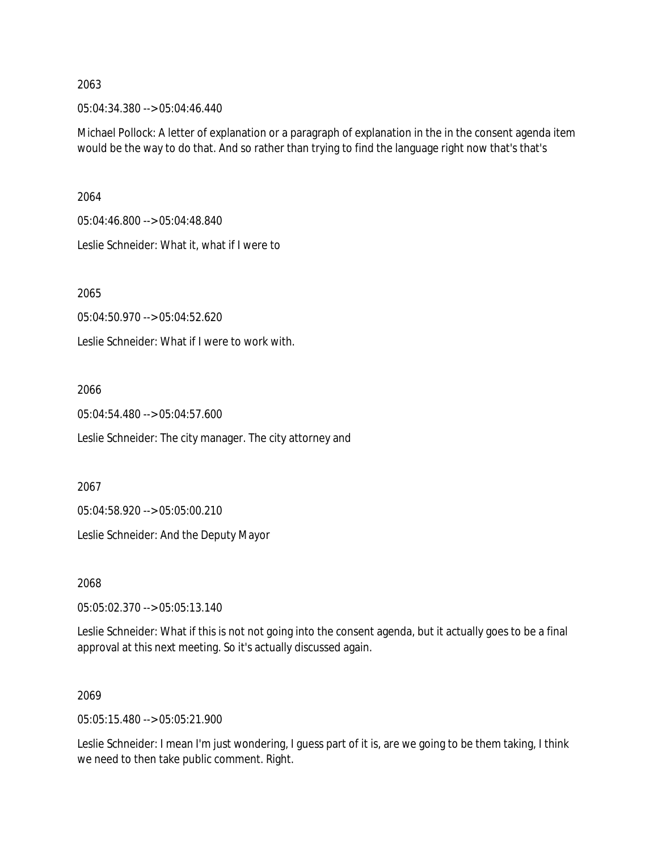05:04:34.380 --> 05:04:46.440

Michael Pollock: A letter of explanation or a paragraph of explanation in the in the consent agenda item would be the way to do that. And so rather than trying to find the language right now that's that's

2064

05:04:46.800 --> 05:04:48.840 Leslie Schneider: What it, what if I were to

2065

05:04:50.970 --> 05:04:52.620

Leslie Schneider: What if I were to work with.

2066

05:04:54.480 --> 05:04:57.600

Leslie Schneider: The city manager. The city attorney and

2067

05:04:58.920 --> 05:05:00.210

Leslie Schneider: And the Deputy Mayor

2068

05:05:02.370 --> 05:05:13.140

Leslie Schneider: What if this is not not going into the consent agenda, but it actually goes to be a final approval at this next meeting. So it's actually discussed again.

## 2069

05:05:15.480 --> 05:05:21.900

Leslie Schneider: I mean I'm just wondering, I guess part of it is, are we going to be them taking, I think we need to then take public comment. Right.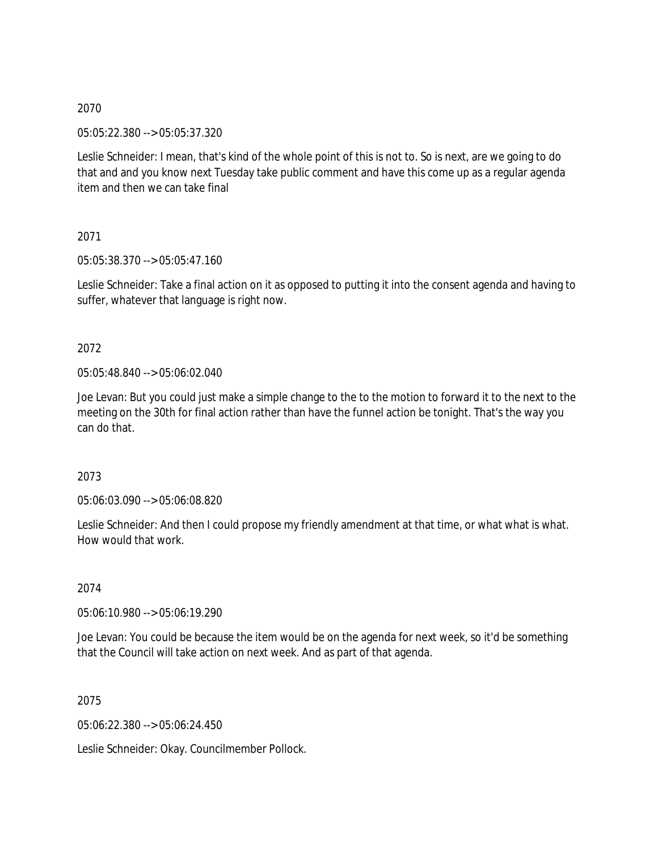05:05:22.380 --> 05:05:37.320

Leslie Schneider: I mean, that's kind of the whole point of this is not to. So is next, are we going to do that and and you know next Tuesday take public comment and have this come up as a regular agenda item and then we can take final

2071

05:05:38.370 --> 05:05:47.160

Leslie Schneider: Take a final action on it as opposed to putting it into the consent agenda and having to suffer, whatever that language is right now.

## 2072

05:05:48.840 --> 05:06:02.040

Joe Levan: But you could just make a simple change to the to the motion to forward it to the next to the meeting on the 30th for final action rather than have the funnel action be tonight. That's the way you can do that.

## 2073

05:06:03.090 --> 05:06:08.820

Leslie Schneider: And then I could propose my friendly amendment at that time, or what what is what. How would that work.

2074

05:06:10.980 --> 05:06:19.290

Joe Levan: You could be because the item would be on the agenda for next week, so it'd be something that the Council will take action on next week. And as part of that agenda.

2075

05:06:22.380 --> 05:06:24.450

Leslie Schneider: Okay. Councilmember Pollock.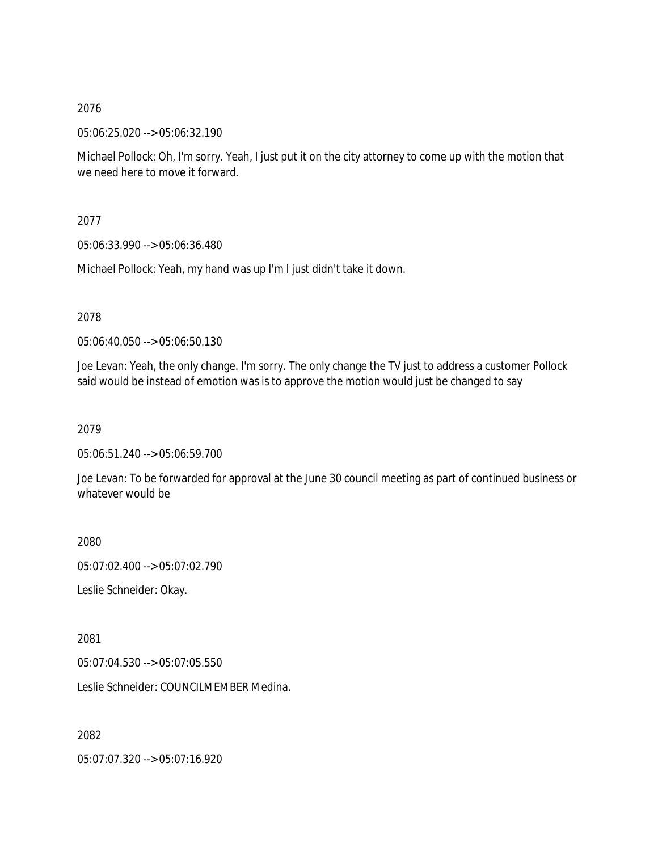05:06:25.020 --> 05:06:32.190

Michael Pollock: Oh, I'm sorry. Yeah, I just put it on the city attorney to come up with the motion that we need here to move it forward.

2077

05:06:33.990 --> 05:06:36.480

Michael Pollock: Yeah, my hand was up I'm I just didn't take it down.

2078

05:06:40.050 --> 05:06:50.130

Joe Levan: Yeah, the only change. I'm sorry. The only change the TV just to address a customer Pollock said would be instead of emotion was is to approve the motion would just be changed to say

2079

05:06:51.240 --> 05:06:59.700

Joe Levan: To be forwarded for approval at the June 30 council meeting as part of continued business or whatever would be

2080

05:07:02.400 --> 05:07:02.790

Leslie Schneider: Okay.

2081

05:07:04.530 --> 05:07:05.550

Leslie Schneider: COUNCILMEMBER Medina.

2082

05:07:07.320 --> 05:07:16.920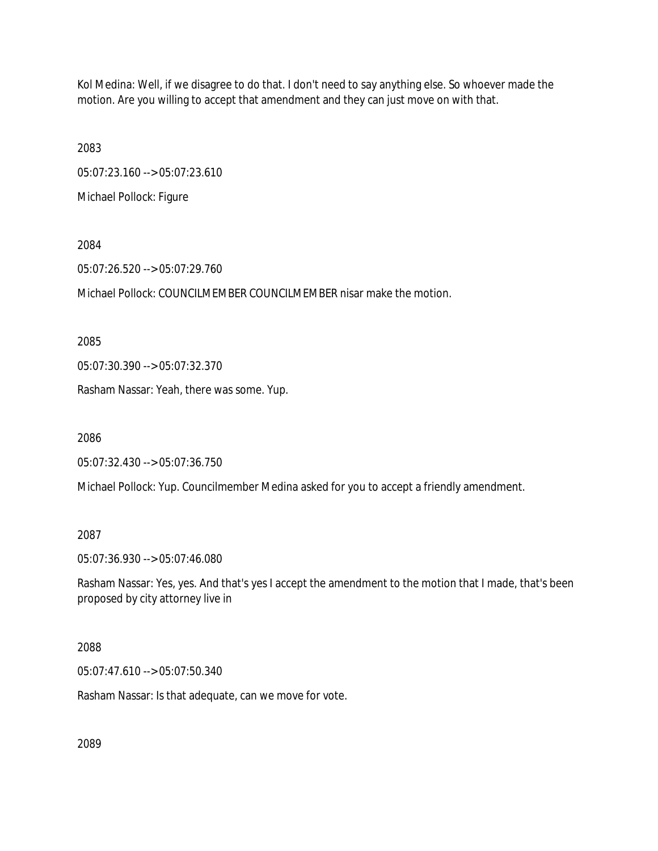Kol Medina: Well, if we disagree to do that. I don't need to say anything else. So whoever made the motion. Are you willing to accept that amendment and they can just move on with that.

2083

05:07:23.160 --> 05:07:23.610

Michael Pollock: Figure

2084

05:07:26.520 --> 05:07:29.760

Michael Pollock: COUNCILMEMBER COUNCILMEMBER nisar make the motion.

2085

05:07:30.390 --> 05:07:32.370

Rasham Nassar: Yeah, there was some. Yup.

2086

05:07:32.430 --> 05:07:36.750

Michael Pollock: Yup. Councilmember Medina asked for you to accept a friendly amendment.

2087

05:07:36.930 --> 05:07:46.080

Rasham Nassar: Yes, yes. And that's yes I accept the amendment to the motion that I made, that's been proposed by city attorney live in

2088

05:07:47.610 --> 05:07:50.340

Rasham Nassar: Is that adequate, can we move for vote.

2089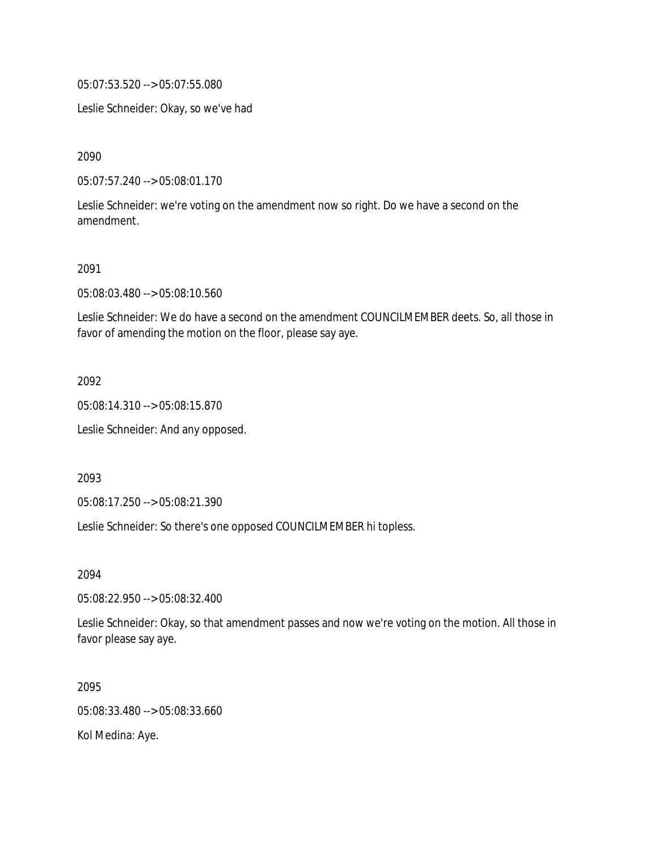05:07:53.520 --> 05:07:55.080

Leslie Schneider: Okay, so we've had

2090

05:07:57.240 --> 05:08:01.170

Leslie Schneider: we're voting on the amendment now so right. Do we have a second on the amendment.

2091

05:08:03.480 --> 05:08:10.560

Leslie Schneider: We do have a second on the amendment COUNCILMEMBER deets. So, all those in favor of amending the motion on the floor, please say aye.

2092

05:08:14.310 --> 05:08:15.870

Leslie Schneider: And any opposed.

2093

05:08:17.250 --> 05:08:21.390

Leslie Schneider: So there's one opposed COUNCILMEMBER hi topless.

2094

05:08:22.950 --> 05:08:32.400

Leslie Schneider: Okay, so that amendment passes and now we're voting on the motion. All those in favor please say aye.

2095 05:08:33.480 --> 05:08:33.660 Kol Medina: Aye.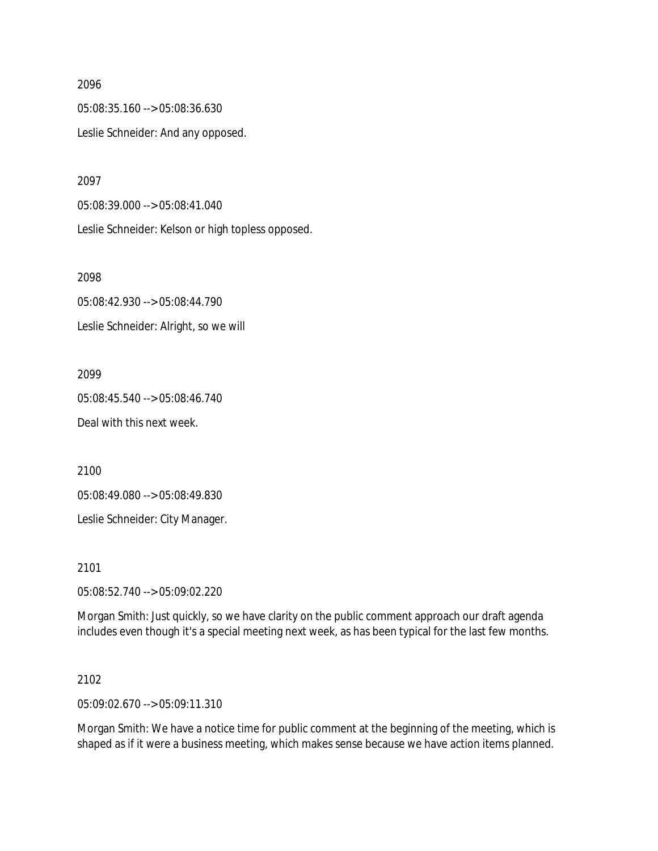05:08:35.160 --> 05:08:36.630 Leslie Schneider: And any opposed.

2097

05:08:39.000 --> 05:08:41.040 Leslie Schneider: Kelson or high topless opposed.

2098

05:08:42.930 --> 05:08:44.790 Leslie Schneider: Alright, so we will

2099

05:08:45.540 --> 05:08:46.740 Deal with this next week.

2100

05:08:49.080 --> 05:08:49.830

Leslie Schneider: City Manager.

2101

05:08:52.740 --> 05:09:02.220

Morgan Smith: Just quickly, so we have clarity on the public comment approach our draft agenda includes even though it's a special meeting next week, as has been typical for the last few months.

2102

05:09:02.670 --> 05:09:11.310

Morgan Smith: We have a notice time for public comment at the beginning of the meeting, which is shaped as if it were a business meeting, which makes sense because we have action items planned.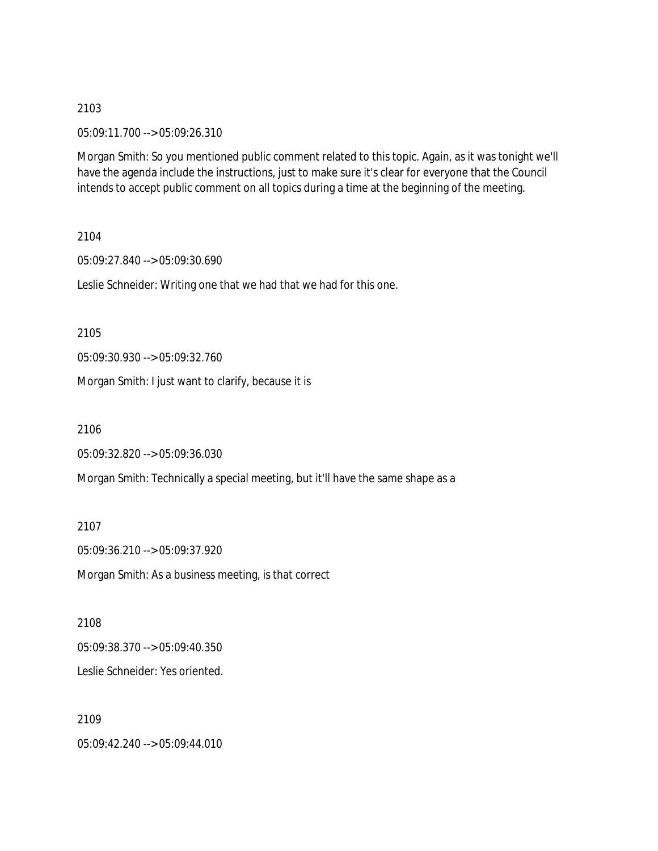05:09:11.700 --> 05:09:26.310

Morgan Smith: So you mentioned public comment related to this topic. Again, as it was tonight we'll have the agenda include the instructions, just to make sure it's clear for everyone that the Council intends to accept public comment on all topics during a time at the beginning of the meeting.

2104

05:09:27.840 --> 05:09:30.690

Leslie Schneider: Writing one that we had that we had for this one.

2105

05:09:30.930 --> 05:09:32.760

Morgan Smith: I just want to clarify, because it is

2106

05:09:32.820 --> 05:09:36.030

Morgan Smith: Technically a special meeting, but it'll have the same shape as a

2107 05:09:36.210 --> 05:09:37.920 Morgan Smith: As a business meeting, is that correct

2108 05:09:38.370 --> 05:09:40.350 Leslie Schneider: Yes oriented.

2109 05:09:42.240 --> 05:09:44.010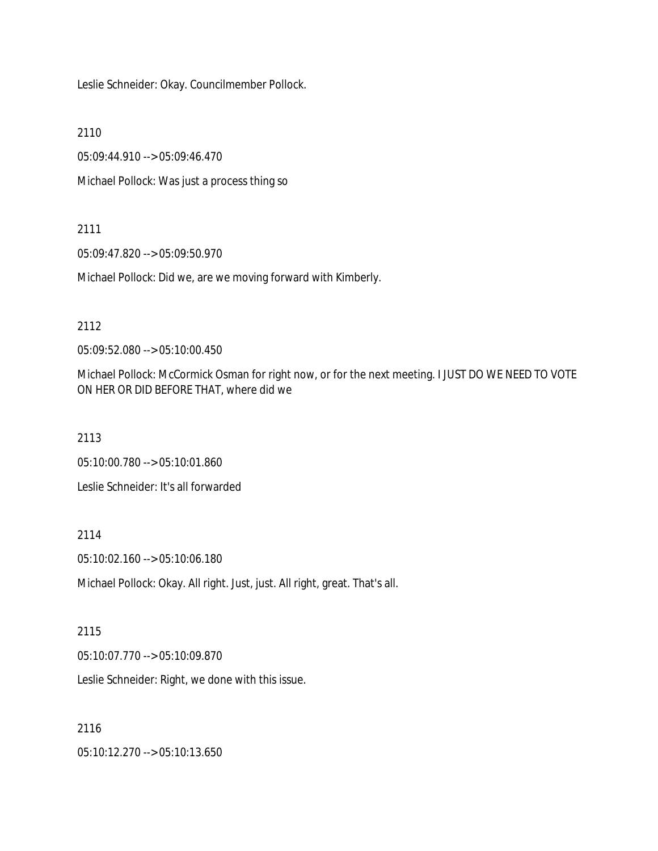Leslie Schneider: Okay. Councilmember Pollock.

2110

05:09:44.910 --> 05:09:46.470

Michael Pollock: Was just a process thing so

## 2111

05:09:47.820 --> 05:09:50.970

Michael Pollock: Did we, are we moving forward with Kimberly.

## 2112

05:09:52.080 --> 05:10:00.450

Michael Pollock: McCormick Osman for right now, or for the next meeting. I JUST DO WE NEED TO VOTE ON HER OR DID BEFORE THAT, where did we

2113

05:10:00.780 --> 05:10:01.860

Leslie Schneider: It's all forwarded

## 2114

05:10:02.160 --> 05:10:06.180

Michael Pollock: Okay. All right. Just, just. All right, great. That's all.

# 2115

05:10:07.770 --> 05:10:09.870

Leslie Schneider: Right, we done with this issue.

## 2116

05:10:12.270 --> 05:10:13.650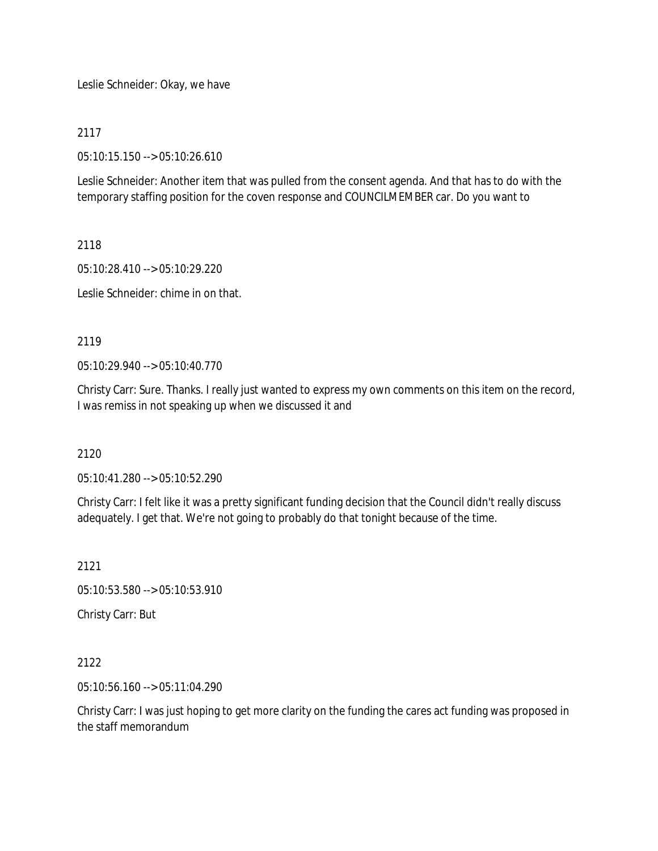Leslie Schneider: Okay, we have

## 2117

05:10:15.150 --> 05:10:26.610

Leslie Schneider: Another item that was pulled from the consent agenda. And that has to do with the temporary staffing position for the coven response and COUNCILMEMBER car. Do you want to

2118

05:10:28.410 --> 05:10:29.220

Leslie Schneider: chime in on that.

## 2119

05:10:29.940 --> 05:10:40.770

Christy Carr: Sure. Thanks. I really just wanted to express my own comments on this item on the record, I was remiss in not speaking up when we discussed it and

## 2120

05:10:41.280 --> 05:10:52.290

Christy Carr: I felt like it was a pretty significant funding decision that the Council didn't really discuss adequately. I get that. We're not going to probably do that tonight because of the time.

2121

05:10:53.580 --> 05:10:53.910

Christy Carr: But

2122

05:10:56.160 --> 05:11:04.290

Christy Carr: I was just hoping to get more clarity on the funding the cares act funding was proposed in the staff memorandum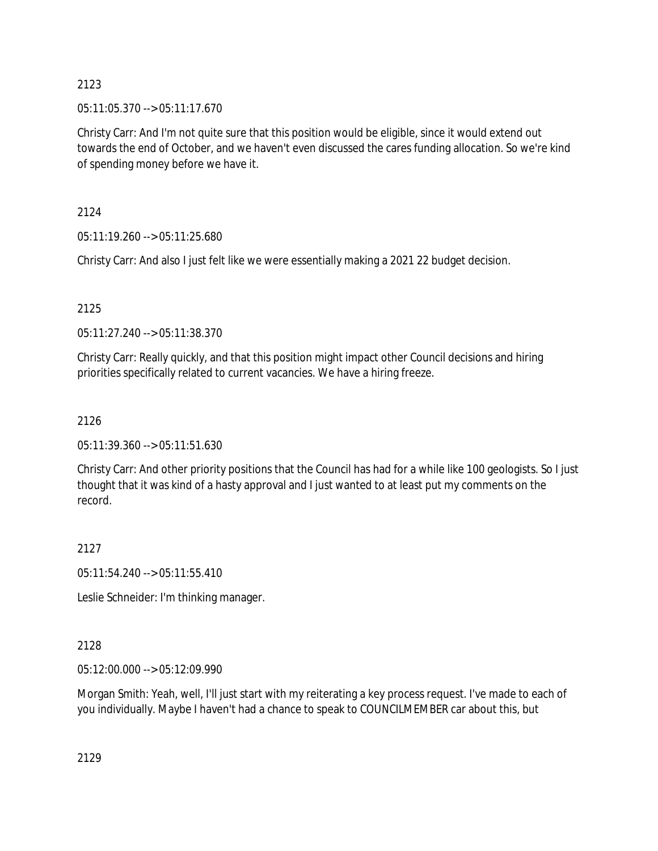05:11:05.370 --> 05:11:17.670

Christy Carr: And I'm not quite sure that this position would be eligible, since it would extend out towards the end of October, and we haven't even discussed the cares funding allocation. So we're kind of spending money before we have it.

2124

05:11:19.260 --> 05:11:25.680

Christy Carr: And also I just felt like we were essentially making a 2021 22 budget decision.

2125

05:11:27.240 --> 05:11:38.370

Christy Carr: Really quickly, and that this position might impact other Council decisions and hiring priorities specifically related to current vacancies. We have a hiring freeze.

# 2126

05:11:39.360 --> 05:11:51.630

Christy Carr: And other priority positions that the Council has had for a while like 100 geologists. So I just thought that it was kind of a hasty approval and I just wanted to at least put my comments on the record.

# 2127

05:11:54.240 --> 05:11:55.410

Leslie Schneider: I'm thinking manager.

# 2128

05:12:00.000 --> 05:12:09.990

Morgan Smith: Yeah, well, I'll just start with my reiterating a key process request. I've made to each of you individually. Maybe I haven't had a chance to speak to COUNCILMEMBER car about this, but

2129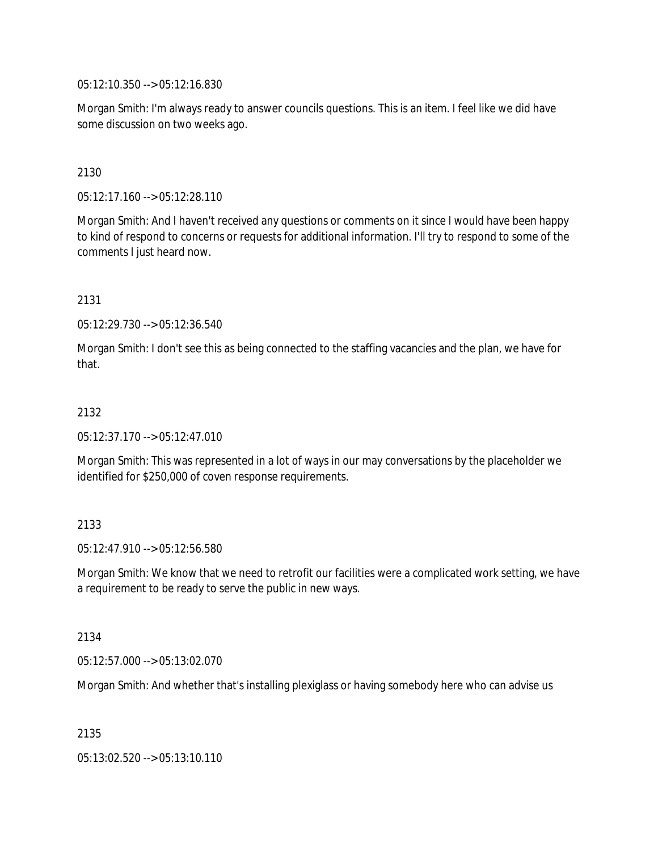05:12:10.350 --> 05:12:16.830

Morgan Smith: I'm always ready to answer councils questions. This is an item. I feel like we did have some discussion on two weeks ago.

2130

05:12:17.160 --> 05:12:28.110

Morgan Smith: And I haven't received any questions or comments on it since I would have been happy to kind of respond to concerns or requests for additional information. I'll try to respond to some of the comments I just heard now.

2131

05:12:29.730 --> 05:12:36.540

Morgan Smith: I don't see this as being connected to the staffing vacancies and the plan, we have for that.

## 2132

05:12:37.170 --> 05:12:47.010

Morgan Smith: This was represented in a lot of ways in our may conversations by the placeholder we identified for \$250,000 of coven response requirements.

## 2133

05:12:47.910 --> 05:12:56.580

Morgan Smith: We know that we need to retrofit our facilities were a complicated work setting, we have a requirement to be ready to serve the public in new ways.

#### 2134

05:12:57.000 --> 05:13:02.070

Morgan Smith: And whether that's installing plexiglass or having somebody here who can advise us

2135

05:13:02.520 --> 05:13:10.110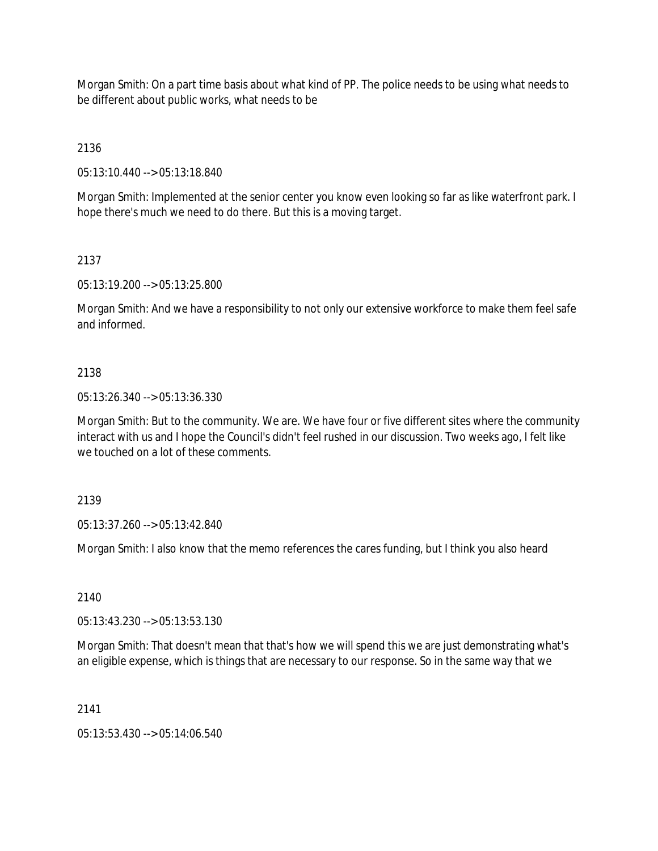Morgan Smith: On a part time basis about what kind of PP. The police needs to be using what needs to be different about public works, what needs to be

2136

05:13:10.440 --> 05:13:18.840

Morgan Smith: Implemented at the senior center you know even looking so far as like waterfront park. I hope there's much we need to do there. But this is a moving target.

# 2137

05:13:19.200 --> 05:13:25.800

Morgan Smith: And we have a responsibility to not only our extensive workforce to make them feel safe and informed.

# 2138

05:13:26.340 --> 05:13:36.330

Morgan Smith: But to the community. We are. We have four or five different sites where the community interact with us and I hope the Council's didn't feel rushed in our discussion. Two weeks ago, I felt like we touched on a lot of these comments.

2139

05:13:37.260 --> 05:13:42.840

Morgan Smith: I also know that the memo references the cares funding, but I think you also heard

2140

05:13:43.230 --> 05:13:53.130

Morgan Smith: That doesn't mean that that's how we will spend this we are just demonstrating what's an eligible expense, which is things that are necessary to our response. So in the same way that we

2141

05:13:53.430 --> 05:14:06.540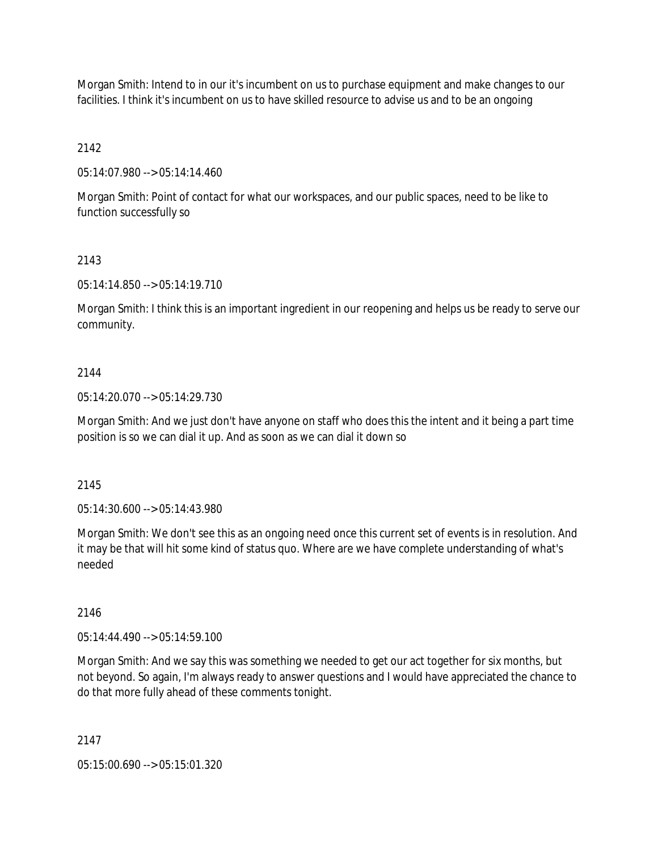Morgan Smith: Intend to in our it's incumbent on us to purchase equipment and make changes to our facilities. I think it's incumbent on us to have skilled resource to advise us and to be an ongoing

2142

05:14:07.980 --> 05:14:14.460

Morgan Smith: Point of contact for what our workspaces, and our public spaces, need to be like to function successfully so

## 2143

05:14:14.850 --> 05:14:19.710

Morgan Smith: I think this is an important ingredient in our reopening and helps us be ready to serve our community.

#### 2144

05:14:20.070 --> 05:14:29.730

Morgan Smith: And we just don't have anyone on staff who does this the intent and it being a part time position is so we can dial it up. And as soon as we can dial it down so

#### 2145

05:14:30.600 --> 05:14:43.980

Morgan Smith: We don't see this as an ongoing need once this current set of events is in resolution. And it may be that will hit some kind of status quo. Where are we have complete understanding of what's needed

#### 2146

05:14:44.490 --> 05:14:59.100

Morgan Smith: And we say this was something we needed to get our act together for six months, but not beyond. So again, I'm always ready to answer questions and I would have appreciated the chance to do that more fully ahead of these comments tonight.

2147

05:15:00.690 --> 05:15:01.320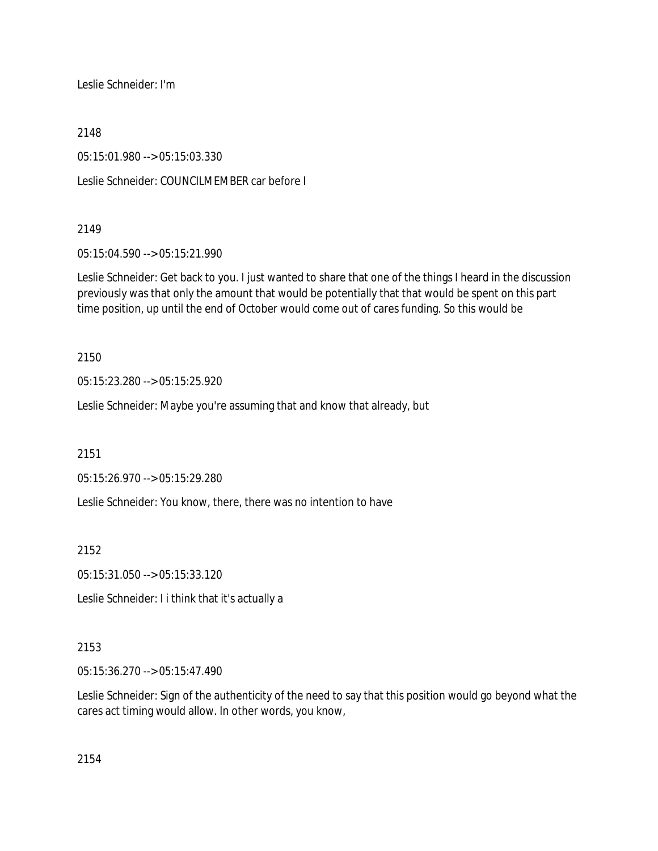Leslie Schneider: I'm

2148

05:15:01.980 --> 05:15:03.330

Leslie Schneider: COUNCILMEMBER car before I

## 2149

05:15:04.590 --> 05:15:21.990

Leslie Schneider: Get back to you. I just wanted to share that one of the things I heard in the discussion previously was that only the amount that would be potentially that that would be spent on this part time position, up until the end of October would come out of cares funding. So this would be

2150

05:15:23.280 --> 05:15:25.920

Leslie Schneider: Maybe you're assuming that and know that already, but

2151

05:15:26.970 --> 05:15:29.280

Leslie Schneider: You know, there, there was no intention to have

2152

05:15:31.050 --> 05:15:33.120

Leslie Schneider: I i think that it's actually a

# 2153

05:15:36.270 --> 05:15:47.490

Leslie Schneider: Sign of the authenticity of the need to say that this position would go beyond what the cares act timing would allow. In other words, you know,

2154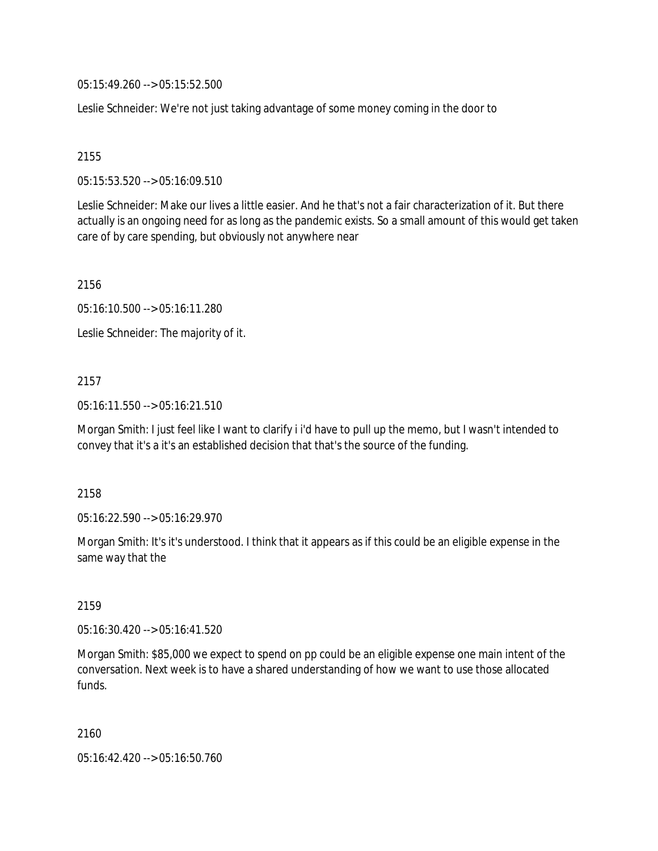05:15:49.260 --> 05:15:52.500

Leslie Schneider: We're not just taking advantage of some money coming in the door to

2155

05:15:53.520 --> 05:16:09.510

Leslie Schneider: Make our lives a little easier. And he that's not a fair characterization of it. But there actually is an ongoing need for as long as the pandemic exists. So a small amount of this would get taken care of by care spending, but obviously not anywhere near

2156

05:16:10.500 --> 05:16:11.280

Leslie Schneider: The majority of it.

# 2157

05:16:11.550 --> 05:16:21.510

Morgan Smith: I just feel like I want to clarify i i'd have to pull up the memo, but I wasn't intended to convey that it's a it's an established decision that that's the source of the funding.

2158

05:16:22.590 --> 05:16:29.970

Morgan Smith: It's it's understood. I think that it appears as if this could be an eligible expense in the same way that the

2159

05:16:30.420 --> 05:16:41.520

Morgan Smith: \$85,000 we expect to spend on pp could be an eligible expense one main intent of the conversation. Next week is to have a shared understanding of how we want to use those allocated funds.

2160

05:16:42.420 --> 05:16:50.760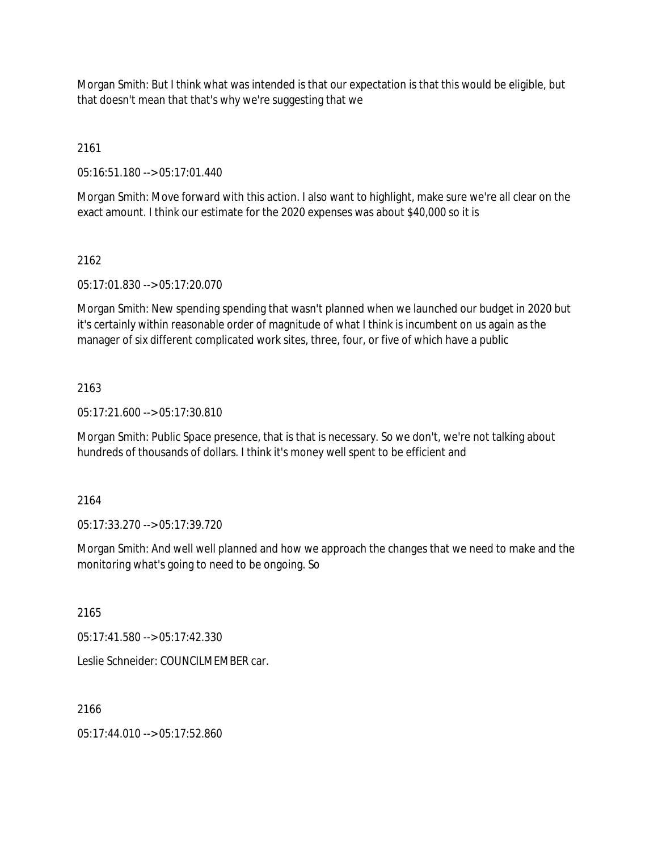Morgan Smith: But I think what was intended is that our expectation is that this would be eligible, but that doesn't mean that that's why we're suggesting that we

2161

05:16:51.180 --> 05:17:01.440

Morgan Smith: Move forward with this action. I also want to highlight, make sure we're all clear on the exact amount. I think our estimate for the 2020 expenses was about \$40,000 so it is

## 2162

05:17:01.830 --> 05:17:20.070

Morgan Smith: New spending spending that wasn't planned when we launched our budget in 2020 but it's certainly within reasonable order of magnitude of what I think is incumbent on us again as the manager of six different complicated work sites, three, four, or five of which have a public

## 2163

05:17:21.600 --> 05:17:30.810

Morgan Smith: Public Space presence, that is that is necessary. So we don't, we're not talking about hundreds of thousands of dollars. I think it's money well spent to be efficient and

## 2164

05:17:33.270 --> 05:17:39.720

Morgan Smith: And well well planned and how we approach the changes that we need to make and the monitoring what's going to need to be ongoing. So

2165

05:17:41.580 --> 05:17:42.330

Leslie Schneider: COUNCILMEMBER car.

2166

05:17:44.010 --> 05:17:52.860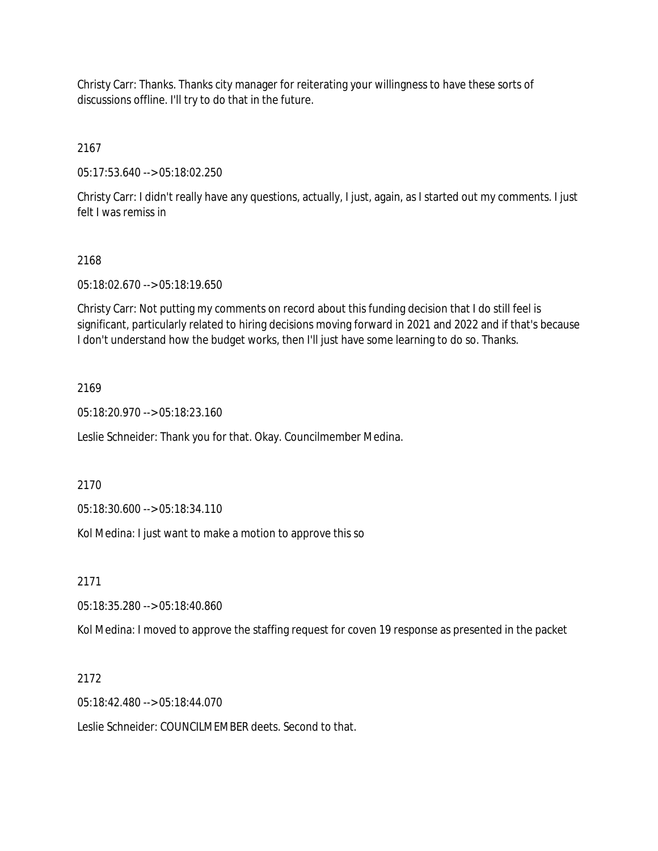Christy Carr: Thanks. Thanks city manager for reiterating your willingness to have these sorts of discussions offline. I'll try to do that in the future.

2167

05:17:53.640 --> 05:18:02.250

Christy Carr: I didn't really have any questions, actually, I just, again, as I started out my comments. I just felt I was remiss in

## 2168

05:18:02.670 --> 05:18:19.650

Christy Carr: Not putting my comments on record about this funding decision that I do still feel is significant, particularly related to hiring decisions moving forward in 2021 and 2022 and if that's because I don't understand how the budget works, then I'll just have some learning to do so. Thanks.

## 2169

05:18:20.970 --> 05:18:23.160

Leslie Schneider: Thank you for that. Okay. Councilmember Medina.

2170

05:18:30.600 --> 05:18:34.110

Kol Medina: I just want to make a motion to approve this so

2171

05:18:35.280 --> 05:18:40.860

Kol Medina: I moved to approve the staffing request for coven 19 response as presented in the packet

## 2172

05:18:42.480 --> 05:18:44.070

Leslie Schneider: COUNCILMEMBER deets. Second to that.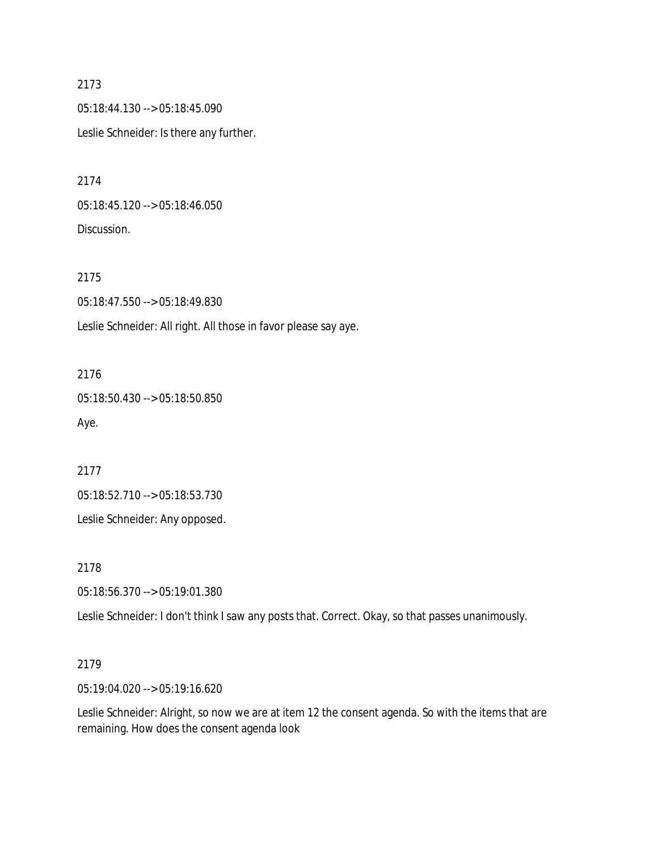05:18:44.130 --> 05:18:45.090 Leslie Schneider: Is there any further.

2174

05:18:45.120 --> 05:18:46.050 Discussion.

2175 05:18:47.550 --> 05:18:49.830 Leslie Schneider: All right. All those in favor please say aye.

2176 05:18:50.430 --> 05:18:50.850 Aye.

2177

05:18:52.710 --> 05:18:53.730

Leslie Schneider: Any opposed.

2178

05:18:56.370 --> 05:19:01.380

Leslie Schneider: I don't think I saw any posts that. Correct. Okay, so that passes unanimously.

## 2179

05:19:04.020 --> 05:19:16.620

Leslie Schneider: Alright, so now we are at item 12 the consent agenda. So with the items that are remaining. How does the consent agenda look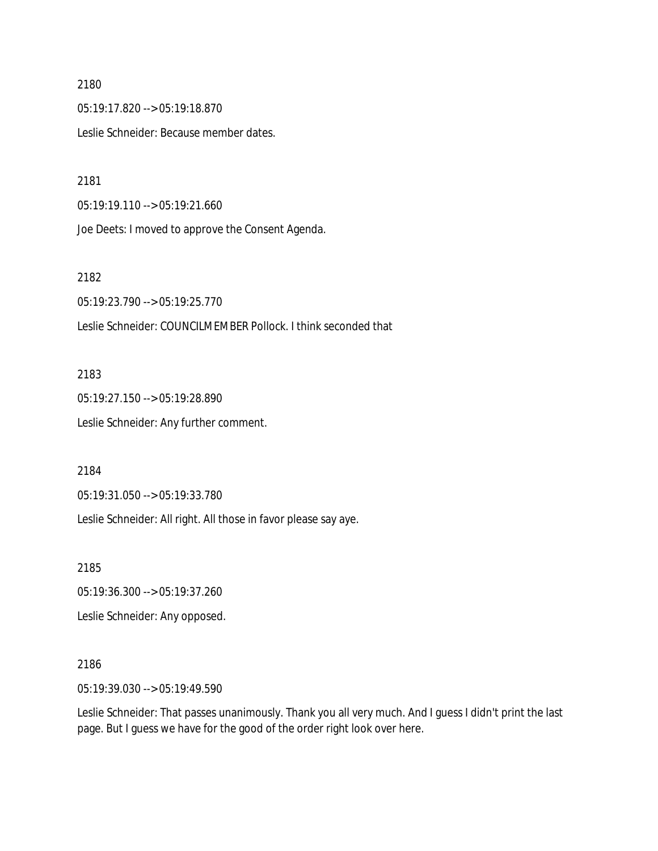05:19:17.820 --> 05:19:18.870 Leslie Schneider: Because member dates.

2181

05:19:19.110 --> 05:19:21.660

Joe Deets: I moved to approve the Consent Agenda.

2182

05:19:23.790 --> 05:19:25.770

Leslie Schneider: COUNCILMEMBER Pollock. I think seconded that

2183 05:19:27.150 --> 05:19:28.890

Leslie Schneider: Any further comment.

2184

05:19:31.050 --> 05:19:33.780

Leslie Schneider: All right. All those in favor please say aye.

2185

05:19:36.300 --> 05:19:37.260

Leslie Schneider: Any opposed.

2186

05:19:39.030 --> 05:19:49.590

Leslie Schneider: That passes unanimously. Thank you all very much. And I guess I didn't print the last page. But I guess we have for the good of the order right look over here.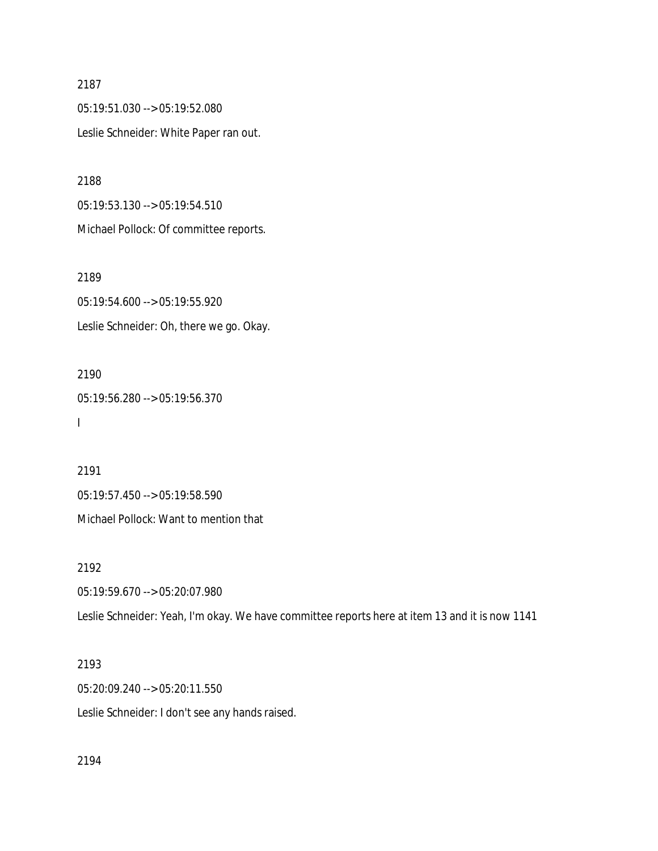05:19:51.030 --> 05:19:52.080 Leslie Schneider: White Paper ran out.

2188

05:19:53.130 --> 05:19:54.510 Michael Pollock: Of committee reports.

2189

05:19:54.600 --> 05:19:55.920 Leslie Schneider: Oh, there we go. Okay.

2190 05:19:56.280 --> 05:19:56.370 I

2191 05:19:57.450 --> 05:19:58.590 Michael Pollock: Want to mention that

2192

05:19:59.670 --> 05:20:07.980

Leslie Schneider: Yeah, I'm okay. We have committee reports here at item 13 and it is now 1141

2193

05:20:09.240 --> 05:20:11.550 Leslie Schneider: I don't see any hands raised.

2194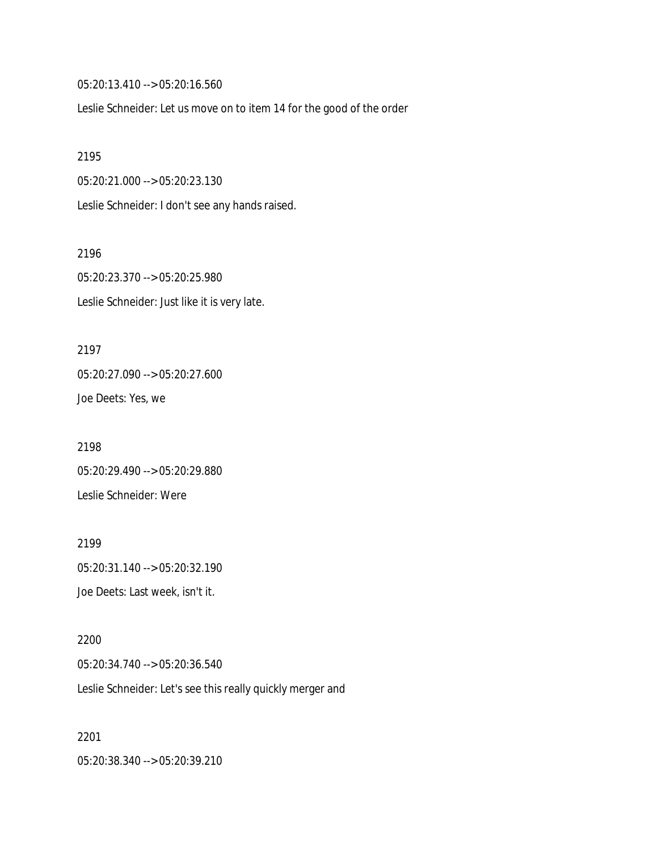05:20:13.410 --> 05:20:16.560

Leslie Schneider: Let us move on to item 14 for the good of the order

2195

05:20:21.000 --> 05:20:23.130

Leslie Schneider: I don't see any hands raised.

2196 05:20:23.370 --> 05:20:25.980 Leslie Schneider: Just like it is very late.

2197 05:20:27.090 --> 05:20:27.600 Joe Deets: Yes, we

2198 05:20:29.490 --> 05:20:29.880 Leslie Schneider: Were

2199 05:20:31.140 --> 05:20:32.190 Joe Deets: Last week, isn't it.

2200 05:20:34.740 --> 05:20:36.540 Leslie Schneider: Let's see this really quickly merger and

2201 05:20:38.340 --> 05:20:39.210